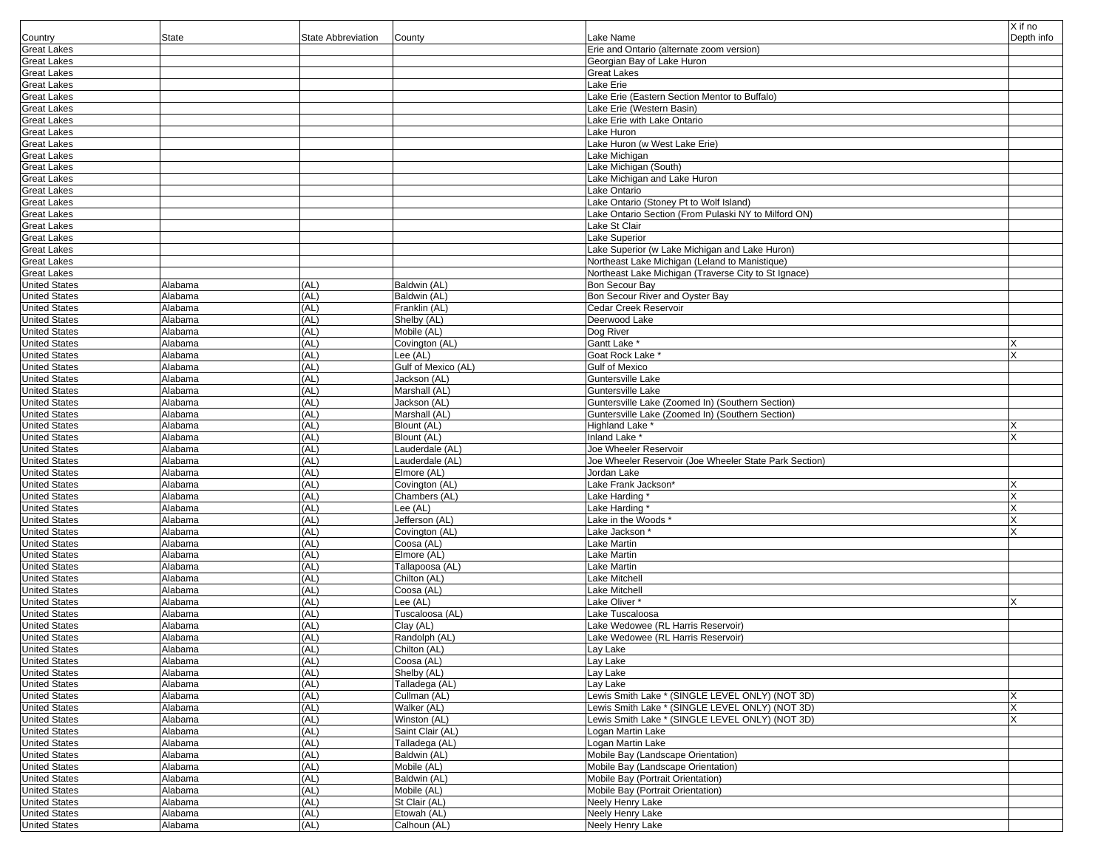|                                              |                    |                           |                             |                                                                        | X if no    |
|----------------------------------------------|--------------------|---------------------------|-----------------------------|------------------------------------------------------------------------|------------|
| Country                                      | <b>State</b>       | <b>State Abbreviation</b> | County                      | Lake Name                                                              | Depth info |
| <b>Great Lakes</b>                           |                    |                           |                             | Erie and Ontario (alternate zoom version)                              |            |
| <b>Great Lakes</b>                           |                    |                           |                             | Georgian Bay of Lake Huron                                             |            |
| <b>Great Lakes</b>                           |                    |                           |                             | <b>Great Lakes</b>                                                     |            |
| <b>Great Lakes</b>                           |                    |                           |                             | Lake Erie                                                              |            |
| <b>Great Lakes</b>                           |                    |                           |                             | Lake Erie (Eastern Section Mentor to Buffalo)                          |            |
| <b>Great Lakes</b>                           |                    |                           |                             | Lake Erie (Western Basin)                                              |            |
| <b>Great Lakes</b>                           |                    |                           |                             | Lake Erie with Lake Ontario                                            |            |
| <b>Great Lakes</b>                           |                    |                           |                             | Lake Huron                                                             |            |
| <b>Great Lakes</b>                           |                    |                           |                             | Lake Huron (w West Lake Erie)                                          |            |
| <b>Great Lakes</b>                           |                    |                           |                             | Lake Michigan                                                          |            |
| <b>Great Lakes</b>                           |                    |                           |                             | Lake Michigan (South)                                                  |            |
| <b>Great Lakes</b>                           |                    |                           |                             | Lake Michigan and Lake Huron                                           |            |
| <b>Great Lakes</b>                           |                    |                           |                             | Lake Ontario                                                           |            |
| <b>Great Lakes</b>                           |                    |                           |                             | Lake Ontario (Stoney Pt to Wolf Island)                                |            |
| <b>Great Lakes</b>                           |                    |                           |                             | Lake Ontario Section (From Pulaski NY to Milford ON)                   |            |
| <b>Great Lakes</b>                           |                    |                           |                             | Lake St Clair                                                          |            |
| <b>Great Lakes</b>                           |                    |                           |                             | Lake Superior                                                          |            |
| <b>Great Lakes</b>                           |                    |                           |                             | Lake Superior (w Lake Michigan and Lake Huron)                         |            |
| <b>Great Lakes</b>                           |                    |                           |                             | Northeast Lake Michigan (Leland to Manistique)                         |            |
| <b>Great Lakes</b>                           |                    |                           |                             | Northeast Lake Michigan (Traverse City to St Ignace)                   |            |
| <b>United States</b>                         | Alabama            | (AL)                      | Baldwin (AL)                | <b>Bon Secour Bay</b>                                                  |            |
| <b>United States</b>                         | Alabama            | (AL)                      | Baldwin (AL)                | Bon Secour River and Oyster Bay                                        |            |
| <b>United States</b>                         | Alabama            | (AL)                      | Franklin (AL)               | Cedar Creek Reservoir                                                  |            |
| <b>United States</b>                         | Alabama            | (AL)                      | Shelby (AL)                 | Deerwood Lake                                                          |            |
| <b>United States</b>                         | Alabama            | (AL)                      | Mobile (AL)                 | Dog River                                                              |            |
| <b>United States</b>                         | Alabama            | (AL)                      | Covington (AL)              | Gantt Lake                                                             |            |
| <b>United States</b>                         | Alabama            | (AL)                      | Lee (AL)                    | Goat Rock Lake *                                                       |            |
| <b>United States</b>                         | Alabama            | (AL)                      | Gulf of Mexico (AL)         | Gulf of Mexico                                                         |            |
| <b>United States</b>                         | Alabama            | (AL)                      | Jackson (AL)                | Guntersville Lake                                                      |            |
| <b>United States</b>                         | Alabama            | (AL)                      | Marshall (AL)               | Guntersville Lake                                                      |            |
| <b>United States</b>                         | Alabama            | (AL)                      | Jackson (AL)                | Guntersville Lake (Zoomed In) (Southern Section)                       |            |
| <b>United States</b>                         | Alabama            | (AL)                      | Marshall (AL)               | Guntersville Lake (Zoomed In) (Southern Section)                       |            |
| <b>United States</b>                         | Alabama            | (AL)                      | Blount (AL)                 | Highland Lake *                                                        |            |
| <b>United States</b>                         | Alabama            | (AL)                      | Blount (AL)                 | Inland Lake *                                                          |            |
| <b>United States</b>                         | Alabama            | (AL)                      | _auderdale (AL)             | Joe Wheeler Reservoir                                                  |            |
| <b>United States</b>                         | Alabama            | (AL)                      | Lauderdale (AL)             | Joe Wheeler Reservoir (Joe Wheeler State Park Section)                 |            |
| <b>United States</b>                         | Alabama            | (AL)                      | Elmore (AL)                 | Jordan Lake                                                            |            |
| <b>United States</b>                         | Alabama            | (AL)                      | Covington (AL)              | Lake Frank Jackson*                                                    |            |
| <b>United States</b>                         | Alabama            | (AL)                      | Chambers (AL)               | Lake Harding '                                                         |            |
| <b>United States</b>                         | Alabama            | (AL)                      | Lee (AL)                    | Lake Harding *                                                         |            |
| <b>United States</b>                         | Alabama            | (AL)                      | Jefferson (AL)              | Lake in the Woods *                                                    |            |
| <b>United States</b>                         | Alabama            | (AL)                      | Covington (AL)              | Lake Jackson '                                                         |            |
| <b>United States</b>                         | Alabama            | (AL)                      | Coosa (AL)                  | Lake Martin                                                            |            |
| <b>United States</b>                         | Alabama            | (AL)                      | Elmore (AL)                 | Lake Martin                                                            |            |
| <b>United States</b>                         | Alabama            | (AL)                      | Tallapoosa (AL)             | Lake Martin                                                            |            |
| <b>United States</b>                         | Alabama            | (AL)                      | Chilton (AL)                | Lake Mitchell                                                          |            |
| <b>United States</b>                         | Alabama            | (AL)                      | Coosa (AL)                  | Lake Mitchell                                                          |            |
| <b>United States</b>                         | Alabama            | (AL)                      | Lee (AL)                    | Lake Oliver *                                                          |            |
| <b>United States</b>                         | Alabama            | (AL)                      | Tuscaloosa (AL)             | Lake Tuscaloosa                                                        |            |
| <b>United States</b>                         | Alabama            | (AL)                      | Clay (AL)                   | Lake Wedowee (RL Harris Reservoir)                                     |            |
| <b>United States</b>                         | Alabama            | (AL)                      | Randolph (AL)               | Lake Wedowee (RL Harris Reservoir)                                     |            |
| <b>United States</b>                         | Alabama            | (AL)                      | Chilton (AL)                | Lay Lake                                                               |            |
| <b>United States</b>                         | Alabama            | (AL)                      | Coosa (AL)                  | Lay Lake                                                               |            |
| <b>United States</b>                         | Alabama            | (AL)                      | Shelby (AL)                 | Lay Lake                                                               |            |
| <b>United States</b>                         | Alabama            | (AL)                      | Talladega (AL)              | Lay Lake                                                               |            |
| <b>United States</b>                         | Alabama            | (AL)                      | Cullman (AL)                | Lewis Smith Lake * (SINGLE LEVEL ONLY) (NOT 3D)                        |            |
| <b>United States</b>                         | Alabama            | (AL)                      | Walker (AL)                 | Lewis Smith Lake * (SINGLE LEVEL ONLY) (NOT 3D)                        | X          |
| <b>United States</b>                         | Alabama            | (AL)                      | Winston (AL)                | Lewis Smith Lake * (SINGLE LEVEL ONLY) (NOT 3D)                        |            |
| <b>United States</b>                         | Alabama            | (AL)<br>(AL)              | Saint Clair (AL)            | Logan Martin Lake<br>Logan Martin Lake                                 |            |
| <b>United States</b>                         | Alabama            | (AL)                      | Talladega (AL)              |                                                                        |            |
| <b>United States</b>                         | Alabama            |                           | Baldwin (AL)                | Mobile Bay (Landscape Orientation)                                     |            |
| <b>United States</b>                         | Alabama            | (AL)                      | Mobile (AL)                 | Mobile Bay (Landscape Orientation)                                     |            |
| <b>United States</b><br><b>United States</b> | Alabama            | (AL)<br>(AL)              | Baldwin (AL)<br>Mobile (AL) | Mobile Bay (Portrait Orientation)<br>Mobile Bay (Portrait Orientation) |            |
| <b>United States</b>                         | Alabama<br>Alabama | (AL)                      | St Clair (AL)               | Neely Henry Lake                                                       |            |
| <b>United States</b>                         | Alabama            | (AL)                      | Etowah (AL)                 | Neely Henry Lake                                                       |            |
| <b>United States</b>                         | Alabama            | (AL)                      | Calhoun (AL)                | Neely Henry Lake                                                       |            |
|                                              |                    |                           |                             |                                                                        |            |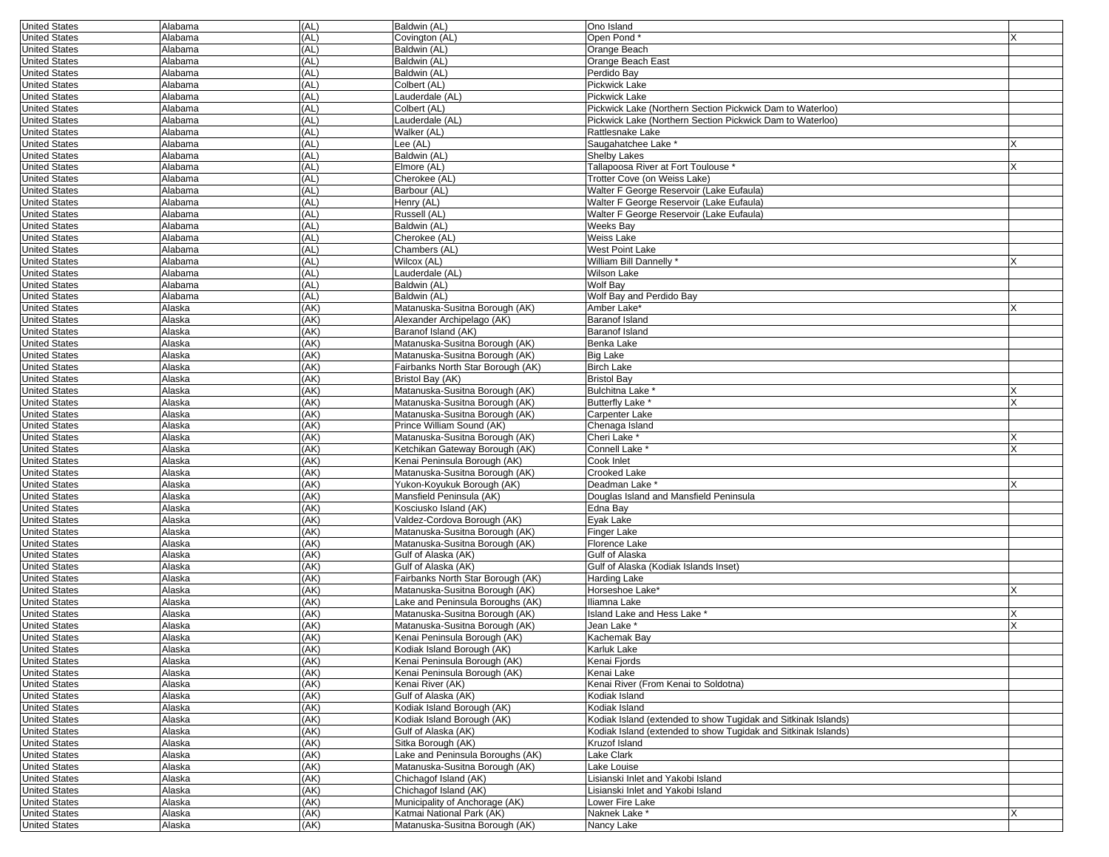| <b>United States</b>                         | Alabama          | (AL)         | Baldwin (AL)                                           | Ono Island                                                    |   |
|----------------------------------------------|------------------|--------------|--------------------------------------------------------|---------------------------------------------------------------|---|
| <b>United States</b>                         | Alabama          | (AL)         | Covington (AL)                                         | Open Pond*                                                    |   |
| <b>United States</b>                         | Alabama          | (AL)         | Baldwin (AL)                                           | Orange Beach                                                  |   |
| <b>United States</b>                         | Alabama          | (AL)         | Baldwin (AL)                                           | Orange Beach East                                             |   |
| <b>United States</b>                         | Alabama          | (AL)         | Baldwin (AL)                                           | Perdido Bay                                                   |   |
| <b>United States</b>                         | Alabama          | (AL)         | Colbert (AL)                                           | Pickwick Lake                                                 |   |
| <b>United States</b>                         | Alabama          | (AL)         | Lauderdale (AL)                                        | Pickwick Lake                                                 |   |
| <b>United States</b>                         | Alabama          | (AL)         | Colbert (AL)                                           | Pickwick Lake (Northern Section Pickwick Dam to Waterloo)     |   |
| <b>United States</b>                         | Alabama          | (AL)         | Lauderdale (AL)                                        | Pickwick Lake (Northern Section Pickwick Dam to Waterloo)     |   |
| <b>United States</b>                         | Alabama          | (AL)         | Walker (AL)                                            | Rattlesnake Lake                                              |   |
| <b>United States</b>                         | Alabama          | (AL)         | Lee (AL)                                               | Saugahatchee Lake '                                           |   |
| <b>United States</b>                         | Alabama          | (AL)         | Baldwin (AL)                                           | <b>Shelby Lakes</b>                                           |   |
| <b>United States</b>                         | Alabama          | (AL)         | Elmore (AL)                                            | Tallapoosa River at Fort Toulouse *                           |   |
| <b>United States</b>                         | Alabama          | (AL)         | Cherokee (AL)                                          | Trotter Cove (on Weiss Lake)                                  |   |
| <b>United States</b>                         | Alabama          | (AL)         | Barbour (AL)                                           | Walter F George Reservoir (Lake Eufaula)                      |   |
| <b>United States</b>                         | Alabama          | (AL)         | Henry (AL)                                             | Walter F George Reservoir (Lake Eufaula)                      |   |
| <b>United States</b>                         | Alabama          | (AL)         | Russell (AL)                                           | Walter F George Reservoir (Lake Eufaula)                      |   |
| <b>United States</b>                         | Alabama          | (AL)         | Baldwin (AL)                                           | Weeks Bay                                                     |   |
| <b>United States</b>                         | Alabama          | (AL)         | Cherokee (AL)                                          | Weiss Lake                                                    |   |
| <b>United States</b>                         | Alabama          | (AL)         | Chambers (AL)                                          | <b>West Point Lake</b>                                        |   |
| <b>United States</b>                         | Alabama          | (AL)         | Wilcox (AL)                                            | William Bill Dannelly *                                       |   |
| <b>United States</b>                         | Alabama          | (AL)         | Lauderdale (AL)                                        | Wilson Lake                                                   |   |
| <b>United States</b>                         | Alabama          | (AL)         | Baldwin (AL)                                           | Wolf Bay                                                      |   |
| <b>United States</b>                         | Alabama          | (AL)         | Baldwin (AL)                                           | Wolf Bay and Perdido Bay                                      |   |
| <b>United States</b>                         | Alaska           | (AK)         | Matanuska-Susitna Borough (AK)                         | Amber Lake*                                                   |   |
| <b>United States</b>                         | Alaska           | (AK)         | Alexander Archipelago (AK)                             | Baranof Island                                                |   |
| <b>United States</b>                         | Alaska           | (AK)         | Baranof Island (AK)                                    | <b>Baranof Island</b>                                         |   |
| <b>United States</b>                         | Alaska           | (AK)         | Matanuska-Susitna Borough (AK)                         | Benka Lake                                                    |   |
| <b>United States</b>                         | Alaska           | (AK)         | Matanuska-Susitna Borough (AK)                         | Big Lake                                                      |   |
| <b>United States</b>                         | Alaska           | (AK)         | Fairbanks North Star Borough (AK)                      | <b>Birch Lake</b>                                             |   |
| <b>United States</b>                         | Alaska           | (AK)         | Bristol Bay (AK)                                       | <b>Bristol Bay</b>                                            |   |
| <b>United States</b>                         | Alaska           | (AK)         | Matanuska-Susitna Borough (AK)                         | Bulchitna Lake *                                              |   |
| <b>United States</b>                         | Alaska           | (AK)         | Matanuska-Susitna Borough (AK)                         | <b>Butterfly Lake *</b>                                       |   |
| <b>United States</b>                         | Alaska           | (AK)         | Matanuska-Susitna Borough (AK)                         | Carpenter Lake                                                |   |
| <b>United States</b>                         | Alaska           | (AK)         | Prince William Sound (AK)                              | Chenaga Island                                                |   |
| <b>United States</b>                         | Alaska           | (AK)         | Matanuska-Susitna Borough (AK)                         | Cheri Lake '                                                  | х |
| <b>United States</b>                         | Alaska           | (AK)         | Ketchikan Gateway Borough (AK)                         | Connell Lake '                                                |   |
| <b>United States</b>                         | Alaska           | (AK)         | Kenai Peninsula Borough (AK)                           | Cook Inlet                                                    |   |
| <b>United States</b>                         | Alaska           | (AK)         | Matanuska-Susitna Borough (AK)                         | Crooked Lake                                                  |   |
| <b>United States</b><br><b>United States</b> | Alaska<br>Alaska | (AK)<br>(AK) | Yukon-Koyukuk Borough (AK)<br>Mansfield Peninsula (AK) | Deadman Lake *<br>Douglas Island and Mansfield Peninsula      |   |
| <b>United States</b>                         | Alaska           | (AK)         | Kosciusko Island (AK)                                  | Edna Bay                                                      |   |
| <b>United States</b>                         | Alaska           | (AK)         | Valdez-Cordova Borough (AK)                            | Eyak Lake                                                     |   |
| <b>United States</b>                         | Alaska           | (AK)         | Matanuska-Susitna Borough (AK)                         | Finger Lake                                                   |   |
| <b>United States</b>                         | Alaska           | (AK)         | Matanuska-Susitna Borough (AK)                         | Florence Lake                                                 |   |
| <b>United States</b>                         | Alaska           | (AK)         | Gulf of Alaska (AK)                                    | Gulf of Alaska                                                |   |
| <b>United States</b>                         | Alaska           | (AK)         | Gulf of Alaska (AK)                                    | Gulf of Alaska (Kodiak Islands Inset)                         |   |
| <b>United States</b>                         | Alaska           | (AK)         | Fairbanks North Star Borough (AK)                      | <b>Harding Lake</b>                                           |   |
| <b>United States</b>                         | Alaska           | (AK)         | Matanuska-Susitna Borough (AK)                         | Horseshoe Lake*                                               |   |
| <b>United States</b>                         | Alaska           | (AK)         | Lake and Peninsula Boroughs (AK)                       | Iliamna Lake                                                  |   |
| <b>United States</b>                         | Alaska           | (AK)         | Matanuska-Susitna Borough (AK)                         | Island Lake and Hess Lake *                                   |   |
| <b>United States</b>                         | Alaska           | (AK)         | Matanuska-Susitna Borough (AK)                         | Jean Lake *                                                   | x |
| <b>United States</b>                         | Alaska           | (AK)         | Kenai Peninsula Borough (AK)                           | Kachemak Bay                                                  |   |
| United States                                | Alaska           | (AK)         | Kodiak Island Borough (AK)                             | Karluk Lake                                                   |   |
| <b>United States</b>                         | Alaska           | (AK)         | Kenai Peninsula Borough (AK)                           | Kenai Fjords                                                  |   |
| <b>United States</b>                         | Alaska           | (AK)         | Kenai Peninsula Borough (AK)                           | Kenai Lake                                                    |   |
| <b>United States</b>                         | Alaska           | (AK)         | Kenai River (AK)                                       | Kenai River (From Kenai to Soldotna)                          |   |
| <b>United States</b>                         | Alaska           | (AK)         | Gulf of Alaska (AK)                                    | Kodiak Island                                                 |   |
| <b>United States</b>                         | Alaska           | (AK)         | Kodiak Island Borough (AK)                             | Kodiak Island                                                 |   |
| <b>United States</b>                         | Alaska           | (AK)         | Kodiak Island Borough (AK)                             | Kodiak Island (extended to show Tugidak and Sitkinak Islands) |   |
| <b>United States</b>                         | Alaska           | (AK)         | Gulf of Alaska (AK)                                    | Kodiak Island (extended to show Tugidak and Sitkinak Islands) |   |
| <b>United States</b>                         | Alaska           | (AK)         | Sitka Borough (AK)                                     | Kruzof Island                                                 |   |
| <b>United States</b>                         | Alaska           | (AK)         | Lake and Peninsula Boroughs (AK)                       | Lake Clark                                                    |   |
| <b>United States</b>                         | Alaska           | (AK)         | Matanuska-Susitna Borough (AK)                         | Lake Louise                                                   |   |
| <b>United States</b>                         | Alaska           | (AK)         | Chichagof Island (AK)                                  | Lisianski Inlet and Yakobi Island                             |   |
| <b>United States</b>                         | Alaska           | (AK)         | Chichagof Island (AK)                                  | Lisianski Inlet and Yakobi Island                             |   |
| <b>United States</b>                         | Alaska           | (AK)         | Municipality of Anchorage (AK)                         | Lower Fire Lake                                               |   |
| <b>United States</b>                         | Alaska           | (AK)         | Katmai National Park (AK)                              | Naknek Lake *                                                 | X |
|                                              |                  |              |                                                        |                                                               |   |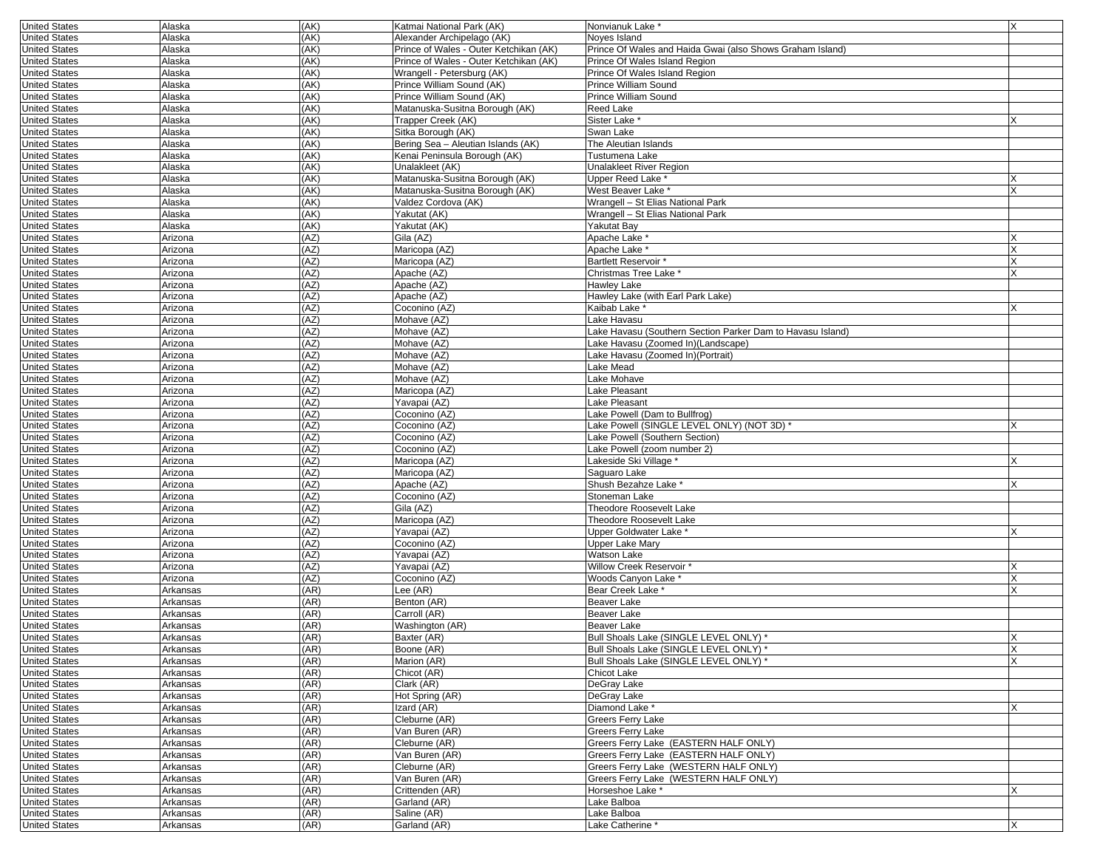| <b>United States</b>                         | Alaska               | (AK)         | Katmai National Park (AK)                                          | Nonvianuk Lake <sup>*</sup>                                | X        |
|----------------------------------------------|----------------------|--------------|--------------------------------------------------------------------|------------------------------------------------------------|----------|
| <b>United States</b>                         | Alaska               | (AK)         | Alexander Archipelago (AK)                                         | Noves Island                                               |          |
| <b>United States</b>                         | Alaska               | (AK)         | Prince of Wales - Outer Ketchikan (AK)                             | Prince Of Wales and Haida Gwai (also Shows Graham Island)  |          |
| <b>United States</b>                         | Alaska               | (AK)         | Prince of Wales - Outer Ketchikan (AK)                             | Prince Of Wales Island Region                              |          |
| <b>United States</b>                         | Alaska               | (AK)         | Wrangell - Petersburg (AK)                                         | Prince Of Wales Island Region                              |          |
| <b>United States</b>                         | Alaska               | (AK)         | Prince William Sound (AK)                                          | <b>Prince William Sound</b>                                |          |
| <b>United States</b>                         | Alaska               | (AK)         | Prince William Sound (AK)                                          | <b>Prince William Sound</b>                                |          |
| <b>United States</b>                         | Alaska               | (AK)         | Matanuska-Susitna Borough (AK)                                     | Reed Lake                                                  |          |
| <b>United States</b>                         | Alaska               | (AK)<br>(AK) | Trapper Creek (AK)                                                 | Sister Lake <sup>*</sup>                                   |          |
| <b>United States</b><br><b>United States</b> | Alaska<br>Alaska     | (AK)         | Sitka Borough (AK)                                                 | Swan Lake<br>The Aleutian Islands                          |          |
| <b>United States</b>                         | Alaska               | (AK)         | Bering Sea - Aleutian Islands (AK)<br>Kenai Peninsula Borough (AK) | Tustumena Lake                                             |          |
| <b>United States</b>                         | Alaska               | (AK)         | Unalakleet (AK)                                                    | Unalakleet River Region                                    |          |
| <b>United States</b>                         | Alaska               | (AK)         | Matanuska-Susitna Borough (AK)                                     | Upper Reed Lake *                                          | x        |
| <b>United States</b>                         | Alaska               | (AK)         | Matanuska-Susitna Borough (AK)                                     | West Beaver Lake *                                         |          |
| <b>United States</b>                         | Alaska               | (AK)         | Valdez Cordova (AK)                                                | Wrangell - St Elias National Park                          |          |
| <b>United States</b>                         | Alaska               | (AK)         | Yakutat (AK)                                                       | Wrangell - St Elias National Park                          |          |
| <b>United States</b>                         | Alaska               | (AK)         | Yakutat (AK)                                                       | <b>Yakutat Bay</b>                                         |          |
| <b>United States</b>                         | Arizona              | (AZ)         | Gila (AZ)                                                          | Apache Lake <sup>®</sup>                                   |          |
| <b>United States</b>                         | Arizona              | (AZ)         | Maricopa (AZ)                                                      | Apache Lake *                                              |          |
| <b>United States</b>                         | Arizona              | (AZ)         | Maricopa (AZ)                                                      | Bartlett Reservoir *                                       |          |
| <b>United States</b>                         | Arizona              | (AZ)         | Apache (AZ)                                                        | Christmas Tree Lake *                                      | $\times$ |
| <b>United States</b>                         | Arizona              | (AZ)         | Apache (AZ)                                                        | Hawley Lake                                                |          |
| <b>United States</b>                         | Arizona              | (AZ)         | Apache (AZ)                                                        | Hawley Lake (with Earl Park Lake)                          |          |
| <b>United States</b>                         | Arizona              | (AZ)         | Coconino (AZ)                                                      | Kaibab Lake <sup>*</sup>                                   |          |
| <b>United States</b>                         | Arizona              | (AZ)         | Mohave (AZ)                                                        | Lake Havasu                                                |          |
| <b>United States</b>                         | Arizona              | (AZ)         | Mohave (AZ)                                                        | Lake Havasu (Southern Section Parker Dam to Havasu Island) |          |
| <b>United States</b>                         | Arizona              | (AZ)         | Mohave (AZ)                                                        | Lake Havasu (Zoomed In)(Landscape)                         |          |
| <b>United States</b>                         | Arizona              | (AZ)         | Mohave (AZ)                                                        | Lake Havasu (Zoomed In)(Portrait)                          |          |
| <b>United States</b>                         | Arizona              | (AZ)         | Mohave (AZ)                                                        | Lake Mead                                                  |          |
| <b>United States</b>                         | Arizona              | (AZ)         | Mohave (AZ)                                                        | Lake Mohave                                                |          |
| <b>United States</b>                         | Arizona              | (AZ)         | Maricopa (AZ)                                                      | Lake Pleasant                                              |          |
| <b>United States</b>                         | Arizona              | (AZ)         | Yavapai (AZ)                                                       | Lake Pleasant                                              |          |
| <b>United States</b>                         | Arizona              | (AZ)         | Coconino (AZ)                                                      | Lake Powell (Dam to Bullfrog)                              |          |
| <b>United States</b>                         | Arizona              | (AZ)         | Coconino (AZ)                                                      | Lake Powell (SINGLE LEVEL ONLY) (NOT 3D) *                 |          |
| <b>United States</b><br><b>United States</b> | Arizona              | (AZ)<br>(AZ) | Coconino (AZ)<br>Coconino (AZ)                                     | Lake Powell (Southern Section)                             |          |
| <b>United States</b>                         | Arizona<br>Arizona   | (AZ)         | Maricopa (AZ)                                                      | Lake Powell (zoom number 2)<br>Lakeside Ski Village *      |          |
| <b>United States</b>                         | Arizona              | (AZ)         | Maricopa (AZ)                                                      | Saguaro Lake                                               |          |
| <b>United States</b>                         | Arizona              | (AZ)         | Apache (AZ)                                                        | Shush Bezahze Lake *                                       |          |
| <b>United States</b>                         | Arizona              | (AZ)         | Coconino (AZ)                                                      | Stoneman Lake                                              |          |
| <b>United States</b>                         | Arizona              | (AZ)         | Gila (AZ)                                                          | <b>Theodore Roosevelt Lake</b>                             |          |
| <b>United States</b>                         | Arizona              | (AZ)         | Maricopa (AZ)                                                      | Theodore Roosevelt Lake                                    |          |
| <b>United States</b>                         | Arizona              | (AZ)         | Yavapai (AZ)                                                       | Upper Goldwater Lake *                                     | x        |
| <b>United States</b>                         | Arizona              | (AZ)         | Coconino (AZ)                                                      | <b>Upper Lake Mary</b>                                     |          |
| <b>United States</b>                         | Arizona              | (AZ)         | Yavapai (AZ)                                                       | Watson Lake                                                |          |
| <b>United States</b>                         | Arizona              | (AZ)         | Yavapai (AZ)                                                       | Willow Creek Reservoir *                                   |          |
| <b>United States</b>                         | Arizona              | (AZ)         | Coconino (AZ)                                                      | Woods Canyon Lake *                                        |          |
| <b>United States</b>                         | Arkansas             | (AR)         | Lee (AR)                                                           | Bear Creek Lake*                                           |          |
| <b>United States</b>                         | Arkansas             | (AR)         | Benton (AR)                                                        | <b>Beaver Lake</b>                                         |          |
| <b>United States</b>                         | Arkansas             | (AR)         | Carroll (AR)                                                       | Beaver Lake                                                |          |
| <b>United States</b>                         | Arkansas             | (AR)         | Washington (AR)                                                    | Beaver Lake                                                |          |
| <b>United States</b>                         | Arkansas             | (AR)         | Baxter (AR)                                                        | Bull Shoals Lake (SINGLE LEVEL ONLY) *                     | Х        |
| <b>United States</b>                         | Arkansas             | (AR)         | Boone (AR)                                                         | Bull Shoals Lake (SINGLE LEVEL ONLY)                       | IX.      |
| <b>United States</b>                         | Arkansas             | (AR)         | Marion (AR)                                                        | Bull Shoals Lake (SINGLE LEVEL ONLY) *                     |          |
| <b>United States</b>                         | Arkansas             | (AR)         | Chicot (AR)                                                        | Chicot Lake                                                |          |
| <b>United States</b>                         | Arkansas             | (AR)         | Clark (AR)                                                         | DeGray Lake                                                |          |
| <b>United States</b>                         | Arkansas             | (AR)         | Hot Spring (AR)                                                    | DeGray Lake                                                |          |
| <b>United States</b>                         | Arkansas             | (AR)         | Izard (AR)                                                         | Diamond Lake *                                             | X        |
| <b>United States</b><br><b>United States</b> | Arkansas<br>Arkansas | (AR)<br>(AR) | Cleburne (AR)<br>Van Buren (AR)                                    | Greers Ferry Lake<br>Greers Ferry Lake                     |          |
| <b>United States</b>                         | Arkansas             | (AR)         | Cleburne (AR)                                                      | Greers Ferry Lake (EASTERN HALF ONLY)                      |          |
| <b>United States</b>                         | Arkansas             | (AR)         | Van Buren (AR)                                                     | Greers Ferry Lake (EASTERN HALF ONLY)                      |          |
| <b>United States</b>                         | Arkansas             | (AR)         | Cleburne (AR)                                                      | Greers Ferry Lake (WESTERN HALF ONLY)                      |          |
| <b>United States</b>                         | Arkansas             | (AR)         | Van Buren (AR)                                                     | Greers Ferry Lake (WESTERN HALF ONLY)                      |          |
| <b>United States</b>                         | Arkansas             | (AR)         | Crittenden (AR)                                                    | Horseshoe Lake *                                           | X        |
| <b>United States</b>                         | Arkansas             | (AR)         | Garland (AR)                                                       | Lake Balboa                                                |          |
| <b>United States</b>                         | Arkansas             | (AR)         | Saline (AR)                                                        | Lake Balboa                                                |          |
| <b>United States</b>                         | Arkansas             | (AR)         | Garland (AR)                                                       | Lake Catherine *                                           | X        |
|                                              |                      |              |                                                                    |                                                            |          |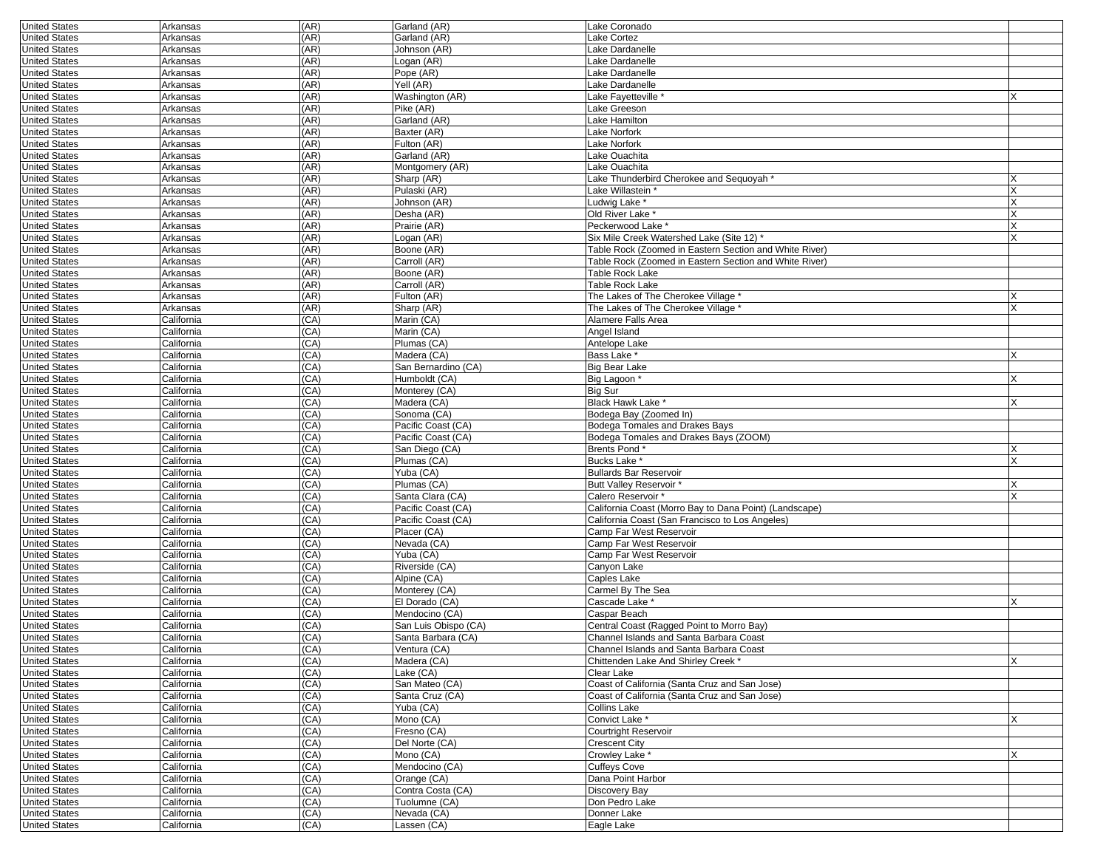| <b>United States</b> | Arkansas   | (AR) | Garland (AR)         | Lake Coronado                                          |   |
|----------------------|------------|------|----------------------|--------------------------------------------------------|---|
| <b>United States</b> | Arkansas   | (AR) | Garland (AR)         | Lake Cortez                                            |   |
| <b>United States</b> | Arkansas   | (AR) | Johnson (AR)         | Lake Dardanelle                                        |   |
| <b>United States</b> | Arkansas   | (AR) | Logan (AR)           | Lake Dardanelle                                        |   |
| <b>United States</b> | Arkansas   | (AR) | Pope (AR)            | Lake Dardanelle                                        |   |
| <b>United States</b> | Arkansas   | (AR) | Yell (AR)            | Lake Dardanelle                                        |   |
| <b>United States</b> | Arkansas   | (AR) | Washington (AR)      | Lake Fayetteville                                      |   |
| <b>United States</b> | Arkansas   | (AR) | Pike (AR)            | Lake Greeson                                           |   |
| <b>United States</b> | Arkansas   | (AR) | Garland (AR)         | Lake Hamilton                                          |   |
| <b>United States</b> | Arkansas   | (AR) | Baxter (AR)          | Lake Norfork                                           |   |
| <b>United States</b> | Arkansas   | (AR) | Fulton (AR)          | Lake Norfork                                           |   |
| <b>United States</b> | Arkansas   | (AR) | Garland (AR)         | Lake Ouachita                                          |   |
| <b>United States</b> | Arkansas   | (AR) | Montgomery (AR)      | Lake Ouachita                                          |   |
| <b>United States</b> | Arkansas   | (AR) | Sharp (AR)           | Lake Thunderbird Cherokee and Sequoyah '               |   |
| <b>United States</b> | Arkansas   | (AR) | Pulaski (AR)         | Lake Willastein '                                      |   |
| <b>United States</b> | Arkansas   | (AR) | Johnson (AR)         | Ludwig Lake <sup>,</sup>                               | X |
| <b>United States</b> | Arkansas   | (AR) | Desha (AR)           | Old River Lake *                                       | X |
| <b>United States</b> | Arkansas   | (AR) | Prairie (AR)         | Peckerwood Lake *                                      |   |
| <b>United States</b> | Arkansas   | (AR) | Logan (AR)           | Six Mile Creek Watershed Lake (Site 12) *              | X |
| <b>United States</b> | Arkansas   | (AR) | Boone (AR)           | Table Rock (Zoomed in Eastern Section and White River) |   |
| <b>United States</b> | Arkansas   | (AR) | Carroll (AR)         | Table Rock (Zoomed in Eastern Section and White River) |   |
| <b>United States</b> | Arkansas   | (AR) | Boone (AR)           | Table Rock Lake                                        |   |
| <b>United States</b> | Arkansas   | (AR) | Carroll (AR)         | Table Rock Lake                                        |   |
| <b>United States</b> | Arkansas   | (AR) | Fulton (AR)          | The Lakes of The Cherokee Village *                    |   |
| <b>United States</b> | Arkansas   | (AR) | Sharp (AR)           | The Lakes of The Cherokee Village *                    |   |
| <b>United States</b> | California | (CA) | Marin (CA)           | Alamere Falls Area                                     |   |
| <b>United States</b> | California | (CA) | Marin (CA)           | Angel Island                                           |   |
| <b>United States</b> | California | (CA) | Plumas (CA)          | Antelope Lake                                          |   |
| <b>United States</b> | California | (CA) | Madera (CA)          | Bass Lake *                                            |   |
| <b>United States</b> | California | (CA) | San Bernardino (CA)  | Big Bear Lake                                          |   |
| <b>United States</b> | California | (CA) | Humboldt (CA)        | Big Lagoon *                                           | X |
| <b>United States</b> | California | (CA) | Monterey (CA)        | <b>Big Sur</b>                                         |   |
| <b>United States</b> | California | (CA) | Madera (CA)          | Black Hawk Lake *                                      | X |
| <b>United States</b> | California | (CA) | Sonoma (CA)          | Bodega Bay (Zoomed In)                                 |   |
| <b>United States</b> | California | (CA) | Pacific Coast (CA)   | Bodega Tomales and Drakes Bays                         |   |
| <b>United States</b> | California | (CA) | Pacific Coast (CA)   | Bodega Tomales and Drakes Bays (ZOOM)                  |   |
| <b>United States</b> | California | (CA) | San Diego (CA)       | <b>Brents Pond*</b>                                    | x |
| <b>United States</b> | California | (CA) | Plumas (CA)          | Bucks Lake *                                           | X |
| <b>United States</b> | California | (CA) | Yuba (CA)            | <b>Bullards Bar Reservoir</b>                          |   |
| <b>United States</b> | California | (CA) | Plumas (CA)          | Butt Valley Reservoir*                                 |   |
| <b>United States</b> | California | (CA) | Santa Clara (CA)     | Calero Reservoir *                                     | X |
| <b>United States</b> | California | (CA) | Pacific Coast (CA)   | California Coast (Morro Bay to Dana Point) (Landscape) |   |
| <b>United States</b> | California | (CA) | Pacific Coast (CA)   | California Coast (San Francisco to Los Angeles)        |   |
| <b>United States</b> | California | (CA) | Placer (CA)          | Camp Far West Reservoir                                |   |
| <b>United States</b> | California | (CA) | Nevada (CA)          | Camp Far West Reservoir                                |   |
| <b>United States</b> | California | (CA) | Yuba (CA)            | Camp Far West Reservoir                                |   |
| <b>United States</b> | California | (CA) | Riverside (CA)       | Canyon Lake                                            |   |
| <b>United States</b> | California | (CA) | Alpine (CA)          | Caples Lake                                            |   |
| <b>United States</b> | California | (CA) | Monterey (CA)        | Carmel By The Sea                                      |   |
| <b>United States</b> | California | (CA) | El Dorado (CA)       | Cascade Lake *                                         |   |
| <b>United States</b> | California | (CA) | Mendocino (CA)       | Caspar Beach                                           |   |
| <b>United States</b> | California | (CA) | San Luis Obispo (CA) | Central Coast (Ragged Point to Morro Bay)              |   |
| <b>United States</b> | California | (CA) | Santa Barbara (CA)   | Channel Islands and Santa Barbara Coast                |   |
| United States        | California | (CA) | Ventura (CA)         | Channel Islands and Santa Barbara Coast                |   |
| <b>United States</b> | California | (CA) | Madera (CA)          | Chittenden Lake And Shirley Creek*                     | X |
| <b>United States</b> | California | (CA) | Lake (CA)            | Clear Lake                                             |   |
| <b>United States</b> | California | (CA) | San Mateo (CA)       | Coast of California (Santa Cruz and San Jose)          |   |
| <b>United States</b> | California | (CA) | Santa Cruz (CA)      | Coast of California (Santa Cruz and San Jose)          |   |
| <b>United States</b> | California | (CA) | Yuba (CA)            | Collins Lake                                           |   |
| <b>United States</b> | California | (CA) | Mono (CA)            | Convict Lake *                                         | X |
| <b>United States</b> | California | (CA) | Fresno (CA)          | Courtright Reservoir                                   |   |
| <b>United States</b> | California | (CA) | Del Norte (CA)       | <b>Crescent City</b>                                   |   |
| <b>United States</b> | California | (CA) | Mono (CA)            | Crowley Lake*                                          | X |
| <b>United States</b> | California | (CA) | Mendocino (CA)       | Cuffeys Cove                                           |   |
| <b>United States</b> | California | (CA) | Orange (CA)          | Dana Point Harbor                                      |   |
| <b>United States</b> | California | (CA) | Contra Costa (CA)    | Discovery Bay                                          |   |
| <b>United States</b> | California | (CA) | Tuolumne (CA)        | Don Pedro Lake                                         |   |
| <b>United States</b> | California | (CA) | Nevada (CA)          | Donner Lake                                            |   |
| <b>United States</b> | California | (CA) | Lassen (CA)          | Eagle Lake                                             |   |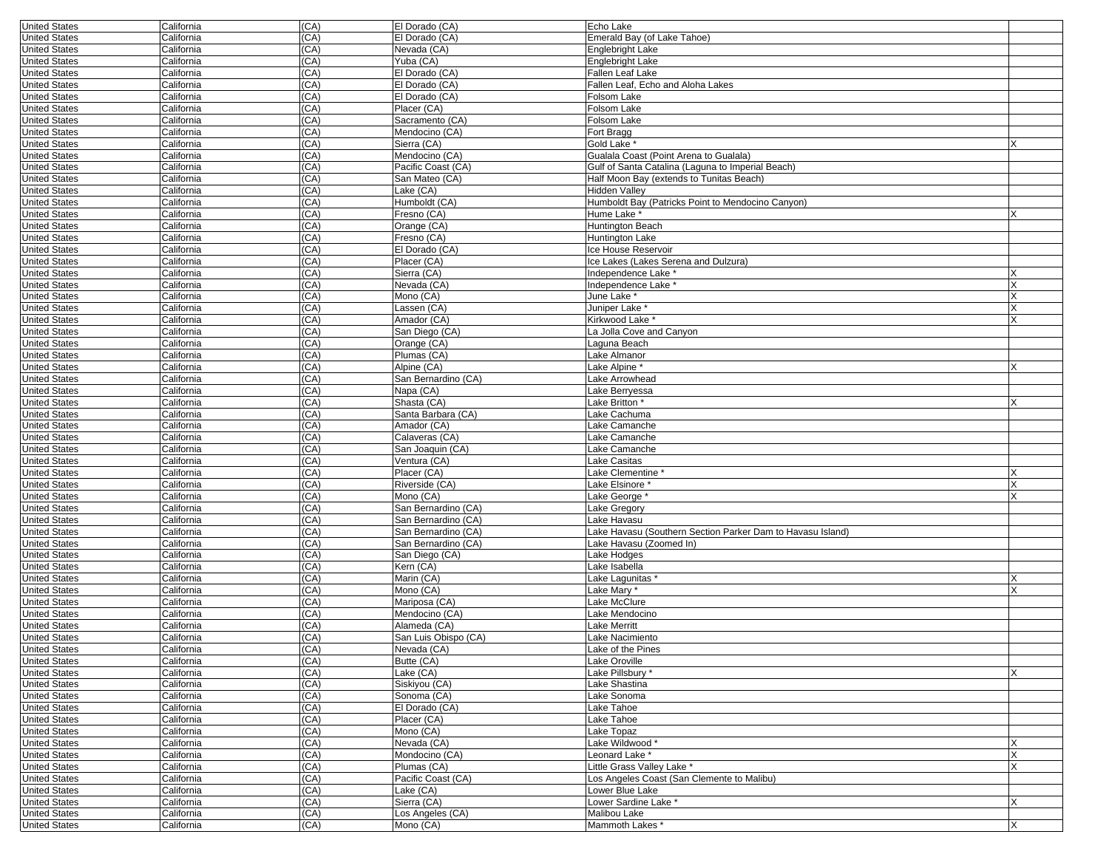| <b>United States</b> | California | (CA) | El Dorado (CA)       | Echo Lake                                                  |   |
|----------------------|------------|------|----------------------|------------------------------------------------------------|---|
| <b>United States</b> | California | (CA) | El Dorado (CA)       | Emerald Bay (of Lake Tahoe)                                |   |
| <b>United States</b> | California | (CA) | Nevada (CA)          | Englebright Lake                                           |   |
| <b>United States</b> | California | (CA) | Yuba (CA)            | Englebright Lake                                           |   |
| <b>United States</b> | California | (CA) | El Dorado (CA)       | Fallen Leaf Lake                                           |   |
| <b>United States</b> | California | (CA) | El Dorado (CA)       | Fallen Leaf, Echo and Aloha Lakes                          |   |
| <b>United States</b> | California | (CA) | El Dorado (CA)       | Folsom Lake                                                |   |
| <b>United States</b> | California | (CA) | Placer (CA)          | Folsom Lake                                                |   |
| <b>United States</b> | California | (CA) | Sacramento (CA)      | Folsom Lake                                                |   |
| <b>United States</b> | California | (CA) | Mendocino (CA)       | Fort Bragg                                                 |   |
| <b>United States</b> | California | (CA) | Sierra (CA)          | Gold Lake <sup>®</sup>                                     | x |
| <b>United States</b> | California | (CA) | Mendocino (CA)       | Gualala Coast (Point Arena to Gualala)                     |   |
| <b>United States</b> | California | (CA) | Pacific Coast (CA)   | Gulf of Santa Catalina (Laguna to Imperial Beach)          |   |
| <b>United States</b> | California | (CA) | San Mateo (CA)       | Half Moon Bay (extends to Tunitas Beach)                   |   |
| <b>United States</b> | California | (CA) | Lake (CA)            | <b>Hidden Valley</b>                                       |   |
| <b>United States</b> | California | (CA) | Humboldt (CA)        | Humboldt Bay (Patricks Point to Mendocino Canyon)          |   |
| <b>United States</b> | California | (CA) | Fresno (CA)          | Hume Lake *                                                | x |
| <b>United States</b> | California | (CA) | Orange (CA)          | Huntington Beach                                           |   |
| <b>United States</b> | California | (CA) | Fresno (CA)          | Huntington Lake                                            |   |
| <b>United States</b> | California | (CA) | El Dorado (CA)       | Ice House Reservoir                                        |   |
| <b>United States</b> | California | (CA) | Placer (CA)          | Ice Lakes (Lakes Serena and Dulzura)                       |   |
| <b>United States</b> | California | (CA) | Sierra (CA)          | Independence Lake <sup>*</sup>                             |   |
| <b>United States</b> | California | (CA) | Nevada (CA)          | Independence Lake '                                        |   |
| <b>United States</b> | California | (CA) | Mono (CA)            | June Lake <sup>*</sup>                                     |   |
| <b>United States</b> | California | (CA) | Lassen (CA)          | Juniper Lake                                               |   |
| <b>United States</b> | California | (CA) | Amador (CA)          | Kirkwood Lake '                                            | X |
| <b>United States</b> | California | (CA) | San Diego (CA)       | La Jolla Cove and Canyon                                   |   |
| <b>United States</b> | California | (CA) | Orange (CA)          | Laguna Beach                                               |   |
| <b>United States</b> | California | (CA) | Plumas (CA)          | Lake Almanor                                               |   |
| <b>United States</b> | California | (CA) | Alpine (CA)          | Lake Alpine*                                               |   |
| <b>United States</b> | California | (CA) | San Bernardino (CA)  | Lake Arrowhead                                             |   |
| <b>United States</b> | California | (CA) | Napa (CA)            | Lake Berryessa                                             |   |
| <b>United States</b> | California | (CA) | Shasta (CA)          | Lake Britton *                                             | Х |
| <b>United States</b> | California | (CA) | Santa Barbara (CA)   | Lake Cachuma                                               |   |
| <b>United States</b> | California | (CA) | Amador (CA)          | Lake Camanche                                              |   |
| <b>United States</b> | California | (CA) | Calaveras (CA)       | Lake Camanche                                              |   |
| <b>United States</b> | California | (CA) | San Joaquin (CA)     | Lake Camanche                                              |   |
| <b>United States</b> | California | (CA) | Ventura (CA)         | Lake Casitas                                               |   |
| <b>United States</b> | California | (CA) | Placer (CA)          | Lake Clementine *                                          |   |
| <b>United States</b> | California | (CA) | Riverside (CA)       | Lake Elsinore <sup>*</sup>                                 |   |
| <b>United States</b> | California | (CA) | Mono (CA)            | Lake George                                                | x |
| <b>United States</b> | California | (CA) | San Bernardino (CA)  | Lake Gregory                                               |   |
| <b>United States</b> | California | (CA) | San Bernardino (CA)  | Lake Havasu                                                |   |
| <b>United States</b> | California | (CA) | San Bernardino (CA)  | Lake Havasu (Southern Section Parker Dam to Havasu Island) |   |
| <b>United States</b> | California | (CA) | San Bernardino (CA)  | Lake Havasu (Zoomed In)                                    |   |
| <b>United States</b> | California | (CA) | San Diego (CA)       | Lake Hodges                                                |   |
| <b>United States</b> | California | (CA) | Kern (CA)            | Lake Isabella                                              |   |
| <b>United States</b> | California | (CA) | Marin (CA)           | Lake Lagunitas *                                           | Х |
| <b>United States</b> | California | (CA) | Mono (CA)            | Lake Mary *                                                | X |
| <b>United States</b> | California | (CA) | Mariposa (CA)        | Lake McClure                                               |   |
| <b>United States</b> | California | (CA) | Mendocino (CA)       | Lake Mendocino                                             |   |
| <b>United States</b> | California | (CA) | Alameda (CA)         | Lake Merritt                                               |   |
| <b>United States</b> | California | (CA) | San Luis Obispo (CA) | Lake Nacimiento                                            |   |
| United States        | California | (CA) | Nevada (CA)          | Lake of the Pines                                          |   |
| <b>United States</b> | California | (CA) | Butte (CA)           | Lake Oroville                                              |   |
| <b>United States</b> | California | (CA) | Lake (CA)            | Lake Pillsbury*                                            | X |
| <b>United States</b> | California | (CA) | Siskiyou (CA)        | Lake Shastina                                              |   |
| <b>United States</b> | California | (CA) | Sonoma (CA)          | Lake Sonoma                                                |   |
| <b>United States</b> | California | (CA) | El Dorado (CA)       | Lake Tahoe                                                 |   |
| <b>United States</b> | California | (CA) | Placer (CA)          | Lake Tahoe                                                 |   |
| <b>United States</b> | California | (CA) | Mono (CA)            | Lake Topaz                                                 |   |
| <b>United States</b> | California | (CA) | Nevada (CA)          | Lake Wildwood*                                             | X |
| <b>United States</b> | California | (CA) | Mondocino (CA)       | Leonard Lake *                                             | X |
| <b>United States</b> | California | (CA) | Plumas (CA)          | Little Grass Valley Lake *                                 | X |
| <b>United States</b> | California | (CA) | Pacific Coast (CA)   | Los Angeles Coast (San Clemente to Malibu)                 |   |
| <b>United States</b> | California | (CA) | Lake (CA)            | Lower Blue Lake                                            |   |
| <b>United States</b> | California | (CA) | Sierra (CA)          | Lower Sardine Lake *                                       | X |
| <b>United States</b> | California | (CA) | Los Angeles (CA)     | Malibou Lake                                               |   |
| <b>United States</b> | California | (CA) | Mono (CA)            | Mammoth Lakes*                                             | X |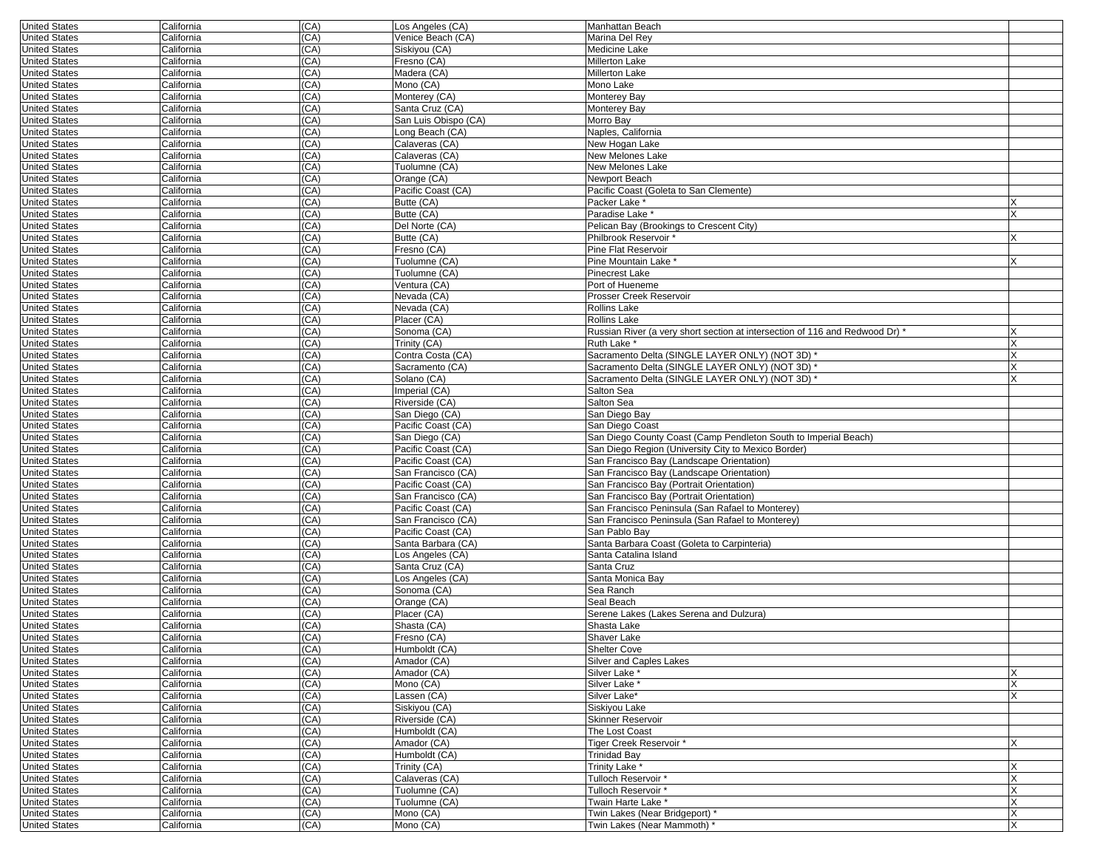| <b>United States</b>                         | California               | (CA)         | Los Angeles (CA)                     | Manhattan Beach                                                              |   |
|----------------------------------------------|--------------------------|--------------|--------------------------------------|------------------------------------------------------------------------------|---|
| <b>United States</b>                         | California               | (CA)         | Venice Beach (CA)                    | Marina Del Rey                                                               |   |
| <b>United States</b>                         | California               | (CA)         | Siskiyou (CA)                        | Medicine Lake                                                                |   |
| <b>United States</b>                         | California               | (CA)         | Fresno (CA)                          | Millerton Lake                                                               |   |
| <b>United States</b>                         | California               | (CA)         | Madera (CA)                          | <b>Millerton Lake</b>                                                        |   |
| <b>United States</b>                         | California               | (CA)         | Mono (CA)                            | Mono Lake                                                                    |   |
| <b>United States</b>                         | California               | (CA)         | Monterey (CA)                        | Monterey Bay                                                                 |   |
| <b>United States</b>                         | California               | (CA)         | Santa Cruz (CA)                      | Monterey Bay                                                                 |   |
| <b>United States</b>                         | California               | (CA)         | San Luis Obispo (CA)                 | Morro Bay                                                                    |   |
| <b>United States</b>                         | California               | (CA)         | Long Beach (CA)                      | Naples, California                                                           |   |
| <b>United States</b>                         | California               | (CA)         | Calaveras (CA)                       | New Hogan Lake                                                               |   |
| <b>United States</b>                         | California               | (CA)         | Calaveras (CA)                       | New Melones Lake                                                             |   |
| <b>United States</b>                         | California               | (CA)         | Tuolumne (CA)                        | New Melones Lake                                                             |   |
| <b>United States</b>                         | California               | (CA)         | Orange (CA)                          | Newport Beach                                                                |   |
| <b>United States</b>                         | California               | (CA)         | Pacific Coast (CA)                   | Pacific Coast (Goleta to San Clemente)                                       |   |
| <b>United States</b>                         | California               | (CA)         | Butte (CA)                           | Packer Lake *                                                                |   |
| <b>United States</b>                         | California               | (CA)         | Butte (CA)                           | Paradise Lake *                                                              |   |
| <b>United States</b>                         | California               | (CA)         | Del Norte (CA)                       | Pelican Bay (Brookings to Crescent City)                                     |   |
| <b>United States</b>                         | California               | (CA)         | Butte (CA)                           | Philbrook Reservoir *                                                        |   |
| <b>United States</b>                         | California               | (CA)         | Fresno (CA)                          | <b>Pine Flat Reservoir</b>                                                   |   |
| <b>United States</b>                         | California               | (CA)         | Tuolumne (CA)                        | Pine Mountain Lake                                                           |   |
| <b>United States</b>                         | California               | (CA)         | Tuolumne (CA)                        | <b>Pinecrest Lake</b>                                                        |   |
| <b>United States</b>                         | California               | (CA)         | Ventura (CA)                         | Port of Hueneme                                                              |   |
| <b>United States</b>                         | California               | (CA)         | Nevada (CA)                          | Prosser Creek Reservoir                                                      |   |
| <b>United States</b>                         | California               | (CA)         | Nevada (CA)                          | Rollins Lake                                                                 |   |
| <b>United States</b>                         | California               | (CA)         | Placer (CA)                          | <b>Rollins Lake</b>                                                          |   |
| <b>United States</b>                         | California               | (CA)         | Sonoma (CA)                          | Russian River (a very short section at intersection of 116 and Redwood Dr) * |   |
| <b>United States</b>                         | California               | (CA)         | Trinity (CA)                         | Ruth Lake*                                                                   |   |
| <b>United States</b>                         | California               | (CA)         | Contra Costa (CA)<br>Sacramento (CA) | Sacramento Delta (SINGLE LAYER ONLY) (NOT 3D) *                              |   |
| <b>United States</b>                         | California               | (CA)         |                                      | Sacramento Delta (SINGLE LAYER ONLY) (NOT 3D)                                |   |
| <b>United States</b><br><b>United States</b> | California               | (CA)         | Solano (CA)                          | Sacramento Delta (SINGLE LAYER ONLY) (NOT 3D)                                |   |
|                                              | California               | (CA)<br>(CA) | Imperial (CA)                        | Salton Sea                                                                   |   |
| <b>United States</b>                         | California               | (CA)         | Riverside (CA)                       | Salton Sea                                                                   |   |
| <b>United States</b>                         | California<br>California | (CA)         | San Diego (CA)<br>Pacific Coast (CA) | San Diego Bay<br>San Diego Coast                                             |   |
| <b>United States</b><br><b>United States</b> | California               | (CA)         | San Diego (CA)                       | San Diego County Coast (Camp Pendleton South to Imperial Beach)              |   |
|                                              |                          | (CA)         | Pacific Coast (CA)                   | San Diego Region (University City to Mexico Border)                          |   |
| <b>United States</b><br><b>United States</b> | California<br>California | (CA)         | Pacific Coast (CA)                   | San Francisco Bay (Landscape Orientation)                                    |   |
| <b>United States</b>                         | California               | (CA)         | San Francisco (CA)                   | San Francisco Bay (Landscape Orientation)                                    |   |
| <b>United States</b>                         | California               | (CA)         | Pacific Coast (CA)                   | San Francisco Bay (Portrait Orientation)                                     |   |
| <b>United States</b>                         | California               | (CA)         | San Francisco (CA)                   | San Francisco Bay (Portrait Orientation)                                     |   |
| <b>United States</b>                         | California               | (CA)         | Pacific Coast (CA)                   | San Francisco Peninsula (San Rafael to Monterey)                             |   |
| <b>United States</b>                         | California               | (CA)         | San Francisco (CA)                   | San Francisco Peninsula (San Rafael to Monterey)                             |   |
| <b>United States</b>                         | California               | (CA)         | Pacific Coast (CA)                   | San Pablo Bay                                                                |   |
| <b>United States</b>                         | California               | (CA)         | Santa Barbara (CA)                   | Santa Barbara Coast (Goleta to Carpinteria)                                  |   |
| <b>United States</b>                         | California               | (CA)         | Los Angeles (CA)                     | Santa Catalina Island                                                        |   |
| <b>United States</b>                         | California               | (CA)         | Santa Cruz (CA)                      | Santa Cruz                                                                   |   |
| <b>United States</b>                         | California               | (CA)         | Los Angeles (CA)                     | Santa Monica Bay                                                             |   |
| <b>United States</b>                         | California               | (CA)         | Sonoma (CA)                          | Sea Ranch                                                                    |   |
| <b>United States</b>                         | California               | (CA)         | Orange (CA)                          | Seal Beach                                                                   |   |
| <b>United States</b>                         | California               | (CA)         | Placer (CA)                          | Serene Lakes (Lakes Serena and Dulzura)                                      |   |
| <b>United States</b>                         | California               | (CA)         | Shasta (CA)                          | Shasta Lake                                                                  |   |
| <b>United States</b>                         | California               | (CA)         | Fresno (CA)                          | Shaver Lake                                                                  |   |
| United States                                | California               | (CA)         | Humboldt (CA)                        | Shelter Cove                                                                 |   |
| <b>United States</b>                         | California               | (CA)         | Amador (CA)                          | Silver and Caples Lakes                                                      |   |
| <b>United States</b>                         | California               | (CA)         | Amador (CA)                          | Silver Lake *                                                                |   |
| <b>United States</b>                         | California               | (CA)         | Mono (CA)                            | Silver Lake*                                                                 |   |
| <b>United States</b>                         | California               | (CA)         | Lassen (CA)                          | Silver Lake*                                                                 |   |
| <b>United States</b>                         | California               | (CA)         | Siskiyou (CA)                        | Siskiyou Lake                                                                |   |
| <b>United States</b>                         | California               | (CA)         | Riverside (CA)                       | Skinner Reservoir                                                            |   |
| <b>United States</b>                         | California               | (CA)         | Humboldt (CA)                        | The Lost Coast                                                               |   |
| <b>United States</b>                         | California               | (CA)         | Amador (CA)                          | Tiger Creek Reservoir*                                                       |   |
| <b>United States</b>                         | California               | (CA)         | Humboldt (CA)                        | <b>Trinidad Bay</b>                                                          |   |
| <b>United States</b>                         | California               | (CA)         | Trinity (CA)                         | Trinity Lake *                                                               |   |
| <b>United States</b>                         | California               | (CA)         | Calaveras (CA)                       | Tulloch Reservoir*                                                           |   |
| <b>United States</b>                         | California               | (CA)         | Tuolumne (CA)                        | Tulloch Reservoir*                                                           |   |
| <b>United States</b>                         | California               | (CA)         | Tuolumne (CA)                        | Twain Harte Lake *                                                           |   |
| <b>United States</b>                         | California               | (CA)         | Mono (CA)                            | Twin Lakes (Near Bridgeport) *                                               | X |
| <b>United States</b>                         | California               | (CA)         | Mono (CA)                            | Twin Lakes (Near Mammoth) *                                                  |   |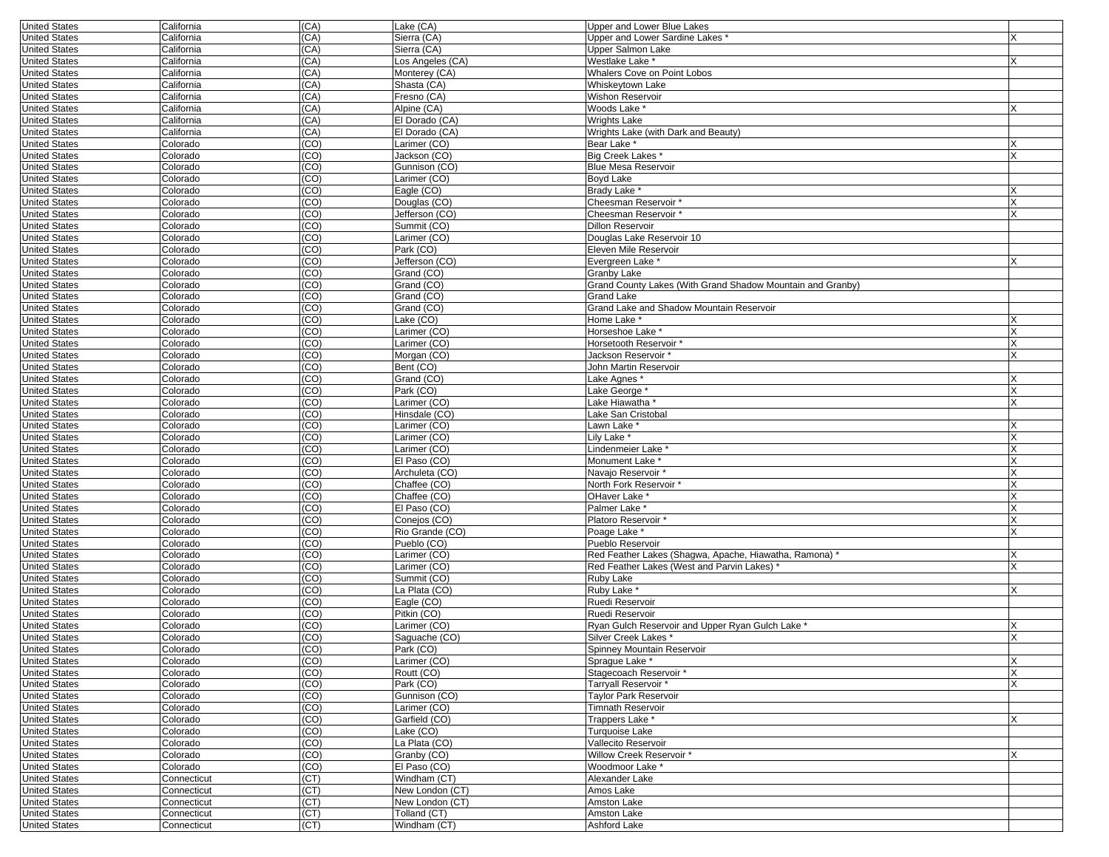| <b>United States</b> | California  | (CA)            | Lake (CA)        | Upper and Lower Blue Lakes                                 |   |
|----------------------|-------------|-----------------|------------------|------------------------------------------------------------|---|
| <b>United States</b> | California  | (CA)            | Sierra (CA)      | Upper and Lower Sardine Lakes *                            |   |
| <b>United States</b> | California  | (CA)            | Sierra (CA)      | Upper Salmon Lake                                          |   |
| <b>United States</b> | California  | (CA)            | Los Angeles (CA) | Westlake Lake *                                            |   |
| <b>United States</b> | California  | (CA)            | Monterey (CA)    | <b>Whalers Cove on Point Lobos</b>                         |   |
| <b>United States</b> | California  | (CA)            | Shasta (CA)      | Whiskeytown Lake                                           |   |
| <b>United States</b> | California  | (CA)            | Fresno (CA)      | Wishon Reservoir                                           |   |
| <b>United States</b> | California  | (CA)            | Alpine (CA)      | Woods Lake *                                               | X |
| <b>United States</b> | California  | (CA)            | El Dorado (CA)   | Wrights Lake                                               |   |
|                      |             |                 | El Dorado (CA)   | Wrights Lake (with Dark and Beauty)                        |   |
| <b>United States</b> | California  | (CA)            |                  |                                                            |   |
| <b>United States</b> | Colorado    | (CO)            | Larimer (CO)     | Bear Lake                                                  | х |
| <b>United States</b> | Colorado    | (CO)            | Jackson (CO)     | Big Creek Lakes*                                           | x |
| <b>United States</b> | Colorado    | (CO)            | Gunnison (CO)    | <b>Blue Mesa Reservoir</b>                                 |   |
| <b>United States</b> | Colorado    | (CO)            | Larimer (CO)     | Boyd Lake                                                  |   |
| <b>United States</b> | Colorado    | (CO)            | Eagle (CO)       | Brady Lake                                                 |   |
| <b>United States</b> | Colorado    | (CO)            | Douglas (CO)     | Cheesman Reservoir *                                       | X |
| <b>United States</b> | Colorado    | (CO)            | Jefferson (CO)   | Cheesman Reservoir *                                       | X |
| <b>United States</b> | Colorado    | (CO)            | Summit (CO)      | Dillon Reservoir                                           |   |
| <b>United States</b> | Colorado    | (CO)            | Larimer (CO)     | Douglas Lake Reservoir 10                                  |   |
| <b>United States</b> | Colorado    | (CO)            | Park (CO)        | Eleven Mile Reservoir                                      |   |
| <b>United States</b> | Colorado    | (CO)            | Jefferson (CO)   | Evergreen Lake *                                           |   |
| <b>United States</b> | Colorado    | (CO)            | Grand (CO)       | Granby Lake                                                |   |
| <b>United States</b> | Colorado    | (CO)            | Grand (CO)       | Grand County Lakes (With Grand Shadow Mountain and Granby) |   |
| <b>United States</b> | Colorado    | (CO)            | Grand (CO)       | Grand Lake                                                 |   |
| <b>United States</b> | Colorado    | (CO)            | Grand (CO)       | Grand Lake and Shadow Mountain Reservoir                   |   |
| <b>United States</b> |             |                 |                  |                                                            |   |
|                      | Colorado    | (CO)            | Lake (CO)        | Home Lake *                                                |   |
| <b>United States</b> | Colorado    | (CO)            | Larimer (CO)     | Horseshoe Lake *                                           | Х |
| <b>United States</b> | Colorado    | (CO)            | Larimer (CO)     | Horsetooth Reservoir *                                     | X |
| <b>United States</b> | Colorado    | (CO)            | Morgan (CO)      | Jackson Reservoir *                                        | X |
| <b>United States</b> | Colorado    | (CO)            | Bent (CO)        | John Martin Reservoir                                      |   |
| <b>United States</b> | Colorado    | (CO)            | Grand (CO)       | Lake Agnes *                                               |   |
| <b>United States</b> | Colorado    | (CO)            | Park (CO)        | Lake George                                                | X |
| <b>United States</b> | Colorado    | (CO)            | Larimer (CO)     | Lake Hiawatha *                                            | X |
| <b>United States</b> | Colorado    | (CO)            | Hinsdale (CO)    | Lake San Cristobal                                         |   |
| <b>United States</b> | Colorado    | (CO)            | Larimer (CO)     | Lawn Lake *                                                |   |
| <b>United States</b> | Colorado    | (CO)            | Larimer (CO)     | Lily Lake <sup>*</sup>                                     | X |
| <b>United States</b> | Colorado    | (CO)            | Larimer (CO)     | Lindenmeier Lake*                                          |   |
| <b>United States</b> | Colorado    | (CO)            | El Paso (CO)     | Monument Lake *                                            |   |
| <b>United States</b> | Colorado    | (CO)            | Archuleta (CO)   | Navajo Reservoir *                                         |   |
| <b>United States</b> | Colorado    | (CO)            | Chaffee (CO)     | North Fork Reservoir *                                     |   |
| <b>United States</b> | Colorado    | (CO)            | Chaffee (CO)     | OHaver Lake '                                              | X |
| <b>United States</b> | Colorado    | (CO)            | El Paso (CO)     | Palmer Lake *                                              | X |
|                      |             | (CO)            |                  |                                                            |   |
| <b>United States</b> | Colorado    |                 | Conejos (CO)     | Platoro Reservoir *                                        | X |
| <b>United States</b> | Colorado    | (CO)            | Rio Grande (CO)  | Poage Lake *                                               |   |
| <b>United States</b> | Colorado    | (CO)            | Pueblo (CO)      | Pueblo Reservoir                                           |   |
| <b>United States</b> | Colorado    | (CO)            | Larimer (CO)     | Red Feather Lakes (Shagwa, Apache, Hiawatha, Ramona) *     | Х |
| <b>United States</b> | Colorado    | (CO)            | Larimer (CO)     | Red Feather Lakes (West and Parvin Lakes)                  | x |
| <b>United States</b> | Colorado    | (CO)            | Summit (CO)      | Ruby Lake                                                  |   |
| <b>United States</b> | Colorado    | (CO)            | La Plata (CO)    | Ruby Lake <sup>*</sup>                                     | X |
| <b>United States</b> | Colorado    | (CO)            | Eagle (CO)       | Ruedi Reservoir                                            |   |
| <b>United States</b> | Colorado    | (CO)            | Pitkin (CO)      | Ruedi Reservoir                                            |   |
| <b>United States</b> | Colorado    | (CO)            | Larimer (CO)     | Ryan Gulch Reservoir and Upper Ryan Gulch Lake *           | x |
| <b>United States</b> | Colorado    | (CO)            | Saquache (CO)    | Silver Creek Lakes *                                       | X |
| United States        | Colorado    | (CO)            | Park (CO)        | Spinney Mountain Reservoir                                 |   |
| <b>United States</b> | Colorado    | (CO)            | Larimer (CO)     | Sprague Lake *                                             | X |
| <b>United States</b> | Colorado    | (CO)            | Routt (CO)       | Stagecoach Reservoir*                                      | X |
| <b>United States</b> | Colorado    | (CO)            | Park (CO)        | Tarryall Reservoir*                                        | X |
| <b>United States</b> | Colorado    | (CO)            | Gunnison (CO)    | Taylor Park Reservoir                                      |   |
| <b>United States</b> | Colorado    | (CO)            | Larimer (CO)     | <b>Timnath Reservoir</b>                                   |   |
|                      |             | (CO)            | Garfield (CO)    | Trappers Lake *                                            | X |
| <b>United States</b> | Colorado    |                 |                  |                                                            |   |
| <b>United States</b> | Colorado    | (CO)            | Lake (CO)        | Turquoise Lake                                             |   |
| <b>United States</b> | Colorado    | (CO)            | La Plata (CO)    | Vallecito Reservoir                                        |   |
| <b>United States</b> | Colorado    | (CO)            | Granby (CO)      | Willow Creek Reservoir *                                   | X |
| <b>United States</b> | Colorado    | $\overline{CO}$ | El Paso (CO)     | Woodmoor Lake *                                            |   |
| <b>United States</b> | Connecticut | (CT)            | Windham (CT)     | Alexander Lake                                             |   |
| <b>United States</b> | Connecticut | (CT)            | New London (CT)  | Amos Lake                                                  |   |
| <b>United States</b> | Connecticut | (CT)            | New London (CT)  | Amston Lake                                                |   |
| <b>United States</b> | Connecticut | (CT)            | Tolland (CT)     | Amston Lake                                                |   |
| <b>United States</b> | Connecticut | (CT)            | Windham (CT)     | Ashford Lake                                               |   |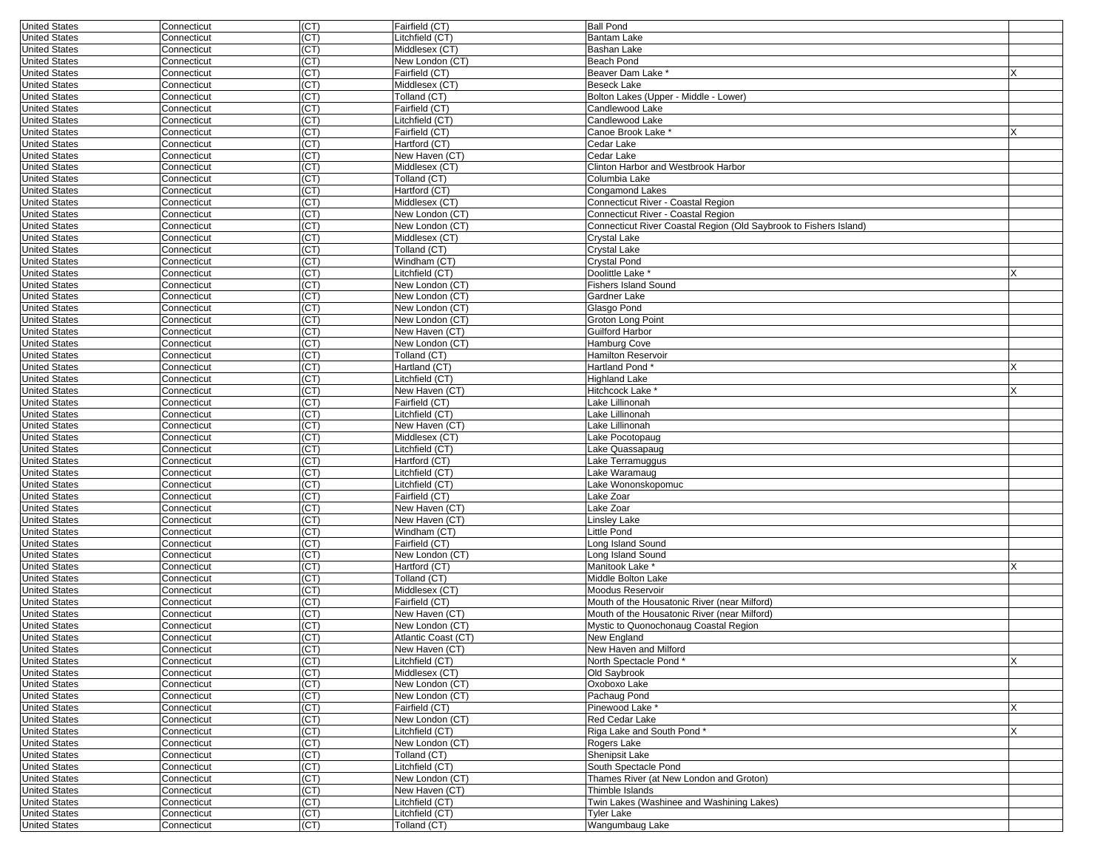| <b>United States</b> | Connecticut | (CT) | Fairfield (CT)                       | <b>Ball Pond</b>                                                  |   |
|----------------------|-------------|------|--------------------------------------|-------------------------------------------------------------------|---|
| <b>United States</b> | Connecticut | (CT) | Litchfield (CT)                      | <b>Bantam Lake</b>                                                |   |
| <b>United States</b> | Connecticut | (CT) | Middlesex (CT)                       | Bashan Lake                                                       |   |
| <b>United States</b> | Connecticut | (CT) | New London (CT)                      | Beach Pond                                                        |   |
| <b>United States</b> | Connecticut | (CT) | Fairfield (CT)                       | Beaver Dam Lake *                                                 |   |
|                      |             |      |                                      |                                                                   |   |
| <b>United States</b> | Connecticut | (CT) | Middlesex (CT)                       | <b>Beseck Lake</b>                                                |   |
| <b>United States</b> | Connecticut | (CT) | Tolland (CT)                         | Bolton Lakes (Upper - Middle - Lower)                             |   |
| <b>United States</b> | Connecticut | (CT) | Fairfield (CT)                       | Candlewood Lake                                                   |   |
| <b>United States</b> | Connecticut | (CT  | Litchfield (CT)                      | Candlewood Lake                                                   |   |
| <b>United States</b> | Connecticut | (CT) | Fairfield (CT)                       | Canoe Brook Lake *                                                |   |
| <b>United States</b> | Connecticut | (CT) | Hartford (CT)                        | Cedar Lake                                                        |   |
|                      |             |      |                                      |                                                                   |   |
| <b>United States</b> | Connecticut | (CT) | New Haven (CT)                       | Cedar Lake                                                        |   |
| <b>United States</b> | Connecticut | (CT) | Middlesex (CT)                       | Clinton Harbor and Westbrook Harbor                               |   |
| <b>United States</b> | Connecticut | (CT) | Tolland (CT)                         | Columbia Lake                                                     |   |
| <b>United States</b> | Connecticut | (CT) | Hartford (CT)                        | Congamond Lakes                                                   |   |
| <b>United States</b> | Connecticut | (CT) | Middlesex (CT)                       | Connecticut River - Coastal Region                                |   |
| <b>United States</b> | Connecticut | (CT) | New London (CT)                      | Connecticut River - Coastal Region                                |   |
| <b>United States</b> | Connecticut | (CT) | New London (CT)                      | Connecticut River Coastal Region (Old Saybrook to Fishers Island) |   |
|                      |             |      |                                      |                                                                   |   |
| <b>United States</b> | Connecticut | (CT  | Middlesex (CT)                       | Crystal Lake                                                      |   |
| <b>United States</b> | Connecticut | (CT) | Tolland (CT)                         | Crystal Lake                                                      |   |
| <b>United States</b> | Connecticut | (CT) | Windham (CT)                         | Crystal Pond                                                      |   |
| <b>United States</b> | Connecticut | (CT) | Litchfield (CT)                      | Doolittle Lake                                                    |   |
| <b>United States</b> | Connecticut | (CT) | New London (CT)                      | <b>Fishers Island Sound</b>                                       |   |
| <b>United States</b> | Connecticut | (CT) | New London (CT)                      | Gardner Lake                                                      |   |
|                      |             | (CT) |                                      |                                                                   |   |
| <b>United States</b> | Connecticut |      | New London (CT)                      | Glasgo Pond                                                       |   |
| <b>United States</b> | Connecticut | (CT) | New London (CT)                      | Groton Long Point                                                 |   |
| <b>United States</b> | Connecticut | (CT) | New Haven (CT)                       | Guilford Harbor                                                   |   |
| <b>United States</b> | Connecticut | (CT) | New London (CT)                      | Hamburg Cove                                                      |   |
| <b>United States</b> | Connecticut | (CT  | Tolland (CT)                         | <b>Hamilton Reservoir</b>                                         |   |
| <b>United States</b> | Connecticut | (CT) | Hartland (CT)                        | Hartland Pond*                                                    |   |
| <b>United States</b> | Connecticut | (CT) | Litchfield (CT)                      | <b>Highland Lake</b>                                              |   |
|                      |             |      |                                      |                                                                   |   |
| <b>United States</b> | Connecticut | (CT) | New Haven (CT)                       | Hitchcock Lake                                                    | x |
| <b>United States</b> | Connecticut | (CT) | Fairfield (CT)                       | Lake Lillinonah                                                   |   |
| <b>United States</b> | Connecticut | (CT) | Litchfield (CT)                      | Lake Lillinonah                                                   |   |
| <b>United States</b> | Connecticut | (CT) | New Haven (CT)                       | Lake Lillinonah                                                   |   |
| <b>United States</b> | Connecticut | (CT) | Middlesex (CT)                       | Lake Pocotopaug                                                   |   |
| <b>United States</b> | Connecticut | (CT) | Litchfield (CT)                      | Lake Quassapaug                                                   |   |
|                      |             |      |                                      |                                                                   |   |
| <b>United States</b> | Connecticut | (CT) | Hartford (CT)                        | Lake Terramuggus                                                  |   |
| <b>United States</b> | Connecticut | (CT) | Litchfield (CT)                      | Lake Waramaug                                                     |   |
| <b>United States</b> | Connecticut | (CT) | Litchfield (CT)                      | Lake Wononskopomuc                                                |   |
| <b>United States</b> | Connecticut | (CT) | Fairfield (CT)                       | Lake Zoar                                                         |   |
| <b>United States</b> | Connecticut | (CT) | $\overline{\mathsf{New}}$ Haven (CT) | Lake Zoar                                                         |   |
| <b>United States</b> | Connecticut | (CT) | New Haven (CT)                       | Linsley Lake                                                      |   |
| <b>United States</b> | Connecticut | (CT) | Windham (CT)                         | Little Pond                                                       |   |
|                      |             | (CT) |                                      |                                                                   |   |
| <b>United States</b> | Connecticut |      | Fairfield (CT)                       | Long Island Sound                                                 |   |
| <b>United States</b> | Connecticut | (CT) | New London (CT)                      | Long Island Sound                                                 |   |
| <b>United States</b> | Connecticut | (CT) | Hartford (CT)                        | Manitook Lake *                                                   |   |
| <b>United States</b> | Connecticut | (CT) | Tolland (CT)                         | Middle Bolton Lake                                                |   |
| <b>United States</b> | Connecticut | (CT) | Middlesex (CT)                       | Moodus Reservoir                                                  |   |
| <b>United States</b> | Connecticut | (CT) | Fairfield (CT)                       | Mouth of the Housatonic River (near Milford)                      |   |
| <b>United States</b> | Connecticut | (CT) | New Haven (CT)                       | Mouth of the Housatonic River (near Milford)                      |   |
|                      |             |      |                                      |                                                                   |   |
| <b>United States</b> | Connecticut | (CT  | New London (CT)                      | Mystic to Quonochonaug Coastal Region                             |   |
| <b>United States</b> | Connecticut | (CT) | Atlantic Coast (CT)                  | New England                                                       |   |
| United States        | Connecticut | (C1) | New Haven (C1)                       | New Haven and Miltord                                             |   |
| <b>United States</b> | Connecticut | (CI) | Litchfield (CT)                      | North Spectacle Pond*                                             | X |
| <b>United States</b> | Connecticut | (CT) | Middlesex (CT)                       | Old Saybrook                                                      |   |
| <b>United States</b> | Connecticut | (CT) | New London (CT)                      | Oxoboxo Lake                                                      |   |
| <b>United States</b> | Connecticut | (CT) | New London (CT)                      | Pachaug Pond                                                      |   |
|                      |             |      | Fairfield (CT)                       | Pinewood Lake *                                                   | X |
| <b>United States</b> | Connecticut | (CT) |                                      |                                                                   |   |
| <b>United States</b> | Connecticut | (CI) | New London (CT)                      | Red Cedar Lake                                                    |   |
| <b>United States</b> | Connecticut | (CT) | Litchfield (CT)                      | Riga Lake and South Pond*                                         | X |
| <b>United States</b> | Connecticut | (CT) | New London (CT)                      | Rogers Lake                                                       |   |
| <b>United States</b> | Connecticut | (CT) | Tolland (CT)                         | Shenipsit Lake                                                    |   |
| <b>United States</b> | Connecticut | (CT) | Litchfield (CT)                      | South Spectacle Pond                                              |   |
| <b>United States</b> | Connecticut | (CT) | New London (CT)                      | Thames River (at New London and Groton)                           |   |
| <b>United States</b> | Connecticut | (CT) | New Haven (CT)                       | Thimble Islands                                                   |   |
|                      |             |      |                                      |                                                                   |   |
| <b>United States</b> | Connecticut | (CT) | Litchfield (CT)                      | Twin Lakes (Washinee and Washining Lakes)                         |   |
| <b>United States</b> | Connecticut | (CT) | Litchfield (CT)                      | Tyler Lake                                                        |   |
| <b>United States</b> | Connecticut | (CT) | Tolland (CT)                         | Wangumbaug Lake                                                   |   |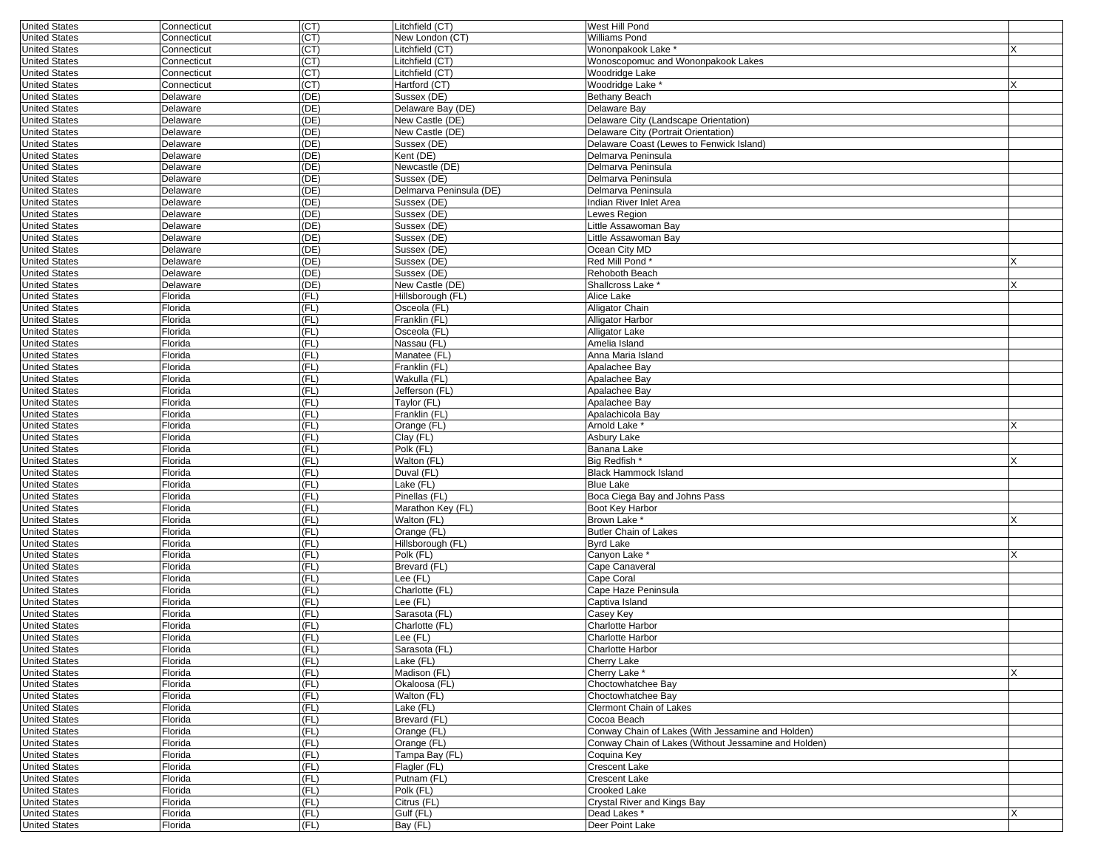| <b>United States</b> | Connecticut    | (CT)  | Litchfield (CT)         | West Hill Pond                                       |   |
|----------------------|----------------|-------|-------------------------|------------------------------------------------------|---|
| <b>United States</b> | Connecticut    | (CT)  | New London (CT)         | Williams Pond                                        |   |
| <b>United States</b> | Connecticut    | (CT)  | Litchfield (CT)         | Wononpakook Lake *                                   |   |
| <b>United States</b> | Connecticut    | (CT)  | Litchfield (CT)         | Wonoscopomuc and Wononpakook Lakes                   |   |
| <b>United States</b> | Connecticut    | (CT)  | Litchfield (CT)         | Woodridge Lake                                       |   |
| <b>United States</b> | Connecticut    | (CT)  | Hartford (CT)           | Woodridge Lake                                       | X |
|                      |                |       |                         |                                                      |   |
| <b>United States</b> | Delaware       | (DE)  | Sussex (DE)             | <b>Bethany Beach</b>                                 |   |
| <b>United States</b> | Delaware       | (DE)  | Delaware Bay (DE)       | Delaware Bav                                         |   |
| <b>United States</b> | Delaware       | (DE)  | New Castle (DE)         | Delaware City (Landscape Orientation)                |   |
| <b>United States</b> | Delaware       | (DE)  | New Castle (DE)         | Delaware City (Portrait Orientation)                 |   |
| <b>United States</b> | Delaware       | (DE)  | Sussex (DE)             | Delaware Coast (Lewes to Fenwick Island)             |   |
| <b>United States</b> | Delaware       | (DE)  | Kent (DE)               | Delmarva Peninsula                                   |   |
| <b>United States</b> | Delaware       | (DE)  | Newcastle (DE)          | Delmarva Peninsula                                   |   |
| <b>United States</b> |                | (DE)  | Sussex (DE)             | Delmarva Peninsula                                   |   |
| <b>United States</b> | Delaware       |       |                         |                                                      |   |
|                      | Delaware       | (DE)  | Delmarva Peninsula (DE) | Delmarva Peninsula                                   |   |
| <b>United States</b> | Delaware       | (DE)  | Sussex (DE)             | Indian River Inlet Area                              |   |
| <b>United States</b> | Delaware       | (DE)  | Sussex (DE)             | Lewes Region                                         |   |
| <b>United States</b> | Delaware       | (DE)  | Sussex (DE)             | Little Assawoman Bay                                 |   |
| <b>United States</b> | Delaware       | (DE)  | Sussex (DE)             | Little Assawoman Bay                                 |   |
| <b>United States</b> | Delaware       | (DE)  | Sussex (DE)             | Ocean City MD                                        |   |
| <b>United States</b> | Delaware       | (DE)  | Sussex (DE)             | Red Mill Pond*                                       | X |
| <b>United States</b> | Delaware       | (DE)  | Sussex (DE)             | Rehoboth Beach                                       |   |
|                      |                |       |                         |                                                      |   |
| <b>United States</b> | Delaware       | (DE)  | New Castle (DE)         | Shallcross Lake *                                    | X |
| <b>United States</b> | Florida        | (FL)  | Hillsborough (FL)       | Alice Lake                                           |   |
| <b>United States</b> | Florida        | (FL)  | Osceola (FL)            | Alligator Chain                                      |   |
| <b>United States</b> | Florida        | (FL)  | Franklin (FL)           | <b>Alligator Harbor</b>                              |   |
| <b>United States</b> | Florida        | (FL)  | Osceola (FL)            | Alligator Lake                                       |   |
| <b>United States</b> | Florida        | (FL)  | Nassau (FL)             | Amelia Island                                        |   |
| <b>United States</b> | Florida        | (FL)  | Manatee (FL)            | Anna Maria Island                                    |   |
| <b>United States</b> | Florida        | (FL)  | Franklin (FL)           | Apalachee Bay                                        |   |
| <b>United States</b> | Florida        | (FL)  | Wakulla (FL)            | Apalachee Bay                                        |   |
|                      |                |       |                         |                                                      |   |
| <b>United States</b> | Florida        | (FL)  | Jefferson (FL)          | Apalachee Bay                                        |   |
| <b>United States</b> | Florida        | (FL)  | Taylor (FL)             | Apalachee Bay                                        |   |
| <b>United States</b> | Florida        | (FL)  | Franklin (FL)           | Apalachicola Bay                                     |   |
| <b>United States</b> | Florida        | (FL)  | Orange (FL)             | Arnold Lake *                                        |   |
| <b>United States</b> | Florida        | (FL)  | Clay (FL)               | Asbury Lake                                          |   |
| <b>United States</b> | Florida        | (FL)  | Polk (FL)               | Banana Lake                                          |   |
| <b>United States</b> | Florida        | (FL)  | Walton (FL)             | Big Redfish *                                        | X |
|                      |                |       |                         |                                                      |   |
| <b>United States</b> | Florida        | (FL)  | Duval (FL)              | <b>Black Hammock Island</b>                          |   |
| <b>United States</b> | Florida        | (FL)  | Lake (FL)               | <b>Blue Lake</b>                                     |   |
| <b>United States</b> | Florida        | (FL)  | Pinellas (FL)           | Boca Ciega Bay and Johns Pass                        |   |
| <b>United States</b> | Florida        | (FL)  | Marathon Key (FL)       | Boot Key Harbor                                      |   |
| <b>United States</b> | Florida        | (FL)  | Walton (FL)             | Brown Lake *                                         | x |
| <b>United States</b> | Florida        | (FL)  | Orange (FL)             | <b>Butler Chain of Lakes</b>                         |   |
| <b>United States</b> | Florida        | (FL)  | Hillsborough (FL)       | Byrd Lake                                            |   |
| <b>United States</b> | Florida        | (FL)  | Polk (FL)               | Canyon Lake *                                        | X |
| <b>United States</b> |                | (FL)  |                         |                                                      |   |
|                      | Florida        |       | Brevard (FL)            | Cape Canaveral                                       |   |
| <b>United States</b> | Florida        | (FL)  | Lee (FL)                | Cape Coral                                           |   |
| <b>United States</b> | Florida        | (FL)  | Charlotte (FL)          | Cape Haze Peninsula                                  |   |
| <b>United States</b> | Florida        | (FL)  | Lee (FL)                | Captiva Island                                       |   |
| <b>United States</b> | Florida        | (FL)  | Sarasota (FL)           | Casey Key                                            |   |
| <b>United States</b> | Florida        | (FL)  | Charlotte (FL)          | <b>Charlotte Harbor</b>                              |   |
| <b>United States</b> | Florida        | (FL)  | Lee (FL)                | <b>Charlotte Harbor</b>                              |   |
| United States        | <b>Florida</b> | (LFL) | Sarasota (FL)           | Charlotte Harbor                                     |   |
| <b>United States</b> | Florida        | (FL)  | Lake (FL)               | Cherry Lake                                          |   |
| <b>United States</b> |                |       | Madison (FL)            |                                                      |   |
|                      | Florida        | (FL)  |                         | Cherry Lake *                                        | X |
| <b>United States</b> | Florida        | (FL)  | Okaloosa (FL)           | Choctowhatchee Bay                                   |   |
| <b>United States</b> | Florida        | (FL)  | Walton (FL)             | Choctowhatchee Bay                                   |   |
| <b>United States</b> | Florida        | (FL)  | Lake (FL)               | <b>Clermont Chain of Lakes</b>                       |   |
| <b>United States</b> | Florida        | (FL)  | Brevard (FL)            | Cocoa Beach                                          |   |
| <b>United States</b> | Florida        | (FL)  | Orange (FL)             | Conway Chain of Lakes (With Jessamine and Holden)    |   |
| <b>United States</b> | Florida        | (FL)  | Orange (FL)             | Conway Chain of Lakes (Without Jessamine and Holden) |   |
| <b>United States</b> | Florida        | (FL)  | Tampa Bay (FL)          | Coquina Key                                          |   |
|                      |                |       |                         |                                                      |   |
| <b>United States</b> | Florida        | (FL)  | Flagler (FL)            | Crescent Lake                                        |   |
| <b>United States</b> | Florida        | (FL)  | Putnam (FL)             | <b>Crescent Lake</b>                                 |   |
| <b>United States</b> | Florida        | (FL)  | Polk (FL)               | Crooked Lake                                         |   |
| <b>United States</b> | Florida        | (FL)  | Citrus (FL)             | Crystal River and Kings Bay                          |   |
| <b>United States</b> | Florida        | (FL)  | Gulf (FL)               | Dead Lakes *                                         | X |
| <b>United States</b> | Florida        | (FL)  | Bay (FL)                | Deer Point Lake                                      |   |
|                      |                |       |                         |                                                      |   |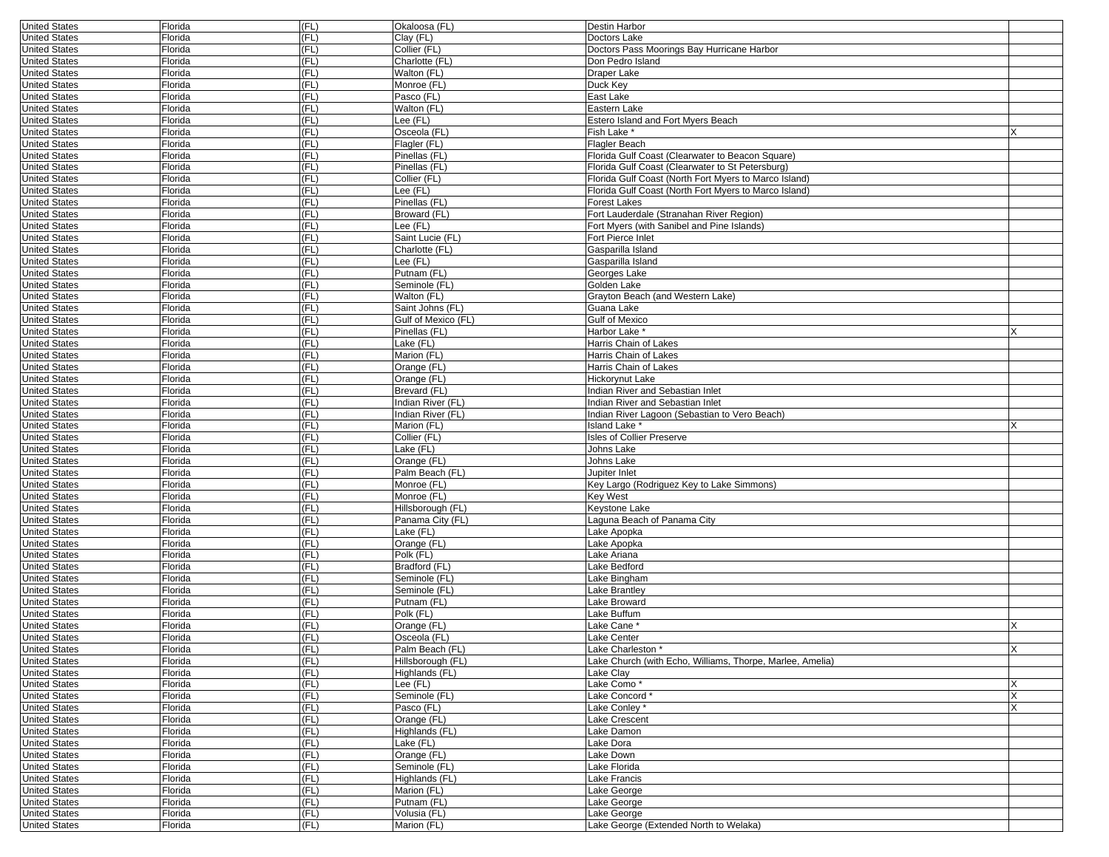| <b>United States</b> | Florida        | (FL) | Okaloosa (FL)       | Destin Harbor                                             |    |
|----------------------|----------------|------|---------------------|-----------------------------------------------------------|----|
| <b>United States</b> | Florida        | (FL) | Clay (FL)           | Doctors Lake                                              |    |
| <b>United States</b> | Florida        | (FL) | Collier (FL)        | Doctors Pass Moorings Bay Hurricane Harbor                |    |
| <b>United States</b> | Florida        | (FL) | Charlotte (FL)      | Don Pedro Island                                          |    |
| <b>United States</b> | Florida        | (FL) | Walton (FL)         | Draper Lake                                               |    |
| <b>United States</b> | Florida        | (FL) | Monroe (FL)         | Duck Key                                                  |    |
| <b>United States</b> | Florida        | (FL) | Pasco (FL)          | East Lake                                                 |    |
| <b>United States</b> | Florida        | (FL) | Walton (FL)         | Eastern Lake                                              |    |
| <b>United States</b> | Florida        | (FL) | ee (FL)             | Estero Island and Fort Myers Beach                        |    |
| <b>United States</b> | Florida        | (FL) | Osceola (FL)        | Fish Lake *                                               |    |
| <b>United States</b> | Florida        | (FL) | Flagler (FL)        | Flagler Beach                                             |    |
| <b>United States</b> | Florida        | (FL) | Pinellas (FL)       | Florida Gulf Coast (Clearwater to Beacon Square)          |    |
| <b>United States</b> | Florida        | (FL) | Pinellas (FL)       | Florida Gulf Coast (Clearwater to St Petersburg)          |    |
| <b>United States</b> | Florida        | (FL) | Collier (FL)        | Florida Gulf Coast (North Fort Myers to Marco Island)     |    |
| <b>United States</b> | Florida        | (FL) | ee (FL)             | Florida Gulf Coast (North Fort Myers to Marco Island)     |    |
| <b>United States</b> | Florida        | (FL) | Pinellas (FL)       | Forest Lakes                                              |    |
| <b>United States</b> | Florida        | (FL) | Broward (FL)        | Fort Lauderdale (Stranahan River Region)                  |    |
| <b>United States</b> | Florida        | (FL) | ee (FL)             | Fort Myers (with Sanibel and Pine Islands)                |    |
| <b>United States</b> | Florida        | (FL) | Saint Lucie (FL)    | Fort Pierce Inlet                                         |    |
| <b>United States</b> | Florida        | (FL) | Charlotte (FL)      | Gasparilla Island                                         |    |
| <b>United States</b> | Florida        | (FL) | Lee (FL)            | Gasparilla Island                                         |    |
| <b>United States</b> | Florida        | (FL) | Putnam (FL)         | Georges Lake                                              |    |
| <b>United States</b> | Florida        | (FL) | Seminole (FL)       | Golden Lake                                               |    |
| <b>United States</b> | Florida        | (FL) | Walton (FL)         | Grayton Beach (and Western Lake)                          |    |
| <b>United States</b> | Florida        | (FL) | Saint Johns (FL)    | Guana Lake                                                |    |
| <b>United States</b> | Florida        | (FL) | Gulf of Mexico (FL) | <b>Gulf of Mexico</b>                                     |    |
| <b>United States</b> | Florida        | (FL) | Pinellas (FL)       | Harbor Lake*                                              |    |
| <b>United States</b> | Florida        | (FL) | Lake (FL)           | Harris Chain of Lakes                                     |    |
| <b>United States</b> | Florida        | (FL) | Marion (FL)         | Harris Chain of Lakes                                     |    |
| <b>United States</b> | Florida        | (FL) | Orange (FL)         | Harris Chain of Lakes                                     |    |
| <b>United States</b> | Florida        | (FL) | Orange (FL)         | Hickorynut Lake                                           |    |
| <b>United States</b> | Florida        | (FL) | Brevard (FL)        | Indian River and Sebastian Inlet                          |    |
| <b>United States</b> | Florida        | (FL) | Indian River (FL)   | Indian River and Sebastian Inlet                          |    |
| <b>United States</b> | Florida        | (FL) | Indian River (FL)   | Indian River Lagoon (Sebastian to Vero Beach)             |    |
| <b>United States</b> | Florida        | (FL) | Marion (FL)         | Island Lake <sup>*</sup>                                  |    |
| <b>United States</b> | Florida        | (FL) | Collier (FL)        | <b>Isles of Collier Preserve</b>                          |    |
| <b>United States</b> | Florida        | (FL) | Lake (FL)           | Johns Lake                                                |    |
| <b>United States</b> | Florida        | (FL) | Orange (FL)         | Johns Lake                                                |    |
| <b>United States</b> | Florida        | (FL) | Palm Beach (FL)     | Jupiter Inlet                                             |    |
| <b>United States</b> | Florida        | (FL) | Monroe (FL)         | Key Largo (Rodriguez Key to Lake Simmons)                 |    |
| <b>United States</b> | Florida        | (FL) | Monroe (FL)         | <b>Key West</b>                                           |    |
| <b>United States</b> | Florida        | (FL) | Hillsborough (FL)   | Keystone Lake                                             |    |
| <b>United States</b> | Florida        | (FL) | Panama City (FL)    | Laguna Beach of Panama City                               |    |
| <b>United States</b> | Florida        | (FL) | Lake (FL)           | Lake Apopka                                               |    |
| <b>United States</b> | Florida        | (FL) | Orange (FL)         | Lake Apopka                                               |    |
| <b>United States</b> | Florida        | (FL) | Polk (FL)           | Lake Ariana                                               |    |
| <b>United States</b> | Florida        | (FL) | Bradford (FL)       | Lake Bedford                                              |    |
| <b>United States</b> | Florida        | (FL) | Seminole (FL)       | Lake Bingham                                              |    |
| <b>United States</b> | Florida        | (FL) | Seminole (FL)       | Lake Brantley                                             |    |
| <b>United States</b> | Florida        | (FL) | Putnam (FL)         | Lake Broward                                              |    |
| <b>United States</b> | Florida        | (FL) | Polk (FL)           | Lake Buffum                                               |    |
| <b>United States</b> | Florida        | (FL) | Orange (FL)         | Lake Cane *                                               |    |
| <b>United States</b> | Florida        | (FL) | Osceola (FL)        | Lake Center                                               |    |
| United States        | <b>Florida</b> | (FL) | Palm Beach (FL)     | Lake Charleston                                           | ΙX |
| <b>United States</b> | Florida        | (FL) | Hillsborough (FL)   | Lake Church (with Echo, Williams, Thorpe, Marlee, Amelia) |    |
| <b>United States</b> | Florida        | (FL) | Highlands (FL)      | Lake Clay                                                 |    |
| <b>United States</b> | Florida        | (FL) | Lee (FL)            | Lake Como*                                                |    |
| <b>United States</b> | Florida        | (FL) | Seminole (FL)       | Lake Concord*                                             | X  |
| <b>United States</b> | Florida        | (FL) | Pasco (FL)          | Lake Conley*                                              |    |
| <b>United States</b> | Florida        | (FL) | Orange (FL)         | Lake Crescent                                             |    |
| <b>United States</b> | Florida        | (FL) | Highlands (FL)      | Lake Damon                                                |    |
| <b>United States</b> | Florida        | (FL) | Lake (FL)           | Lake Dora                                                 |    |
| <b>United States</b> | Florida        | (FL) | Orange (FL)         | Lake Down                                                 |    |
| <b>United States</b> | Florida        | (FL) | Seminole (FL)       | Lake Florida                                              |    |
| <b>United States</b> | Florida        | (FL) | Highlands (FL)      | Lake Francis                                              |    |
| <b>United States</b> | Florida        | (FL) | Marion (FL)         | Lake George                                               |    |
| <b>United States</b> | Florida        | (FL) | Putnam (FL)         | Lake George                                               |    |
| <b>United States</b> | Florida        | (FL) | Volusia (FL)        | Lake George                                               |    |
| <b>United States</b> | Florida        | (FL) | Marion (FL)         | Lake George (Extended North to Welaka)                    |    |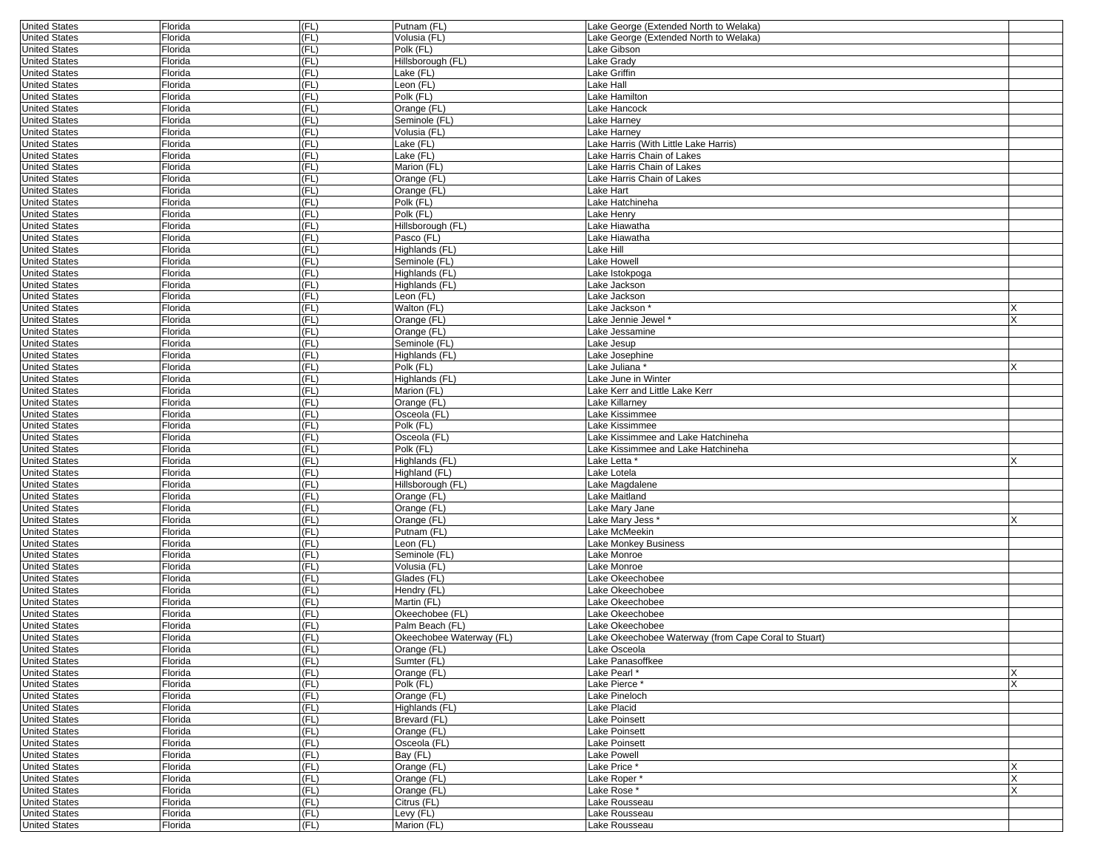| <b>United States</b> | Florida | (FL)   | Putnam (FL)              | Lake George (Extended North to Welaka)               |    |
|----------------------|---------|--------|--------------------------|------------------------------------------------------|----|
| <b>United States</b> | Florida | (FL)   | Volusia (FL)             | Lake George (Extended North to Welaka)               |    |
| <b>United States</b> | Florida | (FL)   | Polk (FL)                | Lake Gibson                                          |    |
| <b>United States</b> | Florida | (FL)   | Hillsborough (FL)        | Lake Grady                                           |    |
| <b>United States</b> | Florida | (FL)   | Lake (FL)                | Lake Griffin                                         |    |
| <b>United States</b> | Florida | (FL)   | _eon (FL)                | Lake Hall                                            |    |
| <b>United States</b> | Florida | (FL)   | Polk (FL)                | Lake Hamilton                                        |    |
| <b>United States</b> | Florida | (FL)   | Orange (FL)              | Lake Hancock                                         |    |
| <b>United States</b> | Florida | (FL)   | Seminole (FL)            | Lake Harney                                          |    |
| <b>United States</b> | Florida | (FL)   | Volusia (FL)             | Lake Harney                                          |    |
| <b>United States</b> | Florida | (FL)   | Lake (FL)                | Lake Harris (With Little Lake Harris)                |    |
| <b>United States</b> | Florida | (FL)   | Lake (FL)                | Lake Harris Chain of Lakes                           |    |
| <b>United States</b> | Florida | (FL)   | Marion (FL)              | Lake Harris Chain of Lakes                           |    |
| <b>United States</b> | Florida | (FL)   | Orange (FL)              | Lake Harris Chain of Lakes                           |    |
| <b>United States</b> | Florida | (FL)   | Orange (FL)              | Lake Hart                                            |    |
| <b>United States</b> | Florida | (FL)   | Polk (FL)                | Lake Hatchineha                                      |    |
| <b>United States</b> | Florida | (FL)   | Polk (FL)                | Lake Henry                                           |    |
| <b>United States</b> | Florida | (FL)   | Hillsborough (FL)        | Lake Hiawatha                                        |    |
| <b>United States</b> | Florida | (FL)   | Pasco (FL)               | Lake Hiawatha                                        |    |
| <b>United States</b> | Florida | (FL)   | Highlands (FL)           | Lake Hill                                            |    |
| <b>United States</b> | Florida | (FL)   | Seminole (FL)            | Lake Howell                                          |    |
| <b>United States</b> | Florida | (FL)   | Highlands (FL)           | Lake Istokpoga                                       |    |
| <b>United States</b> | Florida | (FL)   | Highlands (FL)           | Lake Jackson                                         |    |
| <b>United States</b> | Florida | (FL)   | Leon (FL)                | Lake Jackson                                         |    |
| <b>United States</b> | Florida | (FL)   | Walton (FL)              | Lake Jackson <sup>.</sup>                            |    |
| <b>United States</b> | Florida | (FL)   | Orange (FL)              | Lake Jennie Jewel*                                   |    |
| <b>United States</b> | Florida | (FL)   | Orange (FL)              | Lake Jessamine                                       |    |
| <b>United States</b> | Florida | (FL)   | Seminole (FL)            | Lake Jesup                                           |    |
| <b>United States</b> | Florida | (FL)   | Highlands (FL)           | Lake Josephine                                       |    |
| <b>United States</b> | Florida | (FL)   | Polk (FL)                | Lake Juliana *                                       |    |
| <b>United States</b> | Florida | (FL)   | Highlands (FL)           | Lake June in Winter                                  |    |
| <b>United States</b> | Florida | (FL)   | Marion (FL)              | Lake Kerr and Little Lake Kerr                       |    |
| <b>United States</b> | Florida | (FL)   | Orange (FL)              | Lake Killarney                                       |    |
| <b>United States</b> | Florida | (FL)   | Osceola (FL)             | Lake Kissimmee                                       |    |
| <b>United States</b> | Florida | (FL)   | Polk (FL)                | Lake Kissimmee                                       |    |
| <b>United States</b> | Florida | (FL)   | Osceola (FL)             | Lake Kissimmee and Lake Hatchineha                   |    |
| <b>United States</b> | Florida | (FL)   | Polk (FL)                | Lake Kissimmee and Lake Hatchineha                   |    |
| <b>United States</b> | Florida | (FL)   | Highlands (FL)           | Lake Letta <sup>*</sup>                              |    |
| <b>United States</b> | Florida | (FL)   | Highland (FL)            | Lake Lotela                                          |    |
| <b>United States</b> | Florida | (FL)   | Hillsborough (FL)        | Lake Magdalene                                       |    |
| <b>United States</b> | Florida | (FL)   | Orange (FL)              | Lake Maitland                                        |    |
| <b>United States</b> | Florida | (FL)   | Orange (FL)              | Lake Mary Jane                                       |    |
| <b>United States</b> | Florida | (FL)   | Orange (FL)              | Lake Mary Jess                                       |    |
| <b>United States</b> | Florida | (FL)   | Putnam (FL)              | Lake McMeekin                                        |    |
| <b>United States</b> | Florida | (FL)   | Leon (FL)                | Lake Monkey Business                                 |    |
| <b>United States</b> | Florida | (FL)   | Seminole (FL)            | Lake Monroe                                          |    |
| <b>United States</b> | Florida | (FL)   | Volusia (FL)             | Lake Monroe                                          |    |
| <b>United States</b> | Florida | (FL)   | Glades (FL)              | Lake Okeechobee                                      |    |
| <b>United States</b> | Florida | (FL)   | Hendry (FL)              | Lake Okeechobee                                      |    |
| <b>United States</b> | Florida | (FL)   | Martin (FL)              | Lake Okeechobee                                      |    |
| <b>United States</b> | Florida | (FL)   | Okeechobee (FL)          | Lake Okeechobee                                      |    |
| <b>United States</b> | Florida | (FL)   | Palm Beach (FL)          | Lake Okeechobee                                      |    |
| <b>United States</b> | Florida | (FL)   | Okeechobee Waterway (FL) | Lake Okeechobee Waterway (from Cape Coral to Stuart) |    |
| <b>United States</b> | Florida | I (FL) | Urange (FL)              | Lake Osceola                                         |    |
| <b>United States</b> | Florida | (FL)   | Sumter (FL)              | Lake Panasoffkee                                     |    |
| <b>United States</b> | Florida | (FL)   | Orange (FL)              | Lake Pearl*                                          |    |
| <b>United States</b> | Florida | (FL)   | Polk (FL)                | Lake Pierce *                                        | ΙX |
| <b>United States</b> | Florida | (FL)   | Orange (FL)              | Lake Pineloch                                        |    |
| <b>United States</b> | Florida | (FL)   | Highlands (FL)           | Lake Placid                                          |    |
| <b>United States</b> | Florida | (FL)   | Brevard (FL)             | <b>Lake Poinsett</b>                                 |    |
| <b>United States</b> | Florida | (FL)   | Orange (FL)              | <b>Lake Poinsett</b>                                 |    |
| <b>United States</b> | Florida | (FL)   | Osceola (FL)             | Lake Poinsett                                        |    |
| <b>United States</b> | Florida | (FL)   | Bay (FL)                 | Lake Powell                                          |    |
| <b>United States</b> | Florida | (FL)   | Orange (FL)              | Lake Price *                                         |    |
| <b>United States</b> | Florida | (FL)   | Orange (FL)              | Lake Roper*                                          | X  |
| <b>United States</b> | Florida | (FL)   | Orange (FL)              | Lake Rose*                                           |    |
| <b>United States</b> | Florida | (FL)   | Citrus (FL)              | Lake Rousseau                                        |    |
| <b>United States</b> | Florida | (FL)   | Levy (FL)                | Lake Rousseau                                        |    |
| <b>United States</b> | Florida | (FL)   | Marion (FL)              | Lake Rousseau                                        |    |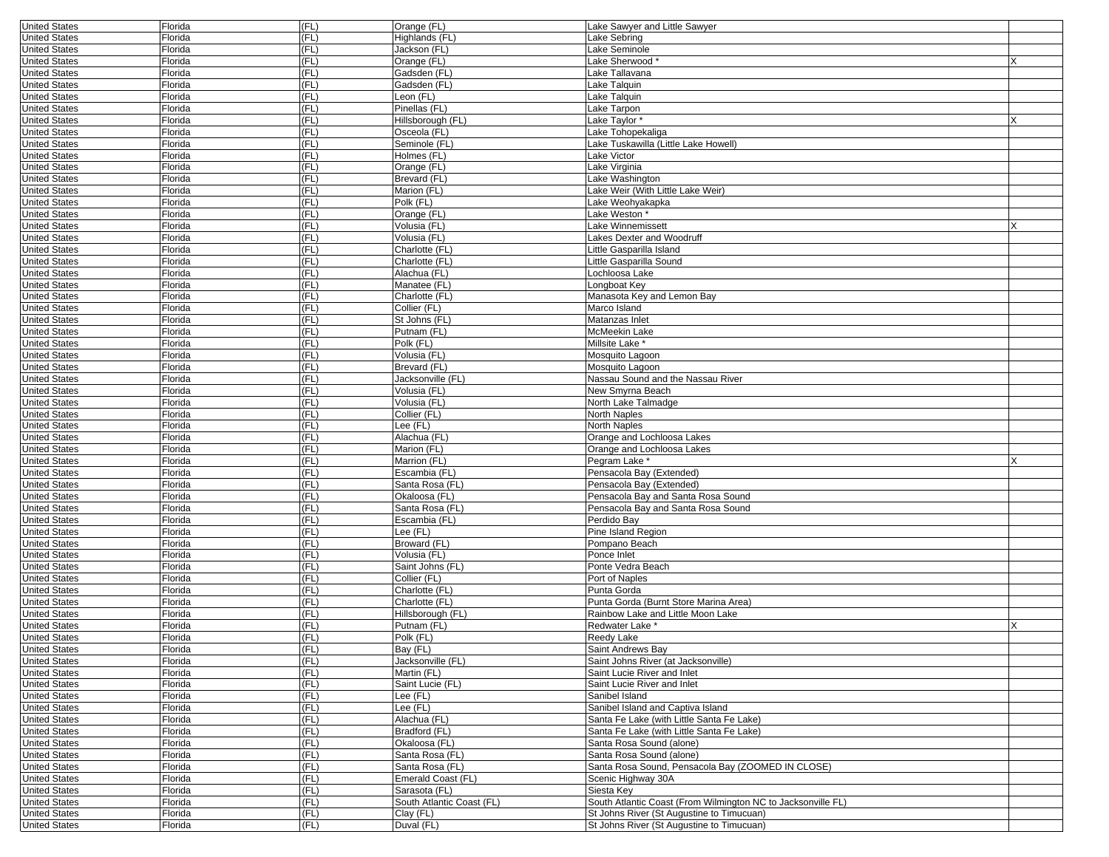| <b>United States</b> | Florida        | (FL) | Orange (FL)               | Lake Sawyer and Little Sawyer                                |   |
|----------------------|----------------|------|---------------------------|--------------------------------------------------------------|---|
| <b>United States</b> | Florida        | (FL) | Highlands (FL)            | Lake Sebring                                                 |   |
| <b>United States</b> | Florida        | (FL) | Jackson (FL)              | Lake Seminole                                                |   |
| <b>United States</b> | Florida        | (FL) | Orange (FL)               | Lake Sherwood*                                               |   |
| <b>United States</b> | Florida        | (FL) | Gadsden (FL)              | Lake Tallavana                                               |   |
| <b>United States</b> | Florida        | (FL) | Gadsden (FL)              | Lake Talquin                                                 |   |
| <b>United States</b> | Florida        | (FL) | Leon (FL)                 | Lake Talquin                                                 |   |
| <b>United States</b> | Florida        | (FL) | Pinellas (FL)             | Lake Tarpon                                                  |   |
| <b>United States</b> | Florida        | (FL) | Hillsborough (FL)         | Lake Taylor *                                                |   |
| <b>United States</b> | Florida        | (FL) | Osceola (FL)              | Lake Tohopekaliga                                            |   |
| <b>United States</b> | Florida        | (FL) | Seminole (FL)             | Lake Tuskawilla (Little Lake Howell)                         |   |
| <b>United States</b> | Florida        | (FL) | Holmes (FL)               | Lake Victor                                                  |   |
| <b>United States</b> | Florida        | (FL) | Orange (FL)               | Lake Virginia                                                |   |
| <b>United States</b> | Florida        | (FL) | Brevard (FL)              | Lake Washington                                              |   |
| <b>United States</b> | Florida        | (FL) | Marion (FL)               | Lake Weir (With Little Lake Weir)                            |   |
| <b>United States</b> | Florida        | (FL) | Polk (FL)                 | Lake Weohyakapka                                             |   |
| <b>United States</b> | Florida        | (FL) | Orange (FL)               | Lake Weston *                                                |   |
| <b>United States</b> | Florida        | (FL) | Volusia (FL)              | Lake Winnemissett                                            | X |
| <b>United States</b> | Florida        | (FL) | Volusia (FL)              | Lakes Dexter and Woodruff                                    |   |
| <b>United States</b> | Florida        | (FL) | Charlotte (FL)            | Little Gasparilla Island                                     |   |
| <b>United States</b> | Florida        | (FL) | Charlotte (FL)            | Little Gasparilla Sound                                      |   |
| <b>United States</b> | Florida        | (FL) | Alachua (FL)              | Lochloosa Lake                                               |   |
| <b>United States</b> | Florida        | (FL) | Manatee (FL)              | Longboat Key                                                 |   |
| <b>United States</b> | Florida        | (FL) | Charlotte (FL)            | Manasota Key and Lemon Bay                                   |   |
| <b>United States</b> | Florida        | (FL) | Collier (FL)              | Marco Island                                                 |   |
| <b>United States</b> | Florida        | (FL) | St Johns (FL)             | Matanzas Inlet                                               |   |
| <b>United States</b> | Florida        | (FL) | Putnam (FL)               | McMeekin Lake                                                |   |
| <b>United States</b> | Florida        | (FL) | Polk (FL)                 | Millsite Lake *                                              |   |
| <b>United States</b> | Florida        | (FL) | Volusia (FL)              | Mosquito Lagoon                                              |   |
| <b>United States</b> | Florida        | (FL) | Brevard (FL)              | Mosquito Lagoon                                              |   |
| <b>United States</b> | Florida        | (FL) | Jacksonville (FL)         | Nassau Sound and the Nassau River                            |   |
| <b>United States</b> | Florida        | (FL) | Volusia (FL)              | New Smyrna Beach                                             |   |
| <b>United States</b> | Florida        | (FL) | Volusia (FL)              | North Lake Talmadge                                          |   |
| <b>United States</b> | Florida        | (FL) | Collier (FL)              | North Naples                                                 |   |
| <b>United States</b> | Florida        | (FL) | Lee (FL)                  | North Naples                                                 |   |
| <b>United States</b> | Florida        | (FL) | Alachua (FL)              | Orange and Lochloosa Lakes                                   |   |
| <b>United States</b> | Florida        | (FL) | Marion (FL)               | Orange and Lochloosa Lakes                                   |   |
| <b>United States</b> | Florida        | (FL) | Marrion (FL)              | Pegram Lake *                                                | X |
| <b>United States</b> | Florida        | (FL) | Escambia (FL)             | Pensacola Bay (Extended)                                     |   |
| <b>United States</b> | Florida        | (FL) | Santa Rosa (FL)           | Pensacola Bay (Extended)                                     |   |
| <b>United States</b> | Florida        | (FL) | Okaloosa (FL)             | Pensacola Bay and Santa Rosa Sound                           |   |
| <b>United States</b> | Florida        | (FL) | Santa Rosa (FL)           | Pensacola Bay and Santa Rosa Sound                           |   |
| <b>United States</b> | Florida        | (FL) | Escambia (FL)             | Perdido Bay                                                  |   |
| <b>United States</b> | Florida        | (FL) | Lee (FL)                  | Pine Island Region                                           |   |
| <b>United States</b> | Florida        | (FL) | Broward (FL)              | Pompano Beach                                                |   |
| <b>United States</b> | Florida        | (FL) | Volusia (FL)              | Ponce Inlet                                                  |   |
| <b>United States</b> | Florida        | (FL) | Saint Johns (FL)          | Ponte Vedra Beach                                            |   |
| <b>United States</b> | Florida        | (FL) | Collier (FL)              | Port of Naples                                               |   |
| <b>United States</b> | Florida        | (FL) | Charlotte (FL)            | Punta Gorda                                                  |   |
| <b>United States</b> | Florida        | (FL) | Charlotte (FL)            | Punta Gorda (Burnt Store Marina Area)                        |   |
| <b>United States</b> | Florida        | (FL) | Hillsborough (FL)         | Rainbow Lake and Little Moon Lake                            |   |
| <b>United States</b> | Florida        | (FL) | Putnam (FL)               | Redwater Lake *                                              | X |
| <b>United States</b> | Florida        | (FL) | Polk (FL)                 | Reedy Lake                                                   |   |
| United States        | <b>Florida</b> | (FL) | Bay (FL)                  | Saint Andrews Bay                                            |   |
| <b>United States</b> | Florida        | (FL) | Jacksonville (FL)         | Saint Johns River (at Jacksonville)                          |   |
| <b>United States</b> | Florida        | (FL) | Martin (FL)               | Saint Lucie River and Inlet                                  |   |
| <b>United States</b> | Florida        | (FL) | Saint Lucie (FL)          | Saint Lucie River and Inlet                                  |   |
| <b>United States</b> | Florida        | (FL) | Lee (FL)                  | Sanibel Island                                               |   |
| <b>United States</b> | Florida        | (FL) | Lee (FL)                  | Sanibel Island and Captiva Island                            |   |
| <b>United States</b> | Florida        | (FL) | Alachua (FL)              | Santa Fe Lake (with Little Santa Fe Lake)                    |   |
| <b>United States</b> | Florida        | (FL) | Bradford (FL)             | Santa Fe Lake (with Little Santa Fe Lake)                    |   |
| <b>United States</b> | Florida        | (FL) | Okaloosa (FL)             | Santa Rosa Sound (alone)                                     |   |
| <b>United States</b> | Florida        | (FL) | Santa Rosa (FL)           | Santa Rosa Sound (alone)                                     |   |
| <b>United States</b> | Florida        | (FL) | Santa Rosa (FL)           | Santa Rosa Sound, Pensacola Bay (ZOOMED IN CLOSE)            |   |
| <b>United States</b> | Florida        | (FL) | Emerald Coast (FL)        | Scenic Highway 30A                                           |   |
| <b>United States</b> | Florida        | (FL) | Sarasota (FL)             | Siesta Key                                                   |   |
| <b>United States</b> | Florida        | (FL) | South Atlantic Coast (FL) | South Atlantic Coast (From Wilmington NC to Jacksonville FL) |   |
| <b>United States</b> | Florida        | (FL) | Clay (FL)                 | St Johns River (St Augustine to Timucuan)                    |   |
| <b>United States</b> | Florida        | (FL) | Duval (FL)                | St Johns River (St Augustine to Timucuan)                    |   |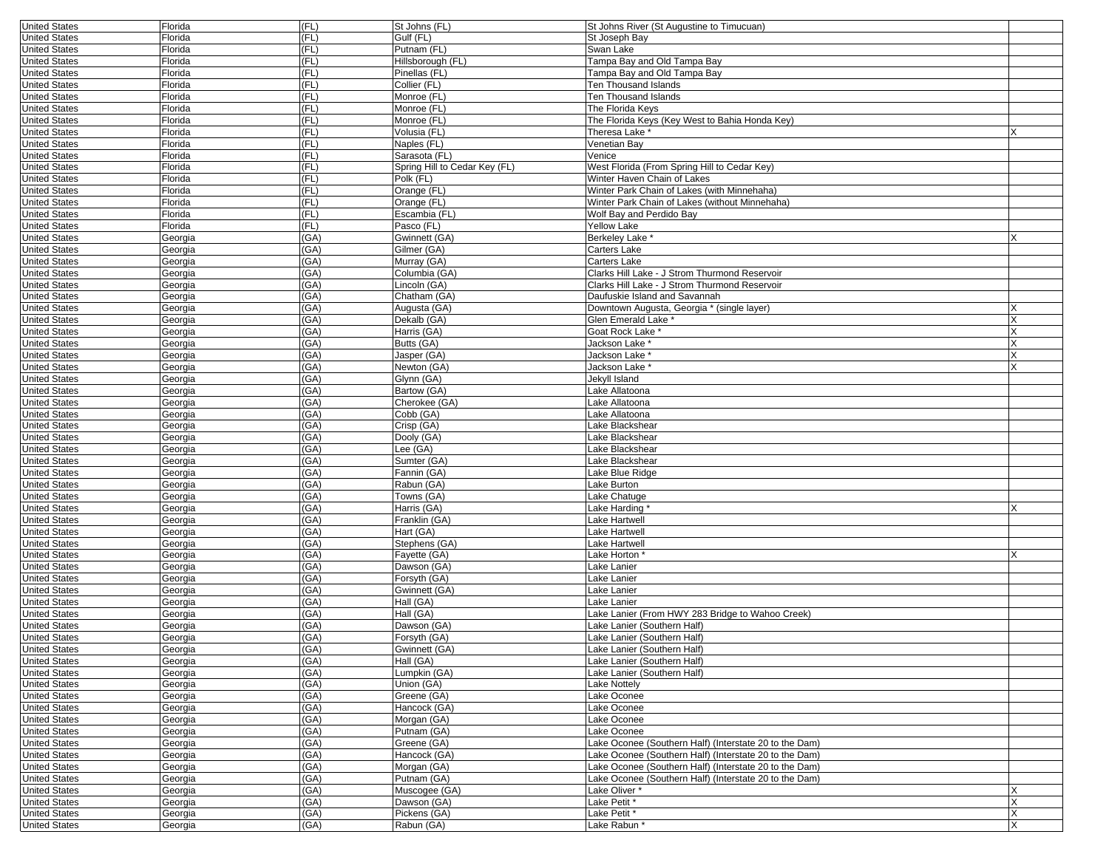| <b>United States</b> | Florida | (FL) | St Johns (FL)                 | St Johns River (St Augustine to Timucuan)              |          |
|----------------------|---------|------|-------------------------------|--------------------------------------------------------|----------|
| <b>United States</b> | Florida | (FL) | Gulf (FL)                     | St Joseph Bay                                          |          |
| <b>United States</b> | Florida | (FL) | Putnam (FL)                   | Swan Lake                                              |          |
| <b>United States</b> | Florida | (FL) | Hillsborough (FL)             | Tampa Bay and Old Tampa Bay                            |          |
| <b>United States</b> | Florida | (FL) | Pinellas (FL)                 | Tampa Bay and Old Tampa Bay                            |          |
| <b>United States</b> | Florida | (FL) | Collier (FL)                  | Ten Thousand Islands                                   |          |
| <b>United States</b> | Florida | (FL) | Monroe (FL)                   | Ten Thousand Islands                                   |          |
| <b>United States</b> | Florida | (FL) | Monroe (FL)                   | The Florida Keys                                       |          |
| <b>United States</b> | Florida | (FL) | Monroe (FL)                   | The Florida Keys (Key West to Bahia Honda Key)         |          |
| <b>United States</b> | Florida | (FL) | Volusia (FL)                  | Theresa Lake *                                         |          |
| <b>United States</b> | Florida | (FL) | Naples (FL)                   | Venetian Bay                                           |          |
| <b>United States</b> | Florida | (FL) | Sarasota (FL)                 | Venice                                                 |          |
| <b>United States</b> | Florida | (FL) | Spring Hill to Cedar Key (FL) | West Florida (From Spring Hill to Cedar Key)           |          |
| <b>United States</b> | Florida | (FL) | Polk (FL)                     | Winter Haven Chain of Lakes                            |          |
| <b>United States</b> | Florida | (FL) | Orange (FL)                   | Winter Park Chain of Lakes (with Minnehaha)            |          |
| <b>United States</b> | Florida | (FL) | Orange (FL)                   | Winter Park Chain of Lakes (without Minnehaha)         |          |
| <b>United States</b> | Florida | (FL) | Escambia (FL)                 | Wolf Bay and Perdido Bay                               |          |
| <b>United States</b> | Florida | (FL) | Pasco (FL)                    | <b>Yellow Lake</b>                                     |          |
| <b>United States</b> | Georgia | (GA) | Gwinnett (GA)                 | Berkeley Lake *                                        |          |
| <b>United States</b> | Georgia | (GA) | Gilmer (GA)                   | Carters Lake                                           |          |
| <b>United States</b> | Georgia | (GA) | Murray (GA)                   | Carters Lake                                           |          |
|                      |         | (GA) |                               | Clarks Hill Lake - J Strom Thurmond Reservoir          |          |
| <b>United States</b> | Georgia |      | Columbia (GA)                 |                                                        |          |
| <b>United States</b> | Georgia | (GA) | Lincoln (GA)                  | Clarks Hill Lake - J Strom Thurmond Reservoir          |          |
| <b>United States</b> | Georgia | (GA) | Chatham (GA)                  | Daufuskie Island and Savannah                          |          |
| <b>United States</b> | Georgia | (GA) | Augusta (GA)                  | Downtown Augusta, Georgia * (single layer)             |          |
| <b>United States</b> | Georgia | (GA) | Dekalb (GA)                   | Glen Emerald Lake *                                    |          |
| <b>United States</b> | Georgia | (GA) | Harris (GA)                   | Goat Rock Lake *                                       | X        |
| <b>United States</b> | Georgia | (GA) | Butts (GA)                    | Jackson Lake <sup>*</sup>                              |          |
| <b>United States</b> | Georgia | (GA) | Jasper (GA)                   | Jackson Lake *                                         |          |
| <b>United States</b> | Georgia | (GA) | Newton (GA)                   | Jackson Lake '                                         |          |
| <b>United States</b> | Georgia | (GA) | Glynn (GA)                    | Jekyll Island                                          |          |
| <b>United States</b> | Georgia | (GA) | Bartow (GA)                   | Lake Allatoona                                         |          |
| <b>United States</b> | Georgia | (GA) | Cherokee (GA)                 | Lake Allatoona                                         |          |
| <b>United States</b> | Georgia | (GA) | Cobb (GA)                     | Lake Allatoona                                         |          |
| <b>United States</b> | Georgia | (GA) | Crisp (GA)                    | Lake Blackshear                                        |          |
| <b>United States</b> | Georgia | (GA) | Dooly (GA)                    | Lake Blackshear                                        |          |
| <b>United States</b> | Georgia | (GA) | Lee (GA)                      | Lake Blackshear                                        |          |
| <b>United States</b> | Georgia | (GA) | Sumter (GA)                   | Lake Blackshear                                        |          |
| <b>United States</b> | Georgia | (GA) | Fannin (GA)                   | Lake Blue Ridge                                        |          |
| <b>United States</b> | Georgia | (GA) | Rabun (GA)                    | Lake Burton                                            |          |
| <b>United States</b> | Georgia | (GA) | Towns (GA)                    | Lake Chatuge                                           |          |
| <b>United States</b> | Georgia | (GA) | Harris (GA)                   | Lake Harding                                           | <b>X</b> |
| <b>United States</b> | Georgia | (GA) | Franklin (GA)                 | Lake Hartwell                                          |          |
| <b>United States</b> | Georgia | (GA) | Hart (GA)                     | Lake Hartwell                                          |          |
| <b>United States</b> | Georgia | (GA) | Stephens (GA)                 | Lake Hartwell                                          |          |
| <b>United States</b> | Georgia | (GA) | Fayette (GA)                  | Lake Horton *                                          |          |
| <b>United States</b> | Georgia | (GA) | Dawson (GA)                   | Lake Lanier                                            |          |
| <b>United States</b> | Georgia | (GA) | Forsyth (GA)                  | Lake Lanier                                            |          |
| <b>United States</b> | Georgia | (GA) | Gwinnett (GA)                 | Lake Lanier                                            |          |
| <b>United States</b> | Georgia | (GA) | Hall (GA)                     | Lake Lanier                                            |          |
| <b>United States</b> | Georgia | (GA) | Hall (GA)                     | Lake Lanier (From HWY 283 Bridge to Wahoo Creek)       |          |
| <b>United States</b> | Georgia | (GA) | Dawson (GA)                   | Lake Lanier (Southern Half)                            |          |
| <b>United States</b> | Georgia | (GA) | Forsyth (GA)                  | Lake Lanier (Southern Half)                            |          |
| <b>United States</b> | eorgia  | (GA) | Gwinnett (GA)                 | Lake Lanier (Southern Half)                            |          |
| <b>United States</b> | Georgia | (GA) | Hall (GA)                     | Lake Lanier (Southern Half)                            |          |
| <b>United States</b> | Georgia | (GA) | Lumpkin (GA)                  | Lake Lanier (Southern Half)                            |          |
| <b>United States</b> | Georgia | (GA) | Union (GA)                    | Lake Nottely                                           |          |
| <b>United States</b> | Georgia | (GA) | Greene (GA)                   | Lake Oconee                                            |          |
| <b>United States</b> | Georgia | (GA) | Hancock (GA)                  | Lake Oconee                                            |          |
| <b>United States</b> | Georgia | (GA) | Morgan (GA)                   | Lake Oconee                                            |          |
| <b>United States</b> | Georgia | (GA) | Putnam (GA)                   | Lake Oconee                                            |          |
| <b>United States</b> | Georgia | (GA) | Greene (GA)                   | Lake Oconee (Southern Half) (Interstate 20 to the Dam) |          |
| <b>United States</b> | Georgia | (GA) | Hancock (GA)                  | Lake Oconee (Southern Half) (Interstate 20 to the Dam) |          |
| <b>United States</b> | Georgia | (GA) | Morgan (GA)                   | Lake Oconee (Southern Half) (Interstate 20 to the Dam) |          |
| <b>United States</b> | Georgia | (GA) | Putnam (GA)                   | Lake Oconee (Southern Half) (Interstate 20 to the Dam) |          |
| <b>United States</b> | Georgia | (GA) | Muscogee (GA)                 | Lake Oliver *                                          | X        |
| <b>United States</b> | Georgia | (GA) | Dawson (GA)                   | Lake Petit*                                            | X        |
| <b>United States</b> | Georgia | (GA) | Pickens (GA)                  | Lake Petit *                                           |          |
| <b>United States</b> | Georgia | (GA) | Rabun (GA)                    | Lake Rabun*                                            |          |
|                      |         |      |                               |                                                        |          |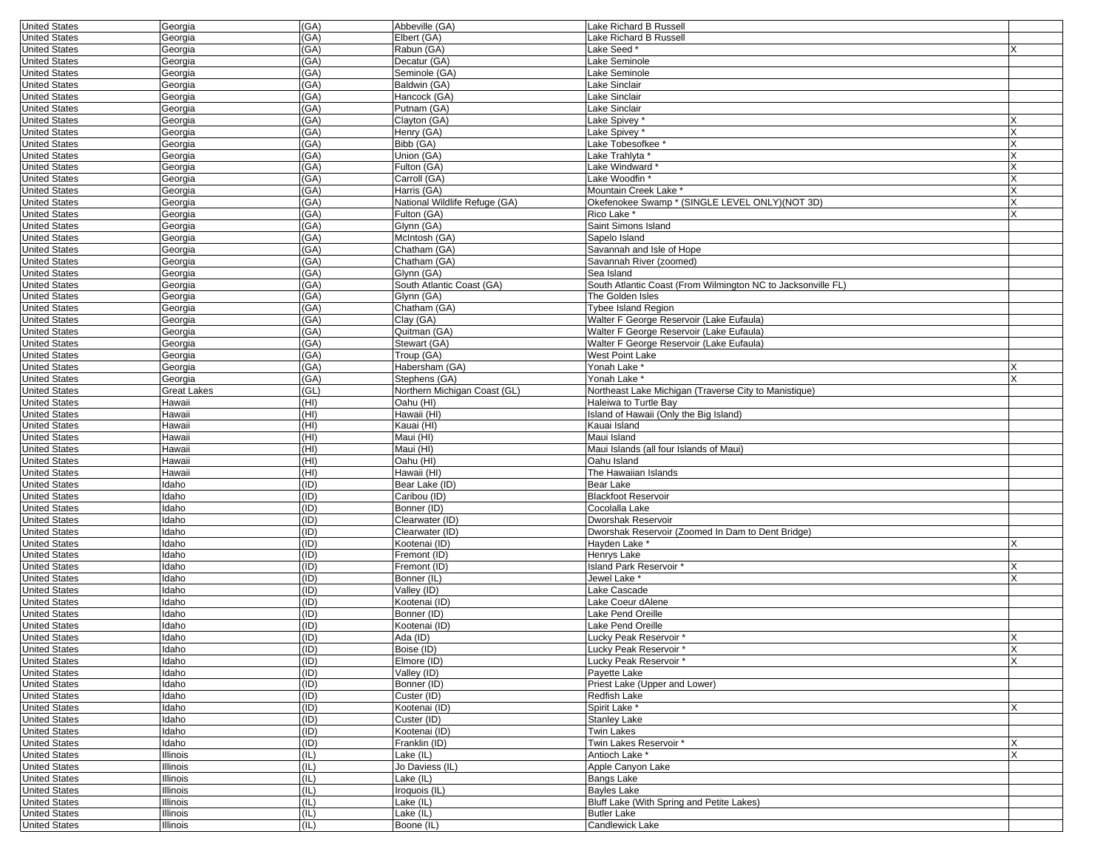| <b>United States</b>                         | Georgia              | (GA)         | Abbeville (GA)                | Lake Richard B Russell                                       |     |
|----------------------------------------------|----------------------|--------------|-------------------------------|--------------------------------------------------------------|-----|
| <b>United States</b>                         | Georgia              | (GA)         | Elbert (GA)                   | Lake Richard B Russell                                       |     |
| <b>United States</b>                         | Georgia              | (GA)         | Rabun (GA)                    | Lake Seed *                                                  |     |
| <b>United States</b>                         | Georgia              | (GA)         | Decatur (GA)                  | Lake Seminole                                                |     |
| <b>United States</b>                         | Georgia              | (GA)         | Seminole (GA)                 | Lake Seminole                                                |     |
| <b>United States</b>                         | Georgia              | (GA)         | Baldwin (GA)                  | Lake Sinclair                                                |     |
| <b>United States</b>                         | Georgia              | (GA)         | Hancock (GA)                  | Lake Sinclair                                                |     |
| <b>United States</b>                         | Georgia              | (GA)         | Putnam (GA)                   | Lake Sinclair                                                |     |
| <b>United States</b>                         | Georgia              | (GA)         | Clayton (GA)                  | Lake Spivey *                                                |     |
| <b>United States</b>                         | Georgia              | (GA)         | Henry (GA)                    | Lake Spivey *                                                |     |
| <b>United States</b>                         | Georgia              | (GA)         | Bibb (GA)                     | Lake Tobesofkee *                                            |     |
| <b>United States</b>                         | Georgia              | (GA)         | Union (GA)                    | Lake Trahlyta *                                              |     |
| <b>United States</b>                         | Georgia              | (GA)         | Fulton (GA)                   | Lake Windward*                                               |     |
| <b>United States</b>                         | Georgia              | (GA)         | Carroll (GA)                  | Lake Woodfin *                                               |     |
| <b>United States</b>                         | Georgia              | (GA)         | Harris (GA)                   | Mountain Creek Lake *                                        |     |
| <b>United States</b>                         | Georgia              | (GA)         | National Wildlife Refuge (GA) | Okefenokee Swamp * (SINGLE LEVEL ONLY)(NOT 3D)               | X   |
| <b>United States</b>                         | Georgia              | (GA)         | Fulton (GA)                   | Rico Lake *                                                  |     |
| <b>United States</b>                         | Georgia              | (GA)         | Glynn (GA)                    | Saint Simons Island                                          |     |
| <b>United States</b>                         | Georgia              | (GA)         | McIntosh (GA)                 | Sapelo Island                                                |     |
| <b>United States</b>                         | Georgia              | (GA)         | Chatham (GA)                  | Savannah and Isle of Hope                                    |     |
| <b>United States</b>                         | Georgia              | (GA)         | Chatham (GA)                  | Savannah River (zoomed)                                      |     |
| <b>United States</b>                         | Georgia              | (GA)         | Glynn (GA)                    | Sea Island                                                   |     |
| <b>United States</b>                         | Georgia              | (GA)         | South Atlantic Coast (GA)     | South Atlantic Coast (From Wilmington NC to Jacksonville FL) |     |
| <b>United States</b>                         | Georgia              | (GA)         | Glynn (GA)                    | The Golden Isles                                             |     |
| <b>United States</b>                         | Georgia              | (GA)         | Chatham (GA)                  | Tybee Island Region                                          |     |
| <b>United States</b>                         | Georgia              | (GA)         | Clay (GA)                     | Walter F George Reservoir (Lake Eufaula)                     |     |
| <b>United States</b>                         | Georgia              | (GA)         | Quitman (GA)                  | Walter F George Reservoir (Lake Eufaula)                     |     |
| <b>United States</b>                         | Georgia              | (GA)         | Stewart (GA)                  | Walter F George Reservoir (Lake Eufaula)                     |     |
| <b>United States</b>                         | Georgia              | (GA)         | Troup (GA)                    | West Point Lake                                              |     |
| <b>United States</b>                         | Georgia              | (GA)         | Habersham (GA)                | Yonah Lake <sup>*</sup>                                      |     |
| <b>United States</b>                         | Georgia              | (GA)         | Stephens (GA)                 | Yonah Lake <sup>*</sup>                                      | X   |
| <b>United States</b>                         | Great Lakes          | (GL)         | Northern Michigan Coast (GL)  | Northeast Lake Michigan (Traverse City to Manistique)        |     |
| <b>United States</b>                         | Hawaii               | (HI)         | Oahu (HI)                     | Haleiwa to Turtle Bay                                        |     |
| <b>United States</b>                         | Hawaii               | (HI)         | Hawaii (HI)                   | Island of Hawaii (Only the Big Island)                       |     |
| <b>United States</b>                         | Hawaii               | (HI)         | Kauai (HI)                    | Kauai Island                                                 |     |
|                                              |                      |              |                               |                                                              |     |
| <b>United States</b>                         | Hawaii               | (HI)         | Maui (HI)                     | Maui Island                                                  |     |
| <b>United States</b>                         | Hawaii               | (HI)         | Maui (HI)                     | Maui Islands (all four Islands of Maui)                      |     |
| <b>United States</b>                         | Hawaii               | (HI)         | Oahu (HI)                     | Oahu Island                                                  |     |
| <b>United States</b>                         | Hawaii               | (HI)         | Hawaii (HI)                   | The Hawaiian Islands                                         |     |
| <b>United States</b>                         | Idaho                | (ID)         | Bear Lake (ID)                | Bear Lake                                                    |     |
| <b>United States</b>                         | Idaho                | (ID)         | Caribou (ID)                  | <b>Blackfoot Reservoir</b>                                   |     |
| <b>United States</b>                         | ldaho                | (ID)         | Bonner (ID)                   | Cocolalla Lake                                               |     |
| <b>United States</b>                         | Idaho                | (ID)         | Clearwater (ID)               | Dworshak Reservoir                                           |     |
| <b>United States</b>                         | Idaho                | (ID)         | Clearwater (ID)               | Dworshak Reservoir (Zoomed In Dam to Dent Bridge)            |     |
| <b>United States</b>                         | Idaho                | (ID)         | Kootenai (ID)                 | Hayden Lake '                                                |     |
| <b>United States</b>                         | Idaho                | (ID)         | Fremont (ID)                  | Henrys Lake                                                  |     |
| <b>United States</b>                         | ldaho                | (ID)         | Fremont (ID)                  | Island Park Reservoir *                                      | x   |
| <b>United States</b>                         | Idaho                | (ID)         | Bonner (IL)                   | Jewel Lake *                                                 |     |
| <b>United States</b>                         | Idaho                | (ID)         | Valley (ID)                   | Lake Cascade                                                 |     |
| <b>United States</b>                         | Idaho                | (ID)         | Kootenai (ID)                 | Lake Coeur dAlene                                            |     |
| <b>United States</b>                         | ldaho                | (ID)         | Bonner (ID)                   | Lake Pend Oreille                                            |     |
| <b>United States</b>                         | ldaho                | (ID)         | Kootenai (ID)                 | Lake Pend Oreille                                            |     |
| <b>United States</b>                         | ldaho                | (ID)         | Ada (ID)                      | Lucky Peak Reservoir *                                       | X   |
| United States                                | ldaho                | (ID)         | BOISE (ID)                    | Lucky Peak Reservoir                                         | ΙX. |
| <b>United States</b>                         | Idaho                | (ID)         | Elmore (ID)                   | Lucky Peak Reservoir*                                        | X   |
| <b>United States</b>                         | Idaho                | (ID)         | Valley (ID)                   | Payette Lake                                                 |     |
| <b>United States</b>                         | Idaho                | (ID)         | Bonner (ID)                   | Priest Lake (Upper and Lower)                                |     |
| <b>United States</b>                         | Idaho                | (ID)         | Custer (ID)                   | Redfish Lake                                                 |     |
| <b>United States</b>                         | ldaho                | (ID)         | Kootenai (ID)                 | Spirit Lake *                                                | X   |
| <b>United States</b>                         | ldaho                | (ID)         | Custer (ID)                   | Stanley Lake                                                 |     |
| <b>United States</b>                         | Idaho                | (ID)         | Kootenai (ID)                 | Twin Lakes                                                   |     |
| <b>United States</b>                         | Idaho                | (ID)         | Franklin (ID)                 | Twin Lakes Reservoir *                                       | Χ   |
| <b>United States</b>                         | Illinois             | (IL)         | Lake (IL)                     | Antioch Lake *                                               | X   |
| <b>United States</b>                         | Illinois             | (IL)         | Jo Daviess (IL)               | Apple Canyon Lake                                            |     |
| <b>United States</b>                         | Illinois             | (IL)         | Lake (IL)                     | Bangs Lake                                                   |     |
| <b>United States</b>                         | Illinois             | (IL)         | Iroquois (IL)                 | Bayles Lake                                                  |     |
| <b>United States</b>                         | Illinois             | (IL)         | Lake (IL)                     | Bluff Lake (With Spring and Petite Lakes)                    |     |
| <b>United States</b><br><b>United States</b> | Illinois<br>Illinois | (IL)<br>(IL) | Lake (IL)<br>Boone (IL)       | <b>Butler Lake</b><br>Candlewick Lake                        |     |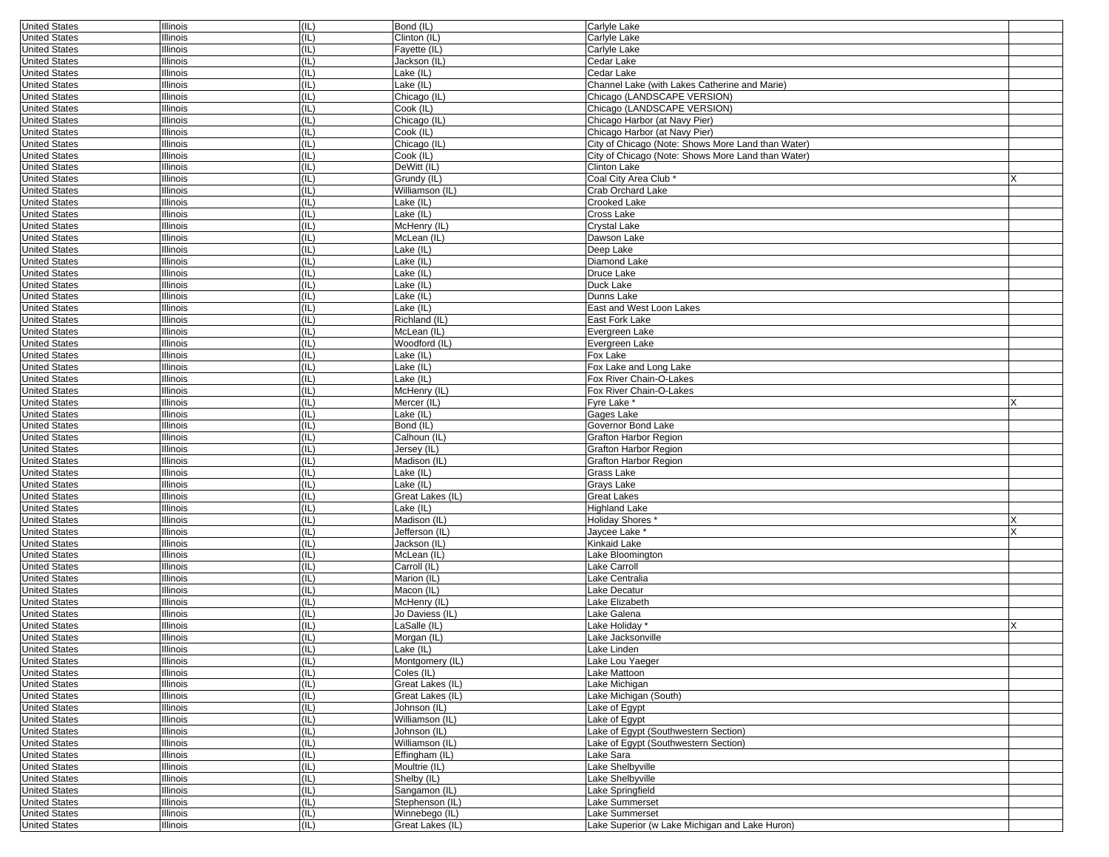| <b>United States</b> | <b>Illinois</b> | (IL) | Bond (IL)        | Carlyle Lake                                       |   |
|----------------------|-----------------|------|------------------|----------------------------------------------------|---|
| <b>United States</b> | Illinois        | (IL) | Clinton (IL)     | Carlyle Lake                                       |   |
| <b>United States</b> | Illinois        | (IL) | Fayette (IL)     | Carlyle Lake                                       |   |
| <b>United States</b> | Illinois        | (IL) | Jackson (IL)     | Cedar Lake                                         |   |
| <b>United States</b> | Illinois        | (IL) | Lake (IL)        | Cedar Lake                                         |   |
| <b>United States</b> | Illinois        | (IL) | Lake (IL)        | Channel Lake (with Lakes Catherine and Marie)      |   |
| <b>United States</b> | Illinois        | (IL) | Chicago (IL)     | Chicago (LANDSCAPE VERSION)                        |   |
| <b>United States</b> | Illinois        | (IL) | Cook (IL)        | Chicago (LANDSCAPE VERSION)                        |   |
|                      |                 |      |                  |                                                    |   |
| <b>United States</b> | Illinois        | (IL) | Chicago (IL)     | Chicago Harbor (at Navy Pier)                      |   |
| <b>United States</b> | Illinois        | (IL) | Cook (IL)        | Chicago Harbor (at Navy Pier)                      |   |
| <b>United States</b> | Illinois        | (IL) | Chicago (IL)     | City of Chicago (Note: Shows More Land than Water) |   |
| <b>United States</b> | Illinois        | (IL) | Cook (IL)        | City of Chicago (Note: Shows More Land than Water) |   |
| <b>United States</b> | Illinois        | (IL) | DeWitt (IL)      | <b>Clinton Lake</b>                                |   |
| <b>United States</b> | Illinois        | (IL) | Grundy (IL)      | Coal City Area Club *                              | x |
| <b>United States</b> | Illinois        | (IL) | Williamson (IL)  | Crab Orchard Lake                                  |   |
| <b>United States</b> | Illinois        | (IL) | Lake (IL)        | Crooked Lake                                       |   |
| <b>United States</b> | Illinois        | (IL) | Lake (IL)        | Cross Lake                                         |   |
|                      |                 |      |                  |                                                    |   |
| <b>United States</b> | Illinois        | (IL) | McHenry (IL)     | Crystal Lake                                       |   |
| <b>United States</b> | Illinois        | (IL) | McLean (IL)      | Dawson Lake                                        |   |
| <b>United States</b> | Illinois        | (IL) | Lake (IL)        | Deep Lake                                          |   |
| <b>United States</b> | Illinois        | (IL) | Lake (IL)        | Diamond Lake                                       |   |
| <b>United States</b> | Illinois        | (IL) | Lake (IL)        | Druce Lake                                         |   |
| <b>United States</b> | Illinois        | (IL) | Lake (IL)        | Duck Lake                                          |   |
| <b>United States</b> | Illinois        | (IL) | Lake (IL)        | Dunns Lake                                         |   |
| <b>United States</b> | Illinois        | (IL) | Lake (IL)        | East and West Loon Lakes                           |   |
| <b>United States</b> | Illinois        | (IL) | Richland (IL)    | East Fork Lake                                     |   |
|                      |                 |      | McLean (IL)      |                                                    |   |
| <b>United States</b> | Illinois        | (IL) |                  | Evergreen Lake                                     |   |
| <b>United States</b> | Illinois        | (IL) | Woodford (IL)    | Evergreen Lake                                     |   |
| <b>United States</b> | Illinois        | (IL) | Lake (IL)        | Fox Lake                                           |   |
| <b>United States</b> | Illinois        | (IL) | Lake (IL)        | Fox Lake and Long Lake                             |   |
| <b>United States</b> | Illinois        | (IL) | Lake (IL)        | Fox River Chain-O-Lakes                            |   |
| <b>United States</b> | Illinois        | (IL) | McHenry (IL)     | Fox River Chain-O-Lakes                            |   |
| <b>United States</b> | Illinois        | (IL) | Mercer (IL)      | $\overline{F}$ vre Lake *                          |   |
| <b>United States</b> | Illinois        | (IL) | Lake (IL)        | Gages Lake                                         |   |
| <b>United States</b> | Illinois        | (IL) | Bond (IL)        | Governor Bond Lake                                 |   |
| <b>United States</b> | Illinois        | (IL) | Calhoun (IL)     | Grafton Harbor Region                              |   |
|                      |                 |      |                  |                                                    |   |
| <b>United States</b> | Illinois        | (IL) | Jersey (IL)      | Grafton Harbor Region                              |   |
| <b>United States</b> | Illinois        | (IL) | Madison (IL)     | Grafton Harbor Region                              |   |
| <b>United States</b> | Illinois        | (IL) | Lake (IL)        | Grass Lake                                         |   |
| <b>United States</b> | Illinois        | (IL) | Lake (IL)        | Grays Lake                                         |   |
| <b>United States</b> | Illinois        | (IL) | Great Lakes (IL) | Great Lakes                                        |   |
| <b>United States</b> | Illinois        | (IL) | Lake (IL)        | <b>Highland Lake</b>                               |   |
| <b>United States</b> | Illinois        | (IL) | Madison (IL)     | Holiday Shores *                                   |   |
| <b>United States</b> | Illinois        | (IL) | Jefferson (IL)   | Jaycee Lake *                                      |   |
| <b>United States</b> | Illinois        | (IL) | Jackson (IL)     | Kinkaid Lake                                       |   |
| <b>United States</b> | Illinois        | (IL) | McLean (IL)      | Lake Bloomington                                   |   |
|                      |                 |      |                  |                                                    |   |
| <b>United States</b> | Illinois        | (IL) | Carroll (IL)     | Lake Carroll                                       |   |
| <b>United States</b> | Illinois        | (IL) | Marion (IL)      | Lake Centralia                                     |   |
| <b>United States</b> | Illinois        | (IL) | Macon (IL)       | Lake Decatur                                       |   |
| <b>United States</b> | Illinois        | (IL) | McHenry (IL)     | Lake Elizabeth                                     |   |
| <b>United States</b> | Illinois        | (IL) | Jo Daviess (IL)  | Lake Galena                                        |   |
| <b>United States</b> | Illinois        | (IL) | LaSalle (IL)     | Lake Holiday                                       |   |
| <b>United States</b> | Illinois        | (IL) | Morgan (IL)      | Lake Jacksonville                                  |   |
| United States        | Illinois        | (IL) | Lake (IL)        | Lake Linden                                        |   |
| <b>United States</b> | Illinois        | (IL) | Montgomery (IL)  | Lake Lou Yaeger                                    |   |
| <b>United States</b> | Illinois        | (IL) | Coles (IL)       | Lake Mattoon                                       |   |
|                      |                 |      |                  |                                                    |   |
| <b>United States</b> | Illinois        | (IL) | Great Lakes (IL) | Lake Michigan                                      |   |
| <b>United States</b> | Illinois        | (IL) | Great Lakes (IL) | Lake Michigan (South)                              |   |
| <b>United States</b> | Illinois        | (IL) | Johnson (IL)     | Lake of Egypt                                      |   |
| <b>United States</b> | Illinois        | (IL) | Williamson (IL)  | Lake of Egypt                                      |   |
| <b>United States</b> | Illinois        | (IL) | Johnson (IL)     | Lake of Egypt (Southwestern Section)               |   |
| <b>United States</b> | Illinois        | (IL) | Williamson (IL)  | Lake of Egypt (Southwestern Section)               |   |
| <b>United States</b> | Illinois        | (IL) | Effingham (IL)   | Lake Sara                                          |   |
| <b>United States</b> | Illinois        | (IL) | $M$ oultrie (IL) | Lake Shelbyville                                   |   |
| <b>United States</b> | Illinois        | (IL) | Shelby (IL)      | Lake Shelbyville                                   |   |
|                      |                 |      |                  |                                                    |   |
| <b>United States</b> | Illinois        | (IL) | Sangamon (IL)    | Lake Springfield                                   |   |
| <b>United States</b> | Illinois        | (IL) | Stephenson (IL)  | Lake Summerset                                     |   |
| <b>United States</b> | Illinois        | (IL) | Winnebego (IL)   | Lake Summerset                                     |   |
| <b>United States</b> | Illinois        | (IL) | Great Lakes (IL) | Lake Superior (w Lake Michigan and Lake Huron)     |   |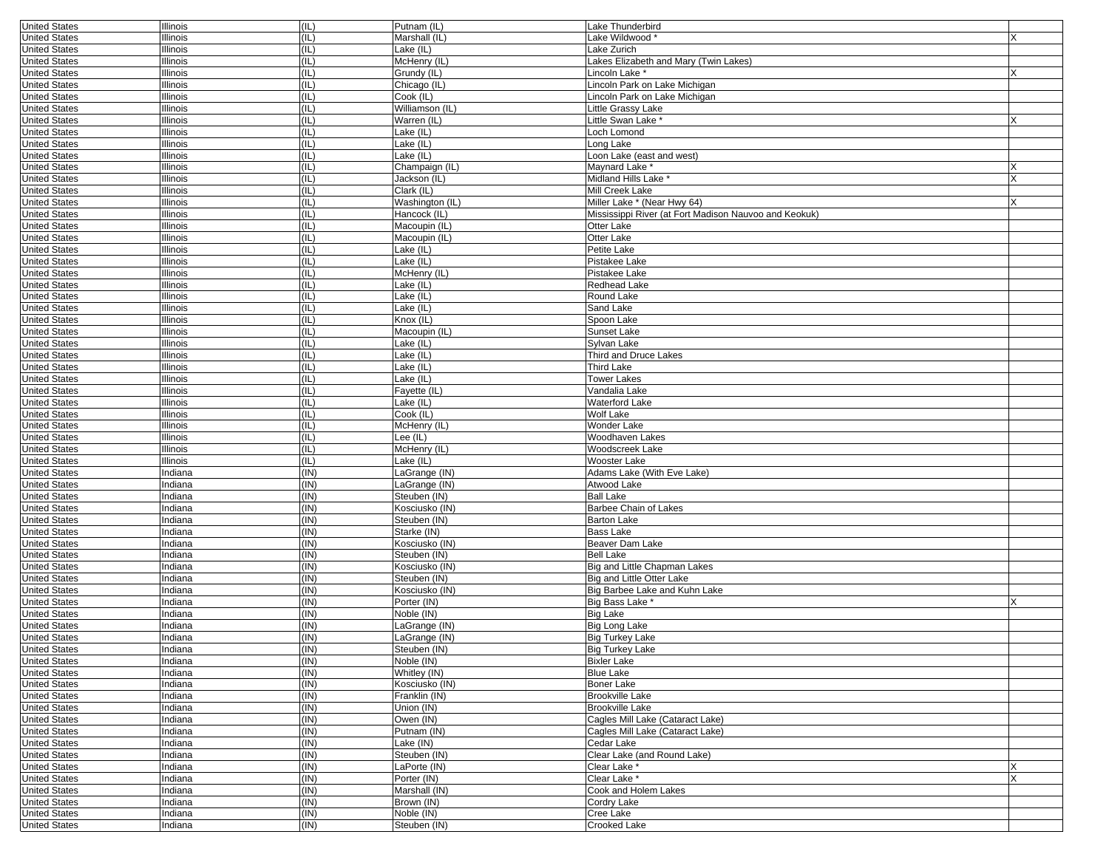| <b>United States</b> | <b>Illinois</b> | (IL) | Putnam (IL)     | Lake Thunderbird                                      |          |
|----------------------|-----------------|------|-----------------|-------------------------------------------------------|----------|
| <b>United States</b> | Illinois        | (IL) | Marshall (IL)   | Lake Wildwood*                                        |          |
| <b>United States</b> | Illinois        | (IL) | Lake (IL)       | Lake Zurich                                           |          |
| <b>United States</b> | Illinois        | (IL) | McHenry (IL)    | Lakes Elizabeth and Mary (Twin Lakes)                 |          |
| <b>United States</b> | Illinois        | (IL) | Grundy (IL)     | Lincoln Lake*                                         |          |
|                      |                 |      |                 |                                                       |          |
| <b>United States</b> | Illinois        | (IL) | Chicago (IL)    | Lincoln Park on Lake Michigan                         |          |
| <b>United States</b> | Illinois        | (IL) | Cook (IL)       | Lincoln Park on Lake Michigan                         |          |
| <b>United States</b> | Illinois        | (IL) | Williamson (IL) | Little Grassy Lake                                    |          |
| <b>United States</b> | Illinois        | (IL) | Warren (IL)     | Little Swan Lake <sup>*</sup>                         |          |
| <b>United States</b> | Illinois        | (IL) | Lake (IL)       | Loch Lomond                                           |          |
|                      |                 | (IL) | Lake (IL)       |                                                       |          |
| <b>United States</b> | Illinois        |      |                 | Long Lake                                             |          |
| <b>United States</b> | Illinois        | (IL) | Lake (IL)       | Loon Lake (east and west)                             |          |
| <b>United States</b> | Illinois        | (IL) | Champaign (IL)  | Maynard Lake *                                        |          |
| <b>United States</b> | Illinois        | (IL) | Jackson (IL)    | Midland Hills Lake *                                  | $\times$ |
| <b>United States</b> | Illinois        | (IL) | Clark (IL)      | Mill Creek Lake                                       |          |
| <b>United States</b> | Illinois        | (IL) | Washington (IL) | Miller Lake * (Near Hwy 64)                           | X        |
|                      |                 |      |                 |                                                       |          |
| <b>United States</b> | Illinois        | (IL) | Hancock (IL)    | Mississippi River (at Fort Madison Nauvoo and Keokuk) |          |
| <b>United States</b> | Illinois        | (IL) | Macoupin (IL)   | Otter Lake                                            |          |
| <b>United States</b> | Illinois        | (IL) | Macoupin (IL)   | Otter Lake                                            |          |
| <b>United States</b> | Illinois        | (IL) | Lake (IL)       | Petite Lake                                           |          |
| <b>United States</b> | Illinois        | (IL) | Lake (IL)       | Pistakee Lake                                         |          |
|                      |                 |      |                 |                                                       |          |
| <b>United States</b> | Illinois        | (IL) | McHenry (IL)    | Pistakee Lake                                         |          |
| <b>United States</b> | Illinois        | (IL) | Lake (IL)       | Redhead Lake                                          |          |
| <b>United States</b> | Illinois        | (IL) | Lake (IL)       | Round Lake                                            |          |
| <b>United States</b> | Illinois        | (IL) | Lake (IL)       | Sand Lake                                             |          |
| <b>United States</b> | Illinois        | (IL) | Knox (IL)       | Spoon Lake                                            |          |
|                      |                 |      |                 |                                                       |          |
| <b>United States</b> | Illinois        | (IL) | Macoupin (IL)   | Sunset Lake                                           |          |
| <b>United States</b> | Illinois        | (IL) | Lake (IL)       | Sylvan Lake                                           |          |
| <b>United States</b> | Illinois        | (IL) | Lake (IL)       | Third and Druce Lakes                                 |          |
| <b>United States</b> | Illinois        | (IL) | Lake (IL)       | Third Lake                                            |          |
| <b>United States</b> | Illinois        | (IL) | Lake (IL)       | <b>Tower Lakes</b>                                    |          |
|                      |                 |      |                 |                                                       |          |
| <b>United States</b> | Illinois        | (IL) | Fayette (IL)    | Vandalia Lake                                         |          |
| <b>United States</b> | Illinois        | (IL) | Lake (IL)       | Waterford Lake                                        |          |
| <b>United States</b> | Illinois        | (IL) | Cook (IL)       | Wolf Lake                                             |          |
| <b>United States</b> | Illinois        | (IL) | McHenry (IL)    | Wonder Lake                                           |          |
| <b>United States</b> | Illinois        | (IL) | Lee (IL)        | Woodhaven Lakes                                       |          |
|                      |                 |      |                 |                                                       |          |
| <b>United States</b> | Illinois        | (IL) | McHenry (IL)    | Woodscreek Lake                                       |          |
| <b>United States</b> | Illinois        | (IL) | Lake (IL)       | Wooster Lake                                          |          |
| <b>United States</b> | Indiana         | (IN) | LaGrange (IN)   | Adams Lake (With Eve Lake)                            |          |
| <b>United States</b> | Indiana         | (IN) | LaGrange (IN)   | Atwood Lake                                           |          |
| <b>United States</b> | Indiana         | (IN) | Steuben (IN)    | <b>Ball Lake</b>                                      |          |
|                      |                 |      |                 |                                                       |          |
| <b>United States</b> | Indiana         | (IN) | Kosciusko (IN)  | <b>Barbee Chain of Lakes</b>                          |          |
| <b>United States</b> | Indiana         | (IN) | Steuben (IN)    | <b>Barton Lake</b>                                    |          |
| <b>United States</b> | ndiana          | (IN) | Starke (IN)     | Bass Lake                                             |          |
| <b>United States</b> | Indiana         | (IN) | Kosciusko (IN)  | Beaver Dam Lake                                       |          |
| <b>United States</b> | Indiana         | (IN) | Steuben (IN)    | <b>Bell Lake</b>                                      |          |
| <b>United States</b> |                 | (IN) |                 |                                                       |          |
|                      | Indiana         |      | Kosciusko (IN)  | Big and Little Chapman Lakes                          |          |
| <b>United States</b> | Indiana         | (IN) | Steuben (IN)    | Big and Little Otter Lake                             |          |
| <b>United States</b> | ndiana          | (IN) | Kosciusko (IN)  | Big Barbee Lake and Kuhn Lake                         |          |
| <b>United States</b> | Indiana         | (IN) | Porter (IN)     | Big Bass Lake *                                       |          |
| <b>United States</b> | Indiana         | (IN) | Noble (IN)      | <b>Big Lake</b>                                       |          |
| <b>United States</b> | Indiana         | (IN) | LaGrange (IN)   | Big Long Lake                                         |          |
|                      |                 |      |                 |                                                       |          |
| <b>United States</b> | Indiana         | (IN) | LaGrange (IN)   | <b>Big Turkey Lake</b>                                |          |
| United States        | Indiana         | (IN) | Steuben (IN)    | Big Turkey Lake                                       |          |
| <b>United States</b> | Indiana         | (IN) | Noble (IN)      | <b>Bixler Lake</b>                                    |          |
| <b>United States</b> | Indiana         | (IN) | Whitley (IN)    | <b>Blue Lake</b>                                      |          |
| <b>United States</b> | Indiana         | (IN) | Kosciusko (IN)  | Boner Lake                                            |          |
|                      |                 |      |                 |                                                       |          |
| <b>United States</b> | Indiana         | (IN) | Franklin (IN)   | Brookville Lake                                       |          |
| <b>United States</b> | Indiana         | (IN) | Union (IN)      | <b>Brookville Lake</b>                                |          |
| <b>United States</b> | Indiana         | (IN) | Owen (IN)       | Cagles Mill Lake (Cataract Lake)                      |          |
| <b>United States</b> | Indiana         | (IN) | Putnam (IN)     | Cagles Mill Lake (Cataract Lake)                      |          |
| <b>United States</b> | Indiana         | (IN) | Lake (IN)       | Cedar Lake                                            |          |
|                      |                 |      |                 |                                                       |          |
| <b>United States</b> | Indiana         | (IN) | Steuben (IN)    | Clear Lake (and Round Lake)                           |          |
| <b>United States</b> | Indiana         | (IN) | LaPorte (IN)    | Clear Lake *                                          | X        |
| <b>United States</b> | Indiana         | (IN) | Porter (IN)     | Clear Lake *                                          | X        |
| <b>United States</b> | Indiana         | (IN) | Marshall (IN)   | Cook and Holem Lakes                                  |          |
| <b>United States</b> | Indiana         | (IN) | Brown (IN)      | Cordry Lake                                           |          |
| <b>United States</b> |                 |      |                 |                                                       |          |
|                      | Indiana         | (IN) | Noble (IN)      | Cree Lake                                             |          |
| <b>United States</b> | Indiana         | (IN) | Steuben (IN)    | Crooked Lake                                          |          |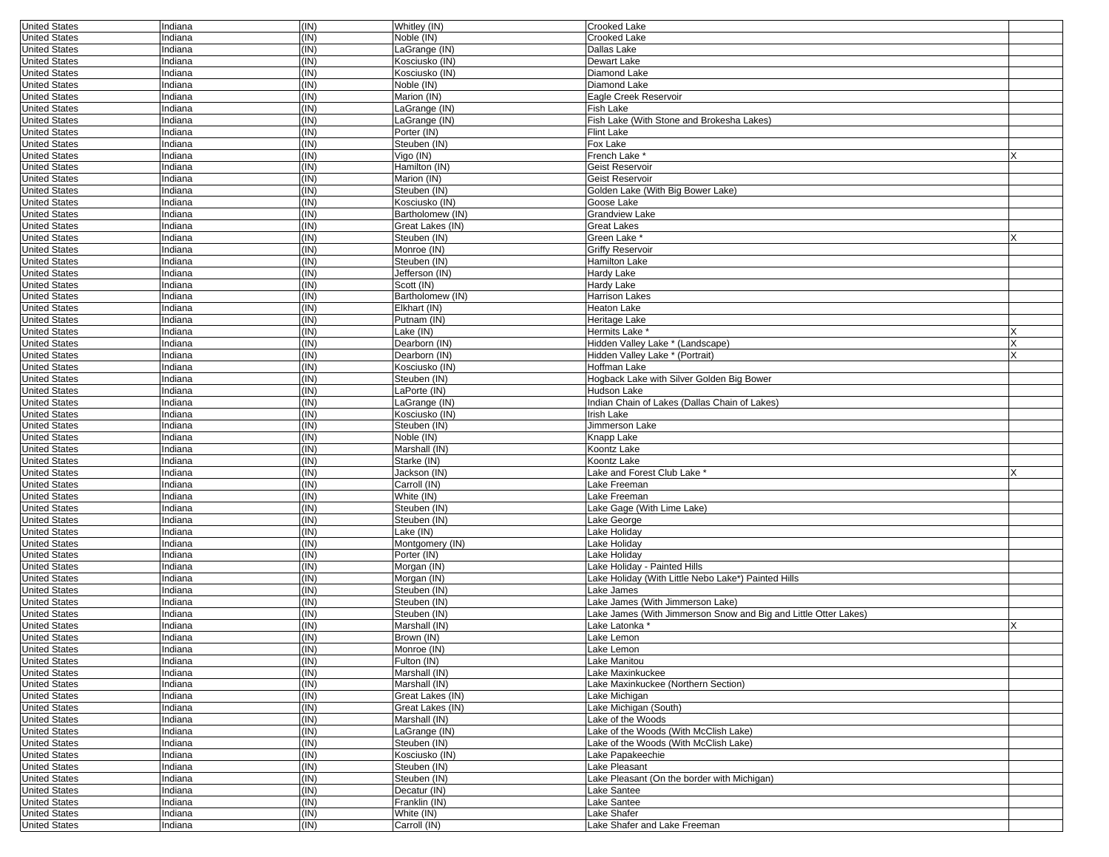| <b>United States</b> | Indiana | (IN) | Whitley (IN)     | <b>Crooked Lake</b>                                             |   |
|----------------------|---------|------|------------------|-----------------------------------------------------------------|---|
| <b>United States</b> | Indiana | (IN) | Noble (IN)       | <b>Crooked Lake</b>                                             |   |
| <b>United States</b> | Indiana | (IN) | LaGrange (IN)    | Dallas Lake                                                     |   |
| <b>United States</b> | Indiana | (IN) | Kosciusko (IN)   | Dewart Lake                                                     |   |
| <b>United States</b> | Indiana | (IN) | Kosciusko (IN)   | Diamond Lake                                                    |   |
|                      |         |      |                  |                                                                 |   |
| <b>United States</b> | Indiana | (IN) | Noble (IN)       | Diamond Lake                                                    |   |
| <b>United States</b> | Indiana | (IN) | Marion (IN)      | Eagle Creek Reservoir                                           |   |
| <b>United States</b> | Indiana | (IN) | LaGrange (IN)    | Fish Lake                                                       |   |
| <b>United States</b> | ndiana  | (IN) | LaGrange (IN)    | Fish Lake (With Stone and Brokesha Lakes)                       |   |
| <b>United States</b> | Indiana | (IN) | Porter (IN)      | Flint Lake                                                      |   |
| <b>United States</b> | Indiana | (IN) | Steuben (IN)     | Fox Lake                                                        |   |
|                      |         |      |                  |                                                                 |   |
| <b>United States</b> | Indiana | (IN) | Vigo (IN)        | French Lake <sup>*</sup>                                        |   |
| <b>United States</b> | Indiana | (IN) | Hamilton (IN)    | Geist Reservoir                                                 |   |
| <b>United States</b> | ndiana  | (IN) | Marion (IN)      | Geist Reservoir                                                 |   |
| <b>United States</b> | Indiana | (IN) | Steuben (IN)     | Golden Lake (With Big Bower Lake)                               |   |
| <b>United States</b> | Indiana | (IN) | Kosciusko (IN)   | Goose Lake                                                      |   |
| <b>United States</b> | Indiana | (IN) | Bartholomew (IN) | <b>Grandview Lake</b>                                           |   |
| <b>United States</b> | Indiana | (IN) | Great Lakes (IN) | Great Lakes                                                     |   |
|                      |         |      |                  |                                                                 |   |
| <b>United States</b> | ndiana  | (IN) | Steuben (IN)     | Green Lake *                                                    |   |
| <b>United States</b> | Indiana | (IN) | Monroe (IN)      | Griffy Reservoir                                                |   |
| <b>United States</b> | Indiana | (IN) | Steuben (IN)     | <b>Hamilton Lake</b>                                            |   |
| <b>United States</b> | Indiana | (IN) | Jefferson (IN)   | Hardy Lake                                                      |   |
| <b>United States</b> | Indiana | (IN) | Scott (IN)       | Hardy Lake                                                      |   |
| <b>United States</b> | ndiana  | (IN) | Bartholomew (IN) | <b>Harrison Lakes</b>                                           |   |
|                      |         | (IN) |                  |                                                                 |   |
| <b>United States</b> | Indiana |      | Elkhart (IN)     | Heaton Lake                                                     |   |
| <b>United States</b> | Indiana | (IN) | Putnam (IN)      | Heritage Lake                                                   |   |
| <b>United States</b> | Indiana | (IN) | Lake (IN)        | Hermits Lake                                                    |   |
| <b>United States</b> | Indiana | (IN) | Dearborn (IN)    | Hidden Valley Lake * (Landscape)                                |   |
| <b>United States</b> | Indiana | (IN) | Dearborn (IN)    | Hidden Valley Lake * (Portrait)                                 |   |
| <b>United States</b> | Indiana | (IN) | Kosciusko (IN)   | Hoffman Lake                                                    |   |
| <b>United States</b> | Indiana | (IN) | Steuben (IN)     | Hogback Lake with Silver Golden Big Bower                       |   |
|                      |         |      |                  |                                                                 |   |
| <b>United States</b> | Indiana | (IN) | LaPorte (IN)     | Hudson Lake                                                     |   |
| <b>United States</b> | Indiana | (IN) | LaGrange (IN)    | Indian Chain of Lakes (Dallas Chain of Lakes)                   |   |
| <b>United States</b> | ndiana  | (IN) | Kosciusko (IN)   | Irish Lake                                                      |   |
| <b>United States</b> | Indiana | (IN) | Steuben (IN)     | Jimmerson Lake                                                  |   |
| <b>United States</b> | Indiana | (IN) | Noble (IN)       | Knapp Lake                                                      |   |
| <b>United States</b> | Indiana | (IN) | Marshall (IN)    | Koontz Lake                                                     |   |
|                      |         |      |                  |                                                                 |   |
| <b>United States</b> | Indiana | (IN) | Starke (IN)      | Koontz Lake                                                     |   |
| <b>United States</b> | ndiana  | (IN) | Jackson (IN)     | Lake and Forest Club Lake *                                     | X |
| <b>United States</b> | ndiana  | (IN) | Carroll (IN)     | Lake Freeman                                                    |   |
| <b>United States</b> | Indiana | (IN) | White (IN)       | Lake Freeman                                                    |   |
| <b>United States</b> | ndiana  | (IN) | Steuben (IN)     | Lake Gage (With Lime Lake)                                      |   |
| <b>United States</b> | ndiana  | (IN) | Steuben (IN)     | Lake George                                                     |   |
| <b>United States</b> | ndiana  | (IN) | Lake (IN)        | Lake Holiday                                                    |   |
|                      |         |      |                  |                                                                 |   |
| <b>United States</b> | ndiana  | (IN) | Montgomery (IN)  | Lake Holiday                                                    |   |
| <b>United States</b> | Indiana | (IN) | Porter (IN)      | Lake Holiday                                                    |   |
| <b>United States</b> | Indiana | (IN) | Morgan (IN)      | Lake Holiday - Painted Hills                                    |   |
| <b>United States</b> | Indiana | (IN) | Morgan (IN)      | Lake Holiday (With Little Nebo Lake*) Painted Hills             |   |
| <b>United States</b> | ndiana  | (IN) | Steuben (IN)     | Lake James                                                      |   |
| <b>United States</b> | ndiana  | (IN) | Steuben (IN)     | Lake James (With Jimmerson Lake)                                |   |
| <b>United States</b> | Indiana | (IN) | Steuben (IN)     | Lake James (With Jimmerson Snow and Big and Little Otter Lakes) |   |
|                      |         |      |                  |                                                                 |   |
| <b>United States</b> | ndiana  | (IN) | Marshall (IN)    | Lake Latonka <sup>,</sup>                                       |   |
| <b>United States</b> | ndiana  | (IN) | Brown (IN)       | Lake Lemon                                                      |   |
| United States        | Indiana | (IN) | Monroe (IN)      | Lake Lemon                                                      |   |
| <b>United States</b> | Indiana | (IN) | Fulton (IN)      | Lake Manitou                                                    |   |
| <b>United States</b> | Indiana | (IN) | Marshall (IN)    | Lake Maxinkuckee                                                |   |
| <b>United States</b> | Indiana | (IN) | Marshall (IN)    | Lake Maxinkuckee (Northern Section)                             |   |
| <b>United States</b> | Indiana | (IN) | Great Lakes (IN) | Lake Michigan                                                   |   |
|                      |         |      | Great Lakes (IN) | Lake Michigan (South)                                           |   |
| <b>United States</b> | Indiana | (IN) |                  |                                                                 |   |
| <b>United States</b> | Indiana | (IN) | Marshall (IN)    | Lake of the Woods                                               |   |
| <b>United States</b> | Indiana | (IN) | LaGrange (IN)    | Lake of the Woods (With McClish Lake)                           |   |
| <b>United States</b> | Indiana | (IN) | Steuben (IN)     | Lake of the Woods (With McClish Lake)                           |   |
| <b>United States</b> | Indiana | (IN) | Kosciusko (IN)   | Lake Papakeechie                                                |   |
| <b>United States</b> | Indiana | (IN) | Steuben (IN)     | Lake Pleasant                                                   |   |
| <b>United States</b> | Indiana | (IN) | Steuben (IN)     | Lake Pleasant (On the border with Michigan)                     |   |
| <b>United States</b> | Indiana | (IN) | Decatur (IN)     | Lake Santee                                                     |   |
|                      |         |      |                  |                                                                 |   |
| <b>United States</b> | Indiana | (IN) | Franklin (IN)    | Lake Santee                                                     |   |
| <b>United States</b> | Indiana | (IN) | White (IN)       | Lake Shafer                                                     |   |
| <b>United States</b> | Indiana | (IN) | Carroll (IN)     | Lake Shafer and Lake Freeman                                    |   |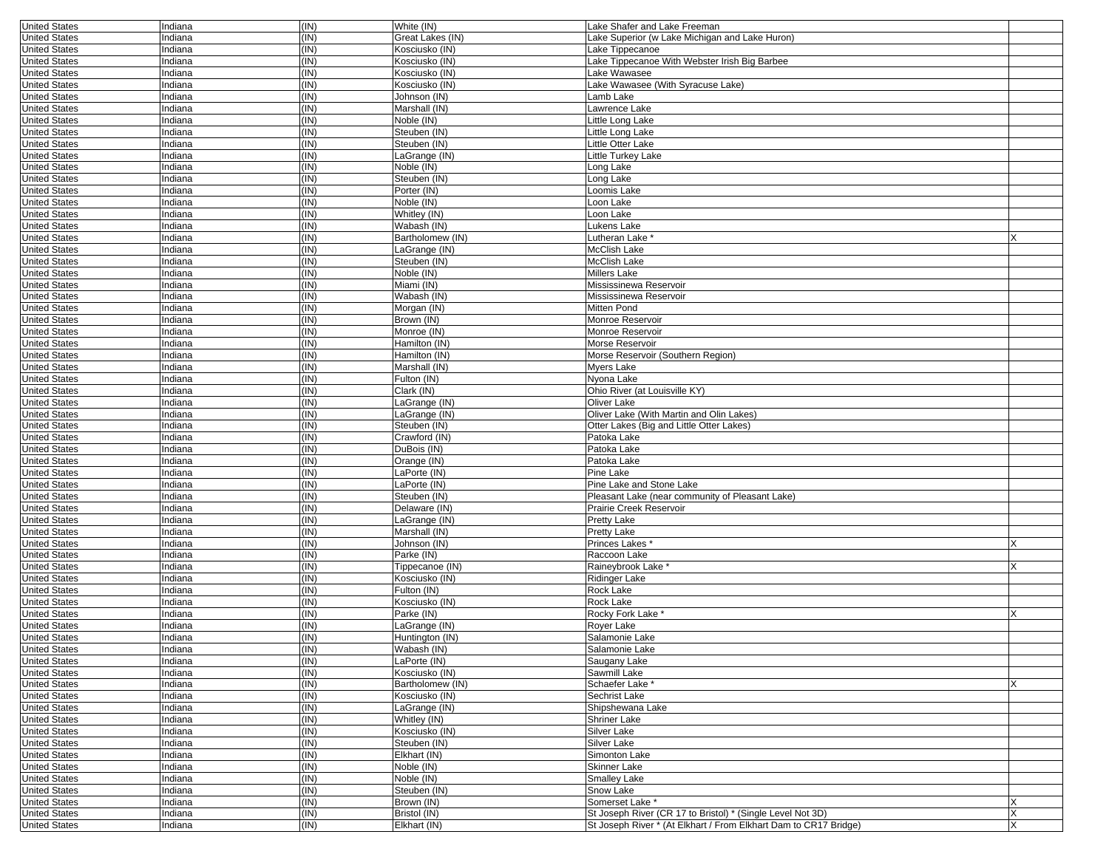| <b>United States</b> | Indiana | (IN) | White (IN)       | Lake Shafer and Lake Freeman                                     |   |
|----------------------|---------|------|------------------|------------------------------------------------------------------|---|
| <b>United States</b> | Indiana | (IN) | Great Lakes (IN) | Lake Superior (w Lake Michigan and Lake Huron)                   |   |
| <b>United States</b> | Indiana | (IN) | Kosciusko (IN)   | Lake Tippecanoe                                                  |   |
| <b>United States</b> | Indiana | (IN) | Kosciusko (IN)   | Lake Tippecanoe With Webster Irish Big Barbee                    |   |
| <b>United States</b> | Indiana | (IN) | Kosciusko (IN)   | Lake Wawasee                                                     |   |
|                      |         |      |                  |                                                                  |   |
| <b>United States</b> | Indiana | (IN) | Kosciusko (IN)   | Lake Wawasee (With Syracuse Lake)                                |   |
| <b>United States</b> | Indiana | (IN) | Johnson (IN)     | Lamb Lake                                                        |   |
| <b>United States</b> | Indiana | (IN) | Marshall (IN)    | Lawrence Lake                                                    |   |
| <b>United States</b> | Indiana | (IN) | Noble (IN)       | Little Long Lake                                                 |   |
| <b>United States</b> | Indiana | (IN) | Steuben (IN)     | Little Long Lake                                                 |   |
| <b>United States</b> | Indiana | (IN) | Steuben (IN)     | Little Otter Lake                                                |   |
|                      |         |      |                  |                                                                  |   |
| <b>United States</b> | Indiana | (IN) | LaGrange (IN)    | Little Turkey Lake                                               |   |
| <b>United States</b> | Indiana | (IN) | Noble (IN)       | Long Lake                                                        |   |
| <b>United States</b> | Indiana | (IN) | Steuben (IN)     | Long Lake                                                        |   |
| <b>United States</b> | Indiana | (IN) | Porter (IN)      | Loomis Lake                                                      |   |
| <b>United States</b> | Indiana | (IN) | Noble (IN)       | Loon Lake                                                        |   |
| <b>United States</b> | Indiana | (IN) | Whitley (IN)     | Loon Lake                                                        |   |
|                      |         |      |                  |                                                                  |   |
| <b>United States</b> | Indiana | (IN) | Wabash (IN)      | Lukens Lake                                                      |   |
| <b>United States</b> | Indiana | (IN) | Bartholomew (IN) | Lutheran Lake <sup>*</sup>                                       |   |
| <b>United States</b> | Indiana | (IN) | LaGrange (IN)    | McClish Lake                                                     |   |
| <b>United States</b> | Indiana | (IN) | Steuben (IN)     | McClish Lake                                                     |   |
| <b>United States</b> | Indiana | (IN) | Noble (IN)       | <b>Millers Lake</b>                                              |   |
|                      |         |      |                  |                                                                  |   |
| <b>United States</b> | Indiana | (IN) | Miami (IN)       | Mississinewa Reservoir                                           |   |
| <b>United States</b> | Indiana | (IN) | Wabash (IN)      | Mississinewa Reservoir                                           |   |
| <b>United States</b> | Indiana | (IN) | Morgan (IN)      | Mitten Pond                                                      |   |
| <b>United States</b> | Indiana | (IN) | Brown (IN)       | Monroe Reservoir                                                 |   |
| <b>United States</b> | Indiana | (IN) | Monroe (IN)      | Monroe Reservoir                                                 |   |
| <b>United States</b> | Indiana | (IN) | Hamilton (IN)    | Morse Reservoir                                                  |   |
|                      |         |      |                  |                                                                  |   |
| <b>United States</b> | Indiana | (IN) | Hamilton (IN)    | Morse Reservoir (Southern Region)                                |   |
| <b>United States</b> | Indiana | (IN) | Marshall (IN)    | Myers Lake                                                       |   |
| <b>United States</b> | Indiana | (IN) | Fulton (IN)      | Nyona Lake                                                       |   |
| <b>United States</b> | Indiana | (IN) | Clark (IN)       | Ohio River (at Louisville KY)                                    |   |
| <b>United States</b> | Indiana | (IN) | LaGrange (IN)    | Oliver Lake                                                      |   |
| <b>United States</b> | Indiana | (IN) | LaGrange (IN)    | Oliver Lake (With Martin and Olin Lakes)                         |   |
|                      |         | (IN) |                  |                                                                  |   |
| <b>United States</b> | Indiana |      | Steuben (IN)     | Otter Lakes (Big and Little Otter Lakes)                         |   |
| <b>United States</b> | Indiana | (IN) | Crawford (IN)    | Patoka Lake                                                      |   |
| <b>United States</b> | Indiana | (IN) | DuBois (IN)      | Patoka Lake                                                      |   |
| <b>United States</b> | Indiana | (IN) | Orange (IN)      | Patoka Lake                                                      |   |
| <b>United States</b> | Indiana | (IN) | LaPorte (IN)     | Pine Lake                                                        |   |
| <b>United States</b> | Indiana | (IN) | LaPorte (IN)     | Pine Lake and Stone Lake                                         |   |
|                      | Indiana | (IN) | Steuben (IN)     | Pleasant Lake (near community of Pleasant Lake)                  |   |
| <b>United States</b> |         |      |                  |                                                                  |   |
| <b>United States</b> | Indiana | (IN) | Delaware (IN)    | Prairie Creek Reservoir                                          |   |
| <b>United States</b> | Indiana | (IN) | LaGrange (IN)    | Pretty Lake                                                      |   |
| <b>United States</b> | Indiana | (IN) | Marshall (IN)    | Pretty Lake                                                      |   |
| <b>United States</b> | Indiana | (IN) | Johnson (IN)     | Princes Lakes*                                                   |   |
| <b>United States</b> | Indiana | (IN) | Parke (IN)       | Raccoon Lake                                                     |   |
|                      |         |      |                  |                                                                  |   |
| <b>United States</b> | Indiana | (IN) | Tippecanoe (IN)  | Raineybrook Lake                                                 |   |
| <b>United States</b> | Indiana | (IN) | Kosciusko (IN)   | <b>Ridinger Lake</b>                                             |   |
| <b>United States</b> | Indiana | (IN) | Fulton (IN)      | Rock Lake                                                        |   |
| <b>United States</b> | Indiana | (IN) | Kosciusko (IN)   | Rock Lake                                                        |   |
| <b>United States</b> | Indiana | (IN) | Parke (IN)       | Rocky Fork Lake *                                                |   |
| <b>United States</b> | Indiana | (IN) | LaGrange (IN)    | <b>Rover Lake</b>                                                |   |
| <b>United States</b> | Indiana | (IN) | Huntington (IN)  | Salamonie Lake                                                   |   |
|                      |         |      |                  |                                                                  |   |
| <b>United States</b> | Indiana | (IN) | Wabash (IN)      | Salamonie Lake                                                   |   |
| <b>United States</b> | Indiana | (IN) | LaPorte (IN)     | Saugany Lake                                                     |   |
| <b>United States</b> | Indiana | (IN) | Kosciusko (IN)   | Sawmill Lake                                                     |   |
| <b>United States</b> | Indiana | (IN) | Bartholomew (IN) | Schaefer Lake *                                                  | x |
| <b>United States</b> | Indiana | (IN) | Kosciusko (IN)   | Sechrist Lake                                                    |   |
| <b>United States</b> |         | (IN) | LaGrange (IN)    | Shipshewana Lake                                                 |   |
|                      | Indiana |      |                  |                                                                  |   |
| <b>United States</b> | Indiana | (IN) | Whitley (IN)     | <b>Shriner Lake</b>                                              |   |
| <b>United States</b> | Indiana | (IN) | Kosciusko (IN)   | Silver Lake                                                      |   |
| <b>United States</b> | Indiana | (IN) | Steuben (IN)     | Silver Lake                                                      |   |
| <b>United States</b> | Indiana | (IN) | Elkhart (IN)     | Simonton Lake                                                    |   |
| <b>United States</b> | Indiana | (IN) | Noble (IN)       | Skinner Lake                                                     |   |
| <b>United States</b> | Indiana | (IN) | Noble (IN)       | <b>Smalley Lake</b>                                              |   |
|                      |         |      |                  |                                                                  |   |
| <b>United States</b> | Indiana | (IN) | Steuben (IN)     | Snow Lake                                                        |   |
| <b>United States</b> | Indiana | (IN) | Brown (IN)       | Somerset Lake *                                                  |   |
| <b>United States</b> | Indiana | (IN) | Bristol (IN)     | St Joseph River (CR 17 to Bristol) * (Single Level Not 3D)       | X |
| <b>United States</b> | Indiana | (IN) | Elkhart (IN)     | St Joseph River * (At Elkhart / From Elkhart Dam to CR17 Bridge) | X |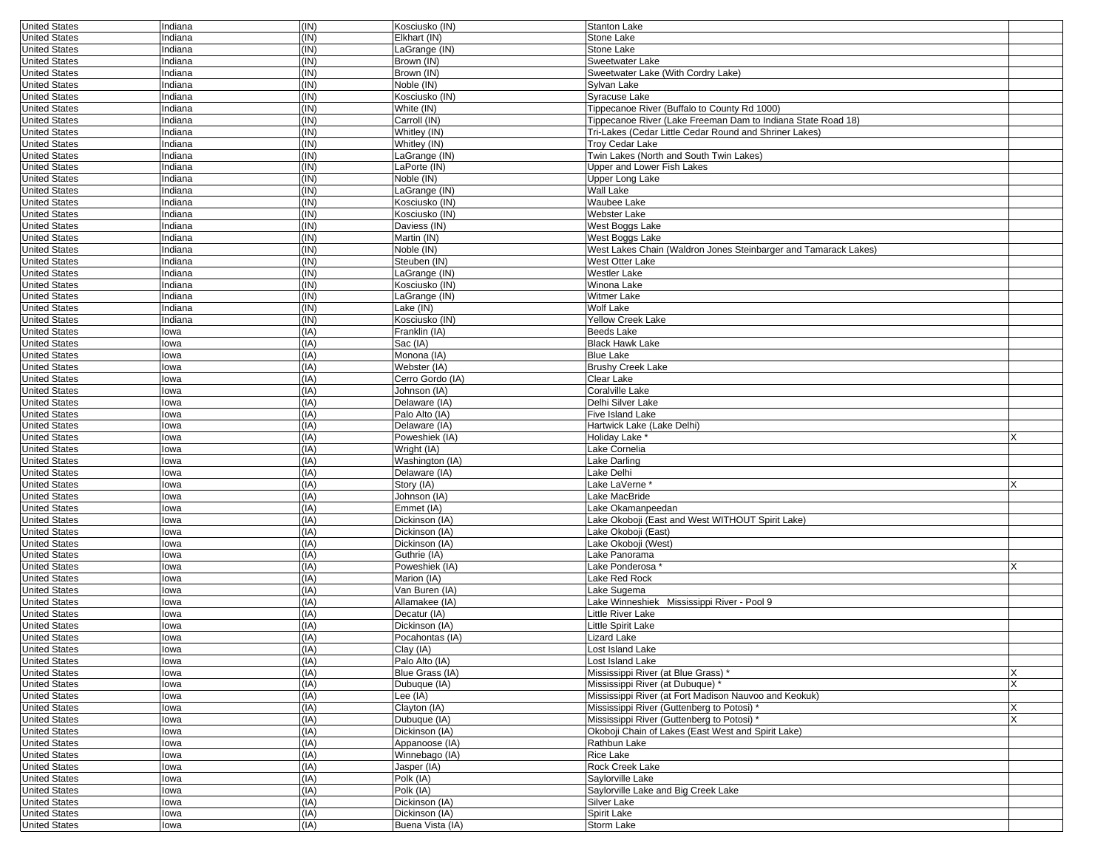| <b>United States</b>                  | Indiana      | (IN)         | Kosciusko (IN)              | Stanton Lake                                                    |   |
|---------------------------------------|--------------|--------------|-----------------------------|-----------------------------------------------------------------|---|
| <b>United States</b>                  | Indiana      | (IN)         | Elkhart (IN)                | <b>Stone Lake</b>                                               |   |
| <b>United States</b>                  | Indiana      | (IN)         | LaGrange (IN)               | Stone Lake                                                      |   |
| <b>United States</b>                  | ndiana       | (IN)         | Brown (IN)                  | Sweetwater Lake                                                 |   |
| <b>United States</b>                  | Indiana      | (IN)         | Brown (IN)                  | Sweetwater Lake (With Cordry Lake)                              |   |
| <b>United States</b>                  | Indiana      | (IN)         | Noble (IN)                  | Sylvan Lake                                                     |   |
| <b>United States</b>                  | Indiana      | (IN)         | Kosciusko (IN)              | Syracuse Lake                                                   |   |
| <b>United States</b>                  | Indiana      | (IN)         | White (IN)                  | Tippecanoe River (Buffalo to County Rd 1000)                    |   |
| <b>United States</b>                  | ndiana       | (IN)         | Carroll (IN)                | Tippecanoe River (Lake Freeman Dam to Indiana State Road 18)    |   |
| <b>United States</b>                  | Indiana      | (IN)         | Whitley (IN)                | Tri-Lakes (Cedar Little Cedar Round and Shriner Lakes)          |   |
| <b>United States</b>                  | Indiana      | (IN)         | Whitley (IN)                | Troy Cedar Lake                                                 |   |
| <b>United States</b>                  | Indiana      | (IN)         | _aGrange (IN)               | Twin Lakes (North and South Twin Lakes)                         |   |
| <b>United States</b>                  | Indiana      | (IN)         | LaPorte (IN)                | Upper and Lower Fish Lakes                                      |   |
|                                       |              |              |                             |                                                                 |   |
| <b>United States</b>                  | ndiana       | (IN)         | Noble (IN)                  | Upper Long Lake                                                 |   |
| <b>United States</b>                  | Indiana      | (IN)         | aGrange (IN)                | Wall Lake                                                       |   |
| <b>United States</b>                  | Indiana      | (IN)         | Kosciusko (IN)              | Waubee Lake                                                     |   |
| <b>United States</b>                  | Indiana      | (IN)         | Kosciusko (IN)              | Webster Lake                                                    |   |
| <b>United States</b>                  | Indiana      | (IN)         | Daviess (IN)                | West Boggs Lake                                                 |   |
| <b>United States</b>                  | ndiana       | (IN)         | Martin (IN)                 | West Boggs Lake                                                 |   |
| <b>United States</b>                  | Indiana      | (IN)         | Noble (IN)                  | West Lakes Chain (Waldron Jones Steinbarger and Tamarack Lakes) |   |
| <b>United States</b>                  | Indiana      | (IN)         | Steuben (IN)                | West Otter Lake                                                 |   |
| <b>United States</b>                  | Indiana      | (IN)         | _aGrange (IN)               | Westler Lake                                                    |   |
| <b>United States</b>                  | ndiana       | (IN)         | Kosciusko (IN)              | Winona Lake                                                     |   |
| <b>United States</b>                  | ndiana       | (IN)         | _aGrange (IN)               | Witmer Lake                                                     |   |
| <b>United States</b>                  | Indiana      | (IN)         | _ake (IN)                   | Wolf Lake                                                       |   |
| <b>United States</b>                  | Indiana      | (IN)         | Kosciusko (IN)              | <b>Yellow Creek Lake</b>                                        |   |
| <b>United States</b>                  | lowa         | (IA)         | Franklin (IA)               | <b>Beeds Lake</b>                                               |   |
| <b>United States</b>                  | lowa         | (IA)         | Sac (IA)                    | <b>Black Hawk Lake</b>                                          |   |
| <b>United States</b>                  | lowa         | (IA)         | Monona (IA)                 | <b>Blue Lake</b>                                                |   |
| <b>United States</b>                  | lowa         | (IA)         | Webster (IA)                | <b>Brushy Creek Lake</b>                                        |   |
| <b>United States</b>                  | lowa         | (IA)         | Cerro Gordo (IA)            | Clear Lake                                                      |   |
| <b>United States</b>                  | lowa         | (IA)         | Johnson (IA)                | Coralville Lake                                                 |   |
|                                       |              | (IA)         |                             |                                                                 |   |
| <b>United States</b>                  | lowa         |              | Delaware (IA)               | Delhi Silver Lake                                               |   |
| <b>United States</b>                  | lowa         | (IA)         | Palo Alto (IA)              | Five Island Lake                                                |   |
| <b>United States</b>                  | lowa         | (IA)         | Delaware (IA)               | Hartwick Lake (Lake Delhi)                                      |   |
| <b>United States</b>                  | lowa         | (IA)         | Poweshiek (IA)              | Holiday Lake <sup>®</sup>                                       |   |
| <b>United States</b>                  | lowa         | (IA)         | Wright (IA)                 | Lake Cornelia                                                   |   |
| <b>United States</b>                  | lowa         | (IA)         | Washington (IA)             | Lake Darling                                                    |   |
| <b>United States</b>                  | lowa         | (IA)         | Delaware (IA)               | Lake Delhi                                                      |   |
| <b>United States</b>                  | lowa         | (IA)         | Story (IA)                  | Lake LaVerne*                                                   |   |
| <b>United States</b>                  | lowa         | (IA)         | Johnson (IA)                | Lake MacBride                                                   |   |
| <b>United States</b>                  | lowa         | (IA)         | Emmet (IA)                  | Lake Okamanpeedan                                               |   |
| <b>United States</b>                  | lowa         | (IA)         | Dickinson (IA)              | Lake Okoboji (East and West WITHOUT Spirit Lake)                |   |
| <b>United States</b>                  | lowa         | (IA)         | Dickinson (IA)              | Lake Okoboji (East)                                             |   |
| <b>United States</b>                  | lowa         | (IA)         | Dickinson (IA)              | Lake Okoboji (West)                                             |   |
| <b>United States</b>                  | lowa         | (IA)         | Guthrie (IA)                | Lake Panorama                                                   |   |
| <b>United States</b>                  | lowa         | (IA)         | Poweshiek (IA)              | Lake Ponderosa                                                  |   |
| <b>United States</b>                  | lowa         | (IA)         | Marion (IA)                 | Lake Red Rock                                                   |   |
| <b>United States</b>                  | owa          | (IA)         | Van Buren (IA)              | Lake Sugema                                                     |   |
| <b>United States</b>                  | lowa         | (IA)         | Allamakee (IA)              | Lake Winneshiek Mississippi River - Pool 9                      |   |
| <b>United States</b>                  | lowa         | (IA)         | Decatur (IA)                | Little River Lake                                               |   |
| <b>United States</b>                  | lowa         | (IA)         | Dickinson (IA)              | Little Spirit Lake                                              |   |
| <b>United States</b>                  | owa          | (IA)         | Pocahontas (IA)             | Lizard Lake                                                     |   |
|                                       |              |              |                             |                                                                 |   |
| United States<br><b>United States</b> | Iowa         | (IA)<br>(IA) | Clay (IA)<br>Palo Alto (IA) | Lost Island Lake<br>Lost Island Lake                            |   |
| <b>United States</b>                  | lowa<br>lowa | (IA)         | Blue Grass (IA)             | Mississippi River (at Blue Grass) *                             | X |
|                                       |              |              |                             |                                                                 |   |
| <b>United States</b>                  | lowa         | (IA)         | Dubuque (IA)                | Mississippi River (at Dubuque) *                                | X |
| <b>United States</b>                  | lowa         | (IA)         | Lee (IA)                    | Mississippi River (at Fort Madison Nauvoo and Keokuk)           |   |
| <b>United States</b>                  | lowa         | (IA)         | Clayton (IA)                | Mississippi River (Guttenberg to Potosi) *                      | X |
| <b>United States</b>                  | lowa         | (IA)         | Dubuque (IA)                | Mississippi River (Guttenberg to Potosi) *                      |   |
| <b>United States</b>                  | lowa         | (IA)         | Dickinson (IA)              | Okoboji Chain of Lakes (East West and Spirit Lake)              |   |
| <b>United States</b>                  | lowa         | (IA)         | Appanoose (IA)              | Rathbun Lake                                                    |   |
| <b>United States</b>                  | lowa         | (IA)         | Winnebago (IA)              | Rice Lake                                                       |   |
| <b>United States</b>                  | lowa         | (IA)         | Jasper (IA)                 | Rock Creek Lake                                                 |   |
| <b>United States</b>                  | lowa         | (IA)         | Polk (IA)                   | Saylorville Lake                                                |   |
| <b>United States</b>                  | lowa         | (IA)         | Polk (IA)                   | Saylorville Lake and Big Creek Lake                             |   |
| <b>United States</b>                  | lowa         | (IA)         | Dickinson (IA)              | Silver Lake                                                     |   |
| <b>United States</b>                  | lowa         | (IA)         | Dickinson (IA)              | Spirit Lake                                                     |   |
| <b>United States</b>                  | lowa         | (IA)         | Buena Vista (IA)            | Storm Lake                                                      |   |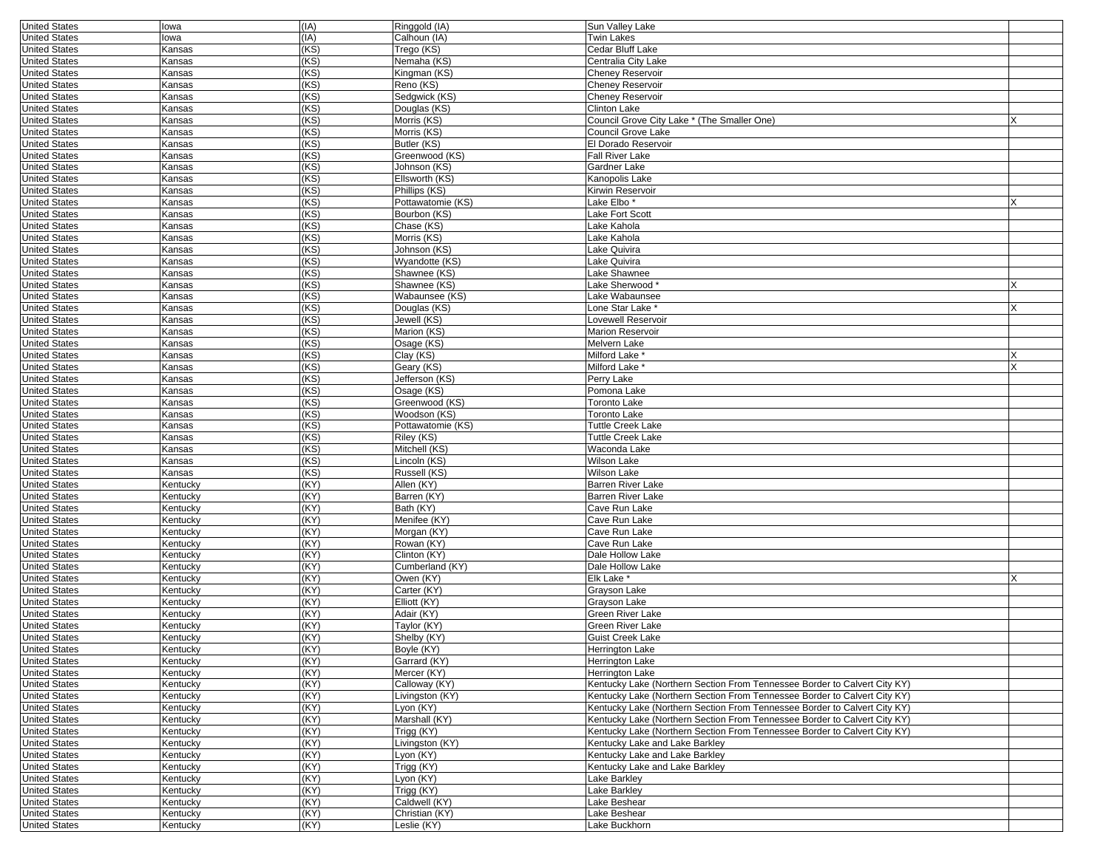| <b>United States</b>                         | lowa                 | (IA)         | Ringgold (IA)               | Sun Valley Lake                                                           |   |
|----------------------------------------------|----------------------|--------------|-----------------------------|---------------------------------------------------------------------------|---|
| <b>United States</b>                         | lowa                 | (IA)         | Calhoun (IA)                | <b>Twin Lakes</b>                                                         |   |
| <b>United States</b>                         | Kansas               | (KS)         | Trego (KS)                  | Cedar Bluff Lake                                                          |   |
| <b>United States</b>                         | Kansas               | (KS)         | Nemaha (KS)                 | Centralia City Lake                                                       |   |
| <b>United States</b>                         | Kansas               | (KS)         | Kingman (KS)                | Cheney Reservoir                                                          |   |
| <b>United States</b>                         | Kansas               | (KS)         | Reno (KS)                   | <b>Cheney Reservoir</b>                                                   |   |
| <b>United States</b>                         | Kansas               | (KS)         | Sedgwick (KS)               | Cheney Reservoir                                                          |   |
| <b>United States</b>                         | Kansas               | (KS)         | Douglas (KS)                | Clinton Lake                                                              |   |
| <b>United States</b>                         | Kansas               | (KS)         | Morris (KS)                 | Council Grove City Lake * (The Smaller One)                               |   |
| <b>United States</b>                         | Kansas               | (KS)         | Morris (KS)                 | Council Grove Lake                                                        |   |
| <b>United States</b>                         | Kansas               | (KS)         | Butler (KS)                 | El Dorado Reservoir                                                       |   |
| <b>United States</b>                         | Kansas               | (KS)         | Greenwood (KS)              | Fall River Lake                                                           |   |
| <b>United States</b>                         | Kansas               | (KS)         | Johnson (KS)                | Gardner Lake                                                              |   |
| <b>United States</b>                         | Kansas               | (KS)         | Ellsworth (KS)              | Kanopolis Lake                                                            |   |
| <b>United States</b>                         | Kansas               | (KS)         | Phillips (KS)               | Kirwin Reservoir                                                          |   |
| <b>United States</b>                         | Kansas               | (KS)         | Pottawatomie (KS)           | Lake Elbo '                                                               |   |
| <b>United States</b>                         | Kansas               | (KS)         | Bourbon (KS)                | Lake Fort Scott                                                           |   |
| <b>United States</b>                         | Kansas               | (KS)         | Chase (KS)                  | Lake Kahola                                                               |   |
| <b>United States</b>                         | Kansas               | (KS)         | Morris (KS)                 | Lake Kahola                                                               |   |
| <b>United States</b>                         | Kansas               | (KS)         | Johnson (KS)                | Lake Quivira                                                              |   |
| <b>United States</b>                         | Kansas               | (KS)         | Wyandotte (KS)              | Lake Quivira                                                              |   |
| <b>United States</b>                         | Kansas               | (KS)         | Shawnee (KS)                | Lake Shawnee                                                              |   |
| <b>United States</b>                         | Kansas               | (KS)         | Shawnee (KS)                | Lake Sherwood*                                                            |   |
| <b>United States</b>                         | Kansas               | (KS)         | Wabaunsee (KS)              | Lake Wabaunsee                                                            |   |
| <b>United States</b>                         | Kansas               | (KS)         | Douglas (KS)                | Lone Star Lake *                                                          |   |
| <b>United States</b>                         | Kansas               | (KS)         | Jewell (KS)                 | Lovewell Reservoir                                                        |   |
| <b>United States</b>                         | Kansas               | (KS)         | Marion (KS)                 | <b>Marion Reservoir</b>                                                   |   |
| <b>United States</b>                         | Kansas               | (KS)         | Osage (KS)                  | Melvern Lake                                                              |   |
| <b>United States</b>                         | Kansas               | (KS)         | Clay (KS)                   | Milford Lake <sup>®</sup>                                                 |   |
| <b>United States</b>                         | Kansas               | (KS)         | Geary (KS)                  | Milford Lake *                                                            |   |
| <b>United States</b>                         | Kansas               | (KS)         | Jefferson (KS)              | Perry Lake                                                                |   |
| <b>United States</b>                         | Kansas               | (KS)         | Osage (KS)                  | Pomona Lake                                                               |   |
| <b>United States</b>                         | Kansas               | (KS)         | Greenwood (KS)              | Toronto Lake                                                              |   |
| <b>United States</b>                         | Kansas               | (KS)         | Woodson (KS)                | Toronto Lake                                                              |   |
| <b>United States</b>                         | Kansas               | (KS)         | Pottawatomie (KS)           | Tuttle Creek Lake                                                         |   |
| <b>United States</b>                         | Kansas               | (KS)         | Riley (KS)                  | Tuttle Creek Lake                                                         |   |
| <b>United States</b>                         | Kansas               | (KS)         | Mitchell (KS)               | Waconda Lake                                                              |   |
| <b>United States</b>                         | Kansas               | (KS)         | Lincoln (KS)                | Wilson Lake                                                               |   |
| <b>United States</b>                         | Kansas               | (KS)         | Russell (KS)                | Wilson Lake                                                               |   |
| <b>United States</b>                         | Kentucky             | (KY)         | Allen (KY)                  | Barren River Lake                                                         |   |
| <b>United States</b>                         | Kentucky             | (KY)         | Barren (KY)                 | Barren River Lake                                                         |   |
| <b>United States</b>                         | Kentucky             | (KY)         | Bath (KY)                   | Cave Run Lake                                                             |   |
| <b>United States</b>                         | Kentucky             | (KY)         | Menifee (KY)                | Cave Run Lake                                                             |   |
| <b>United States</b>                         | Kentucky             | (KY)         | Morgan (KY)                 | Cave Run Lake                                                             |   |
| <b>United States</b>                         | Kentucky             | (KY)         | Rowan (KY)                  | Cave Run Lake                                                             |   |
| <b>United States</b>                         | Kentucky             | (KY)         | Clinton (KY)                | Dale Hollow Lake                                                          |   |
| <b>United States</b>                         | Kentucky             | (KY)         | Cumberland (KY)             | Dale Hollow Lake                                                          |   |
| <b>United States</b>                         | Kentucky             | (KY)         | Owen (KY)                   | Elk Lake <sup>*</sup>                                                     | X |
| <b>United States</b>                         | Kentucky             | (KY)         | Carter (KY)                 | Grayson Lake                                                              |   |
| <b>United States</b>                         | Kentucky             | (KY)         | Elliott (KY)                | Grayson Lake                                                              |   |
| <b>United States</b>                         | Kentucky             | (KY)         | Adair (KY)                  | Green River Lake                                                          |   |
| <b>United States</b>                         | Kentucky             | (KY)         | Taylor (KY)                 | Green River Lake                                                          |   |
| <b>United States</b>                         | Kentucky             | (KY)         | Shelby (KY)                 | Guist Creek Lake                                                          |   |
| <b>United States</b>                         | Kentucky             | (KY)         | Boyle (KY)                  | Herrington Lake                                                           |   |
| <b>United States</b>                         | Kentucky             | (KY)         | Garrard (KY)                | Herrington Lake                                                           |   |
| <b>United States</b>                         | Kentucky             | (KY)         | Mercer (KY)                 | Herrington Lake                                                           |   |
| <b>United States</b>                         | Kentucky             | (KY)         | Calloway (KY)               | Kentucky Lake (Northern Section From Tennessee Border to Calvert City KY) |   |
| <b>United States</b>                         | Kentucky             | (KY)         | Livingston (KY)             | Kentucky Lake (Northern Section From Tennessee Border to Calvert City KY) |   |
| <b>United States</b>                         | Kentucky             | (KY)         | Lyon (KY)                   | Kentucky Lake (Northern Section From Tennessee Border to Calvert City KY) |   |
| <b>United States</b><br><b>United States</b> | Kentucky             | (KY)<br>(KY) | Marshall (KY)<br>Trigg (KY) | Kentucky Lake (Northern Section From Tennessee Border to Calvert City KY) |   |
|                                              | Kentucky             |              | Livingston (KY)             | Kentucky Lake (Northern Section From Tennessee Border to Calvert City KY) |   |
| <b>United States</b><br><b>United States</b> | Kentucky             | (KY)         |                             | Kentucky Lake and Lake Barkley                                            |   |
|                                              | Kentucky             | (KY)         | Lyon (KY)                   | Kentucky Lake and Lake Barkley                                            |   |
| <b>United States</b>                         | Kentucky             | (KY)         | Trigg (KY)                  | Kentucky Lake and Lake Barkley                                            |   |
| <b>United States</b><br><b>United States</b> | Kentucky             | (KY)<br>(KY) | Lyon (KY)                   | Lake Barkley                                                              |   |
|                                              | Kentucky             |              | Trigg (KY)<br>Caldwell (KY) | Lake Barkley                                                              |   |
| <b>United States</b><br><b>United States</b> | Kentucky<br>Kentucky | (KY)<br>(KY) | Christian (KY)              | Lake Beshear<br>Lake Beshear                                              |   |
|                                              |                      | (KY)         |                             | Lake Buckhorn                                                             |   |
| <b>United States</b>                         | Kentucky             |              | Leslie (KY)                 |                                                                           |   |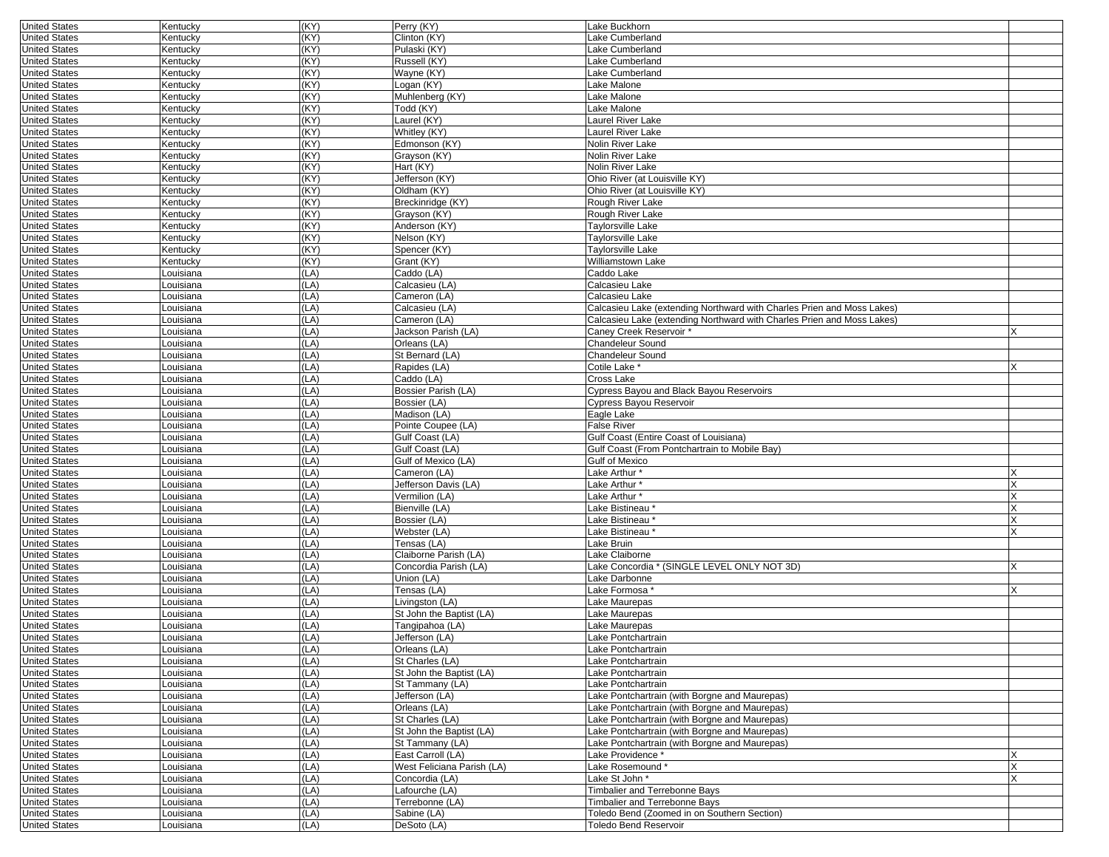| <b>United States</b> | Kentucky          | (KY) | Perry (KY)                 | Lake Buckhorn                                                          |   |
|----------------------|-------------------|------|----------------------------|------------------------------------------------------------------------|---|
| <b>United States</b> | Kentucky          | (KY) | Clinton (KY)               | Lake Cumberland                                                        |   |
| <b>United States</b> | Kentucky          | (KY) | Pulaski (KY)               | Lake Cumberland                                                        |   |
| <b>United States</b> | Kentucky          | (KY) | Russell (KY)               | Lake Cumberland                                                        |   |
| <b>United States</b> | Kentucky          | (KY) | Wayne (KY)                 | Lake Cumberland                                                        |   |
| <b>United States</b> | Kentucky          | (KY) | Logan (KY)                 | Lake Malone                                                            |   |
| <b>United States</b> | Kentucky          | (KY) | Muhlenberg (KY)            | Lake Malone                                                            |   |
| <b>United States</b> | Kentucky          | (KY) | Todd (KY)                  | Lake Malone                                                            |   |
| <b>United States</b> | Kentucky          | (KY) | Laurel (KY)                | Laurel River Lake                                                      |   |
| <b>United States</b> | Kentucky          | (KY) | Whitley (KY)               | Laurel River Lake                                                      |   |
| <b>United States</b> | Kentucky          | (KY) | Edmonson (KY)              | Nolin River Lake                                                       |   |
|                      |                   |      |                            |                                                                        |   |
| <b>United States</b> | Kentucky          | (KY) | Grayson (KY)               | Nolin River Lake                                                       |   |
| <b>United States</b> | Kentucky          | (KY) | Hart (KY)                  | Nolin River Lake                                                       |   |
| <b>United States</b> | Kentucky          | (KY) | Jefferson (KY)             | Ohio River (at Louisville KY)                                          |   |
| <b>United States</b> | Kentucky          | (KY) | Oldham (KY)                | Ohio River (at Louisville KY)                                          |   |
| <b>United States</b> | Kentucky          | (KY) | Breckinridge (KY)          | Rough River Lake                                                       |   |
| <b>United States</b> | Kentucky          | (KY) | Grayson (KY)               | Rough River Lake                                                       |   |
| <b>United States</b> | Kentucky          | (KY) | Anderson (KY)              | Taylorsville Lake                                                      |   |
| <b>United States</b> | Kentucky          | (KY) | Nelson (KY)                | Taylorsville Lake                                                      |   |
| <b>United States</b> | Kentucky          | (KY) | Spencer (KY)               | Taylorsville Lake                                                      |   |
| <b>United States</b> | Kentucky          | (KY) | Grant (KY)                 | Williamstown Lake                                                      |   |
| <b>United States</b> | Louisiana         | (LA) | Caddo (LA)                 | Caddo Lake                                                             |   |
| <b>United States</b> | Louisiana         | (LA) | Calcasieu (LA)             | Calcasieu Lake                                                         |   |
| <b>United States</b> | ouisiana          | (LA) | Cameron (LA)               | Calcasieu Lake                                                         |   |
| <b>United States</b> | ouisiana          | (LA) | Calcasieu (LA)             | Calcasieu Lake (extending Northward with Charles Prien and Moss Lakes) |   |
| <b>United States</b> | Louisiana         | (LA) | Cameron (LA)               | Calcasieu Lake (extending Northward with Charles Prien and Moss Lakes) |   |
| <b>United States</b> | ouisiana <u>.</u> | (LA) | Jackson Parish (LA)        | Caney Creek Reservoir '                                                |   |
|                      |                   |      |                            | Chandeleur Sound                                                       |   |
| <b>United States</b> | Louisiana         | (LA) | Orleans (LA)               |                                                                        |   |
| <b>United States</b> | ouisiana          | (LA) | St Bernard (LA)            | Chandeleur Sound                                                       |   |
| <b>United States</b> | Louisiana         | (LA) | Rapides (LA)               | Cotile Lake *                                                          |   |
| <b>United States</b> | Louisiana         | (LA) | Caddo (LA)                 | Cross Lake                                                             |   |
| <b>United States</b> | Louisiana         | (LA) | Bossier Parish (LA)        | Cypress Bayou and Black Bayou Reservoirs                               |   |
| <b>United States</b> | Louisiana         | (LA) | Bossier (LA)               | Cypress Bayou Reservoir                                                |   |
| <b>United States</b> | ouisiana          | (LA) | Madison (LA)               | Eagle Lake                                                             |   |
| <b>United States</b> | ouisiana          | (LA) | Pointe Coupee (LA)         | False River                                                            |   |
| <b>United States</b> | Louisiana         | (LA) | Gulf Coast (LA)            | Gulf Coast (Entire Coast of Louisiana)                                 |   |
| <b>United States</b> | Louisiana         | (LA) | Gulf Coast (LA)            | Gulf Coast (From Pontchartrain to Mobile Bay)                          |   |
| <b>United States</b> | Louisiana         | (LA) | Gulf of Mexico (LA)        | Gulf of Mexico                                                         |   |
| <b>United States</b> | ouisiana          | (LA) | Cameron (LA)               | Lake Arthur*                                                           |   |
| <b>United States</b> | Louisiana         | (LA) | Jefferson Davis (LA)       | Lake Arthur*                                                           |   |
| <b>United States</b> | Louisiana         | (LA) | Vermilion (LA)             | Lake Arthur*                                                           | X |
| <b>United States</b> | ouisiana          | (LA) | Bienville (LA)             | Lake Bistineau                                                         |   |
| <b>United States</b> | ouisiana.         | (LA) | Bossier (LA)               | Lake Bistineau *                                                       | х |
| <b>United States</b> | ouisiana          | (LA) | Webster (LA)               | Lake Bistineau *                                                       |   |
| <b>United States</b> | ouisiana          | (LA) | Tensas (LA)                | ake Bruin                                                              |   |
| <b>United States</b> | Louisiana         | (LA) | Claiborne Parish (LA)      | Lake Claiborne                                                         |   |
|                      |                   |      |                            |                                                                        |   |
| <b>United States</b> | Louisiana         | (LA) | Concordia Parish (LA)      | Lake Concordia * (SINGLE LEVEL ONLY NOT 3D)                            |   |
| <b>United States</b> | Louisiana         | (LA) | Union (LA)                 | Lake Darbonne                                                          |   |
| <b>United States</b> | ouisiana          | (LA) | Tensas (LA)                | Lake Formosa *                                                         | X |
| <b>United States</b> | ouisiana          | (LA) | Livingston (LA)            | Lake Maurepas                                                          |   |
| <b>United States</b> | ouisiana          | (LA) | St John the Baptist (LA)   | ake Maurepas                                                           |   |
| <b>United States</b> | ouisiana.         | (LA) | Tangipahoa (LA)            | Lake Maurepas                                                          |   |
| <b>United States</b> | Louisiana         | (LA) | Jefferson (LA)             | Lake Pontchartrain                                                     |   |
| United States        | Louisiana         | (LA) | Orleans (LA)               | Lake Pontchartrain                                                     |   |
| <b>United States</b> | Louisiana         | (LA) | St Charles (LA)            | Lake Pontchartrain                                                     |   |
| <b>United States</b> | Louisiana         | (LA) | St John the Baptist (LA)   | Lake Pontchartrain                                                     |   |
| <b>United States</b> | Louisiana         | (LA) | St Tammany (LA)            | Lake Pontchartrain                                                     |   |
| <b>United States</b> | Louisiana         | (LA) | Jefferson (LA)             | Lake Pontchartrain (with Borgne and Maurepas)                          |   |
| <b>United States</b> | Louisiana         | (LA) | Orleans (LA)               | Lake Pontchartrain (with Borgne and Maurepas)                          |   |
| <b>United States</b> | Louisiana         | (LA) | St Charles (LA)            | Lake Pontchartrain (with Borgne and Maurepas)                          |   |
| <b>United States</b> | Louisiana         | (LA) | St John the Baptist (LA)   | Lake Pontchartrain (with Borgne and Maurepas)                          |   |
| <b>United States</b> | Louisiana         | (LA) | St Tammany (LA)            | Lake Pontchartrain (with Borgne and Maurepas)                          |   |
| <b>United States</b> | Louisiana         | (LA) | East Carroll (LA)          | Lake Providence *                                                      | Х |
| <b>United States</b> |                   |      | West Feliciana Parish (LA) |                                                                        |   |
|                      | Louisiana         | (LA) |                            | Lake Rosemound*                                                        | X |
| <b>United States</b> | Louisiana         | (LA) | Concordia (LA)             | Lake St John *                                                         | X |
| <b>United States</b> | Louisiana         | (LA) | Lafourche (LA)             | Timbalier and Terrebonne Bays                                          |   |
| <b>United States</b> | Louisiana         | (LA) | Terrebonne (LA)            | Timbalier and Terrebonne Bays                                          |   |
| <b>United States</b> | Louisiana         | (LA) | Sabine (LA)                | Toledo Bend (Zoomed in on Southern Section)                            |   |
| <b>United States</b> | Louisiana         | (LA) | DeSoto (LA)                | Toledo Bend Reservoir                                                  |   |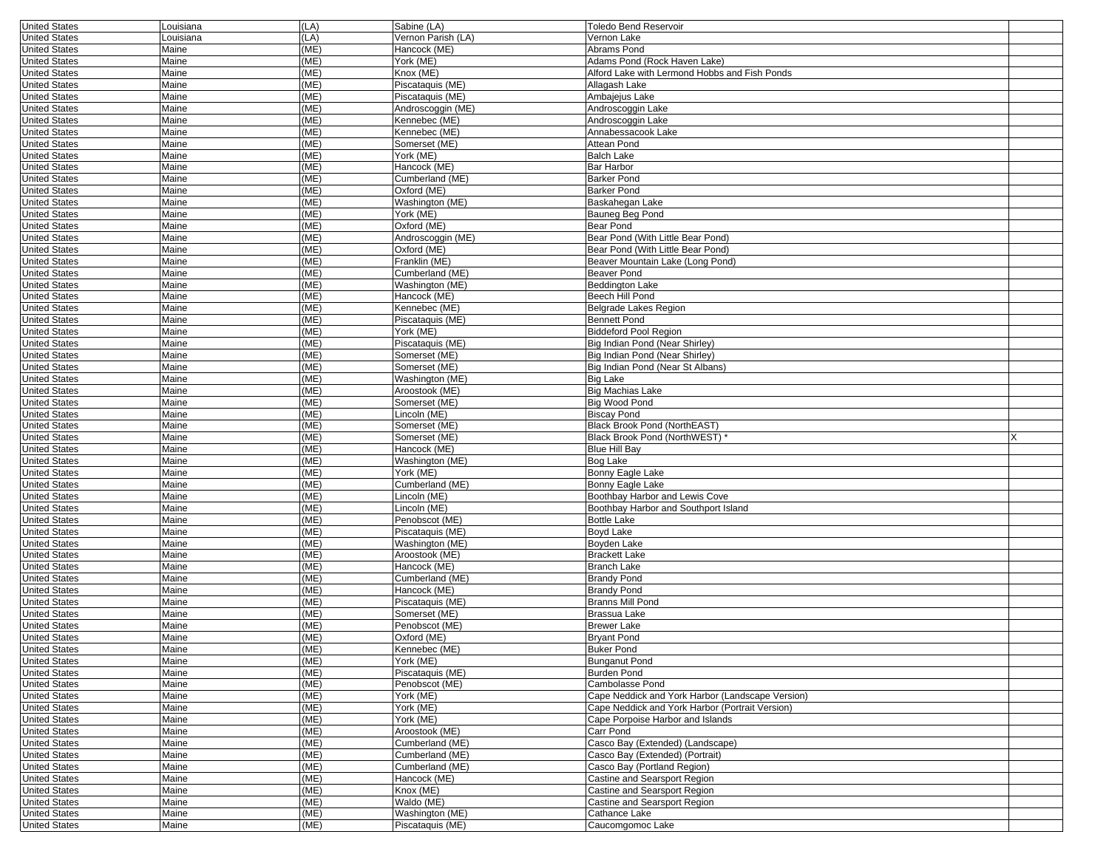| <b>United States</b>                         | Louisiana      | (LA)         | Sabine (LA)                         | <b>Toledo Bend Reservoir</b>                               |  |
|----------------------------------------------|----------------|--------------|-------------------------------------|------------------------------------------------------------|--|
| <b>United States</b>                         | Louisiana      | (LA)         | Vernon Parish (LA)                  | Vernon Lake                                                |  |
| <b>United States</b>                         | Maine          | (ME)         | Hancock (ME)                        | Abrams Pond                                                |  |
| <b>United States</b>                         | Maine          | (ME)         | York (ME)                           | Adams Pond (Rock Haven Lake)                               |  |
| <b>United States</b>                         | Maine          | (ME)         | Knox (ME)                           | Alford Lake with Lermond Hobbs and Fish Ponds              |  |
| <b>United States</b>                         | Maine          | (ME)         | Piscataquis (ME)                    | Allagash Lake                                              |  |
| <b>United States</b>                         | Maine          | (ME)         | Piscataquis (ME)                    | Ambajejus Lake                                             |  |
| <b>United States</b>                         | Maine          | (ME)         | Androscoggin (ME)                   | Androscoggin Lake                                          |  |
| <b>United States</b>                         | Maine          | (ME)         | Kennebec (ME)                       | Androscoggin Lake                                          |  |
| <b>United States</b>                         | Maine          | (ME)         | Kennebec (ME)                       | Annabessacook Lake                                         |  |
| <b>United States</b>                         | Maine          | (ME)         | Somerset (ME)                       | Attean Pond                                                |  |
| <b>United States</b>                         | Maine          | (ME)         | York (ME)                           | <b>Balch Lake</b>                                          |  |
| <b>United States</b>                         | Maine          | (ME)         | Hancock (ME)                        | Bar Harbor                                                 |  |
| <b>United States</b>                         | Maine          | (ME)         | Cumberland (ME)                     | <b>Barker Pond</b>                                         |  |
| <b>United States</b>                         | Maine          | (ME)         | Oxford (ME)                         | <b>Barker Pond</b>                                         |  |
| <b>United States</b>                         | Maine          | (ME)         | Washington (ME)                     | Baskahegan Lake                                            |  |
| <b>United States</b>                         | Maine          | (ME)         | York (ME)                           | Bauneg Beg Pond                                            |  |
| <b>United States</b>                         | Maine          | (ME)         | Oxford (ME)                         | Bear Pond                                                  |  |
| <b>United States</b>                         | Maine          | (ME)         | Androscoggin (ME)                   | Bear Pond (With Little Bear Pond)                          |  |
| <b>United States</b>                         | Maine          | (ME)         | Oxford (ME)                         | Bear Pond (With Little Bear Pond)                          |  |
| <b>United States</b>                         | Maine          | (ME)         | Franklin (ME)                       | Beaver Mountain Lake (Long Pond)                           |  |
| <b>United States</b>                         | Maine          | (ME)         | Cumberland (ME)                     | <b>Beaver Pond</b>                                         |  |
| <b>United States</b>                         | Maine          | (ME)         | Washington (ME)                     | <b>Beddington Lake</b>                                     |  |
| <b>United States</b>                         | Maine          | (ME)         | Hancock (ME)                        | Beech Hill Pond                                            |  |
| <b>United States</b>                         | Maine          | (ME)         | Kennebec (ME)                       | Belgrade Lakes Region                                      |  |
| <b>United States</b>                         | Maine          | (ME)         | Piscataquis (ME)                    | <b>Bennett Pond</b>                                        |  |
| <b>United States</b>                         | Maine          | (ME)         | York (ME)                           | <b>Biddeford Pool Region</b>                               |  |
| <b>United States</b>                         | Maine          | (ME)         | Piscataquis (ME)                    | Big Indian Pond (Near Shirley)                             |  |
| <b>United States</b>                         | Maine          | (ME)         | Somerset (ME)                       | Big Indian Pond (Near Shirley)                             |  |
| <b>United States</b>                         | Maine          | (ME)         | Somerset (ME)                       | Big Indian Pond (Near St Albans)                           |  |
| <b>United States</b>                         | Maine          | (ME)         | Washington (ME)                     | <b>Big Lake</b>                                            |  |
| <b>United States</b>                         | Maine          | (ME)         | Aroostook (ME)                      | <b>Big Machias Lake</b>                                    |  |
| <b>United States</b>                         | Maine          | (ME)         | Somerset (ME)                       | Big Wood Pond                                              |  |
| <b>United States</b>                         | Maine          | (ME)         | Lincoln (ME)                        | <b>Biscay Pond</b>                                         |  |
| <b>United States</b>                         | Maine          | (ME)         | Somerset (ME)                       | <b>Black Brook Pond (NorthEAST)</b>                        |  |
| <b>United States</b>                         | Maine          | (ME)         | Somerset (ME)                       | Black Brook Pond (NorthWEST) *                             |  |
| <b>United States</b>                         | Maine          | (ME)         | Hancock (ME)                        | <b>Blue Hill Bay</b>                                       |  |
| <b>United States</b>                         | Maine          | (ME)         | Washington (ME)                     | Bog Lake                                                   |  |
| <b>United States</b>                         | Maine          | (ME)         | York (ME)                           | Bonny Eagle Lake                                           |  |
| <b>United States</b>                         | Maine          | (ME)         | Cumberland (ME)                     | Bonny Eagle Lake                                           |  |
| <b>United States</b>                         | Maine          | (ME)         | Lincoln (ME)                        | Boothbay Harbor and Lewis Cove                             |  |
| <b>United States</b>                         | Maine          | (ME)         | Lincoln (ME)                        |                                                            |  |
| <b>United States</b>                         | Maine          | (ME)         | Penobscot (ME)                      | Boothbay Harbor and Southport Island<br><b>Bottle Lake</b> |  |
| <b>United States</b>                         |                | (ME)         | Piscataquis (ME)                    | Boyd Lake                                                  |  |
|                                              | Maine<br>Maine | (ME)         |                                     | Boyden Lake                                                |  |
| <b>United States</b><br><b>United States</b> | Maine          | (ME)         | Washington (ME)                     | <b>Brackett Lake</b>                                       |  |
|                                              |                |              | Aroostook (ME)                      | <b>Branch Lake</b>                                         |  |
| <b>United States</b>                         | Maine          | (ME)         | Hancock (ME)                        |                                                            |  |
| <b>United States</b>                         | Maine          | (ME)         | Cumberland (ME)                     | <b>Brandy Pond</b>                                         |  |
| <b>United States</b>                         | Maine          | (ME)         | Hancock (ME)                        | <b>Brandy Pond</b>                                         |  |
| <b>United States</b>                         | Maine          | (ME)         | Piscataquis (ME)                    | <b>Branns Mill Pond</b>                                    |  |
| <b>United States</b>                         | Maine          | (ME)         | Somerset (ME)                       | Brassua Lake                                               |  |
| <b>United States</b>                         | Maine          | (ME)         | Penobscot (ME)                      | <b>Brewer Lake</b>                                         |  |
| <b>United States</b>                         | Maine          | (ME)         | Oxford (ME)                         | <b>Bryant Pond</b>                                         |  |
| <b>United States</b>                         | Maine          | (ME)         | Kennebec (ME)                       | <b>Buker Pond</b>                                          |  |
| <b>United States</b>                         | Maine          | (ME)         | York (ME)                           | <b>Bunganut Pond</b>                                       |  |
| <b>United States</b>                         |                |              |                                     |                                                            |  |
|                                              | Maine          | (ME)         | Piscataquis (ME)                    | Burden Pond                                                |  |
| <b>United States</b>                         | Maine          | (ME)         | Penobscot (ME)                      | Cambolasse Pond                                            |  |
| <b>United States</b>                         | Maine          | (ME)         | York (ME)                           | Cape Neddick and York Harbor (Landscape Version)           |  |
| <b>United States</b>                         | Maine          | (ME)         | York (ME)                           | Cape Neddick and York Harbor (Portrait Version)            |  |
| <b>United States</b>                         | Maine          | (ME)         | York (ME)                           | Cape Porpoise Harbor and Islands                           |  |
| <b>United States</b>                         | Maine          | (ME)         | Aroostook (ME)                      | Carr Pond                                                  |  |
| <b>United States</b>                         | Maine          | (ME)         | Cumberland (ME)                     | Casco Bay (Extended) (Landscape)                           |  |
| <b>United States</b>                         | Maine          | (ME)         | Cumberland (ME)                     | Casco Bay (Extended) (Portrait)                            |  |
| <b>United States</b>                         | Maine          | (ME)         | Cumberland (ME)                     | Casco Bay (Portland Region)                                |  |
| <b>United States</b>                         | Maine          | (ME)         | Hancock (ME)                        | Castine and Searsport Region                               |  |
| <b>United States</b>                         | Maine          | (ME)         | Knox (ME)                           | Castine and Searsport Region                               |  |
| <b>United States</b>                         | Maine          | (ME)         | Waldo (ME)                          | Castine and Searsport Region                               |  |
| <b>United States</b><br><b>United States</b> | Maine<br>Maine | (ME)<br>(ME) | Washington (ME)<br>Piscataquis (ME) | Cathance Lake<br>Caucomgomoc Lake                          |  |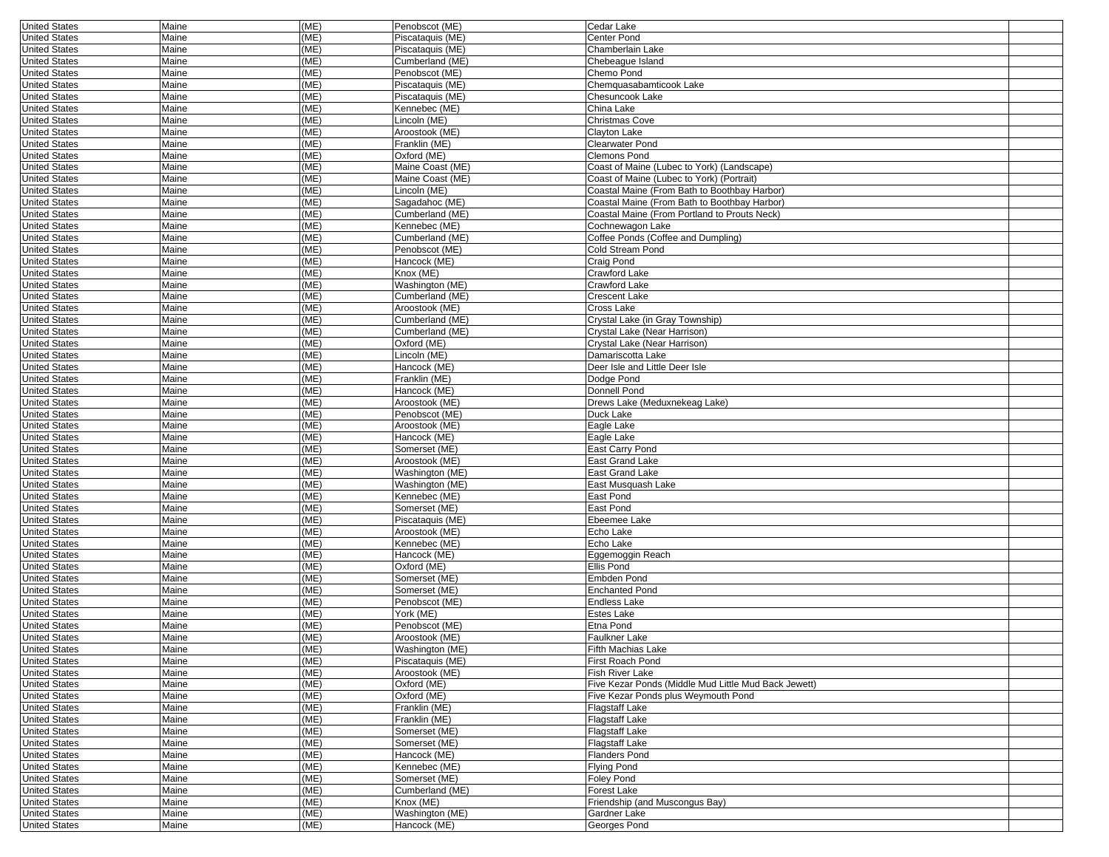| <b>United States</b> | Maine | (ME) | Penobscot (ME)   | Cedar Lake                                           |  |
|----------------------|-------|------|------------------|------------------------------------------------------|--|
| <b>United States</b> | Maine | (ME) | Piscataquis (ME) | Center Pond                                          |  |
| <b>United States</b> | Maine | (ME) | Piscataquis (ME) | Chamberlain Lake                                     |  |
| <b>United States</b> | Maine | (ME) | Cumberland (ME)  | Chebeaque Island                                     |  |
| <b>United States</b> | Maine | (ME) | Penobscot (ME)   | Chemo Pond                                           |  |
| <b>United States</b> | Maine | (ME) | Piscataquis (ME) | Chemquasabamticook Lake                              |  |
| <b>United States</b> | Maine | (ME) | Piscataquis (ME) | <b>Chesuncook Lake</b>                               |  |
|                      |       | (ME) | Kennebec (ME)    | China Lake                                           |  |
| <b>United States</b> | Maine |      |                  |                                                      |  |
| <b>United States</b> | Maine | (ME) | Lincoln (ME)     | Christmas Cove                                       |  |
| <b>United States</b> | Maine | (ME) | Aroostook (ME)   | Clayton Lake                                         |  |
| <b>United States</b> | Maine | (ME) | Franklin (ME)    | Clearwater Pond                                      |  |
| <b>United States</b> | Maine | (ME) | Oxford (ME)      | <b>Clemons Pond</b>                                  |  |
| <b>United States</b> | Maine | (ME) | Maine Coast (ME) | Coast of Maine (Lubec to York) (Landscape)           |  |
| <b>United States</b> | Maine | (ME) | Maine Coast (ME) | Coast of Maine (Lubec to York) (Portrait)            |  |
| <b>United States</b> | Maine | (ME) | Lincoln (ME)     | Coastal Maine (From Bath to Boothbay Harbor)         |  |
| <b>United States</b> | Maine | (ME) | Sagadahoc (ME)   | Coastal Maine (From Bath to Boothbay Harbor)         |  |
|                      |       |      | Cumberland (ME)  |                                                      |  |
| <b>United States</b> | Maine | (ME) |                  | Coastal Maine (From Portland to Prouts Neck)         |  |
| <b>United States</b> | Maine | (ME) | Kennebec (ME)    | Cochnewagon Lake                                     |  |
| <b>United States</b> | Maine | (ME) | Cumberland (ME)  | Coffee Ponds (Coffee and Dumpling)                   |  |
| <b>United States</b> | Maine | (ME) | Penobscot (ME)   | Cold Stream Pond                                     |  |
| <b>United States</b> | Maine | (ME) | Hancock (ME)     | Craig Pond                                           |  |
| <b>United States</b> | Maine | (ME) | Knox (ME)        | <b>Crawford Lake</b>                                 |  |
| <b>United States</b> | Maine | (ME) | Washington (ME)  | Crawford Lake                                        |  |
| <b>United States</b> | Maine | (ME) | Cumberland (ME)  | Crescent Lake                                        |  |
| <b>United States</b> | Maine | (ME) | Aroostook (ME)   | Cross Lake                                           |  |
|                      | Maine | (ME) | Cumberland (ME)  |                                                      |  |
| <b>United States</b> |       |      |                  | Crystal Lake (in Gray Township)                      |  |
| <b>United States</b> | Maine | (ME) | Cumberland (ME)  | Crystal Lake (Near Harrison)                         |  |
| <b>United States</b> | Maine | (ME) | Oxford (ME)      | Crystal Lake (Near Harrison)                         |  |
| <b>United States</b> | Maine | (ME) | Lincoln (ME)     | Damariscotta Lake                                    |  |
| <b>United States</b> | Maine | (ME) | Hancock (ME)     | Deer Isle and Little Deer Isle                       |  |
| <b>United States</b> | Maine | (ME) | Franklin (ME)    | Dodge Pond                                           |  |
| <b>United States</b> | Maine | (ME) | Hancock (ME)     | Donnell Pond                                         |  |
| <b>United States</b> | Maine | (ME) | Aroostook (ME)   | Drews Lake (Meduxnekeag Lake)                        |  |
| <b>United States</b> | Maine | (ME) | Penobscot (ME)   | Duck Lake                                            |  |
| <b>United States</b> | Maine | (ME) | Aroostook (ME)   | Eagle Lake                                           |  |
|                      |       |      |                  |                                                      |  |
| <b>United States</b> | Maine | (ME) | Hancock (ME)     | Eagle Lake                                           |  |
| <b>United States</b> | Maine | (ME) | Somerset (ME)    | East Carry Pond                                      |  |
| <b>United States</b> | Maine | (ME) | Aroostook (ME)   | East Grand Lake                                      |  |
| <b>United States</b> | Maine | (ME) | Washington (ME)  | East Grand Lake                                      |  |
| <b>United States</b> | Maine | (ME) | Washington (ME)  | East Musquash Lake                                   |  |
| <b>United States</b> | Maine | (ME) | Kennebec (ME)    | East Pond                                            |  |
| <b>United States</b> | Maine | (ME) | Somerset (ME)    | East Pond                                            |  |
| <b>United States</b> | Maine | (ME) | Piscataquis (ME) | Ebeemee Lake                                         |  |
| <b>United States</b> | Maine | (ME) | Aroostook (ME)   | Echo Lake                                            |  |
| <b>United States</b> | Maine | (ME) | Kennebec (ME)    | Echo Lake                                            |  |
|                      |       |      |                  |                                                      |  |
| <b>United States</b> | Maine | (ME) | Hancock (ME)     | Eggemoggin Reach                                     |  |
| <b>United States</b> | Maine | (ME) | Oxford (ME)      | Ellis Pond                                           |  |
| <b>United States</b> | Maine | (ME) | Somerset (ME)    | Embden Pond                                          |  |
| <b>United States</b> | Maine | (ME) | Somerset (ME)    | <b>Enchanted Pond</b>                                |  |
| <b>United States</b> | Maine | (ME) | Penobscot (ME)   | <b>Endless Lake</b>                                  |  |
| <b>United States</b> | Maine | (ME) | York (ME)        | Estes Lake                                           |  |
| <b>United States</b> | Maine | (ME) | Penobscot (ME)   | Etna Pond                                            |  |
| <b>United States</b> | Maine | (ME) | Aroostook (ME)   | Faulkner Lake                                        |  |
|                      |       |      |                  |                                                      |  |
| United States        | Maine | (ME) | Washington (ME)  | Fifth Machias Lake                                   |  |
| <b>United States</b> | Maine | (ME) | Piscataquis (ME) | First Roach Pond                                     |  |
| <b>United States</b> | Maine | (ME) | Aroostook (ME)   | Fish River Lake                                      |  |
| <b>United States</b> | Maine | (ME) | Oxford (ME)      | Five Kezar Ponds (Middle Mud Little Mud Back Jewett) |  |
| <b>United States</b> | Maine | (ME) | Oxford (ME)      | Five Kezar Ponds plus Weymouth Pond                  |  |
| <b>United States</b> | Maine | (ME) | Franklin (ME)    | Flagstaff Lake                                       |  |
| <b>United States</b> | Maine | (ME) | Franklin (ME)    | Flagstaff Lake                                       |  |
| <b>United States</b> | Maine | (ME) | Somerset (ME)    | Flagstaff Lake                                       |  |
| <b>United States</b> | Maine | (ME) | Somerset (ME)    | <b>Flagstaff Lake</b>                                |  |
| <b>United States</b> | Maine | (ME) | Hancock (ME)     | <b>Flanders Pond</b>                                 |  |
|                      |       |      |                  |                                                      |  |
| <b>United States</b> | Maine | (ME) | Kennebec (ME)    | Flying Pond                                          |  |
| <b>United States</b> | Maine | (ME) | Somerset (ME)    | Foley Pond                                           |  |
| <b>United States</b> | Maine | (ME) | Cumberland (ME)  | Forest Lake                                          |  |
| <b>United States</b> | Maine | (ME) | Knox (ME)        | Friendship (and Muscongus Bay)                       |  |
| <b>United States</b> | Maine | (ME) | Washington (ME)  | Gardner Lake                                         |  |
| <b>United States</b> | Maine | (ME) | Hancock (ME)     | Georges Pond                                         |  |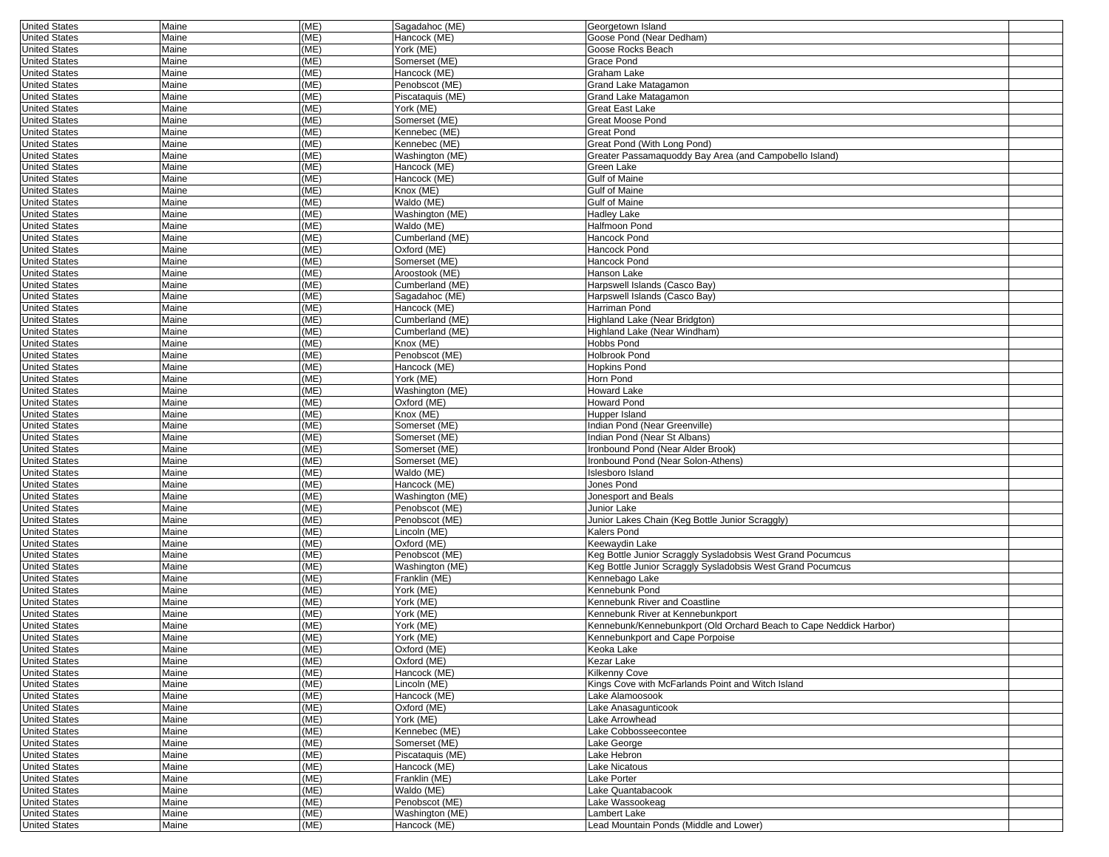| <b>United States</b> | Maine | (ME) | Sagadahoc (ME)   | Georgetown Island                                                  |  |
|----------------------|-------|------|------------------|--------------------------------------------------------------------|--|
| <b>United States</b> | Maine | (ME) | Hancock (ME)     | Goose Pond (Near Dedham)                                           |  |
| <b>United States</b> | Maine | (ME) | York (ME)        | Goose Rocks Beach                                                  |  |
| <b>United States</b> | Maine | (ME) | Somerset (ME)    | Grace Pond                                                         |  |
| <b>United States</b> | Maine | (ME) | Hancock (ME)     | Graham Lake                                                        |  |
| <b>United States</b> | Maine | (ME) | Penobscot (ME)   | Grand Lake Matagamon                                               |  |
| <b>United States</b> | Maine | (ME) | Piscataquis (ME) | Grand Lake Matagamon                                               |  |
| <b>United States</b> | Maine | (ME) | York (ME)        | Great East Lake                                                    |  |
|                      |       |      |                  |                                                                    |  |
| <b>United States</b> | Maine | (ME) | Somerset (ME)    | Great Moose Pond                                                   |  |
| <b>United States</b> | Maine | (ME) | Kennebec (ME)    | Great Pond                                                         |  |
| <b>United States</b> | Maine | (ME) | Kennebec (ME)    | Great Pond (With Long Pond)                                        |  |
| <b>United States</b> | Maine | (ME) | Washington (ME)  | Greater Passamaquoddy Bay Area (and Campobello Island)             |  |
| <b>United States</b> | Maine | (ME) | Hancock (ME)     | Green Lake                                                         |  |
| <b>United States</b> | Maine | (ME) | Hancock (ME)     | <b>Gulf of Maine</b>                                               |  |
| <b>United States</b> | Maine | (ME) | Knox (ME)        | <b>Gulf of Maine</b>                                               |  |
| <b>United States</b> | Maine | (ME) | Waldo (ME)       | Gulf of Maine                                                      |  |
| <b>United States</b> | Maine | (ME) | Washington (ME)  | <b>Hadley Lake</b>                                                 |  |
| <b>United States</b> | Maine | (ME) | Waldo (ME)       | Halfmoon Pond                                                      |  |
| <b>United States</b> | Maine | (ME) | Cumberland (ME)  | Hancock Pond                                                       |  |
|                      |       | (ME) |                  |                                                                    |  |
| <b>United States</b> | Maine |      | Oxford (ME)      | Hancock Pond                                                       |  |
| <b>United States</b> | Maine | (ME) | Somerset (ME)    | Hancock Pond                                                       |  |
| <b>United States</b> | Maine | (ME) | Aroostook (ME)   | Hanson Lake                                                        |  |
| <b>United States</b> | Maine | (ME) | Cumberland (ME)  | Harpswell Islands (Casco Bay)                                      |  |
| <b>United States</b> | Maine | (ME) | Sagadahoc (ME)   | Harpswell Islands (Casco Bay)                                      |  |
| <b>United States</b> | Maine | (ME) | Hancock (ME)     | Harriman Pond                                                      |  |
| <b>United States</b> | Maine | (ME) | Cumberland (ME)  | Highland Lake (Near Bridgton)                                      |  |
| <b>United States</b> | Maine | (ME) | Cumberland (ME)  | Highland Lake (Near Windham)                                       |  |
| <b>United States</b> | Maine | (ME) | Knox (ME)        | Hobbs Pond                                                         |  |
| <b>United States</b> | Maine | (ME) | Penobscot (ME)   | <b>Holbrook Pond</b>                                               |  |
| <b>United States</b> | Maine | (ME) | Hancock (ME)     | <b>Hopkins Pond</b>                                                |  |
|                      |       |      | York (ME)        |                                                                    |  |
| <b>United States</b> | Maine | (ME) |                  | Horn Pond                                                          |  |
| <b>United States</b> | Maine | (ME) | Washington (ME)  | <b>Howard Lake</b>                                                 |  |
| <b>United States</b> | Maine | (ME) | Oxford (ME)      | <b>Howard Pond</b>                                                 |  |
| <b>United States</b> | Maine | (ME) | Knox (ME)        | Hupper Island                                                      |  |
| <b>United States</b> | Maine | (ME) | Somerset (ME)    | Indian Pond (Near Greenville)                                      |  |
| <b>United States</b> | Maine | (ME) | Somerset (ME)    | Indian Pond (Near St Albans)                                       |  |
| <b>United States</b> | Maine | (ME) | Somerset (ME)    | Ironbound Pond (Near Alder Brook)                                  |  |
| <b>United States</b> | Maine | (ME) | Somerset (ME)    | Ironbound Pond (Near Solon-Athens)                                 |  |
| <b>United States</b> | Maine | (ME) | Waldo (ME)       | Islesboro Island                                                   |  |
| <b>United States</b> | Maine | (ME) | Hancock (ME)     | Jones Pond                                                         |  |
|                      |       | (ME) |                  |                                                                    |  |
| <b>United States</b> | Maine |      | Washington (ME)  | Jonesport and Beals                                                |  |
| <b>United States</b> | Maine | (ME) | Penobscot (ME)   | Junior Lake                                                        |  |
| <b>United States</b> | Maine | (ME) | Penobscot (ME)   | Junior Lakes Chain (Keg Bottle Junior Scraggly)                    |  |
| <b>United States</b> | Maine | (ME) | Lincoln (ME)     | Kalers Pond                                                        |  |
| <b>United States</b> | Maine | (ME) | Oxford (ME)      | Keewaydin Lake                                                     |  |
| <b>United States</b> | Maine | (ME) | Penobscot (ME)   | Keg Bottle Junior Scraggly Sysladobsis West Grand Pocumcus         |  |
| <b>United States</b> | Maine | (ME) | Washington (ME)  | Keg Bottle Junior Scraggly Sysladobsis West Grand Pocumcus         |  |
| <b>United States</b> | Maine | (ME) | Franklin (ME)    | Kennebago Lake                                                     |  |
| <b>United States</b> | Maine | (ME) | York (ME)        | Kennebunk Pond                                                     |  |
| <b>United States</b> | Maine | (ME) | York (ME)        | Kennebunk River and Coastline                                      |  |
| <b>United States</b> | Maine | (ME) | York (ME)        | Kennebunk River at Kennebunkport                                   |  |
|                      |       |      |                  |                                                                    |  |
| <b>United States</b> | Maine | (ME) | York (ME)        | Kennebunk/Kennebunkport (Old Orchard Beach to Cape Neddick Harbor) |  |
| <b>United States</b> | Maine | (ME) | York (ME)        | Kennebunkport and Cape Porpoise                                    |  |
| United States        | Maine | (ME) | Oxford (ME)      | Keoka Lake                                                         |  |
| <b>United States</b> | Maine | (ME) | Oxford (ME)      | Kezar Lake                                                         |  |
| <b>United States</b> | Maine | (ME) | Hancock (ME)     | Kilkenny Cove                                                      |  |
| <b>United States</b> | Maine | (ME) | Lincoln (ME)     | Kings Cove with McFarlands Point and Witch Island                  |  |
| <b>United States</b> | Maine | (ME) | Hancock (ME)     | Lake Alamoosook                                                    |  |
| <b>United States</b> | Maine | (ME) | Oxford (ME)      | Lake Anasagunticook                                                |  |
| <b>United States</b> | Maine | (ME) | York (ME)        | Lake Arrowhead                                                     |  |
| <b>United States</b> | Maine | (ME) | Kennebec (ME)    | Lake Cobbosseecontee                                               |  |
| <b>United States</b> | Maine | (ME) | Somerset (ME)    |                                                                    |  |
|                      |       |      |                  | Lake George                                                        |  |
| <b>United States</b> | Maine | (ME) | Piscataquis (ME) | Lake Hebron                                                        |  |
| <b>United States</b> | Maine | (ME) | Hancock (ME)     | Lake Nicatous                                                      |  |
| <b>United States</b> | Maine | (ME) | Franklin (ME)    | Lake Porter                                                        |  |
| <b>United States</b> | Maine | (ME) | Waldo (ME)       | Lake Quantabacook                                                  |  |
| <b>United States</b> | Maine | (ME) | Penobscot (ME)   | Lake Wassookeag                                                    |  |
| <b>United States</b> | Maine | (ME) | Washington (ME)  | Lambert Lake                                                       |  |
| <b>United States</b> | Maine | (ME) | Hancock (ME)     | Lead Mountain Ponds (Middle and Lower)                             |  |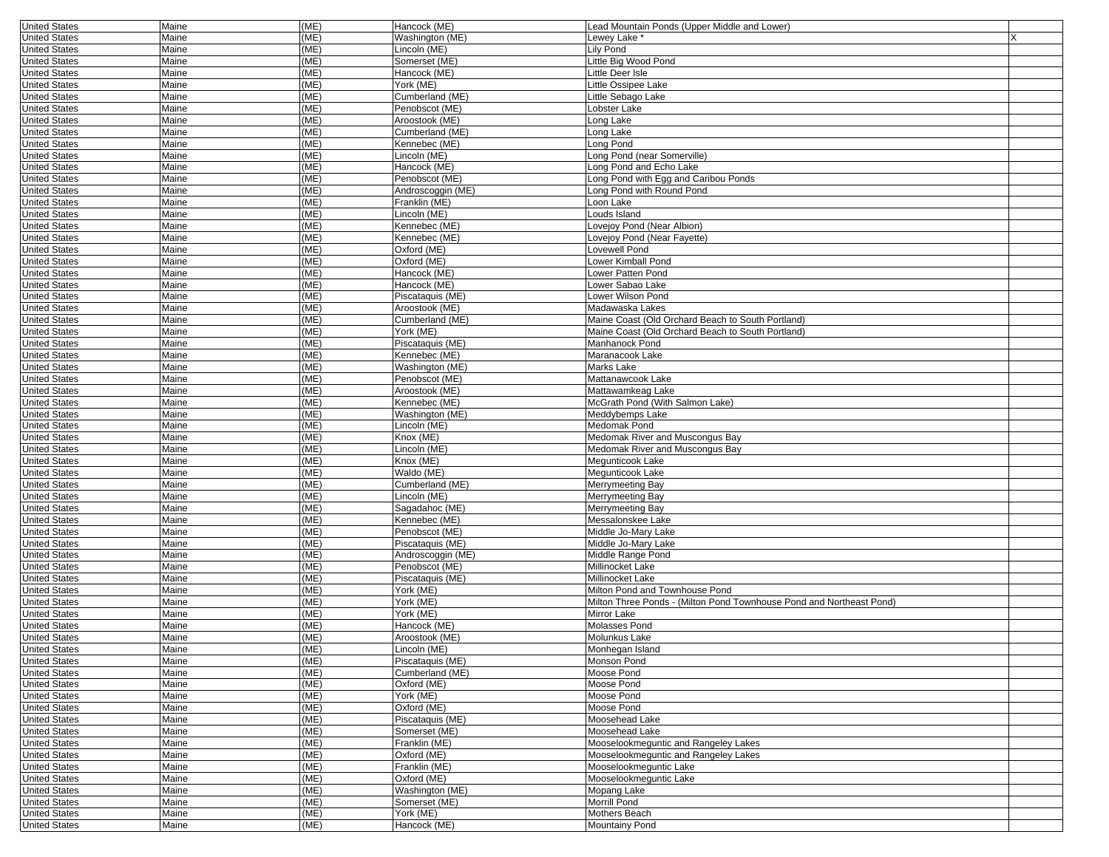| <b>United States</b>                         | Maine                 | (ME)         | Hancock (ME)                     | Lead Mountain Ponds (Upper Middle and Lower)                         |  |
|----------------------------------------------|-----------------------|--------------|----------------------------------|----------------------------------------------------------------------|--|
| <b>United States</b>                         | Maine                 | (ME)         | Washington (ME)                  | Lewey Lake *                                                         |  |
| <b>United States</b>                         | Maine                 | (ME)         | _incoln (ME)                     | Lily Pond                                                            |  |
| <b>United States</b>                         | Maine                 | (ME)         | Somerset (ME)                    | Little Big Wood Pond                                                 |  |
| <b>United States</b>                         | Maine                 | (ME)         | Hancock (ME)                     | Little Deer Isle                                                     |  |
| <b>United States</b>                         | Maine                 | (ME)         | York (ME)                        | Little Ossipee Lake                                                  |  |
| <b>United States</b>                         | Maine                 | (ME)         | Cumberland (ME)                  | Little Sebago Lake                                                   |  |
| <b>United States</b>                         | Maine                 | (ME)         | Penobscot (ME)                   | Lobster Lake                                                         |  |
| <b>United States</b>                         | Maine                 | (ME)         | Aroostook (ME)                   | ong Lake                                                             |  |
| <b>United States</b>                         | Maine                 | (ME)         | Cumberland (ME)                  | Long Lake                                                            |  |
| <b>United States</b>                         | Maine                 | (ME)         | Kennebec (ME)                    | Long Pond                                                            |  |
| <b>United States</b>                         | Maine                 | (ME)         | Lincoln (ME)                     | Long Pond (near Somerville)                                          |  |
| <b>United States</b>                         | Maine                 | (ME)         | Hancock (ME)                     | Long Pond and Echo Lake                                              |  |
| <b>United States</b>                         | Maine                 | (ME)         | Penobscot (ME)                   | ong Pond with Egg and Caribou Ponds                                  |  |
| <b>United States</b>                         | Maine                 | (ME)         | Androscoggin (ME)                | Long Pond with Round Pond                                            |  |
| <b>United States</b>                         | Maine                 | (ME)         | Franklin (ME)                    | Loon Lake                                                            |  |
| <b>United States</b>                         | Maine                 | (ME)         | Lincoln (ME)                     | Louds Island                                                         |  |
| <b>United States</b>                         | Maine                 | (ME)         | Kennebec (ME)                    | Lovejoy Pond (Near Albion)                                           |  |
| <b>United States</b>                         | Maine                 | (ME)         | Kennebec (ME)                    | Lovejoy Pond (Near Fayette)                                          |  |
| <b>United States</b>                         | Maine                 | (ME)         | Oxford (ME)                      | Lovewell Pond                                                        |  |
| <b>United States</b>                         | Maine                 | (ME)         | Oxford (ME)                      | Lower Kimball Pond                                                   |  |
| <b>United States</b>                         | Maine                 | (ME)         | Hancock (ME)                     | Lower Patten Pond                                                    |  |
| <b>United States</b>                         | Maine                 | (ME)         | Hancock (ME)                     | Lower Sabao Lake                                                     |  |
| <b>United States</b>                         | Maine                 | (ME)         | Piscataquis (ME)                 | Lower Wilson Pond                                                    |  |
| <b>United States</b>                         | Maine                 | (ME)         | Aroostook (ME)                   | Madawaska Lakes                                                      |  |
| <b>United States</b>                         | Maine                 | (ME)         | Cumberland (ME)                  | Maine Coast (Old Orchard Beach to South Portland)                    |  |
| <b>United States</b>                         | Maine                 | (ME)         | York (ME)                        | Maine Coast (Old Orchard Beach to South Portland)                    |  |
| <b>United States</b>                         | Maine                 | (ME)         | Piscataquis (ME)                 | Manhanock Pond                                                       |  |
| <b>United States</b><br><b>United States</b> | Maine                 | (ME)         | Kennebec (ME)                    | Maranacook Lake<br>Marks Lake                                        |  |
|                                              | Maine                 | (ME)         | Washington (ME)                  |                                                                      |  |
| <b>United States</b><br><b>United States</b> | Maine<br>Maine        | (ME)<br>(ME) | Penobscot (ME)<br>Aroostook (ME) | Mattanawcook Lake<br>Mattawamkeag Lake                               |  |
| <b>United States</b>                         | Maine                 | (ME)         | Kennebec (ME)                    | McGrath Pond (With Salmon Lake)                                      |  |
| <b>United States</b>                         | Maine                 | (ME)         | Washington (ME)                  | Meddybemps Lake                                                      |  |
| <b>United States</b>                         | Maine                 | (ME)         | Lincoln (ME)                     | Medomak Pond                                                         |  |
| <b>United States</b>                         | Maine                 | (ME)         | Knox (ME)                        | Medomak River and Muscongus Bay                                      |  |
| <b>United States</b>                         | Maine                 | (ME)         | Lincoln (ME)                     | Medomak River and Muscongus Bay                                      |  |
| <b>United States</b>                         | Maine                 | (ME)         | Knox (ME)                        | Megunticook Lake                                                     |  |
| <b>United States</b>                         | Maine                 | (ME)         | Waldo (ME)                       | Megunticook Lake                                                     |  |
| <b>United States</b>                         | Maine                 | (ME)         | Cumberland (ME)                  | Merrymeeting Bay                                                     |  |
| <b>United States</b>                         | Maine                 | (ME)         | Lincoln (ME)                     | Merrymeeting Bay                                                     |  |
| <b>United States</b>                         | Maine                 | (ME)         | Sagadahoc (ME)                   | Merrymeeting Bay                                                     |  |
| <b>United States</b>                         | Maine                 | (ME)         | Kennebec (ME)                    | Messalonskee Lake                                                    |  |
| <b>United States</b>                         | Maine                 | (ME)         | Penobscot (ME)                   | Middle Jo-Mary Lake                                                  |  |
| <b>United States</b>                         | Maine                 | (ME)         | Piscataquis (ME)                 | Middle Jo-Mary Lake                                                  |  |
| <b>United States</b>                         | Maine                 | (ME)         | Androscoggin (ME)                | Middle Range Pond                                                    |  |
| <b>United States</b>                         | Maine                 | (ME)         | Penobscot (ME)                   | Millinocket Lake                                                     |  |
| <b>United States</b>                         | Maine                 | (ME)         | Piscataquis (ME)                 | Millinocket Lake                                                     |  |
| <b>United States</b>                         | Maine                 | (ME)         | York (ME)                        | Milton Pond and Townhouse Pond                                       |  |
| <b>United States</b>                         | Maine                 | (ME)         | York (ME)                        | Milton Three Ponds - (Milton Pond Townhouse Pond and Northeast Pond) |  |
| <b>United States</b>                         | Maine                 | (ME)         | York (ME)                        | Mirror Lake                                                          |  |
| <b>United States</b>                         | Maine                 | (ME)         | Hancock (ME)                     | Molasses Pond                                                        |  |
| <b>United States</b>                         | Maine                 | (ME)         | Aroostook (ME)                   | Molunkus Lake                                                        |  |
| <b>United States</b>                         | <b>Maine</b><br>Maine | (ME)<br>(ME) | Lincoln (ME)<br>Piscataquis (ME) | Monhegan Island                                                      |  |
| <b>United States</b><br><b>United States</b> | Maine                 | (ME)         | Cumberland (ME)                  | Monson Pond<br>Moose Pond                                            |  |
| <b>United States</b>                         | Maine                 | (ME)         | Oxford (ME)                      | Moose Pond                                                           |  |
| <b>United States</b>                         | Maine                 | (ME)         | York (ME)                        | Moose Pond                                                           |  |
| <b>United States</b>                         | Maine                 | (ME)         | Oxford (ME)                      | Moose Pond                                                           |  |
| <b>United States</b>                         | Maine                 | (ME)         | Piscataquis (ME)                 | Moosehead Lake                                                       |  |
| <b>United States</b>                         | Maine                 | (ME)         | Somerset (ME)                    | Moosehead Lake                                                       |  |
| <b>United States</b>                         | Maine                 | (ME)         | Franklin (ME)                    | Mooselookmeguntic and Rangeley Lakes                                 |  |
| <b>United States</b>                         | Maine                 | (ME)         | Oxford (ME)                      | Mooselookmeguntic and Rangeley Lakes                                 |  |
| <b>United States</b>                         | Maine                 | (ME)         | Franklin (ME)                    | Mooselookmeguntic Lake                                               |  |
| <b>United States</b>                         | Maine                 | (ME)         | Oxford (ME)                      | Mooselookmeguntic Lake                                               |  |
| <b>United States</b>                         | Maine                 | (ME)         | Washington (ME)                  | Mopang Lake                                                          |  |
| <b>United States</b>                         | Maine                 | (ME)         | Somerset (ME)                    | Morrill Pond                                                         |  |
| <b>United States</b>                         | Maine                 | (ME)         | York (ME)                        | Mothers Beach                                                        |  |
| <b>United States</b>                         | Maine                 | (ME)         | Hancock (ME)                     | Mountainy Pond                                                       |  |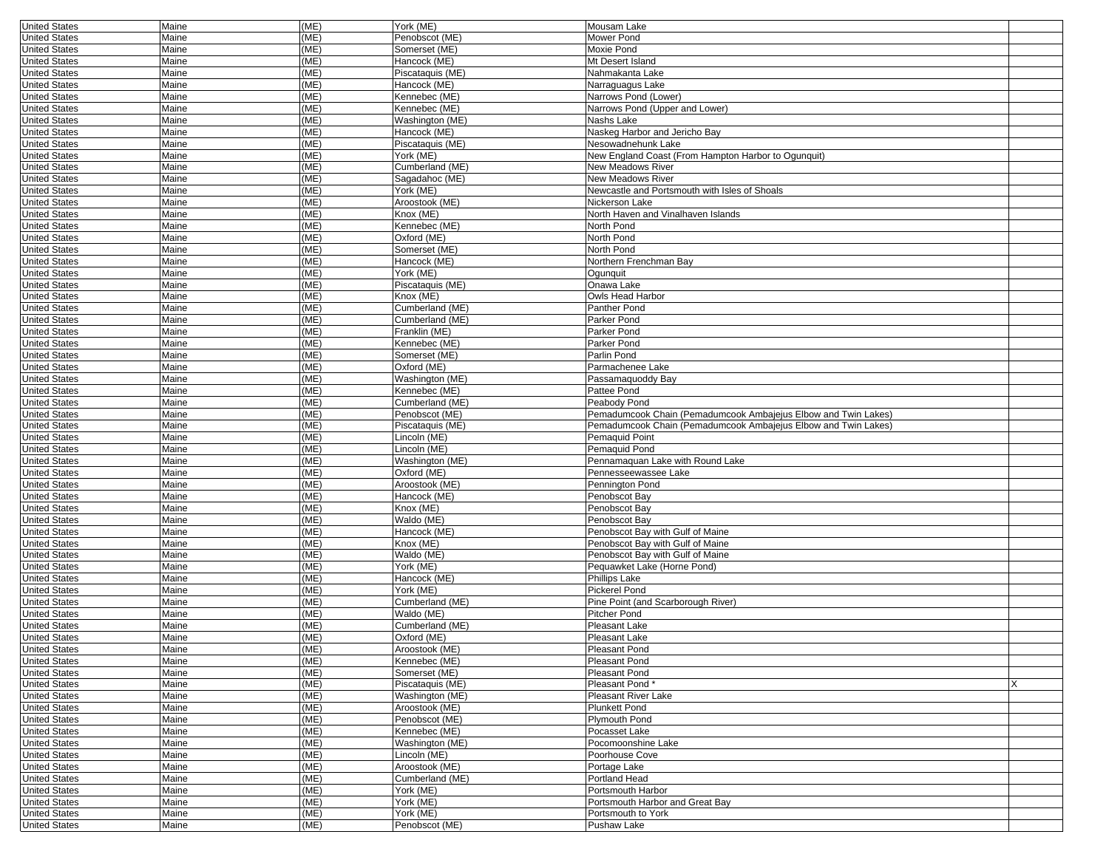| <b>United States</b>                         | Maine          | (ME)         | York (ME)                         | Mousam Lake                                                                    |  |
|----------------------------------------------|----------------|--------------|-----------------------------------|--------------------------------------------------------------------------------|--|
| <b>United States</b>                         | Maine          | (ME)         | Penobscot (ME)                    | Mower Pond                                                                     |  |
| <b>United States</b>                         | Maine          | (ME)         | Somerset (ME)                     | Moxie Pond                                                                     |  |
| <b>United States</b>                         | Maine          | (ME)         | Hancock (ME)                      | Mt Desert Island                                                               |  |
| <b>United States</b>                         | Maine          | (ME)         | Piscataquis (ME)                  | Nahmakanta Lake                                                                |  |
| <b>United States</b>                         | Maine          | (ME)         | Hancock (ME)                      | Narraguagus Lake                                                               |  |
| <b>United States</b>                         | Maine          | (ME)         | Kennebec (ME)                     | Narrows Pond (Lower)                                                           |  |
| <b>United States</b>                         | Maine          | (ME)         | Kennebec (ME)                     | Narrows Pond (Upper and Lower)                                                 |  |
| <b>United States</b>                         | Maine          | (ME)         | Washington (ME)                   | Nashs Lake                                                                     |  |
| <b>United States</b>                         | Maine          | (ME)         | Hancock (ME)                      | Naskeg Harbor and Jericho Bay                                                  |  |
| <b>United States</b>                         | Maine          | (ME)         | Piscataquis (ME)                  | Nesowadnehunk Lake                                                             |  |
| <b>United States</b>                         | Maine          | (ME)         | York (ME)                         | New England Coast (From Hampton Harbor to Ogunquit)                            |  |
| <b>United States</b>                         | Maine          | (ME)         | Cumberland (ME)                   | New Meadows River                                                              |  |
| <b>United States</b>                         | Maine          | (ME)         | Sagadahoc (ME)                    | <b>New Meadows River</b>                                                       |  |
| <b>United States</b>                         | Maine          | (ME)         | York (ME)                         | Newcastle and Portsmouth with Isles of Shoals                                  |  |
| <b>United States</b>                         | Maine          | (ME)         | Aroostook (ME)                    | Nickerson Lake                                                                 |  |
| <b>United States</b>                         | Maine          | (ME)         | Knox (ME)                         | North Haven and Vinalhaven Islands                                             |  |
| <b>United States</b>                         | Maine          | (ME)         | Kennebec (ME)                     | North Pond                                                                     |  |
| <b>United States</b>                         | Maine          | (ME)         | Oxford (ME)                       | North Pond                                                                     |  |
| <b>United States</b>                         | Maine          | (ME)         | Somerset (ME)                     | North Pond                                                                     |  |
| <b>United States</b>                         | Maine          | (ME)         | Hancock (ME)                      | Northern Frenchman Bay                                                         |  |
| <b>United States</b>                         | Maine          | (ME)         | York (ME)                         | Ogunquit                                                                       |  |
| <b>United States</b>                         | Maine          | (ME)         | Piscataquis (ME)                  | Onawa Lake                                                                     |  |
| <b>United States</b>                         | Maine          | (ME)         | Knox (ME)                         | Owls Head Harbor                                                               |  |
| <b>United States</b>                         | Maine          | (ME)         | Cumberland (ME)                   | Panther Pond                                                                   |  |
| <b>United States</b>                         | Maine          | (ME)         | Cumberland (ME)                   | Parker Pond                                                                    |  |
| <b>United States</b>                         | Maine          | (ME)         | Franklin (ME)                     | Parker Pond                                                                    |  |
| <b>United States</b>                         | Maine          | (ME)         | Kennebec (ME)                     | Parker Pond                                                                    |  |
| <b>United States</b>                         | Maine          | (ME)         | Somerset (ME)                     | Parlin Pond                                                                    |  |
| <b>United States</b>                         | Maine          | (ME)         | Oxford (ME)                       | Parmachenee Lake                                                               |  |
| <b>United States</b>                         | Maine          | (ME)         | Washington (ME)<br>Kennebec (ME)  | Passamaquoddy Bay                                                              |  |
| <b>United States</b><br><b>United States</b> | Maine<br>Maine | (ME)<br>(ME) | Cumberland (ME)                   | Pattee Pond                                                                    |  |
| <b>United States</b>                         | Maine          | (ME)         | Penobscot (ME)                    | Peabody Pond<br>Pemadumcook Chain (Pemadumcook Ambajejus Elbow and Twin Lakes) |  |
| <b>United States</b>                         | Maine          | (ME)         | Piscataquis (ME)                  | Pemadumcook Chain (Pemadumcook Ambajejus Elbow and Twin Lakes)                 |  |
| <b>United States</b>                         | Maine          | (ME)         | Lincoln (ME)                      | Pemaquid Point                                                                 |  |
| <b>United States</b>                         | Maine          | (ME)         | Lincoln (ME)                      | Pemaquid Pond                                                                  |  |
| <b>United States</b>                         | Maine          | (ME)         | Washington (ME)                   | Pennamaquan Lake with Round Lake                                               |  |
| <b>United States</b>                         | Maine          | (ME)         | Oxford (ME)                       | Pennesseewassee Lake                                                           |  |
| <b>United States</b>                         | Maine          | (ME)         | Aroostook (ME)                    | Pennington Pond                                                                |  |
| <b>United States</b>                         | Maine          | (ME)         | Hancock (ME)                      | Penobscot Bay                                                                  |  |
| <b>United States</b>                         | Maine          | (ME)         | Knox (ME)                         | Penobscot Bay                                                                  |  |
| <b>United States</b>                         | Maine          | (ME)         | Waldo (ME)                        | Penobscot Bay                                                                  |  |
| <b>United States</b>                         | Maine          | (ME)         | Hancock (ME)                      | Penobscot Bay with Gulf of Maine                                               |  |
| <b>United States</b>                         | Maine          | (ME)         | Knox (ME)                         | Penobscot Bay with Gulf of Maine                                               |  |
| <b>United States</b>                         | Maine          | (ME)         | Waldo (ME)                        | Penobscot Bay with Gulf of Maine                                               |  |
| <b>United States</b>                         | Maine          | (ME)         | York (ME)                         | Pequawket Lake (Horne Pond)                                                    |  |
| <b>United States</b>                         | Maine          | (ME)         | Hancock (ME)                      | Phillips Lake                                                                  |  |
| <b>United States</b>                         | Maine          | (ME)         | York (ME)                         | Pickerel Pond                                                                  |  |
| <b>United States</b>                         | Maine          | (ME)         | Cumberland (ME)                   | Pine Point (and Scarborough River)                                             |  |
| <b>United States</b>                         | Maine          | (ME)         | Waldo (ME)                        | Pitcher Pond                                                                   |  |
| <b>United States</b>                         | Maine          | (ME)         | Cumberland (ME)                   | <b>Pleasant Lake</b>                                                           |  |
| <b>United States</b>                         | Maine          | (ME)         | Oxford (ME)                       | Pleasant Lake                                                                  |  |
| United States                                | Maine          | (ME)<br>(ME) | Aroostook (ME)                    | Pleasant Pond                                                                  |  |
| <b>United States</b><br><b>United States</b> | Maine<br>Maine | (ME)         | Kennebec (ME)                     | Pleasant Pond<br>Pleasant Pond                                                 |  |
| <b>United States</b>                         |                | (ME)         | Somerset (ME)<br>Piscataquis (ME) | Pleasant Pond*                                                                 |  |
| <b>United States</b>                         | Maine<br>Maine | (ME)         | Washington (ME)                   | Pleasant River Lake                                                            |  |
| <b>United States</b>                         | Maine          | (ME)         | Aroostook (ME)                    | <b>Plunkett Pond</b>                                                           |  |
| <b>United States</b>                         | Maine          | (ME)         | Penobscot (ME)                    | Plymouth Pond                                                                  |  |
| <b>United States</b>                         | Maine          | (ME)         | Kennebec (ME)                     | Pocasset Lake                                                                  |  |
| <b>United States</b>                         | Maine          | (ME)         | Washington (ME)                   | Pocomoonshine Lake                                                             |  |
| <b>United States</b>                         | Maine          | (ME)         | Lincoln (ME)                      | Poorhouse Cove                                                                 |  |
| <b>United States</b>                         | Maine          | (ME)         | Aroostook (ME)                    | Portage Lake                                                                   |  |
| <b>United States</b>                         | Maine          | (ME)         | Cumberland (ME)                   | Portland Head                                                                  |  |
| <b>United States</b>                         | Maine          | (ME)         | York (ME)                         | Portsmouth Harbor                                                              |  |
| <b>United States</b>                         | Maine          | (ME)         | York (ME)                         | Portsmouth Harbor and Great Bay                                                |  |
| <b>United States</b>                         | Maine          | (ME)         | $\overline{Y}$ ork (ME)           | Portsmouth to York                                                             |  |
| <b>United States</b>                         | Maine          | (ME)         | Penobscot (ME)                    | Pushaw Lake                                                                    |  |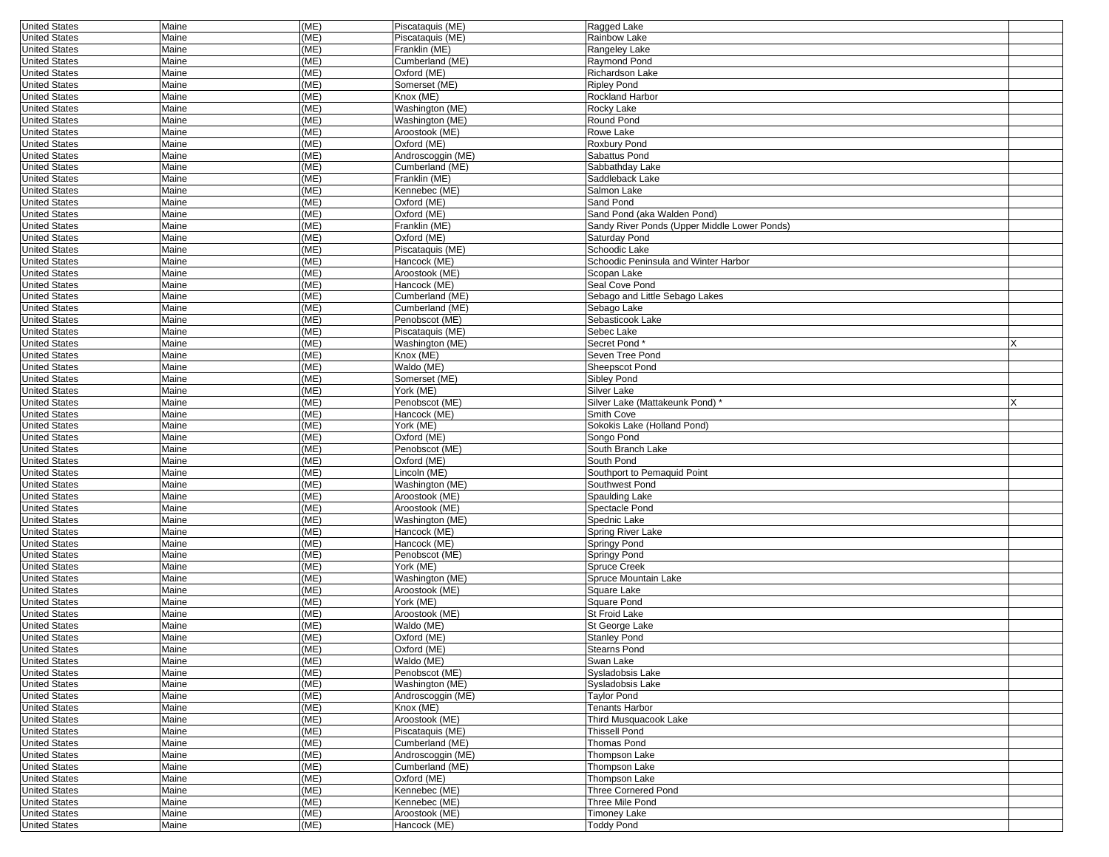| <b>United States</b> | Maine | (ME) | Piscataquis (ME)  | Ragged Lake                                  |  |
|----------------------|-------|------|-------------------|----------------------------------------------|--|
| <b>United States</b> | Maine | (ME) | Piscataquis (ME)  | <b>Rainbow Lake</b>                          |  |
| <b>United States</b> | Maine | (ME) | Franklin (ME)     | Rangeley Lake                                |  |
| <b>United States</b> | Maine | (ME) | Cumberland (ME)   | Raymond Pond                                 |  |
| <b>United States</b> | Maine | (ME) | Oxford (ME)       | Richardson Lake                              |  |
| <b>United States</b> | Maine | (ME) | Somerset (ME)     | <b>Ripley Pond</b>                           |  |
| <b>United States</b> | Maine | (ME) | Knox (ME)         | <b>Rockland Harbor</b>                       |  |
| <b>United States</b> | Maine | (ME) | Washington (ME)   | Rocky Lake                                   |  |
| <b>United States</b> | Maine | (ME) | Washington (ME)   | Round Pond                                   |  |
| <b>United States</b> | Maine | (ME) | Aroostook (ME)    | Rowe Lake                                    |  |
| <b>United States</b> | Maine | (ME) | Oxford (ME)       | Roxbury Pond                                 |  |
| <b>United States</b> | Maine | (ME) | Androscoggin (ME) | Sabattus Pond                                |  |
| <b>United States</b> | Maine | (ME) | Cumberland (ME)   | Sabbathday Lake                              |  |
| <b>United States</b> | Maine | (ME) | Franklin (ME)     | Saddleback Lake                              |  |
| <b>United States</b> | Maine | (ME) | Kennebec (ME)     | Salmon Lake                                  |  |
| <b>United States</b> | Maine | (ME) | Oxford (ME)       | Sand Pond                                    |  |
| <b>United States</b> | Maine | (ME) | Oxford (ME)       | Sand Pond (aka Walden Pond)                  |  |
| <b>United States</b> | Maine | (ME) | Franklin (ME)     | Sandy River Ponds (Upper Middle Lower Ponds) |  |
| <b>United States</b> | Maine | (ME) | Oxford (ME)       | Saturday Pond                                |  |
| <b>United States</b> | Maine | (ME) | Piscataquis (ME)  | Schoodic Lake                                |  |
| <b>United States</b> | Maine | (ME) | Hancock (ME)      | Schoodic Peninsula and Winter Harbor         |  |
| <b>United States</b> | Maine | (ME) |                   | Scopan Lake                                  |  |
|                      |       |      | Aroostook (ME)    | Seal Cove Pond                               |  |
| <b>United States</b> | Maine | (ME) | Hancock (ME)      |                                              |  |
| <b>United States</b> | Maine | (ME) | Cumberland (ME)   | Sebago and Little Sebago Lakes               |  |
| <b>United States</b> | Maine | (ME) | Cumberland (ME)   | Sebago Lake                                  |  |
| <b>United States</b> | Maine | (ME) | Penobscot (ME)    | Sebasticook Lake                             |  |
| <b>United States</b> | Maine | (ME) | Piscataguis (ME)  | Sebec Lake                                   |  |
| <b>United States</b> | Maine | (ME) | Washington (ME)   | Secret Pond*                                 |  |
| <b>United States</b> | Maine | (ME) | Knox (ME)         | Seven Tree Pond                              |  |
| <b>United States</b> | Maine | (ME) | Waldo (ME)        | Sheepscot Pond                               |  |
| <b>United States</b> | Maine | (ME) | Somerset (ME)     | Sibley Pond                                  |  |
| <b>United States</b> | Maine | (ME) | York (ME)         | Silver Lake                                  |  |
| <b>United States</b> | Maine | (ME) | Penobscot (ME)    | Silver Lake (Mattakeunk Pond)*               |  |
| <b>United States</b> | Maine | (ME) | Hancock (ME)      | Smith Cove                                   |  |
| <b>United States</b> | Maine | (ME) | York (ME)         | Sokokis Lake (Holland Pond)                  |  |
| <b>United States</b> | Maine | (ME) | Oxford (ME)       | Songo Pond                                   |  |
| <b>United States</b> | Maine | (ME) | Penobscot (ME)    | South Branch Lake                            |  |
| <b>United States</b> | Maine | (ME) | Oxford (ME)       | South Pond                                   |  |
| <b>United States</b> | Maine | (ME) | Lincoln (ME)      | Southport to Pemaquid Point                  |  |
| <b>United States</b> | Maine | (ME) | Washington (ME)   | Southwest Pond                               |  |
| <b>United States</b> | Maine | (ME) | Aroostook (ME)    | Spaulding Lake                               |  |
| <b>United States</b> | Maine | (ME) | Aroostook (ME)    | Spectacle Pond                               |  |
| <b>United States</b> | Maine | (ME) | Washington (ME)   | Spednic Lake                                 |  |
| <b>United States</b> | Maine | (ME) | Hancock (ME)      | Spring River Lake                            |  |
| <b>United States</b> | Maine | (ME) | Hancock (ME)      | Springy Pond                                 |  |
| <b>United States</b> | Maine | (ME) | Penobscot (ME)    | Springy Pond                                 |  |
| <b>United States</b> | Maine | (ME) | York (ME)         | Spruce Creek                                 |  |
| <b>United States</b> | Maine | (ME) | Washington (ME)   | Spruce Mountain Lake                         |  |
| <b>United States</b> | Maine | (ME) | Aroostook (ME)    | Square Lake                                  |  |
| <b>United States</b> | Maine | (ME) | York (ME)         | Square Pond                                  |  |
| <b>United States</b> | Maine | (ME) | Aroostook (ME)    | St Froid Lake                                |  |
| <b>United States</b> | Maine | (ME) | Waldo (ME)        | St George Lake                               |  |
| <b>United States</b> | Maine | (ME) | Oxford (ME)       | <b>Stanley Pond</b>                          |  |
| United States        | Maine | (ME) | Oxford (ME)       | Stearns Pond                                 |  |
| <b>United States</b> | Maine | (ME) | Waldo (ME)        | Swan Lake                                    |  |
| <b>United States</b> | Maine | (ME) | Penobscot (ME)    | Sysladobsis Lake                             |  |
| <b>United States</b> | Maine | (ME) | Washington (ME)   | Sysladobsis Lake                             |  |
| <b>United States</b> | Maine | (ME) | Androscoggin (ME) | Taylor Pond                                  |  |
| <b>United States</b> | Maine | (ME) | Knox (ME)         | Tenants Harbor                               |  |
| <b>United States</b> | Maine | (ME) | Aroostook (ME)    | Third Musquacook Lake                        |  |
| <b>United States</b> | Maine | (ME) | Piscataquis (ME)  | <b>Thissell Pond</b>                         |  |
| <b>United States</b> | Maine | (ME) | Cumberland (ME)   | <b>Thomas Pond</b>                           |  |
| <b>United States</b> | Maine | (ME) | Androscoggin (ME) | Thompson Lake                                |  |
| <b>United States</b> | Maine | (ME) | Cumberland (ME)   | Thompson Lake                                |  |
| <b>United States</b> | Maine | (ME) | Oxford (ME)       | Thompson Lake                                |  |
| <b>United States</b> | Maine | (ME) | Kennebec (ME)     | Three Cornered Pond                          |  |
| <b>United States</b> | Maine | (ME) | Kennebec (ME)     | Three Mile Pond                              |  |
| <b>United States</b> | Maine | (ME) | Aroostook (ME)    | <b>Timoney Lake</b>                          |  |
| <b>United States</b> | Maine | (ME) | Hancock (ME)      | <b>Toddy Pond</b>                            |  |
|                      |       |      |                   |                                              |  |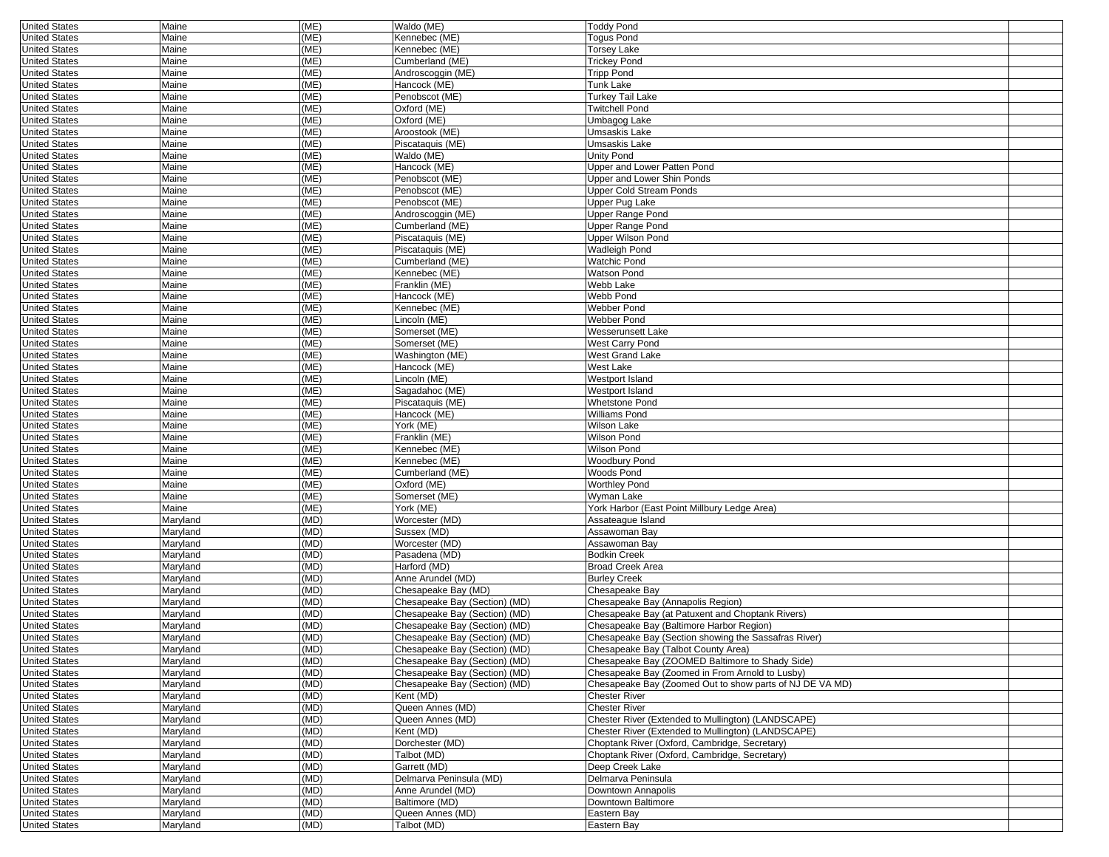| <b>United States</b> | Maine    | (ME) | Waldo (ME)                    | <b>Toddy Pond</b>                                        |  |
|----------------------|----------|------|-------------------------------|----------------------------------------------------------|--|
| <b>United States</b> | Maine    | (ME) | Kennebec (ME)                 | Togus Pond                                               |  |
| <b>United States</b> | Maine    | (ME) | Kennebec (ME)                 | Torsey Lake                                              |  |
| <b>United States</b> | Maine    | (ME) | Cumberland (ME)               | <b>Trickey Pond</b>                                      |  |
| <b>United States</b> | Maine    | (ME) | Androscoggin (ME)             | <b>Tripp Pond</b>                                        |  |
|                      |          |      |                               |                                                          |  |
| <b>United States</b> | Maine    | (ME) | Hancock (ME)                  | Tunk Lake                                                |  |
| <b>United States</b> | Maine    | (ME) | Penobscot (ME)                | Turkey Tail Lake                                         |  |
| <b>United States</b> | Maine    | (ME) | Oxford (ME)                   | <b>Twitchell Pond</b>                                    |  |
| <b>United States</b> | Maine    | (ME) | Oxford (ME)                   | Umbagog Lake                                             |  |
| <b>United States</b> | Maine    | (ME) | Aroostook (ME)                | Umsaskis Lake                                            |  |
| <b>United States</b> | Maine    | (ME) | Piscataquis (ME)              | Umsaskis Lake                                            |  |
|                      |          |      |                               |                                                          |  |
| <b>United States</b> | Maine    | (ME) | Waldo (ME)                    | Unity Pond                                               |  |
| <b>United States</b> | Maine    | (ME) | Hancock (ME)                  | Upper and Lower Patten Pond                              |  |
| <b>United States</b> | Maine    | (ME) | Penobscot (ME)                | Upper and Lower Shin Ponds                               |  |
| <b>United States</b> | Maine    | (ME) | Penobscot (ME)                | Upper Cold Stream Ponds                                  |  |
| <b>United States</b> | Maine    | (ME) | Penobscot (ME)                | Upper Pug Lake                                           |  |
| <b>United States</b> | Maine    | (ME) | Androscoggin (ME)             | <b>Upper Range Pond</b>                                  |  |
|                      |          |      |                               |                                                          |  |
| <b>United States</b> | Maine    | (ME) | Cumberland (ME)               | Upper Range Pond                                         |  |
| <b>United States</b> | Maine    | (ME) | Piscataquis (ME)              | Upper Wilson Pond                                        |  |
| <b>United States</b> | Maine    | (ME) | Piscataquis (ME)              | Wadleigh Pond                                            |  |
| <b>United States</b> | Maine    | (ME) | Cumberland (ME)               | <b>Watchic Pond</b>                                      |  |
| <b>United States</b> | Maine    | (ME) | Kennebec (ME)                 | Watson Pond                                              |  |
| <b>United States</b> | Maine    | (ME) | Franklin (ME)                 | Webb Lake                                                |  |
|                      |          |      |                               |                                                          |  |
| <b>United States</b> | Maine    | (ME) | Hancock (ME)                  | Webb Pond                                                |  |
| <b>United States</b> | Maine    | (ME) | Kennebec (ME)                 | Webber Pond                                              |  |
| <b>United States</b> | Maine    | (ME) | Lincoln (ME)                  | <b>Webber Pond</b>                                       |  |
| <b>United States</b> | Maine    | (ME) | Somerset (ME)                 | Wesserunsett Lake                                        |  |
| <b>United States</b> | Maine    | (ME) | Somerset (ME)                 | West Carry Pond                                          |  |
| <b>United States</b> | Maine    | (ME) | Washington (ME)               | West Grand Lake                                          |  |
|                      |          |      |                               |                                                          |  |
| <b>United States</b> | Maine    | (ME) | Hancock (ME)                  | West Lake                                                |  |
| <b>United States</b> | Maine    | (ME) | Lincoln (ME)                  | Westport Island                                          |  |
| <b>United States</b> | Maine    | (ME) | Sagadahoc (ME)                | Westport Island                                          |  |
| <b>United States</b> | Maine    | (ME) | Piscataquis (ME)              | <b>Whetstone Pond</b>                                    |  |
| <b>United States</b> | Maine    | (ME) | Hancock (ME)                  | Williams Pond                                            |  |
| <b>United States</b> | Maine    | (ME) | York (ME)                     | Wilson Lake                                              |  |
|                      |          | (ME) | Franklin (ME)                 |                                                          |  |
| <b>United States</b> | Maine    |      |                               | Wilson Pond                                              |  |
| <b>United States</b> | Maine    | (ME) | Kennebec (ME)                 | Wilson Pond                                              |  |
| <b>United States</b> | Maine    | (ME) | Kennebec (ME)                 | Woodbury Pond                                            |  |
| <b>United States</b> | Maine    | (ME) | Cumberland (ME)               | Woods Pond                                               |  |
| <b>United States</b> | Maine    | (ME) | Oxford (ME)                   | <b>Worthley Pond</b>                                     |  |
| <b>United States</b> | Maine    | (ME) | Somerset (ME)                 | Wyman Lake                                               |  |
|                      |          | (ME) | York (ME)                     |                                                          |  |
| <b>United States</b> | Maine    |      |                               | York Harbor (East Point Millbury Ledge Area)             |  |
| <b>United States</b> | Maryland | (MD) | Worcester (MD)                | Assateague Island                                        |  |
| <b>United States</b> | Maryland | (MD) | Sussex (MD)                   | Assawoman Bay                                            |  |
| <b>United States</b> | Maryland | (MD) | Worcester (MD)                | Assawoman Bay                                            |  |
| <b>United States</b> | Maryland | (MD) | Pasadena (MD)                 | <b>Bodkin Creek</b>                                      |  |
| <b>United States</b> | Maryland | (MD) | Harford (MD)                  | <b>Broad Creek Area</b>                                  |  |
| <b>United States</b> | Maryland | (MD) | Anne Arundel (MD)             | <b>Burley Creek</b>                                      |  |
|                      |          |      |                               |                                                          |  |
| <b>United States</b> | Maryland | (MD) | Chesapeake Bay (MD)           | Chesapeake Bay                                           |  |
| <b>United States</b> | Maryland | (MD) | Chesapeake Bay (Section) (MD) | Chesapeake Bay (Annapolis Region)                        |  |
| <b>United States</b> | Maryland | (MD) | Chesapeake Bay (Section) (MD) | Chesapeake Bay (at Patuxent and Choptank Rivers)         |  |
| <b>United States</b> | Maryland | (MD) | Chesapeake Bay (Section) (MD) | Chesapeake Bay (Baltimore Harbor Region)                 |  |
| <b>United States</b> | Maryland | (MD) | Chesapeake Bay (Section) (MD) | Chesapeake Bay (Section showing the Sassafras River)     |  |
|                      |          |      |                               |                                                          |  |
| <b>United States</b> | Maryland | (MD) | Chesapeake Bay (Section) (MD) | Chesapeake Bay (Talbot County Area)                      |  |
| <b>United States</b> | Maryland | (MD) | Chesapeake Bay (Section) (MD) | Chesapeake Bay (ZOOMED Baltimore to Shady Side)          |  |
| <b>United States</b> | Maryland | (MD) | Chesapeake Bay (Section) (MD) | Chesapeake Bay (Zoomed in From Arnold to Lusby)          |  |
| <b>United States</b> | Maryland | (MD) | Chesapeake Bay (Section) (MD) | Chesapeake Bay (Zoomed Out to show parts of NJ DE VA MD) |  |
| <b>United States</b> | Maryland | (MD) | Kent (MD)                     | <b>Chester River</b>                                     |  |
| <b>United States</b> | Maryland | (MD) | Queen Annes (MD)              | <b>Chester River</b>                                     |  |
| <b>United States</b> | Maryland | (MD) | Queen Annes (MD)              | Chester River (Extended to Mullington) (LANDSCAPE)       |  |
|                      |          |      |                               |                                                          |  |
| <b>United States</b> | Maryland | (MD) | Kent (MD)                     | Chester River (Extended to Mullington) (LANDSCAPE)       |  |
| <b>United States</b> | Maryland | (MD) | Dorchester (MD)               | Choptank River (Oxford, Cambridge, Secretary)            |  |
| <b>United States</b> | Maryland | (MD) | Talbot (MD)                   | Choptank River (Oxford, Cambridge, Secretary)            |  |
| <b>United States</b> | Maryland | (MD) | Garrett (MD)                  | Deep Creek Lake                                          |  |
| <b>United States</b> | Maryland | (MD) | Delmarva Peninsula (MD)       | Delmarva Peninsula                                       |  |
| <b>United States</b> | Maryland | (MD) | Anne Arundel (MD)             | Downtown Annapolis                                       |  |
|                      |          |      |                               |                                                          |  |
| <b>United States</b> | Maryland | (MD) | Baltimore (MD)                | Downtown Baltimore                                       |  |
| <b>United States</b> | Maryland | (MD) | Queen Annes (MD)              | Eastern Bay                                              |  |
| <b>United States</b> | Maryland | (MD) | Talbot (MD)                   | Eastern Bay                                              |  |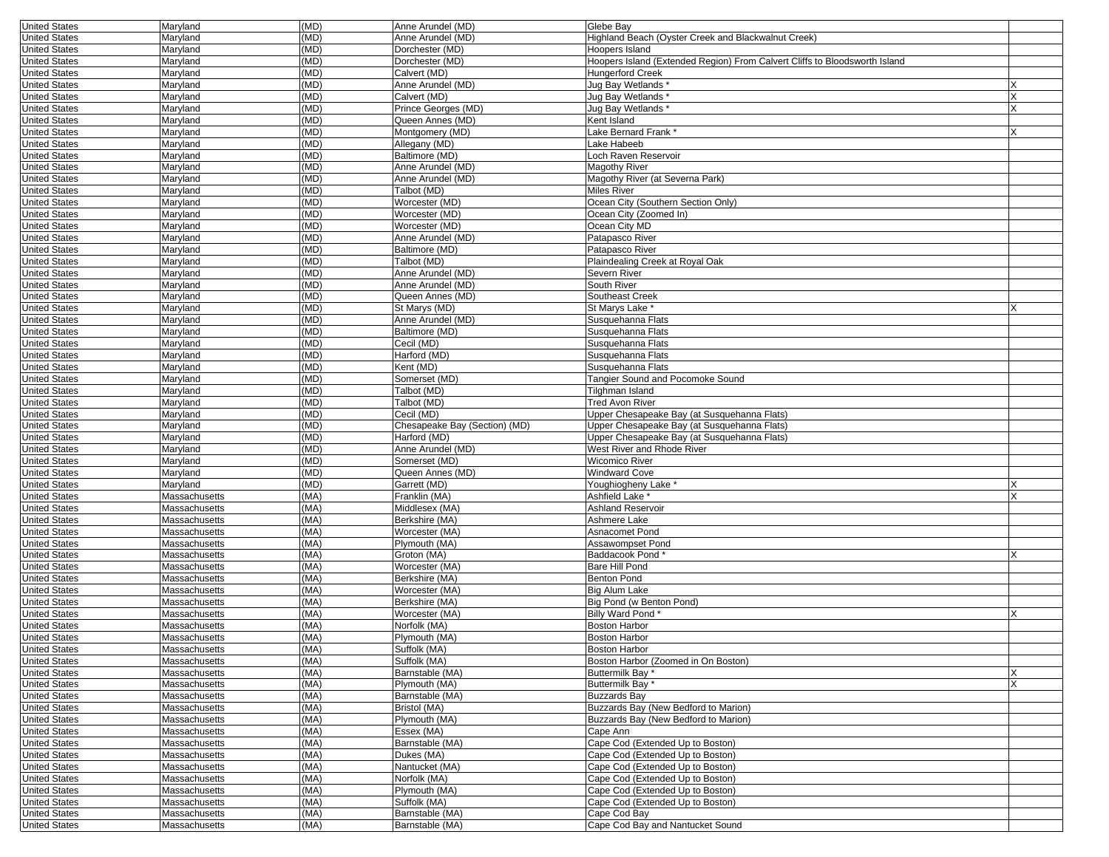| Maryland      |                                                                                                                                                                                                                                                                                                                                                                                                                                                                                                                                                       | Anne Arundel (MD)                                                                                                                                                                                                                                                                                                                            |                                                                                                                                                                                                                                                                                                                                                                                                                                                                                                                                                                                                                                                                                                                                                                                         |                                                                                                                                                                                                                                                                                                                                                                                                                                                                                                                                                                                                                                                                                                                                                                                                                                                                                                                                                                                                                  |
|---------------|-------------------------------------------------------------------------------------------------------------------------------------------------------------------------------------------------------------------------------------------------------------------------------------------------------------------------------------------------------------------------------------------------------------------------------------------------------------------------------------------------------------------------------------------------------|----------------------------------------------------------------------------------------------------------------------------------------------------------------------------------------------------------------------------------------------------------------------------------------------------------------------------------------------|-----------------------------------------------------------------------------------------------------------------------------------------------------------------------------------------------------------------------------------------------------------------------------------------------------------------------------------------------------------------------------------------------------------------------------------------------------------------------------------------------------------------------------------------------------------------------------------------------------------------------------------------------------------------------------------------------------------------------------------------------------------------------------------------|------------------------------------------------------------------------------------------------------------------------------------------------------------------------------------------------------------------------------------------------------------------------------------------------------------------------------------------------------------------------------------------------------------------------------------------------------------------------------------------------------------------------------------------------------------------------------------------------------------------------------------------------------------------------------------------------------------------------------------------------------------------------------------------------------------------------------------------------------------------------------------------------------------------------------------------------------------------------------------------------------------------|
| Maryland      |                                                                                                                                                                                                                                                                                                                                                                                                                                                                                                                                                       |                                                                                                                                                                                                                                                                                                                                              | Highland Beach (Oyster Creek and Blackwalnut Creek)                                                                                                                                                                                                                                                                                                                                                                                                                                                                                                                                                                                                                                                                                                                                     |                                                                                                                                                                                                                                                                                                                                                                                                                                                                                                                                                                                                                                                                                                                                                                                                                                                                                                                                                                                                                  |
| Maryland      | (MD)                                                                                                                                                                                                                                                                                                                                                                                                                                                                                                                                                  | Dorchester (MD)                                                                                                                                                                                                                                                                                                                              | Hoopers Island                                                                                                                                                                                                                                                                                                                                                                                                                                                                                                                                                                                                                                                                                                                                                                          |                                                                                                                                                                                                                                                                                                                                                                                                                                                                                                                                                                                                                                                                                                                                                                                                                                                                                                                                                                                                                  |
|               | (MD)                                                                                                                                                                                                                                                                                                                                                                                                                                                                                                                                                  |                                                                                                                                                                                                                                                                                                                                              |                                                                                                                                                                                                                                                                                                                                                                                                                                                                                                                                                                                                                                                                                                                                                                                         |                                                                                                                                                                                                                                                                                                                                                                                                                                                                                                                                                                                                                                                                                                                                                                                                                                                                                                                                                                                                                  |
|               |                                                                                                                                                                                                                                                                                                                                                                                                                                                                                                                                                       |                                                                                                                                                                                                                                                                                                                                              | <b>Hungerford Creek</b>                                                                                                                                                                                                                                                                                                                                                                                                                                                                                                                                                                                                                                                                                                                                                                 |                                                                                                                                                                                                                                                                                                                                                                                                                                                                                                                                                                                                                                                                                                                                                                                                                                                                                                                                                                                                                  |
|               |                                                                                                                                                                                                                                                                                                                                                                                                                                                                                                                                                       |                                                                                                                                                                                                                                                                                                                                              |                                                                                                                                                                                                                                                                                                                                                                                                                                                                                                                                                                                                                                                                                                                                                                                         |                                                                                                                                                                                                                                                                                                                                                                                                                                                                                                                                                                                                                                                                                                                                                                                                                                                                                                                                                                                                                  |
|               |                                                                                                                                                                                                                                                                                                                                                                                                                                                                                                                                                       |                                                                                                                                                                                                                                                                                                                                              |                                                                                                                                                                                                                                                                                                                                                                                                                                                                                                                                                                                                                                                                                                                                                                                         | X                                                                                                                                                                                                                                                                                                                                                                                                                                                                                                                                                                                                                                                                                                                                                                                                                                                                                                                                                                                                                |
|               |                                                                                                                                                                                                                                                                                                                                                                                                                                                                                                                                                       |                                                                                                                                                                                                                                                                                                                                              |                                                                                                                                                                                                                                                                                                                                                                                                                                                                                                                                                                                                                                                                                                                                                                                         |                                                                                                                                                                                                                                                                                                                                                                                                                                                                                                                                                                                                                                                                                                                                                                                                                                                                                                                                                                                                                  |
|               |                                                                                                                                                                                                                                                                                                                                                                                                                                                                                                                                                       |                                                                                                                                                                                                                                                                                                                                              |                                                                                                                                                                                                                                                                                                                                                                                                                                                                                                                                                                                                                                                                                                                                                                                         |                                                                                                                                                                                                                                                                                                                                                                                                                                                                                                                                                                                                                                                                                                                                                                                                                                                                                                                                                                                                                  |
|               |                                                                                                                                                                                                                                                                                                                                                                                                                                                                                                                                                       |                                                                                                                                                                                                                                                                                                                                              |                                                                                                                                                                                                                                                                                                                                                                                                                                                                                                                                                                                                                                                                                                                                                                                         |                                                                                                                                                                                                                                                                                                                                                                                                                                                                                                                                                                                                                                                                                                                                                                                                                                                                                                                                                                                                                  |
|               |                                                                                                                                                                                                                                                                                                                                                                                                                                                                                                                                                       |                                                                                                                                                                                                                                                                                                                                              |                                                                                                                                                                                                                                                                                                                                                                                                                                                                                                                                                                                                                                                                                                                                                                                         |                                                                                                                                                                                                                                                                                                                                                                                                                                                                                                                                                                                                                                                                                                                                                                                                                                                                                                                                                                                                                  |
|               |                                                                                                                                                                                                                                                                                                                                                                                                                                                                                                                                                       |                                                                                                                                                                                                                                                                                                                                              |                                                                                                                                                                                                                                                                                                                                                                                                                                                                                                                                                                                                                                                                                                                                                                                         |                                                                                                                                                                                                                                                                                                                                                                                                                                                                                                                                                                                                                                                                                                                                                                                                                                                                                                                                                                                                                  |
|               |                                                                                                                                                                                                                                                                                                                                                                                                                                                                                                                                                       |                                                                                                                                                                                                                                                                                                                                              |                                                                                                                                                                                                                                                                                                                                                                                                                                                                                                                                                                                                                                                                                                                                                                                         |                                                                                                                                                                                                                                                                                                                                                                                                                                                                                                                                                                                                                                                                                                                                                                                                                                                                                                                                                                                                                  |
|               |                                                                                                                                                                                                                                                                                                                                                                                                                                                                                                                                                       |                                                                                                                                                                                                                                                                                                                                              |                                                                                                                                                                                                                                                                                                                                                                                                                                                                                                                                                                                                                                                                                                                                                                                         |                                                                                                                                                                                                                                                                                                                                                                                                                                                                                                                                                                                                                                                                                                                                                                                                                                                                                                                                                                                                                  |
|               |                                                                                                                                                                                                                                                                                                                                                                                                                                                                                                                                                       |                                                                                                                                                                                                                                                                                                                                              |                                                                                                                                                                                                                                                                                                                                                                                                                                                                                                                                                                                                                                                                                                                                                                                         |                                                                                                                                                                                                                                                                                                                                                                                                                                                                                                                                                                                                                                                                                                                                                                                                                                                                                                                                                                                                                  |
|               |                                                                                                                                                                                                                                                                                                                                                                                                                                                                                                                                                       |                                                                                                                                                                                                                                                                                                                                              |                                                                                                                                                                                                                                                                                                                                                                                                                                                                                                                                                                                                                                                                                                                                                                                         |                                                                                                                                                                                                                                                                                                                                                                                                                                                                                                                                                                                                                                                                                                                                                                                                                                                                                                                                                                                                                  |
|               |                                                                                                                                                                                                                                                                                                                                                                                                                                                                                                                                                       |                                                                                                                                                                                                                                                                                                                                              |                                                                                                                                                                                                                                                                                                                                                                                                                                                                                                                                                                                                                                                                                                                                                                                         |                                                                                                                                                                                                                                                                                                                                                                                                                                                                                                                                                                                                                                                                                                                                                                                                                                                                                                                                                                                                                  |
| Maryland      |                                                                                                                                                                                                                                                                                                                                                                                                                                                                                                                                                       |                                                                                                                                                                                                                                                                                                                                              | Ocean City (Zoomed In)                                                                                                                                                                                                                                                                                                                                                                                                                                                                                                                                                                                                                                                                                                                                                                  |                                                                                                                                                                                                                                                                                                                                                                                                                                                                                                                                                                                                                                                                                                                                                                                                                                                                                                                                                                                                                  |
| Maryland      | (MD)                                                                                                                                                                                                                                                                                                                                                                                                                                                                                                                                                  | Worcester (MD)                                                                                                                                                                                                                                                                                                                               | Ocean City MD                                                                                                                                                                                                                                                                                                                                                                                                                                                                                                                                                                                                                                                                                                                                                                           |                                                                                                                                                                                                                                                                                                                                                                                                                                                                                                                                                                                                                                                                                                                                                                                                                                                                                                                                                                                                                  |
| Maryland      | (MD)                                                                                                                                                                                                                                                                                                                                                                                                                                                                                                                                                  | Anne Arundel (MD)                                                                                                                                                                                                                                                                                                                            | Patapasco River                                                                                                                                                                                                                                                                                                                                                                                                                                                                                                                                                                                                                                                                                                                                                                         |                                                                                                                                                                                                                                                                                                                                                                                                                                                                                                                                                                                                                                                                                                                                                                                                                                                                                                                                                                                                                  |
|               | (MD)                                                                                                                                                                                                                                                                                                                                                                                                                                                                                                                                                  | Baltimore (MD)                                                                                                                                                                                                                                                                                                                               | Patapasco River                                                                                                                                                                                                                                                                                                                                                                                                                                                                                                                                                                                                                                                                                                                                                                         |                                                                                                                                                                                                                                                                                                                                                                                                                                                                                                                                                                                                                                                                                                                                                                                                                                                                                                                                                                                                                  |
|               |                                                                                                                                                                                                                                                                                                                                                                                                                                                                                                                                                       |                                                                                                                                                                                                                                                                                                                                              |                                                                                                                                                                                                                                                                                                                                                                                                                                                                                                                                                                                                                                                                                                                                                                                         |                                                                                                                                                                                                                                                                                                                                                                                                                                                                                                                                                                                                                                                                                                                                                                                                                                                                                                                                                                                                                  |
|               |                                                                                                                                                                                                                                                                                                                                                                                                                                                                                                                                                       |                                                                                                                                                                                                                                                                                                                                              |                                                                                                                                                                                                                                                                                                                                                                                                                                                                                                                                                                                                                                                                                                                                                                                         |                                                                                                                                                                                                                                                                                                                                                                                                                                                                                                                                                                                                                                                                                                                                                                                                                                                                                                                                                                                                                  |
|               |                                                                                                                                                                                                                                                                                                                                                                                                                                                                                                                                                       |                                                                                                                                                                                                                                                                                                                                              |                                                                                                                                                                                                                                                                                                                                                                                                                                                                                                                                                                                                                                                                                                                                                                                         |                                                                                                                                                                                                                                                                                                                                                                                                                                                                                                                                                                                                                                                                                                                                                                                                                                                                                                                                                                                                                  |
|               |                                                                                                                                                                                                                                                                                                                                                                                                                                                                                                                                                       |                                                                                                                                                                                                                                                                                                                                              |                                                                                                                                                                                                                                                                                                                                                                                                                                                                                                                                                                                                                                                                                                                                                                                         |                                                                                                                                                                                                                                                                                                                                                                                                                                                                                                                                                                                                                                                                                                                                                                                                                                                                                                                                                                                                                  |
|               |                                                                                                                                                                                                                                                                                                                                                                                                                                                                                                                                                       |                                                                                                                                                                                                                                                                                                                                              |                                                                                                                                                                                                                                                                                                                                                                                                                                                                                                                                                                                                                                                                                                                                                                                         |                                                                                                                                                                                                                                                                                                                                                                                                                                                                                                                                                                                                                                                                                                                                                                                                                                                                                                                                                                                                                  |
|               |                                                                                                                                                                                                                                                                                                                                                                                                                                                                                                                                                       |                                                                                                                                                                                                                                                                                                                                              |                                                                                                                                                                                                                                                                                                                                                                                                                                                                                                                                                                                                                                                                                                                                                                                         |                                                                                                                                                                                                                                                                                                                                                                                                                                                                                                                                                                                                                                                                                                                                                                                                                                                                                                                                                                                                                  |
|               |                                                                                                                                                                                                                                                                                                                                                                                                                                                                                                                                                       |                                                                                                                                                                                                                                                                                                                                              |                                                                                                                                                                                                                                                                                                                                                                                                                                                                                                                                                                                                                                                                                                                                                                                         |                                                                                                                                                                                                                                                                                                                                                                                                                                                                                                                                                                                                                                                                                                                                                                                                                                                                                                                                                                                                                  |
|               |                                                                                                                                                                                                                                                                                                                                                                                                                                                                                                                                                       |                                                                                                                                                                                                                                                                                                                                              |                                                                                                                                                                                                                                                                                                                                                                                                                                                                                                                                                                                                                                                                                                                                                                                         |                                                                                                                                                                                                                                                                                                                                                                                                                                                                                                                                                                                                                                                                                                                                                                                                                                                                                                                                                                                                                  |
|               |                                                                                                                                                                                                                                                                                                                                                                                                                                                                                                                                                       |                                                                                                                                                                                                                                                                                                                                              |                                                                                                                                                                                                                                                                                                                                                                                                                                                                                                                                                                                                                                                                                                                                                                                         |                                                                                                                                                                                                                                                                                                                                                                                                                                                                                                                                                                                                                                                                                                                                                                                                                                                                                                                                                                                                                  |
|               |                                                                                                                                                                                                                                                                                                                                                                                                                                                                                                                                                       |                                                                                                                                                                                                                                                                                                                                              |                                                                                                                                                                                                                                                                                                                                                                                                                                                                                                                                                                                                                                                                                                                                                                                         |                                                                                                                                                                                                                                                                                                                                                                                                                                                                                                                                                                                                                                                                                                                                                                                                                                                                                                                                                                                                                  |
|               |                                                                                                                                                                                                                                                                                                                                                                                                                                                                                                                                                       |                                                                                                                                                                                                                                                                                                                                              |                                                                                                                                                                                                                                                                                                                                                                                                                                                                                                                                                                                                                                                                                                                                                                                         |                                                                                                                                                                                                                                                                                                                                                                                                                                                                                                                                                                                                                                                                                                                                                                                                                                                                                                                                                                                                                  |
|               |                                                                                                                                                                                                                                                                                                                                                                                                                                                                                                                                                       |                                                                                                                                                                                                                                                                                                                                              |                                                                                                                                                                                                                                                                                                                                                                                                                                                                                                                                                                                                                                                                                                                                                                                         |                                                                                                                                                                                                                                                                                                                                                                                                                                                                                                                                                                                                                                                                                                                                                                                                                                                                                                                                                                                                                  |
|               |                                                                                                                                                                                                                                                                                                                                                                                                                                                                                                                                                       |                                                                                                                                                                                                                                                                                                                                              |                                                                                                                                                                                                                                                                                                                                                                                                                                                                                                                                                                                                                                                                                                                                                                                         |                                                                                                                                                                                                                                                                                                                                                                                                                                                                                                                                                                                                                                                                                                                                                                                                                                                                                                                                                                                                                  |
|               |                                                                                                                                                                                                                                                                                                                                                                                                                                                                                                                                                       |                                                                                                                                                                                                                                                                                                                                              |                                                                                                                                                                                                                                                                                                                                                                                                                                                                                                                                                                                                                                                                                                                                                                                         |                                                                                                                                                                                                                                                                                                                                                                                                                                                                                                                                                                                                                                                                                                                                                                                                                                                                                                                                                                                                                  |
|               |                                                                                                                                                                                                                                                                                                                                                                                                                                                                                                                                                       |                                                                                                                                                                                                                                                                                                                                              |                                                                                                                                                                                                                                                                                                                                                                                                                                                                                                                                                                                                                                                                                                                                                                                         |                                                                                                                                                                                                                                                                                                                                                                                                                                                                                                                                                                                                                                                                                                                                                                                                                                                                                                                                                                                                                  |
|               |                                                                                                                                                                                                                                                                                                                                                                                                                                                                                                                                                       |                                                                                                                                                                                                                                                                                                                                              |                                                                                                                                                                                                                                                                                                                                                                                                                                                                                                                                                                                                                                                                                                                                                                                         |                                                                                                                                                                                                                                                                                                                                                                                                                                                                                                                                                                                                                                                                                                                                                                                                                                                                                                                                                                                                                  |
|               |                                                                                                                                                                                                                                                                                                                                                                                                                                                                                                                                                       |                                                                                                                                                                                                                                                                                                                                              |                                                                                                                                                                                                                                                                                                                                                                                                                                                                                                                                                                                                                                                                                                                                                                                         |                                                                                                                                                                                                                                                                                                                                                                                                                                                                                                                                                                                                                                                                                                                                                                                                                                                                                                                                                                                                                  |
| Maryland      |                                                                                                                                                                                                                                                                                                                                                                                                                                                                                                                                                       |                                                                                                                                                                                                                                                                                                                                              | West River and Rhode River                                                                                                                                                                                                                                                                                                                                                                                                                                                                                                                                                                                                                                                                                                                                                              |                                                                                                                                                                                                                                                                                                                                                                                                                                                                                                                                                                                                                                                                                                                                                                                                                                                                                                                                                                                                                  |
| Maryland      |                                                                                                                                                                                                                                                                                                                                                                                                                                                                                                                                                       | Somerset (MD)                                                                                                                                                                                                                                                                                                                                | Wicomico River                                                                                                                                                                                                                                                                                                                                                                                                                                                                                                                                                                                                                                                                                                                                                                          |                                                                                                                                                                                                                                                                                                                                                                                                                                                                                                                                                                                                                                                                                                                                                                                                                                                                                                                                                                                                                  |
| Maryland      | (MD)                                                                                                                                                                                                                                                                                                                                                                                                                                                                                                                                                  | Queen Annes (MD)                                                                                                                                                                                                                                                                                                                             | Windward Cove                                                                                                                                                                                                                                                                                                                                                                                                                                                                                                                                                                                                                                                                                                                                                                           |                                                                                                                                                                                                                                                                                                                                                                                                                                                                                                                                                                                                                                                                                                                                                                                                                                                                                                                                                                                                                  |
| Maryland      | (MD)                                                                                                                                                                                                                                                                                                                                                                                                                                                                                                                                                  | Garrett (MD)                                                                                                                                                                                                                                                                                                                                 | Youghiogheny Lake <sup>*</sup>                                                                                                                                                                                                                                                                                                                                                                                                                                                                                                                                                                                                                                                                                                                                                          |                                                                                                                                                                                                                                                                                                                                                                                                                                                                                                                                                                                                                                                                                                                                                                                                                                                                                                                                                                                                                  |
| Massachusetts | (MA)                                                                                                                                                                                                                                                                                                                                                                                                                                                                                                                                                  | Franklin (MA)                                                                                                                                                                                                                                                                                                                                | Ashfield Lake *                                                                                                                                                                                                                                                                                                                                                                                                                                                                                                                                                                                                                                                                                                                                                                         |                                                                                                                                                                                                                                                                                                                                                                                                                                                                                                                                                                                                                                                                                                                                                                                                                                                                                                                                                                                                                  |
| Massachusetts | (MA)                                                                                                                                                                                                                                                                                                                                                                                                                                                                                                                                                  | Middlesex (MA)                                                                                                                                                                                                                                                                                                                               | <b>Ashland Reservoir</b>                                                                                                                                                                                                                                                                                                                                                                                                                                                                                                                                                                                                                                                                                                                                                                |                                                                                                                                                                                                                                                                                                                                                                                                                                                                                                                                                                                                                                                                                                                                                                                                                                                                                                                                                                                                                  |
| Massachusetts | (MA)                                                                                                                                                                                                                                                                                                                                                                                                                                                                                                                                                  | Berkshire (MA)                                                                                                                                                                                                                                                                                                                               | Ashmere Lake                                                                                                                                                                                                                                                                                                                                                                                                                                                                                                                                                                                                                                                                                                                                                                            |                                                                                                                                                                                                                                                                                                                                                                                                                                                                                                                                                                                                                                                                                                                                                                                                                                                                                                                                                                                                                  |
|               | (MA)                                                                                                                                                                                                                                                                                                                                                                                                                                                                                                                                                  |                                                                                                                                                                                                                                                                                                                                              |                                                                                                                                                                                                                                                                                                                                                                                                                                                                                                                                                                                                                                                                                                                                                                                         |                                                                                                                                                                                                                                                                                                                                                                                                                                                                                                                                                                                                                                                                                                                                                                                                                                                                                                                                                                                                                  |
|               |                                                                                                                                                                                                                                                                                                                                                                                                                                                                                                                                                       |                                                                                                                                                                                                                                                                                                                                              |                                                                                                                                                                                                                                                                                                                                                                                                                                                                                                                                                                                                                                                                                                                                                                                         |                                                                                                                                                                                                                                                                                                                                                                                                                                                                                                                                                                                                                                                                                                                                                                                                                                                                                                                                                                                                                  |
|               |                                                                                                                                                                                                                                                                                                                                                                                                                                                                                                                                                       |                                                                                                                                                                                                                                                                                                                                              |                                                                                                                                                                                                                                                                                                                                                                                                                                                                                                                                                                                                                                                                                                                                                                                         |                                                                                                                                                                                                                                                                                                                                                                                                                                                                                                                                                                                                                                                                                                                                                                                                                                                                                                                                                                                                                  |
|               |                                                                                                                                                                                                                                                                                                                                                                                                                                                                                                                                                       |                                                                                                                                                                                                                                                                                                                                              |                                                                                                                                                                                                                                                                                                                                                                                                                                                                                                                                                                                                                                                                                                                                                                                         |                                                                                                                                                                                                                                                                                                                                                                                                                                                                                                                                                                                                                                                                                                                                                                                                                                                                                                                                                                                                                  |
|               |                                                                                                                                                                                                                                                                                                                                                                                                                                                                                                                                                       |                                                                                                                                                                                                                                                                                                                                              |                                                                                                                                                                                                                                                                                                                                                                                                                                                                                                                                                                                                                                                                                                                                                                                         |                                                                                                                                                                                                                                                                                                                                                                                                                                                                                                                                                                                                                                                                                                                                                                                                                                                                                                                                                                                                                  |
|               |                                                                                                                                                                                                                                                                                                                                                                                                                                                                                                                                                       |                                                                                                                                                                                                                                                                                                                                              |                                                                                                                                                                                                                                                                                                                                                                                                                                                                                                                                                                                                                                                                                                                                                                                         |                                                                                                                                                                                                                                                                                                                                                                                                                                                                                                                                                                                                                                                                                                                                                                                                                                                                                                                                                                                                                  |
|               |                                                                                                                                                                                                                                                                                                                                                                                                                                                                                                                                                       |                                                                                                                                                                                                                                                                                                                                              |                                                                                                                                                                                                                                                                                                                                                                                                                                                                                                                                                                                                                                                                                                                                                                                         |                                                                                                                                                                                                                                                                                                                                                                                                                                                                                                                                                                                                                                                                                                                                                                                                                                                                                                                                                                                                                  |
|               |                                                                                                                                                                                                                                                                                                                                                                                                                                                                                                                                                       |                                                                                                                                                                                                                                                                                                                                              |                                                                                                                                                                                                                                                                                                                                                                                                                                                                                                                                                                                                                                                                                                                                                                                         |                                                                                                                                                                                                                                                                                                                                                                                                                                                                                                                                                                                                                                                                                                                                                                                                                                                                                                                                                                                                                  |
|               |                                                                                                                                                                                                                                                                                                                                                                                                                                                                                                                                                       |                                                                                                                                                                                                                                                                                                                                              |                                                                                                                                                                                                                                                                                                                                                                                                                                                                                                                                                                                                                                                                                                                                                                                         |                                                                                                                                                                                                                                                                                                                                                                                                                                                                                                                                                                                                                                                                                                                                                                                                                                                                                                                                                                                                                  |
|               |                                                                                                                                                                                                                                                                                                                                                                                                                                                                                                                                                       |                                                                                                                                                                                                                                                                                                                                              |                                                                                                                                                                                                                                                                                                                                                                                                                                                                                                                                                                                                                                                                                                                                                                                         |                                                                                                                                                                                                                                                                                                                                                                                                                                                                                                                                                                                                                                                                                                                                                                                                                                                                                                                                                                                                                  |
|               |                                                                                                                                                                                                                                                                                                                                                                                                                                                                                                                                                       |                                                                                                                                                                                                                                                                                                                                              |                                                                                                                                                                                                                                                                                                                                                                                                                                                                                                                                                                                                                                                                                                                                                                                         |                                                                                                                                                                                                                                                                                                                                                                                                                                                                                                                                                                                                                                                                                                                                                                                                                                                                                                                                                                                                                  |
|               |                                                                                                                                                                                                                                                                                                                                                                                                                                                                                                                                                       |                                                                                                                                                                                                                                                                                                                                              |                                                                                                                                                                                                                                                                                                                                                                                                                                                                                                                                                                                                                                                                                                                                                                                         |                                                                                                                                                                                                                                                                                                                                                                                                                                                                                                                                                                                                                                                                                                                                                                                                                                                                                                                                                                                                                  |
| Massachusetts | (MA)                                                                                                                                                                                                                                                                                                                                                                                                                                                                                                                                                  | Suffolk (MA)                                                                                                                                                                                                                                                                                                                                 | <b>Boston Harbor</b>                                                                                                                                                                                                                                                                                                                                                                                                                                                                                                                                                                                                                                                                                                                                                                    |                                                                                                                                                                                                                                                                                                                                                                                                                                                                                                                                                                                                                                                                                                                                                                                                                                                                                                                                                                                                                  |
| Massachusetts | (MA)                                                                                                                                                                                                                                                                                                                                                                                                                                                                                                                                                  | Suffolk (MA)                                                                                                                                                                                                                                                                                                                                 | Boston Harbor (Zoomed in On Boston)                                                                                                                                                                                                                                                                                                                                                                                                                                                                                                                                                                                                                                                                                                                                                     |                                                                                                                                                                                                                                                                                                                                                                                                                                                                                                                                                                                                                                                                                                                                                                                                                                                                                                                                                                                                                  |
| Massachusetts | (MA)                                                                                                                                                                                                                                                                                                                                                                                                                                                                                                                                                  | Barnstable (MA)                                                                                                                                                                                                                                                                                                                              | Buttermilk Bav*                                                                                                                                                                                                                                                                                                                                                                                                                                                                                                                                                                                                                                                                                                                                                                         | Х                                                                                                                                                                                                                                                                                                                                                                                                                                                                                                                                                                                                                                                                                                                                                                                                                                                                                                                                                                                                                |
| Massachusetts | (MA)                                                                                                                                                                                                                                                                                                                                                                                                                                                                                                                                                  | Plymouth (MA)                                                                                                                                                                                                                                                                                                                                | Buttermilk Bay*                                                                                                                                                                                                                                                                                                                                                                                                                                                                                                                                                                                                                                                                                                                                                                         | X                                                                                                                                                                                                                                                                                                                                                                                                                                                                                                                                                                                                                                                                                                                                                                                                                                                                                                                                                                                                                |
| Massachusetts | (MA)                                                                                                                                                                                                                                                                                                                                                                                                                                                                                                                                                  | Barnstable (MA)                                                                                                                                                                                                                                                                                                                              | Buzzards Bay                                                                                                                                                                                                                                                                                                                                                                                                                                                                                                                                                                                                                                                                                                                                                                            |                                                                                                                                                                                                                                                                                                                                                                                                                                                                                                                                                                                                                                                                                                                                                                                                                                                                                                                                                                                                                  |
| Massachusetts | (MA)                                                                                                                                                                                                                                                                                                                                                                                                                                                                                                                                                  | Bristol (MA)                                                                                                                                                                                                                                                                                                                                 | Buzzards Bay (New Bedford to Marion)                                                                                                                                                                                                                                                                                                                                                                                                                                                                                                                                                                                                                                                                                                                                                    |                                                                                                                                                                                                                                                                                                                                                                                                                                                                                                                                                                                                                                                                                                                                                                                                                                                                                                                                                                                                                  |
| Massachusetts | (MA)                                                                                                                                                                                                                                                                                                                                                                                                                                                                                                                                                  | Plymouth (MA)                                                                                                                                                                                                                                                                                                                                | Buzzards Bay (New Bedford to Marion)                                                                                                                                                                                                                                                                                                                                                                                                                                                                                                                                                                                                                                                                                                                                                    |                                                                                                                                                                                                                                                                                                                                                                                                                                                                                                                                                                                                                                                                                                                                                                                                                                                                                                                                                                                                                  |
| Massachusetts | (MA)                                                                                                                                                                                                                                                                                                                                                                                                                                                                                                                                                  | Essex (MA)                                                                                                                                                                                                                                                                                                                                   | Cape Ann                                                                                                                                                                                                                                                                                                                                                                                                                                                                                                                                                                                                                                                                                                                                                                                |                                                                                                                                                                                                                                                                                                                                                                                                                                                                                                                                                                                                                                                                                                                                                                                                                                                                                                                                                                                                                  |
| Massachusetts | (MA)                                                                                                                                                                                                                                                                                                                                                                                                                                                                                                                                                  | Barnstable (MA)                                                                                                                                                                                                                                                                                                                              | Cape Cod (Extended Up to Boston)                                                                                                                                                                                                                                                                                                                                                                                                                                                                                                                                                                                                                                                                                                                                                        |                                                                                                                                                                                                                                                                                                                                                                                                                                                                                                                                                                                                                                                                                                                                                                                                                                                                                                                                                                                                                  |
| Massachusetts | (MA)                                                                                                                                                                                                                                                                                                                                                                                                                                                                                                                                                  | Dukes (MA)                                                                                                                                                                                                                                                                                                                                   | Cape Cod (Extended Up to Boston)                                                                                                                                                                                                                                                                                                                                                                                                                                                                                                                                                                                                                                                                                                                                                        |                                                                                                                                                                                                                                                                                                                                                                                                                                                                                                                                                                                                                                                                                                                                                                                                                                                                                                                                                                                                                  |
| Massachusetts | (MA)                                                                                                                                                                                                                                                                                                                                                                                                                                                                                                                                                  | Nantucket (MA)                                                                                                                                                                                                                                                                                                                               | Cape Cod (Extended Up to Boston)                                                                                                                                                                                                                                                                                                                                                                                                                                                                                                                                                                                                                                                                                                                                                        |                                                                                                                                                                                                                                                                                                                                                                                                                                                                                                                                                                                                                                                                                                                                                                                                                                                                                                                                                                                                                  |
| Massachusetts | (MA)                                                                                                                                                                                                                                                                                                                                                                                                                                                                                                                                                  | Norfolk (MA)                                                                                                                                                                                                                                                                                                                                 | Cape Cod (Extended Up to Boston)                                                                                                                                                                                                                                                                                                                                                                                                                                                                                                                                                                                                                                                                                                                                                        |                                                                                                                                                                                                                                                                                                                                                                                                                                                                                                                                                                                                                                                                                                                                                                                                                                                                                                                                                                                                                  |
| Massachusetts | (MA)                                                                                                                                                                                                                                                                                                                                                                                                                                                                                                                                                  | Plymouth (MA)                                                                                                                                                                                                                                                                                                                                | Cape Cod (Extended Up to Boston)                                                                                                                                                                                                                                                                                                                                                                                                                                                                                                                                                                                                                                                                                                                                                        |                                                                                                                                                                                                                                                                                                                                                                                                                                                                                                                                                                                                                                                                                                                                                                                                                                                                                                                                                                                                                  |
| Massachusetts | (MA)                                                                                                                                                                                                                                                                                                                                                                                                                                                                                                                                                  | Suffolk (MA)                                                                                                                                                                                                                                                                                                                                 | Cape Cod (Extended Up to Boston)                                                                                                                                                                                                                                                                                                                                                                                                                                                                                                                                                                                                                                                                                                                                                        |                                                                                                                                                                                                                                                                                                                                                                                                                                                                                                                                                                                                                                                                                                                                                                                                                                                                                                                                                                                                                  |
| Massachusetts | (MA)                                                                                                                                                                                                                                                                                                                                                                                                                                                                                                                                                  | Barnstable (MA)                                                                                                                                                                                                                                                                                                                              | Cape Cod Bay                                                                                                                                                                                                                                                                                                                                                                                                                                                                                                                                                                                                                                                                                                                                                                            |                                                                                                                                                                                                                                                                                                                                                                                                                                                                                                                                                                                                                                                                                                                                                                                                                                                                                                                                                                                                                  |
|               | Maryland<br>Maryland<br>Maryland<br>Maryland<br>Maryland<br>Maryland<br>Maryland<br>Maryland<br>Maryland<br>Maryland<br>Maryland<br>Maryland<br>Maryland<br>Maryland<br>Maryland<br>Maryland<br>Maryland<br>Maryland<br>Maryland<br>Maryland<br>Maryland<br>Maryland<br>Maryland<br>Maryland<br>Maryland<br>Maryland<br>Maryland<br>Maryland<br>Maryland<br>Maryland<br>Massachusetts<br>Massachusetts<br>Massachusetts<br>Massachusetts<br>Massachusetts<br>Massachusetts<br>Massachusetts<br>Massachusetts<br>Massachusetts<br><b>Massachusetts</b> | (MD)<br>(MD)<br>(MD)<br>(MD)<br>(MD)<br>(MD)<br>(MD)<br>(MD)<br>(MD)<br>(MD)<br>(MD)<br>(MD)<br>(MD)<br>(MD)<br>(MD)<br>(MD)<br>(MD)<br>(MD)<br>(MD)<br>(MD)<br>(MD)<br>(MD)<br>(MD)<br>(MD)<br>(MD)<br>(MD)<br>(MD)<br>(MD)<br>(MD)<br>(MD)<br>(MD)<br>(MD)<br>(MD)<br>(MA)<br>(MA)<br>(MA)<br>(MA)<br>(MA)<br>(MA)<br>(MA)<br>(MA)<br>(MA) | Anne Arundel (MD)<br>Dorchester (MD)<br>Calvert (MD)<br>Anne Arundel (MD)<br>Calvert (MD)<br>Prince Georges (MD)<br>Queen Annes (MD)<br>Montgomery (MD)<br>Allegany (MD)<br>Baltimore (MD)<br>Anne Arundel (MD)<br>Anne Arundel (MD)<br>Talbot (MD)<br>Worcester (MD)<br>Worcester (MD)<br>Talbot (MD)<br>Anne Arundel (MD)<br>Anne Arundel (MD)<br>Queen Annes (MD)<br>St Marys (MD)<br>Anne Arundel (MD)<br>Baltimore (MD)<br>Cecil (MD)<br>Harford (MD)<br>Kent (MD)<br>Somerset (MD)<br>Talbot (MD)<br>Talbot (MD)<br>Cecil (MD)<br>Chesapeake Bay (Section) (MD)<br>Harford (MD)<br>Anne Arundel (MD)<br>Worcester (MA)<br>Plymouth (MA)<br>Groton (MA)<br>Worcester (MA)<br>Berkshire (MA)<br>Worcester (MA)<br>Berkshire (MA)<br>Worcester (MA)<br>Norfolk (MA)<br>Plymouth (MA) | Glebe Bay<br>Hoopers Island (Extended Region) From Calvert Cliffs to Bloodsworth Island<br>Jug Bay Wetlands *<br>Jug Bay Wetlands *<br>Jug Bay Wetlands *<br>Kent Island<br>Lake Bernard Frank *<br>Lake Habeeb<br>Loch Raven Reservoir<br>Magothy River<br>Magothy River (at Severna Park)<br>Miles River<br>Ocean City (Southern Section Only)<br>Plaindealing Creek at Royal Oak<br>Severn River<br>South River<br>Southeast Creek<br>St Marys Lake '<br>Susquehanna Flats<br>Susquehanna Flats<br>Susquehanna Flats<br>Susquehanna Flats<br>Susquehanna Flats<br>Tangier Sound and Pocomoke Sound<br>Tilghman Island<br>Tred Avon River<br>Upper Chesapeake Bay (at Susquehanna Flats)<br>Upper Chesapeake Bay (at Susquehanna Flats)<br>Upper Chesapeake Bay (at Susquehanna Flats)<br>Asnacomet Pond<br>Assawompset Pond<br>Baddacook Pond*<br>Bare Hill Pond<br><b>Benton Pond</b><br>Big Alum Lake<br>Big Pond (w Benton Pond)<br><b>Billy Ward Pond</b><br><b>Boston Harbor</b><br><b>Boston Harbor</b> |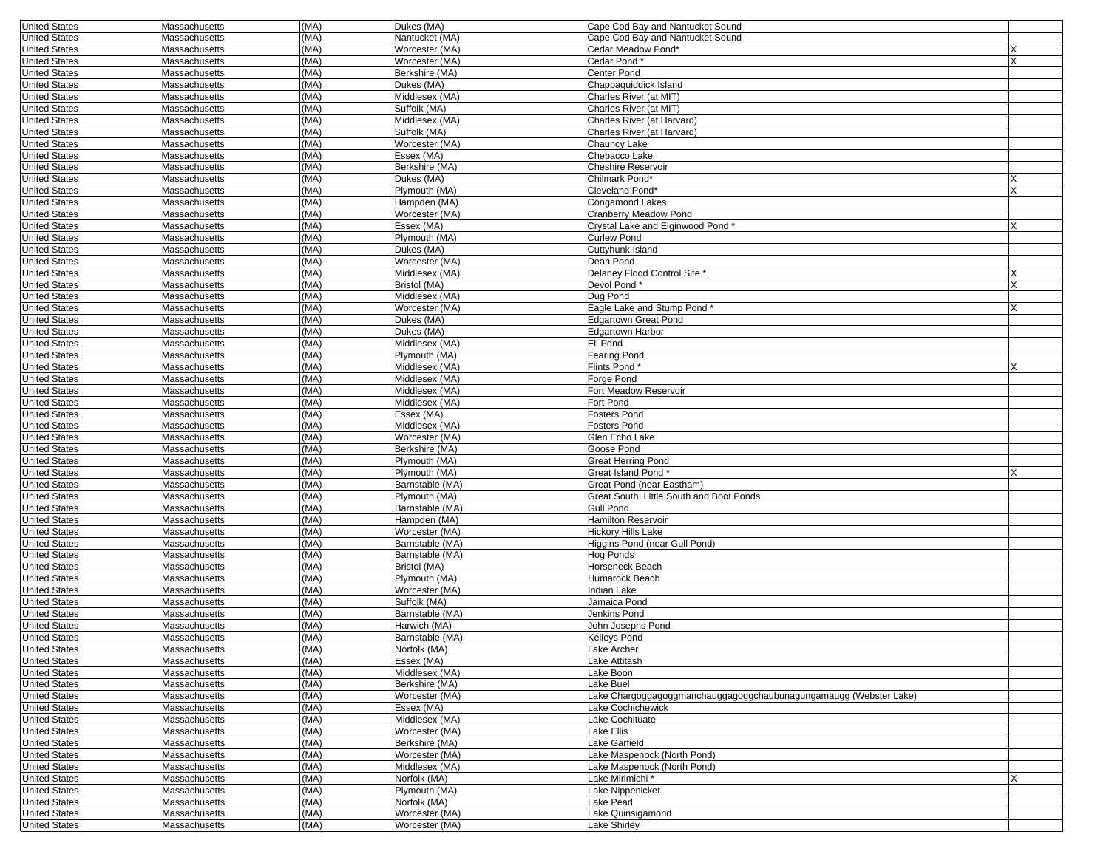| <b>United States</b> | Massachusetts                  | (MA) | Dukes (MA)      | Cape Cod Bay and Nantucket Sound                                  |    |
|----------------------|--------------------------------|------|-----------------|-------------------------------------------------------------------|----|
| <b>United States</b> | Massachusetts                  | (MA) | Nantucket (MA)  | Cape Cod Bay and Nantucket Sound                                  |    |
| <b>United States</b> | Massachusetts                  | (MA) | Worcester (MA)  | Cedar Meadow Pond*                                                |    |
| <b>United States</b> | Massachusetts                  | (MA) | Worcester (MA)  | Cedar Pond*                                                       |    |
| <b>United States</b> | Massachusetts                  | (MA) | Berkshire (MA)  | Center Pond                                                       |    |
| <b>United States</b> | Massachusetts                  | (MA) | Dukes (MA)      | Chappaquiddick Island                                             |    |
| <b>United States</b> | Massachusetts                  | (MA) | Middlesex (MA)  | Charles River (at MIT)                                            |    |
| <b>United States</b> | Massachusetts                  | (MA) | Suffolk (MA)    | Charles River (at MIT)                                            |    |
| <b>United States</b> | Massachusetts                  | (MA) | Middlesex (MA)  | Charles River (at Harvard)                                        |    |
| <b>United States</b> | Massachusetts                  | (MA) | Suffolk (MA)    | Charles River (at Harvard)                                        |    |
| <b>United States</b> | Massachusetts                  | (MA) | Worcester (MA)  | Chauncy Lake                                                      |    |
| <b>United States</b> | Massachusetts                  | (MA) | Essex (MA)      | Chebacco Lake                                                     |    |
| <b>United States</b> | Massachusetts                  | (MA) | Berkshire (MA)  | <b>Cheshire Reservoir</b>                                         |    |
| <b>United States</b> | Massachusetts                  | (MA) | Dukes (MA)      | Chilmark Pond*                                                    |    |
| <b>United States</b> | Massachusetts                  | (MA) | Plymouth (MA)   | Cleveland Pond*                                                   |    |
| <b>United States</b> | Massachusetts                  | (MA) | Hampden (MA)    | <b>Congamond Lakes</b>                                            |    |
| <b>United States</b> | Massachusetts                  | (MA) | Worcester (MA)  | Cranberry Meadow Pond                                             |    |
| <b>United States</b> | Massachusetts                  | (MA) | Essex (MA)      | Crystal Lake and Elginwood Pond*                                  | X. |
| <b>United States</b> | Massachusetts                  | (MA) | Plymouth (MA)   | <b>Curlew Pond</b>                                                |    |
| <b>United States</b> | Massachusetts                  | (MA) | Dukes (MA)      | Cuttyhunk Island                                                  |    |
| <b>United States</b> | Massachusetts                  | (MA) | Worcester (MA)  | Dean Pond                                                         |    |
| <b>United States</b> | Massachusetts                  | (MA) | Middlesex (MA)  | Delaney Flood Control Site *                                      | x  |
| <b>United States</b> | Massachusetts                  | (MA) | Bristol (MA)    | Devol Pond*                                                       |    |
| <b>United States</b> | Massachusetts                  | (MA) | Middlesex (MA)  | Dug Pond                                                          |    |
| <b>United States</b> | Massachusetts                  | (MA) | Worcester (MA)  | Eagle Lake and Stump Pond*                                        |    |
| <b>United States</b> | Massachusetts                  | (MA) | Dukes (MA)      | <b>Edgartown Great Pond</b>                                       |    |
| <b>United States</b> | Massachusetts                  | (MA) | Dukes (MA)      | <b>Edgartown Harbor</b>                                           |    |
| <b>United States</b> | Massachusetts                  | (MA) | Middlesex (MA)  | Ell Pond                                                          |    |
| <b>United States</b> | Massachusetts                  | (MA) | Plymouth (MA)   | Fearing Pond                                                      |    |
| <b>United States</b> | Massachusetts                  | (MA) | Middlesex (MA)  | Flints Pond*                                                      |    |
| <b>United States</b> | Massachusetts                  | (MA) | Middlesex (MA)  | Forge Pond                                                        |    |
| <b>United States</b> | Massachusetts                  | (MA) | Middlesex (MA)  | Fort Meadow Reservoir                                             |    |
| <b>United States</b> | Massachusetts                  | (MA) | Middlesex (MA)  | Fort Pond                                                         |    |
| <b>United States</b> | Massachusetts                  | (MA) | Essex (MA)      | Fosters Pond                                                      |    |
| <b>United States</b> |                                | (MA) | Middlesex (MA)  | Fosters Pond                                                      |    |
| <b>United States</b> | Massachusetts<br>Massachusetts | (MA) | Worcester (MA)  | Glen Echo Lake                                                    |    |
|                      |                                |      |                 |                                                                   |    |
| <b>United States</b> | Massachusetts                  | (MA) | Berkshire (MA)  | Goose Pond                                                        |    |
| <b>United States</b> | Massachusetts                  | (MA) | Plymouth (MA)   | Great Herring Pond                                                |    |
| <b>United States</b> | Massachusetts                  | (MA) | Plymouth (MA)   | Great Island Pond*                                                |    |
| <b>United States</b> | Massachusetts                  | (MA) | Barnstable (MA) | Great Pond (near Eastham)                                         |    |
| <b>United States</b> | Massachusetts                  | (MA) | Plymouth (MA)   | Great South, Little South and Boot Ponds                          |    |
| <b>United States</b> | Massachusetts                  | (MA) | Barnstable (MA) | <b>Gull Pond</b>                                                  |    |
| <b>United States</b> | Massachusetts                  | (MA) | Hampden (MA)    | <b>Hamilton Reservoir</b>                                         |    |
| <b>United States</b> | Massachusetts                  | (MA) | Worcester (MA)  | <b>Hickory Hills Lake</b>                                         |    |
| <b>United States</b> | Massachusetts                  | (MA) | Barnstable (MA) | Higgins Pond (near Gull Pond)                                     |    |
| <b>United States</b> | Massachusetts                  | (MA) | Barnstable (MA) | Hog Ponds                                                         |    |
| <b>United States</b> | Massachusetts                  | (MA) | Bristol (MA)    | Horseneck Beach                                                   |    |
| <b>United States</b> | Massachusetts                  | (MA) | Plymouth (MA)   | Humarock Beach                                                    |    |
| <b>United States</b> | Massachusetts                  | (MA) | Worcester (MA)  | Indian Lake                                                       |    |
| <b>United States</b> | Massachusetts                  | (MA) | Suffolk (MA)    | Jamaica Pond                                                      |    |
| <b>United States</b> | Massachusetts                  | (MA) | Barnstable (MA) | Jenkins Pond                                                      |    |
| <b>United States</b> | Massachusetts                  | (MA) | Harwich (MA)    | John Josephs Pond                                                 |    |
| <b>United States</b> | Massachusetts                  | (MA) | Barnstable (MA) | Kelleys Pond                                                      |    |
| <b>United States</b> | Massachusetts                  | (MA) | Norfolk (MA)    | Lake Archer                                                       |    |
| <b>United States</b> | Massachusetts                  | (MA) | Essex (MA)      | Lake Attitash                                                     |    |
| <b>United States</b> | Massachusetts                  | (MA) | Middlesex (MA)  | Lake Boon                                                         |    |
| <b>United States</b> | Massachusetts                  | (MA) | Berkshire (MA)  | Lake Buel                                                         |    |
| <b>United States</b> | Massachusetts                  | (MA) | Worcester (MA)  | Lake Chargoggagoggmanchauggagoggchaubunagungamaugg (Webster Lake) |    |
| <b>United States</b> | Massachusetts                  | (MA) | Essex (MA)      | Lake Cochichewick                                                 |    |
| <b>United States</b> | Massachusetts                  | (MA) | Middlesex (MA)  | Lake Cochituate                                                   |    |
| <b>United States</b> | Massachusetts                  | (MA) | Worcester (MA)  | Lake Ellis                                                        |    |
| <b>United States</b> | Massachusetts                  | (MA) | Berkshire (MA)  | Lake Garfield                                                     |    |
| <b>United States</b> | Massachusetts                  | (MA) | Worcester (MA)  | Lake Maspenock (North Pond)                                       |    |
| <b>United States</b> | Massachusetts                  | (MA) | Middlesex (MA)  | Lake Maspenock (North Pond)                                       |    |
| <b>United States</b> | Massachusetts                  | (MA) | Norfolk (MA)    | Lake Mirimichi *                                                  | x  |
| <b>United States</b> | Massachusetts                  | (MA) | Plymouth (MA)   | Lake Nippenicket                                                  |    |
| <b>United States</b> | Massachusetts                  | (MA) | Norfolk (MA)    | Lake Pearl                                                        |    |
| <b>United States</b> | Massachusetts                  | (MA) | Worcester (MA)  | Lake Quinsigamond                                                 |    |
|                      | Massachusetts                  | (MA) | Worcester (MA)  | Lake Shirley                                                      |    |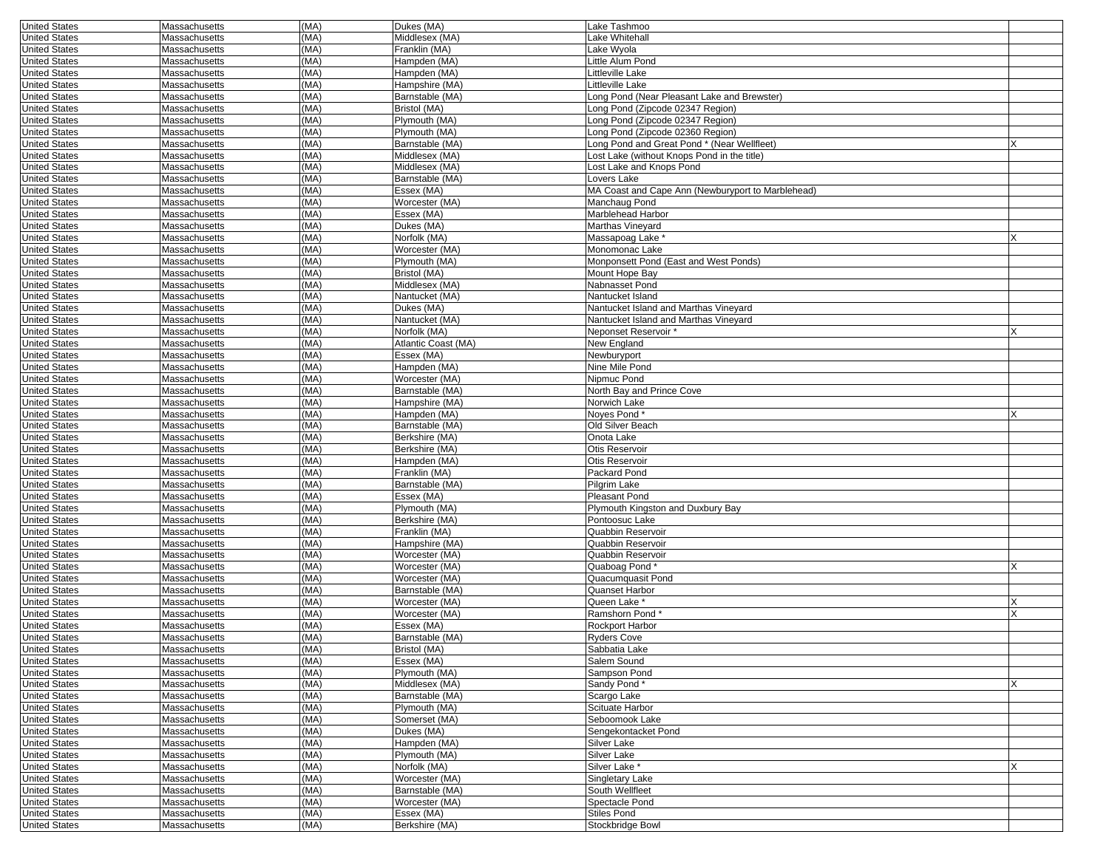| <b>United States</b>                         | Massachusetts                  | (MA)         | Dukes (MA)                        | Lake Tashmoo                                                         |  |
|----------------------------------------------|--------------------------------|--------------|-----------------------------------|----------------------------------------------------------------------|--|
| <b>United States</b>                         | Massachusetts                  | (MA)         | Middlesex (MA)                    | Lake Whitehall                                                       |  |
| <b>United States</b>                         | Massachusetts                  | (MA)         | Franklin (MA)                     | Lake Wyola                                                           |  |
| <b>United States</b>                         | Massachusetts                  | (MA)         | Hampden (MA)                      | Little Alum Pond                                                     |  |
| <b>United States</b>                         | Massachusetts                  | (MA)         | Hampden (MA)                      | Littleville Lake                                                     |  |
| <b>United States</b>                         | Massachusetts                  | (MA)         | Hampshire (MA)                    | Littleville Lake                                                     |  |
| <b>United States</b>                         | Massachusetts                  | (MA)         | Barnstable (MA)                   | Long Pond (Near Pleasant Lake and Brewster)                          |  |
| <b>United States</b><br><b>United States</b> | Massachusetts<br>Massachusetts | (MA)<br>(MA) | Bristol (MA)<br>Plymouth (MA)     | Long Pond (Zipcode 02347 Region)<br>Long Pond (Zipcode 02347 Region) |  |
| <b>United States</b>                         | Massachusetts                  | (MA)         | Plymouth (MA)                     | Long Pond (Zipcode 02360 Region)                                     |  |
| <b>United States</b>                         | Massachusetts                  | (MA)         | Barnstable (MA)                   | Long Pond and Great Pond * (Near Wellfleet)                          |  |
| <b>United States</b>                         | Massachusetts                  | (MA)         | Middlesex (MA)                    | Lost Lake (without Knops Pond in the title)                          |  |
| <b>United States</b>                         | Massachusetts                  | (MA)         | Middlesex (MA)                    | Lost Lake and Knops Pond                                             |  |
| <b>United States</b>                         | Massachusetts                  | (MA)         | Barnstable (MA)                   | Lovers Lake                                                          |  |
| <b>United States</b>                         | Massachusetts                  | (MA)         | Essex (MA)                        | MA Coast and Cape Ann (Newburyport to Marblehead)                    |  |
| <b>United States</b>                         | Massachusetts                  | (MA)         | Worcester (MA)                    | Manchaug Pond                                                        |  |
| <b>United States</b>                         | Massachusetts                  | (MA)         | Essex (MA)                        | Marblehead Harbor                                                    |  |
| <b>United States</b>                         | Massachusetts                  | (MA)         | Dukes (MA)                        | Marthas Vineyard                                                     |  |
| <b>United States</b>                         | Massachusetts                  | (MA)         | Norfolk (MA)                      | Massapoag Lake *                                                     |  |
| <b>United States</b>                         | Massachusetts                  | (MA)         | Worcester (MA)                    | Monomonac Lake                                                       |  |
| <b>United States</b>                         | Massachusetts                  | (MA)         | Plymouth (MA)                     | Monponsett Pond (East and West Ponds)                                |  |
| <b>United States</b><br><b>United States</b> | Massachusetts<br>Massachusetts | (MA)<br>(MA) | Bristol (MA)<br>Middlesex (MA)    | Mount Hope Bay<br>Nabnasset Pond                                     |  |
| <b>United States</b>                         | Massachusetts                  | (MA)         | Nantucket (MA)                    | Nantucket Island                                                     |  |
| <b>United States</b>                         | Massachusetts                  | (MA)         | Dukes (MA)                        | Nantucket Island and Marthas Vineyard                                |  |
| <b>United States</b>                         | Massachusetts                  | (MA)         | Nantucket (MA)                    | Nantucket Island and Marthas Vineyard                                |  |
| <b>United States</b>                         | Massachusetts                  | (MA)         | Norfolk (MA)                      | Neponset Reservoir *                                                 |  |
| <b>United States</b>                         | Massachusetts                  | (MA)         | Atlantic Coast (MA)               | New England                                                          |  |
| <b>United States</b>                         | Massachusetts                  | (MA)         | Essex (MA)                        | Newburyport                                                          |  |
| <b>United States</b>                         | Massachusetts                  | (MA)         | Hampden (MA)                      | Nine Mile Pond                                                       |  |
| <b>United States</b>                         | Massachusetts                  | (MA)         | Worcester (MA)                    | Nipmuc Pond                                                          |  |
| <b>United States</b>                         | Massachusetts                  | (MA)         | Barnstable (MA)                   | North Bay and Prince Cove                                            |  |
| <b>United States</b>                         | Massachusetts                  | (MA)         | Hampshire (MA)                    | Norwich Lake                                                         |  |
| <b>United States</b>                         | Massachusetts                  | (MA)         | Hampden (MA)                      | Noves Pond*                                                          |  |
| <b>United States</b><br><b>United States</b> | Massachusetts<br>Massachusetts | (MA)<br>(MA) | Barnstable (MA)<br>Berkshire (MA) | Old Silver Beach<br>Onota Lake                                       |  |
| <b>United States</b>                         | Massachusetts                  | (MA)         | Berkshire (MA)                    | Otis Reservoir                                                       |  |
| <b>United States</b>                         | Massachusetts                  | (MA)         | Hampden (MA)                      | Otis Reservoir                                                       |  |
| <b>United States</b>                         | Massachusetts                  | (MA)         | Franklin (MA)                     | Packard Pond                                                         |  |
| <b>United States</b>                         | Massachusetts                  | (MA)         | Barnstable (MA)                   | Pilgrim Lake                                                         |  |
| <b>United States</b>                         | Massachusetts                  | (MA)         | Essex (MA)                        | Pleasant Pond                                                        |  |
| <b>United States</b>                         | Massachusetts                  | (MA)         | Plymouth (MA)                     | Plymouth Kingston and Duxbury Bay                                    |  |
| <b>United States</b>                         | Massachusetts                  | (MA)         | Berkshire (MA)                    | Pontoosuc Lake                                                       |  |
| <b>United States</b>                         | Massachusetts                  | (MA)         | Franklin (MA)                     | Quabbin Reservoir                                                    |  |
| <b>United States</b>                         | Massachusetts                  | (MA)         | Hampshire (MA)                    | <b>Quabbin Reservoir</b>                                             |  |
| <b>United States</b>                         | Massachusetts                  | (MA)         | Worcester (MA)                    | <b>Quabbin Reservoir</b>                                             |  |
| <b>United States</b>                         | Massachusetts                  | (MA)         | Worcester (MA)                    | Quaboag Pond*                                                        |  |
| <b>United States</b>                         | Massachusetts                  | (MA)         | Worcester (MA)                    | Quacumquasit Pond                                                    |  |
| <b>United States</b><br><b>United States</b> | Massachusetts<br>Massachusetts | (MA)<br>(MA) | Barnstable (MA)<br>Worcester (MA) | Quanset Harbor<br>Queen Lake *                                       |  |
| <b>United States</b>                         | Massachusetts                  | (MA)         | Worcester (MA)                    | Ramshorn Pond'                                                       |  |
| <b>United States</b>                         | Massachusetts                  | (MA)         | Essex (MA)                        | <b>Rockport Harbor</b>                                               |  |
| <b>United States</b>                         | Massachusetts                  | (MA)         | Barnstable (MA)                   | <b>Ryders Cove</b>                                                   |  |
| United States                                | Massachusetts                  | (MA)         | Bristol (MA)                      | Sabbatia Lake                                                        |  |
| <b>United States</b>                         | Massachusetts                  | (MA)         | Essex (MA)                        | Salem Sound                                                          |  |
| <b>United States</b>                         | Massachusetts                  | (MA)         | Plymouth (MA)                     | Sampson Pond                                                         |  |
| <b>United States</b>                         | Massachusetts                  | (MA)         | Middlesex (MA)                    | Sandy Pond*                                                          |  |
| <b>United States</b>                         | Massachusetts                  | (MA)         | Barnstable (MA)                   | Scargo Lake                                                          |  |
| <b>United States</b>                         | Massachusetts                  | (MA)         | Plymouth (MA)                     | Scituate Harbor                                                      |  |
| <b>United States</b>                         | Massachusetts                  | (MA)         | Somerset (MA)                     | Seboomook Lake                                                       |  |
| <b>United States</b>                         | Massachusetts                  | (MA)         | Dukes (MA)                        | Sengekontacket Pond                                                  |  |
| <b>United States</b><br><b>United States</b> | Massachusetts<br>Massachusetts | (MA)<br>(MA) | Hampden (MA)<br>Plymouth (MA)     | Silver Lake<br>Silver Lake                                           |  |
| <b>United States</b>                         | Massachusetts                  | (MA)         | Norfolk (MA)                      | Silver Lake *                                                        |  |
| <b>United States</b>                         | Massachusetts                  | (MA)         | Worcester (MA)                    | Singletary Lake                                                      |  |
| <b>United States</b>                         | Massachusetts                  | (MA)         | Barnstable (MA)                   | South Wellfleet                                                      |  |
| <b>United States</b>                         | Massachusetts                  | (MA)         | Worcester (MA)                    | Spectacle Pond                                                       |  |
| <b>United States</b>                         | Massachusetts                  | (MA)         | Essex (MA)                        | Stiles Pond                                                          |  |
| <b>United States</b>                         | Massachusetts                  | (MA)         | Berkshire (MA)                    | Stockbridge Bowl                                                     |  |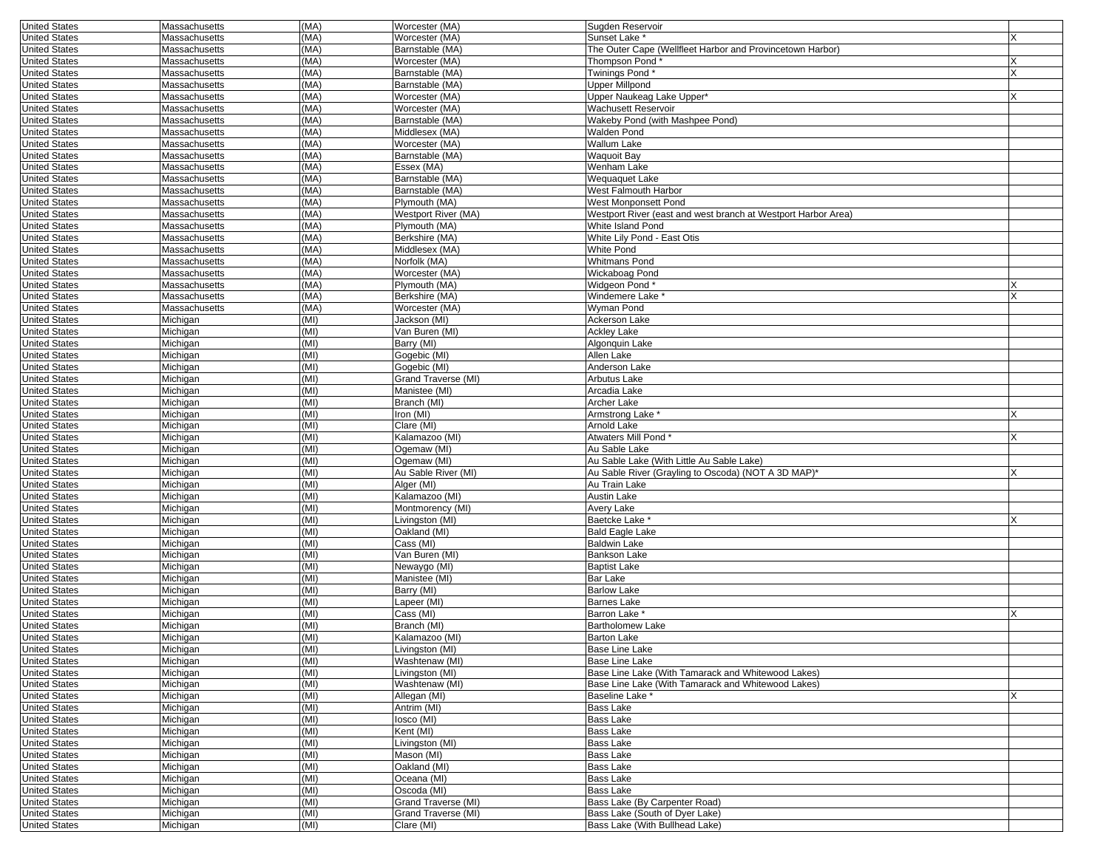| <b>United States</b>                         | Massachusetts                  | (MA)         | Worcester (MA)                    | Sugden Reservoir                                              |   |
|----------------------------------------------|--------------------------------|--------------|-----------------------------------|---------------------------------------------------------------|---|
| <b>United States</b>                         | Massachusetts                  | (MA)         | Worcester (MA)                    | Sunset Lake *                                                 |   |
| <b>United States</b>                         | Massachusetts                  | (MA)         | Barnstable (MA)                   | The Outer Cape (Wellfleet Harbor and Provincetown Harbor)     |   |
| <b>United States</b>                         | Massachusetts                  | (MA)         | Worcester (MA)                    | Thompson Pond <sup>®</sup>                                    |   |
| <b>United States</b>                         | Massachusetts                  | (MA)         | Barnstable (MA)                   | Twinings Pond*                                                |   |
| <b>United States</b>                         | Massachusetts                  | (MA)         | Barnstable (MA)                   | <b>Upper Millpond</b>                                         |   |
| <b>United States</b>                         | Massachusetts                  | (MA)         | Worcester (MA)                    | Upper Naukeag Lake Upper*                                     | x |
| <b>United States</b>                         | Massachusetts                  | (MA)         | Worcester (MA)                    | Wachusett Reservoir                                           |   |
| <b>United States</b>                         | Massachusetts                  | (MA)<br>(MA) | Barnstable (MA)<br>Middlesex (MA) | Wakeby Pond (with Mashpee Pond)<br><b>Walden Pond</b>         |   |
| <b>United States</b><br><b>United States</b> | Massachusetts<br>Massachusetts | (MA)         | Worcester (MA)                    | Wallum Lake                                                   |   |
| <b>United States</b>                         | Massachusetts                  | (MA)         | Barnstable (MA)                   | <b>Waquoit Bay</b>                                            |   |
| <b>United States</b>                         | Massachusetts                  | (MA)         | Essex (MA)                        | Wenham Lake                                                   |   |
| <b>United States</b>                         | Massachusetts                  | (MA)         | Barnstable (MA)                   | Wequaquet Lake                                                |   |
| <b>United States</b>                         | Massachusetts                  | (MA)         | Barnstable (MA)                   | West Falmouth Harbor                                          |   |
| <b>United States</b>                         | Massachusetts                  | (MA)         | Plymouth (MA)                     | West Monponsett Pond                                          |   |
| <b>United States</b>                         | <b>Massachusetts</b>           | (MA)         | Westport River (MA)               | Westport River (east and west branch at Westport Harbor Area) |   |
| <b>United States</b>                         | Massachusetts                  | (MA)         | Plymouth (MA)                     | White Island Pond                                             |   |
| <b>United States</b>                         | Massachusetts                  | (MA)         | Berkshire (MA)                    | White Lily Pond - East Otis                                   |   |
| <b>United States</b>                         | Massachusetts                  | (MA)         | Middlesex (MA)                    | White Pond                                                    |   |
| <b>United States</b>                         | Massachusetts                  | (MA)         | Norfolk (MA)                      | Whitmans Pond                                                 |   |
| <b>United States</b>                         | Massachusetts                  | (MA)         | Worcester (MA)                    | Wickaboag Pond                                                |   |
| <b>United States</b>                         | Massachusetts                  | (MA)         | Plymouth (MA)                     | Widgeon Pond*                                                 |   |
| <b>United States</b>                         | Massachusetts                  | (MA)         | Berkshire (MA)                    | Windemere Lake *                                              | X |
| <b>United States</b>                         | Massachusetts                  | (MA)         | Worcester (MA)                    | Wyman Pond                                                    |   |
| <b>United States</b>                         | Michigan                       | (MI)         | Jackson (MI)                      | <b>Ackerson Lake</b>                                          |   |
| <b>United States</b>                         | Michigan                       | (MI)         | Van Buren (MI)                    | <b>Ackley Lake</b>                                            |   |
| <b>United States</b>                         | Michigan                       | (MI)         | Barry (MI)                        | Algonquin Lake                                                |   |
| <b>United States</b>                         | Michigan                       | (MI)         | Gogebic (MI)                      | Allen Lake                                                    |   |
| <b>United States</b>                         | Michigan                       | (MI)         | Gogebic (MI)                      | Anderson Lake                                                 |   |
| <b>United States</b>                         | Michigan                       | (MI)         | Grand Traverse (MI)               | Arbutus Lake                                                  |   |
| <b>United States</b>                         | Michigan                       | (MI)         | Manistee (MI)                     | Arcadia Lake                                                  |   |
| <b>United States</b>                         | Michigan                       | (MI)         | Branch (MI)                       | Archer Lake                                                   |   |
| <b>United States</b>                         | Michigan                       | (MI)         | Iron (MI)                         | Armstrong Lake *                                              |   |
| <b>United States</b>                         | Michigan                       | (MI)         | Clare (MI)                        | Arnold Lake                                                   |   |
| <b>United States</b>                         | Michigan                       | (MI)         | Kalamazoo (MI)                    | Atwaters Mill Pond*                                           | X |
| <b>United States</b><br><b>United States</b> | Michigan<br>Michigan           | (MI)<br>(MI) | Ogemaw (MI)<br>Ogemaw (MI)        | Au Sable Lake<br>Au Sable Lake (With Little Au Sable Lake)    |   |
| <b>United States</b>                         | Michigan                       | (MI)         | Au Sable River (MI)               | Au Sable River (Grayling to Oscoda) (NOT A 3D MAP)*           |   |
| <b>United States</b>                         | Michigan                       | (MI)         | Alger (MI)                        | Au Train Lake                                                 |   |
| <b>United States</b>                         | Michigan                       | (MI)         | Kalamazoo (MI)                    | Austin Lake                                                   |   |
| <b>United States</b>                         | Michigan                       | (MI)         | Montmorency (MI)                  | Avery Lake                                                    |   |
| <b>United States</b>                         | Michigan                       | (MI)         | Livingston (MI)                   | Baetcke Lake *                                                | Х |
| <b>United States</b>                         | Michigan                       | (MI)         | Oakland (MI)                      | <b>Bald Eagle Lake</b>                                        |   |
| <b>United States</b>                         | Michigan                       | (MI)         | Cass (MI)                         | <b>Baldwin Lake</b>                                           |   |
| <b>United States</b>                         | Michigan                       | (MI)         | Van Buren (MI)                    | <b>Bankson Lake</b>                                           |   |
| <b>United States</b>                         | Michigan                       | (MI)         | Newaygo (MI)                      | <b>Baptist Lake</b>                                           |   |
| <b>United States</b>                         | Michigan                       | (MI)         | Manistee (MI)                     | Bar Lake                                                      |   |
| <b>United States</b>                         | Michigan                       | (MI)         | Barry (MI)                        | <b>Barlow Lake</b>                                            |   |
| <b>United States</b>                         | Michigan                       | (MI)         | Lapeer (MI)                       | <b>Barnes Lake</b>                                            |   |
| <b>United States</b>                         | Michigan                       | (MI)         | Cass (MI)                         | Barron Lake *                                                 | X |
| <b>United States</b>                         | Michigan                       | (MI)         | Branch (MI)                       | <b>Bartholomew Lake</b>                                       |   |
| <b>United States</b>                         | Michigan                       | (MI)         | Kalamazoo (MI)                    | <b>Barton Lake</b>                                            |   |
| United States                                | Michigan                       | (MI)         | Livingston (MI)                   | Base Line Lake                                                |   |
| <b>United States</b>                         | Michigan                       | (MI)         | Washtenaw (MI)                    | <b>Base Line Lake</b>                                         |   |
| <b>United States</b>                         | Michigan                       | (MI)         | Livingston (MI)                   | Base Line Lake (With Tamarack and Whitewood Lakes)            |   |
| <b>United States</b>                         | Michigan                       | (MI)         | Washtenaw (MI)                    | Base Line Lake (With Tamarack and Whitewood Lakes)            |   |
| <b>United States</b>                         | Michigan                       | (MI)         | Allegan (MI)                      | Baseline Lake *                                               | X |
| <b>United States</b>                         | Michigan                       | (MI)         | Antrim (MI)                       | <b>Bass Lake</b>                                              |   |
| <b>United States</b>                         | Michigan                       | (MI)         | losco (MI)                        | <b>Bass Lake</b>                                              |   |
| <b>United States</b>                         | Michigan                       | (MI)         | Kent (MI)                         | <b>Bass Lake</b>                                              |   |
| <b>United States</b>                         | Michigan                       | (MI)         | Livingston (MI)                   | <b>Bass Lake</b>                                              |   |
| <b>United States</b>                         | Michigan                       | (MI)         | Mason (MI)                        | <b>Bass Lake</b>                                              |   |
| <b>United States</b><br><b>United States</b> | Michigan                       | (MI)<br>(MI) | Oakland (MI)<br>Oceana (MI)       | Bass Lake<br><b>Bass Lake</b>                                 |   |
| <b>United States</b>                         | Michigan<br>Michigan           | (MI)         | Oscoda (MI)                       | <b>Bass Lake</b>                                              |   |
| <b>United States</b>                         | Michigan                       | (MI)         | Grand Traverse (MI)               | Bass Lake (By Carpenter Road)                                 |   |
| <b>United States</b>                         | Michigan                       | (MI)         | Grand Traverse (MI)               | Bass Lake (South of Dyer Lake)                                |   |
| <b>United States</b>                         | Michigan                       | (MI)         | Clare (MI)                        | Bass Lake (With Bullhead Lake)                                |   |
|                                              |                                |              |                                   |                                                               |   |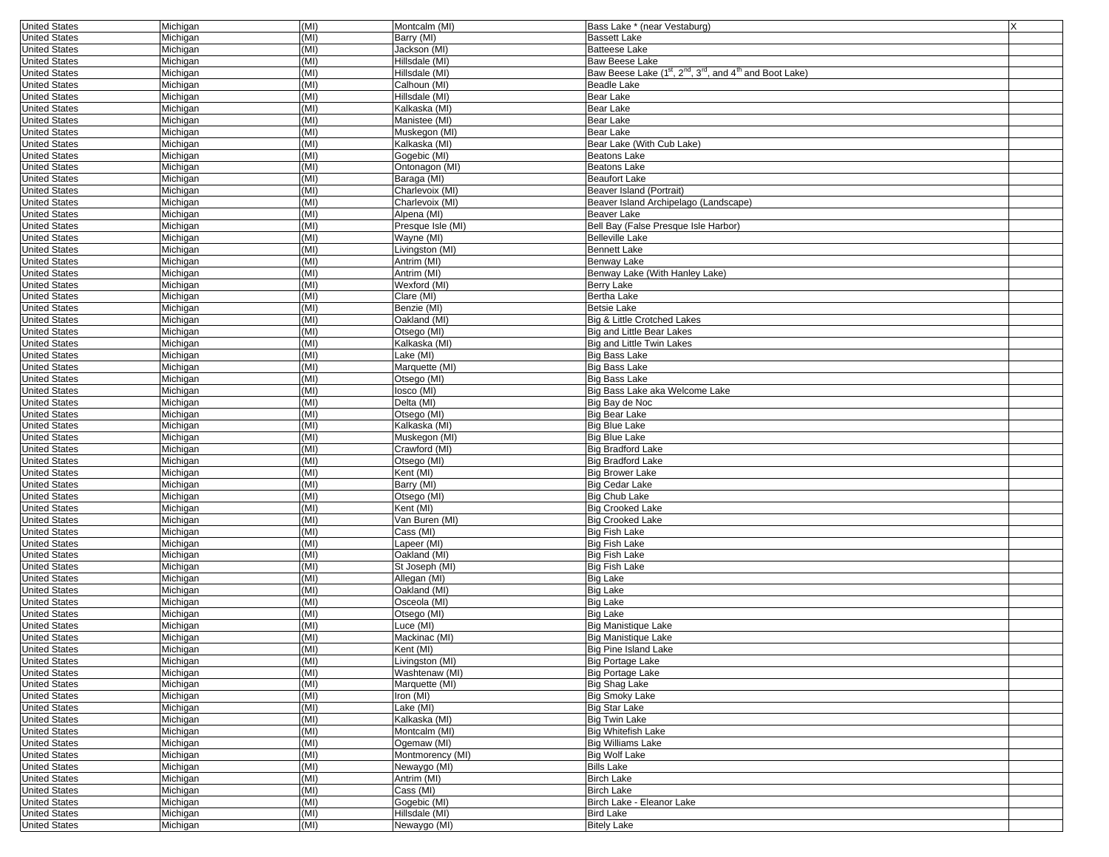| <b>United States</b> | Michigan | (MI) | Montcalm (MI)     | Bass Lake * (near Vestaburg)                                                                             | X |
|----------------------|----------|------|-------------------|----------------------------------------------------------------------------------------------------------|---|
| <b>United States</b> | Michigan | (MI) | Barry (MI)        | <b>Bassett Lake</b>                                                                                      |   |
| <b>United States</b> | Michigan | (MI) | Jackson (MI)      | <b>Batteese Lake</b>                                                                                     |   |
| <b>United States</b> | Michigan | (MI) | Hillsdale (MI)    | Baw Beese Lake                                                                                           |   |
| <b>United States</b> | Michigan | (MI) | Hillsdale (MI)    | Baw Beese Lake (1 <sup>st</sup> , 2 <sup>nd</sup> , 3 <sup>rd</sup> , and 4 <sup>th</sup> and Boot Lake) |   |
| <b>United States</b> | Michigan | (MI) | Calhoun (MI)      | <b>Beadle Lake</b>                                                                                       |   |
| <b>United States</b> | Michigan | (MI) | Hillsdale (MI)    | <b>Bear Lake</b>                                                                                         |   |
| <b>United States</b> | Michigan | (MI) | Kalkaska (MI)     | Bear Lake                                                                                                |   |
| <b>United States</b> | Michigan | (MI) | Manistee (MI)     | Bear Lake                                                                                                |   |
| <b>United States</b> | Michigan | (MI) | Muskegon (MI)     | Bear Lake                                                                                                |   |
| <b>United States</b> | Michigan | (MI) | Kalkaska (MI)     | Bear Lake (With Cub Lake)                                                                                |   |
| <b>United States</b> | Michigan | (MI) | Gogebic (MI)      | <b>Beatons Lake</b>                                                                                      |   |
| <b>United States</b> | Michigan | (MI) | Ontonagon (MI)    | <b>Beatons Lake</b>                                                                                      |   |
| <b>United States</b> | Michigan | (MI) | Baraga (MI)       | <b>Beaufort Lake</b>                                                                                     |   |
| <b>United States</b> |          | (MI) | Charlevoix (MI)   |                                                                                                          |   |
| <b>United States</b> | Michigan | (MI) |                   | Beaver Island (Portrait)                                                                                 |   |
|                      | Michigan |      | Charlevoix (MI)   | Beaver Island Archipelago (Landscape)                                                                    |   |
| <b>United States</b> | Michigan | (MI) | Alpena (MI)       | Beaver Lake                                                                                              |   |
| <b>United States</b> | Michigan | (MI) | Presque Isle (MI) | Bell Bay (False Presque Isle Harbor)                                                                     |   |
| <b>United States</b> | Michigan | (MI) | Wayne (MI)        | <b>Belleville Lake</b>                                                                                   |   |
| <b>United States</b> | Michigan | (MI) | Livingston (MI)   | <b>Bennett Lake</b>                                                                                      |   |
| <b>United States</b> | Michigan | (MI) | Antrim (MI)       | Benway Lake                                                                                              |   |
| <b>United States</b> | Michigan | (MI) | Antrim (MI)       | Benway Lake (With Hanley Lake)                                                                           |   |
| <b>United States</b> | Michigan | (MI) | Wexford (MI)      | Berry Lake                                                                                               |   |
| <b>United States</b> | Michigan | (MI) | Clare (MI)        | <b>Bertha Lake</b>                                                                                       |   |
| <b>United States</b> | Michigan | (MI) | Benzie (MI)       | Betsie Lake                                                                                              |   |
| <b>United States</b> | Michigan | (MI) | Oakland (MI)      | Big & Little Crotched Lakes                                                                              |   |
| <b>United States</b> | Michigan | (MI) | Otsego (MI)       | Big and Little Bear Lakes                                                                                |   |
| <b>United States</b> | Michigan | (MI) | Kalkaska (MI)     | Big and Little Twin Lakes                                                                                |   |
| <b>United States</b> | Michigan | (MI) | Lake (MI)         | <b>Big Bass Lake</b>                                                                                     |   |
| <b>United States</b> | Michigan | (MI) | Marquette (MI)    | <b>Big Bass Lake</b>                                                                                     |   |
| <b>United States</b> | Michigan | (MI) | Otsego (MI)       | <b>Big Bass Lake</b>                                                                                     |   |
| <b>United States</b> | Michigan | (MI) | losco (MI)        | Big Bass Lake aka Welcome Lake                                                                           |   |
| <b>United States</b> | Michigan | (MI) | Delta (MI)        | Big Bay de Noc                                                                                           |   |
| <b>United States</b> | Michigan | (MI) | Otsego (MI)       | <b>Big Bear Lake</b>                                                                                     |   |
| <b>United States</b> | Michigan | (MI) | Kalkaska (MI)     | <b>Big Blue Lake</b>                                                                                     |   |
| <b>United States</b> | Michigan | (MI) | Muskegon (MI)     | <b>Big Blue Lake</b>                                                                                     |   |
| <b>United States</b> | Michigan | (MI) | Crawford (MI)     | <b>Big Bradford Lake</b>                                                                                 |   |
|                      |          | (MI) |                   |                                                                                                          |   |
| <b>United States</b> | Michigan |      | Otsego (MI)       | <b>Big Bradford Lake</b>                                                                                 |   |
| <b>United States</b> | Michigan | (MI) | Kent (MI)         | <b>Big Brower Lake</b>                                                                                   |   |
| <b>United States</b> | Michigan | (MI) | Barry (MI)        | Big Cedar Lake                                                                                           |   |
| <b>United States</b> | Michigan | (MI) | Otsego (MI)       | <b>Big Chub Lake</b>                                                                                     |   |
| <b>United States</b> | Michigan | (MI) | Kent (MI)         | <b>Big Crooked Lake</b>                                                                                  |   |
| <b>United States</b> | Michigan | (MI) | Van Buren (MI)    | <b>Big Crooked Lake</b>                                                                                  |   |
| <b>United States</b> | Michigan | (MI) | Cass (MI)         | <b>Big Fish Lake</b>                                                                                     |   |
| <b>United States</b> | Michigan | (MI) | _apeer (MI)       | <b>Big Fish Lake</b>                                                                                     |   |
| <b>United States</b> | Michigan | (MI) | Oakland (MI)      | <b>Big Fish Lake</b>                                                                                     |   |
| <b>United States</b> | Michigan | (MI) | St Joseph (MI)    | <b>Big Fish Lake</b>                                                                                     |   |
| <b>United States</b> | Michigan | (MI) | Allegan (MI)      | <b>Big Lake</b>                                                                                          |   |
| <b>United States</b> | Michigan | (MI) | Oakland (MI)      | Big Lake                                                                                                 |   |
| <b>United States</b> | Michigan | (MI) | Osceola (MI)      | <b>Big Lake</b>                                                                                          |   |
| <b>United States</b> | Michigan | (MI) | Otsego (MI)       | <b>Big Lake</b>                                                                                          |   |
| <b>United States</b> | Michigan | (MI) | _uce (MI)         | <b>Big Manistique Lake</b>                                                                               |   |
| <b>United States</b> | Michigan | (MI) | Mackinac (MI)     | <b>Big Manistique Lake</b>                                                                               |   |
| United States        | Michigan | (MI) | Kent (MI)         | Big Pine Island Lake                                                                                     |   |
| <b>United States</b> | Michigan | (MI) | Livingston (MI)   | <b>Big Portage Lake</b>                                                                                  |   |
| <b>United States</b> | Michigan | (MI) | Washtenaw (MI)    | <b>Big Portage Lake</b>                                                                                  |   |
| <b>United States</b> | Michigan | (MI) | Marquette (MI)    | Big Shag Lake                                                                                            |   |
| <b>United States</b> | Michigan | (MI) | Iron (MI)         | <b>Big Smoky Lake</b>                                                                                    |   |
|                      |          |      |                   |                                                                                                          |   |
| <b>United States</b> | Michigan | (MI) | Lake (MI)         | <b>Big Star Lake</b>                                                                                     |   |
| <b>United States</b> | Michigan | (MI) | Kalkaska (MI)     | <b>Big Twin Lake</b>                                                                                     |   |
| <b>United States</b> | Michigan | (MI) | Montcalm (MI)     | <b>Big Whitefish Lake</b>                                                                                |   |
| <b>United States</b> | Michigan | (MI) | Ogemaw (MI)       | <b>Big Williams Lake</b>                                                                                 |   |
| <b>United States</b> | Michigan | (MI) | Montmorency (MI)  | <b>Big Wolf Lake</b>                                                                                     |   |
| <b>United States</b> | Michigan | (MI) | Newaygo (MI)      | <b>Bills Lake</b>                                                                                        |   |
| <b>United States</b> | Michigan | (MI) | Antrim (MI)       | <b>Birch Lake</b>                                                                                        |   |
| <b>United States</b> | Michigan | (MI) | Cass (MI)         | <b>Birch Lake</b>                                                                                        |   |
| <b>United States</b> | Michigan | (MI) | Gogebic (MI)      | Birch Lake - Eleanor Lake                                                                                |   |
| <b>United States</b> | Michigan | (MI) | Hillsdale (MI)    | Bird Lake                                                                                                |   |
| <b>United States</b> | Michigan | (MI) | Newaygo (MI)      | <b>Bitely Lake</b>                                                                                       |   |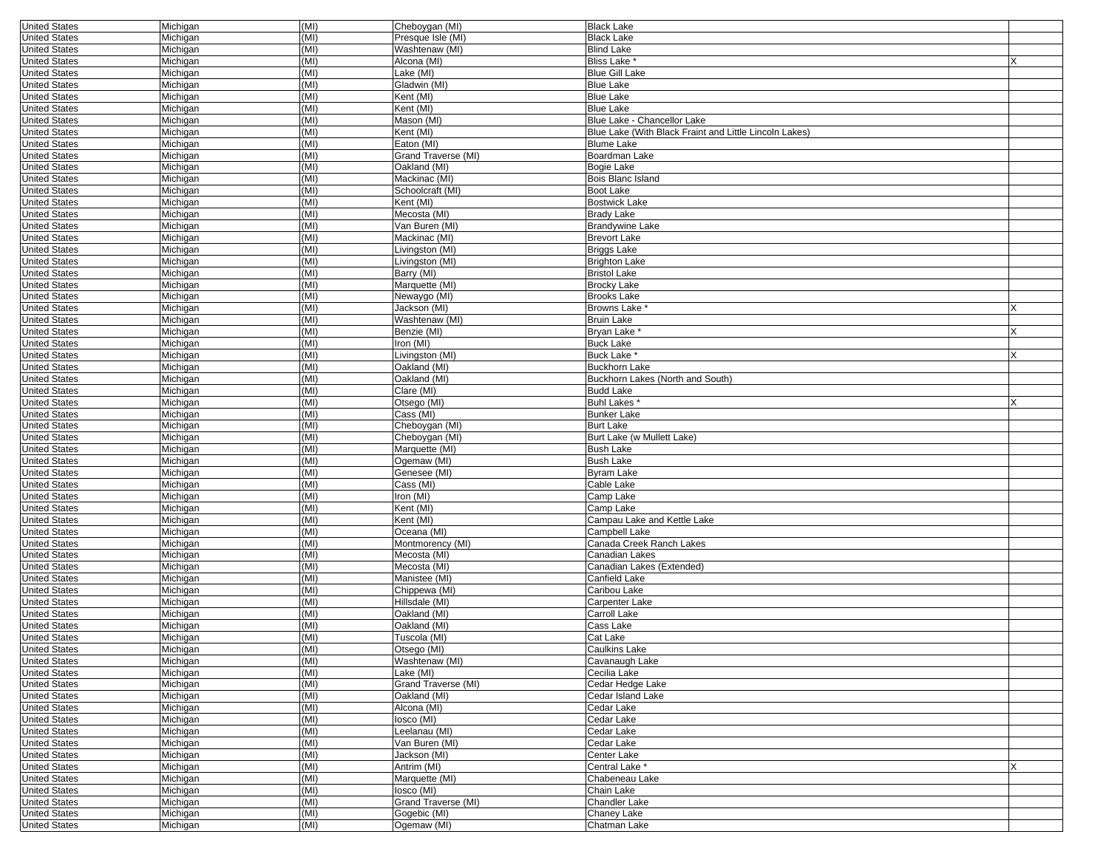| <b>United States</b> | Michigan | (MI) | Cheboygan (MI)      | <b>Black Lake</b>                                      |  |
|----------------------|----------|------|---------------------|--------------------------------------------------------|--|
| <b>United States</b> | Michigan | (MI) | Presque Isle (MI)   | <b>Black Lake</b>                                      |  |
| <b>United States</b> | Michigan | (MI) | Washtenaw (MI)      | <b>Blind Lake</b>                                      |  |
| <b>United States</b> | Michigan | (MI) | Alcona (MI)         | Bliss Lake *                                           |  |
| <b>United States</b> | Michigan | (MI) | Lake (MI)           | <b>Blue Gill Lake</b>                                  |  |
| <b>United States</b> | Michigan | (MI) | Gladwin (MI)        | <b>Blue Lake</b>                                       |  |
|                      |          |      |                     |                                                        |  |
| <b>United States</b> | Michigan | (MI) | Kent (MI)           | <b>Blue Lake</b>                                       |  |
| <b>United States</b> | Michigan | (MI) | Kent (MI)           | <b>Blue Lake</b>                                       |  |
| <b>United States</b> | Michigan | (MI) | Mason (MI)          | Blue Lake - Chancellor Lake                            |  |
| <b>United States</b> | Michigan | (MI) | Kent (MI)           | Blue Lake (With Black Fraint and Little Lincoln Lakes) |  |
| <b>United States</b> | Michigan | (MI) | Eaton (MI)          | <b>Blume Lake</b>                                      |  |
| <b>United States</b> | Michigan | (MI) | Grand Traverse (MI) | Boardman Lake                                          |  |
| <b>United States</b> | Michigan | (MI) | Oakland (MI)        | Bogie Lake                                             |  |
| <b>United States</b> | Michigan | (MI) | Mackinac (MI)       | Bois Blanc Island                                      |  |
| <b>United States</b> | Michigan | (MI) | Schoolcraft (MI)    | Boot Lake                                              |  |
| <b>United States</b> | Michigan | (MI) | Kent (MI)           | <b>Bostwick Lake</b>                                   |  |
| <b>United States</b> | Michigan | (MI) | Mecosta (MI)        | <b>Brady Lake</b>                                      |  |
| <b>United States</b> | Michigan | (MI) | Van Buren (MI)      | <b>Brandywine Lake</b>                                 |  |
| <b>United States</b> | Michigan | (MI) | Mackinac (MI)       | <b>Brevort Lake</b>                                    |  |
| <b>United States</b> | Michigan | (MI) | Livingston (MI)     | <b>Briggs Lake</b>                                     |  |
| <b>United States</b> | Michigan | (MI) | Livingston (MI)     | <b>Brighton Lake</b>                                   |  |
| <b>United States</b> | Michigan | (MI) | Barry (MI)          | <b>Bristol Lake</b>                                    |  |
| <b>United States</b> | Michigan | (MI) | Marquette (MI)      | <b>Brocky Lake</b>                                     |  |
| <b>United States</b> | Michigan | (MI) | Newaygo (MI)        | <b>Brooks Lake</b>                                     |  |
| <b>United States</b> | Michigan | (MI) | Jackson (MI)        | Browns Lake <sup>*</sup>                               |  |
| <b>United States</b> | Michigan | (MI) | Washtenaw (MI)      | <b>Bruin Lake</b>                                      |  |
|                      |          | (MI) |                     | Bryan Lake                                             |  |
| <b>United States</b> | Michigan |      | Benzie (MI)         |                                                        |  |
| <b>United States</b> | Michigan | (MI) | Iron (MI)           | <b>Buck Lake</b>                                       |  |
| <b>United States</b> | Michigan | (MI) | Livingston (MI)     | Buck Lake *                                            |  |
| <b>United States</b> | Michigan | (MI) | Oakland (MI)        | <b>Buckhorn Lake</b>                                   |  |
| <b>United States</b> | Michigan | (MI) | Oakland (MI)        | Buckhorn Lakes (North and South)                       |  |
| <b>United States</b> | Michigan | (MI) | Clare (MI)          | <b>Budd Lake</b>                                       |  |
| <b>United States</b> | Michigan | (MI) | Otsego (MI)         | Buhl Lakes *                                           |  |
| <b>United States</b> | Michigan | (MI) | Cass (MI)           | <b>Bunker Lake</b>                                     |  |
| <b>United States</b> | Michigan | (MI) | Cheboygan (MI)      | <b>Burt Lake</b>                                       |  |
| <b>United States</b> | Michigan | (MI) | Cheboygan (MI)      | Burt Lake (w Mullett Lake)                             |  |
| <b>United States</b> | Michigan | (MI) | Marquette (MI)      | <b>Bush Lake</b>                                       |  |
| <b>United States</b> | Michigan | (MI) | Ogemaw (MI)         | <b>Bush Lake</b>                                       |  |
| <b>United States</b> | Michigan | (MI) | Genesee (MI)        | <b>Byram Lake</b>                                      |  |
| <b>United States</b> | Michigan | (MI) | Cass (MI)           | Cable Lake                                             |  |
| <b>United States</b> | Michigan | (MI) | Iron (MI)           | Camp Lake                                              |  |
| <b>United States</b> | Michigan | (MI) | Kent (MI)           | Camp Lake                                              |  |
| <b>United States</b> | Michigan | (MI) | Kent (MI)           | Campau Lake and Kettle Lake                            |  |
| <b>United States</b> | Michigan | (MI) | Oceana (MI)         | Campbell Lake                                          |  |
| <b>United States</b> |          | (MI) |                     | Canada Creek Ranch Lakes                               |  |
|                      | Michigan |      | Montmorency (MI)    |                                                        |  |
| <b>United States</b> | Michigan | (MI) | Mecosta (MI)        | Canadian Lakes                                         |  |
| <b>United States</b> | Michigan | (MI) | Mecosta (MI)        | Canadian Lakes (Extended)                              |  |
| <b>United States</b> | Michigan | (MI) | Manistee (MI)       | Canfield Lake                                          |  |
| <b>United States</b> | Michigan | (MI) | Chippewa (MI)       | Caribou Lake                                           |  |
| <b>United States</b> | Michigan | (MI) | Hillsdale (MI)      | Carpenter Lake                                         |  |
| <b>United States</b> | Michigan | (MI) | Oakland (MI)        | Carroll Lake                                           |  |
| <b>United States</b> | Michigan | (MI) | Oakland (MI)        | Cass Lake                                              |  |
| <b>United States</b> | Michigan | (MI) | Tuscola (MI)        | Cat Lake                                               |  |
| United States        | Michigan | (MI) | Otsego (MI)         | Caulkins Lake                                          |  |
| <b>United States</b> | Michigan | (MI) | Washtenaw (MI)      | Cavanaugh Lake                                         |  |
| <b>United States</b> | Michigan | (MI) | Lake (MI)           | Cecilia Lake                                           |  |
| <b>United States</b> | Michigan | (MI) | Grand Traverse (MI) | Cedar Hedge Lake                                       |  |
| <b>United States</b> | Michigan | (MI) | Oakland (MI)        | Cedar Island Lake                                      |  |
| <b>United States</b> | Michigan | (MI) | Alcona (MI)         | Cedar Lake                                             |  |
| <b>United States</b> | Michigan | (MI) | losco (MI)          | Cedar Lake                                             |  |
| <b>United States</b> | Michigan | (MI) | Leelanau (MI)       | Cedar Lake                                             |  |
| <b>United States</b> | Michigan | (MI) | Van Buren (MI)      | Cedar Lake                                             |  |
| <b>United States</b> | Michigan | (MI) | Jackson (MI)        | Center Lake                                            |  |
| <b>United States</b> |          | (MI) | Antrim (MI)         | Central Lake <sup>*</sup>                              |  |
|                      | Michigan |      |                     |                                                        |  |
| <b>United States</b> | Michigan | (MI) | Marquette (MI)      | Chabeneau Lake                                         |  |
| <b>United States</b> | Michigan | (MI) | losco (MI)          | Chain Lake                                             |  |
| <b>United States</b> | Michigan | (MI) | Grand Traverse (MI) | <b>Chandler Lake</b>                                   |  |
| <b>United States</b> | Michigan | (MI) | Gogebic (MI)        | Chaney Lake                                            |  |
| <b>United States</b> | Michigan | (MI) | Ogemaw (MI)         | Chatman Lake                                           |  |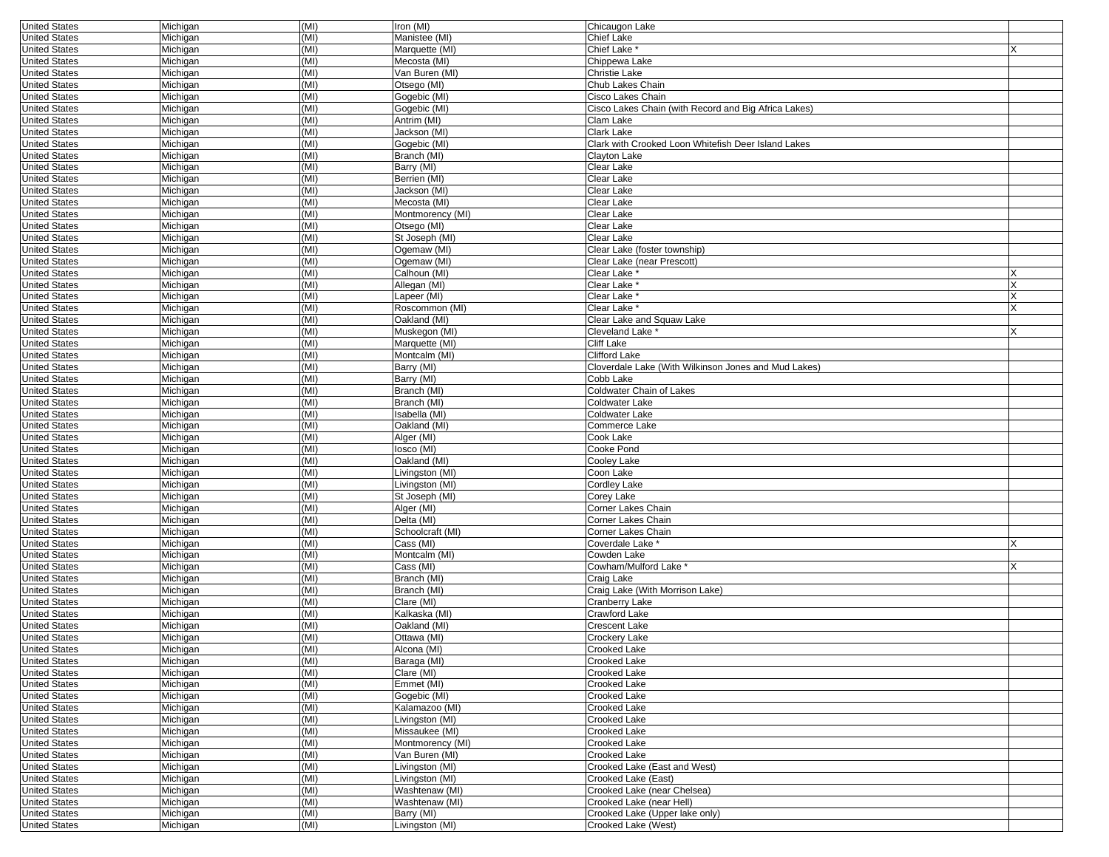| <b>United States</b> | Michigan | (MI) | Iron (MI)        | Chicaugon Lake                                       |  |
|----------------------|----------|------|------------------|------------------------------------------------------|--|
| <b>United States</b> | Michigan | (MI) | Manistee (MI)    | Chief Lake                                           |  |
| <b>United States</b> | Michigan | (MI) | Marquette (MI)   | Chief Lake *                                         |  |
| <b>United States</b> | Michigan | (MI) | Mecosta (MI)     | Chippewa Lake                                        |  |
| <b>United States</b> | Michigan | (MI) | Van Buren (MI)   | <b>Christie Lake</b>                                 |  |
| <b>United States</b> | Michigan | (MI) | Otsego (MI)      | Chub Lakes Chain                                     |  |
| <b>United States</b> | Michigan | (MI) | Gogebic (MI)     | Cisco Lakes Chain                                    |  |
| <b>United States</b> | Michigan | (MI) | Gogebic (MI)     | Cisco Lakes Chain (with Record and Big Africa Lakes) |  |
| <b>United States</b> | Michigan | (MI) | Antrim (MI)      | Clam Lake                                            |  |
| <b>United States</b> | Michigan | (MI) | Jackson (MI)     | Clark Lake                                           |  |
| <b>United States</b> | Michigan | (MI) | Gogebic (MI)     | Clark with Crooked Loon Whitefish Deer Island Lakes  |  |
| <b>United States</b> | Michigan | (MI) | Branch (MI)      | Clayton Lake                                         |  |
| <b>United States</b> | Michigan | (MI) | Barry (MI)       | Clear Lake                                           |  |
| <b>United States</b> | Michigan | (MI) | Berrien (MI)     | Clear Lake                                           |  |
| <b>United States</b> | Michigan | (MI) | Jackson (MI)     | Clear Lake                                           |  |
| <b>United States</b> | Michigan | (MI) | Mecosta (MI)     | Clear Lake                                           |  |
| <b>United States</b> | Michigan | (MI) | Montmorency (MI) | Clear Lake                                           |  |
| <b>United States</b> | Michigan | (MI) | Otsego (MI)      | Clear Lake                                           |  |
| <b>United States</b> | Michigan | (MI) | St Joseph (MI)   | Clear Lake                                           |  |
| <b>United States</b> | Michigan | (MI) | Ogemaw (MI)      | Clear Lake (foster township)                         |  |
| <b>United States</b> | Michigan | (MI) | Ogemaw (MI)      | Clear Lake (near Prescott)                           |  |
| <b>United States</b> | Michigan | (MI) | Calhoun (MI)     | Clear Lake <sup>*</sup>                              |  |
| <b>United States</b> | Michigan | (MI) | Allegan (MI)     | Clear Lake *                                         |  |
| <b>United States</b> | Michigan | (MI) | _apeer (MI)      | Clear Lake <sup>*</sup>                              |  |
| <b>United States</b> | Michigan | (MI) | Roscommon (MI)   | Clear Lake *                                         |  |
| <b>United States</b> | Michigan | (MI) | Oakland (MI)     | Clear Lake and Squaw Lake                            |  |
| <b>United States</b> | Michigan | (MI) | Muskegon (MI)    | Cleveland Lake <sup>*</sup>                          |  |
| <b>United States</b> | Michigan | (MI) | Marquette (MI)   | <b>Cliff Lake</b>                                    |  |
| <b>United States</b> | Michigan | (MI) | Montcalm (MI)    | Clifford Lake                                        |  |
| <b>United States</b> | Michigan | (MI) | Barry (MI)       | Cloverdale Lake (With Wilkinson Jones and Mud Lakes) |  |
| <b>United States</b> | Michigan | (MI) | Barry (MI)       | Cobb Lake                                            |  |
| <b>United States</b> | Michigan | (MI) | Branch (MI)      | Coldwater Chain of Lakes                             |  |
| <b>United States</b> | Michigan | (MI) | Branch (MI)      | Coldwater Lake                                       |  |
| <b>United States</b> | Michigan | (MI) | Isabella (MI)    | Coldwater Lake                                       |  |
| <b>United States</b> | Michigan | (MI) | Oakland (MI)     | Commerce Lake                                        |  |
| <b>United States</b> | Michigan | (MI) | Alger (MI)       | Cook Lake                                            |  |
| <b>United States</b> | Michigan | (MI) | losco (MI)       | Cooke Pond                                           |  |
| <b>United States</b> | Michigan | (MI) | Oakland (MI)     | Cooley Lake                                          |  |
| <b>United States</b> | Michigan | (MI) | Livingston (MI)  | Coon Lake                                            |  |
| <b>United States</b> | Michigan | (MI) | Livingston (MI)  | Cordley Lake                                         |  |
| <b>United States</b> | Michigan | (MI) | St Joseph (MI)   | Corey Lake                                           |  |
| <b>United States</b> | Michigan | (MI) | Alger (MI)       | Corner Lakes Chain                                   |  |
| <b>United States</b> | Michigan | (MI) | Delta (MI)       | Corner Lakes Chain                                   |  |
| <b>United States</b> | Michigan | (MI) | Schoolcraft (MI) | Corner Lakes Chain                                   |  |
| <b>United States</b> | Michigan | (MI) | Cass (MI)        | Coverdale Lake *                                     |  |
| <b>United States</b> | Michigan | (MI) | Montcalm (MI)    | Cowden Lake                                          |  |
| <b>United States</b> | Michigan | (MI) | Cass (MI)        | Cowham/Mulford Lake *                                |  |
| <b>United States</b> | Michigan | (MI) | Branch (MI)      | Craig Lake                                           |  |
| <b>United States</b> | Michigan | (MI) | Branch (MI)      | Craig Lake (With Morrison Lake)                      |  |
| <b>United States</b> | Michigan | (MI) | Clare (MI)       | Cranberry Lake                                       |  |
| <b>United States</b> | Michigan | (MI) | Kalkaska (MI)    | Crawford Lake                                        |  |
| <b>United States</b> | Michigan | (MI) | Oakland (MI)     | Crescent Lake                                        |  |
| <b>United States</b> | Michigan | (MI) | Ottawa (MI)      | Crockery Lake                                        |  |
| United States        | Michigan | (MI) | Alcona (MI)      | Сгоокеd Lake                                         |  |
| <b>United States</b> | Michigan | (MI) | Baraga (MI)      | Crooked Lake                                         |  |
| <b>United States</b> | Michigan | (MI) | Clare (MI)       | Crooked Lake                                         |  |
| <b>United States</b> | Michigan | (MI) | Emmet (MI)       | Crooked Lake                                         |  |
| <b>United States</b> | Michigan | (MI) | Gogebic (MI)     | Crooked Lake                                         |  |
| <b>United States</b> | Michigan | (MI) | Kalamazoo (MI)   | Crooked Lake                                         |  |
| <b>United States</b> | Michigan | (MI) | Livingston (MI)  | Crooked Lake                                         |  |
| <b>United States</b> | Michigan | (MI) | Missaukee (MI)   | Crooked Lake                                         |  |
| <b>United States</b> | Michigan | (MI) | Montmorency (MI) | Crooked Lake                                         |  |
| <b>United States</b> | Michigan | (MI) | Van Buren (MI)   | Crooked Lake                                         |  |
| <b>United States</b> | Michigan | (MI) | Livingston (MI)  | Crooked Lake (East and West)                         |  |
| <b>United States</b> | Michigan | (MI) | Livingston (MI)  | Crooked Lake (East)                                  |  |
| <b>United States</b> | Michigan | (MI) | Washtenaw (MI)   | Crooked Lake (near Chelsea)                          |  |
| <b>United States</b> | Michigan | (MI) | Washtenaw (MI)   | Crooked Lake (near Hell)                             |  |
| <b>United States</b> | Michigan | (MI) | Barry (MI)       | Crooked Lake (Upper lake only)                       |  |
| <b>United States</b> | Michigan | (MI) | Livingston (MI)  | Crooked Lake (West)                                  |  |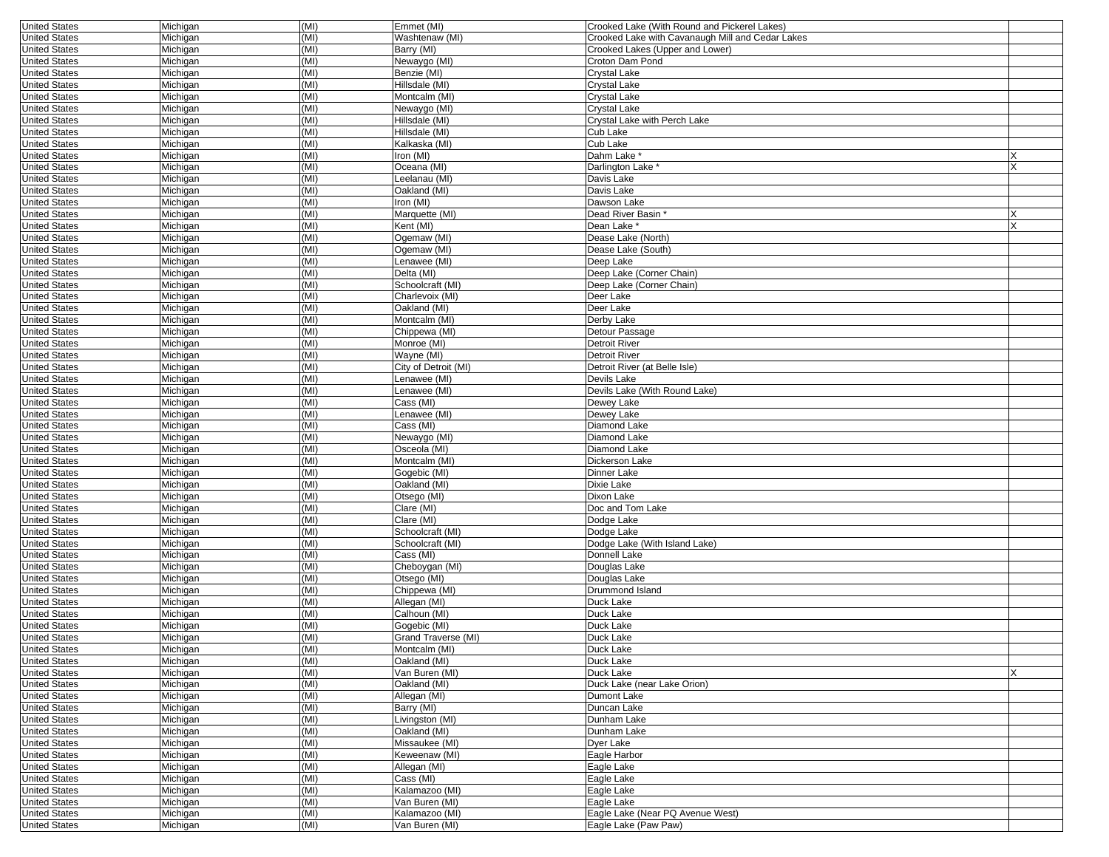| <b>United States</b> | Michigan | (MI) | Emmet (MI)           | Crooked Lake (With Round and Pickerel Lakes)     |   |
|----------------------|----------|------|----------------------|--------------------------------------------------|---|
| <b>United States</b> | Michigan | (MI) | Washtenaw (MI)       | Crooked Lake with Cavanaugh Mill and Cedar Lakes |   |
| <b>United States</b> | Michigan | (MI) | Barry (MI)           | Crooked Lakes (Upper and Lower)                  |   |
| <b>United States</b> | Michigan | (MI) | Newaygo (MI)         | Croton Dam Pond                                  |   |
| <b>United States</b> | Michigan | (MI) | Benzie (MI)          | Crystal Lake                                     |   |
| <b>United States</b> | Michigan | (MI) | Hillsdale (MI)       | Crystal Lake                                     |   |
| <b>United States</b> | Michigan | (MI) | Montcalm (MI)        | Crystal Lake                                     |   |
| <b>United States</b> | Michigan | (MI) | Newaygo (MI)         | Crystal Lake                                     |   |
| <b>United States</b> | Michigan | (MI) | Hillsdale (MI)       | Crystal Lake with Perch Lake                     |   |
| <b>United States</b> | Michigan | (MI) | Hillsdale (MI)       | Cub Lake                                         |   |
| <b>United States</b> | Michigan | (MI) | Kalkaska (MI)        | Cub Lake                                         |   |
| <b>United States</b> | Michigan | (MI) | Iron (MI)            | Dahm Lake <sup>*</sup>                           |   |
| <b>United States</b> | Michigan | (MI) | Oceana (MI)          | Darlington Lake *                                | X |
| <b>United States</b> | Michigan | (MI) | eelanau (MI)         | Davis Lake                                       |   |
| <b>United States</b> | Michigan | (MI) | Oakland (MI)         | Davis Lake                                       |   |
| <b>United States</b> | Michigan | (MI) | Iron (MI)            | Dawson Lake                                      |   |
| <b>United States</b> | Michigan | (MI) | Marquette (MI)       | Dead River Basin *                               |   |
| <b>United States</b> | Michigan | (MI) | Kent (MI)            | Dean Lake *                                      | X |
| <b>United States</b> | Michigan | (MI) | Ogemaw (MI)          | Dease Lake (North)                               |   |
| <b>United States</b> | Michigan | (MI) | Ogemaw (MI)          | Dease Lake (South)                               |   |
| <b>United States</b> | Michigan | (MI) | Lenawee (MI)         | Deep Lake                                        |   |
| <b>United States</b> | Michigan | (MI) | Delta (MI)           | Deep Lake (Corner Chain)                         |   |
| <b>United States</b> | Michigan | (MI) | Schoolcraft (MI)     | Deep Lake (Corner Chain)                         |   |
| <b>United States</b> | Michigan | (MI) | Charlevoix (MI)      | Deer Lake                                        |   |
| <b>United States</b> | Michigan | (MI) | Oakland (MI)         | Deer Lake                                        |   |
| <b>United States</b> | Michigan | (MI) | Montcalm (MI)        | Derby Lake                                       |   |
| <b>United States</b> | Michigan | (MI) | Chippewa (MI)        | Detour Passage                                   |   |
| <b>United States</b> | Michigan | (MI) | Monroe (MI)          | Detroit River                                    |   |
| <b>United States</b> | Michigan | (MI) | Wayne (MI)           | Detroit River                                    |   |
| <b>United States</b> | Michigan | (MI) | City of Detroit (MI) | Detroit River (at Belle Isle)                    |   |
| <b>United States</b> | Michigan | (MI) | Lenawee (MI)         | Devils Lake                                      |   |
| <b>United States</b> | Michigan | (MI) | enawee (MI)          | Devils Lake (With Round Lake)                    |   |
| <b>United States</b> | Michigan | (MI) | Cass (MI)            | Dewey Lake                                       |   |
| <b>United States</b> | Michigan | (MI) | enawee (MI)          | Dewey Lake                                       |   |
| <b>United States</b> | Michigan | (MI) | Cass (MI)            | Diamond Lake                                     |   |
| <b>United States</b> | Michigan | (MI) | Newaygo (MI)         | Diamond Lake                                     |   |
| <b>United States</b> | Michigan | (MI) | Osceola (MI)         | Diamond Lake                                     |   |
| <b>United States</b> | Michigan | (MI) | Montcalm (MI)        | Dickerson Lake                                   |   |
| <b>United States</b> | Michigan | (MI) | Gogebic (MI)         | Dinner Lake                                      |   |
| <b>United States</b> | Michigan | (MI) | Oakland (MI)         | Dixie Lake                                       |   |
| <b>United States</b> | Michigan | (MI) | Otsego (MI)          | Dixon Lake                                       |   |
| <b>United States</b> | Michigan | (MI) | Clare (MI)           | Doc and Tom Lake                                 |   |
| <b>United States</b> | Michigan | (MI) | Clare (MI)           | Dodge Lake                                       |   |
| <b>United States</b> | Michigan | (MI) | Schoolcraft (MI)     | Dodge Lake                                       |   |
| <b>United States</b> | Michigan | (MI) | Schoolcraft (MI)     | Dodge Lake (With Island Lake)                    |   |
| <b>United States</b> | Michigan | (MI) | Cass (MI)            | Donnell Lake                                     |   |
| <b>United States</b> | Michigan | (MI) | Cheboygan (MI)       | Douglas Lake                                     |   |
| <b>United States</b> | Michigan | (MI) | Otsego (MI)          | Douglas Lake                                     |   |
| <b>United States</b> | Michigan | (MI) | Chippewa (MI)        | Drummond Island                                  |   |
| <b>United States</b> | Michigan | (MI) | Allegan (MI)         | Duck Lake                                        |   |
| <b>United States</b> | Michigan | (MI) | Calhoun (MI)         | Duck Lake                                        |   |
| <b>United States</b> | Michigan | (MI) | Gogebic (MI)         | Duck Lake                                        |   |
| <b>United States</b> | Michigan | (MI) | Grand Traverse (MI)  | Duck Lake                                        |   |
| <b>United States</b> | Michigan | (MI) | Montcalm (MI)        | Duck Lake                                        |   |
| <b>United States</b> | Michigan | (MI) | Oakland (MI)         | Duck Lake                                        |   |
| <b>United States</b> | Michigan | (MI) | Van Buren (MI)       | Duck Lake                                        |   |
| <b>United States</b> | Michigan | (MI) | Oakland (MI)         | Duck Lake (near Lake Orion)                      |   |
| <b>United States</b> | Michigan | (MI) | Allegan (MI)         | Dumont Lake                                      |   |
| <b>United States</b> | Michigan | (MI) | Barry (MI)           | Duncan Lake                                      |   |
| <b>United States</b> | Michigan | (MI) | Livingston (MI)      | Dunham Lake                                      |   |
| <b>United States</b> | Michigan | (MI) | Oakland (MI)         | Dunham Lake                                      |   |
| <b>United States</b> | Michigan | (MI) | Missaukee (MI)       | Dyer Lake                                        |   |
| <b>United States</b> | Michigan | (MI) | Keweenaw (MI)        | Eagle Harbor                                     |   |
| <b>United States</b> | Michigan | (MI) | Allegan (MI)         | Eagle Lake                                       |   |
| <b>United States</b> | Michigan | (MI) | Cass (MI)            | Eagle Lake                                       |   |
| <b>United States</b> | Michigan | (MI) | Kalamazoo (MI)       | Eagle Lake                                       |   |
| <b>United States</b> | Michigan | (MI) | Van Buren (MI)       | Eagle Lake                                       |   |
| <b>United States</b> | Michigan | (MI) | Kalamazoo (MI)       | Eagle Lake (Near PQ Avenue West)                 |   |
| <b>United States</b> | Michigan | (MI) | Van Buren (MI)       | Eagle Lake (Paw Paw)                             |   |
|                      |          |      |                      |                                                  |   |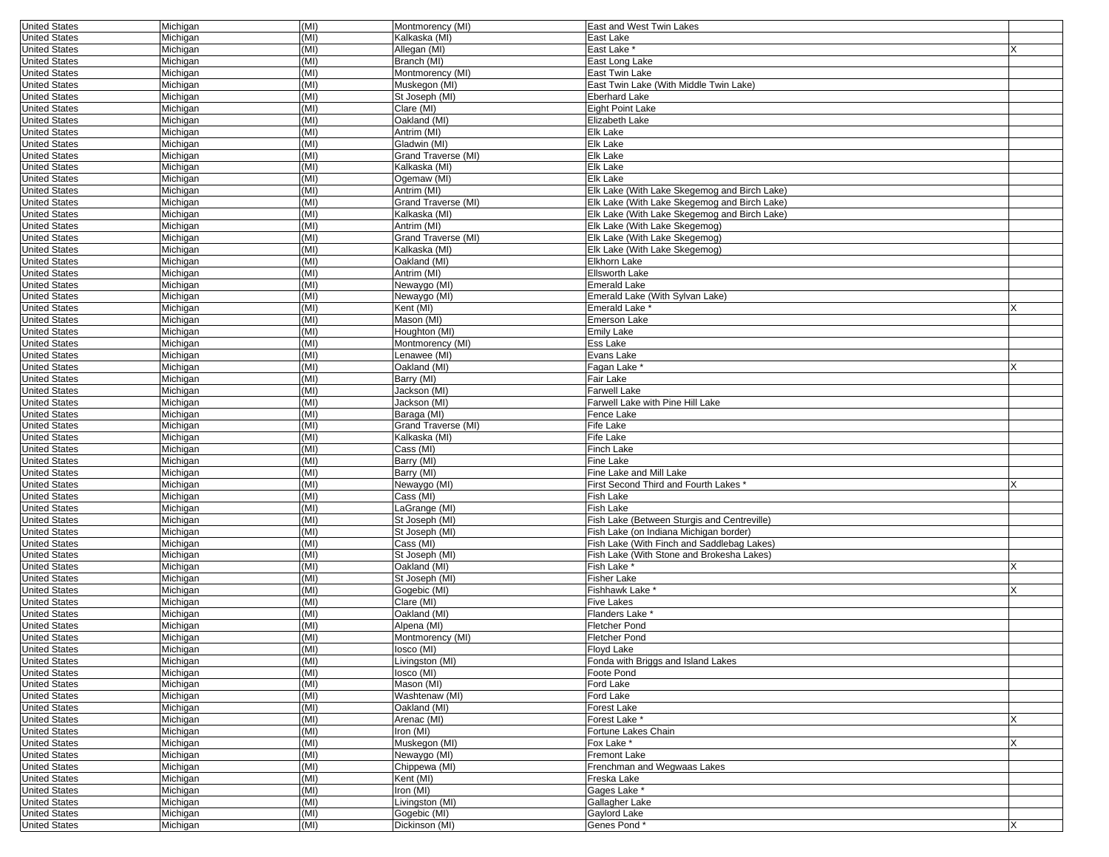| <b>United States</b> | Michigan | (MI) | Montmorency (MI)    | East and West Twin Lakes                     |   |
|----------------------|----------|------|---------------------|----------------------------------------------|---|
| <b>United States</b> | Michigan | (MI) | Kalkaska (MI)       | East Lake                                    |   |
| <b>United States</b> | Michigan | (MI) | Allegan (MI)        | East Lake *                                  |   |
| <b>United States</b> | Michigan | (MI) | Branch (MI)         | East Long Lake                               |   |
| <b>United States</b> | Michigan | (MI) | Montmorency (MI)    | East Twin Lake                               |   |
| <b>United States</b> | Michigan | (MI) | Muskegon (MI)       | East Twin Lake (With Middle Twin Lake)       |   |
| <b>United States</b> | Michigan | (MI) | St Joseph (MI)      | Eberhard Lake                                |   |
| <b>United States</b> | Michigan | (MI) | Clare (MI)          | <b>Eight Point Lake</b>                      |   |
| <b>United States</b> |          |      | Oakland (MI)        | Elizabeth Lake                               |   |
|                      | Michigan | (MI) |                     |                                              |   |
| <b>United States</b> | Michigan | (MI) | Antrim (MI)         | Elk Lake                                     |   |
| <b>United States</b> | Michigan | (MI) | Gladwin (MI)        | Elk Lake                                     |   |
| <b>United States</b> | Michigan | (MI) | Grand Traverse (MI) | Elk Lake                                     |   |
| <b>United States</b> | Michigan | (MI) | Kalkaska (MI)       | Elk Lake                                     |   |
| <b>United States</b> | Michigan | (MI) | Ogemaw (MI)         | Elk Lake                                     |   |
| <b>United States</b> | Michigan | (MI) | Antrim (MI)         | Elk Lake (With Lake Skegemog and Birch Lake) |   |
| <b>United States</b> | Michigan | (MI) | Grand Traverse (MI) | Elk Lake (With Lake Skegemog and Birch Lake) |   |
| <b>United States</b> | Michigan | (MI) | Kalkaska (MI)       | Elk Lake (With Lake Skegemog and Birch Lake) |   |
| <b>United States</b> | Michigan | (MI) | Antrim (MI)         | Elk Lake (With Lake Skegemog)                |   |
| <b>United States</b> | Michigan | (MI) | Grand Traverse (MI) | Elk Lake (With Lake Skegemog)                |   |
| <b>United States</b> | Michigan | (MI) | Kalkaska (MI)       | Elk Lake (With Lake Skegemog)                |   |
| <b>United States</b> | Michigan | (MI) | Oakland (MI)        | Elkhorn Lake                                 |   |
|                      |          | (MI) | Antrim (MI)         |                                              |   |
| <b>United States</b> | Michigan |      |                     | <b>Ellsworth Lake</b>                        |   |
| <b>United States</b> | Michigan | (MI) | Newaygo (MI)        | Emerald Lake                                 |   |
| <b>United States</b> | Michigan | (MI) | Newaygo (MI)        | Emerald Lake (With Sylvan Lake)              |   |
| <b>United States</b> | Michigan | (MI) | Kent (MI)           | Emerald Lake <sup>*</sup>                    |   |
| <b>United States</b> | Michigan | (MI) | Mason (MI)          | Emerson Lake                                 |   |
| <b>United States</b> | Michigan | (MI) | Houghton (MI)       | Emily Lake                                   |   |
| <b>United States</b> | Michigan | (MI) | Montmorency (MI)    | Ess Lake                                     |   |
| <b>United States</b> | Michigan | (MI) | Lenawee (MI)        | Evans Lake                                   |   |
| <b>United States</b> | Michigan | (MI) | Oakland (MI)        | Fagan Lake *                                 |   |
| <b>United States</b> | Michigan | (MI) | Barry (MI)          | Fair Lake                                    |   |
| <b>United States</b> | Michigan | (MI) | Jackson (MI)        | Farwell Lake                                 |   |
| <b>United States</b> | Michigan | (MI) | Jackson (MI)        | Farwell Lake with Pine Hill Lake             |   |
| <b>United States</b> | Michigan | (MI) | Baraga (MI)         | Fence Lake                                   |   |
| <b>United States</b> |          | (MI) |                     | Fife Lake                                    |   |
|                      | Michigan |      | Grand Traverse (MI) |                                              |   |
| <b>United States</b> | Michigan | (MI) | Kalkaska (MI)       | Fife Lake                                    |   |
| <b>United States</b> | Michigan | (MI) | Cass (MI)           | Finch Lake                                   |   |
| <b>United States</b> | Michigan | (MI) | Barry (MI)          | Fine Lake                                    |   |
| <b>United States</b> | Michigan | (MI) | Barry (MI)          | Fine Lake and Mill Lake                      |   |
| <b>United States</b> | Michigan | (MI) | Newaygo (MI)        | First Second Third and Fourth Lakes *        |   |
| <b>United States</b> | Michigan | (MI) | Cass (MI)           | Fish Lake                                    |   |
| <b>United States</b> | Michigan | (MI) | LaGrange (MI)       | Fish Lake                                    |   |
| <b>United States</b> | Michigan | (MI) | St Joseph (MI)      | Fish Lake (Between Sturgis and Centreville)  |   |
| <b>United States</b> | Michigan | (MI) | St Joseph (MI)      | Fish Lake (on Indiana Michigan border)       |   |
| <b>United States</b> | Michigan | (MI) | Cass (MI)           | Fish Lake (With Finch and Saddlebag Lakes)   |   |
| <b>United States</b> | Michigan | (MI) | St Joseph (MI)      | Fish Lake (With Stone and Brokesha Lakes)    |   |
| <b>United States</b> | Michigan | (MI) | Oakland (MI)        | Fish Lake *                                  |   |
| <b>United States</b> | Michigan | (MI) | St Joseph (MI)      | Fisher Lake                                  |   |
| <b>United States</b> | Michigan | (MI) | Gogebic (MI)        | Fishhawk Lake <sup>*</sup>                   | X |
| <b>United States</b> | Michigan | (MI) | Clare (MI)          | Five Lakes                                   |   |
| <b>United States</b> | Michigan | (MI) | Oakland (MI)        | Flanders Lake <sup>*</sup>                   |   |
|                      |          |      |                     |                                              |   |
| <b>United States</b> | Michigan | (MI) | Alpena (MI)         | Fletcher Pond                                |   |
| <b>United States</b> | Michigan | (MI) | Montmorency (MI)    | Fletcher Pond                                |   |
| United States        | Michigan | (MI) | losco (MI)          | Floyd Lake                                   |   |
| <b>United States</b> | Michigan | (MI) | Livingston (MI)     | Fonda with Briggs and Island Lakes           |   |
| <b>United States</b> | Michigan | (MI) | losco (MI)          | Foote Pond                                   |   |
| <b>United States</b> | Michigan | (MI) | Mason (MI)          | Ford Lake                                    |   |
| <b>United States</b> | Michigan | (MI) | Washtenaw (MI)      | Ford Lake                                    |   |
| <b>United States</b> | Michigan | (MI) | Oakland (MI)        | Forest Lake                                  |   |
| <b>United States</b> | Michigan | (MI) | Arenac (MI)         | Forest Lake *                                |   |
| <b>United States</b> | Michigan | (MI) | Iron (MI)           | Fortune Lakes Chain                          |   |
| <b>United States</b> | Michigan | (MI) | Muskegon (MI)       | Fox Lake *                                   |   |
| <b>United States</b> | Michigan | (MI) | Newaygo (MI)        | Fremont Lake                                 |   |
| <b>United States</b> | Michigan | (MI) | Chippewa (MI)       | Frenchman and Wegwaas Lakes                  |   |
| <b>United States</b> |          | (MI) |                     | Freska Lake                                  |   |
|                      | Michigan |      | Kent (MI)           |                                              |   |
| <b>United States</b> | Michigan | (MI) | Iron (MI)           | Gages Lake *                                 |   |
| <b>United States</b> | Michigan | (MI) | Livingston (MI)     | Gallagher Lake                               |   |
| <b>United States</b> | Michigan | (MI) | Gogebic (MI)        | Gaylord Lake                                 |   |
| <b>United States</b> | Michigan | (MI) | Dickinson (MI)      | Genes Pond*                                  | X |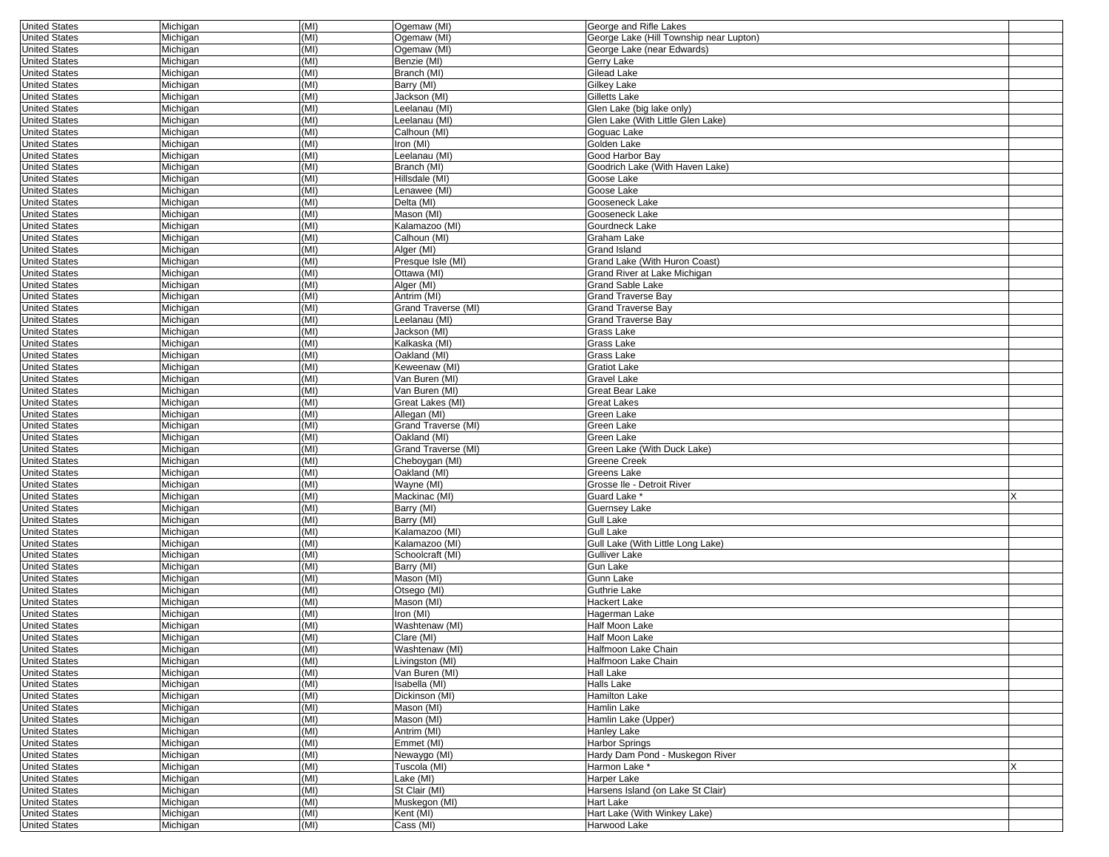| <b>United States</b> | Michigan | (MI) | Ogemaw (MI)         | George and Rifle Lakes                  |   |
|----------------------|----------|------|---------------------|-----------------------------------------|---|
| <b>United States</b> | Michigan | (MI) | Ogemaw (MI)         | George Lake (Hill Township near Lupton) |   |
| <b>United States</b> | Michigan | (MI) | Ogemaw (MI)         | George Lake (near Edwards)              |   |
| <b>United States</b> | Michigan | (MI) | Benzie (MI)         | Gerry Lake                              |   |
| <b>United States</b> | Michigan | (MI) | Branch (MI)         | Gilead Lake                             |   |
|                      |          |      |                     |                                         |   |
| <b>United States</b> | Michigan | (MI) | Barry (MI)          | Gilkey Lake                             |   |
| <b>United States</b> | Michigan | (MI) | Jackson (MI)        | Gilletts Lake                           |   |
| <b>United States</b> | Michigan | (MI) | Leelanau (MI)       | Glen Lake (big lake only)               |   |
| <b>United States</b> | Michigan | (MI) | Leelanau (MI)       | Glen Lake (With Little Glen Lake)       |   |
| <b>United States</b> | Michigan | (MI) | Calhoun (MI)        | Goguac Lake                             |   |
| <b>United States</b> | Michigan | (MI) | Iron (MI)           | Golden Lake                             |   |
|                      |          |      |                     |                                         |   |
| <b>United States</b> | Michigan | (MI) | Leelanau (MI)       | Good Harbor Bay                         |   |
| <b>United States</b> | Michigan | (MI) | Branch (MI)         | Goodrich Lake (With Haven Lake)         |   |
| <b>United States</b> | Michigan | (MI) | Hillsdale (MI)      | Goose Lake                              |   |
| <b>United States</b> | Michigan | (MI) | enawee (MI)         | Goose Lake                              |   |
| <b>United States</b> | Michigan | (MI) | Delta (MI)          | Gooseneck Lake                          |   |
| <b>United States</b> | Michigan | (MI) | Mason (MI)          | Gooseneck Lake                          |   |
|                      | Michigan | (MI) | Kalamazoo (MI)      | Gourdneck Lake                          |   |
| <b>United States</b> |          |      |                     |                                         |   |
| <b>United States</b> | Michigan | (MI) | Calhoun (MI)        | Graham Lake                             |   |
| <b>United States</b> | Michigan | (MI) | Alger (MI)          | Grand Island                            |   |
| <b>United States</b> | Michigan | (MI) | Presque Isle (MI)   | Grand Lake (With Huron Coast)           |   |
| <b>United States</b> | Michigan | (MI) | Ottawa (MI)         | Grand River at Lake Michigan            |   |
| <b>United States</b> | Michigan | (MI) | Alger (MI)          | Grand Sable Lake                        |   |
| <b>United States</b> | Michigan | (MI) | Antrim (MI)         | <b>Grand Traverse Bay</b>               |   |
|                      |          |      |                     |                                         |   |
| <b>United States</b> | Michigan | (MI) | Grand Traverse (MI) | <b>Grand Traverse Bay</b>               |   |
| <b>United States</b> | Michigan | (MI) | Leelanau (MI)       | <b>Grand Traverse Bay</b>               |   |
| <b>United States</b> | Michigan | (MI) | Jackson (MI)        | Grass Lake                              |   |
| <b>United States</b> | Michigan | (MI) | Kalkaska (MI)       | Grass Lake                              |   |
| <b>United States</b> | Michigan | (MI) | Oakland (MI)        | Grass Lake                              |   |
| <b>United States</b> | Michigan | (MI) | Keweenaw (MI)       | <b>Gratiot Lake</b>                     |   |
|                      |          |      |                     |                                         |   |
| <b>United States</b> | Michigan | (MI) | Van Buren (MI)      | Gravel Lake                             |   |
| <b>United States</b> | Michigan | (MI) | Van Buren (MI)      | Great Bear Lake                         |   |
| <b>United States</b> | Michigan | (MI) | Great Lakes (MI)    | Great Lakes                             |   |
| <b>United States</b> | Michigan | (MI) | Allegan (MI)        | Green Lake                              |   |
| <b>United States</b> | Michigan | (MI) | Grand Traverse (MI) | Green Lake                              |   |
| <b>United States</b> | Michigan | (MI) | Oakland (MI)        | Green Lake                              |   |
|                      |          |      |                     |                                         |   |
| <b>United States</b> | Michigan | (MI) | Grand Traverse (MI) | Green Lake (With Duck Lake)             |   |
| <b>United States</b> | Michigan | (MI) | Cheboygan (MI)      | Greene Creek                            |   |
| <b>United States</b> | Michigan | (MI) | Oakland (MI)        | Greens Lake                             |   |
| <b>United States</b> | Michigan | (MI) | Wayne (MI)          | Grosse Ile - Detroit River              |   |
| <b>United States</b> | Michigan | (MI) | Mackinac (MI)       | Guard Lake <sup>®</sup>                 | X |
| <b>United States</b> | Michigan | (MI) | Barry (MI)          | Guernsey Lake                           |   |
|                      |          | (MI) | Barry (MI)          |                                         |   |
| <b>United States</b> | Michigan |      |                     | Gull Lake                               |   |
| <b>United States</b> | Michigan | (MI) | Kalamazoo (MI)      | Gull Lake                               |   |
| <b>United States</b> | Michigan | (MI) | Kalamazoo (MI)      | Gull Lake (With Little Long Lake)       |   |
| <b>United States</b> | Michigan | (MI) | Schoolcraft (MI)    | Gulliver Lake                           |   |
| <b>United States</b> | Michigan | (MI) | Barry (MI)          | Gun Lake                                |   |
| <b>United States</b> | Michigan | (MI) | Mason (MI)          | Gunn Lake                               |   |
| <b>United States</b> | Michigan | (MI) | Otsego (MI)         | Guthrie Lake                            |   |
| <b>United States</b> |          | (MI) |                     |                                         |   |
|                      | Michigan |      | Mason (MI)          | Hackert Lake                            |   |
| <b>United States</b> | Michigan | (MI) | Iron (MI)           | Hagerman Lake                           |   |
| <b>United States</b> | Michigan | (MI) | Washtenaw (MI)      | Half Moon Lake                          |   |
| <b>United States</b> | Michigan | (MI) | Clare (MI)          | Half Moon Lake                          |   |
| United States        | Michigan | (MI) | Washtenaw (MI)      | Haltmoon Lake Chain                     |   |
| <b>United States</b> | Michigan | (MI) | Livingston (MI)     | Halfmoon Lake Chain                     |   |
| <b>United States</b> | Michigan | (MI) | Van Buren (MI)      | Hall Lake                               |   |
|                      |          |      |                     |                                         |   |
| <b>United States</b> | Michigan | (MI) | Isabella (MI)       | Halls Lake                              |   |
| <b>United States</b> | Michigan | (MI) | Dickinson (MI)      | Hamilton Lake                           |   |
| <b>United States</b> | Michigan | (MI) | Mason (MI)          | Hamlin Lake                             |   |
| <b>United States</b> | Michigan | (MI) | Mason (MI)          | Hamlin Lake (Upper)                     |   |
| <b>United States</b> | Michigan | (MI) | Antrim (MI)         | Hanlev Lake                             |   |
| <b>United States</b> | Michigan | (MI) | Emmet (MI)          | <b>Harbor Springs</b>                   |   |
|                      |          |      |                     |                                         |   |
| <b>United States</b> | Michigan | (MI) | Newaygo (MI)        | Hardy Dam Pond - Muskegon River         |   |
| <b>United States</b> | Michigan | (MI) | Tuscola (MI)        | Harmon Lake*                            | X |
| <b>United States</b> | Michigan | (MI) | Lake (MI)           | Harper Lake                             |   |
| <b>United States</b> | Michigan | (MI) | St Clair (MI)       | Harsens Island (on Lake St Clair)       |   |
| <b>United States</b> | Michigan | (MI) | Muskegon (MI)       | Hart Lake                               |   |
| <b>United States</b> | Michigan | (MI) | Kent (MI)           | Hart Lake (With Winkey Lake)            |   |
| <b>United States</b> | Michigan | (MI) | Cass (MI)           | Harwood Lake                            |   |
|                      |          |      |                     |                                         |   |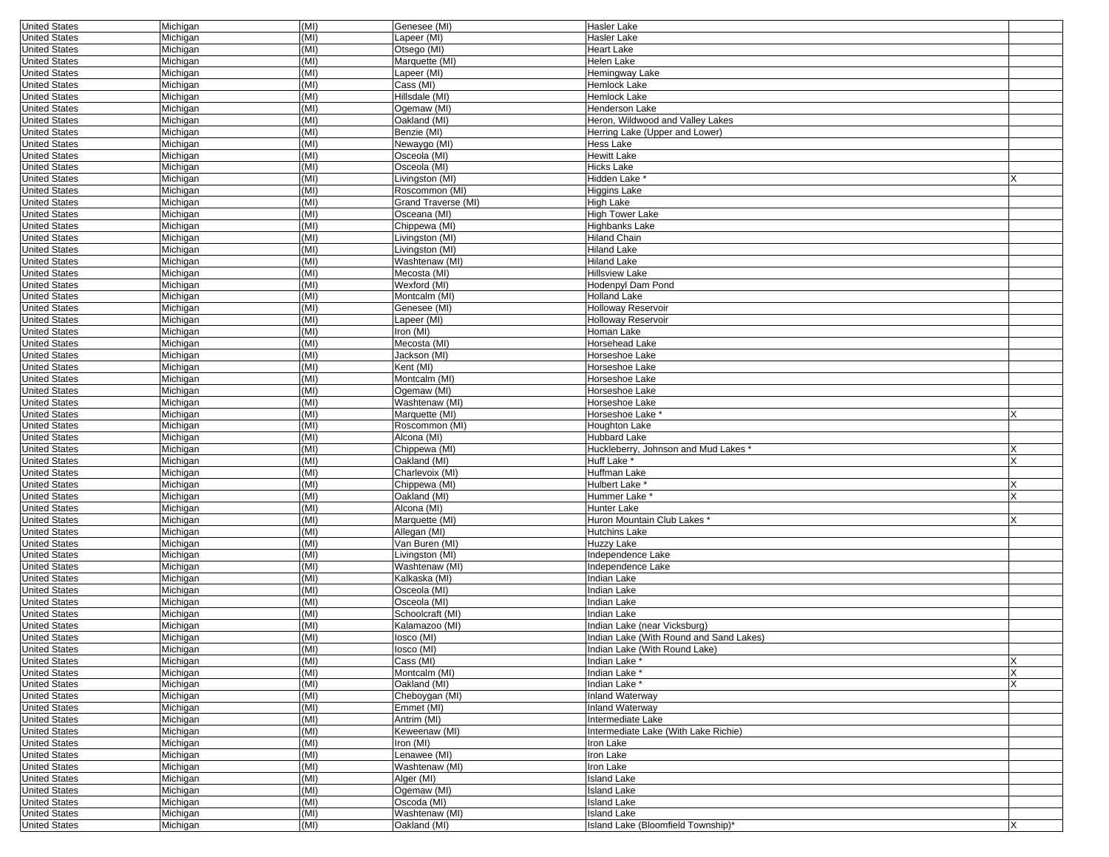| <b>United States</b> | Michigan | (MI) | Genesee (MI)        | <b>Hasler Lake</b>                      |   |
|----------------------|----------|------|---------------------|-----------------------------------------|---|
| <b>United States</b> | Michigan | (MI) | Lapeer (MI)         | Hasler Lake                             |   |
| <b>United States</b> | Michigan | (MI) | Otsego (MI)         | <b>Heart Lake</b>                       |   |
| <b>United States</b> | Michigan | (MI) | Marquette (MI)      | Helen Lake                              |   |
| <b>United States</b> | Michigan | (MI) | Lapeer (MI)         | Hemingway Lake                          |   |
| <b>United States</b> | Michigan | (MI) | Cass (MI)           | Hemlock Lake                            |   |
| <b>United States</b> | Michigan | (MI) | Hillsdale (MI)      | Hemlock Lake                            |   |
| <b>United States</b> | Michigan | (MI) | Ogemaw (MI)         | <b>Henderson Lake</b>                   |   |
| <b>United States</b> | Michigan | (MI) | Oakland (MI)        | Heron, Wildwood and Valley Lakes        |   |
| <b>United States</b> | Michigan | (MI) | Benzie (MI)         | Herring Lake (Upper and Lower)          |   |
| <b>United States</b> | Michigan | (MI) | Newaygo (MI)        | <b>Hess Lake</b>                        |   |
| <b>United States</b> | Michigan | (MI) | Osceola (MI)        | <b>Hewitt Lake</b>                      |   |
| <b>United States</b> | Michigan | (MI) | Osceola (MI)        | <b>Hicks Lake</b>                       |   |
| <b>United States</b> | Michigan | (MI) | Livingston (MI)     | Hidden Lake                             |   |
| <b>United States</b> | Michigan | (MI) | Roscommon (MI)      | <b>Higgins Lake</b>                     |   |
| <b>United States</b> | Michigan | (MI) | Grand Traverse (MI) | High Lake                               |   |
| <b>United States</b> | Michigan | (MI) | Osceana (MI)        | <b>High Tower Lake</b>                  |   |
| <b>United States</b> | Michigan | (MI) | Chippewa (MI)       | Highbanks Lake                          |   |
| <b>United States</b> | Michigan | (MI) | Livingston (MI)     | Hiland Chain                            |   |
| <b>United States</b> | Michigan | (MI) | Livingston (MI)     | <b>Hiland Lake</b>                      |   |
| <b>United States</b> | Michigan | (MI) | Washtenaw (MI)      | <b>Hiland Lake</b>                      |   |
| <b>United States</b> | Michigan | (MI) | Mecosta (MI)        | <b>Hillsview Lake</b>                   |   |
| <b>United States</b> | Michigan | (MI) | Wexford (MI)        | Hodenpyl Dam Pond                       |   |
| <b>United States</b> | Michigan | (MI) | Montcalm (MI)       | <b>Holland Lake</b>                     |   |
| <b>United States</b> | Michigan | (MI) | Genesee (MI)        | Holloway Reservoir                      |   |
| <b>United States</b> | Michigan | (MI) | Lapeer (MI)         | <b>Holloway Reservoir</b>               |   |
| <b>United States</b> | Michigan | (MI) | Iron (MI)           | Homan Lake                              |   |
| <b>United States</b> | Michigan | (MI) | Mecosta (MI)        | Horsehead Lake                          |   |
| <b>United States</b> | Michigan | (MI) | Jackson (MI)        | Horseshoe Lake                          |   |
| <b>United States</b> | Michigan | (MI) | Kent (MI)           | Horseshoe Lake                          |   |
| <b>United States</b> | Michigan | (MI) | Montcalm (MI)       | Horseshoe Lake                          |   |
| <b>United States</b> | Michigan | (MI) | Ogemaw (MI)         | Horseshoe Lake                          |   |
| <b>United States</b> | Michigan | (MI) | Washtenaw (MI)      | Horseshoe Lake                          |   |
| <b>United States</b> | Michigan | (MI) | Marquette (MI)      | Horseshoe Lake                          |   |
| <b>United States</b> | Michigan | (MI) | Roscommon (MI)      | Houghton Lake                           |   |
| <b>United States</b> | Michigan | (MI) | Alcona (MI)         | Hubbard Lake                            |   |
| <b>United States</b> | Michigan | (MI) | Chippewa (MI)       | Huckleberry, Johnson and Mud Lakes '    |   |
| <b>United States</b> | Michigan | (MI) | Oakland (MI)        | Huff Lake *                             |   |
| <b>United States</b> | Michigan | (MI) | Charlevoix (MI)     | Huffman Lake                            |   |
| <b>United States</b> | Michigan | (MI) | Chippewa (MI)       | Hulbert Lake <sup>*</sup>               |   |
| <b>United States</b> | Michigan | (MI) | Oakland (MI)        | Hummer Lake                             |   |
| <b>United States</b> | Michigan | (MI) | Alcona (MI)         | Hunter Lake                             |   |
| <b>United States</b> | Michigan | (MI) | Marquette (MI)      | Huron Mountain Club Lakes *             |   |
| <b>United States</b> | Michigan | (MI) | Allegan (MI)        | Hutchins Lake                           |   |
| <b>United States</b> | Michigan | (MI) | Van Buren (MI)      | Huzzy Lake                              |   |
| <b>United States</b> | Michigan | (MI) | Livingston (MI)     | Independence Lake                       |   |
| <b>United States</b> | Michigan | (MI) | Washtenaw (MI)      | Independence Lake                       |   |
| <b>United States</b> | Michigan | (MI) | Kalkaska (MI)       | Indian Lake                             |   |
| <b>United States</b> | Michigan | (MI) | Osceola (MI)        | Indian Lake                             |   |
| <b>United States</b> | Michigan | (MI) | Osceola (MI)        | Indian Lake                             |   |
| <b>United States</b> | Michigan | (MI) | Schoolcraft (MI)    | <b>Indian Lake</b>                      |   |
| <b>United States</b> | Michigan | (MI) | Kalamazoo (MI)      | Indian Lake (near Vicksburg)            |   |
| <b>United States</b> | Michigan | (MI) | losco (MI)          | Indian Lake (With Round and Sand Lakes) |   |
| United States        | Michigan | (MI) | losco (MI)          | Indian Lake (With Round Lake)           |   |
| <b>United States</b> | Michigan | (MI) | Cass (MI)           | Indian Lake *                           |   |
| <b>United States</b> | Michigan | (MI) | Montcalm (MI)       | Indian Lake *                           |   |
| <b>United States</b> | Michigan | (MI) | Oakland (MI)        | Indian Lake *                           |   |
| <b>United States</b> | Michigan | (MI) | Cheboygan (MI)      | <b>Inland Waterway</b>                  |   |
| <b>United States</b> | Michigan | (MI) | Emmet (MI)          | <b>Inland Waterway</b>                  |   |
| <b>United States</b> | Michigan | (MI) | Antrim (MI)         | Intermediate Lake                       |   |
| <b>United States</b> | Michigan | (MI) | Keweenaw (MI)       | Intermediate Lake (With Lake Richie)    |   |
| <b>United States</b> | Michigan | (MI) | Iron (MI)           | Iron Lake                               |   |
| <b>United States</b> | Michigan | (MI) | Lenawee (MI)        | Iron Lake                               |   |
| <b>United States</b> | Michigan | (MI) | Washtenaw (MI)      | Iron Lake                               |   |
| <b>United States</b> | Michigan | (MI) | Alger (MI)          | <b>Island Lake</b>                      |   |
| <b>United States</b> | Michigan | (MI) | Ogemaw (MI)         | <b>Island Lake</b>                      |   |
| <b>United States</b> | Michigan | (MI) | Oscoda (MI)         | <b>Island Lake</b>                      |   |
| <b>United States</b> | Michigan | (MI) | Washtenaw (MI)      | <b>Island Lake</b>                      |   |
| <b>United States</b> | Michigan | (MI) | Oakland (MI)        | Island Lake (Bloomfield Township)*      | X |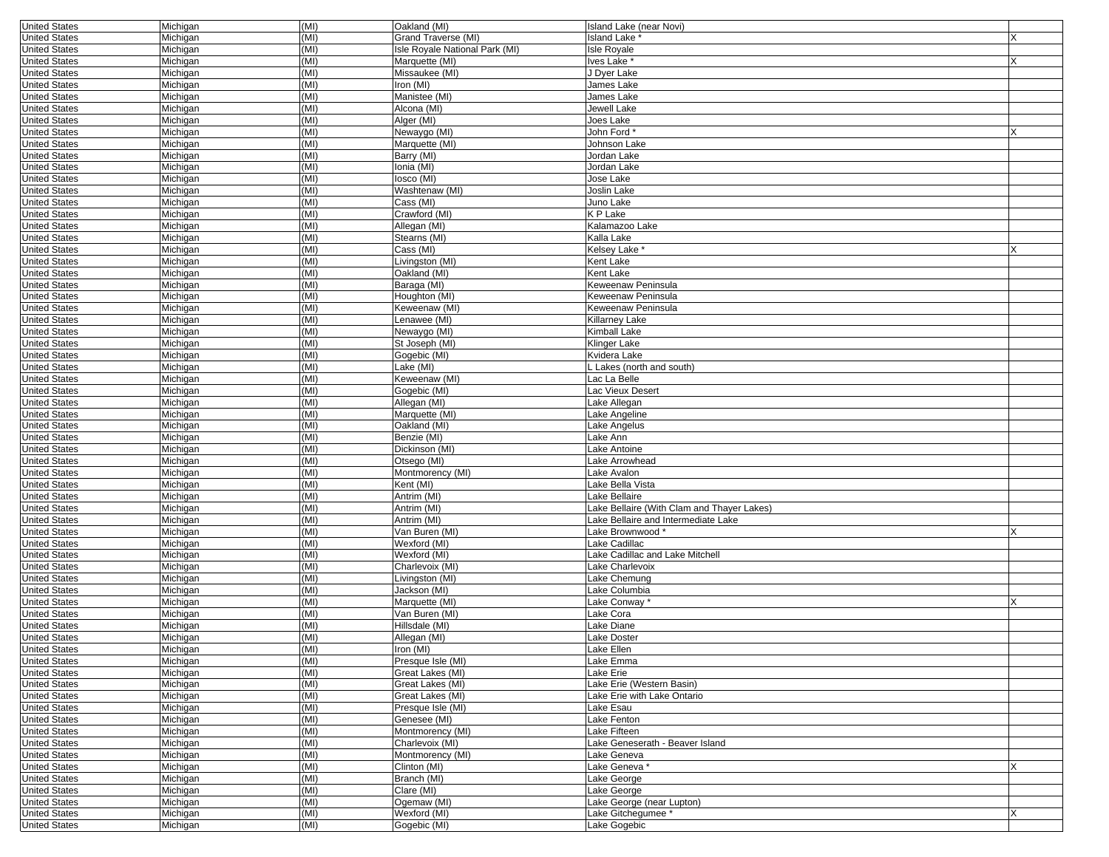| <b>United States</b> | Michigan | (MI) | Oakland (MI)                   | Island Lake (near Novi)                    |  |
|----------------------|----------|------|--------------------------------|--------------------------------------------|--|
| <b>United States</b> | Michigan | (MI) | Grand Traverse (MI)            | Island Lake <sup>*</sup>                   |  |
| <b>United States</b> | Michigan | (MI) | Isle Royale National Park (MI) | <b>Isle Royale</b>                         |  |
| <b>United States</b> | Michigan | (MI) | Marquette (MI)                 | lves Lake *                                |  |
| <b>United States</b> | Michigan | (MI) | Missaukee (MI)                 | J Dyer Lake                                |  |
| <b>United States</b> | Michigan | (MI) | Iron (MI)                      | James Lake                                 |  |
| <b>United States</b> | Michigan | (MI) | Manistee (MI)                  | James Lake                                 |  |
| <b>United States</b> | Michigan | (MI) | Alcona (MI)                    | Jewell Lake                                |  |
| <b>United States</b> | Michigan | (MI) | Alger (MI)                     | Joes Lake                                  |  |
| <b>United States</b> | Michigan | (MI) | Newaygo (MI)                   | John Ford <sup>+</sup>                     |  |
| <b>United States</b> | Michigan | (MI) | Marquette (MI)                 | Johnson Lake                               |  |
| <b>United States</b> | Michigan | (MI) | Barry (MI)                     | Jordan Lake                                |  |
| <b>United States</b> | Michigan | (MI) | Ionia (MI)                     | Jordan Lake                                |  |
| <b>United States</b> | Michigan | (MI) | losco (MI)                     | Jose Lake                                  |  |
| <b>United States</b> | Michigan | (MI) | Washtenaw (MI)                 | Joslin Lake                                |  |
| <b>United States</b> | Michigan | (MI) | Cass (MI)                      | Juno Lake                                  |  |
| <b>United States</b> | Michigan | (MI) | Crawford (MI)                  | K P Lake                                   |  |
| <b>United States</b> | Michigan | (MI) | Allegan (MI)                   | Kalamazoo Lake                             |  |
| <b>United States</b> | Michigan | (MI) | Stearns (MI)                   | Kalla Lake                                 |  |
| <b>United States</b> | Michigan | (MI) | Cass (MI)                      | Kelsey Lake *                              |  |
| <b>United States</b> | Michigan | (MI) | Livingston (MI)                | Kent Lake                                  |  |
| <b>United States</b> | Michigan | (MI) | Oakland (MI)                   | Kent Lake                                  |  |
| <b>United States</b> | Michigan | (MI) | Baraga (MI)                    | Keweenaw Peninsula                         |  |
| <b>United States</b> | Michigan | (MI) | Houghton (MI)                  | Keweenaw Peninsula                         |  |
| <b>United States</b> | Michigan | (MI) | Keweenaw (MI)                  | Keweenaw Peninsula                         |  |
| <b>United States</b> | Michigan | (MI) | Lenawee (MI)                   | Killarney Lake                             |  |
| <b>United States</b> | Michigan | (MI) | Newaygo (MI)                   | Kimball Lake                               |  |
| <b>United States</b> | Michigan | (MI) | St Joseph (MI)                 | Klinger Lake                               |  |
| <b>United States</b> | Michigan | (MI) | Gogebic (MI)                   | Kvidera Lake                               |  |
| <b>United States</b> | Michigan | (MI) | Lake (MI)                      | . Lakes (north and south)                  |  |
| <b>United States</b> | Michigan | (MI) | Keweenaw (MI)                  | Lac La Belle                               |  |
| <b>United States</b> | Michigan | (MI) | Gogebic (MI)                   | Lac Vieux Desert                           |  |
| <b>United States</b> | Michigan | (MI) | Allegan (MI)                   | Lake Allegan                               |  |
| <b>United States</b> | Michigan | (MI) | Marquette (MI)                 | Lake Angeline                              |  |
| <b>United States</b> | Michigan | (MI) | Oakland (MI)                   | Lake Angelus                               |  |
| <b>United States</b> | Michigan | (MI) | Benzie (MI)                    | Lake Ann                                   |  |
| <b>United States</b> | Michigan | (MI) | Dickinson (MI)                 | Lake Antoine                               |  |
| <b>United States</b> | Michigan | (MI) | Otsego (MI)                    | Lake Arrowhead                             |  |
| <b>United States</b> | Michigan | (MI) | Montmorency (MI)               | Lake Avalon                                |  |
| <b>United States</b> | Michigan | (MI) | Kent (MI)                      | Lake Bella Vista                           |  |
| <b>United States</b> | Michigan | (MI) | Antrim (MI)                    | Lake Bellaire                              |  |
| <b>United States</b> | Michigan | (MI) | Antrim (MI)                    | Lake Bellaire (With Clam and Thayer Lakes) |  |
| <b>United States</b> | Michigan | (MI) | Antrim (MI)                    | Lake Bellaire and Intermediate Lake        |  |
| <b>United States</b> | Michigan | (MI) | Van Buren (MI)                 | Lake Brownwood*                            |  |
| <b>United States</b> | Michigan | (MI) | Wexford (MI)                   | Lake Cadillac                              |  |
| <b>United States</b> | Michigan | (MI) | Wexford (MI)                   | Lake Cadillac and Lake Mitchell            |  |
| <b>United States</b> | Michigan | (MI) | Charlevoix (MI)                | Lake Charlevoix                            |  |
| <b>United States</b> | Michigan | (MI) | Livingston (MI)                | Lake Chemung                               |  |
| <b>United States</b> | Michigan | (MI) | Jackson (MI)                   | Lake Columbia                              |  |
| <b>United States</b> | Michigan | (MI) | Marquette (MI)                 | Lake Conway *                              |  |
| <b>United States</b> | Michigan | (MI) | Van Buren (MI)                 | Lake Cora                                  |  |
| <b>United States</b> | Michigan | (MI) | Hillsdale (MI)                 | Lake Diane                                 |  |
| <b>United States</b> | Michigan | (MI) | Allegan (MI)                   | Lake Doster                                |  |
| <b>United States</b> | Michigan | (MI) | Iron (MI)                      | Lake Ellen                                 |  |
| <b>United States</b> | Michigan | (MI) | Presque Isle (MI)              | Lake Emma                                  |  |
| <b>United States</b> | Michigan | (MI) | Great Lakes (MI)               | Lake Erie                                  |  |
| <b>United States</b> | Michigan | (MI) | Great Lakes (MI)               | Lake Erie (Western Basin)                  |  |
| <b>United States</b> | Michigan | (MI) | Great Lakes (MI)               | Lake Erie with Lake Ontario                |  |
| <b>United States</b> | Michigan | (MI) | Presque Isle (MI)              | Lake Esau                                  |  |
| <b>United States</b> | Michigan | (MI) | Genesee (MI)                   | Lake Fenton                                |  |
| <b>United States</b> | Michigan | (MI) | Montmorency (MI)               | Lake Fifteen                               |  |
| <b>United States</b> | Michigan | (MI) | Charlevoix (MI)                | Lake Geneserath - Beaver Island            |  |
| <b>United States</b> | Michigan | (MI) | Montmorency (MI)               | Lake Geneva                                |  |
| <b>United States</b> | Michigan | (MI) | Clinton (MI)                   | Lake Geneva *                              |  |
| <b>United States</b> | Michigan | (MI) | Branch (MI)                    | Lake George                                |  |
| <b>United States</b> | Michigan | (MI) | Clare (MI)                     | Lake George                                |  |
| <b>United States</b> | Michigan | (MI) | Ogemaw (MI)                    | Lake George (near Lupton)                  |  |
| <b>United States</b> | Michigan | (MI) | Wexford (MI)                   | Lake Gitchegumee *                         |  |
| <b>United States</b> | Michigan | (MI) | Gogebic (MI)                   | Lake Gogebic                               |  |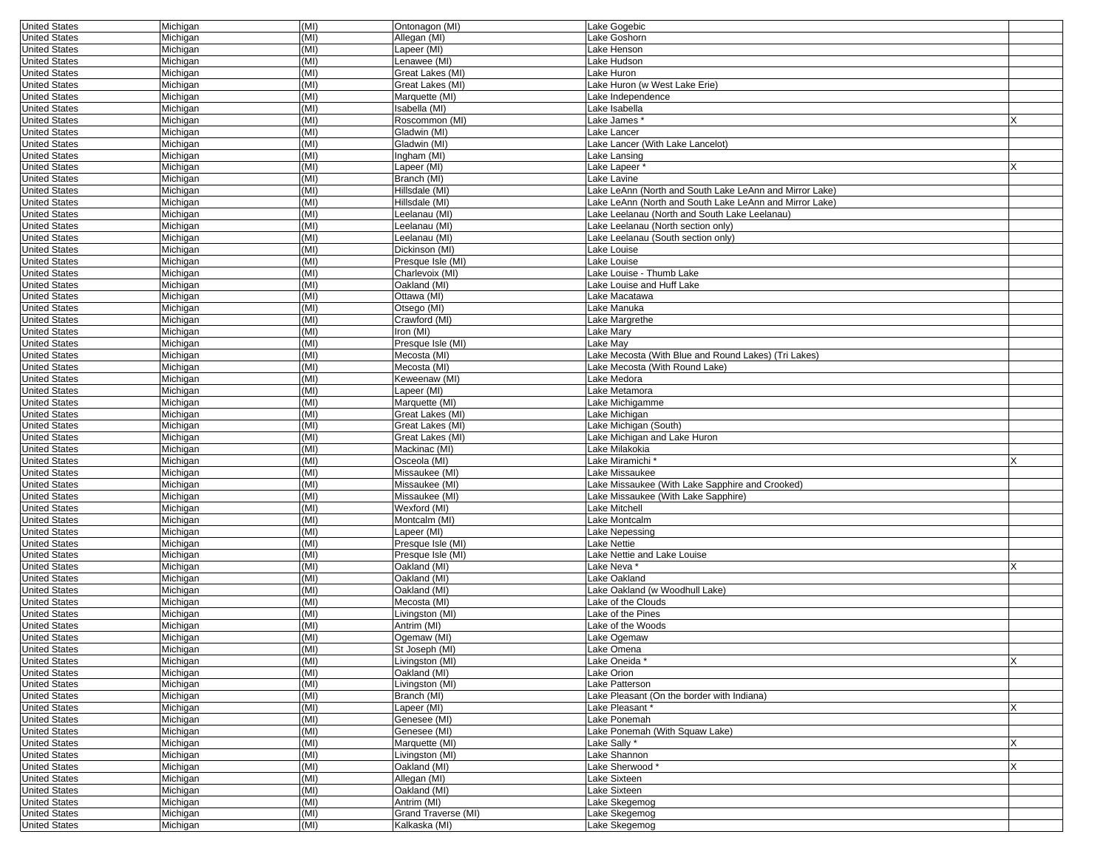| <b>United States</b> | Michigan | (MI) | Ontonagon (MI)      | Lake Gogebic                                            |   |
|----------------------|----------|------|---------------------|---------------------------------------------------------|---|
| <b>United States</b> | Michigan | (MI) | Allegan (MI)        | Lake Goshorn                                            |   |
| <b>United States</b> | Michigan | (MI) | Lapeer (MI)         | Lake Henson                                             |   |
| <b>United States</b> | Michigan | (MI) | Lenawee (MI)        | Lake Hudson                                             |   |
| <b>United States</b> | Michigan | (MI) | Great Lakes (MI)    | Lake Huron                                              |   |
|                      |          | (MI) | Great Lakes (MI)    | Lake Huron (w West Lake Erie)                           |   |
| <b>United States</b> | Michigan |      |                     |                                                         |   |
| <b>United States</b> | Michigan | (MI) | Marquette (MI)      | Lake Independence                                       |   |
| <b>United States</b> | Michigan | (MI) | Isabella (MI)       | Lake Isabella                                           |   |
| United States        | Michigan | (MI) | Roscommon (MI)      | Lake James*                                             |   |
| <b>United States</b> | Michigan | (MI) | Gladwin (MI)        | Lake Lancer                                             |   |
| <b>United States</b> | Michigan | (MI) | Gladwin (MI)        | Lake Lancer (With Lake Lancelot)                        |   |
|                      |          | (MI) |                     |                                                         |   |
| <b>United States</b> | Michigan |      | Ingham (MI)         | Lake Lansing                                            |   |
| <b>United States</b> | Michigan | (MI) | Lapeer (MI)         | Lake Lapeer *                                           |   |
| <b>United States</b> | Michigan | (MI) | Branch (MI)         | Lake Lavine                                             |   |
| <b>United States</b> | Michigan | (MI) | Hillsdale (MI)      | Lake LeAnn (North and South Lake LeAnn and Mirror Lake) |   |
| <b>United States</b> | Michigan | (MI) | Hillsdale (MI)      | Lake LeAnn (North and South Lake LeAnn and Mirror Lake) |   |
| <b>United States</b> | Michigan | (MI) | Leelanau (MI)       | Lake Leelanau (North and South Lake Leelanau)           |   |
| <b>United States</b> | Michigan | (MI) | Leelanau (MI)       | Lake Leelanau (North section only)                      |   |
| United States        |          | (MI) | Leelanau (MI)       | Lake Leelanau (South section only)                      |   |
|                      | Michigan |      |                     |                                                         |   |
| <b>United States</b> | Michigan | (MI) | Dickinson (MI)      | Lake Louise                                             |   |
| <b>United States</b> | Michigan | (MI) | Presque Isle (MI)   | Lake Louise                                             |   |
| <b>United States</b> | Michigan | (MI) | Charlevoix (MI)     | Lake Louise - Thumb Lake                                |   |
| <b>United States</b> | Michigan | (MI) | Oakland (MI)        | Lake Louise and Huff Lake                               |   |
| <b>United States</b> | Michigan | (MI) | Ottawa (MI)         | Lake Macatawa                                           |   |
| <b>United States</b> | Michigan | (MI) | Otsego (MI)         | Lake Manuka                                             |   |
| <b>United States</b> | Michigan | (MI) | Crawford (MI)       | Lake Margrethe                                          |   |
|                      |          |      |                     |                                                         |   |
| <b>United States</b> | Michigan | (MI) | Iron (MI)           | Lake Mary                                               |   |
| <b>United States</b> | Michigan | (MI) | Presque Isle (MI)   | Lake May                                                |   |
| United States        | Michigan | (MI) | Mecosta (MI)        | Lake Mecosta (With Blue and Round Lakes) (Tri Lakes)    |   |
| <b>United States</b> | Michigan | (MI) | Mecosta (MI)        | Lake Mecosta (With Round Lake)                          |   |
| <b>United States</b> | Michigan | (MI) | Keweenaw (MI)       | Lake Medora                                             |   |
| <b>United States</b> | Michigan | (MI) | Lapeer (MI)         | Lake Metamora                                           |   |
| <b>United States</b> | Michigan | (MI) | Marquette (MI)      | Lake Michigamme                                         |   |
| <b>United States</b> | Michigan | (MI) | Great Lakes (MI)    | Lake Michigan                                           |   |
| <b>United States</b> | Michigan | (MI) | Great Lakes (MI)    | Lake Michigan (South)                                   |   |
|                      |          |      |                     |                                                         |   |
| <b>United States</b> | Michigan | (MI) | Great Lakes (MI)    | Lake Michigan and Lake Huron                            |   |
| <b>United States</b> | Michigan | (MI) | Mackinac (MI)       | Lake Milakokia                                          |   |
| <b>United States</b> | Michigan | (MI) | Osceola (MI)        | Lake Miramichi <sup>,</sup>                             |   |
| <b>United States</b> | Michigan | (MI) | Missaukee (MI)      | Lake Missaukee                                          |   |
| <b>United States</b> | Michigan | (MI) | Missaukee (MI)      | Lake Missaukee (With Lake Sapphire and Crooked)         |   |
| <b>United States</b> | Michigan | (MI) | Missaukee (MI)      | Lake Missaukee (With Lake Sapphire)                     |   |
| <b>United States</b> | Michigan | (MI) | Wexford (MI)        | Lake Mitchell                                           |   |
| <b>United States</b> | Michigan | (MI) | Montcalm (MI)       | Lake Montcalm                                           |   |
| <b>United States</b> | Michigan | (MI) | Lapeer (MI)         | Lake Nepessing                                          |   |
| <b>United States</b> | Michigan | (MI) | Presque Isle (MI)   | Lake Nettie                                             |   |
|                      |          | (MI) |                     |                                                         |   |
| <b>United States</b> | Michigan |      | Presque Isle (MI)   | Lake Nettie and Lake Louise                             |   |
| <b>United States</b> | Michigan | (MI) | Oakland (MI)        | Lake Neva *                                             |   |
| <b>United States</b> | Michigan | (MI) | Oakland (MI)        | Lake Oakland                                            |   |
| <b>United States</b> | Michigan | (MI) | Oakland (MI)        | Lake Oakland (w Woodhull Lake)                          |   |
| <b>United States</b> | Michigan | (MI) | Mecosta (MI)        | Lake of the Clouds                                      |   |
| <b>United States</b> | Michigan | (MI) | Livingston (MI)     | Lake of the Pines                                       |   |
| <b>United States</b> | Michigan | (MI) | Antrim (MI)         | Lake of the Woods                                       |   |
| <b>United States</b> | Michigan | (MI) | Ogemaw (MI)         | Lake Ogemaw                                             |   |
|                      |          |      |                     |                                                         |   |
| United States        | Michigan | (MI) | St Joseph (MI)      | Lake Omena                                              |   |
| <b>United States</b> | Michigan | (MI) | Livingston (MI)     | Lake Oneida *                                           | X |
| <b>United States</b> | Michigan | (MI) | Oakland (MI)        | Lake Orion                                              |   |
| <b>United States</b> | Michigan | (MI) | Livingston (MI)     | Lake Patterson                                          |   |
| <b>United States</b> | Michigan | (MI) | Branch (MI)         | Lake Pleasant (On the border with Indiana)              |   |
| <b>United States</b> | Michigan | (MI) | Lapeer (MI)         | Lake Pleasant*                                          | X |
| <b>United States</b> | Michigan | (MI) | Genesee (MI)        | Lake Ponemah                                            |   |
| <b>United States</b> | Michigan | (MI) | Genesee (MI)        | Lake Ponemah (With Squaw Lake)                          |   |
|                      |          | (MI) |                     | Lake Sally *                                            |   |
| <b>United States</b> | Michigan |      | Marquette (MI)      |                                                         |   |
| <b>United States</b> | Michigan | (MI) | Livingston (MI)     | Lake Shannon                                            |   |
| <b>United States</b> | Michigan | (MI) | Oakland (MI)        | Lake Sherwood*                                          | X |
| <b>United States</b> | Michigan | (MI) | Allegan (MI)        | Lake Sixteen                                            |   |
| <b>United States</b> | Michigan | (MI) | Oakland (MI)        | Lake Sixteen                                            |   |
| <b>United States</b> | Michigan | (MI) | Antrim (MI)         | Lake Skegemog                                           |   |
| <b>United States</b> | Michigan | (MI) | Grand Traverse (MI) | Lake Skegemog                                           |   |
| <b>United States</b> | Michigan | (MI) | Kalkaska (MI)       | Lake Skegemog                                           |   |
|                      |          |      |                     |                                                         |   |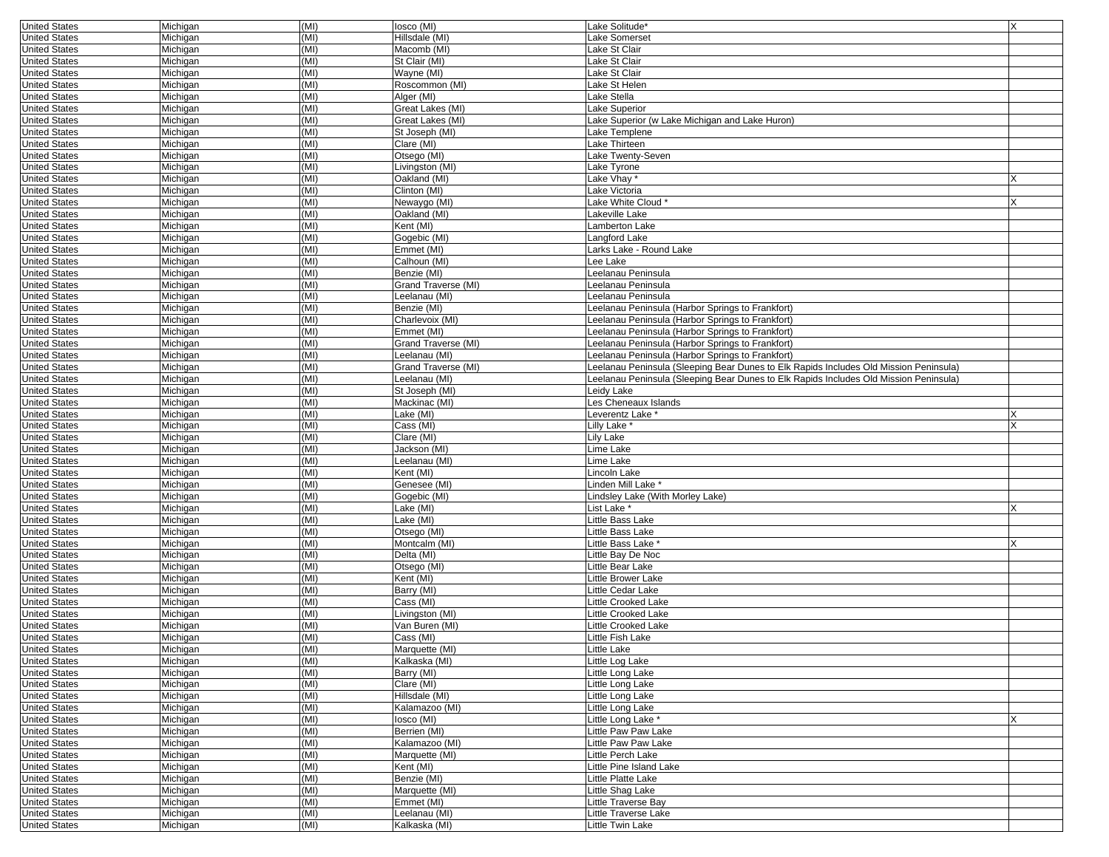| <b>United States</b> | Michigan | (MI) | losco (MI)          | Lake Solitude*                                                                        | X |
|----------------------|----------|------|---------------------|---------------------------------------------------------------------------------------|---|
| <b>United States</b> | Michigan | (MI) | Hillsdale (MI)      | Lake Somerset                                                                         |   |
| <b>United States</b> | Michigan | (MI) | Macomb (MI)         | Lake St Clair                                                                         |   |
| <b>United States</b> | Michigan | (MI) | St Clair (MI)       | Lake St Clair                                                                         |   |
| <b>United States</b> | Michigan | (MI) | Wavne (MI)          | Lake St Clair                                                                         |   |
| <b>United States</b> | Michigan | (MI) | Roscommon (MI)      | Lake St Helen                                                                         |   |
| <b>United States</b> | Michigan | (MI) | Alger (MI)          | Lake Stella                                                                           |   |
| <b>United States</b> | Michigan | (MI) | Great Lakes (MI)    | Lake Superior                                                                         |   |
| <b>United States</b> | Michigan | (MI) | Great Lakes (MI)    | Lake Superior (w Lake Michigan and Lake Huron)                                        |   |
| <b>United States</b> | Michigan | (MI) | St Joseph (MI)      | Lake Templene                                                                         |   |
| <b>United States</b> | Michigan | (MI) | Clare (MI)          | Lake Thirteen                                                                         |   |
| <b>United States</b> | Michigan | (MI) | Otsego (MI)         | Lake Twenty-Seven                                                                     |   |
| <b>United States</b> | Michigan | (MI) | Livingston (MI)     | Lake Tyrone                                                                           |   |
| <b>United States</b> | Michigan | (MI) | Oakland (MI)        | Lake Vhay *                                                                           |   |
| <b>United States</b> | Michigan | (MI) | Clinton (MI)        | Lake Victoria                                                                         |   |
| <b>United States</b> | Michigan | (MI) | Newaygo (MI)        | Lake White Cloud *                                                                    | X |
| <b>United States</b> | Michigan | (MI) | Oakland (MI)        | Lakeville Lake                                                                        |   |
| <b>United States</b> | Michigan | (MI) | Kent (MI)           | Lamberton Lake                                                                        |   |
| <b>United States</b> | Michigan | (MI) | Gogebic (MI)        | Langford Lake                                                                         |   |
| <b>United States</b> | Michigan | (MI) | Emmet (MI)          | Larks Lake - Round Lake                                                               |   |
| <b>United States</b> | Michigan | (MI) | Calhoun (MI)        | Lee Lake                                                                              |   |
| <b>United States</b> | Michigan | (MI) | Benzie (MI)         | Leelanau Peninsula                                                                    |   |
| <b>United States</b> | Michigan | (MI) | Grand Traverse (MI) | Leelanau Peninsula                                                                    |   |
| <b>United States</b> | Michigan | (MI) | Leelanau (MI)       | eelanau Peninsula                                                                     |   |
| <b>United States</b> | Michigan | (MI) | Benzie (MI)         | Leelanau Peninsula (Harbor Springs to Frankfort)                                      |   |
| <b>United States</b> | Michigan | (MI) | Charlevoix (MI)     | Leelanau Peninsula (Harbor Springs to Frankfort)                                      |   |
| <b>United States</b> | Michigan | (MI) | Emmet (MI)          | Leelanau Peninsula (Harbor Springs to Frankfort)                                      |   |
| <b>United States</b> | Michigan | (MI) | Grand Traverse (MI) | Leelanau Peninsula (Harbor Springs to Frankfort)                                      |   |
| <b>United States</b> | Michigan | (MI) | Leelanau (MI)       | Leelanau Peninsula (Harbor Springs to Frankfort)                                      |   |
| <b>United States</b> | Michigan | (MI) | Grand Traverse (MI) | Leelanau Peninsula (Sleeping Bear Dunes to Elk Rapids Includes Old Mission Peninsula) |   |
| <b>United States</b> | Michigan | (MI) | Leelanau (MI)       | Leelanau Peninsula (Sleeping Bear Dunes to Elk Rapids Includes Old Mission Peninsula) |   |
| <b>United States</b> | Michigan | (MI) | St Joseph (MI)      | Leidy Lake                                                                            |   |
| <b>United States</b> | Michigan | (MI) | Mackinac (MI)       | Les Cheneaux Islands                                                                  |   |
| <b>United States</b> | Michigan | (MI) | Lake (MI)           | Leverentz Lake *                                                                      |   |
| <b>United States</b> | Michigan | (MI) | Cass (MI)           | Lilly Lake <sup>*</sup>                                                               |   |
| <b>United States</b> | Michigan | (MI) | Clare (MI)          | Lily Lake                                                                             |   |
| <b>United States</b> | Michigan | (MI) | Jackson (MI)        | Lime Lake                                                                             |   |
| <b>United States</b> | Michigan | (MI) | Leelanau (MI)       | Lime Lake                                                                             |   |
| <b>United States</b> | Michigan | (MI) | Kent (MI)           | Lincoln Lake                                                                          |   |
| <b>United States</b> | Michigan | (MI) | Genesee (MI)        | Linden Mill Lake <sup>*</sup>                                                         |   |
| <b>United States</b> | Michigan | (MI) | Gogebic (MI)        | Lindsley Lake (With Morley Lake)                                                      |   |
| <b>United States</b> | Michigan | (MI) | Lake (MI)           | List Lake <sup>*</sup>                                                                | x |
| <b>United States</b> | Michigan | (MI) | Lake (MI)           | Little Bass Lake                                                                      |   |
| <b>United States</b> | Michigan | (MI) | Otsego (MI)         | Little Bass Lake                                                                      |   |
| <b>United States</b> | Michigan | (MI) | Montcalm (MI)       | Little Bass Lake *                                                                    |   |
| <b>United States</b> | Michigan | (MI) | Delta (MI)          | Little Bay De Noc                                                                     |   |
| <b>United States</b> | Michigan | (MI) | Otsego (MI)         | Little Bear Lake                                                                      |   |
| <b>United States</b> | Michigan | (MI) | Kent (MI)           | Little Brower Lake                                                                    |   |
| <b>United States</b> | Michigan | (MI) | Barry (MI)          | Little Cedar Lake                                                                     |   |
| <b>United States</b> | Michigan | (MI) | Cass (MI)           | Little Crooked Lake                                                                   |   |
| <b>United States</b> | Michigan | (MI) | Livingston (MI)     | Little Crooked Lake                                                                   |   |
| <b>United States</b> | Michigan | (MI) | Van Buren (MI)      | Little Crooked Lake                                                                   |   |
| <b>United States</b> | Michigan | (MI) | Cass (MI)           | Little Fish Lake                                                                      |   |
| United States        | Michigan | (MI) | Marquette (MI)      | Little Lake                                                                           |   |
| <b>United States</b> | Michigan | (MI) | Kalkaska (MI)       | Little Log Lake                                                                       |   |
| <b>United States</b> | Michigan | (MI) | Barry (MI)          | Little Long Lake                                                                      |   |
| <b>United States</b> | Michigan | (MI) | Clare (MI)          | Little Long Lake                                                                      |   |
| <b>United States</b> | Michigan | (MI) | Hillsdale (MI)      | Little Long Lake                                                                      |   |
| <b>United States</b> | Michigan | (MI) | Kalamazoo (MI)      | Little Long Lake                                                                      |   |
| <b>United States</b> | Michigan | (MI) | losco (MI)          | Little Long Lake *                                                                    |   |
| <b>United States</b> | Michigan | (MI) | Berrien (MI)        | Little Paw Paw Lake                                                                   |   |
| <b>United States</b> | Michigan | (MI) | Kalamazoo (MI)      | Little Paw Paw Lake                                                                   |   |
| <b>United States</b> | Michigan | (MI) | Marquette (MI)      | Little Perch Lake                                                                     |   |
| <b>United States</b> | Michigan | (MI) | Kent (MI)           | Little Pine Island Lake                                                               |   |
| <b>United States</b> | Michigan | (MI) | Benzie (MI)         | Little Platte Lake                                                                    |   |
| <b>United States</b> | Michigan | (MI) | Marquette (MI)      | Little Shag Lake                                                                      |   |
| <b>United States</b> | Michigan | (MI) | Emmet (MI)          | Little Traverse Bay                                                                   |   |
| <b>United States</b> | Michigan | (MI) | Leelanau (MI)       | Little Traverse Lake                                                                  |   |
| <b>United States</b> | Michigan | (MI) | Kalkaska (MI)       | Little Twin Lake                                                                      |   |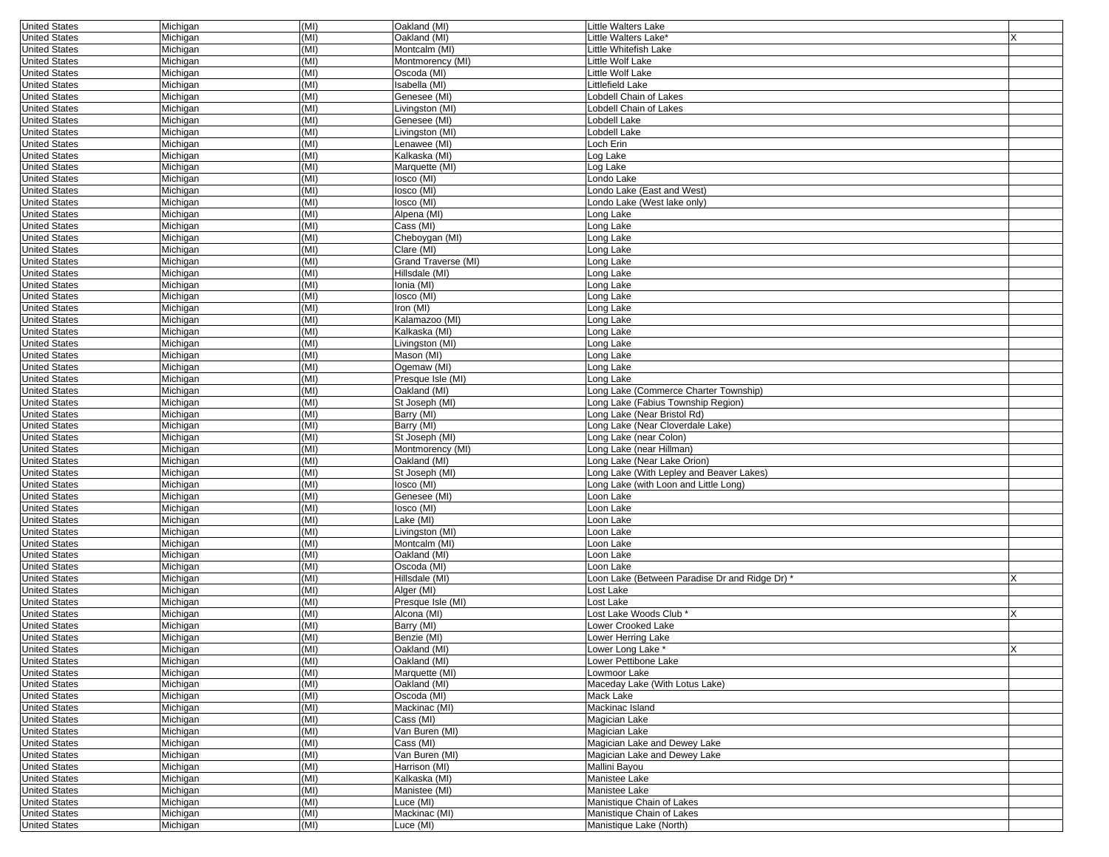|                      |          | (MI) | Oakland (MI)        | <b>Little Walters Lake</b>                     |   |
|----------------------|----------|------|---------------------|------------------------------------------------|---|
| <b>United States</b> | Michigan |      |                     |                                                |   |
| <b>United States</b> | Michigan | (MI) | Oakland (MI)        | Little Walters Lake'                           |   |
| <b>United States</b> | Michigan | (MI) | Montcalm (MI)       | Little Whitefish Lake                          |   |
| <b>United States</b> | Michigan | (MI) | Montmorency (MI)    | Little Wolf Lake                               |   |
| <b>United States</b> | Michigan | (MI) | Oscoda (MI)         | Little Wolf Lake                               |   |
| <b>United States</b> | Michigan | (MI) | Isabella (MI)       | Littlefield Lake                               |   |
| <b>United States</b> | Michigan | (MI) | Genesee (MI)        | Lobdell Chain of Lakes                         |   |
|                      |          |      |                     |                                                |   |
| <b>United States</b> | Michigan | (MI) | Livingston (MI)     | Lobdell Chain of Lakes                         |   |
| <b>United States</b> | Michigan | (MI) | Genesee (MI)        | Lobdell Lake                                   |   |
| <b>United States</b> | Michigan | (MI) | Livingston (MI)     | Lobdell Lake                                   |   |
| <b>United States</b> | Michigan | (MI) | Lenawee (MI)        | Loch Erin                                      |   |
| <b>United States</b> | Michigan | (MI) | Kalkaska (MI)       | Log Lake                                       |   |
|                      |          | (MI) |                     |                                                |   |
| <b>United States</b> | Michigan |      | Marquette (MI)      | Log Lake                                       |   |
| <b>United States</b> | Michigan | (MI) | losco (MI)          | Londo Lake                                     |   |
| <b>United States</b> | Michigan | (MI) | losco (MI)          | Londo Lake (East and West)                     |   |
| <b>United States</b> | Michigan | (MI) | losco (MI)          | Londo Lake (West lake only)                    |   |
| <b>United States</b> | Michigan | (MI) | Alpena (MI)         | Long Lake                                      |   |
| <b>United States</b> | Michigan | (MI) | Cass (MI)           | Long Lake                                      |   |
|                      |          |      |                     |                                                |   |
| <b>United States</b> | Michigan | (MI) | Cheboygan (MI)      | Long Lake                                      |   |
| <b>United States</b> | Michigan | (MI) | Clare (MI)          | Long Lake                                      |   |
| <b>United States</b> | Michigan | (MI) | Grand Traverse (MI) | Long Lake                                      |   |
| <b>United States</b> | Michigan | (MI) | Hillsdale (MI)      | Long Lake                                      |   |
| <b>United States</b> | Michigan | (MI) | Ionia (MI)          | Long Lake                                      |   |
| <b>United States</b> | Michigan | (MI) | losco (MI)          | Long Lake                                      |   |
|                      |          |      |                     |                                                |   |
| <b>United States</b> | Michigan | (MI) | Iron (MI)           | Long Lake                                      |   |
| <b>United States</b> | Michigan | (MI) | Kalamazoo (MI)      | Long Lake                                      |   |
| <b>United States</b> | Michigan | (MI) | Kalkaska (MI)       | Long Lake                                      |   |
| <b>United States</b> | Michigan | (MI) | Livingston (MI)     | Long Lake                                      |   |
| <b>United States</b> | Michigan | (MI) | Mason (MI)          | Long Lake                                      |   |
| <b>United States</b> | Michigan | (MI) | Ogemaw (MI)         | Long Lake                                      |   |
|                      |          |      |                     |                                                |   |
| <b>United States</b> | Michigan | (MI) | Presque Isle (MI)   | Long Lake                                      |   |
| <b>United States</b> | Michigan | (MI) | Oakland (MI)        | Long Lake (Commerce Charter Township)          |   |
| <b>United States</b> | Michigan | (MI) | St Joseph (MI)      | Long Lake (Fabius Township Region)             |   |
| <b>United States</b> | Michigan | (MI) | Barry (MI)          | Long Lake (Near Bristol Rd)                    |   |
| <b>United States</b> | Michigan | (MI) | Barry (MI)          | Long Lake (Near Cloverdale Lake)               |   |
|                      |          | (MI) | St Joseph (MI)      |                                                |   |
| <b>United States</b> | Michigan |      |                     | Long Lake (near Colon)                         |   |
| <b>United States</b> | Michigan | (MI) | Montmorency (MI)    | Long Lake (near Hillman)                       |   |
| <b>United States</b> | Michigan | (MI) | Oakland (MI)        | Long Lake (Near Lake Orion)                    |   |
| <b>United States</b> | Michigan | (MI) | St Joseph (MI)      | Long Lake (With Lepley and Beaver Lakes)       |   |
| <b>United States</b> | Michigan | (MI) | losco (MI)          | Long Lake (with Loon and Little Long)          |   |
| <b>United States</b> | Michigan | (MI) | Genesee (MI)        | Loon Lake                                      |   |
|                      |          |      |                     |                                                |   |
| <b>United States</b> | Michigan | (MI) | losco (MI)          | Loon Lake                                      |   |
| <b>United States</b> | Michigan | (MI) | Lake (MI)           | Loon Lake                                      |   |
| <b>United States</b> | Michigan | (MI) | Livingston (MI)     | Loon Lake                                      |   |
| <b>United States</b> | Michigan | (MI) | Montcalm (MI)       | Loon Lake                                      |   |
| <b>United States</b> | Michigan | (MI) | Oakland (MI)        | Loon Lake                                      |   |
| <b>United States</b> | Michigan | (MI) | Oscoda (MI)         | Loon Lake                                      |   |
|                      |          | (MI) |                     |                                                | X |
| <b>United States</b> | Michigan |      | Hillsdale (MI)      | Loon Lake (Between Paradise Dr and Ridge Dr) * |   |
| <b>United States</b> | Michigan | (MI) | Alger (MI)          | Lost Lake                                      |   |
| <b>United States</b> | Michigan | (MI) | Presque Isle (MI)   | Lost Lake                                      |   |
| <b>United States</b> | Michigan | (MI) | Alcona (MI)         | Lost Lake Woods Club <sup>*</sup>              |   |
| <b>United States</b> | Michigan | (MI) | Barry (MI)          | Lower Crooked Lake                             |   |
| <b>United States</b> | Michigan | (MI) | Benzie (MI)         | Lower Herring Lake                             |   |
|                      |          |      |                     |                                                |   |
| United States        | Michigan | (MI) | Oakland (MI)        | Lower Long Lake                                | X |
| <b>United States</b> | Michigan | (MI) | Oakland (MI)        | Lower Pettibone Lake                           |   |
| <b>United States</b> | Michigan | (MI) | Marquette (MI)      | Lowmoor Lake                                   |   |
| <b>United States</b> | Michigan | (MI) | Oakland (MI)        | Maceday Lake (With Lotus Lake)                 |   |
| <b>United States</b> | Michigan | (MI) | Oscoda (MI)         | Mack Lake                                      |   |
| <b>United States</b> | Michigan | (MI) | Mackinac (MI)       | Mackinac Island                                |   |
| <b>United States</b> | Michigan | (MI) | Cass (MI)           | Magician Lake                                  |   |
|                      |          |      |                     |                                                |   |
| <b>United States</b> | Michigan | (MI) | Van Buren (MI)      | Magician Lake                                  |   |
| <b>United States</b> | Michigan | (MI) | Cass (MI)           | Magician Lake and Dewey Lake                   |   |
| <b>United States</b> | Michigan | (MI) | Van Buren (MI)      | Magician Lake and Dewey Lake                   |   |
| <b>United States</b> | Michigan | (MI) | Harrison (MI)       | Mallini Bayou                                  |   |
| <b>United States</b> | Michigan | (MI) | Kalkaska (MI)       | Manistee Lake                                  |   |
| <b>United States</b> |          | (MI) | Manistee (MI)       | Manistee Lake                                  |   |
|                      | Michigan |      |                     |                                                |   |
| <b>United States</b> | Michigan | (MI) | Luce (MI)           | Manistique Chain of Lakes                      |   |
| <b>United States</b> | Michigan | (MI) | Mackinac (MI)       | Manistique Chain of Lakes                      |   |
| <b>United States</b> | Michigan | (MI) | Luce (MI)           | Manistique Lake (North)                        |   |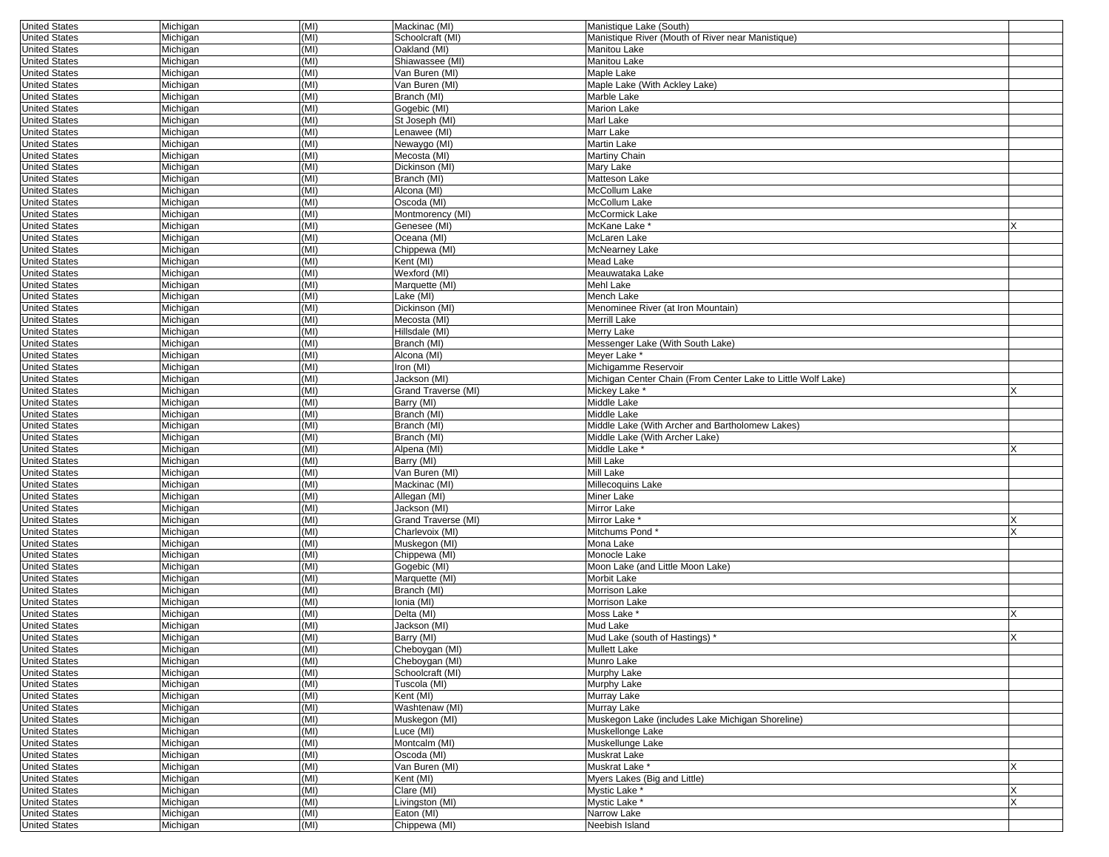| <b>United States</b> | Michigan | (MI) | Mackinac (MI)                        | Manistique Lake (South)                                      |          |
|----------------------|----------|------|--------------------------------------|--------------------------------------------------------------|----------|
| <b>United States</b> | Michigan | (MI) | Schoolcraft (MI)                     | Manistique River (Mouth of River near Manistique)            |          |
| <b>United States</b> | Michigan | (MI) | Oakland (MI)                         | Manitou Lake                                                 |          |
| <b>United States</b> | Michigan | (MI) | Shiawassee (MI)                      | Manitou Lake                                                 |          |
| <b>United States</b> | Michigan | (MI) | Van Buren (MI)                       | Maple Lake                                                   |          |
| <b>United States</b> | Michigan | (MI) | Van Buren (MI)                       | Maple Lake (With Ackley Lake)                                |          |
| <b>United States</b> | Michigan | (MI) | Branch (MI)                          | Marble Lake                                                  |          |
| <b>United States</b> | Michigan | (MI) | Gogebic (MI)                         | Marion Lake                                                  |          |
| <b>United States</b> | Michigan | (MI) | St Joseph (MI)                       | Marl Lake                                                    |          |
| <b>United States</b> | Michigan | (MI) | Lenawee (MI)                         | Marr Lake                                                    |          |
| <b>United States</b> | Michigan | (MI) | Newaygo (MI)                         | Martin Lake                                                  |          |
| <b>United States</b> | Michigan | (MI) | Mecosta (MI)                         | Martiny Chain                                                |          |
| <b>United States</b> | Michigan | (MI) | Dickinson (MI)                       | Mary Lake                                                    |          |
| <b>United States</b> | Michigan | (MI) | Branch (MI)                          | Matteson Lake                                                |          |
| <b>United States</b> |          | (MI) | Alcona (MI)                          | McCollum Lake                                                |          |
|                      | Michigan | (MI) | Oscoda (MI)                          | McCollum Lake                                                |          |
| <b>United States</b> | Michigan |      |                                      |                                                              |          |
| <b>United States</b> | Michigan | (MI) | Montmorency (MI)                     | McCormick Lake                                               |          |
| <b>United States</b> | Michigan | (MI) | Genesee (MI)                         | McKane Lake *                                                | X        |
| <b>United States</b> | Michigan | (MI) | Oceana (MI)                          | McLaren Lake                                                 |          |
| <b>United States</b> | Michigan | (MI) | Chippewa (MI)                        | McNearney Lake                                               |          |
| <b>United States</b> | Michigan | (MI) | Kent (MI)                            | Mead Lake                                                    |          |
| <b>United States</b> | Michigan | (MI) | Wexford (MI)                         | Meauwataka Lake                                              |          |
| <b>United States</b> | Michigan | (MI) | Marquette (MI)                       | Mehl Lake                                                    |          |
| <b>United States</b> | Michigan | (MI) | Lake (MI)                            | Mench Lake                                                   |          |
| <b>United States</b> | Michigan | (MI) | Dickinson (MI)                       | Menominee River (at Iron Mountain)                           |          |
| <b>United States</b> | Michigan | (MI) | Mecosta (MI)                         | Merrill Lake                                                 |          |
| <b>United States</b> | Michigan | (MI) | Hillsdale (MI)                       | Merry Lake                                                   |          |
| <b>United States</b> | Michigan | (MI) | Branch (MI)                          | Messenger Lake (With South Lake)                             |          |
| <b>United States</b> | Michigan | (MI) | Alcona (MI)                          | Meyer Lake *                                                 |          |
| <b>United States</b> | Michigan | (MI) | Iron (MI)                            | Michigamme Reservoir                                         |          |
| <b>United States</b> | Michigan | (MI) | Jackson (MI)                         | Michigan Center Chain (From Center Lake to Little Wolf Lake) |          |
| <b>United States</b> | Michigan | (MI) | Grand Traverse (MI)                  | Mickey Lake <sup>*</sup>                                     |          |
| <b>United States</b> | Michigan | (MI) | Barry (MI)                           | Middle Lake                                                  |          |
| <b>United States</b> | Michigan | (MI) | Branch (MI)                          | Middle Lake                                                  |          |
| <b>United States</b> | Michigan | (MI) | Branch (MI)                          | Middle Lake (With Archer and Bartholomew Lakes)              |          |
| <b>United States</b> | Michigan | (MI) | Branch (MI)                          | Middle Lake (With Archer Lake)                               |          |
| <b>United States</b> | Michigan | (MI) | Alpena (MI)                          | Middle Lake <sup>*</sup>                                     |          |
| <b>United States</b> | Michigan | (MI) | Barry (MI)                           | Mill Lake                                                    |          |
| <b>United States</b> | Michigan | (MI) | Van Buren (MI)                       | Mill Lake                                                    |          |
| <b>United States</b> | Michigan | (MI) | Mackinac (MI)                        | Millecoquins Lake                                            |          |
| <b>United States</b> | Michigan | (MI) | Allegan (MI)                         | Miner Lake                                                   |          |
| <b>United States</b> | Michigan | (MI) | Jackson (MI)                         | Mirror Lake                                                  |          |
| <b>United States</b> |          | (MI) | Grand Traverse (MI)                  | Mirror Lake <sup>+</sup>                                     |          |
|                      | Michigan |      |                                      | Mitchums Pond*                                               |          |
| <b>United States</b> | Michigan | (MI) | Charlevoix (MI)                      |                                                              |          |
| <b>United States</b> | Michigan | (MI) | Muskegon (MI)                        | Mona Lake                                                    |          |
| <b>United States</b> | Michigan | (MI) | Chippewa (MI)                        | Monocle Lake                                                 |          |
| <b>United States</b> | Michigan | (MI) | Gogebic (MI)                         | Moon Lake (and Little Moon Lake)                             |          |
| <b>United States</b> | Michigan | (MI) | Marquette (MI)                       | Morbit Lake                                                  |          |
| <b>United States</b> | Michigan | (MI) | Branch (MI)                          | Morrison Lake                                                |          |
| <b>United States</b> | Michigan | (MI) | Ionia (MI)                           | Morrison Lake                                                |          |
| <b>United States</b> | Michigan | (MI) | Delta (MI)                           | Moss Lake <sup>®</sup>                                       |          |
| <b>United States</b> | Michigan | (MI) | Jackson (MI)                         | Mud Lake                                                     |          |
| <b>United States</b> | Michigan | (MI) | Barry (MI)                           | Mud Lake (south of Hastings) *                               | X        |
| <b>United States</b> | Michigan | (MI) | Cheboygan (MI)                       | Mullett Lake                                                 |          |
| <b>United States</b> | Michigan | (MI) | Cheboygan (MI)                       | Munro Lake                                                   |          |
| <b>United States</b> | Michigan | (MI) | Schoolcraft (MI)                     | Murphy Lake                                                  |          |
| <b>United States</b> | Michigan | (MI) | Tuscola (MI)                         | Murphy Lake                                                  |          |
| <b>United States</b> | Michigan | (MI) | Kent (MI)                            | Murray Lake                                                  |          |
| <b>United States</b> | Michigan | (MI) | Washtenaw (MI)                       | Murray Lake                                                  |          |
| <b>United States</b> | Michigan | (MI) | Muskegon (MI)                        | Muskegon Lake (includes Lake Michigan Shoreline)             |          |
| <b>United States</b> | Michigan | (MI) | Luce (MI)                            | Muskellonge Lake                                             |          |
| <b>United States</b> | Michigan | (MI) | Montcalm (MI)                        | Muskellunge Lake                                             |          |
| <b>United States</b> | Michigan | (MI) | Oscoda (MI)                          | Muskrat Lake                                                 |          |
| <b>United States</b> | Michigan | (MI) | $\overline{\mathsf{Van}}$ Buren (MI) | Muskrat Lake *                                               | X        |
| <b>United States</b> | Michigan | (MI) | Kent (MI)                            | Myers Lakes (Big and Little)                                 |          |
| <b>United States</b> | Michigan | (MI) | Clare (MI)                           | Mystic Lake *                                                | X        |
| <b>United States</b> | Michigan | (MI) | Livingston (MI)                      | Mystic Lake *                                                | $\times$ |
| <b>United States</b> | Michigan | (MI) | Eaton (MI)                           | Narrow Lake                                                  |          |
| <b>United States</b> |          |      |                                      |                                                              |          |
|                      | Michigan | (MI) | Chippewa (MI)                        | Neebish Island                                               |          |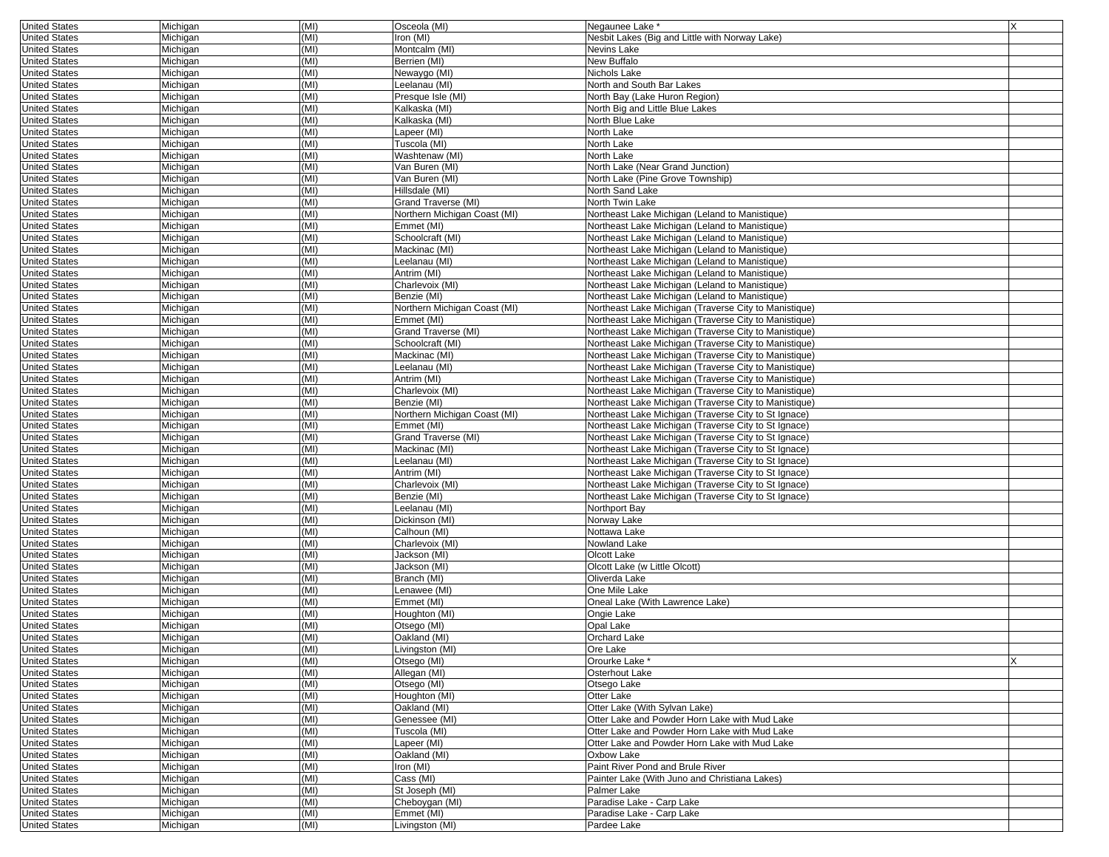| <b>United States</b> | Michigan | (MI) | Osceola (MI)                 | Negaunee Lake *                                       | X |
|----------------------|----------|------|------------------------------|-------------------------------------------------------|---|
| <b>United States</b> | Michigan | (MI) | Iron (MI)                    | Nesbit Lakes (Big and Little with Norway Lake)        |   |
| <b>United States</b> | Michigan | (MI) | Montcalm (MI)                | Nevins Lake                                           |   |
| <b>United States</b> | Michigan | (MI) | Berrien (MI)                 | New Buffalo                                           |   |
| <b>United States</b> | Michigan | (MI) | Newaygo (MI)                 | Nichols Lake                                          |   |
| <b>United States</b> | Michigan | (MI) | Leelanau (MI)                | North and South Bar Lakes                             |   |
| <b>United States</b> | Michigan | (MI) | Presque Isle (MI)            | North Bay (Lake Huron Region)                         |   |
| <b>United States</b> | Michigan | (MI) | Kalkaska (MI)                | North Big and Little Blue Lakes                       |   |
| <b>United States</b> | Michigan | (MI) | Kalkaska (MI)                | North Blue Lake                                       |   |
| <b>United States</b> |          | (MI) |                              | North Lake                                            |   |
|                      | Michigan | (MI) | Lapeer (MI)                  |                                                       |   |
| <b>United States</b> | Michigan |      | Tuscola (MI)                 | North Lake                                            |   |
| <b>United States</b> | Michigan | (MI) | Washtenaw (MI)               | North Lake                                            |   |
| <b>United States</b> | Michigan | (MI) | Van Buren (MI)               | North Lake (Near Grand Junction)                      |   |
| <b>United States</b> | Michigan | (MI) | Van Buren (MI)               | North Lake (Pine Grove Township)                      |   |
| <b>United States</b> | Michigan | (MI) | Hillsdale (MI)               | North Sand Lake                                       |   |
| <b>United States</b> | Michigan | (MI) | Grand Traverse (MI)          | North Twin Lake                                       |   |
| <b>United States</b> | Michigan | (MI) | Northern Michigan Coast (MI) | Northeast Lake Michigan (Leland to Manistique)        |   |
| <b>United States</b> | Michigan | (MI) | Emmet (MI)                   | Northeast Lake Michigan (Leland to Manistique)        |   |
| <b>United States</b> | Michigan | (MI) | Schoolcraft (MI)             | Northeast Lake Michigan (Leland to Manistique)        |   |
| <b>United States</b> | Michigan | (MI) | Mackinac (MI)                | Northeast Lake Michigan (Leland to Manistique)        |   |
| <b>United States</b> | Michigan | (MI) | Leelanau (MI)                | Northeast Lake Michigan (Leland to Manistique)        |   |
| <b>United States</b> | Michigan | (MI) | Antrim (MI)                  | Northeast Lake Michigan (Leland to Manistique)        |   |
| <b>United States</b> | Michigan | (MI) | Charlevoix (MI)              | Northeast Lake Michigan (Leland to Manistique)        |   |
| <b>United States</b> | Michigan | (MI) | Benzie (MI)                  | Northeast Lake Michigan (Leland to Manistique)        |   |
| <b>United States</b> | Michigan | (MI) | Northern Michigan Coast (MI) | Northeast Lake Michigan (Traverse City to Manistique) |   |
|                      |          |      |                              |                                                       |   |
| <b>United States</b> | Michigan | (MI) | Emmet (MI)                   | Northeast Lake Michigan (Traverse City to Manistique) |   |
| <b>United States</b> | Michigan | (MI) | Grand Traverse (MI)          | Northeast Lake Michigan (Traverse City to Manistique) |   |
| <b>United States</b> | Michigan | (MI) | Schoolcraft (MI)             | Northeast Lake Michigan (Traverse City to Manistique) |   |
| <b>United States</b> | Michigan | (MI) | Mackinac (MI)                | Northeast Lake Michigan (Traverse City to Manistique) |   |
| <b>United States</b> | Michigan | (MI) | Leelanau (MI)                | Northeast Lake Michigan (Traverse City to Manistique) |   |
| <b>United States</b> | Michigan | (MI) | Antrim (MI)                  | Northeast Lake Michigan (Traverse City to Manistique) |   |
| <b>United States</b> | Michigan | (MI) | Charlevoix (MI)              | Northeast Lake Michigan (Traverse City to Manistique) |   |
| <b>United States</b> | Michigan | (MI) | Benzie (MI)                  | Northeast Lake Michigan (Traverse City to Manistique) |   |
| <b>United States</b> | Michigan | (MI) | Northern Michigan Coast (MI) | Northeast Lake Michigan (Traverse City to St Ignace)  |   |
| <b>United States</b> | Michigan | (MI) | Emmet (MI)                   | Northeast Lake Michigan (Traverse City to St Ignace)  |   |
| <b>United States</b> | Michigan | (MI) | Grand Traverse (MI)          | Northeast Lake Michigan (Traverse City to St Ignace)  |   |
| <b>United States</b> | Michigan | (MI) | Mackinac (MI)                | Northeast Lake Michigan (Traverse City to St Ignace)  |   |
| <b>United States</b> | Michigan | (MI) | Leelanau (MI)                | Northeast Lake Michigan (Traverse City to St Ignace)  |   |
| <b>United States</b> | Michigan | (MI) | Antrim (MI)                  | Northeast Lake Michigan (Traverse City to St Ignace)  |   |
| <b>United States</b> | Michigan | (MI) | Charlevoix (MI)              | Northeast Lake Michigan (Traverse City to St Ignace)  |   |
| <b>United States</b> | Michigan | (MI) | Benzie (MI)                  | Northeast Lake Michigan (Traverse City to St Ignace)  |   |
|                      |          | (MI) | Leelanau (MI)                |                                                       |   |
| <b>United States</b> | Michigan |      |                              | Northport Bay                                         |   |
| <b>United States</b> | Michigan | (MI) | Dickinson (MI)               | Norway Lake                                           |   |
| <b>United States</b> | Michigan | (MI) | Calhoun (MI)                 | Nottawa Lake                                          |   |
| <b>United States</b> | Michigan | (MI) | Charlevoix (MI)              | Nowland Lake                                          |   |
| <b>United States</b> | Michigan | (MI) | Jackson (MI)                 | Olcott Lake                                           |   |
| <b>United States</b> | Michigan | (MI) | Jackson (MI)                 | Olcott Lake (w Little Olcott)                         |   |
| <b>United States</b> | Michigan | (MI) | Branch (MI)                  | Oliverda Lake                                         |   |
| <b>United States</b> | Michigan | (MI) | Lenawee (MI)                 | One Mile Lake                                         |   |
| <b>United States</b> | Michigan | (MI) | Emmet (MI)                   | Oneal Lake (With Lawrence Lake)                       |   |
| <b>United States</b> | Michigan | (MI) | Houghton (MI)                | Ongie Lake                                            |   |
| <b>United States</b> | Michigan | (MI) | Otsego (MI)                  | Opal Lake                                             |   |
| <b>United States</b> | Michigan | (MI) | Oakland (MI)                 | Orchard Lake                                          |   |
| United States        | Michigan | (MI) | Livingston (MI)              | Ore Lake                                              |   |
| <b>United States</b> | Michigan | (MI) | Otsego (MI)                  | Orourke Lake *                                        | X |
| <b>United States</b> | Michigan | (MI) | Allegan (MI)                 | Osterhout Lake                                        |   |
| <b>United States</b> | Michigan | (MI) | Otsego (MI)                  | Otsego Lake                                           |   |
| <b>United States</b> | Michigan | (MI) | Houghton (MI)                | Otter Lake                                            |   |
|                      |          |      | Oakland (MI)                 | Otter Lake (With Svlvan Lake)                         |   |
| <b>United States</b> | Michigan | (MI) |                              |                                                       |   |
| <b>United States</b> | Michigan | (MI) | Genessee (MI)                | Otter Lake and Powder Horn Lake with Mud Lake         |   |
| <b>United States</b> | Michigan | (MI) | Tuscola (MI)                 | Otter Lake and Powder Horn Lake with Mud Lake         |   |
| <b>United States</b> | Michigan | (MI) | Lapeer (MI)                  | Otter Lake and Powder Horn Lake with Mud Lake         |   |
| <b>United States</b> | Michigan | (MI) | Oakland (MI)                 | Oxbow Lake                                            |   |
| <b>United States</b> | Michigan | (MI) | Iron (MI)                    | Paint River Pond and Brule River                      |   |
| <b>United States</b> | Michigan | (MI) | Cass (MI)                    | Painter Lake (With Juno and Christiana Lakes)         |   |
| <b>United States</b> | Michigan | (MI) | St Joseph (MI)               | Palmer Lake                                           |   |
| <b>United States</b> | Michigan | (MI) | Cheboygan (MI)               | Paradise Lake - Carp Lake                             |   |
| <b>United States</b> | Michigan | (MI) | Emmet (MI)                   | Paradise Lake - Carp Lake                             |   |
| <b>United States</b> | Michigan | (MI) | Livingston (MI)              | Pardee Lake                                           |   |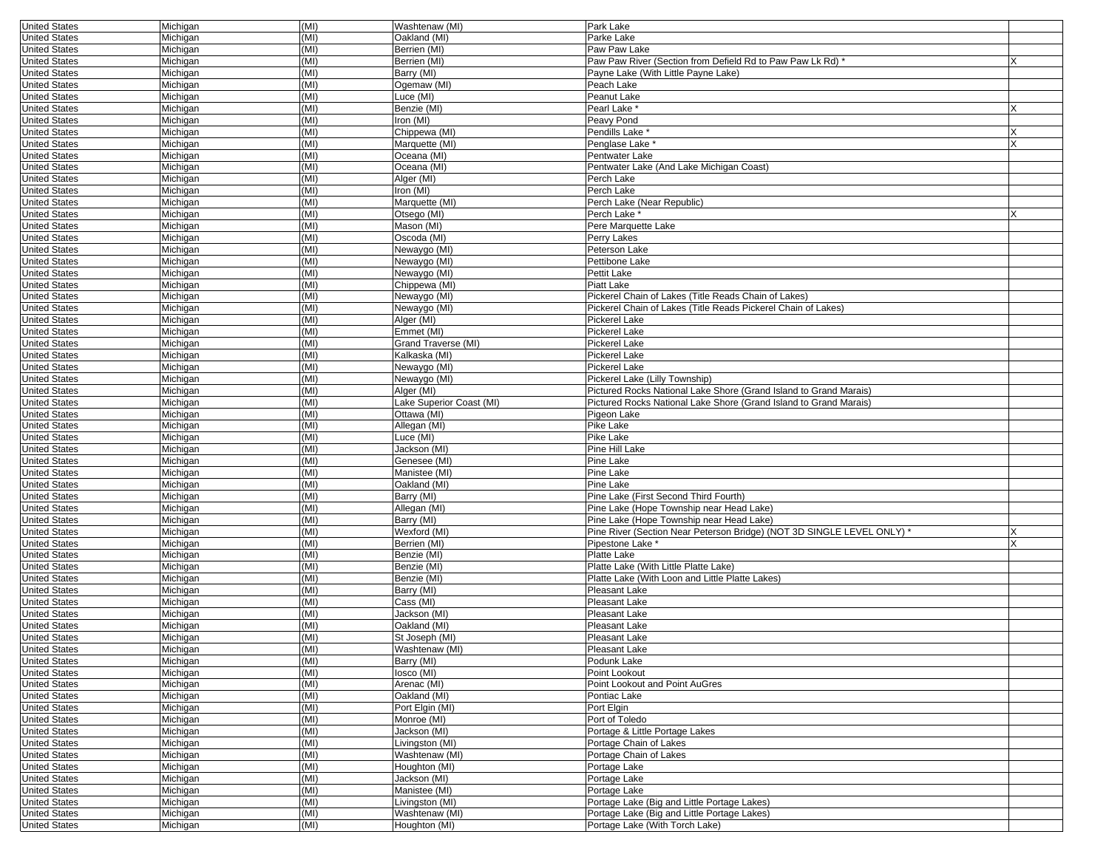| <b>United States</b> | Michigan | (MI) | Washtenaw (MI)           | Park Lake                                                              |   |
|----------------------|----------|------|--------------------------|------------------------------------------------------------------------|---|
| <b>United States</b> | Michigan | (MI) | Oakland (MI)             | Parke Lake                                                             |   |
| <b>United States</b> | Michigan | (MI) | Berrien (MI)             | Paw Paw Lake                                                           |   |
| <b>United States</b> | Michigan | (MI) | Berrien (MI)             | Paw Paw River (Section from Defield Rd to Paw Paw Lk Rd)               |   |
| <b>United States</b> | Michigan | (MI) | Barry (MI)               | Payne Lake (With Little Payne Lake)                                    |   |
| <b>United States</b> | Michigan | (MI) | Ogemaw (MI)              | Peach Lake                                                             |   |
| <b>United States</b> | Michigan | (MI) | Luce (MI)                | Peanut Lake                                                            |   |
|                      |          | (MI) | Benzie (MI)              | Pearl Lake *                                                           |   |
| <b>United States</b> | Michigan |      |                          |                                                                        |   |
| <b>United States</b> | Michigan | (MI) | Iron (MI)                | Peavy Pond                                                             |   |
| <b>United States</b> | Michigan | (MI) | Chippewa (MI)            | Pendills Lake                                                          |   |
| <b>United States</b> | Michigan | (MI) | Marquette (MI)           | Penglase Lake                                                          | X |
| <b>United States</b> | Michigan | (MI) | Oceana (MI)              | Pentwater Lake                                                         |   |
| <b>United States</b> | Michigan | (MI) | Oceana (MI)              | Pentwater Lake (And Lake Michigan Coast)                               |   |
| <b>United States</b> | Michigan | (MI) | Alger (MI)               | Perch Lake                                                             |   |
| <b>United States</b> | Michigan | (MI) | Iron (MI)                | Perch Lake                                                             |   |
| <b>United States</b> | Michigan | (MI) | Marquette (MI)           | Perch Lake (Near Republic)                                             |   |
| <b>United States</b> | Michigan | (MI) | Otsego (MI)              | Perch Lake *                                                           |   |
| <b>United States</b> | Michigan | (MI) | Mason (MI)               | Pere Marquette Lake                                                    |   |
| <b>United States</b> | Michigan | (MI) | Oscoda (MI)              | Perry Lakes                                                            |   |
| <b>United States</b> | Michigan | (MI) | Newaygo (MI)             | Peterson Lake                                                          |   |
|                      |          |      |                          |                                                                        |   |
| <b>United States</b> | Michigan | (MI) | Newaygo (MI)             | Pettibone Lake                                                         |   |
| <b>United States</b> | Michigan | (MI) | Newaygo (MI)             | Pettit Lake                                                            |   |
| <b>United States</b> | Michigan | (MI) | Chippewa (MI)            | Piatt Lake                                                             |   |
| <b>United States</b> | Michigan | (MI) | Newaygo (MI)             | Pickerel Chain of Lakes (Title Reads Chain of Lakes)                   |   |
| <b>United States</b> | Michigan | (MI) | Newaygo (MI)             | Pickerel Chain of Lakes (Title Reads Pickerel Chain of Lakes)          |   |
| <b>United States</b> | Michigan | (MI) | Alger (MI)               | Pickerel Lake                                                          |   |
| <b>United States</b> | Michigan | (MI) | Emmet (MI)               | Pickerel Lake                                                          |   |
| <b>United States</b> | Michigan | (MI) | Grand Traverse (MI)      | Pickerel Lake                                                          |   |
| <b>United States</b> | Michigan | (MI) | Kalkaska (MI)            | Pickerel Lake                                                          |   |
| <b>United States</b> | Michigan | (MI) | Newaygo (MI)             | <b>Pickerel Lake</b>                                                   |   |
| <b>United States</b> | Michigan | (MI) | Newaygo (MI)             | Pickerel Lake (Lilly Township)                                         |   |
| <b>United States</b> | Michigan | (MI) | Alger (MI)               | Pictured Rocks National Lake Shore (Grand Island to Grand Marais)      |   |
|                      |          |      |                          |                                                                        |   |
| <b>United States</b> | Michigan | (MI) | Lake Superior Coast (MI) | Pictured Rocks National Lake Shore (Grand Island to Grand Marais)      |   |
| <b>United States</b> | Michigan | (MI) | Ottawa (MI)              | Pigeon Lake                                                            |   |
| <b>United States</b> | Michigan | (MI) | Allegan (MI)             | Pike Lake                                                              |   |
| <b>United States</b> | Michigan | (MI) | Luce (MI)                | Pike Lake                                                              |   |
| <b>United States</b> | Michigan | (MI) | Jackson (MI)             | Pine Hill Lake                                                         |   |
| <b>United States</b> | Michigan | (MI) | Genesee (MI)             | Pine Lake                                                              |   |
| <b>United States</b> | Michigan | (MI) | Manistee (MI)            | Pine Lake                                                              |   |
| <b>United States</b> | Michigan | (MI) | Oakland (MI)             | Pine Lake                                                              |   |
| <b>United States</b> | Michigan | (MI) | Barry (MI)               | Pine Lake (First Second Third Fourth)                                  |   |
| <b>United States</b> | Michigan | (MI) | Allegan (MI)             | Pine Lake (Hope Township near Head Lake)                               |   |
| <b>United States</b> | Michigan | (MI) | Barry (MI)               | Pine Lake (Hope Township near Head Lake)                               |   |
| <b>United States</b> | Michigan | (MI) | Wexford (MI)             | Pine River (Section Near Peterson Bridge) (NOT 3D SINGLE LEVEL ONLY) ' |   |
|                      |          | (MI) | Berrien (MI)             | Pipestone Lake *                                                       |   |
| <b>United States</b> | Michigan |      |                          |                                                                        |   |
| <b>United States</b> | Michigan | (MI) | Benzie (MI)              | Platte Lake                                                            |   |
| <b>United States</b> | Michigan | (MI) | Benzie (MI)              | Platte Lake (With Little Platte Lake)                                  |   |
| <b>United States</b> | Michigan | (MI) | Benzie (MI)              | Platte Lake (With Loon and Little Platte Lakes)                        |   |
| <b>United States</b> | Michigan | (MI) | Barry (MI)               | Pleasant Lake                                                          |   |
| <b>United States</b> | Michigan | (MI) | Cass (MI)                | Pleasant Lake                                                          |   |
| <b>United States</b> | Michigan | (MI) | Jackson (MI)             | Pleasant Lake                                                          |   |
| <b>United States</b> | Michigan | (MI) | Oakland (MI)             | Pleasant Lake                                                          |   |
| <b>United States</b> | Michigan | (MI) | St Joseph (MI)           | Pleasant Lake                                                          |   |
| United States        | Michigan | (MI) | Washtenaw (MI)           | Pleasant Lake                                                          |   |
| <b>United States</b> | Michigan | (MI) | Barry (MI)               | Podunk Lake                                                            |   |
| <b>United States</b> | Michigan | (MI) | losco (MI)               | Point Lookout                                                          |   |
| <b>United States</b> | Michigan | (MI) | Arenac (MI)              | Point Lookout and Point AuGres                                         |   |
| <b>United States</b> | Michigan | (MI) | Oakland (MI)             | Pontiac Lake                                                           |   |
|                      |          |      |                          |                                                                        |   |
| <b>United States</b> | Michigan | (MI) | Port Elgin (MI)          | Port Elgin                                                             |   |
| <b>United States</b> | Michigan | (MI) | Monroe (MI)              | Port of Toledo                                                         |   |
| <b>United States</b> | Michigan | (MI) | Jackson (MI)             | Portage & Little Portage Lakes                                         |   |
| <b>United States</b> | Michigan | (MI) | Livingston (MI)          | Portage Chain of Lakes                                                 |   |
| <b>United States</b> | Michigan | (MI) | Washtenaw (MI)           | Portage Chain of Lakes                                                 |   |
| <b>United States</b> | Michigan | (MI) | Houghton (MI)            | Portage Lake                                                           |   |
| <b>United States</b> | Michigan | (MI) | Jackson (MI)             | Portage Lake                                                           |   |
| <b>United States</b> | Michigan | (MI) | Manistee (MI)            | Portage Lake                                                           |   |
| <b>United States</b> | Michigan | (MI) | Livingston (MI)          | Portage Lake (Big and Little Portage Lakes)                            |   |
| <b>United States</b> | Michigan | (MI) | Washtenaw (MI)           | Portage Lake (Big and Little Portage Lakes)                            |   |
| <b>United States</b> | Michigan | (MI) | Houghton (MI)            | Portage Lake (With Torch Lake)                                         |   |
|                      |          |      |                          |                                                                        |   |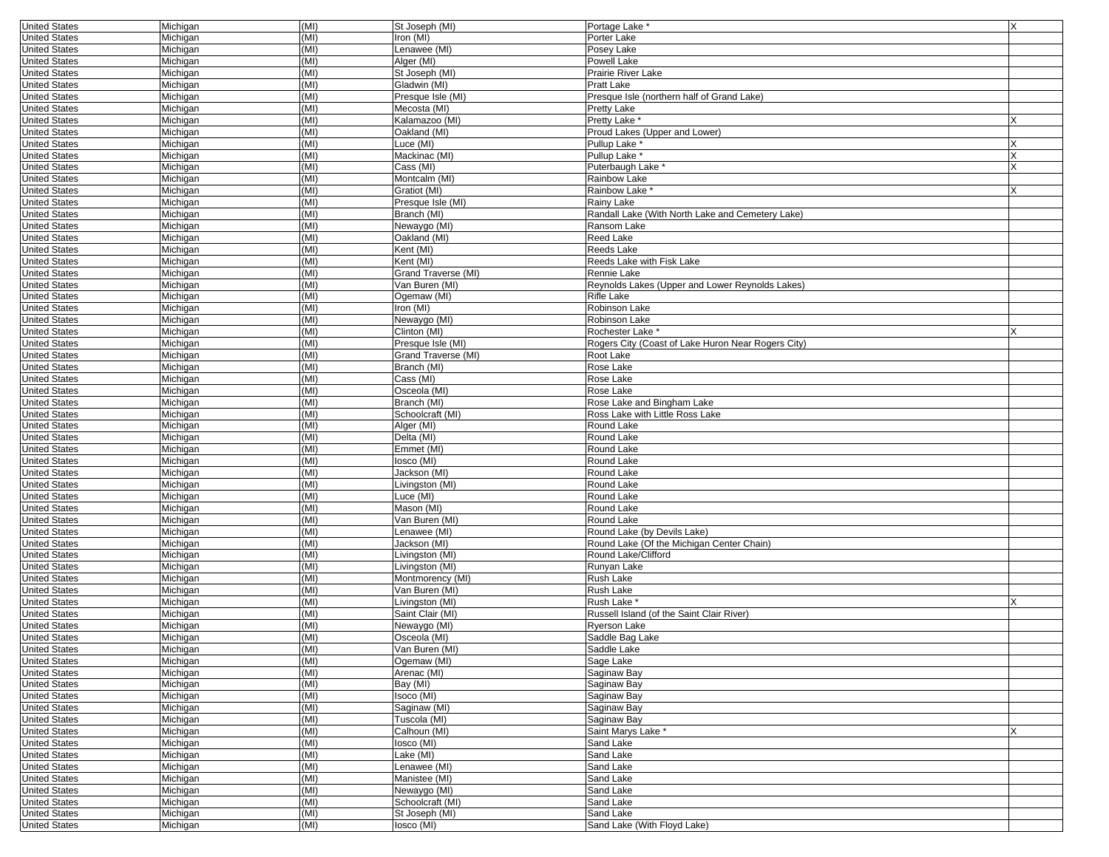| <b>United States</b> | Michigan | (MI) | St Joseph (MI)      | Portage Lake                                       | X |
|----------------------|----------|------|---------------------|----------------------------------------------------|---|
| <b>United States</b> | Michigan | (MI) | Iron (MI)           | Porter Lake                                        |   |
| <b>United States</b> | Michigan | (MI) | _enawee (MI)        | Posey Lake                                         |   |
| <b>United States</b> | Michigan | (MI) | Alger (MI)          | Powell Lake                                        |   |
| <b>United States</b> | Michigan | (MI) | St Joseph (MI)      | Prairie River Lake                                 |   |
| <b>United States</b> | Michigan | (MI) | Gladwin (MI)        | Pratt Lake                                         |   |
| <b>United States</b> | Michigan | (MI) | Presque Isle (MI)   | Presque Isle (northern half of Grand Lake)         |   |
| <b>United States</b> | Michigan | (MI) | Mecosta (MI)        | Pretty Lake                                        |   |
| <b>United States</b> | Michigan | (MI) | Kalamazoo (MI)      | Pretty Lake *                                      |   |
| <b>United States</b> | Michigan | (MI) | Oakland (MI)        | Proud Lakes (Upper and Lower)                      |   |
| <b>United States</b> | Michigan | (MI) | Luce (MI)           | Pullup Lake <sup>*</sup>                           |   |
| <b>United States</b> | Michigan | (MI) | Mackinac (MI)       | Pullup Lake <sup>*</sup>                           |   |
| <b>United States</b> | Michigan | (MI) | Cass (MI)           | Puterbaugh Lake *                                  |   |
| <b>United States</b> | Michigan | (MI) | Montcalm (MI)       | Rainbow Lake                                       |   |
| <b>United States</b> | Michigan | (MI) | Gratiot (MI)        | Rainbow Lake*                                      |   |
| <b>United States</b> | Michigan | (MI) | Presque Isle (MI)   | Rainy Lake                                         |   |
| <b>United States</b> | Michigan | (MI) | Branch (MI)         | Randall Lake (With North Lake and Cemetery Lake)   |   |
| <b>United States</b> | Michigan | (MI) | Newaygo (MI)        | Ransom Lake                                        |   |
| <b>United States</b> | Michigan | (MI) | Oakland (MI)        | Reed Lake                                          |   |
| <b>United States</b> | Michigan | (MI) | Kent (MI)           | Reeds Lake                                         |   |
| <b>United States</b> | Michigan | (MI) | Kent (MI)           | Reeds Lake with Fisk Lake                          |   |
| <b>United States</b> | Michigan | (MI) | Grand Traverse (MI) | Rennie Lake                                        |   |
| <b>United States</b> | Michigan | (MI) | Van Buren (MI)      | Reynolds Lakes (Upper and Lower Reynolds Lakes)    |   |
| <b>United States</b> | Michigan | (MI) | Ogemaw (MI)         | Rifle Lake                                         |   |
| <b>United States</b> | Michigan | (MI) | Iron (MI)           | Robinson Lake                                      |   |
| <b>United States</b> | Michigan | (MI) | Newaygo (MI)        | Robinson Lake                                      |   |
| <b>United States</b> | Michigan | (MI) | Clinton (MI)        | Rochester Lake <sup>*</sup>                        |   |
| <b>United States</b> | Michigan | (MI) | Presque Isle (MI)   | Rogers City (Coast of Lake Huron Near Rogers City) |   |
| <b>United States</b> | Michigan | (MI) | Grand Traverse (MI) | Root Lake                                          |   |
| <b>United States</b> | Michigan | (MI) | Branch (MI)         | Rose Lake                                          |   |
| <b>United States</b> | Michigan | (MI) | Cass (MI)           | Rose Lake                                          |   |
| <b>United States</b> | Michigan | (MI) | Osceola (MI)        | Rose Lake                                          |   |
| <b>United States</b> | Michigan | (MI) | Branch (MI)         | Rose Lake and Bingham Lake                         |   |
| <b>United States</b> | Michigan | (MI) | Schoolcraft (MI)    | Ross Lake with Little Ross Lake                    |   |
| <b>United States</b> | Michigan | (MI) | Alger (MI)          | Round Lake                                         |   |
| <b>United States</b> | Michigan | (MI) | Delta (MI)          | Round Lake                                         |   |
| <b>United States</b> | Michigan | (MI) | Emmet (MI)          | Round Lake                                         |   |
| <b>United States</b> | Michigan | (MI) | losco (MI)          | Round Lake                                         |   |
| <b>United States</b> | Michigan | (MI) | Jackson (MI)        | Round Lake                                         |   |
| <b>United States</b> | Michigan | (MI) | Livingston (MI)     | Round Lake                                         |   |
| <b>United States</b> | Michigan | (MI) | _uce (MI)           | Round Lake                                         |   |
| <b>United States</b> | Michigan | (MI) | Mason (MI)          | Round Lake                                         |   |
| <b>United States</b> | Michigan | (MI) | Van Buren (MI)      | Round Lake                                         |   |
| <b>United States</b> | Michigan | (MI) | enawee (MI)         | Round Lake (by Devils Lake)                        |   |
| <b>United States</b> | Michigan | (MI) | Jackson (MI)        | Round Lake (Of the Michigan Center Chain)          |   |
| <b>United States</b> | Michigan | (MI) | Livingston (MI)     | Round Lake/Clifford                                |   |
| <b>United States</b> | Michigan | (MI) | Livingston (MI)     | Runyan Lake                                        |   |
| <b>United States</b> | Michigan | (MI) | Montmorency (MI)    | Rush Lake                                          |   |
| <b>United States</b> | Michigan | (MI) | Van Buren (MI)      | Rush Lake                                          |   |
| <b>United States</b> | Michigan | (MI) | Livingston (MI)     | Rush Lake <sup>'</sup>                             |   |
| <b>United States</b> | Michigan | (MI) | Saint Clair (MI)    | Russell Island (of the Saint Clair River)          |   |
| <b>United States</b> | Michigan | (MI) | Newaygo (MI)        | Ryerson Lake                                       |   |
| <b>United States</b> | Michigan | (MI) | Osceola (MI)        | Saddle Bag Lake                                    |   |
| United States        | Michigan | (MI) | Van Buren (MI)      | Saddle Lake                                        |   |
| <b>United States</b> | Michigan | (MI) | Ogemaw (MI)         | Sage Lake                                          |   |
| <b>United States</b> | Michigan | (MI) | Arenac (MI)         | Saginaw Bay                                        |   |
| <b>United States</b> | Michigan | (MI) | Bay (MI)            | Saginaw Bay                                        |   |
| <b>United States</b> | Michigan | (MI) | Isoco (MI)          | Saginaw Bay                                        |   |
| <b>United States</b> | Michigan | (MI) | Saginaw (MI)        | Saginaw Bay                                        |   |
| <b>United States</b> | Michigan | (MI) | Tuscola (MI)        | Saginaw Bay                                        |   |
| <b>United States</b> | Michigan | (MI) | Calhoun (MI)        | Saint Marys Lake *                                 |   |
| <b>United States</b> | Michigan | (MI) | losco (MI)          | Sand Lake                                          |   |
| <b>United States</b> | Michigan | (MI) | _ake (MI)           | Sand Lake                                          |   |
| <b>United States</b> | Michigan | (MI) | _enawee (MI)        | Sand Lake                                          |   |
| <b>United States</b> | Michigan | (MI) | Manistee (MI)       | Sand Lake                                          |   |
| <b>United States</b> | Michigan | (MI) | Newaygo (MI)        | Sand Lake                                          |   |
| <b>United States</b> | Michigan | (MI) | Schoolcraft (MI)    | Sand Lake                                          |   |
| <b>United States</b> | Michigan | (MI) | St Joseph (MI)      | Sand Lake                                          |   |
| <b>United States</b> | Michigan | (MI) | losco (MI)          | Sand Lake (With Floyd Lake)                        |   |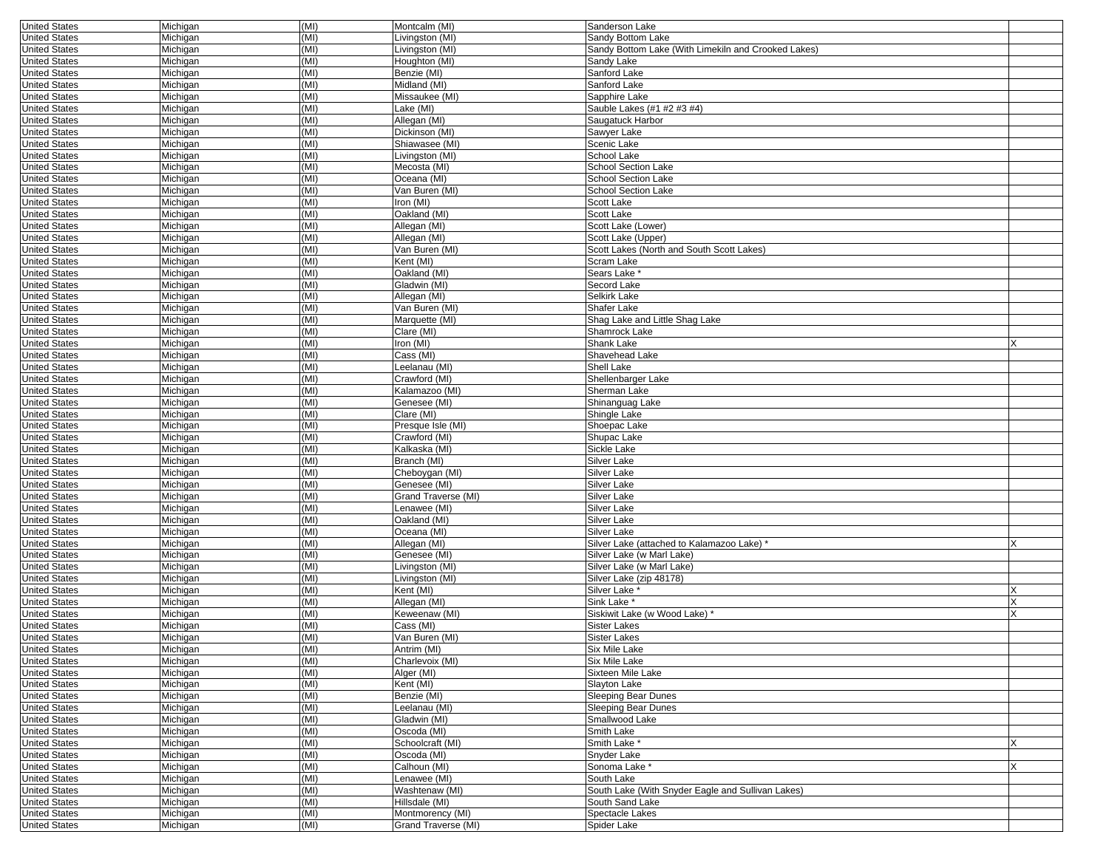| <b>United States</b> | Michigan | (MI) | Montcalm (MI)       | Sanderson Lake                                      |   |
|----------------------|----------|------|---------------------|-----------------------------------------------------|---|
| <b>United States</b> | Michigan | (MI) | Livingston (MI)     | Sandy Bottom Lake                                   |   |
| <b>United States</b> | Michigan | (MI) | Livingston (MI)     | Sandy Bottom Lake (With Limekiln and Crooked Lakes) |   |
| <b>United States</b> | Michigan | (MI) | Houghton (MI)       | Sandy Lake                                          |   |
| <b>United States</b> | Michigan | (MI) | Benzie (MI)         | Sanford Lake                                        |   |
| <b>United States</b> | Michigan | (MI) | Midland (MI)        | Sanford Lake                                        |   |
| <b>United States</b> | Michigan | (MI) | Missaukee (MI)      | Sapphire Lake                                       |   |
| <b>United States</b> | Michigan | (MI) | Lake (MI)           | Sauble Lakes (#1 #2 #3 #4)                          |   |
| <b>United States</b> | Michigan | (MI) | Allegan (MI)        | Saugatuck Harbor                                    |   |
| <b>United States</b> | Michigan | (MI) | Dickinson (MI)      | Sawyer Lake                                         |   |
| <b>United States</b> | Michigan | (MI) | Shiawasee (MI)      | Scenic Lake                                         |   |
| <b>United States</b> | Michigan | (MI) | Livingston (MI)     | School Lake                                         |   |
| <b>United States</b> | Michigan | (MI) | Mecosta (MI)        | School Section Lake                                 |   |
| <b>United States</b> | Michigan | (MI) | Oceana (MI)         | <b>School Section Lake</b>                          |   |
| <b>United States</b> | Michigan | (MI) | Van Buren (MI)      | <b>School Section Lake</b>                          |   |
| <b>United States</b> | Michigan | (MI) | Iron (MI)           | Scott Lake                                          |   |
| <b>United States</b> | Michigan | (MI) | Oakland (MI)        | Scott Lake                                          |   |
| <b>United States</b> | Michigan | (MI) | Allegan (MI)        | Scott Lake (Lower)                                  |   |
| <b>United States</b> | Michigan | (MI) | Allegan (MI)        | Scott Lake (Upper)                                  |   |
| <b>United States</b> | Michigan | (MI) | Van Buren (MI)      | Scott Lakes (North and South Scott Lakes)           |   |
| <b>United States</b> | Michigan | (MI) | Kent (MI)           | Scram Lake                                          |   |
| <b>United States</b> | Michigan | (MI) | Oakland (MI)        | Sears Lake '                                        |   |
| <b>United States</b> | Michigan | (MI) | Gladwin (MI)        | Secord Lake                                         |   |
| <b>United States</b> | Michigan | (MI) | Allegan (MI)        | Selkirk Lake                                        |   |
| <b>United States</b> | Michigan | (MI) | Van Buren (MI)      | Shafer Lake                                         |   |
| <b>United States</b> | Michigan | (MI) | Marquette (MI)      | Shag Lake and Little Shag Lake                      |   |
| <b>United States</b> | Michigan | (MI) | Clare (MI)          | Shamrock Lake                                       |   |
| <b>United States</b> | Michigan | (MI) | Iron (MI)           | Shank Lake                                          | X |
| <b>United States</b> | Michigan | (MI) | Cass (MI)           | Shavehead Lake                                      |   |
| <b>United States</b> | Michigan | (MI) | Leelanau (MI)       | Shell Lake                                          |   |
| <b>United States</b> | Michigan | (MI) | Crawford (MI)       | Shellenbarger Lake                                  |   |
| <b>United States</b> | Michigan | (MI) | Kalamazoo (MI)      | Sherman Lake                                        |   |
| <b>United States</b> | Michigan | (MI) | Genesee (MI)        | Shinanguag Lake                                     |   |
| <b>United States</b> | Michigan | (MI) | Clare (MI)          | Shingle Lake                                        |   |
| <b>United States</b> | Michigan | (MI) | Presque Isle (MI)   | Shoepac Lake                                        |   |
| <b>United States</b> | Michigan | (MI) | Crawford (MI)       | Shupac Lake                                         |   |
| <b>United States</b> | Michigan | (MI) | Kalkaska (MI)       | Sickle Lake                                         |   |
| <b>United States</b> | Michigan | (MI) | Branch (MI)         | <b>Silver Lake</b>                                  |   |
| <b>United States</b> | Michigan | (MI) | Cheboygan (MI)      | Silver Lake                                         |   |
| <b>United States</b> | Michigan | (MI) | Genesee (MI)        | <b>Silver Lake</b>                                  |   |
| <b>United States</b> | Michigan | (MI) | Grand Traverse (MI) | Silver Lake                                         |   |
| <b>United States</b> | Michigan | (MI) | Lenawee (MI)        | <b>Silver Lake</b>                                  |   |
| <b>United States</b> | Michigan | (MI) | Oakland (MI)        | Silver Lake                                         |   |
| <b>United States</b> | Michigan | (MI) | Oceana (MI)         | Silver Lake                                         |   |
| <b>United States</b> | Michigan | (MI) | Allegan (MI)        | Silver Lake (attached to Kalamazoo Lake)            |   |
| <b>United States</b> | Michigan | (MI) | Genesee (MI)        | Silver Lake (w Marl Lake)                           |   |
| <b>United States</b> | Michigan | (MI) | Livingston (MI)     | Silver Lake (w Marl Lake)                           |   |
| <b>United States</b> | Michigan | (MI) | Livingston (MI)     | Silver Lake (zip 48178)                             |   |
| <b>United States</b> | Michigan | (MI) | Kent (MI)           | Silver Lake *                                       |   |
| <b>United States</b> | Michigan | (MI) | Allegan (MI)        | Sink Lake *                                         |   |
| <b>United States</b> | Michigan | (MI) | Keweenaw (MI)       | Siskiwit Lake (w Wood Lake)                         |   |
| <b>United States</b> | Michigan | (MI) | Cass (MI)           | Sister Lakes                                        |   |
| <b>United States</b> | Michigan | (MI) | Van Buren (MI)      | Sister Lakes                                        |   |
| United States        | Michigan | (MI) | Antrim (MI)         | Six Mile Lake                                       |   |
| <b>United States</b> | Michigan | (MI) | Charlevoix (MI)     | Six Mile Lake                                       |   |
| <b>United States</b> | Michigan | (MI) | Alger (MI)          | Sixteen Mile Lake                                   |   |
| <b>United States</b> | Michigan | (MI) | Kent (MI)           | Slayton Lake                                        |   |
| <b>United States</b> | Michigan | (MI) | Benzie (MI)         | <b>Sleeping Bear Dunes</b>                          |   |
| <b>United States</b> | Michigan | (MI) | Leelanau (MI)       | <b>Sleeping Bear Dunes</b>                          |   |
| <b>United States</b> | Michigan | (MI) | Gladwin (MI)        | Smallwood Lake                                      |   |
| <b>United States</b> | Michigan | (MI) | Oscoda (MI)         | Smith Lake                                          |   |
| <b>United States</b> | Michigan | (MI) | Schoolcraft (MI)    | Smith Lake *                                        |   |
| <b>United States</b> | Michigan | (MI) | Oscoda (MI)         | Snyder Lake                                         |   |
| <b>United States</b> | Michigan | (MI) | Calhoun (MI)        | Sonoma Lake *                                       |   |
| <b>United States</b> | Michigan | (MI) | Lenawee (MI)        | South Lake                                          |   |
| <b>United States</b> | Michigan | (MI) | Washtenaw (MI)      | South Lake (With Snyder Eagle and Sullivan Lakes)   |   |
| <b>United States</b> | Michigan | (MI) | Hillsdale (MI)      | South Sand Lake                                     |   |
| <b>United States</b> | Michigan | (MI) | Montmorency (MI)    | Spectacle Lakes                                     |   |
| <b>United States</b> | Michigan | (MI) | Grand Traverse (MI) | Spider Lake                                         |   |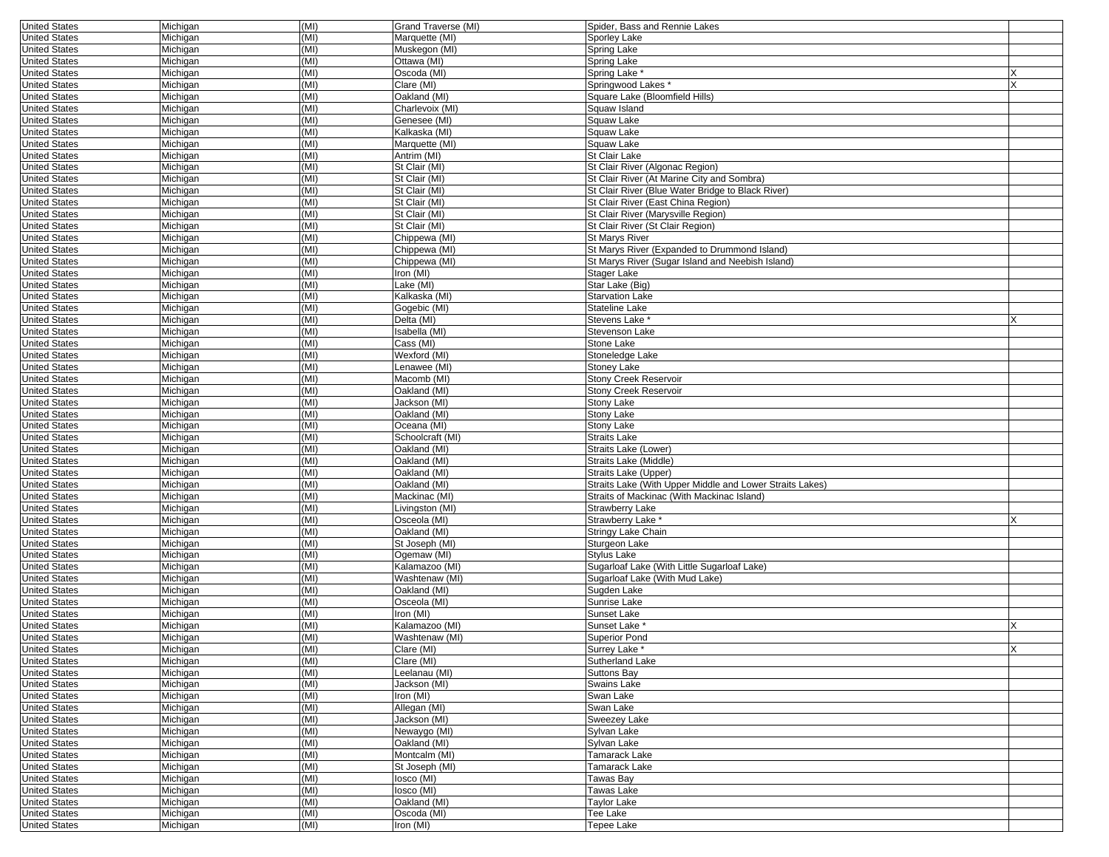| <b>United States</b>                         | Michigan             | (MI) | Grand Traverse (MI) | Spider, Bass and Rennie Lakes                            |     |
|----------------------------------------------|----------------------|------|---------------------|----------------------------------------------------------|-----|
| <b>United States</b>                         | Michigan             | (MI) | Marquette (MI)      | Sporley Lake                                             |     |
| <b>United States</b>                         | Michigan             | (MI) | Muskegon (MI)       | Spring Lake                                              |     |
| <b>United States</b>                         | Michigan             | (MI) | Ottawa (MI)         | Spring Lake                                              |     |
| <b>United States</b>                         | Michigan             | (MI) | Oscoda (MI)         | Spring Lake <sup>*</sup>                                 |     |
| <b>United States</b>                         | Michigan             | (MI) | Clare (MI)          | Springwood Lakes*                                        |     |
| <b>United States</b>                         | Michigan             | (MI) | Oakland (MI)        | Square Lake (Bloomfield Hills)                           |     |
| <b>United States</b>                         | Michigan             | (MI) | Charlevoix (MI)     | Squaw Island                                             |     |
| <b>United States</b>                         | Michigan             | (MI) | Genesee (MI)        | Squaw Lake                                               |     |
| <b>United States</b>                         | Michigan             | (MI) | Kalkaska (MI)       | Squaw Lake                                               |     |
| <b>United States</b>                         | Michigan             | (MI) | Marquette (MI)      | Squaw Lake                                               |     |
| <b>United States</b>                         | Michigan             | (MI) | Antrim (MI)         | St Clair Lake                                            |     |
| <b>United States</b>                         | Michigan             | (MI) | St Clair (MI)       | St Clair River (Algonac Region)                          |     |
| <b>United States</b>                         | Michigan             | (MI) | St Clair (MI)       | St Clair River (At Marine City and Sombra)               |     |
| <b>United States</b>                         | Michigan             | (MI) | St Clair (MI)       | St Clair River (Blue Water Bridge to Black River)        |     |
| <b>United States</b>                         | Michigan             | (MI) | St Clair (MI)       | St Clair River (East China Region)                       |     |
| <b>United States</b>                         | Michigan             | (MI) | St Clair (MI)       | St Clair River (Marysville Region)                       |     |
| <b>United States</b>                         | Michigan             | (MI) | St Clair (MI)       | St Clair River (St Clair Region)                         |     |
| <b>United States</b>                         | Michigan             | (MI) | Chippewa (MI)       | St Marys River                                           |     |
| <b>United States</b>                         | Michigan             | (MI) | Chippewa (MI)       | St Marys River (Expanded to Drummond Island)             |     |
| <b>United States</b>                         | Michigan             | (MI) | Chippewa (MI)       | St Marys River (Sugar Island and Neebish Island)         |     |
|                                              |                      |      |                     |                                                          |     |
| <b>United States</b>                         | Michigan             | (MI) | Iron (MI)           | Stager Lake                                              |     |
| <b>United States</b>                         | Michigan             | (MI) | _ake (MI)           | Star Lake (Big)                                          |     |
| <b>United States</b>                         | Michigan             | (MI) | Kalkaska (MI)       | <b>Starvation Lake</b>                                   |     |
| <b>United States</b>                         | Michigan             | (MI) | Gogebic (MI)        | Stateline Lake                                           |     |
| <b>United States</b>                         | Michigan             | (MI) | Delta (MI)          | Stevens Lake '                                           |     |
| <b>United States</b>                         | Michigan             | (MI) | Isabella (MI)       | Stevenson Lake                                           |     |
| <b>United States</b>                         | Michigan             | (MI) | Cass (MI)           | Stone Lake                                               |     |
| <b>United States</b>                         | Michigan             | (MI) | Wexford (MI)        | Stoneledge Lake                                          |     |
| <b>United States</b>                         | Michigan             | (MI) | enawee (MI)         | Stoney Lake                                              |     |
| <b>United States</b>                         | Michigan             | (MI) | Macomb (MI)         | <b>Stony Creek Reservoir</b>                             |     |
| <b>United States</b>                         | Michigan             | (MI) | Oakland (MI)        | <b>Stony Creek Reservoir</b>                             |     |
| <b>United States</b>                         | Michigan             | (MI) | Jackson (MI)        | Stony Lake                                               |     |
| <b>United States</b>                         | Michigan             | (MI) | Oakland (MI)        | Stony Lake                                               |     |
| <b>United States</b>                         | Michigan             | (MI) | Oceana (MI)         | <b>Stony Lake</b>                                        |     |
| <b>United States</b>                         | Michigan             | (MI) | Schoolcraft (MI)    | Straits Lake                                             |     |
| <b>United States</b>                         | Michigan             | (MI) | Oakland (MI)        | Straits Lake (Lower)                                     |     |
| <b>United States</b>                         | Michigan             | (MI) | Oakland (MI)        | Straits Lake (Middle)                                    |     |
| <b>United States</b>                         | Michigan             | (MI) | Oakland (MI)        | Straits Lake (Upper)                                     |     |
| <b>United States</b>                         | Michigan             | (MI) | Oakland (MI)        | Straits Lake (With Upper Middle and Lower Straits Lakes) |     |
| <b>United States</b>                         | Michigan             | (MI) | Mackinac (MI)       | Straits of Mackinac (With Mackinac Island)               |     |
| <b>United States</b>                         | Michigan             | (MI) | Livingston (MI)     | <b>Strawberry Lake</b>                                   |     |
| <b>United States</b>                         | Michigan             | (MI) | Osceola (MI)        | Strawberry Lake *                                        |     |
| <b>United States</b>                         | Michigan             | (MI) | Oakland (MI)        | Stringy Lake Chain                                       |     |
| <b>United States</b>                         | Michigan             | (MI) | St Joseph (MI)      | Sturgeon Lake                                            |     |
| <b>United States</b>                         | Michigan             | (MI) | Ogemaw (MI)         | Stylus Lake                                              |     |
| <b>United States</b>                         | Michigan             | (MI) | Kalamazoo (MI)      | Sugarloaf Lake (With Little Sugarloaf Lake)              |     |
| <b>United States</b>                         | Michigan             | (MI) | Washtenaw (MI)      | Sugarloaf Lake (With Mud Lake)                           |     |
|                                              |                      | (MI) | Oakland (MI)        |                                                          |     |
| <b>United States</b><br><b>United States</b> | Michigan<br>Michigan | (MI) | Osceola (MI)        | Sugden Lake<br>Sunrise Lake                              |     |
|                                              |                      |      | Iron (MI)           |                                                          |     |
| <b>United States</b>                         | Michigan             | (MI) |                     | Sunset Lake                                              |     |
| <b>United States</b>                         | Michigan             | (MI) | Kalamazoo (MI)      | Sunset Lake <sup>*</sup>                                 |     |
| <b>United States</b>                         | Michigan             | (MI) | Washtenaw (MI)      | <b>Superior Pond</b>                                     |     |
| United States                                | Michigan             | (MI) | Clare (MI)          | Surrey Lake                                              | IX. |
| <b>United States</b>                         | Michigan             | (MI) | Clare (MI)          | Sutherland Lake                                          |     |
| <b>United States</b>                         | Michigan             | (MI) | Leelanau (MI)       | <b>Suttons Bay</b>                                       |     |
| <b>United States</b>                         | Michigan             | (MI) | Jackson (MI)        | Swains Lake                                              |     |
| <b>United States</b>                         | Michigan             | (MI) | Iron (MI)           | Swan Lake                                                |     |
| <b>United States</b>                         | Michigan             | (MI) | Allegan (MI)        | Swan Lake                                                |     |
| <b>United States</b>                         | Michigan             | (MI) | Jackson (MI)        | Sweezey Lake                                             |     |
| <b>United States</b>                         | Michigan             | (MI) | Newaygo (MI)        | Sylvan Lake                                              |     |
| <b>United States</b>                         | Michigan             | (MI) | Oakland (MI)        | Sylvan Lake                                              |     |
| <b>United States</b>                         | Michigan             | (MI) | Montcalm (MI)       | Tamarack Lake                                            |     |
| <b>United States</b>                         | Michigan             | (MI) | St Joseph (MI)      | Tamarack Lake                                            |     |
| <b>United States</b>                         | Michigan             | (MI) | losco (MI)          | Tawas Bay                                                |     |
| <b>United States</b>                         | Michigan             | (MI) | losco (MI)          | Tawas Lake                                               |     |
| <b>United States</b>                         | Michigan             | (MI) | Oakland (MI)        | Taylor Lake                                              |     |
| <b>United States</b>                         | Michigan             | (MI) | Oscoda (MI)         | Tee Lake                                                 |     |
| <b>United States</b>                         | Michigan             | (MI) | Iron (MI)           | Tepee Lake                                               |     |
|                                              |                      |      |                     |                                                          |     |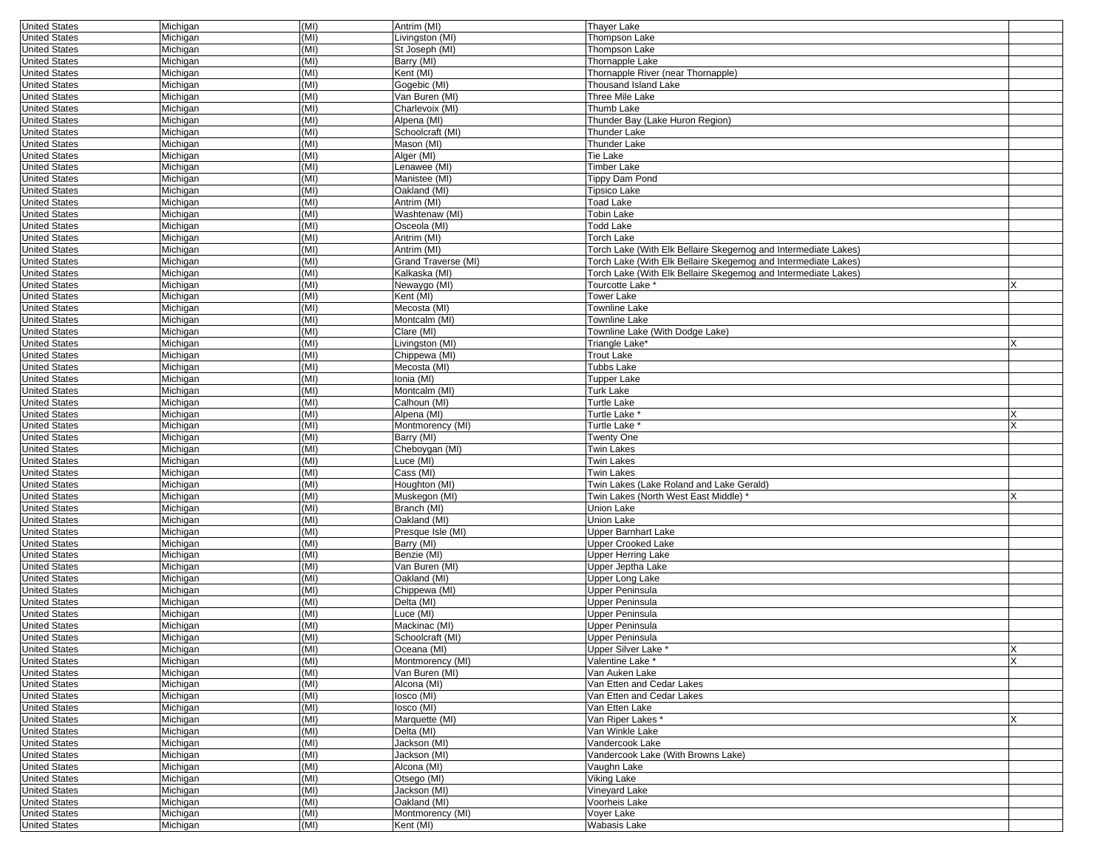| <b>United States</b> | Michigan | (MI) | Antrim (MI)         | Thayer Lake                                                    |   |
|----------------------|----------|------|---------------------|----------------------------------------------------------------|---|
| <b>United States</b> | Michigan | (MI) | Livingston (MI)     | Thompson Lake                                                  |   |
| <b>United States</b> | Michigan | (MI) | St Joseph (MI)      | Thompson Lake                                                  |   |
| <b>United States</b> | Michigan | (MI) | Barry (MI)          | Thornapple Lake                                                |   |
| <b>United States</b> | Michigan | (MI) | Kent (MI)           | Thornapple River (near Thornapple)                             |   |
| <b>United States</b> | Michigan | (MI) | Gogebic (MI)        | Thousand Island Lake                                           |   |
| <b>United States</b> | Michigan | (MI) | Van Buren (MI)      | Three Mile Lake                                                |   |
| <b>United States</b> | Michigan | (MI) | Charlevoix (MI)     | Thumb Lake                                                     |   |
|                      |          |      | Alpena (MI)         |                                                                |   |
| <b>United States</b> | Michigan | (MI) |                     | Thunder Bay (Lake Huron Region)                                |   |
| <b>United States</b> | Michigan | (MI) | Schoolcraft (MI)    | Thunder Lake                                                   |   |
| <b>United States</b> | Michigan | (MI) | Mason (MI)          | <b>Thunder Lake</b>                                            |   |
| <b>United States</b> | Michigan | (MI) | Alger (MI)          | <b>Tie Lake</b>                                                |   |
| <b>United States</b> | Michigan | (MI) | Lenawee (MI)        | Timber Lake                                                    |   |
| <b>United States</b> | Michigan | (MI) | Manistee (MI)       | <b>Tippy Dam Pond</b>                                          |   |
| <b>United States</b> | Michigan | (MI) | Oakland (MI)        | <b>Tipsico Lake</b>                                            |   |
| <b>United States</b> | Michigan | (MI) | Antrim (MI)         | <b>Toad Lake</b>                                               |   |
| <b>United States</b> | Michigan | (MI) | Washtenaw (MI)      | <b>Tobin Lake</b>                                              |   |
| <b>United States</b> | Michigan | (MI) | Osceola (MI)        | <b>Todd Lake</b>                                               |   |
|                      |          | (MI) | Antrim (MI)         | <b>Torch Lake</b>                                              |   |
| <b>United States</b> | Michigan |      |                     |                                                                |   |
| <b>United States</b> | Michigan | (MI) | Antrim (MI)         | Torch Lake (With Elk Bellaire Skegemog and Intermediate Lakes) |   |
| <b>United States</b> | Michigan | (MI) | Grand Traverse (MI) | Torch Lake (With Elk Bellaire Skegemog and Intermediate Lakes) |   |
| <b>United States</b> | Michigan | (MI) | Kalkaska (MI)       | Torch Lake (With Elk Bellaire Skegemog and Intermediate Lakes) |   |
| <b>United States</b> | Michigan | (MI) | Newaygo (MI)        | Tourcotte Lake *                                               |   |
| <b>United States</b> | Michigan | (MI) | Kent (MI)           | Tower Lake                                                     |   |
| <b>United States</b> | Michigan | (MI) | Mecosta (MI)        | Townline Lake                                                  |   |
| <b>United States</b> | Michigan | (MI) | Montcalm (MI)       | Townline Lake                                                  |   |
| <b>United States</b> | Michigan | (MI) | Clare (MI)          | Townline Lake (With Dodge Lake)                                |   |
| <b>United States</b> | Michigan | (MI) | Livingston (MI)     | Triangle Lake*                                                 |   |
| <b>United States</b> | Michigan | (MI) | Chippewa (MI)       | Trout Lake                                                     |   |
| <b>United States</b> |          |      | Mecosta (MI)        |                                                                |   |
|                      | Michigan | (MI) |                     | Tubbs Lake                                                     |   |
| <b>United States</b> | Michigan | (MI) | Ionia (MI)          | Tupper Lake                                                    |   |
| <b>United States</b> | Michigan | (MI) | Montcalm (MI)       | Turk Lake                                                      |   |
| <b>United States</b> | Michigan | (MI) | Calhoun (MI)        | Turtle Lake                                                    |   |
| <b>United States</b> | Michigan | (MI) | Alpena (MI)         | Turtle Lake <sup>*</sup>                                       |   |
| <b>United States</b> | Michigan | (MI) | Montmorency (MI)    | Turtle Lake <sup>+</sup>                                       |   |
| <b>United States</b> | Michigan | (MI) | Barry (MI)          | Twenty One                                                     |   |
| <b>United States</b> | Michigan | (MI) | Cheboygan (MI)      | <b>Twin Lakes</b>                                              |   |
| <b>United States</b> | Michigan | (MI) | Luce (MI)           | Twin Lakes                                                     |   |
|                      |          | (MI) | Cass (MI)           | Twin Lakes                                                     |   |
| <b>United States</b> | Michigan |      |                     |                                                                |   |
| <b>United States</b> | Michigan | (MI) | Houghton (MI)       | Twin Lakes (Lake Roland and Lake Gerald)                       |   |
| <b>United States</b> | Michigan | (MI) | Muskegon (MI)       | Twin Lakes (North West East Middle)                            | X |
| <b>United States</b> | Michigan | (MI) | Branch (MI)         | Union Lake                                                     |   |
| <b>United States</b> | Michigan | (MI) | Oakland (MI)        | Union Lake                                                     |   |
| <b>United States</b> | Michigan | (MI) | Presque Isle (MI)   | Upper Barnhart Lake                                            |   |
| <b>United States</b> | Michigan | (MI) | Barry (MI)          | <b>Upper Crooked Lake</b>                                      |   |
| <b>United States</b> | Michigan | (MI) | Benzie (MI)         | Upper Herring Lake                                             |   |
| <b>United States</b> | Michigan | (MI) | Van Buren (MI)      | Upper Jeptha Lake                                              |   |
| <b>United States</b> | Michigan | (MI) | Oakland (MI)        | Upper Long Lake                                                |   |
| <b>United States</b> | Michigan | (MI) | Chippewa (MI)       | Upper Peninsula                                                |   |
| <b>United States</b> | Michigan | (MI) | Delta (MI)          | Upper Peninsula                                                |   |
|                      |          |      |                     |                                                                |   |
| <b>United States</b> | Michigan | (MI) | Luce (MI)           | Upper Peninsula                                                |   |
| <b>United States</b> | Michigan | (MI) | Mackinac (MI)       | Upper Peninsula                                                |   |
| <b>United States</b> | Michigan | (MI) | Schoolcraft (MI)    | Upper Peninsula                                                |   |
| United States        | Michigan | (MI) | Oceana (MI)         | Upper Silver Lake                                              | X |
| <b>United States</b> | Michigan | (MI) | Montmorency (MI)    | Valentine Lake *                                               | X |
| <b>United States</b> | Michigan | (MI) | Van Buren (MI)      | Van Auken Lake                                                 |   |
| <b>United States</b> | Michigan | (MI) | Alcona (MI)         | Van Etten and Cedar Lakes                                      |   |
| <b>United States</b> | Michigan | (MI) | losco (MI)          | Van Etten and Cedar Lakes                                      |   |
| <b>United States</b> | Michigan | (MI) | losco (MI)          | Van Etten Lake                                                 |   |
| <b>United States</b> | Michigan | (MI) | Marquette (MI)      | Van Riper Lakes *                                              |   |
|                      |          |      | Delta (MI)          |                                                                |   |
| <b>United States</b> | Michigan | (MI) |                     | Van Winkle Lake                                                |   |
| <b>United States</b> | Michigan | (MI) | Jackson (MI)        | Vandercook Lake                                                |   |
| <b>United States</b> | Michigan | (MI) | Jackson (MI)        | Vandercook Lake (With Browns Lake)                             |   |
| <b>United States</b> | Michigan | (MI) | Alcona (MI)         | Vaughn Lake                                                    |   |
| <b>United States</b> | Michigan | (MI) | Otsego (MI)         | Viking Lake                                                    |   |
| <b>United States</b> | Michigan | (MI) | Jackson (MI)        | Vineyard Lake                                                  |   |
| <b>United States</b> | Michigan | (MI) | Oakland (MI)        | Voorheis Lake                                                  |   |
| <b>United States</b> | Michigan | (MI) | Montmorency (MI)    | Voyer Lake                                                     |   |
| <b>United States</b> | Michigan | (MI) | Kent (MI)           | Wabasis Lake                                                   |   |
|                      |          |      |                     |                                                                |   |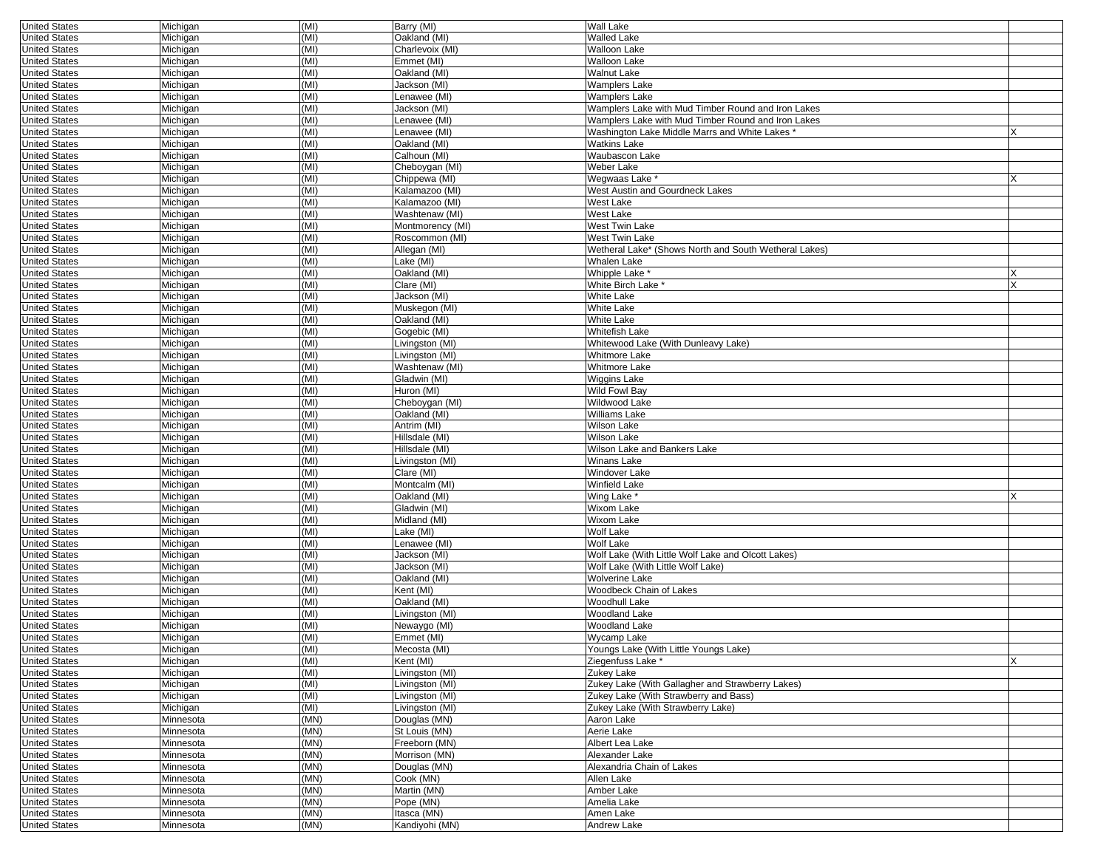| <b>United States</b> | Michigan  | (MI) | Barry (MI)                 | Wall Lake                                             |   |
|----------------------|-----------|------|----------------------------|-------------------------------------------------------|---|
| <b>United States</b> | Michigan  | (MI) | Oakland (MI)               | Walled Lake                                           |   |
| <b>United States</b> | Michigan  | (MI) | Charlevoix (MI)            | <b>Walloon Lake</b>                                   |   |
| <b>United States</b> | Michigan  | (MI) | Emmet (MI)                 | <b>Walloon Lake</b>                                   |   |
| <b>United States</b> | Michigan  | (MI) | Oakland (MI)               | Walnut Lake                                           |   |
| <b>United States</b> | Michigan  | (MI) | Jackson (MI)               | Wamplers Lake                                         |   |
| <b>United States</b> | Michigan  | (MI) | Lenawee (MI)               | Wamplers Lake                                         |   |
| <b>United States</b> | Michigan  | (MI) | Jackson (MI)               | Wamplers Lake with Mud Timber Round and Iron Lakes    |   |
| <b>United States</b> | Michigan  | (MI) | Lenawee (MI)               | Wamplers Lake with Mud Timber Round and Iron Lakes    |   |
| <b>United States</b> | Michigan  | (MI) | Lenawee (MI)               | Washington Lake Middle Marrs and White Lakes *        |   |
| <b>United States</b> | Michigan  | (MI) | Oakland (MI)               | Watkins Lake                                          |   |
| <b>United States</b> | Michigan  | (MI) | Calhoun (MI)               | Waubascon Lake                                        |   |
| <b>United States</b> | Michigan  | (MI) | Cheboygan (MI)             | Weber Lake                                            |   |
| <b>United States</b> | Michigan  | (MI) | Chippewa (MI)              | Wegwaas Lake *                                        |   |
| <b>United States</b> | Michigan  | (MI) | Kalamazoo (MI)             | West Austin and Gourdneck Lakes                       |   |
| <b>United States</b> | Michigan  | (MI) | Kalamazoo (MI)             | West Lake                                             |   |
| <b>United States</b> | Michigan  | (MI) | Washtenaw (MI)             | West Lake                                             |   |
| <b>United States</b> | Michigan  | (MI) | Montmorency (MI)           | West Twin Lake                                        |   |
| <b>United States</b> | Michigan  | (MI) | Roscommon (MI)             | West Twin Lake                                        |   |
| <b>United States</b> | Michigan  | (MI) | Allegan (MI)               | Wetheral Lake* (Shows North and South Wetheral Lakes) |   |
| <b>United States</b> | Michigan  | (MI) | Lake (MI)                  | Whalen Lake                                           |   |
| <b>United States</b> | Michigan  | (MI) | Oakland (MI)               | Whipple Lake                                          |   |
|                      |           | (MI) |                            |                                                       |   |
| <b>United States</b> | Michigan  |      | Clare (MI)                 | White Birch Lake *                                    |   |
| <b>United States</b> | Michigan  | (MI) | Jackson (MI)               | White Lake                                            |   |
| <b>United States</b> | Michigan  | (MI) | Muskegon (MI)              | White Lake                                            |   |
| <b>United States</b> | Michigan  | (MI) | Oakland (MI)               | White Lake                                            |   |
| <b>United States</b> | Michigan  | (MI) | Gogebic (MI)               | Whitefish Lake                                        |   |
| <b>United States</b> | Michigan  | (MI) | Livingston (MI)            | Whitewood Lake (With Dunleavy Lake)                   |   |
| <b>United States</b> | Michigan  | (MI) | Livingston (MI)            | Whitmore Lake                                         |   |
| <b>United States</b> | Michigan  | (MI) | Washtenaw (MI)             | Whitmore Lake                                         |   |
| <b>United States</b> | Michigan  | (MI) | Gladwin (MI)               | Wiggins Lake                                          |   |
| <b>United States</b> | Michigan  | (MI) | Huron (MI)                 | Wild Fowl Bay                                         |   |
| <b>United States</b> | Michigan  | (MI) | Cheboygan (MI)             | Wildwood Lake                                         |   |
| <b>United States</b> | Michigan  | (MI) | Oakland (MI)               | Williams Lake                                         |   |
| <b>United States</b> | Michigan  | (MI) | Antrim (MI)                | Wilson Lake                                           |   |
| <b>United States</b> | Michigan  | (MI) | Hillsdale (MI)             | Wilson Lake                                           |   |
| <b>United States</b> | Michigan  | (MI) | Hillsdale (MI)             | Wilson Lake and Bankers Lake                          |   |
| <b>United States</b> | Michigan  | (MI) | Livingston (MI)            | Winans Lake                                           |   |
| <b>United States</b> | Michigan  | (MI) | Clare (MI)                 | Windover Lake                                         |   |
| <b>United States</b> | Michigan  | (MI) | Montcalm (MI)              | Winfield Lake                                         |   |
| <b>United States</b> | Michigan  | (MI) | Oakland (MI)               | Wing Lake *                                           |   |
| <b>United States</b> | Michigan  | (MI) | Gladwin (MI)               | Wixom Lake                                            |   |
| <b>United States</b> | Michigan  | (MI) | Midland (MI)               | Wixom Lake                                            |   |
| <b>United States</b> | Michigan  | (MI) | Lake (MI)                  | Wolf Lake                                             |   |
| <b>United States</b> | Michigan  | (MI) | Lenawee (MI)               | Wolf Lake                                             |   |
| <b>United States</b> | Michigan  | (MI) | Jackson (MI)               | Wolf Lake (With Little Wolf Lake and Olcott Lakes)    |   |
| <b>United States</b> | Michigan  | (MI) | Jackson (MI)               | Wolf Lake (With Little Wolf Lake)                     |   |
| <b>United States</b> | Michigan  | (MI) | Oakland (MI)               | Wolverine Lake                                        |   |
| <b>United States</b> | Michigan  | (MI) | Kent (MI)                  | Woodbeck Chain of Lakes                               |   |
| <b>United States</b> | Michigan  | (MI) | Oakland (MI)               | Woodhull Lake                                         |   |
| <b>United States</b> | Michigan  | (MI) | Livingston (MI)            | Woodland Lake                                         |   |
|                      |           | (MI) |                            |                                                       |   |
| <b>United States</b> | Michigan  | (MI) | Newaygo (MI)<br>Emmet (MI) | Woodland Lake                                         |   |
| <b>United States</b> | Michigan  |      |                            | Wycamp Lake                                           |   |
| United States        | Michigan  | (MI) | Mecosta (MI)               | Youngs Lake (With Little Youngs Lake)                 |   |
| <b>United States</b> | Michigan  | (MI) | Kent (MI)                  | Ziegenfuss Lake *                                     | X |
| <b>United States</b> | Michigan  | (MI) | Livingston (MI)            | Zukey Lake                                            |   |
| <b>United States</b> | Michigan  | (MI) | Livingston (MI)            | Zukey Lake (With Gallagher and Strawberry Lakes)      |   |
| <b>United States</b> | Michigan  | (MI) | Livingston (MI)            | Zukey Lake (With Strawberry and Bass)                 |   |
| <b>United States</b> | Michigan  | (MI) | Livingston (MI)            | Zukey Lake (With Strawberry Lake)                     |   |
| <b>United States</b> | Minnesota | (MN) | Douglas (MN)               | Aaron Lake                                            |   |
| <b>United States</b> | Minnesota | (MN) | St Louis (MN)              | Aerie Lake                                            |   |
| <b>United States</b> | Minnesota | (MN) | Freeborn (MN)              | Albert Lea Lake                                       |   |
| <b>United States</b> | Minnesota | (MN) | Morrison (MN)              | Alexander Lake                                        |   |
| <b>United States</b> | Minnesota | (MN) | Douglas (MN)               | Alexandria Chain of Lakes                             |   |
| <b>United States</b> | Minnesota | (MN) | Cook (MN)                  | Allen Lake                                            |   |
| <b>United States</b> | Minnesota | (MN) | Martin (MN)                | Amber Lake                                            |   |
| <b>United States</b> | Minnesota | (MN) | Pope (MN)                  | Amelia Lake                                           |   |
| <b>United States</b> | Minnesota | (MN) | Itasca (MN)                | Amen Lake                                             |   |
| <b>United States</b> | Minnesota | (MN) | Kandiyohi (MN)             | Andrew Lake                                           |   |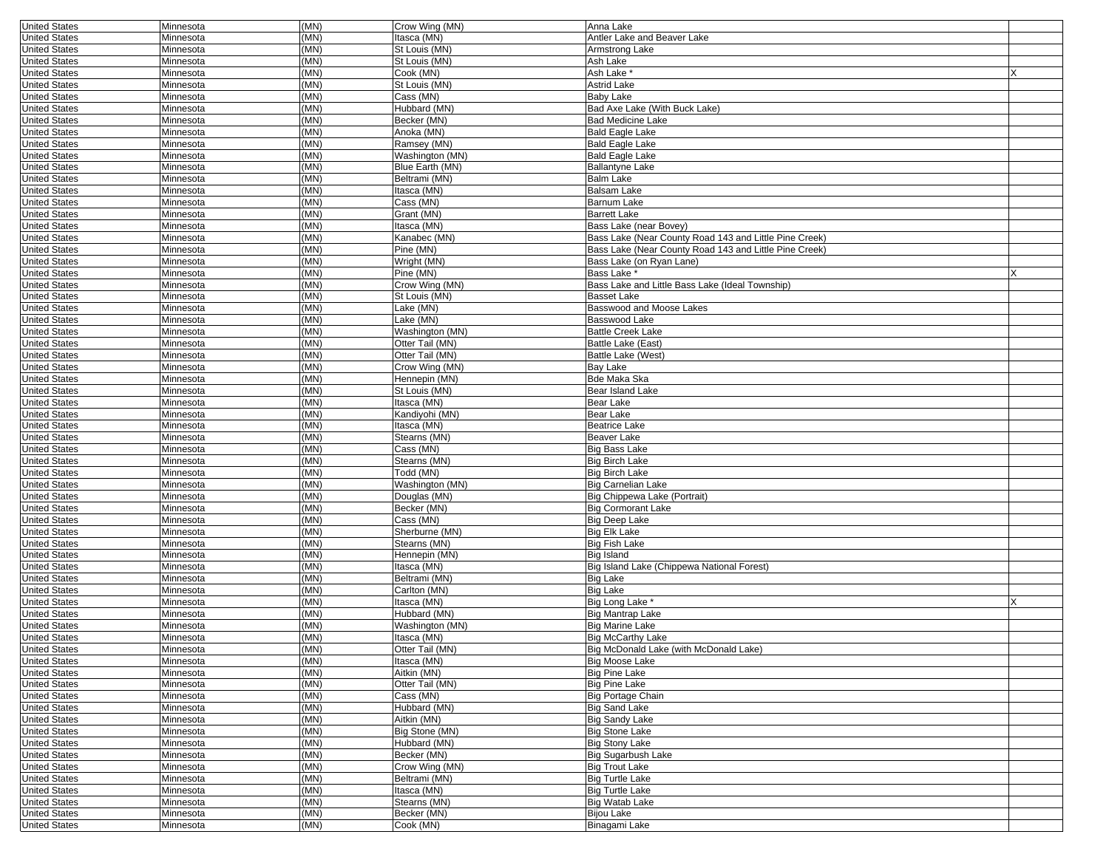| <b>United States</b> | Minnesota | (MN) | Crow Wing (MN)  | Anna Lake                                              |  |
|----------------------|-----------|------|-----------------|--------------------------------------------------------|--|
| <b>United States</b> | Minnesota | (MN) | Itasca (MN)     | Antler Lake and Beaver Lake                            |  |
| <b>United States</b> | Minnesota | (MN) | St Louis (MN)   | Armstrong Lake                                         |  |
| <b>United States</b> | Minnesota | (MN) | St Louis (MN)   | Ash Lake                                               |  |
| <b>United States</b> | Minnesota | (MN) | Cook (MN)       | Ash Lake <sup>®</sup>                                  |  |
| <b>United States</b> | Minnesota | (MN) | St Louis (MN)   | <b>Astrid Lake</b>                                     |  |
| <b>United States</b> | Minnesota | (MN) | Cass (MN)       | <b>Baby Lake</b>                                       |  |
|                      |           | (MN) |                 | Bad Axe Lake (With Buck Lake)                          |  |
| <b>United States</b> | Minnesota |      | Hubbard (MN)    |                                                        |  |
| <b>United States</b> | Minnesota | (MN) | Becker (MN)     | <b>Bad Medicine Lake</b>                               |  |
| <b>United States</b> | Minnesota | (MN) | Anoka (MN)      | <b>Bald Eagle Lake</b>                                 |  |
| <b>United States</b> | Minnesota | (MN) | Ramsey (MN)     | <b>Bald Eagle Lake</b>                                 |  |
| <b>United States</b> | Minnesota | (MN) | Washington (MN) | <b>Bald Eagle Lake</b>                                 |  |
| <b>United States</b> | Minnesota | (MN) | Blue Earth (MN) | <b>Ballantyne Lake</b>                                 |  |
| <b>United States</b> | Minnesota | (MN) | Beltrami (MN)   | <b>Balm Lake</b>                                       |  |
| <b>United States</b> | Minnesota | (MN) | Itasca (MN)     | <b>Balsam Lake</b>                                     |  |
| <b>United States</b> | Minnesota | (MN) | Cass (MN)       | Barnum Lake                                            |  |
|                      |           | (MN) | Grant (MN)      | <b>Barrett Lake</b>                                    |  |
| <b>United States</b> | Minnesota |      |                 |                                                        |  |
| <b>United States</b> | Minnesota | (MN) | Itasca (MN)     | Bass Lake (near Bovey)                                 |  |
| <b>United States</b> | Minnesota | (MN) | Kanabec (MN)    | Bass Lake (Near County Road 143 and Little Pine Creek) |  |
| <b>United States</b> | Minnesota | (MN) | Pine (MN)       | Bass Lake (Near County Road 143 and Little Pine Creek) |  |
| <b>United States</b> | Minnesota | (MN) | Wright (MN)     | Bass Lake (on Ryan Lane)                               |  |
| <b>United States</b> | Minnesota | (MN) | Pine (MN)       | Bass Lake *                                            |  |
| <b>United States</b> | Minnesota | (MN) | Crow Wing (MN)  | Bass Lake and Little Bass Lake (Ideal Township)        |  |
| <b>United States</b> | Minnesota | (MN) | St Louis (MN)   | <b>Basset Lake</b>                                     |  |
| <b>United States</b> | Minnesota | (MN) | Lake (MN)       | Basswood and Moose Lakes                               |  |
|                      |           | (MN) | Lake (MN)       |                                                        |  |
| <b>United States</b> | Minnesota |      |                 | Basswood Lake                                          |  |
| <b>United States</b> | Minnesota | (MN) | Washington (MN) | <b>Battle Creek Lake</b>                               |  |
| <b>United States</b> | Minnesota | (MN) | Otter Tail (MN) | Battle Lake (East)                                     |  |
| <b>United States</b> | Minnesota | (MN) | Otter Tail (MN) | Battle Lake (West)                                     |  |
| <b>United States</b> | Minnesota | (MN) | Crow Wing (MN)  | Bay Lake                                               |  |
| <b>United States</b> | Minnesota | (MN) | Hennepin (MN)   | Bde Maka Ska                                           |  |
| <b>United States</b> | Minnesota | (MN) | St Louis (MN)   | Bear Island Lake                                       |  |
| <b>United States</b> | Minnesota | (MN) | Itasca (MN)     | Bear Lake                                              |  |
| <b>United States</b> | Minnesota | (MN) | Kandiyohi (MN)  | Bear Lake                                              |  |
| <b>United States</b> |           | (MN) | Itasca (MN)     | <b>Beatrice Lake</b>                                   |  |
|                      | Minnesota |      |                 |                                                        |  |
| <b>United States</b> | Minnesota | (MN) | Stearns (MN)    | Beaver Lake                                            |  |
| <b>United States</b> | Minnesota | (MN) | Cass (MN)       | <b>Big Bass Lake</b>                                   |  |
| <b>United States</b> | Minnesota | (MN) | Stearns (MN)    | <b>Big Birch Lake</b>                                  |  |
| <b>United States</b> | Minnesota | (MN) | Todd (MN)       | <b>Big Birch Lake</b>                                  |  |
| <b>United States</b> | Minnesota | (MN) | Washington (MN) | <b>Big Carnelian Lake</b>                              |  |
| <b>United States</b> | Minnesota | (MN) | Douglas (MN)    | Big Chippewa Lake (Portrait)                           |  |
| <b>United States</b> | Minnesota | (MN) | Becker (MN)     | <b>Big Cormorant Lake</b>                              |  |
| <b>United States</b> | Minnesota | (MN) | Cass (MN)       | <b>Big Deep Lake</b>                                   |  |
| <b>United States</b> | Minnesota | (MN) | Sherburne (MN)  | <b>Big Elk Lake</b>                                    |  |
| <b>United States</b> |           | (MN) | Stearns (MN)    | <b>Big Fish Lake</b>                                   |  |
|                      | Minnesota |      |                 |                                                        |  |
| <b>United States</b> | Minnesota | (MN) | Hennepin (MN)   | <b>Big Island</b>                                      |  |
| <b>United States</b> | Minnesota | (MN) | Itasca (MN)     | Big Island Lake (Chippewa National Forest)             |  |
| <b>United States</b> | Minnesota | (MN) | Beltrami (MN)   | <b>Big Lake</b>                                        |  |
| <b>United States</b> | Minnesota | (MN) | Carlton (MN)    | <b>Big Lake</b>                                        |  |
| <b>United States</b> | Minnesota | (MN) | Itasca (MN)     | Big Long Lake *                                        |  |
| <b>United States</b> | Minnesota | (MN) | Hubbard (MN)    | <b>Big Mantrap Lake</b>                                |  |
| <b>United States</b> | Minnesota | (MN) | Washington (MN) | <b>Big Marine Lake</b>                                 |  |
| <b>United States</b> | Minnesota | (MN) | Itasca (MN)     | <b>Big McCarthy Lake</b>                               |  |
|                      |           |      |                 |                                                        |  |
| United States        | Minnesota | (MN) | Otter Tail (MN) | Big McDonald Lake (with McDonald Lake)                 |  |
| <b>United States</b> | Minnesota | (MN) | Itasca (MN)     | <b>Big Moose Lake</b>                                  |  |
| <b>United States</b> | Minnesota | (MN) | Aitkin (MN)     | <b>Big Pine Lake</b>                                   |  |
| <b>United States</b> | Minnesota | (MN) | Otter Tail (MN) | <b>Big Pine Lake</b>                                   |  |
| <b>United States</b> | Minnesota | (MN) | Cass (MN)       | <b>Big Portage Chain</b>                               |  |
| <b>United States</b> | Minnesota | (MN) | Hubbard (MN)    | <b>Big Sand Lake</b>                                   |  |
|                      |           | (MN) | Aitkin (MN)     | <b>Big Sandy Lake</b>                                  |  |
| <b>United States</b> | Minnesota |      |                 | <b>Big Stone Lake</b>                                  |  |
|                      |           |      |                 |                                                        |  |
| <b>United States</b> | Minnesota | (MN) | Big Stone (MN)  |                                                        |  |
| <b>United States</b> | Minnesota | (MN) | Hubbard (MN)    | <b>Big Stony Lake</b>                                  |  |
| <b>United States</b> | Minnesota | (MN) | Becker (MN)     | <b>Big Sugarbush Lake</b>                              |  |
| <b>United States</b> | Minnesota | (MN) | Crow Wing (MN)  | <b>Big Trout Lake</b>                                  |  |
| <b>United States</b> | Minnesota | (MN) | Beltrami (MN)   | <b>Big Turtle Lake</b>                                 |  |
| <b>United States</b> | Minnesota | (MN) | Itasca (MN)     | <b>Big Turtle Lake</b>                                 |  |
| <b>United States</b> | Minnesota | (MN) | Stearns (MN)    | <b>Big Watab Lake</b>                                  |  |
| <b>United States</b> | Minnesota | (MN) | Becker (MN)     | <b>Bijou Lake</b>                                      |  |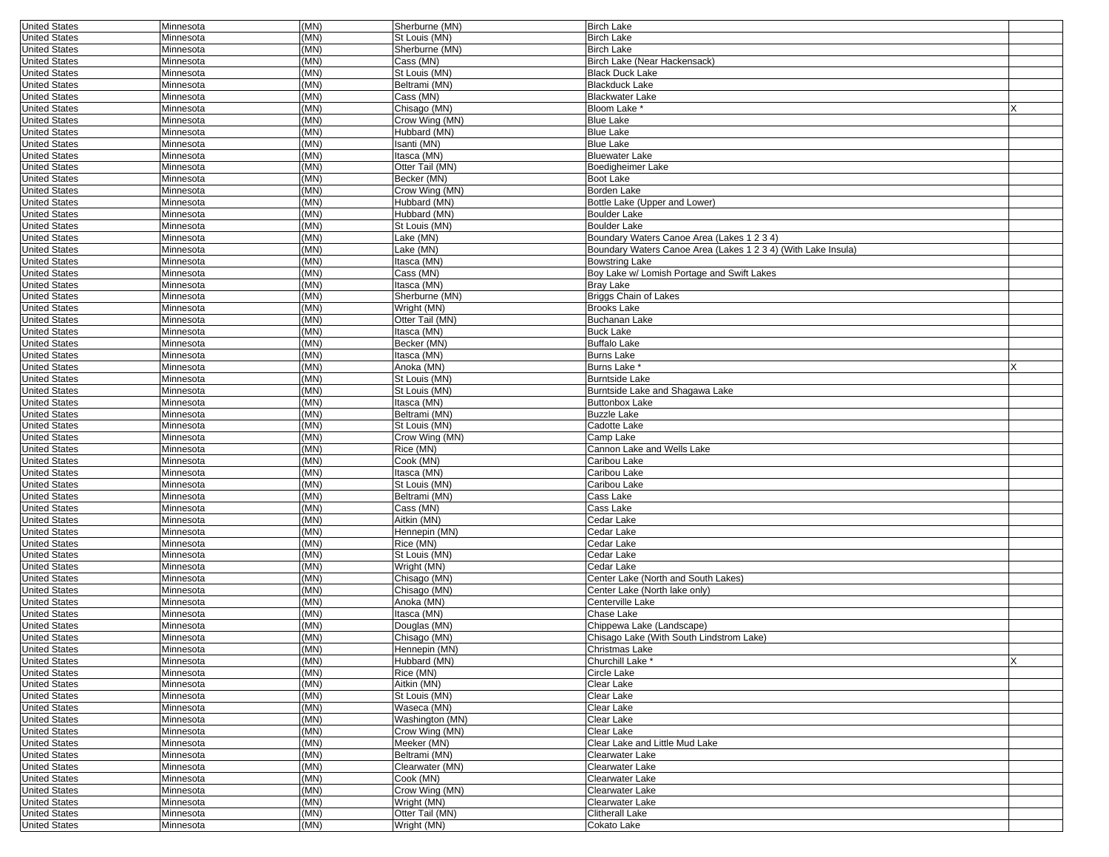| <b>United States</b> | Minnesota | (MN)         | Sherburne (MN)                | <b>Birch Lake</b>                                             |   |
|----------------------|-----------|--------------|-------------------------------|---------------------------------------------------------------|---|
| <b>United States</b> | Minnesota | (MN)         | St Louis (MN)                 | <b>Birch Lake</b>                                             |   |
| <b>United States</b> | Minnesota | (MN)         | Sherburne (MN)                | <b>Birch Lake</b>                                             |   |
| <b>United States</b> | Minnesota | (MN)         | Cass (MN)                     | Birch Lake (Near Hackensack)                                  |   |
| <b>United States</b> | Minnesota | (MN)         | St Louis (MN)                 | <b>Black Duck Lake</b>                                        |   |
| <b>United States</b> | Minnesota | (MN)         | Beltrami (MN)                 | <b>Blackduck Lake</b>                                         |   |
| <b>United States</b> | Minnesota | (MN)         | Cass (MN)                     | <b>Blackwater Lake</b>                                        |   |
| <b>United States</b> | Minnesota | (MN)         | Chisago (MN)                  | Bloom Lake *                                                  |   |
| <b>United States</b> | Minnesota | (MN)         | Crow Wing (MN)                | <b>Blue Lake</b>                                              |   |
| <b>United States</b> | Minnesota | (MN)         | Hubbard (MN)                  | <b>Blue Lake</b>                                              |   |
| <b>United States</b> | Minnesota | (MN)         | Isanti (MN)                   | <b>Blue Lake</b>                                              |   |
| <b>United States</b> | Minnesota | (MN)         | Itasca (MN)                   | <b>Bluewater Lake</b>                                         |   |
| <b>United States</b> | Minnesota | (MN)         | Otter Tail (MN)               | Boedigheimer Lake                                             |   |
| <b>United States</b> | Minnesota | (MN)         | Becker (MN)                   | Boot Lake                                                     |   |
| <b>United States</b> | Minnesota | (MN)         | Crow Wing (MN)                | Borden Lake                                                   |   |
| <b>United States</b> | Minnesota | (MN)         | Hubbard (MN)                  | Bottle Lake (Upper and Lower)                                 |   |
| <b>United States</b> | Minnesota | (MN)         | Hubbard (MN)                  | <b>Boulder Lake</b>                                           |   |
| <b>United States</b> | Minnesota | (MN)         | St Louis (MN)                 | <b>Boulder Lake</b>                                           |   |
| <b>United States</b> | Minnesota | (MN)         | Lake (MN)                     | Boundary Waters Canoe Area (Lakes 1 2 3 4)                    |   |
| <b>United States</b> | Minnesota | (MN)         | Lake (MN)                     | Boundary Waters Canoe Area (Lakes 1 2 3 4) (With Lake Insula) |   |
| <b>United States</b> | Minnesota | (MN)         | Itasca (MN)                   | <b>Bowstring Lake</b>                                         |   |
| <b>United States</b> | Minnesota | (MN)         | Cass (MN)                     | Boy Lake w/ Lomish Portage and Swift Lakes                    |   |
| <b>United States</b> | Minnesota | (MN)         | Itasca (MN)                   | <b>Bray Lake</b>                                              |   |
|                      |           |              |                               |                                                               |   |
| <b>United States</b> | Minnesota | (MN)<br>(MN) | Sherburne (MN)<br>Wright (MN) | <b>Briggs Chain of Lakes</b><br><b>Brooks Lake</b>            |   |
| <b>United States</b> | Minnesota |              |                               |                                                               |   |
| <b>United States</b> | Minnesota | (MN)         | Otter Tail (MN)               | <b>Buchanan Lake</b>                                          |   |
| <b>United States</b> | Minnesota | (MN)         | Itasca (MN)                   | <b>Buck Lake</b>                                              |   |
| <b>United States</b> | Minnesota | (MN)         | Becker (MN)                   | <b>Buffalo Lake</b>                                           |   |
| <b>United States</b> | Minnesota | (MN)         | Itasca (MN)                   | <b>Burns Lake</b>                                             |   |
| <b>United States</b> | Minnesota | (MN)         | Anoka (MN)                    | Burns Lake <sup>*</sup>                                       |   |
| <b>United States</b> | Minnesota | (MN)         | St Louis (MN)                 | <b>Burntside Lake</b>                                         |   |
| <b>United States</b> | Minnesota | (MN)         | St Louis (MN)                 | Burntside Lake and Shagawa Lake                               |   |
| <b>United States</b> | Minnesota | (MN)         | Itasca (MN)                   | <b>Buttonbox Lake</b>                                         |   |
| <b>United States</b> | Minnesota | (MN)         | Beltrami (MN)                 | <b>Buzzle Lake</b>                                            |   |
| <b>United States</b> | Minnesota | (MN)         | St Louis (MN)                 | Cadotte Lake                                                  |   |
| <b>United States</b> | Minnesota | (MN)         | Crow Wing (MN)                | Camp Lake                                                     |   |
| <b>United States</b> | Minnesota | (MN)         | Rice (MN)                     | Cannon Lake and Wells Lake                                    |   |
| <b>United States</b> | Minnesota | (MN)         | Cook (MN)                     | Caribou Lake                                                  |   |
| <b>United States</b> | Minnesota | (MN)         | Itasca (MN)                   | Caribou Lake                                                  |   |
| <b>United States</b> | Minnesota | (MN)         | St Louis (MN)                 | Caribou Lake                                                  |   |
| <b>United States</b> | Minnesota | (MN)         | Beltrami (MN)                 | Cass Lake                                                     |   |
| <b>United States</b> | Minnesota | (MN)         | Cass (MN)                     | Cass Lake                                                     |   |
| <b>United States</b> | Minnesota | (MN)         | Aitkin (MN)                   | Cedar Lake                                                    |   |
| <b>United States</b> | Minnesota | (MN)         | Hennepin (MN)                 | Cedar Lake                                                    |   |
| <b>United States</b> | Minnesota | (MN)         | Rice (MN)                     | Cedar Lake                                                    |   |
| <b>United States</b> | Minnesota | (MN)         | St Louis (MN)                 | Cedar Lake                                                    |   |
| <b>United States</b> | Minnesota | (MN)         | Wright (MN)                   | Cedar Lake                                                    |   |
| <b>United States</b> | Minnesota | (MN)         | Chisago (MN)                  | Center Lake (North and South Lakes)                           |   |
| <b>United States</b> | Minnesota | (MN)         | Chisago (MN)                  | Center Lake (North lake only)                                 |   |
| <b>United States</b> | Minnesota | (MN)         | Anoka (MN)                    | Centerville Lake                                              |   |
| <b>United States</b> | Minnesota | (MN)         | Itasca (MN)                   | Chase Lake                                                    |   |
| <b>United States</b> | Minnesota | (MN)         | Douglas (MN)                  | Chippewa Lake (Landscape)                                     |   |
| <b>United States</b> | Minnesota | (MN)         | Chisago (MN)                  | Chisago Lake (With South Lindstrom Lake)                      |   |
| United States        | Minnesota | (MN)         | Hennepin (MN)                 | Christmas Lake                                                |   |
| <b>United States</b> | Minnesota | (MN)         | Hubbard (MN)                  | Churchill Lake *                                              | X |
| <b>United States</b> | Minnesota | (MN)         | Rice (MN)                     | Circle Lake                                                   |   |
| <b>United States</b> | Minnesota | (MN)         | Aitkin (MN)                   | Clear Lake                                                    |   |
| <b>United States</b> | Minnesota | (MN)         | St Louis (MN)                 | Clear Lake                                                    |   |
| <b>United States</b> | Minnesota | (MN)         | Waseca (MN)                   | Clear Lake                                                    |   |
| <b>United States</b> | Minnesota | (MN)         | Washington (MN)               | Clear Lake                                                    |   |
| <b>United States</b> | Minnesota | (MN)         | Crow Wing (MN)                | Clear Lake                                                    |   |
| <b>United States</b> | Minnesota | (MN)         | Meeker (MN)                   | Clear Lake and Little Mud Lake                                |   |
| <b>United States</b> | Minnesota | (MN)         | Beltrami (MN)                 | Clearwater Lake                                               |   |
| <b>United States</b> | Minnesota | (MN)         | Clearwater (MN)               | Clearwater Lake                                               |   |
| <b>United States</b> | Minnesota | (MN)         | Cook (MN)                     | Clearwater Lake                                               |   |
| <b>United States</b> | Minnesota | (MN)         | Crow Wing (MN)                | Clearwater Lake                                               |   |
| <b>United States</b> | Minnesota | (MN)         | Wright (MN)                   | Clearwater Lake                                               |   |
| <b>United States</b> | Minnesota | (MN)         | Otter Tail (MN)               | <b>Clitherall Lake</b>                                        |   |
| <b>United States</b> | Minnesota | (MN)         | Wright (MN)                   | Cokato Lake                                                   |   |
|                      |           |              |                               |                                                               |   |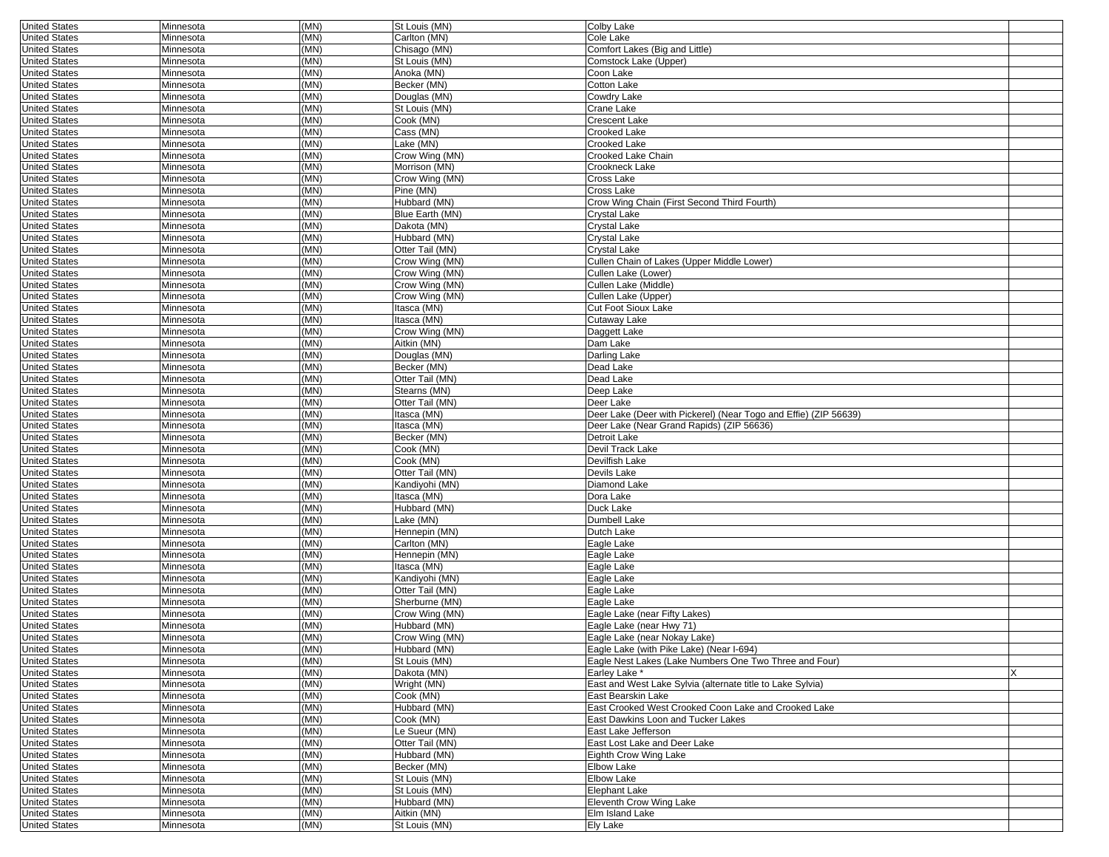|                                              |                        |              | St Louis (MN)                |                                                                  |   |
|----------------------------------------------|------------------------|--------------|------------------------------|------------------------------------------------------------------|---|
| <b>United States</b>                         | Minnesota              | (MN)         |                              | Colby Lake                                                       |   |
| <b>United States</b>                         | Minnesota              | (MN)         | Carlton (MN)                 | Cole Lake                                                        |   |
| <b>United States</b>                         | Minnesota              | (MN)         | Chisago (MN)                 | Comfort Lakes (Big and Little)                                   |   |
| <b>United States</b>                         | Minnesota              | (MN)         | St Louis (MN)                | Comstock Lake (Upper)                                            |   |
| <b>United States</b>                         | Minnesota              | (MN)         | Anoka (MN)                   | Coon Lake                                                        |   |
| <b>United States</b>                         | Minnesota              | (MN)         | Becker (MN)                  | Cotton Lake                                                      |   |
|                                              |                        |              |                              |                                                                  |   |
| <b>United States</b>                         | Minnesota              | (MN)         | Douglas (MN)                 | Cowdry Lake                                                      |   |
| <b>United States</b>                         | Minnesota              | (MN)         | St Louis (MN)                | Crane Lake                                                       |   |
| <b>United States</b>                         | Minnesota              | (MN)         | Cook (MN)                    | <b>Crescent Lake</b>                                             |   |
| <b>United States</b>                         | Minnesota              | (MN)         | Cass (MN)                    | Crooked Lake                                                     |   |
| <b>United States</b>                         | Minnesota              | (MN)         | Lake (MN)                    | <b>Crooked Lake</b>                                              |   |
| <b>United States</b>                         | Minnesota              | (MN)         | Crow Wing (MN)               | <b>Crooked Lake Chain</b>                                        |   |
| <b>United States</b>                         | Minnesota              | (MN)         | Morrison (MN)                | Crookneck Lake                                                   |   |
|                                              |                        |              |                              |                                                                  |   |
| <b>United States</b>                         | Minnesota              | (MN)         | Crow Wing (MN)               | Cross Lake                                                       |   |
| <b>United States</b>                         | Minnesota              | (MN)         | Pine (MN)                    | Cross Lake                                                       |   |
| <b>United States</b>                         | Minnesota              | (MN)         | Hubbard (MN)                 | Crow Wing Chain (First Second Third Fourth)                      |   |
| <b>United States</b>                         | Minnesota              | (MN)         | Blue Earth (MN)              | Crystal Lake                                                     |   |
| <b>United States</b>                         | Minnesota              | (MN)         | Dakota (MN)                  | Crystal Lake                                                     |   |
| <b>United States</b>                         | Minnesota              | (MN)         | Hubbard (MN)                 | Crystal Lake                                                     |   |
| <b>United States</b>                         | Minnesota              | (MN)         | Otter Tail (MN)              | Crystal Lake                                                     |   |
|                                              |                        | (MN)         |                              | Cullen Chain of Lakes (Upper Middle Lower)                       |   |
| <b>United States</b>                         | Minnesota              |              | Crow Wing (MN)               |                                                                  |   |
| <b>United States</b>                         | Minnesota              | (MN)         | Crow Wing (MN)               | Cullen Lake (Lower)                                              |   |
| <b>United States</b>                         | Minnesota              | (MN)         | Crow Wing (MN)               | Cullen Lake (Middle)                                             |   |
| <b>United States</b>                         | Minnesota              | (MN)         | Crow Wing (MN)               | Cullen Lake (Upper)                                              |   |
| <b>United States</b>                         | Minnesota              | (MN)         | Itasca (MN)                  | <b>Cut Foot Sioux Lake</b>                                       |   |
| <b>United States</b>                         | Minnesota              | (MN)         | Itasca (MN)                  | Cutaway Lake                                                     |   |
| <b>United States</b>                         | Minnesota              | (MN)         | Crow Wing (MN)               | Daggett Lake                                                     |   |
| <b>United States</b>                         | Minnesota              | (MN)         | Aitkin (MN)                  | Dam Lake                                                         |   |
| <b>United States</b>                         | Minnesota              | (MN)         | Douglas (MN)                 | Darling Lake                                                     |   |
|                                              |                        | (MN)         | Becker (MN)                  | Dead Lake                                                        |   |
| <b>United States</b>                         | Minnesota              |              |                              |                                                                  |   |
| <b>United States</b>                         | Minnesota              | (MN)         | Otter Tail (MN)              | Dead Lake                                                        |   |
| <b>United States</b>                         | Minnesota              | (MN)         | Stearns (MN)                 | Deep Lake                                                        |   |
| <b>United States</b>                         | Minnesota              | (MN)         | Otter Tail (MN)              | Deer Lake                                                        |   |
| <b>United States</b>                         | Minnesota              | (MN)         | Itasca (MN)                  | Deer Lake (Deer with Pickerel) (Near Togo and Effie) (ZIP 56639) |   |
| <b>United States</b>                         | Minnesota              | (MN)         | Itasca (MN)                  | Deer Lake (Near Grand Rapids) (ZIP 56636)                        |   |
| <b>United States</b>                         | Minnesota              | (MN)         | Becker (MN)                  | Detroit Lake                                                     |   |
| <b>United States</b>                         | Minnesota              | (MN)         | Cook (MN)                    | Devil Track Lake                                                 |   |
| <b>United States</b>                         | Minnesota              | (MN)         | Cook (MN)                    | Devilfish Lake                                                   |   |
|                                              |                        | (MN)         |                              | Devils Lake                                                      |   |
| <b>United States</b>                         | Minnesota              |              | Otter Tail (MN)              |                                                                  |   |
| <b>United States</b>                         | Minnesota              | (MN)         | Kandiyohi (MN)               | Diamond Lake                                                     |   |
| <b>United States</b>                         | Minnesota              | (MN)         | Itasca (MN)                  | Dora Lake                                                        |   |
|                                              |                        |              |                              |                                                                  |   |
| <b>United States</b>                         | Minnesota              | (MN)         | Hubbard (MN)                 | Duck Lake                                                        |   |
| <b>United States</b>                         | Minnesota              | (MN)         | Lake (MN)                    | Dumbell Lake                                                     |   |
| <b>United States</b>                         | Minnesota              | (MN)         | Hennepin (MN)                | Dutch Lake                                                       |   |
|                                              |                        | (MN)         | Carlton (MN)                 |                                                                  |   |
| <b>United States</b>                         | Minnesota              |              |                              | Eagle Lake                                                       |   |
| <b>United States</b>                         | Minnesota              | (MN)         | Hennepin (MN)                | Eagle Lake                                                       |   |
| <b>United States</b>                         | Minnesota              | (MN)         | Itasca (MN)                  | Eagle Lake                                                       |   |
| <b>United States</b>                         | Minnesota              | (MN)         | Kandiyohi (MN)               | Eagle Lake                                                       |   |
| <b>United States</b>                         | Minnesota              | (MN)         | Otter Tail (MN)              | Eagle Lake                                                       |   |
| <b>United States</b>                         | Minnesota              | (MN)         | Sherburne (MN)               | Eagle Lake                                                       |   |
| <b>United States</b>                         | Minnesota              | (MN)         | Crow Wing (MN)               | Eagle Lake (near Fifty Lakes)                                    |   |
| <b>United States</b>                         | Minnesota              | (MN)         | Hubbard (MN)                 | Eagle Lake (near Hwy 71)                                         |   |
| <b>United States</b>                         | Minnesota              | (MN)         | Crow Wing (MN)               | Eagle Lake (near Nokay Lake)                                     |   |
|                                              |                        |              |                              |                                                                  |   |
| United States                                | Minnesota              | (MN)         | Hubbard (MN)                 | Eagle Lake (with Pike Lake) (Near I-694)                         |   |
| <b>United States</b>                         | Minnesota              | (MN)         | St Louis (MN)                | Eagle Nest Lakes (Lake Numbers One Two Three and Four)           |   |
| <b>United States</b>                         | Minnesota              | (MN)         | Dakota (MN)                  | Earley Lake *                                                    | X |
| <b>United States</b>                         | Minnesota              | (MN)         | Wright (MN)                  | East and West Lake Sylvia (alternate title to Lake Sylvia)       |   |
| <b>United States</b>                         | Minnesota              | (MN)         | Cook (MN)                    | East Bearskin Lake                                               |   |
| <b>United States</b>                         | Minnesota              | (MN)         | Hubbard (MN)                 | East Crooked West Crooked Coon Lake and Crooked Lake             |   |
| <b>United States</b>                         | Minnesota              | (MN)         | Cook (MN)                    | East Dawkins Loon and Tucker Lakes                               |   |
| <b>United States</b>                         | Minnesota              | (MN)         | Le Sueur (MN)                | East Lake Jefferson                                              |   |
| <b>United States</b>                         | Minnesota              | (MN)         | Otter Tail (MN)              | East Lost Lake and Deer Lake                                     |   |
| <b>United States</b>                         | Minnesota              | (MN)         | Hubbard (MN)                 | Eighth Crow Wing Lake                                            |   |
|                                              |                        |              |                              | Elbow Lake                                                       |   |
| <b>United States</b>                         | Minnesota              | (MN)         | Becker (MN)                  |                                                                  |   |
| <b>United States</b>                         | Minnesota              | (MN)         | St Louis (MN)                | Elbow Lake                                                       |   |
| <b>United States</b>                         | Minnesota              | (MN)         | St Louis (MN)                | Elephant Lake                                                    |   |
| <b>United States</b>                         | Minnesota              | (MN)         | Hubbard (MN)                 | Eleventh Crow Wing Lake                                          |   |
| <b>United States</b><br><b>United States</b> | Minnesota<br>Minnesota | (MN)<br>(MN) | Aitkin (MN)<br>St Louis (MN) | Elm Island Lake<br>Ely Lake                                      |   |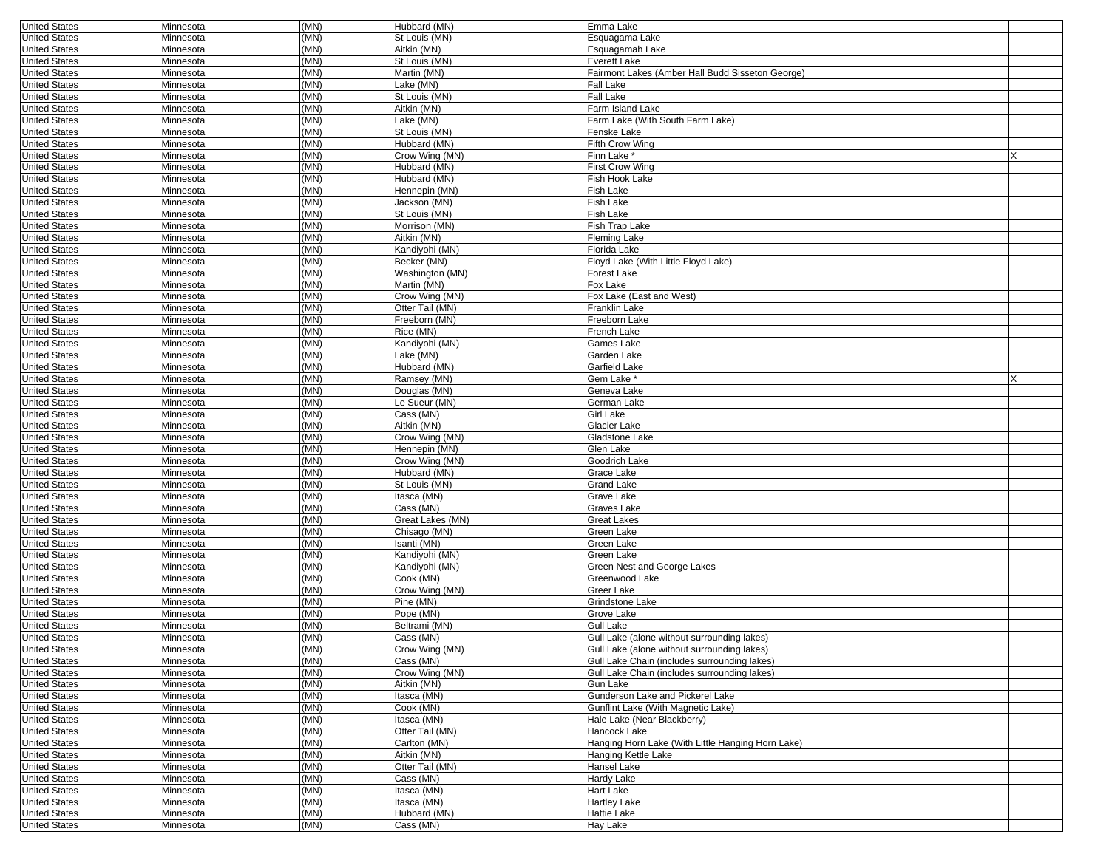| <b>United States</b> | Minnesota | (MN)         | Hubbard (MN)     | Emma Lake                                         |          |
|----------------------|-----------|--------------|------------------|---------------------------------------------------|----------|
| <b>United States</b> | Minnesota | (MN)         | St Louis (MN)    | Esquagama Lake                                    |          |
| <b>United States</b> | Minnesota | (MN)         | Aitkin (MN)      | Esquagamah Lake                                   |          |
| <b>United States</b> | Minnesota | (MN)         | St Louis (MN)    | Everett Lake                                      |          |
| <b>United States</b> | Minnesota | (MN)         | Martin (MN)      | Fairmont Lakes (Amber Hall Budd Sisseton George)  |          |
| <b>United States</b> | Minnesota | (MN)         | Lake (MN)        | Fall Lake                                         |          |
| <b>United States</b> | Minnesota | (MN)         | St Louis (MN)    | Fall Lake                                         |          |
| <b>United States</b> | Minnesota | (MN)         | Aitkin (MN)      | Farm Island Lake                                  |          |
| <b>United States</b> | Minnesota | (MN)         | Lake (MN)        | Farm Lake (With South Farm Lake)                  |          |
| <b>United States</b> | Minnesota | (MN)         | St Louis (MN)    | Fenske Lake                                       |          |
| <b>United States</b> | Minnesota | (MN)         | Hubbard (MN)     | Fifth Crow Wing                                   |          |
|                      |           |              |                  |                                                   |          |
| <b>United States</b> | Minnesota | (MN)         | Crow Wing (MN)   | Finn Lake                                         |          |
| <b>United States</b> | Minnesota | (MN)         | Hubbard (MN)     | First Crow Wing                                   |          |
| <b>United States</b> | Minnesota | (MN)         | Hubbard (MN)     | Fish Hook Lake                                    |          |
| <b>United States</b> | Minnesota | (MN)         | Hennepin (MN)    | Fish Lake                                         |          |
| <b>United States</b> | Minnesota | (MN)         | Jackson (MN)     | Fish Lake                                         |          |
| <b>United States</b> | Minnesota | (MN)         | St Louis (MN)    | Fish Lake                                         |          |
| <b>United States</b> | Minnesota | (MN)         | Morrison (MN)    | Fish Trap Lake                                    |          |
| <b>United States</b> | Minnesota | (MN)         | Aitkin (MN)      | Fleming Lake                                      |          |
| <b>United States</b> | Minnesota | (MN)         | Kandiyohi (MN)   | Florida Lake                                      |          |
| <b>United States</b> | Minnesota | (MN)         | Becker (MN)      | Floyd Lake (With Little Floyd Lake)               |          |
| <b>United States</b> | Minnesota | (MN)         | Washington (MN)  | Forest Lake                                       |          |
| <b>United States</b> | Minnesota | (MN)         | Martin (MN)      | Fox Lake                                          |          |
| <b>United States</b> | Minnesota | (MN)         | Crow Wing (MN)   | Fox Lake (East and West)                          |          |
| <b>United States</b> | Minnesota | (MN)         |                  | Franklin Lake                                     |          |
|                      |           |              | Otter Tail (MN)  |                                                   |          |
| <b>United States</b> | Minnesota | (MN)         | Freeborn (MN)    | Freeborn Lake                                     |          |
| <b>United States</b> | Minnesota | (MN)         | Rice (MN)        | French Lake                                       |          |
| <b>United States</b> | Minnesota | (MN)         | Kandiyohi (MN)   | Games Lake                                        |          |
| <b>United States</b> | Minnesota | (MN)         | Lake (MN)        | Garden Lake                                       |          |
| <b>United States</b> | Minnesota | (MN)         | Hubbard (MN)     | Garfield Lake                                     |          |
| <b>United States</b> | Minnesota | (MN)         | Ramsey (MN)      | Gem Lake *                                        | $\times$ |
| <b>United States</b> | Minnesota | (MN)         | Douglas (MN)     | Geneva Lake                                       |          |
| <b>United States</b> | Minnesota | (MN)         | Le Sueur (MN)    | German Lake                                       |          |
| <b>United States</b> | Minnesota | (MN)         | Cass (MN)        | Girl Lake                                         |          |
| <b>United States</b> | Minnesota | (MN)         | Aitkin (MN)      | Glacier Lake                                      |          |
| <b>United States</b> | Minnesota | (MN)         | Crow Wing (MN)   | Gladstone Lake                                    |          |
| <b>United States</b> | Minnesota | (MN)         | Hennepin (MN)    | Glen Lake                                         |          |
| <b>United States</b> | Minnesota | (MN)         | Crow Wing (MN)   | Goodrich Lake                                     |          |
| <b>United States</b> | Minnesota | (MN)         | Hubbard (MN)     | Grace Lake                                        |          |
| <b>United States</b> | Minnesota | (MN)         | St Louis (MN)    | <b>Grand Lake</b>                                 |          |
| <b>United States</b> | Minnesota | (MN)         | Itasca (MN)      | Grave Lake                                        |          |
| <b>United States</b> | Minnesota | (MN)         | Cass (MN)        |                                                   |          |
|                      |           | (MN)         |                  | Graves Lake                                       |          |
| <b>United States</b> | Minnesota |              | Great Lakes (MN) | Great Lakes                                       |          |
| <b>United States</b> | Minnesota | (MN)         | Chisago (MN)     | Green Lake                                        |          |
| <b>United States</b> | Minnesota | (MN)         | Isanti (MN)      | Green Lake                                        |          |
| <b>United States</b> | Minnesota | (MN)         | Kandiyohi (MN)   | Green Lake                                        |          |
| <b>United States</b> | Minnesota | (MN)         | Kandiyohi (MN)   | Green Nest and George Lakes                       |          |
| <b>United States</b> | Minnesota | (MN)         | Cook (MN)        | Greenwood Lake                                    |          |
| <b>United States</b> | Minnesota | (MN)         | Crow Wing (MN)   | Greer Lake                                        |          |
| <b>United States</b> | Minnesota | (MN)         | Pine (MN)        | Grindstone Lake                                   |          |
| <b>United States</b> | Minnesota | (MN)         | Pope (MN)        | Grove Lake                                        |          |
| <b>United States</b> | Minnesota | (MN)         | Beltrami (MN)    | Gull Lake                                         |          |
| <b>United States</b> | Minnesota | (MN)         | Cass (MN)        | Gull Lake (alone without surrounding lakes)       |          |
| <b>United States</b> | Minnesota | (MN)         | Crow Wing (MN)   | Gull Lake (alone without surrounding lakes)       |          |
| <b>United States</b> | Minnesota | (MN)         | Cass (MN)        | Gull Lake Chain (includes surrounding lakes)      |          |
| <b>United States</b> | Minnesota | (MN)         | Crow Wing (MN)   | Gull Lake Chain (includes surrounding lakes)      |          |
| <b>United States</b> | Minnesota | (MN)         | Aitkin (MN)      | Gun Lake                                          |          |
| <b>United States</b> | Minnesota | (MN)         | Itasca (MN)      | Gunderson Lake and Pickerel Lake                  |          |
|                      |           |              | Cook (MN)        | Gunflint Lake (With Magnetic Lake)                |          |
| <b>United States</b> | Minnesota | (MN)<br>(MN) |                  |                                                   |          |
| <b>United States</b> | Minnesota |              | Itasca (MN)      | Hale Lake (Near Blackberry)                       |          |
| <b>United States</b> | Minnesota | (MN)         | Otter Tail (MN)  | Hancock Lake                                      |          |
| <b>United States</b> | Minnesota | (MN)         | Carlton (MN)     | Hanging Horn Lake (With Little Hanging Horn Lake) |          |
| <b>United States</b> | Minnesota | (MN)         | Aitkin (MN)      | Hanging Kettle Lake                               |          |
| <b>United States</b> | Minnesota | (MN)         | Otter Tail (MN)  | Hansel Lake                                       |          |
| <b>United States</b> | Minnesota | (MN)         | Cass (MN)        | Hardy Lake                                        |          |
| <b>United States</b> | Minnesota | (MN)         | Itasca (MN)      | Hart Lake                                         |          |
| <b>United States</b> | Minnesota | (MN)         | Itasca (MN)      | <b>Hartley Lake</b>                               |          |
| <b>United States</b> | Minnesota | (MN)         | Hubbard (MN)     | Hattie Lake                                       |          |
| <b>United States</b> | Minnesota | (MN)         | Cass (MN)        | Hay Lake                                          |          |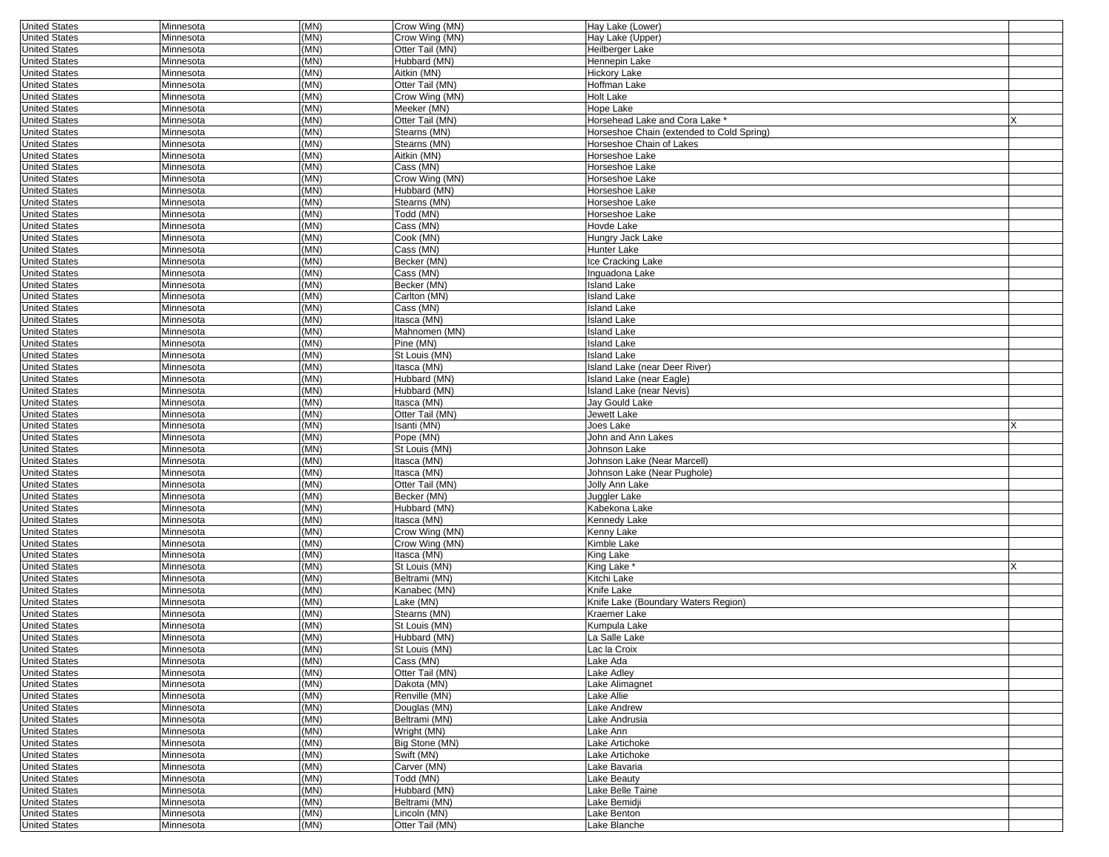| <b>United States</b> | Minnesota | (MN) | Crow Wing (MN)  | Hay Lake (Lower)                          |  |
|----------------------|-----------|------|-----------------|-------------------------------------------|--|
| <b>United States</b> | Minnesota | (MN) | Crow Wing (MN)  | Hay Lake (Upper)                          |  |
| <b>United States</b> | Minnesota | (MN) | Otter Tail (MN) | Heilberger Lake                           |  |
| <b>United States</b> | Minnesota | (MN) | Hubbard (MN)    | Hennepin Lake                             |  |
| <b>United States</b> | Minnesota | (MN) | Aitkin (MN)     | <b>Hickory Lake</b>                       |  |
| <b>United States</b> | Minnesota | (MN) | Otter Tail (MN) | Hoffman Lake                              |  |
| <b>United States</b> | Minnesota | (MN) | Crow Wing (MN)  | <b>Holt Lake</b>                          |  |
| <b>United States</b> |           | (MN) |                 |                                           |  |
|                      | Minnesota |      | Meeker (MN)     | Hope Lake                                 |  |
| <b>United States</b> | Minnesota | (MN) | Otter Tail (MN) | Horsehead Lake and Cora Lake *            |  |
| <b>United States</b> | Minnesota | (MN) | Stearns (MN)    | Horseshoe Chain (extended to Cold Spring) |  |
| <b>United States</b> | Minnesota | (MN) | Stearns (MN)    | Horseshoe Chain of Lakes                  |  |
| <b>United States</b> | Minnesota | (MN) | Aitkin (MN)     | Horseshoe Lake                            |  |
| <b>United States</b> | Minnesota | (MN) | Cass (MN)       | Horseshoe Lake                            |  |
| <b>United States</b> | Minnesota | (MN) | Crow Wing (MN)  | Horseshoe Lake                            |  |
| <b>United States</b> | Minnesota | (MN) | Hubbard (MN)    | Horseshoe Lake                            |  |
| <b>United States</b> | Minnesota | (MN) | Stearns (MN)    | Horseshoe Lake                            |  |
| <b>United States</b> | Minnesota | (MN) | Todd (MN)       | Horseshoe Lake                            |  |
|                      |           |      |                 |                                           |  |
| <b>United States</b> | Minnesota | (MN) | Cass (MN)       | Hovde Lake                                |  |
| <b>United States</b> | Minnesota | (MN) | Cook (MN)       | Hungry Jack Lake                          |  |
| <b>United States</b> | Minnesota | (MN) | Cass (MN)       | Hunter Lake                               |  |
| <b>United States</b> | Minnesota | (MN) | Becker (MN)     | Ice Cracking Lake                         |  |
| <b>United States</b> | Minnesota | (MN) | Cass (MN)       | Inguadona Lake                            |  |
| <b>United States</b> | Minnesota | (MN) | Becker (MN)     | <b>Island Lake</b>                        |  |
| <b>United States</b> | Minnesota | (MN) | Carlton (MN)    | <b>Island Lake</b>                        |  |
| <b>United States</b> | Minnesota | (MN) | Cass (MN)       | <b>Island Lake</b>                        |  |
| <b>United States</b> | Minnesota | (MN) | Itasca (MN)     | <b>Island Lake</b>                        |  |
|                      |           |      |                 |                                           |  |
| <b>United States</b> | Minnesota | (MN) | Mahnomen (MN)   | <b>Island Lake</b>                        |  |
| <b>United States</b> | Minnesota | (MN) | Pine (MN)       | Island Lake                               |  |
| <b>United States</b> | Minnesota | (MN) | St Louis (MN)   | Island Lake                               |  |
| <b>United States</b> | Minnesota | (MN) | Itasca (MN)     | Island Lake (near Deer River)             |  |
| <b>United States</b> | Minnesota | (MN) | Hubbard (MN)    | Island Lake (near Eagle)                  |  |
| <b>United States</b> | Minnesota | (MN) | Hubbard (MN)    | Island Lake (near Nevis)                  |  |
| <b>United States</b> | Minnesota | (MN) | Itasca (MN)     | Jay Gould Lake                            |  |
| <b>United States</b> | Minnesota | (MN) | Otter Tail (MN) | Jewett Lake                               |  |
| <b>United States</b> | Minnesota | (MN) | Isanti (MN)     | Joes Lake                                 |  |
| <b>United States</b> | Minnesota | (MN) | Pope (MN)       | John and Ann Lakes                        |  |
|                      |           |      |                 |                                           |  |
| <b>United States</b> | Minnesota | (MN) | St Louis (MN)   | Johnson Lake                              |  |
| <b>United States</b> | Minnesota | (MN) | Itasca (MN)     | Johnson Lake (Near Marcell)               |  |
| <b>United States</b> | Minnesota | (MN) | Itasca (MN)     | Johnson Lake (Near Pughole)               |  |
| <b>United States</b> | Minnesota | (MN) | Otter Tail (MN) | Jolly Ann Lake                            |  |
| <b>United States</b> | Minnesota | (MN) | Becker (MN)     | Juggler Lake                              |  |
| <b>United States</b> | Minnesota | (MN) | Hubbard (MN)    | Kabekona Lake                             |  |
| <b>United States</b> | Minnesota | (MN) | Itasca (MN)     | Kennedy Lake                              |  |
| <b>United States</b> | Minnesota | (MN) | Crow Wing (MN)  | Kenny Lake                                |  |
| <b>United States</b> | Minnesota | (MN) | Crow Wing (MN)  | Kimble Lake                               |  |
|                      | Minnesota | (MN) | Itasca (MN)     |                                           |  |
| <b>United States</b> |           |      |                 | King Lake                                 |  |
| <b>United States</b> | Minnesota | (MN) | St Louis (MN)   | King Lake                                 |  |
| <b>United States</b> | Minnesota | (MN) | Beltrami (MN)   | Kitchi Lake                               |  |
| <b>United States</b> | Minnesota | (MN) | Kanabec (MN)    | Knife Lake                                |  |
| <b>United States</b> | Minnesota | (MN) | Lake (MN)       | Knife Lake (Boundary Waters Region)       |  |
| <b>United States</b> | Minnesota | (MN) | Stearns (MN)    | Kraemer Lake                              |  |
| <b>United States</b> | Minnesota | (MN) | St Louis (MN)   | Kumpula Lake                              |  |
| <b>United States</b> | Minnesota | (MN) | Hubbard (MN)    | La Salle Lake                             |  |
| <b>United States</b> | Minnesota | (MN) | St Louis (MN)   | Lac la Croix                              |  |
| <b>United States</b> | Minnesota | (MN) | Cass (MN)       | Lake Ada                                  |  |
| <b>United States</b> | Minnesota | (MN) |                 |                                           |  |
|                      |           |      | Otter Tail (MN) | Lake Adley                                |  |
| <b>United States</b> | Minnesota | (MN) | Dakota (MN)     | Lake Alimagnet                            |  |
| <b>United States</b> | Minnesota | (MN) | Renville (MN)   | Lake Allie                                |  |
| <b>United States</b> | Minnesota | (MN) | Douglas (MN)    | Lake Andrew                               |  |
| <b>United States</b> | Minnesota | (MN) | Beltrami (MN)   | Lake Andrusia                             |  |
| <b>United States</b> | Minnesota | (MN) | Wright (MN)     | Lake Ann                                  |  |
| <b>United States</b> | Minnesota | (MN) | Big Stone (MN)  | Lake Artichoke                            |  |
| <b>United States</b> | Minnesota | (MN) | Swift (MN)      | Lake Artichoke                            |  |
| <b>United States</b> | Minnesota | (MN) | Carver (MN)     | Lake Bavaria                              |  |
| <b>United States</b> | Minnesota | (MN) | Todd (MN)       | Lake Beauty                               |  |
|                      |           |      |                 |                                           |  |
| <b>United States</b> | Minnesota | (MN) | Hubbard (MN)    | Lake Belle Taine                          |  |
| <b>United States</b> | Minnesota | (MN) | Beltrami (MN)   | Lake Bemidji                              |  |
| <b>United States</b> | Minnesota | (MN) | Lincoln (MN)    | Lake Benton                               |  |
| <b>United States</b> | Minnesota | (MN) | Otter Tail (MN) | Lake Blanche                              |  |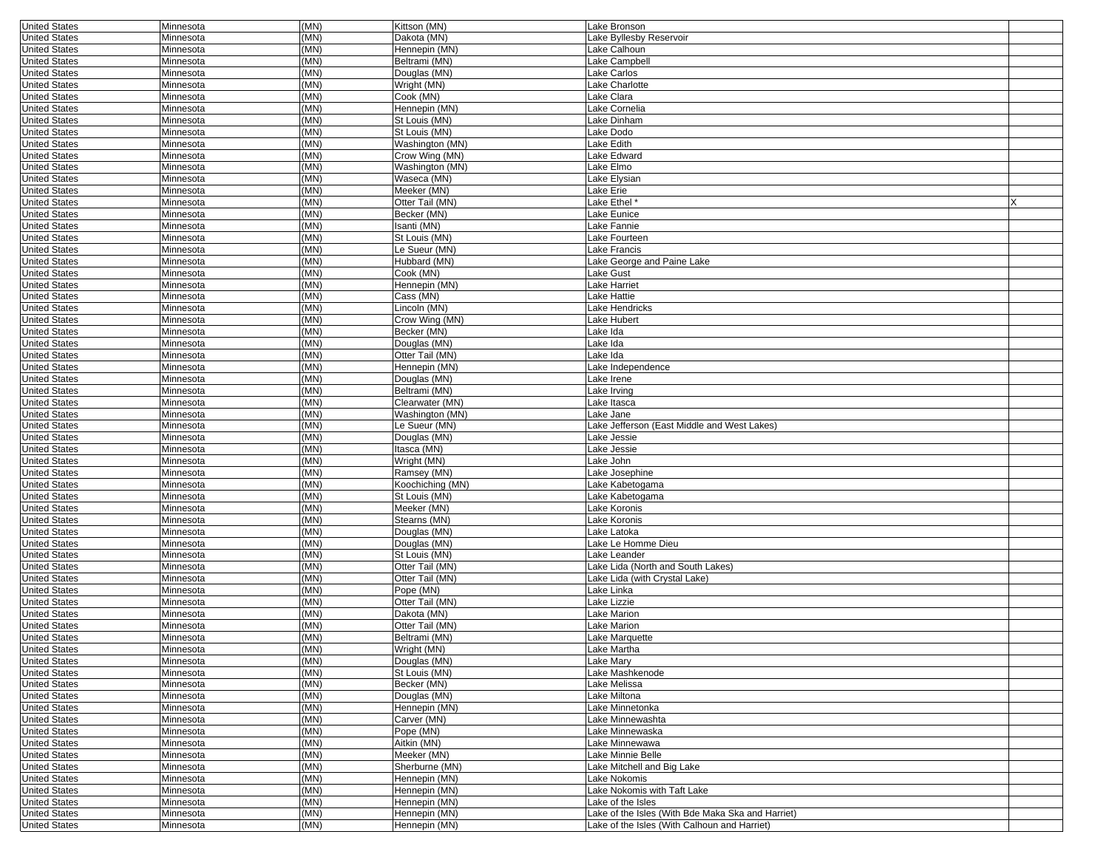| <b>United States</b> | Minnesota | (MN) | Kittson (MN)     | Lake Bronson                                      |  |
|----------------------|-----------|------|------------------|---------------------------------------------------|--|
| <b>United States</b> | Minnesota | (MN) | Dakota (MN)      | Lake Byllesby Reservoir                           |  |
| <b>United States</b> | Minnesota | (MN) | Hennepin (MN)    | Lake Calhoun                                      |  |
| <b>United States</b> | Minnesota | (MN) | Beltrami (MN)    | Lake Campbell                                     |  |
| <b>United States</b> | Minnesota | (MN) | Douglas (MN)     | Lake Carlos                                       |  |
| <b>United States</b> | Minnesota | (MN) | Wright (MN)      | Lake Charlotte                                    |  |
| <b>United States</b> | Minnesota | (MN) | Cook (MN)        | Lake Clara                                        |  |
|                      |           | (MN) |                  | Lake Cornelia                                     |  |
| <b>United States</b> | Minnesota |      | Hennepin (MN)    |                                                   |  |
| <b>United States</b> | Minnesota | (MN) | St Louis (MN)    | Lake Dinham                                       |  |
| <b>United States</b> | Minnesota | (MN) | St Louis (MN)    | Lake Dodo                                         |  |
| <b>United States</b> | Minnesota | (MN) | Washington (MN)  | Lake Edith                                        |  |
| <b>United States</b> | Minnesota | (MN) | Crow Wing (MN)   | Lake Edward                                       |  |
| <b>United States</b> | Minnesota | (MN) | Washington (MN)  | Lake Elmo                                         |  |
| <b>United States</b> | Minnesota | (MN) | Waseca (MN)      | Lake Elysian                                      |  |
| <b>United States</b> | Minnesota | (MN) | Meeker (MN)      | Lake Erie                                         |  |
| <b>United States</b> | Minnesota | (MN) | Otter Tail (MN)  | Lake Ethel *                                      |  |
| <b>United States</b> | Minnesota | (MN) | Becker (MN)      | Lake Eunice                                       |  |
|                      |           |      |                  |                                                   |  |
| <b>United States</b> | Minnesota | (MN) | Isanti (MN)      | Lake Fannie                                       |  |
| <b>United States</b> | Minnesota | (MN) | St Louis (MN)    | Lake Fourteen                                     |  |
| <b>United States</b> | Minnesota | (MN) | Le Sueur (MN)    | Lake Francis                                      |  |
| <b>United States</b> | Minnesota | (MN) | Hubbard (MN)     | Lake George and Paine Lake                        |  |
| <b>United States</b> | Minnesota | (MN) | Cook (MN)        | Lake Gust                                         |  |
| <b>United States</b> | Minnesota | (MN) | Hennepin (MN)    | Lake Harriet                                      |  |
| <b>United States</b> | Minnesota | (MN) | Cass (MN)        | Lake Hattie                                       |  |
| <b>United States</b> | Minnesota | (MN) | Lincoln (MN)     | Lake Hendricks                                    |  |
| <b>United States</b> | Minnesota | (MN) | Crow Wing (MN)   | Lake Hubert                                       |  |
|                      |           | (MN) |                  |                                                   |  |
| <b>United States</b> | Minnesota |      | Becker (MN)      | Lake Ida                                          |  |
| <b>United States</b> | Minnesota | (MN) | Douglas (MN)     | Lake Ida                                          |  |
| <b>United States</b> | Minnesota | (MN) | Otter Tail (MN)  | Lake Ida                                          |  |
| <b>United States</b> | Minnesota | (MN) | Hennepin (MN)    | Lake Independence                                 |  |
| <b>United States</b> | Minnesota | (MN) | Douglas (MN)     | Lake Irene                                        |  |
| <b>United States</b> | Minnesota | (MN) | Beltrami (MN)    | Lake Irving                                       |  |
| <b>United States</b> | Minnesota | (MN) | Clearwater (MN)  | Lake Itasca                                       |  |
| <b>United States</b> | Minnesota | (MN) | Washington (MN)  | Lake Jane                                         |  |
| <b>United States</b> | Minnesota | (MN) | Le Sueur (MN)    | Lake Jefferson (East Middle and West Lakes)       |  |
| <b>United States</b> | Minnesota | (MN) | Douglas (MN)     | Lake Jessie                                       |  |
|                      |           | (MN) |                  |                                                   |  |
| <b>United States</b> | Minnesota |      | Itasca (MN)      | Lake Jessie                                       |  |
| <b>United States</b> | Minnesota | (MN) | Wright (MN)      | Lake John                                         |  |
| <b>United States</b> | Minnesota | (MN) | Ramsey (MN)      | Lake Josephine                                    |  |
| <b>United States</b> | Minnesota | (MN) | Koochiching (MN) | Lake Kabetogama                                   |  |
| <b>United States</b> | Minnesota | (MN) | St Louis (MN)    | Lake Kabetogama                                   |  |
| <b>United States</b> | Minnesota | (MN) | Meeker (MN)      | Lake Koronis                                      |  |
| <b>United States</b> | Minnesota | (MN) | Stearns (MN)     | Lake Koronis                                      |  |
| <b>United States</b> | Minnesota | (MN) | Douglas (MN)     | Lake Latoka                                       |  |
| <b>United States</b> | Minnesota | (MN) | Douglas (MN)     | Lake Le Homme Dieu                                |  |
| <b>United States</b> | Minnesota | (MN) | St Louis (MN)    | Lake Leander                                      |  |
|                      |           | (MN) | Otter Tail (MN)  |                                                   |  |
| <b>United States</b> | Minnesota |      |                  | Lake Lida (North and South Lakes)                 |  |
| <b>United States</b> | Minnesota | (MN) | Otter Tail (MN)  | Lake Lida (with Crystal Lake)                     |  |
| <b>United States</b> | Minnesota | (MN) | Pope (MN)        | Lake Linka                                        |  |
| <b>United States</b> | Minnesota | (MN) | Otter Tail (MN)  | Lake Lizzie                                       |  |
| <b>United States</b> | Minnesota | (MN) | Dakota (MN)      | Lake Marion                                       |  |
| <b>United States</b> | Minnesota | (MN) | Otter Tail (MN)  | Lake Marion                                       |  |
| <b>United States</b> | Minnesota | (MN) | Beltrami (MN)    | Lake Marquette                                    |  |
| <b>United States</b> | Minnesota | (MN) | Wright (MN)      | Lake Martha                                       |  |
| <b>United States</b> | Minnesota | (MN) | Douglas (MN)     | Lake Mary                                         |  |
| <b>United States</b> | Minnesota | (MN) | St Louis (MN)    | Lake Mashkenode                                   |  |
|                      |           |      |                  | Lake Melissa                                      |  |
| <b>United States</b> | Minnesota | (MN) | Becker (MN)      |                                                   |  |
| <b>United States</b> | Minnesota | (MN) | Douglas (MN)     | Lake Miltona                                      |  |
| <b>United States</b> | Minnesota | (MN) | Hennepin (MN)    | Lake Minnetonka                                   |  |
| <b>United States</b> | Minnesota | (MN) | Carver (MN)      | Lake Minnewashta                                  |  |
| <b>United States</b> | Minnesota | (MN) | Pope (MN)        | Lake Minnewaska                                   |  |
| <b>United States</b> | Minnesota | (MN) | Aitkin (MN)      | Lake Minnewawa                                    |  |
| <b>United States</b> | Minnesota | (MN) | Meeker (MN)      | Lake Minnie Belle                                 |  |
| <b>United States</b> | Minnesota | (MN) | Sherburne (MN)   | Lake Mitchell and Big Lake                        |  |
| <b>United States</b> | Minnesota | (MN) | Hennepin (MN)    | Lake Nokomis                                      |  |
| <b>United States</b> | Minnesota | (MN) | Hennepin (MN)    | Lake Nokomis with Taft Lake                       |  |
| <b>United States</b> |           | (MN) | Hennepin (MN)    | Lake of the Isles                                 |  |
|                      | Minnesota |      |                  |                                                   |  |
| <b>United States</b> | Minnesota | (MN) | Hennepin (MN)    | Lake of the Isles (With Bde Maka Ska and Harriet) |  |
| <b>United States</b> | Minnesota | (MN) | Hennepin (MN)    | Lake of the Isles (With Calhoun and Harriet)      |  |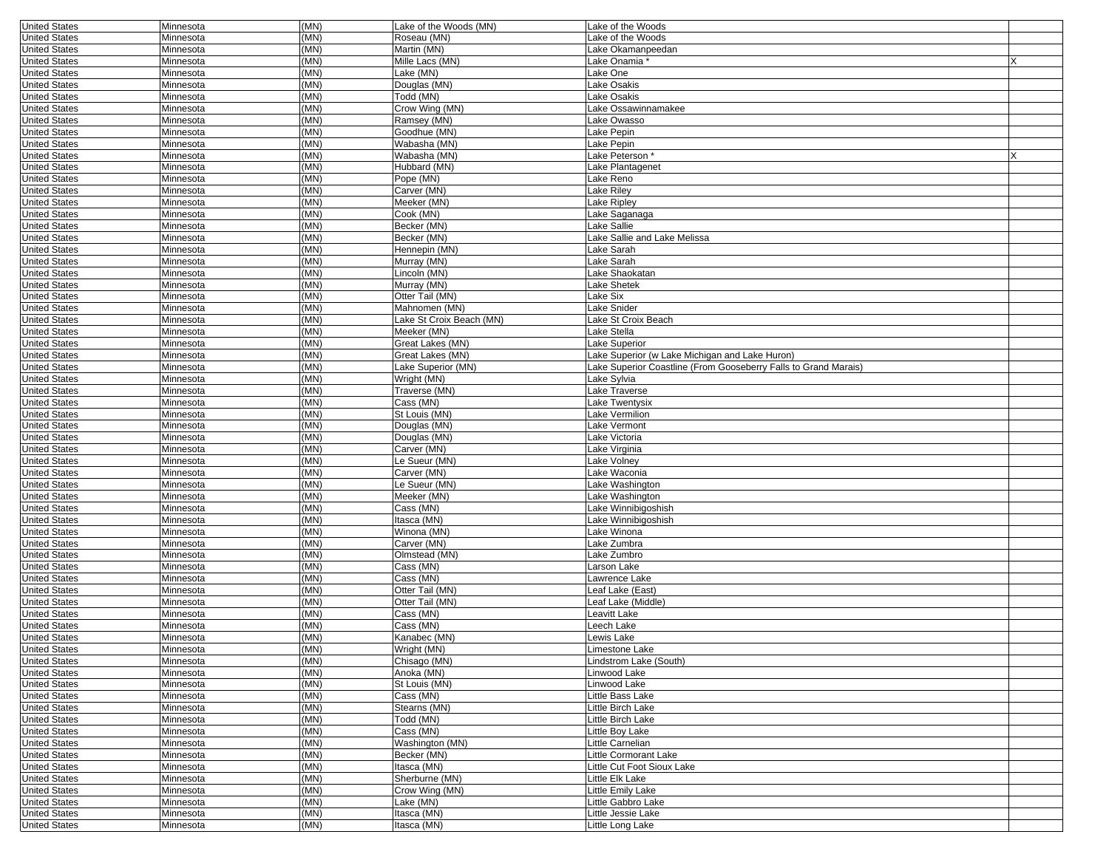| <b>United States</b> | Minnesota | (MN) | Lake of the Woods (MN)   | Lake of the Woods                                               |  |
|----------------------|-----------|------|--------------------------|-----------------------------------------------------------------|--|
| <b>United States</b> | Minnesota | (MN) | Roseau (MN)              | Lake of the Woods                                               |  |
| <b>United States</b> | Minnesota | (MN) | Martin (MN)              | Lake Okamanpeedan                                               |  |
| <b>United States</b> | Minnesota | (MN) | Mille Lacs (MN)          | Lake Onamia *                                                   |  |
| <b>United States</b> | Minnesota | (MN) | Lake (MN)                | Lake One                                                        |  |
| <b>United States</b> | Minnesota | (MN) | Douglas (MN)             | Lake Osakis                                                     |  |
| <b>United States</b> | Minnesota | (MN) | Todd (MN)                | Lake Osakis                                                     |  |
| <b>United States</b> | Minnesota | (MN) | Crow Wing (MN)           | Lake Ossawinnamakee                                             |  |
| <b>United States</b> | Minnesota | (MN) | Ramsey (MN)              | Lake Owasso                                                     |  |
| <b>United States</b> | Minnesota | (MN) | Goodhue (MN)             | Lake Pepin                                                      |  |
| <b>United States</b> | Minnesota | (MN) | Wabasha (MN)             | Lake Pepin                                                      |  |
| <b>United States</b> | Minnesota | (MN) | Wabasha (MN)             | Lake Peterson*                                                  |  |
| <b>United States</b> | Minnesota | (MN) | Hubbard (MN)             | Lake Plantagenet                                                |  |
| <b>United States</b> | Minnesota | (MN) | Pope (MN)                | Lake Reno                                                       |  |
| <b>United States</b> | Minnesota | (MN) | Carver (MN)              | Lake Riley                                                      |  |
| <b>United States</b> | Minnesota | (MN) | Meeker (MN)              | Lake Ripley                                                     |  |
| <b>United States</b> | Minnesota | (MN) | Cook (MN)                | Lake Saganaga                                                   |  |
| <b>United States</b> | Minnesota | (MN) | Becker (MN)              | Lake Sallie                                                     |  |
| <b>United States</b> | Minnesota | (MN) | Becker (MN)              | Lake Sallie and Lake Melissa                                    |  |
| <b>United States</b> | Minnesota | (MN) | Hennepin (MN)            | Lake Sarah                                                      |  |
| <b>United States</b> | Minnesota | (MN) | Murray (MN)              | Lake Sarah                                                      |  |
| <b>United States</b> | Minnesota | (MN) | Lincoln (MN)             | Lake Shaokatan                                                  |  |
| <b>United States</b> | Minnesota | (MN) | Murray (MN)              | Lake Shetek                                                     |  |
| <b>United States</b> | Minnesota | (MN) | Otter Tail (MN)          | Lake Six                                                        |  |
| <b>United States</b> |           | (MN) | Mahnomen (MN)            | Lake Snider                                                     |  |
|                      | Minnesota | (MN) | Lake St Croix Beach (MN) |                                                                 |  |
| <b>United States</b> | Minnesota |      |                          | Lake St Croix Beach                                             |  |
| <b>United States</b> | Minnesota | (MN) | Meeker (MN)              | Lake Stella                                                     |  |
| <b>United States</b> | Minnesota | (MN) | Great Lakes (MN)         | Lake Superior                                                   |  |
| <b>United States</b> | Minnesota | (MN) | Great Lakes (MN)         | Lake Superior (w Lake Michigan and Lake Huron)                  |  |
| <b>United States</b> | Minnesota | (MN) | Lake Superior (MN)       | Lake Superior Coastline (From Gooseberry Falls to Grand Marais) |  |
| <b>United States</b> | Minnesota | (MN) | Wright (MN)              | Lake Sylvia                                                     |  |
| <b>United States</b> | Minnesota | (MN) | Traverse (MN)            | Lake Traverse                                                   |  |
| <b>United States</b> | Minnesota | (MN) | Cass (MN)                | Lake Twentysix                                                  |  |
| <b>United States</b> | Minnesota | (MN) | St Louis (MN)            | Lake Vermilion                                                  |  |
| <b>United States</b> | Minnesota | (MN) | Douglas (MN)             | Lake Vermont                                                    |  |
| <b>United States</b> | Minnesota | (MN) | Douglas (MN)             | Lake Victoria                                                   |  |
| <b>United States</b> | Minnesota | (MN) | Carver (MN)              | Lake Virginia                                                   |  |
| <b>United States</b> | Minnesota | (MN) | Le Sueur (MN)            | Lake Volney                                                     |  |
| <b>United States</b> | Minnesota | (MN) | Carver (MN)              | Lake Waconia                                                    |  |
| <b>United States</b> | Minnesota | (MN) | Le Sueur (MN)            | Lake Washington                                                 |  |
| <b>United States</b> | Minnesota | (MN) | Meeker (MN)              | Lake Washington                                                 |  |
| <b>United States</b> | Minnesota | (MN) | Cass (MN)                | Lake Winnibigoshish                                             |  |
| <b>United States</b> | Minnesota | (MN) | Itasca (MN)              | Lake Winnibigoshish                                             |  |
| <b>United States</b> | Minnesota | (MN) | Winona (MN)              | Lake Winona                                                     |  |
| <b>United States</b> | Minnesota | (MN) | Carver (MN)              | Lake Zumbra                                                     |  |
| <b>United States</b> | Minnesota | (MN) | Olmstead (MN)            | Lake Zumbro                                                     |  |
| <b>United States</b> | Minnesota | (MN) | Cass (MN)                | Larson Lake                                                     |  |
| <b>United States</b> | Minnesota | (MN) | Cass (MN)                | Lawrence Lake                                                   |  |
| <b>United States</b> | Minnesota | (MN) | Otter Tail (MN)          | Leaf Lake (East)                                                |  |
| <b>United States</b> | Minnesota | (MN) | Otter Tail (MN)          | Leaf Lake (Middle)                                              |  |
| <b>United States</b> | Minnesota | (MN) | Cass (MN)                | Leavitt Lake                                                    |  |
| <b>United States</b> | Minnesota | (MN) | Cass (MN)                | Leech Lake                                                      |  |
| <b>United States</b> | Minnesota | (MN) | Kanabec (MN)             | Lewis Lake                                                      |  |
| United States        | Minnesota | (MN) | Wright (MN)              | Limestone Lake                                                  |  |
| <b>United States</b> | Minnesota | (MN) | Chisago (MN)             | Lindstrom Lake (South)                                          |  |
| <b>United States</b> | Minnesota | (MN) | Anoka (MN)               | Linwood Lake                                                    |  |
| <b>United States</b> | Minnesota | (MN) | St Louis (MN)            | Linwood Lake                                                    |  |
| <b>United States</b> | Minnesota | (MN) | Cass (MN)                | Little Bass Lake                                                |  |
| <b>United States</b> | Minnesota | (MN) | Stearns (MN)             | Little Birch Lake                                               |  |
| <b>United States</b> | Minnesota | (MN) | Todd (MN)                | Little Birch Lake                                               |  |
| <b>United States</b> | Minnesota | (MN) | Cass (MN)                | Little Boy Lake                                                 |  |
| <b>United States</b> | Minnesota | (MN) | Washington (MN)          | Little Carnelian                                                |  |
| <b>United States</b> | Minnesota | (MN) | Becker (MN)              | Little Cormorant Lake                                           |  |
| <b>United States</b> | Minnesota | (MN) | Itasca (MN)              | Little Cut Foot Sioux Lake                                      |  |
| <b>United States</b> | Minnesota | (MN) | Sherburne (MN)           | Little Elk Lake                                                 |  |
| <b>United States</b> | Minnesota | (MN) | Crow Wing (MN)           | Little Emily Lake                                               |  |
| <b>United States</b> | Minnesota | (MN) | Lake (MN)                | Little Gabbro Lake                                              |  |
| <b>United States</b> | Minnesota | (MN) | Itasca (MN)              | Little Jessie Lake                                              |  |
| <b>United States</b> | Minnesota | (MN) | Itasca (MN)              | Little Long Lake                                                |  |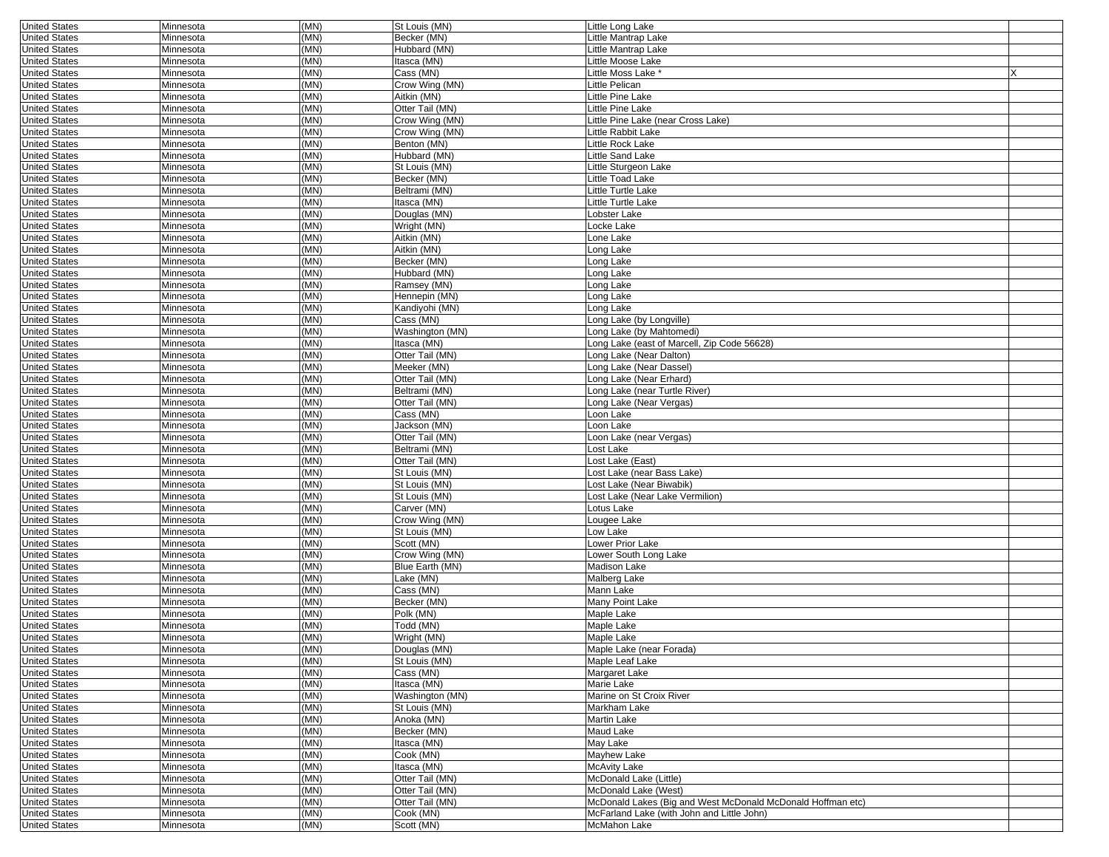| <b>United States</b> | Minnesota | (MN) | St Louis (MN)   | Little Long Lake                                            |  |
|----------------------|-----------|------|-----------------|-------------------------------------------------------------|--|
| <b>United States</b> | Minnesota | (MN) | Becker (MN)     | Little Mantrap Lake                                         |  |
| <b>United States</b> | Minnesota | (MN) | Hubbard (MN)    | Little Mantrap Lake                                         |  |
| <b>United States</b> | Minnesota | (MN) | Itasca (MN)     | Little Moose Lake                                           |  |
| <b>United States</b> | Minnesota | (MN) | Cass (MN)       | Little Moss Lake *                                          |  |
| <b>United States</b> | Minnesota | (MN) | Crow Wing (MN)  | Little Pelican                                              |  |
| <b>United States</b> | Minnesota | (MN) | Aitkin (MN)     | Little Pine Lake                                            |  |
| <b>United States</b> | Minnesota | (MN) | Otter Tail (MN) | Little Pine Lake                                            |  |
| <b>United States</b> | Minnesota | (MN) | Crow Wing (MN)  | Little Pine Lake (near Cross Lake)                          |  |
| <b>United States</b> | Minnesota | (MN) | Crow Wing (MN)  | Little Rabbit Lake                                          |  |
| <b>United States</b> | Minnesota | (MN) | Benton (MN)     | Little Rock Lake                                            |  |
| <b>United States</b> | Minnesota | (MN) | Hubbard (MN)    | Little Sand Lake                                            |  |
| <b>United States</b> | Minnesota | (MN) | St Louis (MN)   | Little Sturgeon Lake                                        |  |
| <b>United States</b> | Minnesota | (MN) | Becker (MN)     | Little Toad Lake                                            |  |
| <b>United States</b> | Minnesota | (MN) | Beltrami (MN)   | Little Turtle Lake                                          |  |
| <b>United States</b> | Minnesota | (MN) | Itasca (MN)     | Little Turtle Lake                                          |  |
| <b>United States</b> | Minnesota | (MN) | Douglas (MN)    | Lobster Lake                                                |  |
| <b>United States</b> | Minnesota | (MN) | Wright (MN)     | Locke Lake                                                  |  |
| <b>United States</b> | Minnesota | (MN) | Aitkin (MN)     | Lone Lake                                                   |  |
| <b>United States</b> | Minnesota | (MN) | Aitkin (MN)     | Long Lake                                                   |  |
| <b>United States</b> | Minnesota | (MN) | Becker (MN)     | Long Lake                                                   |  |
| <b>United States</b> | Minnesota | (MN) | Hubbard (MN)    | Long Lake                                                   |  |
| <b>United States</b> | Minnesota | (MN) | Ramsey (MN)     | Long Lake                                                   |  |
| <b>United States</b> | Minnesota | (MN) | Hennepin (MN)   | Long Lake                                                   |  |
| <b>United States</b> | Minnesota | (MN) | Kandiyohi (MN)  | Long Lake                                                   |  |
|                      |           | (MN) | Cass (MN)       |                                                             |  |
| <b>United States</b> | Minnesota |      |                 | Long Lake (by Longville)<br>Long Lake (by Mahtomedi)        |  |
| <b>United States</b> | Minnesota | (MN) | Washington (MN) |                                                             |  |
| <b>United States</b> | Minnesota | (MN) | Itasca (MN)     | Long Lake (east of Marcell, Zip Code 56628)                 |  |
| <b>United States</b> | Minnesota | (MN) | Otter Tail (MN) | Long Lake (Near Dalton)                                     |  |
| <b>United States</b> | Minnesota | (MN) | Meeker (MN)     | Long Lake (Near Dassel)                                     |  |
| <b>United States</b> | Minnesota | (MN) | Otter Tail (MN) | Long Lake (Near Erhard)                                     |  |
| <b>United States</b> | Minnesota | (MN) | Beltrami (MN)   | Long Lake (near Turtle River)                               |  |
| <b>United States</b> | Minnesota | (MN) | Otter Tail (MN) | Long Lake (Near Vergas)                                     |  |
| <b>United States</b> | Minnesota | (MN) | Cass (MN)       | Loon Lake                                                   |  |
| <b>United States</b> | Minnesota | (MN) | Jackson (MN)    | Loon Lake                                                   |  |
| <b>United States</b> | Minnesota | (MN) | Otter Tail (MN) | Loon Lake (near Vergas)                                     |  |
| <b>United States</b> | Minnesota | (MN) | Beltrami (MN)   | Lost Lake                                                   |  |
| <b>United States</b> | Minnesota | (MN) | Otter Tail (MN) | Lost Lake (East)                                            |  |
| <b>United States</b> | Minnesota | (MN) | St Louis (MN)   | Lost Lake (near Bass Lake)                                  |  |
| <b>United States</b> | Minnesota | (MN) | St Louis (MN)   | Lost Lake (Near Biwabik)                                    |  |
| <b>United States</b> | Minnesota | (MN) | St Louis (MN)   | Lost Lake (Near Lake Vermilion)                             |  |
| <b>United States</b> | Minnesota | (MN) | Carver (MN)     | Lotus Lake                                                  |  |
| <b>United States</b> | Minnesota | (MN) | Crow Wing (MN)  | Lougee Lake                                                 |  |
| <b>United States</b> | Minnesota | (MN) | St Louis (MN)   | Low Lake                                                    |  |
| <b>United States</b> | Minnesota | (MN) | Scott (MN)      | Lower Prior Lake                                            |  |
| <b>United States</b> | Minnesota | (MN) | Crow Wing (MN)  | Lower South Long Lake                                       |  |
| <b>United States</b> | Minnesota | (MN) | Blue Earth (MN) | Madison Lake                                                |  |
| <b>United States</b> | Minnesota | (MN) | Lake (MN)       | Malberg Lake                                                |  |
| <b>United States</b> | Minnesota | (MN) | Cass (MN)       | Mann Lake                                                   |  |
| <b>United States</b> | Minnesota | (MN) | Becker (MN)     | Many Point Lake                                             |  |
| <b>United States</b> | Minnesota | (MN) | Polk (MN)       | Maple Lake                                                  |  |
| <b>United States</b> | Minnesota | (MN) | Todd (MN)       | Maple Lake                                                  |  |
| <b>United States</b> | Minnesota | (MN) | Wright (MN)     | Maple Lake                                                  |  |
| United States        | Minnesota | (MN) | Douglas (MN)    | Maple Lake (near Forada)                                    |  |
| <b>United States</b> | Minnesota | (MN) | St Louis (MN)   | Maple Leaf Lake                                             |  |
| <b>United States</b> | Minnesota | (MN) | Cass (MN)       | Margaret Lake                                               |  |
| <b>United States</b> | Minnesota | (MN) | Itasca (MN)     | Marie Lake                                                  |  |
| <b>United States</b> | Minnesota | (MN) | Washington (MN) | Marine on St Croix River                                    |  |
| <b>United States</b> | Minnesota | (MN) | St Louis (MN)   | Markham Lake                                                |  |
| <b>United States</b> | Minnesota | (MN) | Anoka (MN)      | <b>Martin Lake</b>                                          |  |
| <b>United States</b> | Minnesota | (MN) | Becker (MN)     | <b>Maud Lake</b>                                            |  |
| <b>United States</b> | Minnesota | (MN) | Itasca (MN)     | May Lake                                                    |  |
| <b>United States</b> | Minnesota | (MN) | Cook (MN)       | Mayhew Lake                                                 |  |
| <b>United States</b> | Minnesota | (MN) | Itasca (MN)     | <b>McAvity Lake</b>                                         |  |
| <b>United States</b> | Minnesota | (MN) | Otter Tail (MN) | McDonald Lake (Little)                                      |  |
| <b>United States</b> | Minnesota | (MN) | Otter Tail (MN) | McDonald Lake (West)                                        |  |
| <b>United States</b> | Minnesota | (MN) | Otter Tail (MN) | McDonald Lakes (Big and West McDonald McDonald Hoffman etc) |  |
| <b>United States</b> | Minnesota | (MN) | Cook (MN)       | McFarland Lake (with John and Little John)                  |  |
| <b>United States</b> | Minnesota | (MN) | Scott (MN)      | <b>McMahon Lake</b>                                         |  |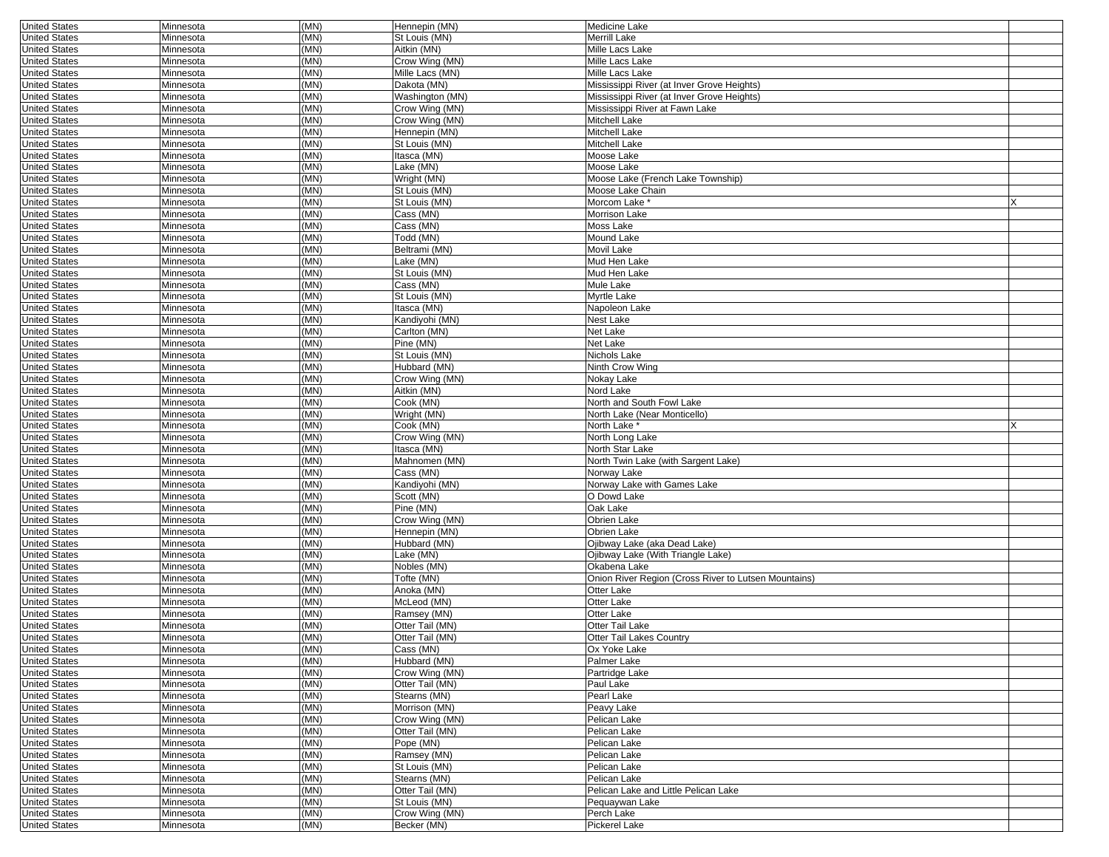| <b>United States</b> | Minnesota | (MN) | Hennepin (MN)   | Medicine Lake                                        |  |
|----------------------|-----------|------|-----------------|------------------------------------------------------|--|
| <b>United States</b> | Minnesota | (MN) | St Louis (MN)   | Merrill Lake                                         |  |
| <b>United States</b> | Minnesota | (MN) | Aitkin (MN)     | Mille Lacs Lake                                      |  |
| <b>United States</b> | Minnesota | (MN) | Crow Wing (MN)  | Mille Lacs Lake                                      |  |
| <b>United States</b> | Minnesota | (MN) | Mille Lacs (MN) | Mille Lacs Lake                                      |  |
| <b>United States</b> | Minnesota | (MN) | Dakota (MN)     | Mississippi River (at Inver Grove Heights)           |  |
| <b>United States</b> | Minnesota | (MN) | Washington (MN) | Mississippi River (at Inver Grove Heights)           |  |
| <b>United States</b> | Minnesota | (MN) | Crow Wing (MN)  | Mississippi River at Fawn Lake                       |  |
|                      |           |      |                 |                                                      |  |
| <b>United States</b> | Minnesota | (MN) | Crow Wing (MN)  | Mitchell Lake                                        |  |
| <b>United States</b> | Minnesota | (MN) | Hennepin (MN)   | Mitchell Lake                                        |  |
| <b>United States</b> | Minnesota | (MN) | St Louis (MN)   | Mitchell Lake                                        |  |
| <b>United States</b> | Minnesota | (MN) | Itasca (MN)     | Moose Lake                                           |  |
| <b>United States</b> | Minnesota | (MN) | Lake (MN)       | Moose Lake                                           |  |
| <b>United States</b> | Minnesota | (MN) | Wright (MN)     | Moose Lake (French Lake Township)                    |  |
| <b>United States</b> | Minnesota | (MN) | St Louis (MN)   | Moose Lake Chain                                     |  |
| <b>United States</b> | Minnesota | (MN) | St Louis (MN)   | Morcom Lake *                                        |  |
| <b>United States</b> | Minnesota | (MN) | Cass (MN)       | Morrison Lake                                        |  |
| <b>United States</b> | Minnesota | (MN) | Cass (MN)       | Moss Lake                                            |  |
| <b>United States</b> | Minnesota | (MN) | Todd (MN)       | Mound Lake                                           |  |
|                      |           |      |                 |                                                      |  |
| <b>United States</b> | Minnesota | (MN) | Beltrami (MN)   | Movil Lake                                           |  |
| <b>United States</b> | Minnesota | (MN) | Lake (MN)       | Mud Hen Lake                                         |  |
| <b>United States</b> | Minnesota | (MN) | St Louis (MN)   | Mud Hen Lake                                         |  |
| <b>United States</b> | Minnesota | (MN) | Cass (MN)       | Mule Lake                                            |  |
| <b>United States</b> | Minnesota | (MN) | St Louis (MN)   | Myrtle Lake                                          |  |
| <b>United States</b> | Minnesota | (MN) | Itasca (MN)     | Napoleon Lake                                        |  |
| <b>United States</b> | Minnesota | (MN) | Kandiyohi (MN)  | Nest Lake                                            |  |
| <b>United States</b> | Minnesota | (MN) | Carlton (MN)    | Net Lake                                             |  |
| <b>United States</b> | Minnesota | (MN) | Pine (MN)       | Net Lake                                             |  |
| <b>United States</b> | Minnesota | (MN) | St Louis (MN)   | Nichols Lake                                         |  |
| <b>United States</b> | Minnesota | (MN) | Hubbard (MN)    | Ninth Crow Wing                                      |  |
|                      |           | (MN) | Crow Wing (MN)  | Nokay Lake                                           |  |
| <b>United States</b> | Minnesota |      |                 |                                                      |  |
| <b>United States</b> | Minnesota | (MN) | Aitkin (MN)     | Nord Lake                                            |  |
| <b>United States</b> | Minnesota | (MN) | Cook (MN)       | North and South Fowl Lake                            |  |
| <b>United States</b> | Minnesota | (MN) | Wright (MN)     | North Lake (Near Monticello)                         |  |
| <b>United States</b> | Minnesota | (MN) | Cook (MN)       | North Lake <sup>*</sup>                              |  |
| <b>United States</b> | Minnesota | (MN) | Crow Wing (MN)  | North Long Lake                                      |  |
| <b>United States</b> | Minnesota | (MN) | Itasca (MN)     | North Star Lake                                      |  |
| <b>United States</b> | Minnesota | (MN) | Mahnomen (MN)   | North Twin Lake (with Sargent Lake)                  |  |
| <b>United States</b> | Minnesota | (MN) | Cass (MN)       | Norway Lake                                          |  |
| <b>United States</b> | Minnesota | (MN) | Kandiyohi (MN)  | Norway Lake with Games Lake                          |  |
| <b>United States</b> | Minnesota | (MN) | Scott (MN)      | O Dowd Lake                                          |  |
| <b>United States</b> |           | (MN) | Pine (MN)       | Oak Lake                                             |  |
|                      | Minnesota |      |                 |                                                      |  |
| <b>United States</b> | Minnesota | (MN) | Crow Wing (MN)  | Obrien Lake                                          |  |
| <b>United States</b> | Minnesota | (MN) | Hennepin (MN)   | Obrien Lake                                          |  |
| <b>United States</b> | Minnesota | (MN) | Hubbard (MN)    | Ojibway Lake (aka Dead Lake)                         |  |
| <b>United States</b> | Minnesota | (MN) | Lake (MN)       | Ojibway Lake (With Triangle Lake)                    |  |
| <b>United States</b> | Minnesota | (MN) | Nobles (MN)     | Okabena Lake                                         |  |
| <b>United States</b> | Minnesota | (MN) | Tofte (MN)      | Onion River Region (Cross River to Lutsen Mountains) |  |
| <b>United States</b> | Minnesota | (MN) | Anoka (MN)      | Otter Lake                                           |  |
| <b>United States</b> | Minnesota | (MN) | McLeod (MN)     | Otter Lake                                           |  |
| <b>United States</b> | Minnesota | (MN) | Ramsey (MN)     | Otter Lake                                           |  |
| <b>United States</b> | Minnesota | (MN) | Otter Tail (MN) | Otter Tail Lake                                      |  |
| <b>United States</b> | Minnesota | (MN) | Otter Tail (MN) | Otter Tail Lakes Country                             |  |
|                      |           |      |                 |                                                      |  |
| United States        | Minnesota | (MN) | Cass (MN)       | Ox Yoke Lake                                         |  |
| <b>United States</b> | Minnesota | (MN) | Hubbard (MN)    | Palmer Lake                                          |  |
| <b>United States</b> | Minnesota | (MN) | Crow Wing (MN)  | Partridge Lake                                       |  |
| <b>United States</b> | Minnesota | (MN) | Otter Tail (MN) | Paul Lake                                            |  |
| <b>United States</b> | Minnesota | (MN) | Stearns (MN)    | Pearl Lake                                           |  |
| <b>United States</b> | Minnesota | (MN) | Morrison (MN)   | Peavy Lake                                           |  |
| <b>United States</b> | Minnesota | (MN) | Crow Wing (MN)  | Pelican Lake                                         |  |
| <b>United States</b> | Minnesota | (MN) | Otter Tail (MN) | Pelican Lake                                         |  |
| <b>United States</b> | Minnesota | (MN) | Pope (MN)       | Pelican Lake                                         |  |
| <b>United States</b> | Minnesota | (MN) | Ramsey (MN)     | Pelican Lake                                         |  |
| <b>United States</b> | Minnesota | (MN) | St Louis (MN)   | Pelican Lake                                         |  |
| <b>United States</b> | Minnesota | (MN) | Stearns (MN)    | Pelican Lake                                         |  |
|                      |           |      |                 | Pelican Lake and Little Pelican Lake                 |  |
| <b>United States</b> | Minnesota | (MN) | Otter Tail (MN) |                                                      |  |
| <b>United States</b> | Minnesota | (MN) | St Louis (MN)   | Pequaywan Lake                                       |  |
| <b>United States</b> | Minnesota | (MN) | Crow Wing (MN)  | Perch Lake                                           |  |
| <b>United States</b> | Minnesota | (MN) | Becker (MN)     | Pickerel Lake                                        |  |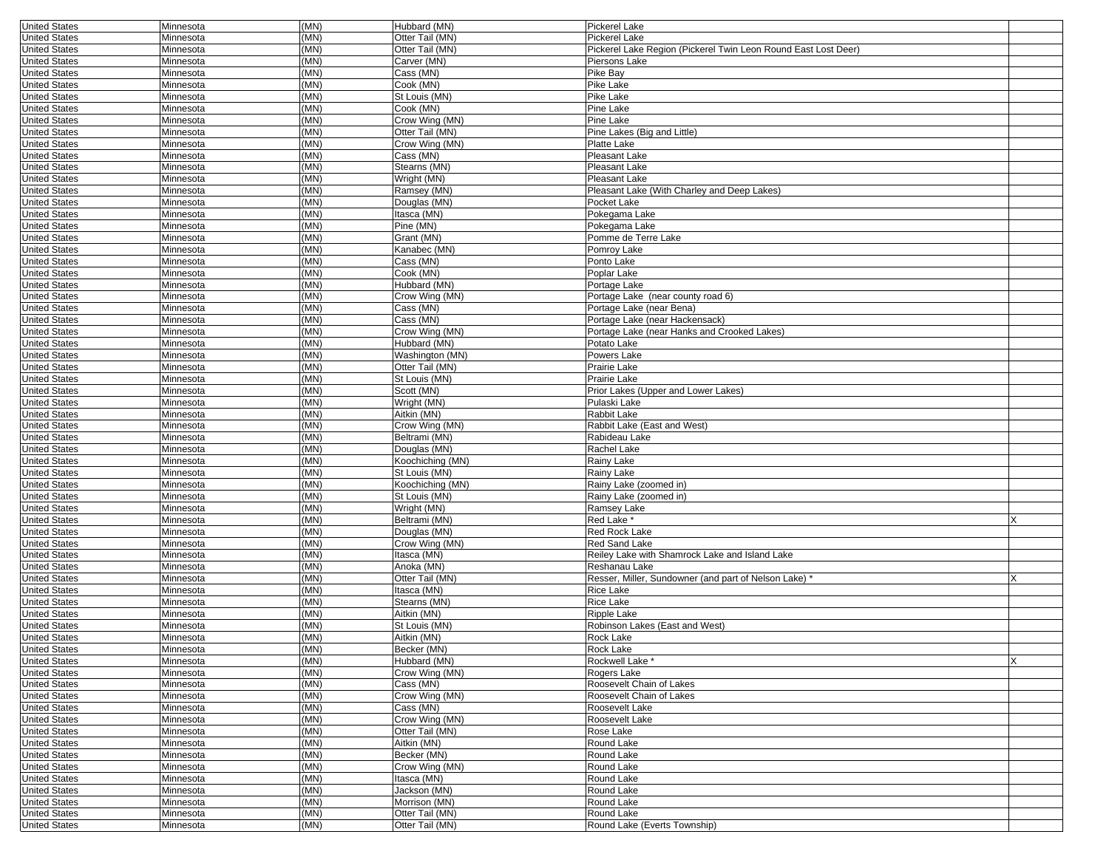| <b>United States</b>                         | Minnesota              | (MN) | Hubbard (MN)                | Pickerel Lake                                                      |   |
|----------------------------------------------|------------------------|------|-----------------------------|--------------------------------------------------------------------|---|
| <b>United States</b>                         | Minnesota              | (MN) | Otter Tail (MN)             | Pickerel Lake                                                      |   |
| <b>United States</b>                         | Minnesota              | (MN) | Otter Tail (MN)             | Pickerel Lake Region (Pickerel Twin Leon Round East Lost Deer)     |   |
| <b>United States</b>                         | Minnesota              | (MN) | Carver (MN)                 | Piersons Lake                                                      |   |
| <b>United States</b>                         | Minnesota              | (MN) | Cass (MN)                   | Pike Bay                                                           |   |
| <b>United States</b>                         | Minnesota              | (MN) | Cook (MN)                   | Pike Lake                                                          |   |
| <b>United States</b>                         | Minnesota              | (MN) | St Louis (MN)               | Pike Lake                                                          |   |
| <b>United States</b>                         | Minnesota              | (MN) | Cook (MN)                   | Pine Lake                                                          |   |
| <b>United States</b>                         | Minnesota              | (MN) | Crow Wing (MN)              | Pine Lake                                                          |   |
| <b>United States</b>                         | Minnesota              | (MN) | Otter Tail (MN)             | Pine Lakes (Big and Little)                                        |   |
| <b>United States</b>                         | Minnesota              | (MN) | Crow Wing (MN)              | Platte Lake                                                        |   |
| <b>United States</b>                         | Minnesota              | (MN) | Cass (MN)                   | Pleasant Lake                                                      |   |
| <b>United States</b>                         | Minnesota              | (MN) | Stearns (MN)                | Pleasant Lake                                                      |   |
| <b>United States</b>                         | Minnesota              | (MN) | Wright (MN)                 | Pleasant Lake                                                      |   |
| <b>United States</b>                         | Minnesota              | (MN) | Ramsey (MN)                 | Pleasant Lake (With Charley and Deep Lakes)                        |   |
| <b>United States</b>                         | Minnesota              | (MN) | Douglas (MN)                | Pocket Lake                                                        |   |
| <b>United States</b>                         | Minnesota              | (MN) | Itasca (MN)                 | Pokegama Lake                                                      |   |
| <b>United States</b>                         | Minnesota              | (MN) | Pine (MN)                   | Pokegama Lake                                                      |   |
| <b>United States</b>                         | Minnesota              | (MN) | Grant (MN)                  | Pomme de Terre Lake                                                |   |
| <b>United States</b>                         | Minnesota              | (MN) | Kanabec (MN)                | Pomroy Lake                                                        |   |
| <b>United States</b>                         | Minnesota              | (MN) | Cass (MN)                   | Ponto Lake                                                         |   |
| <b>United States</b>                         | Minnesota              | (MN) | Cook (MN)                   | Poplar Lake                                                        |   |
| <b>United States</b>                         | Minnesota              | (MN) | Hubbard (MN)                | Portage Lake                                                       |   |
| <b>United States</b>                         | Minnesota              | (MN) | Crow Wing (MN)              | Portage Lake (near county road 6)                                  |   |
| <b>United States</b>                         | Minnesota              | (MN) | Cass (MN)                   | Portage Lake (near Bena)                                           |   |
| <b>United States</b>                         | Minnesota              | (MN) | Cass (MN)                   | Portage Lake (near Hackensack)                                     |   |
| <b>United States</b>                         | Minnesota              | (MN) | Crow Wing (MN)              | Portage Lake (near Hanks and Crooked Lakes)                        |   |
| <b>United States</b>                         | Minnesota              | (MN) | Hubbard (MN)                | Potato Lake                                                        |   |
| <b>United States</b>                         | Minnesota              | (MN) | Washington (MN)             | Powers Lake                                                        |   |
| <b>United States</b>                         | Minnesota              | (MN) | Otter Tail (MN)             | Prairie Lake                                                       |   |
| <b>United States</b>                         | Minnesota              | (MN) | St Louis (MN)               | Prairie Lake                                                       |   |
| <b>United States</b>                         | Minnesota              | (MN) | Scott (MN)                  | Prior Lakes (Upper and Lower Lakes)                                |   |
| <b>United States</b>                         | Minnesota              | (MN) | Wright (MN)                 | Pulaski Lake                                                       |   |
| <b>United States</b>                         | Minnesota              | (MN) | Aitkin (MN)                 | Rabbit Lake                                                        |   |
| <b>United States</b>                         | Minnesota              | (MN) | Crow Wing (MN)              | Rabbit Lake (East and West)                                        |   |
| <b>United States</b>                         | Minnesota              | (MN) | Beltrami (MN)               | Rabideau Lake                                                      |   |
| <b>United States</b>                         | Minnesota              | (MN) | Douglas (MN)                | Rachel Lake                                                        |   |
| <b>United States</b>                         | Minnesota              | (MN) | Koochiching (MN)            | Rainy Lake                                                         |   |
| <b>United States</b>                         | Minnesota              | (MN) | St Louis (MN)               | Rainy Lake                                                         |   |
| <b>United States</b>                         | Minnesota              | (MN) | Koochiching (MN)            | Rainy Lake (zoomed in)                                             |   |
| <b>United States</b>                         | Minnesota              | (MN) | St Louis (MN)               | Rainy Lake (zoomed in)                                             |   |
| <b>United States</b>                         | Minnesota              | (MN) | Wright (MN)                 | Ramsey Lake                                                        |   |
| <b>United States</b>                         | Minnesota              | (MN) | Beltrami (MN)               | Red Lake *                                                         |   |
| <b>United States</b>                         |                        | (MN) | Douglas (MN)                | <b>Red Rock Lake</b>                                               |   |
| <b>United States</b>                         | Minnesota<br>Minnesota | (MN) | Crow Wing (MN)              | Red Sand Lake                                                      |   |
| <b>United States</b>                         | Minnesota              | (MN) | Itasca (MN)                 | Reiley Lake with Shamrock Lake and Island Lake                     |   |
|                                              |                        | (MN) | Anoka (MN)                  |                                                                    |   |
| <b>United States</b><br><b>United States</b> | Minnesota              | (MN) |                             | Reshanau Lake                                                      |   |
|                                              | Minnesota              |      | Otter Tail (MN)             | Resser, Miller, Sundowner (and part of Nelson Lake) *<br>Rice Lake |   |
| <b>United States</b>                         | Minnesota              | (MN) | Itasca (MN)                 |                                                                    |   |
| <b>United States</b>                         | Minnesota              | (MN) | Stearns (MN)<br>Aitkin (MN) | Rice Lake                                                          |   |
| <b>United States</b>                         | Minnesota              | (MN) |                             | Ripple Lake                                                        |   |
| <b>United States</b>                         | Minnesota              | (MN) | St Louis (MN)               | Robinson Lakes (East and West)                                     |   |
| <b>United States</b>                         | Minnesota              | (MN) | Aitkin (MN)                 | Rock Lake                                                          |   |
| United States                                | Minnesota              | (MN) | Becker (MN)                 | Rock Lake                                                          |   |
| <b>United States</b>                         | Minnesota              | (MN) | Hubbard (MN)                | Rockwell Lake *                                                    | X |
| <b>United States</b>                         | Minnesota              | (MN) | Crow Wing (MN)              | Rogers Lake                                                        |   |
| <b>United States</b>                         | Minnesota              | (MN) | $\overline{C}$ ass (MN)     | Roosevelt Chain of Lakes                                           |   |
| <b>United States</b>                         | Minnesota              | (MN) | Crow Wing (MN)              | Roosevelt Chain of Lakes                                           |   |
| <b>United States</b>                         | Minnesota              | (MN) | Cass (MN)                   | Roosevelt Lake                                                     |   |
| <b>United States</b>                         | Minnesota              | (MN) | Crow Wing (MN)              | Roosevelt Lake                                                     |   |
| <b>United States</b>                         | Minnesota              | (MN) | Otter Tail (MN)             | Rose Lake                                                          |   |
| <b>United States</b>                         | Minnesota              | (MN) | Aitkin (MN)                 | Round Lake                                                         |   |
| <b>United States</b>                         | Minnesota              | (MN) | Becker (MN)                 | Round Lake                                                         |   |
| <b>United States</b>                         | Minnesota              | (MN) | Crow Wing (MN)              | Round Lake                                                         |   |
| <b>United States</b>                         | Minnesota              | (MN) | Itasca (MN)                 | Round Lake                                                         |   |
| <b>United States</b>                         | Minnesota              | (MN) | Jackson (MN)                | Round Lake                                                         |   |
| <b>United States</b>                         | Minnesota              | (MN) | Morrison (MN)               | Round Lake                                                         |   |
| <b>United States</b>                         | Minnesota              | (MN) | Otter Tail (MN)             | Round Lake                                                         |   |
| <b>United States</b>                         | Minnesota              | (MN) | Otter Tail (MN)             | Round Lake (Everts Township)                                       |   |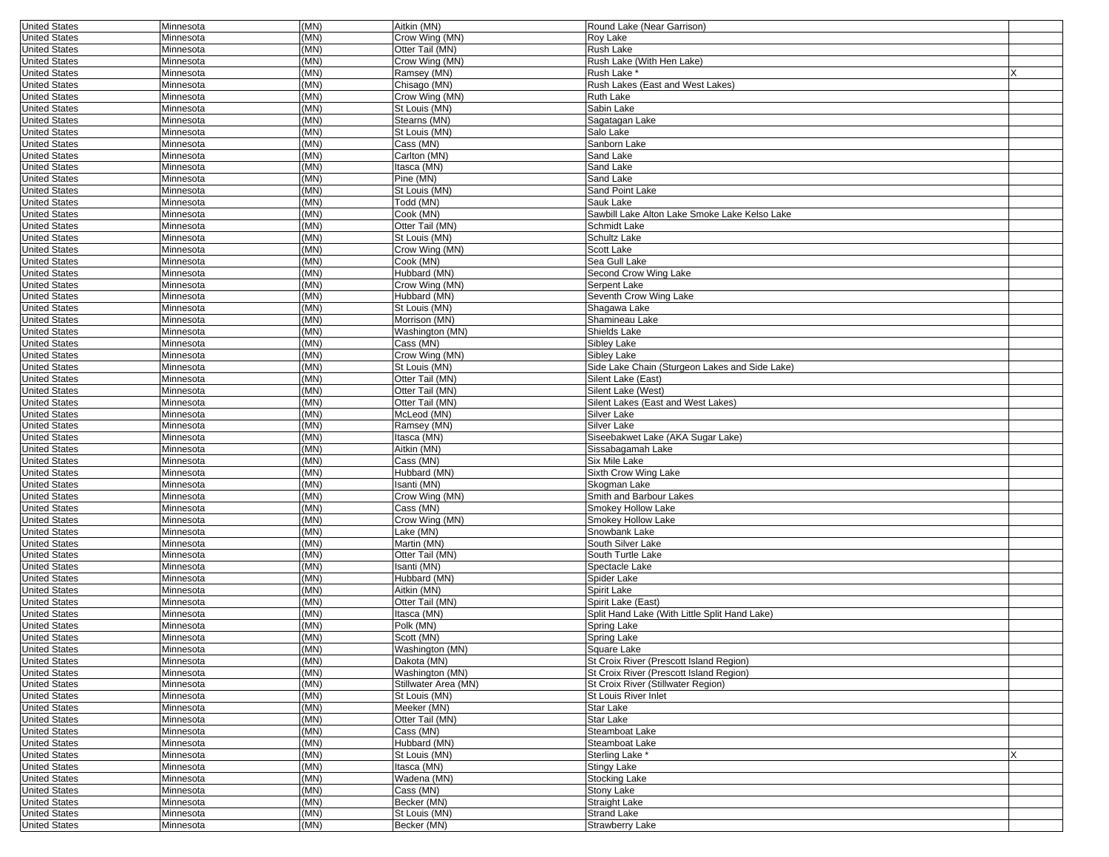| <b>United States</b>                         | Minnesota              | (MN)         | Aitkin (MN)                    | Round Lake (Near Garrison)                             |   |
|----------------------------------------------|------------------------|--------------|--------------------------------|--------------------------------------------------------|---|
| <b>United States</b>                         | Minnesota              | (MN)         | Crow Wing (MN)                 | Roy Lake                                               |   |
| <b>United States</b>                         | Minnesota              | (MN)         | Otter Tail (MN)                | Rush Lake                                              |   |
| <b>United States</b>                         | Minnesota              | (MN)         | Crow Wing (MN)                 | Rush Lake (With Hen Lake)                              |   |
| <b>United States</b>                         | Minnesota              | (MN)         | Ramsey (MN)                    | Rush Lake <sup>*</sup>                                 |   |
| <b>United States</b>                         | Minnesota              | (MN)         | Chisago (MN)                   | Rush Lakes (East and West Lakes)                       |   |
| <b>United States</b>                         | Minnesota              | (MN)         | Crow Wing (MN)                 | Ruth Lake                                              |   |
| <b>United States</b>                         | Minnesota              | (MN)         | St Louis (MN)                  | Sabin Lake                                             |   |
| <b>United States</b>                         | Minnesota              | (MN)         | Stearns (MN)                   | Sagatagan Lake                                         |   |
| <b>United States</b>                         | Minnesota              | (MN)         | St Louis (MN)                  | Salo Lake                                              |   |
| <b>United States</b>                         | Minnesota              | (MN)         | Cass (MN)                      | Sanborn Lake                                           |   |
| <b>United States</b>                         | Minnesota              | (MN)         | Carlton (MN)                   | Sand Lake                                              |   |
| <b>United States</b>                         | Minnesota              | (MN)         | Itasca (MN)                    | Sand Lake                                              |   |
| <b>United States</b>                         | Minnesota              | (MN)         | Pine (MN)                      | Sand Lake                                              |   |
| <b>United States</b>                         | Minnesota              | (MN)         | St Louis (MN)                  | Sand Point Lake                                        |   |
| <b>United States</b>                         | Minnesota              | (MN)         | Todd (MN)                      | Sauk Lake                                              |   |
| <b>United States</b>                         | Minnesota              | (MN)         | Cook (MN)                      | Sawbill Lake Alton Lake Smoke Lake Kelso Lake          |   |
| <b>United States</b>                         | Minnesota              | (MN)         | Otter Tail (MN)                | Schmidt Lake                                           |   |
| <b>United States</b>                         | Minnesota              | (MN)         | St Louis (MN)                  | Schultz Lake                                           |   |
| <b>United States</b>                         | Minnesota              | (MN)         | Crow Wing (MN)                 | Scott Lake                                             |   |
| <b>United States</b>                         | Minnesota              | (MN)         | Cook (MN)                      | Sea Gull Lake                                          |   |
| <b>United States</b>                         | Minnesota              | (MN)<br>(MN) | Hubbard (MN)                   | Second Crow Wing Lake                                  |   |
| <b>United States</b>                         | Minnesota              | (MN)         | Crow Wing (MN)                 | Serpent Lake<br>Seventh Crow Wing Lake                 |   |
| <b>United States</b><br><b>United States</b> | Minnesota<br>Minnesota | (MN)         | Hubbard (MN)<br>St Louis (MN)  | Shagawa Lake                                           |   |
| <b>United States</b>                         | Minnesota              | (MN)         | Morrison (MN)                  | Shamineau Lake                                         |   |
| <b>United States</b>                         | Minnesota              | (MN)         | Washington (MN)                | Shields Lake                                           |   |
| <b>United States</b>                         | Minnesota              | (MN)         | Cass (MN)                      | Sibley Lake                                            |   |
| <b>United States</b>                         | Minnesota              | (MN)         | Crow Wing (MN)                 | Sibley Lake                                            |   |
| <b>United States</b>                         | Minnesota              | (MN)         | St Louis (MN)                  | Side Lake Chain (Sturgeon Lakes and Side Lake)         |   |
| <b>United States</b>                         | Minnesota              | (MN)         | Otter Tail (MN)                | Silent Lake (East)                                     |   |
| <b>United States</b>                         | Minnesota              | (MN)         | Otter Tail (MN)                | Silent Lake (West)                                     |   |
| <b>United States</b>                         | Minnesota              | (MN)         | Otter Tail (MN)                | Silent Lakes (East and West Lakes)                     |   |
| <b>United States</b>                         | Minnesota              | (MN)         | McLeod (MN)                    | Silver Lake                                            |   |
| <b>United States</b>                         | Minnesota              | (MN)         | Ramsey (MN)                    | Silver Lake                                            |   |
| <b>United States</b>                         | Minnesota              | (MN)         | Itasca (MN)                    | Siseebakwet Lake (AKA Sugar Lake)                      |   |
| <b>United States</b>                         | Minnesota              | (MN)         | Aitkin (MN)                    | Sissabagamah Lake                                      |   |
| <b>United States</b>                         | Minnesota              | (MN)         | Cass (MN)                      | Six Mile Lake                                          |   |
| <b>United States</b>                         | Minnesota              | (MN)         | Hubbard (MN)                   | Sixth Crow Wing Lake                                   |   |
| <b>United States</b>                         | Minnesota              | (MN)         | Isanti (MN)                    | Skogman Lake                                           |   |
| <b>United States</b>                         | Minnesota              | (MN)         | Crow Wing (MN)                 | Smith and Barbour Lakes                                |   |
| <b>United States</b>                         | Minnesota              | (MN)         | Cass (MN)                      | Smokey Hollow Lake                                     |   |
| <b>United States</b>                         | Minnesota              | (MN)         | Crow Wing (MN)                 | Smokey Hollow Lake                                     |   |
| <b>United States</b>                         | Minnesota              | (MN)         | Lake (MN)                      | Snowbank Lake                                          |   |
| <b>United States</b>                         | Minnesota              | (MN)         | Martin (MN)                    | South Silver Lake                                      |   |
| <b>United States</b>                         | Minnesota              | (MN)         | Otter Tail (MN)                | South Turtle Lake                                      |   |
| <b>United States</b>                         | Minnesota              | (MN)         | Isanti (MN)                    | Spectacle Lake                                         |   |
| <b>United States</b>                         | Minnesota              | (MN)         | Hubbard (MN)                   | Spider Lake                                            |   |
| <b>United States</b>                         | Minnesota              | (MN)         | Aitkin (MN)                    | Spirit Lake                                            |   |
| <b>United States</b>                         | Minnesota              | (MN)         | Otter Tail (MN)                | Spirit Lake (East)                                     |   |
| <b>United States</b>                         | Minnesota              | (MN)         | Itasca (MN)                    | Split Hand Lake (With Little Split Hand Lake)          |   |
| <b>United States</b>                         | Minnesota<br>Minnesota | (MN)<br>(MN) | Polk (MN)<br>Scott (MN)        | Spring Lake                                            |   |
| <b>United States</b>                         |                        | (MN)         |                                | Spring Lake                                            |   |
| <b>United States</b><br><b>United States</b> | Minnesota<br>Minnesota | (MN)         | Washington (MN)<br>Dakota (MN) | Square Lake<br>St Croix River (Prescott Island Region) |   |
| <b>United States</b>                         | Minnesota              | (MN)         | Washington (MN)                | St Croix River (Prescott Island Region)                |   |
| <b>United States</b>                         | Minnesota              | (MN)         | Stillwater Area (MN)           | St Croix River (Stillwater Region)                     |   |
| <b>United States</b>                         | Minnesota              | (MN)         | St Louis (MN)                  | St Louis River Inlet                                   |   |
| <b>United States</b>                         | Minnesota              | (MN)         | Meeker (MN)                    | Star Lake                                              |   |
| <b>United States</b>                         | Minnesota              | (MN)         | Otter Tail (MN)                | Star Lake                                              |   |
| <b>United States</b>                         | Minnesota              | (MN)         | Cass (MN)                      | Steamboat Lake                                         |   |
| <b>United States</b>                         | Minnesota              | (MN)         | Hubbard (MN)                   | Steamboat Lake                                         |   |
| <b>United States</b>                         | Minnesota              | (MN)         | St Louis (MN)                  | Sterling Lake *                                        | X |
| <b>United States</b>                         | Minnesota              | (MN)         | Itasca (MN)                    | <b>Stingy Lake</b>                                     |   |
| <b>United States</b>                         | Minnesota              | (MN)         | Wadena (MN)                    | <b>Stocking Lake</b>                                   |   |
| <b>United States</b>                         | Minnesota              | (MN)         | Cass (MN)                      | Stony Lake                                             |   |
| <b>United States</b>                         | Minnesota              | (MN)         | Becker (MN)                    | Straight Lake                                          |   |
| <b>United States</b>                         | Minnesota              | (MN)         | St Louis (MN)                  | <b>Strand Lake</b>                                     |   |
| <b>United States</b>                         | Minnesota              | (MN)         | Becker (MN)                    | <b>Strawberry Lake</b>                                 |   |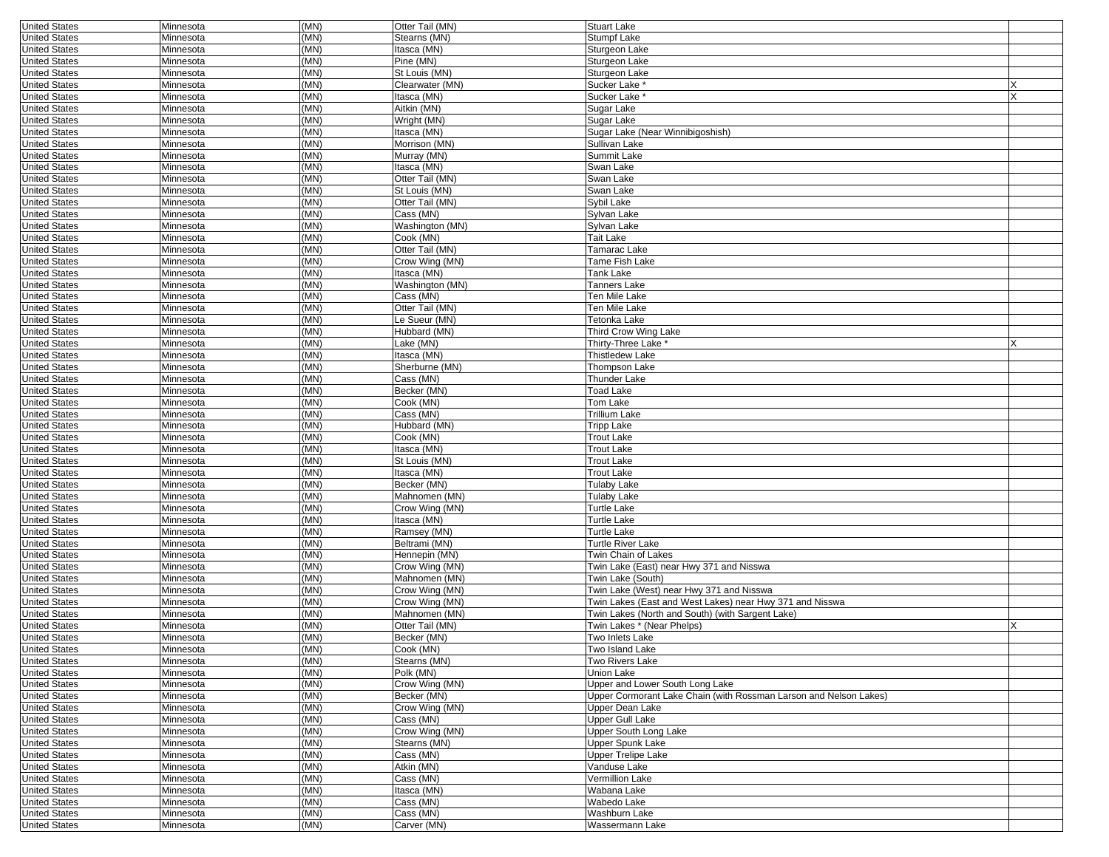| <b>United States</b> | Minnesota | (MN) | Otter Tail (MN) | <b>Stuart Lake</b>                                                |  |
|----------------------|-----------|------|-----------------|-------------------------------------------------------------------|--|
| <b>United States</b> | Minnesota | (MN) | Stearns (MN)    | Stumpf Lake                                                       |  |
| <b>United States</b> | Minnesota | (MN) | Itasca (MN)     | Sturgeon Lake                                                     |  |
| <b>United States</b> | Minnesota | (MN) | Pine (MN)       | Sturgeon Lake                                                     |  |
| <b>United States</b> | Minnesota | (MN) | St Louis (MN)   | Sturgeon Lake                                                     |  |
| <b>United States</b> | Minnesota | (MN) | Clearwater (MN) | Sucker Lake *                                                     |  |
| <b>United States</b> | Minnesota | (MN) | Itasca (MN)     | Sucker Lake <sup>*</sup>                                          |  |
| <b>United States</b> | Minnesota | (MN) | Aitkin (MN)     | Sugar Lake                                                        |  |
|                      |           |      |                 |                                                                   |  |
| <b>United States</b> | Minnesota | (MN) | Wright (MN)     | Sugar Lake                                                        |  |
| <b>United States</b> | Minnesota | (MN) | Itasca (MN)     | Sugar Lake (Near Winnibigoshish)                                  |  |
| <b>United States</b> | Minnesota | (MN) | Morrison (MN)   | Sullivan Lake                                                     |  |
| <b>United States</b> | Minnesota | (MN) | Murray (MN)     | Summit Lake                                                       |  |
| <b>United States</b> | Minnesota | (MN) | Itasca (MN)     | Swan Lake                                                         |  |
| <b>United States</b> | Minnesota | (MN) | Otter Tail (MN) | Swan Lake                                                         |  |
| <b>United States</b> | Minnesota | (MN) | St Louis (MN)   | Swan Lake                                                         |  |
| <b>United States</b> | Minnesota | (MN) | Otter Tail (MN) | Svbil Lake                                                        |  |
| <b>United States</b> | Minnesota | (MN) | Cass (MN)       | Sylvan Lake                                                       |  |
| <b>United States</b> | Minnesota | (MN) | Washington (MN) | Sylvan Lake                                                       |  |
| <b>United States</b> | Minnesota | (MN) | Cook (MN)       | Tait Lake                                                         |  |
| <b>United States</b> | Minnesota | (MN) | Otter Tail (MN) | Tamarac Lake                                                      |  |
|                      |           |      |                 |                                                                   |  |
| <b>United States</b> | Minnesota | (MN) | Crow Wing (MN)  | Tame Fish Lake                                                    |  |
| <b>United States</b> | Minnesota | (MN) | Itasca (MN)     | Tank Lake                                                         |  |
| <b>United States</b> | Minnesota | (MN) | Washington (MN) | Tanners Lake                                                      |  |
| <b>United States</b> | Minnesota | (MN) | Cass (MN)       | Ten Mile Lake                                                     |  |
| <b>United States</b> | Minnesota | (MN) | Otter Tail (MN) | Ten Mile Lake                                                     |  |
| <b>United States</b> | Minnesota | (MN) | Le Sueur (MN)   | Tetonka Lake                                                      |  |
| <b>United States</b> | Minnesota | (MN) | Hubbard (MN)    | Third Crow Wing Lake                                              |  |
| <b>United States</b> | Minnesota | (MN) | Lake (MN)       | Thirty-Three Lake *                                               |  |
| <b>United States</b> | Minnesota | (MN) | Itasca (MN)     | <b>Thistledew Lake</b>                                            |  |
| <b>United States</b> | Minnesota | (MN) | Sherburne (MN)  | Thompson Lake                                                     |  |
| <b>United States</b> | Minnesota | (MN) | Cass (MN)       | <b>Thunder Lake</b>                                               |  |
| <b>United States</b> | Minnesota | (MN) | Becker (MN)     | <b>Toad Lake</b>                                                  |  |
|                      |           |      |                 |                                                                   |  |
| <b>United States</b> | Minnesota | (MN) | Cook (MN)       | Tom Lake                                                          |  |
| <b>United States</b> | Minnesota | (MN) | Cass (MN)       | Trillium Lake                                                     |  |
| <b>United States</b> | Minnesota | (MN) | Hubbard (MN)    | <b>Tripp Lake</b>                                                 |  |
| <b>United States</b> | Minnesota | (MN) | Cook (MN)       | <b>Trout Lake</b>                                                 |  |
| <b>United States</b> | Minnesota | (MN) | Itasca (MN)     | <b>Trout Lake</b>                                                 |  |
| <b>United States</b> | Minnesota | (MN) | St Louis (MN)   | <b>Trout Lake</b>                                                 |  |
| <b>United States</b> | Minnesota | (MN) | Itasca (MN)     | Trout Lake                                                        |  |
| <b>United States</b> | Minnesota | (MN) | Becker (MN)     | Tulaby Lake                                                       |  |
| <b>United States</b> | Minnesota | (MN) | Mahnomen (MN)   | Tulaby Lake                                                       |  |
| <b>United States</b> | Minnesota | (MN) | Crow Wing (MN)  | <b>Turtle Lake</b>                                                |  |
| <b>United States</b> | Minnesota | (MN) | Itasca (MN)     | Turtle Lake                                                       |  |
| <b>United States</b> | Minnesota | (MN) | Ramsey (MN)     | Turtle Lake                                                       |  |
|                      |           | (MN) |                 |                                                                   |  |
| <b>United States</b> | Minnesota |      | Beltrami (MN)   | Turtle River Lake                                                 |  |
| <b>United States</b> | Minnesota | (MN) | Hennepin (MN)   | Twin Chain of Lakes                                               |  |
| <b>United States</b> | Minnesota | (MN) | Crow Wing (MN)  | Twin Lake (East) near Hwy 371 and Nisswa                          |  |
| <b>United States</b> | Minnesota | (MN) | Mahnomen (MN)   | Twin Lake (South)                                                 |  |
| <b>United States</b> | Minnesota | (MN) | Crow Wing (MN)  | Twin Lake (West) near Hwy 371 and Nisswa                          |  |
| <b>United States</b> | Minnesota | (MN) | Crow Wing (MN)  | Twin Lakes (East and West Lakes) near Hwy 371 and Nisswa          |  |
| <b>United States</b> | Minnesota | (MN) | Mahnomen (MN)   | Twin Lakes (North and South) (with Sargent Lake)                  |  |
| <b>United States</b> | Minnesota | (MN) | Otter Tail (MN) | Twin Lakes * (Near Phelps)                                        |  |
| <b>United States</b> | Minnesota | (MN) | Becker (MN)     | Two Inlets Lake                                                   |  |
| <b>United States</b> | Minnesota | (MN) | Cook (MN)       | I wo Island Lake                                                  |  |
| <b>United States</b> | Minnesota | (MN) | Stearns (MN)    | Two Rivers Lake                                                   |  |
| <b>United States</b> | Minnesota | (MN) | Polk (MN)       | Union Lake                                                        |  |
| <b>United States</b> | Minnesota | (MN) | Crow Wing (MN)  | Upper and Lower South Long Lake                                   |  |
|                      |           |      | Becker (MN)     | Upper Cormorant Lake Chain (with Rossman Larson and Nelson Lakes) |  |
| <b>United States</b> | Minnesota | (MN) |                 |                                                                   |  |
| <b>United States</b> | Minnesota | (MN) | Crow Wing (MN)  | Upper Dean Lake                                                   |  |
| <b>United States</b> | Minnesota | (MN) | Cass (MN)       | <b>Upper Gull Lake</b>                                            |  |
| <b>United States</b> | Minnesota | (MN) | Crow Wing (MN)  | Upper South Long Lake                                             |  |
| <b>United States</b> | Minnesota | (MN) | Stearns (MN)    | <b>Upper Spunk Lake</b>                                           |  |
| <b>United States</b> | Minnesota | (MN) | Cass (MN)       | <b>Upper Trelipe Lake</b>                                         |  |
| <b>United States</b> | Minnesota | (MN) | Atkin (MN)      | Vanduse Lake                                                      |  |
| <b>United States</b> | Minnesota | (MN) | Cass (MN)       | Vermillion Lake                                                   |  |
| <b>United States</b> | Minnesota | (MN) | Itasca (MN)     | Wabana Lake                                                       |  |
| <b>United States</b> | Minnesota | (MN) | Cass (MN)       | Wabedo Lake                                                       |  |
| <b>United States</b> | Minnesota | (MN) | Cass (MN)       | Washburn Lake                                                     |  |
| <b>United States</b> |           |      | Carver (MN)     |                                                                   |  |
|                      | Minnesota | (MN) |                 | Wassermann Lake                                                   |  |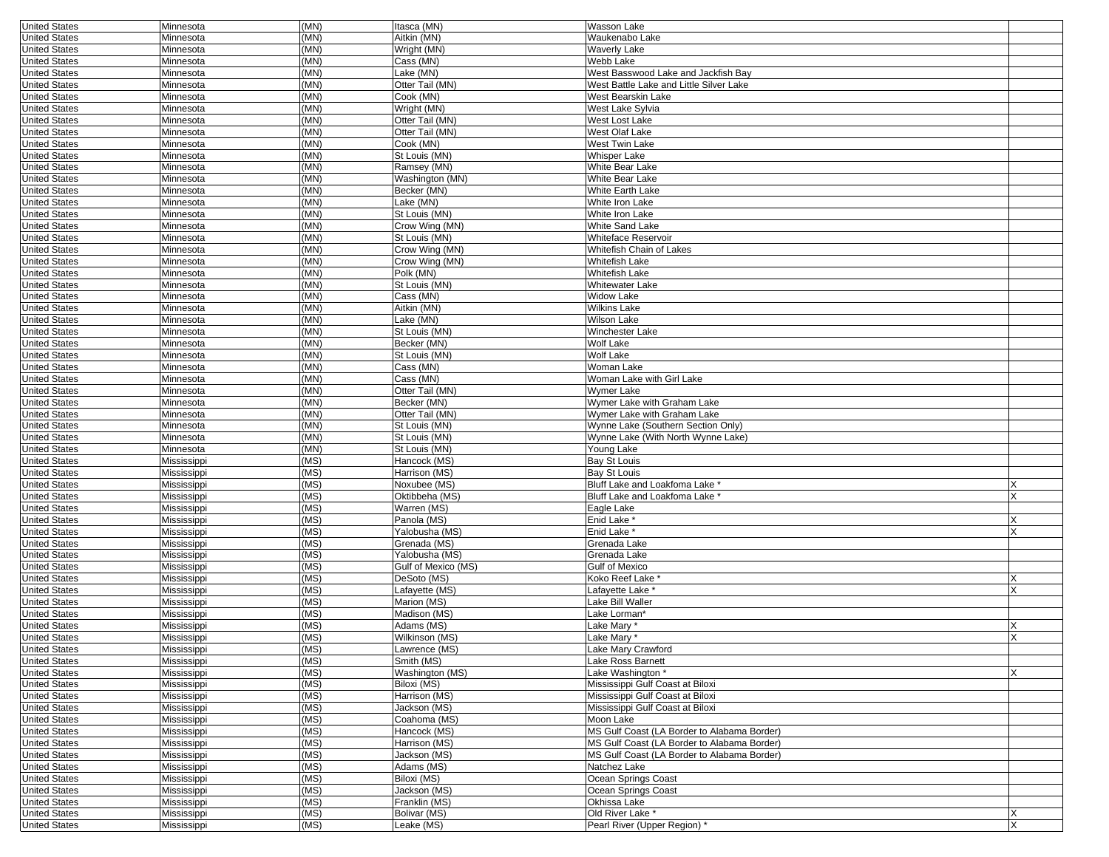| <b>United States</b>                         | Minnesota                | (MN)         | Itasca (MN)                    | Wasson Lake                                 |   |
|----------------------------------------------|--------------------------|--------------|--------------------------------|---------------------------------------------|---|
| <b>United States</b>                         | Minnesota                | (MN)         | Aitkin (MN)                    | Waukenabo Lake                              |   |
| <b>United States</b>                         | Minnesota                | (MN)         | Wright (MN)                    | <b>Waverly Lake</b>                         |   |
| <b>United States</b>                         | Minnesota                | (MN)         | Cass (MN)                      | Webb Lake                                   |   |
| <b>United States</b>                         | Minnesota                | (MN)         | Lake (MN)                      | West Basswood Lake and Jackfish Bay         |   |
| <b>United States</b>                         | Minnesota                | (MN)         | Otter Tail (MN)                | West Battle Lake and Little Silver Lake     |   |
| <b>United States</b>                         | Minnesota                | (MN)         | Cook (MN)                      | West Bearskin Lake                          |   |
| <b>United States</b>                         | Minnesota                | (MN)         | Wright (MN)                    | West Lake Sylvia                            |   |
| <b>United States</b>                         | Minnesota                | (MN)         | Otter Tail (MN)                | West Lost Lake                              |   |
| <b>United States</b>                         | Minnesota                | (MN)         | Otter Tail (MN)                | West Olaf Lake                              |   |
| <b>United States</b>                         | Minnesota                | (MN)         | Cook (MN)                      | West Twin Lake                              |   |
| <b>United States</b>                         | Minnesota                | (MN)         | St Louis (MN)                  | <b>Whisper Lake</b>                         |   |
| <b>United States</b>                         | Minnesota                | (MN)         | Ramsey (MN)                    | White Bear Lake                             |   |
| <b>United States</b>                         | Minnesota                | (MN)         | Washington (MN)                | White Bear Lake                             |   |
| <b>United States</b>                         | Minnesota                | (MN)         | Becker (MN)                    | <b>White Earth Lake</b>                     |   |
| <b>United States</b>                         | Minnesota                | (MN)         | Lake (MN)                      | White Iron Lake                             |   |
| <b>United States</b>                         | Minnesota                | (MN)         | St Louis (MN)                  | White Iron Lake                             |   |
| <b>United States</b>                         | Minnesota                | (MN)         | Crow Wing (MN)                 | <b>White Sand Lake</b>                      |   |
| <b>United States</b>                         | Minnesota                | (MN)         | St Louis (MN)                  | Whiteface Reservoir                         |   |
| <b>United States</b>                         | Minnesota                | (MN)         | Crow Wing (MN)                 | Whitefish Chain of Lakes                    |   |
| <b>United States</b>                         | Minnesota                | (MN)         | Crow Wing (MN)                 | Whitefish Lake                              |   |
| <b>United States</b>                         | Minnesota                | (MN)         | Polk (MN)                      | <b>Whitefish Lake</b>                       |   |
| <b>United States</b>                         | Minnesota                | (MN)         | St Louis (MN)                  | Whitewater Lake                             |   |
| <b>United States</b>                         | Minnesota                | (MN)         | Cass (MN)                      | <b>Widow Lake</b>                           |   |
| <b>United States</b>                         | Minnesota                | (MN)         | Aitkin (MN)                    | <b>Wilkins Lake</b>                         |   |
| <b>United States</b>                         | Minnesota                | (MN)         | Lake (MN)                      | Wilson Lake                                 |   |
| <b>United States</b>                         | Minnesota                | (MN)         | St Louis (MN)                  | Winchester Lake                             |   |
| <b>United States</b>                         | Minnesota                | (MN)         | Becker (MN)                    | Wolf Lake                                   |   |
| <b>United States</b>                         | Minnesota                | (MN)         | St Louis (MN)                  | Wolf Lake                                   |   |
| <b>United States</b>                         | Minnesota                | (MN)         | Cass (MN)                      | Woman Lake                                  |   |
| <b>United States</b>                         | Minnesota                | (MN)         | Cass (MN)                      | Woman Lake with Girl Lake                   |   |
| <b>United States</b>                         | Minnesota                | (MN)         | Otter Tail (MN)                | Wymer Lake                                  |   |
| <b>United States</b>                         | Minnesota                | (MN)         | Becker (MN)                    | Wymer Lake with Graham Lake                 |   |
| <b>United States</b>                         | Minnesota                | (MN)         | Otter Tail (MN)                | Wymer Lake with Graham Lake                 |   |
| <b>United States</b>                         | Minnesota                | (MN)         | St Louis (MN)                  | Wynne Lake (Southern Section Only)          |   |
| <b>United States</b><br><b>United States</b> | Minnesota                | (MN)<br>(MN) | St Louis (MN)<br>St Louis (MN) | Wynne Lake (With North Wynne Lake)          |   |
| <b>United States</b>                         | Minnesota<br>Mississippi | (MS)         | Hancock (MS)                   | Young Lake<br>Bay St Louis                  |   |
| <b>United States</b>                         | Mississippi              | (MS)         | Harrison (MS)                  | Bay St Louis                                |   |
| <b>United States</b>                         | Mississippi              | (MS)         | Noxubee (MS)                   | Bluff Lake and Loakfoma Lake *              |   |
| <b>United States</b>                         | Mississippi              | (MS)         | Oktibbeha (MS)                 | Bluff Lake and Loakfoma Lake                |   |
| <b>United States</b>                         | Mississippi              | (MS)         | Warren (MS)                    | Eagle Lake                                  |   |
| <b>United States</b>                         | Mississippi              | (MS)         | Panola (MS)                    | Enid Lake *                                 | Х |
| <b>United States</b>                         | Mississippi              | (MS)         | Yalobusha (MS)                 | Enid Lake *                                 |   |
| <b>United States</b>                         | Mississippi              | (MS)         | Grenada (MS)                   | Grenada Lake                                |   |
| <b>United States</b>                         | Mississippi              | (MS)         | Yalobusha (MS)                 | Grenada Lake                                |   |
| <b>United States</b>                         | Mississippi              | (MS)         | Gulf of Mexico (MS)            | <b>Gulf of Mexico</b>                       |   |
| <b>United States</b>                         | Mississippi              | (MS)         | DeSoto (MS)                    | Koko Reef Lake *                            | x |
| <b>United States</b>                         | Mississippi              | (MS)         | Lafayette (MS)                 | Lafayette Lake *                            | x |
| <b>United States</b>                         | Mississippi              | (MS)         | Marion (MS)                    | Lake Bill Waller                            |   |
| <b>United States</b>                         | Mississippi              | (MS)         | Madison (MS)                   | Lake Lorman*                                |   |
| <b>United States</b>                         | Mississippi              | (MS)         | Adams (MS)                     | Lake Mary *                                 |   |
| <b>United States</b>                         | Mississippi              | (MS)         | Wilkinson (MS)                 | Lake Mary *                                 | X |
| <b>United States</b>                         | Mississippi              | (MS)         | Lawrence (MS)                  | Lake Mary Crawford                          |   |
| <b>United States</b>                         | Mississippi              | (MS)         | Smith (MS)                     | Lake Ross Barnett                           |   |
| <b>United States</b>                         | Mississippi              | (MS)         | Washington (MS)                | Lake Washington *                           | X |
| <b>United States</b>                         | Mississippi              | (MS)         | Biloxi (MS)                    | Mississippi Gulf Coast at Biloxi            |   |
| <b>United States</b>                         | Mississippi              | (MS)         | Harrison (MS)                  | Mississippi Gulf Coast at Biloxi            |   |
| <b>United States</b>                         | Mississippi              | (MS)         | Jackson (MS)                   | Mississippi Gulf Coast at Biloxi            |   |
| <b>United States</b>                         | Mississippi              | (MS)         | Coahoma (MS)                   | Moon Lake                                   |   |
| <b>United States</b>                         | Mississippi              | (MS)         | Hancock (MS)                   | MS Gulf Coast (LA Border to Alabama Border) |   |
| <b>United States</b>                         | Mississippi              | (MS)         | Harrison (MS)                  | MS Gulf Coast (LA Border to Alabama Border) |   |
| <b>United States</b>                         | Mississippi              | (MS)         | Jackson (MS)                   | MS Gulf Coast (LA Border to Alabama Border) |   |
| <b>United States</b>                         | Mississippi              | (MS)         | Adams (MS)                     | Natchez Lake                                |   |
| <b>United States</b>                         | Mississippi              | (MS)         | Biloxi (MS)                    | Ocean Springs Coast                         |   |
| <b>United States</b>                         | Mississippi              | (MS)         | Jackson (MS)                   | Ocean Springs Coast                         |   |
| <b>United States</b>                         | Mississippi              | (MS)         | Franklin (MS)                  | Okhissa Lake                                |   |
| <b>United States</b>                         | Mississippi              | (MS)         | Bolivar (MS)                   | Old River Lake *                            | X |
| <b>United States</b>                         | Mississippi              | (MS)         | Leake (MS)                     | Pearl River (Upper Region) *                |   |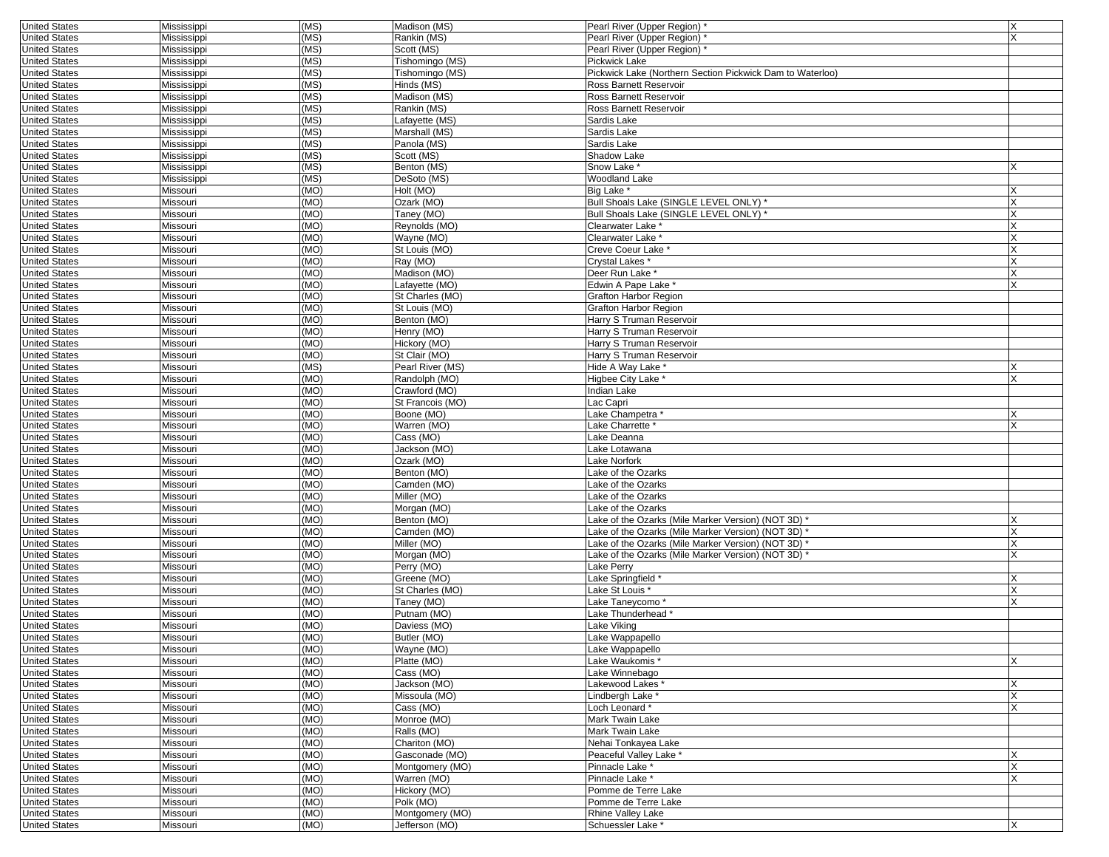| <b>United States</b>                         | Mississippi          | (MS) | Madison (MS)     | Pearl River (Upper Region) *                              | X            |
|----------------------------------------------|----------------------|------|------------------|-----------------------------------------------------------|--------------|
| <b>United States</b>                         | Mississippi          | (MS) | Rankin (MS)      | Pearl River (Upper Region)                                | X            |
| <b>United States</b>                         | Mississippi          | (MS) | Scott (MS)       | Pearl River (Upper Region) *                              |              |
| <b>United States</b>                         | Mississippi          | (MS) | Tishomingo (MS)  | Pickwick Lake                                             |              |
| <b>United States</b>                         | Mississippi          | (MS) | Tishomingo (MS)  | Pickwick Lake (Northern Section Pickwick Dam to Waterloo) |              |
| <b>United States</b>                         | Mississippi          | (MS) | Hinds (MS)       | Ross Barnett Reservoir                                    |              |
| <b>United States</b>                         | Mississippi          | (MS) | Madison (MS)     | Ross Barnett Reservoir                                    |              |
| <b>United States</b>                         | Mississippi          | (MS) | Rankin (MS)      | Ross Barnett Reservoir                                    |              |
| <b>United States</b>                         | Mississippi          | (MS) | Lafayette (MS)   | Sardis Lake                                               |              |
| <b>United States</b>                         | Mississippi          | (MS) | Marshall (MS)    | Sardis Lake                                               |              |
| <b>United States</b>                         | Mississippi          | (MS) | Panola (MS)      | Sardis Lake                                               |              |
| <b>United States</b>                         | Mississippi          | (MS) | Scott (MS)       | <b>Shadow Lake</b>                                        |              |
| <b>United States</b>                         | Mississippi          | (MS) | Benton (MS)      | Snow Lake *                                               |              |
| <b>United States</b>                         | Mississippi          | (MS) | DeSoto (MS)      | Woodland Lake                                             |              |
| <b>United States</b>                         | Missouri             | (MO) | Holt (MO)        | Big Lake *                                                |              |
| <b>United States</b>                         | Missouri             | (MO) | Ozark (MO)       | Bull Shoals Lake (SINGLE LEVEL ONLY) *                    |              |
| <b>United States</b>                         | Missouri             | (MO) | Taney (MO)       | Bull Shoals Lake (SINGLE LEVEL ONLY) '                    |              |
| <b>United States</b>                         | Missouri             | (MO) | Reynolds (MO)    | Clearwater Lake <sup>*</sup>                              |              |
| <b>United States</b>                         | Missouri             | (MO) | Wayne (MO)       | Clearwater Lake                                           |              |
| <b>United States</b>                         | Missouri             | (MO) | St Louis (MO)    | Creve Coeur Lake*                                         |              |
| <b>United States</b>                         | Missouri             | (MO) | Ray (MO)         | Crystal Lakes                                             |              |
| <b>United States</b>                         | Missouri             | (MO) | Madison (MO)     | Deer Run Lake *                                           | X            |
| <b>United States</b>                         | Missouri             | (MO) | Lafayette (MO)   | Edwin A Pape Lake *                                       |              |
| <b>United States</b>                         | Missouri             | (MO) | St Charles (MO)  | Grafton Harbor Region                                     |              |
| <b>United States</b>                         | Missouri             | (MO) | St Louis (MO)    | Grafton Harbor Region                                     |              |
| <b>United States</b>                         | Missouri             | (MO) | Benton (MO)      | Harry S Truman Reservoir                                  |              |
| <b>United States</b>                         | Missouri             | (MO) | Henry (MO)       | Harry S Truman Reservoir                                  |              |
| <b>United States</b>                         | Missouri             | (MO) | Hickory (MO)     | Harry S Truman Reservoir                                  |              |
| <b>United States</b>                         | Missouri             | (MO) | St Clair (MO)    | Harry S Truman Reservoir                                  |              |
| <b>United States</b>                         | Missouri             | (MS) | Pearl River (MS) | Hide A Way Lake *                                         |              |
| <b>United States</b>                         | Missouri             | (MO) | Randolph (MO)    | Higbee City Lake *                                        | X            |
| <b>United States</b>                         | Missouri             | (MO) | Crawford (MO)    | Indian Lake                                               |              |
| <b>United States</b>                         | Missouri             | (MO) | St Francois (MO) | Lac Capri                                                 |              |
| <b>United States</b>                         | Missouri             | (MO) | Boone (MO)       | -ake Champetra*                                           |              |
| <b>United States</b>                         | Missouri             | (MO) | Warren (MO)      | -ake Charrette*                                           | $\mathsf{x}$ |
| <b>United States</b>                         | Missouri             | (MO) | Cass (MO)        | Lake Deanna                                               |              |
| <b>United States</b>                         | Missouri             | (MO) | Jackson (MO)     | ake Lotawana                                              |              |
| <b>United States</b>                         | Missouri             | (MO) | Ozark (MO)       | Lake Norfork                                              |              |
|                                              |                      | (MO) | Benton (MO)      |                                                           |              |
| <b>United States</b><br><b>United States</b> | Missouri<br>Missouri | (MO) | Camden (MO)      | ake of the Ozarks<br>Lake of the Ozarks                   |              |
| <b>United States</b>                         | Missouri             | (MO) | Miller (MO)      | Lake of the Ozarks                                        |              |
| <b>United States</b>                         |                      | (MO) | Morgan (MO)      | Lake of the Ozarks                                        |              |
|                                              | Missouri             | (MO) | Benton (MO)      | Lake of the Ozarks (Mile Marker Version) (NOT 3D) *       |              |
| <b>United States</b>                         | Missouri             |      |                  |                                                           |              |
| <b>United States</b>                         | Missouri             | (MO) | Camden (MO)      | ake of the Ozarks (Mile Marker Version) (NOT 3D) *        |              |
| <b>United States</b>                         | Missouri             | (MO) | Miller (MO)      | Lake of the Ozarks (Mile Marker Version) (NOT 3D)         |              |
| <b>United States</b>                         | Missouri             | (MO) | Morgan (MO)      | Lake of the Ozarks (Mile Marker Version) (NOT 3D)         | X            |
| <b>United States</b>                         | Missouri             | (MO) | Perry (MO)       | Lake Perry                                                |              |
| <b>United States</b>                         | Missouri             | (MO) | Greene (MO)      | Lake Springfield *                                        |              |
| <b>United States</b>                         | Missouri             | (MO) | St Charles (MO)  | -ake St Louis *                                           |              |
| <b>United States</b>                         | Missouri             | (MO) | Taney (MO)       | Lake Taneycomo *                                          |              |
| <b>United States</b>                         | Missouri             | (MO) | Putnam (MO)      | Lake Thunderhead                                          |              |
| <b>United States</b>                         | Missouri             | (MO) | Daviess (MO)     | Lake Viking                                               |              |
| <b>United States</b>                         | Missouri             | (MO) | Butler (MO)      | Lake Wappapello                                           |              |
| United States                                | Missouri             | (MO) | Wayne (MO)       | Lake Wappapello                                           |              |
| <b>United States</b>                         | Missouri             | (MO) | Platte (MO)      | Lake Waukomis*                                            | X            |
| <b>United States</b>                         | Missouri             | (MO) | Cass (MO)        | Lake Winnebago                                            |              |
| <b>United States</b>                         | Missouri             | (MO) | Jackson (MO)     | Lakewood Lakes*                                           | $\times$     |
| <b>United States</b>                         | Missouri             | (MO) | Missoula (MO)    | Lindbergh Lake *                                          | X            |
| <b>United States</b>                         | Missouri             | (MO) | Cass (MO)        | Loch Leonard*                                             |              |
| <b>United States</b>                         | Missouri             | (MO) | Monroe (MO)      | Mark Twain Lake                                           |              |
| <b>United States</b>                         | Missouri             | (MO) | Ralls (MO)       | Mark Twain Lake                                           |              |
| <b>United States</b>                         | Missouri             | (MO) | Chariton (MO)    | Nehai Tonkayea Lake                                       |              |
| <b>United States</b>                         | Missouri             | (MO) | Gasconade (MO)   | Peaceful Valley Lake *                                    |              |
| <b>United States</b>                         | Missouri             | (MO) | Montgomery (MO)  | Pinnacle Lake *                                           | X            |
| <b>United States</b>                         | Missouri             | (MO) | Warren (MO)      | Pinnacle Lake *                                           | $\mathsf{x}$ |
| <b>United States</b>                         | Missouri             | (MO) | Hickory (MO)     | Pomme de Terre Lake                                       |              |
| <b>United States</b>                         | Missouri             | (MO) | Polk (MO)        | Pomme de Terre Lake                                       |              |
| <b>United States</b>                         | Missouri             | (MO) | Montgomery (MO)  | Rhine Valley Lake                                         |              |
| <b>United States</b>                         | Missouri             | (MO) | Jefferson (MO)   | Schuessler Lake *                                         | X            |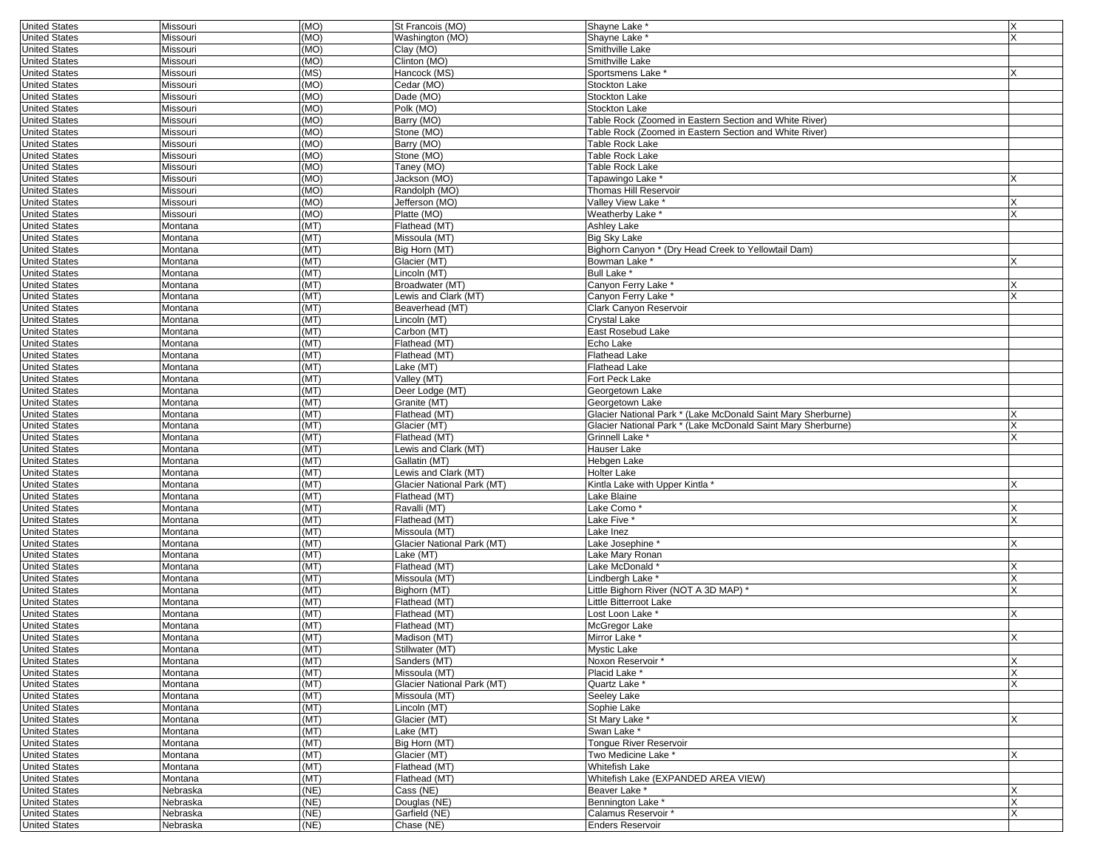| <b>United States</b> | Missouri             | (MO)         | St Francois (MO)                  | Shayne Lake                                                  | X        |
|----------------------|----------------------|--------------|-----------------------------------|--------------------------------------------------------------|----------|
| <b>United States</b> | Missouri             | (MO)         | Washington (MO)                   | Shayne Lake                                                  | X        |
| <b>United States</b> | Missouri             | (MO)         | Clay (MO)                         | Smithville Lake                                              |          |
| <b>United States</b> | Missouri             | (MO)         | Clinton (MO)                      | Smithville Lake                                              |          |
| <b>United States</b> | Missouri             | (MS)         | Hancock (MS)                      | Sportsmens Lake <sup>*</sup>                                 |          |
| <b>United States</b> | Missouri             | (MO)         | Cedar (MO)                        | Stockton Lake                                                |          |
| <b>United States</b> | Missouri             | (MO)         | Dade (MO)                         | Stockton Lake                                                |          |
| <b>United States</b> | Missouri             | (MO)         | Polk (MO)                         | Stockton Lake                                                |          |
|                      |                      |              |                                   |                                                              |          |
| <b>United States</b> | Missouri             | (MO)         | Barry (MO)                        | Table Rock (Zoomed in Eastern Section and White River)       |          |
| <b>United States</b> | Missouri             | (MO)         | Stone (MO)                        | Table Rock (Zoomed in Eastern Section and White River)       |          |
| <b>United States</b> | Missouri             | (MO)         | Barry (MO)                        | Table Rock Lake                                              |          |
| <b>United States</b> | Missouri             | (MO)         | Stone (MO)                        | Table Rock Lake                                              |          |
| <b>United States</b> | Missouri             | (MO)         | Taney (MO)                        | Table Rock Lake                                              |          |
| <b>United States</b> | Missouri             | (MO)         | Jackson (MO)                      | Tapawingo Lake*                                              | X        |
| <b>United States</b> | Missouri             | (MO)         | Randolph (MO)                     | Thomas Hill Reservoir                                        |          |
| <b>United States</b> | Missouri             | (MO)         | Jefferson (MO)                    | Valley View Lake '                                           | Х        |
| <b>United States</b> | Missouri             | (MO)         | Platte (MO)                       | Weatherby Lake                                               |          |
| <b>United States</b> | Montana              | (MT)         | Flathead (MT)                     | Ashley Lake                                                  |          |
|                      |                      |              |                                   |                                                              |          |
| <b>United States</b> | Montana              | (MT)         | Missoula (MT)                     | Big Sky Lake                                                 |          |
| <b>United States</b> | Montana              | (MT)         | Big Horn (MT)                     | Bighorn Canyon * (Dry Head Creek to Yellowtail Dam)          |          |
| <b>United States</b> | Montana              | (MT)         | Glacier (MT)                      | Bowman Lake *                                                | X        |
| <b>United States</b> | Montana              | (MT)         | Lincoln (MT)                      | Bull Lake <sup>*</sup>                                       |          |
| <b>United States</b> | Montana              | (MT)         | Broadwater (MT)                   | Canyon Ferry Lake *                                          | Х        |
| <b>United States</b> | Montana              | (MT)         | Lewis and Clark (MT)              | Canyon Ferry Lake *                                          |          |
| <b>United States</b> | Montana              | (MT)         | Beaverhead (MT)                   | Clark Canyon Reservoir                                       |          |
| <b>United States</b> | Montana              | (MT)         | Lincoln (MT)                      | Crystal Lake                                                 |          |
| <b>United States</b> | Montana              | (MT)         | Carbon (MT)                       | East Rosebud Lake                                            |          |
|                      |                      |              |                                   |                                                              |          |
| <b>United States</b> | Montana              | (MT)         | Flathead (MT)                     | Echo Lake                                                    |          |
| <b>United States</b> | Montana              | (MT)         | Flathead (MT)                     | Flathead Lake                                                |          |
| <b>United States</b> | Montana              | (MT)         | Lake (MT)                         | Flathead Lake                                                |          |
| <b>United States</b> | Montana              | (MT)         | Valley (MT)                       | Fort Peck Lake                                               |          |
| <b>United States</b> | Montana              | (MT)         | Deer Lodge (MT)                   | Georgetown Lake                                              |          |
| <b>United States</b> | Montana              | (MT)         | Granite (MT)                      | Georgetown Lake                                              |          |
| <b>United States</b> | Montana              | (MT)         | Flathead (MT)                     | Glacier National Park * (Lake McDonald Saint Mary Sherburne) |          |
| <b>United States</b> | Montana              | (MT)         | Glacier (MT)                      | Glacier National Park * (Lake McDonald Saint Mary Sherburne) |          |
| <b>United States</b> | Montana              | (MT)         | Flathead (MT)                     | Grinnell Lake <sup>®</sup>                                   | X        |
| <b>United States</b> | Montana              | (MT)         | Lewis and Clark (MT)              | Hauser Lake                                                  |          |
|                      |                      |              |                                   |                                                              |          |
| <b>United States</b> | Montana              | (MT)         | Gallatin (MT)                     | Hebgen Lake                                                  |          |
| <b>United States</b> | Montana              | (MT)         | Lewis and Clark (MT)              | Holter Lake                                                  |          |
| <b>United States</b> | Montana              | (MT)         | Glacier National Park (MT)        | Kintla Lake with Upper Kintla *                              |          |
| <b>United States</b> | Montana              | (MT)         | Flathead (MT)                     | Lake Blaine                                                  |          |
| <b>United States</b> | Montana              | (MT)         | Ravalli (MT)                      | Lake Como                                                    |          |
| <b>United States</b> | Montana              | (MT)         | Flathead (MT)                     | Lake Five *                                                  | X        |
| <b>United States</b> | Montana              | (MT)         | Missoula (MT)                     | Lake Inez                                                    |          |
| <b>United States</b> | Montana              | (MT)         | Glacier National Park (MT)        | -ake Josephine*                                              |          |
| <b>United States</b> | Montana              | (MT)         | Lake (MT)                         | Lake Mary Ronan                                              |          |
| <b>United States</b> | Montana              | (MT)         | Flathead (MT)                     | Lake McDonald <sup>®</sup>                                   | X        |
|                      |                      |              |                                   |                                                              |          |
| <b>United States</b> | Montana              | (MT)         | Missoula (MT)                     | Lindbergh Lake *                                             | X        |
| <b>United States</b> | Montana              | (MT)         | Bighorn (MT)                      | Little Bighorn River (NOT A 3D MAP) *                        | X        |
| <b>United States</b> | Montana              | (MT)         | Flathead (MT)                     | Little Bitterroot Lake                                       |          |
| <b>United States</b> | Montana              | (MT)         | Flathead (MT)                     | -ost Loon Lake *                                             | X        |
| <b>United States</b> | Montana              | (MT)         | Flathead (MT)                     | McGregor Lake                                                |          |
| <b>United States</b> | Montana              | (MT)         | Madison (MT)                      | Mirror Lake *                                                | X        |
| United States        | Montana              | (MI)         | Stillwater (MT)                   | Mystic Lake                                                  |          |
| <b>United States</b> | Montana              | (MT)         | Sanders (MT)                      | Noxon Reservoir *                                            | X        |
| <b>United States</b> | Montana              | (MT)         | Missoula (MT)                     | Placid Lake *                                                | X        |
| <b>United States</b> | Montana              | (MT)         | <b>Glacier National Park (MT)</b> | Quartz Lake *                                                | <b>X</b> |
|                      |                      |              |                                   |                                                              |          |
| <b>United States</b> | Montana              | (MT)         | Missoula (MT)                     | Seeley Lake                                                  |          |
| <b>United States</b> | Montana              | (MT)         | Lincoln (MT)                      | Sophie Lake                                                  |          |
| <b>United States</b> | Montana              | (MT)         | Glacier (MT)                      | St Mary Lake <sup>*</sup>                                    | X        |
| <b>United States</b> | Montana              | (MT)         | Lake (MT)                         | Swan Lake*                                                   |          |
| <b>United States</b> | Montana              | (MT)         | Big Horn (MT)                     | Tongue River Reservoir                                       |          |
| <b>United States</b> | Montana              | (MT)         | Glacier (MT)                      | Two Medicine Lake *                                          | X        |
| <b>United States</b> | Montana              | (MT)         | Flathead (MT)                     | Whitefish Lake                                               |          |
| <b>United States</b> | Montana              | (MT)         | Flathead (MT)                     | Whitefish Lake (EXPANDED AREA VIEW)                          |          |
| <b>United States</b> | Nebraska             | (NE)         | Cass (NE)                         | Beaver Lake *                                                | X        |
| <b>United States</b> |                      | (NE)         |                                   |                                                              | X        |
|                      | Nebraska             |              | Douglas (NE)                      | Bennington Lake *                                            |          |
| <b>United States</b> | Nebraska<br>Nebraska | (NE)<br>(NE) | Garfield (NE)                     | Calamus Reservoir *                                          | X        |
| <b>United States</b> |                      |              | Chase (NE)                        | Enders Reservoir                                             |          |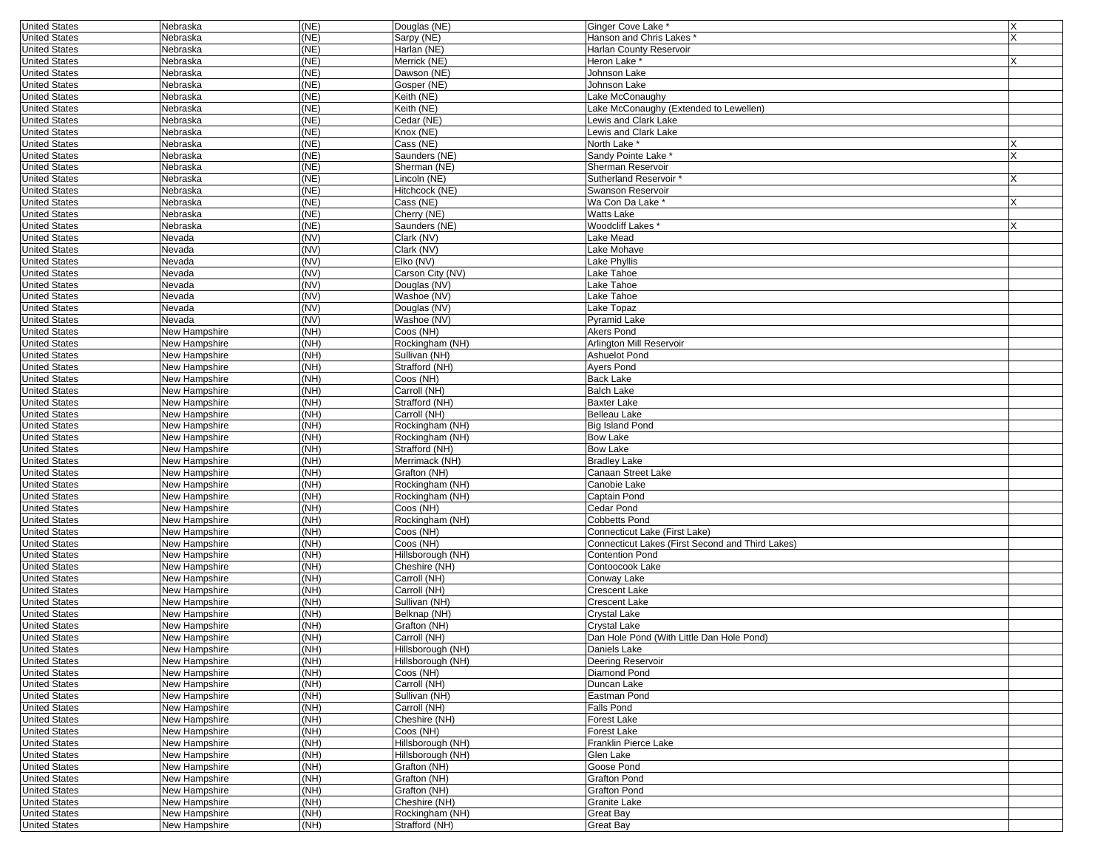| <b>United States</b> | Nebraska      | (NE) | Douglas (NE)      | Ginger Cove Lake                                 | X        |
|----------------------|---------------|------|-------------------|--------------------------------------------------|----------|
| <b>United States</b> | Nebraska      | (NE) | Sarpy (NE)        | Hanson and Chris Lakes *                         | X        |
| <b>United States</b> | Nebraska      | (NE) | Harlan (NE)       | Harlan County Reservoir                          |          |
| <b>United States</b> | Nebraska      | (NE) | Merrick (NE)      | Heron Lake*                                      | X        |
| <b>United States</b> | Nebraska      | (NE) | Dawson (NE)       | Johnson Lake                                     |          |
| <b>United States</b> | Nebraska      | (NE) | Gosper (NE)       | Johnson Lake                                     |          |
| <b>United States</b> | Nebraska      | (NE) | Keith (NE)        | Lake McConaughy                                  |          |
| <b>United States</b> | Nebraska      | (NE) | Keith (NE)        | Lake McConaughy (Extended to Lewellen)           |          |
|                      |               |      |                   |                                                  |          |
| <b>United States</b> | Nebraska      | (NE) | Cedar (NE)        | Lewis and Clark Lake                             |          |
| <b>United States</b> | Nebraska      | (NE) | Knox (NE)         | Lewis and Clark Lake                             |          |
| <b>United States</b> | Nebraska      | (NE) | Cass (NE)         | North Lake *                                     | Х        |
| <b>United States</b> | Nebraska      | (NE) | Saunders (NE)     | Sandy Pointe Lake *                              | $\times$ |
| <b>United States</b> | Nebraska      | (NE) | Sherman (NE)      | Sherman Reservoir                                |          |
| <b>United States</b> | Nebraska      | (NE) | Lincoln (NE)      | Sutherland Reservoir '                           | x        |
| <b>United States</b> | Nebraska      | (NE) | Hitchcock (NE)    | Swanson Reservoir                                |          |
| <b>United States</b> | Nebraska      | (NE) | Cass (NE)         | Wa Con Da Lake *                                 | X        |
| <b>United States</b> | Nebraska      | (NE) | Cherry (NE)       | Watts Lake                                       |          |
| <b>United States</b> | Nebraska      | (NE) | Saunders (NE)     | Woodcliff Lakes *                                |          |
|                      |               | (NV) |                   | Lake Mead                                        |          |
| <b>United States</b> | Nevada        |      | Clark (NV)        |                                                  |          |
| <b>United States</b> | Nevada        | (NV) | Clark (NV)        | Lake Mohave                                      |          |
| <b>United States</b> | Nevada        | (NV) | Elko (NV)         | Lake Phyllis                                     |          |
| <b>United States</b> | Nevada        | (NV) | Carson City (NV)  | Lake Tahoe                                       |          |
| <b>United States</b> | Nevada        | (NV) | Douglas (NV)      | Lake Tahoe                                       |          |
| <b>United States</b> | Nevada        | (NV) | Washoe (NV)       | Lake Tahoe                                       |          |
| <b>United States</b> | Nevada        | (NV) | Douglas (NV)      | Lake Topaz                                       |          |
| <b>United States</b> | Nevada        | (NV) | Washoe (NV)       | Pyramid Lake                                     |          |
| <b>United States</b> | New Hampshire | (NH) | Coos (NH)         | Akers Pond                                       |          |
| <b>United States</b> | New Hampshire | (NH) | Rockingham (NH)   | Arlington Mill Reservoir                         |          |
|                      |               |      |                   |                                                  |          |
| <b>United States</b> | New Hampshire | (NH) | Sullivan (NH)     | Ashuelot Pond                                    |          |
| <b>United States</b> | New Hampshire | (NH) | Strafford (NH)    | Ayers Pond                                       |          |
| <b>United States</b> | New Hampshire | (NH) | Coos (NH)         | <b>Back Lake</b>                                 |          |
| <b>United States</b> | New Hampshire | (NH) | Carroll (NH)      | <b>Balch Lake</b>                                |          |
| <b>United States</b> | New Hampshire | (NH) | Strafford (NH)    | <b>Baxter Lake</b>                               |          |
| <b>United States</b> | New Hampshire | (NH) | Carroll (NH)      | Belleau Lake                                     |          |
| <b>United States</b> | New Hampshire | (NH) | Rockingham (NH)   | Big Island Pond                                  |          |
| <b>United States</b> | New Hampshire | (NH) | Rockingham (NH)   | Bow Lake                                         |          |
| <b>United States</b> | New Hampshire | (NH) | Strafford (NH)    | Bow Lake                                         |          |
|                      |               | (NH) | Merrimack (NH)    | <b>Bradley Lake</b>                              |          |
| <b>United States</b> | New Hampshire |      |                   |                                                  |          |
| <b>United States</b> | New Hampshire | (NH) | Grafton (NH)      | Canaan Street Lake                               |          |
| <b>United States</b> | New Hampshire | (NH) | Rockingham (NH)   | Canobie Lake                                     |          |
| <b>United States</b> | New Hampshire | (NH) | Rockingham (NH)   | Captain Pond                                     |          |
| <b>United States</b> | New Hampshire | (NH) | Coos (NH)         | Cedar Pond                                       |          |
| <b>United States</b> | New Hampshire | (NH) | Rockingham (NH)   | Cobbetts Pond                                    |          |
| <b>United States</b> | New Hampshire | (NH) | Coos (NH)         | Connecticut Lake (First Lake)                    |          |
| <b>United States</b> | New Hampshire | (NH) | Coos (NH)         | Connecticut Lakes (First Second and Third Lakes) |          |
| <b>United States</b> | New Hampshire | (NH) | Hillsborough (NH) | <b>Contention Pond</b>                           |          |
| <b>United States</b> | New Hampshire | (NH) | Cheshire (NH)     | Contoocook Lake                                  |          |
| <b>United States</b> | New Hampshire | (NH) | Carroll (NH)      | Conway Lake                                      |          |
|                      |               | (NH) | Carroll (NH)      | Crescent Lake                                    |          |
| <b>United States</b> | New Hampshire |      |                   |                                                  |          |
| <b>United States</b> | New Hampshire | (NH) | Sullivan (NH)     | Crescent Lake                                    |          |
| <b>United States</b> | New Hampshire | (NH) | Belknap (NH)      | Crystal Lake                                     |          |
| <b>United States</b> | New Hampshire | (NH) | Grafton (NH)      | Crvstal Lake                                     |          |
| <b>United States</b> | New Hampshire | (NH) | Carroll (NH)      | Dan Hole Pond (With Little Dan Hole Pond)        |          |
| United States        | New Hampshire | (NH) | Hillsborough (NH) | Daniels Lake                                     |          |
| <b>United States</b> | New Hampshire | (NH) | Hillsborough (NH) | Deering Reservoir                                |          |
| <b>United States</b> | New Hampshire | (NH) | Coos (NH)         | Diamond Pond                                     |          |
| <b>United States</b> | New Hampshire | (NH) | Carroll (NH)      | Duncan Lake                                      |          |
| <b>United States</b> | New Hampshire | (NH) | Sullivan (NH)     | Eastman Pond                                     |          |
| <b>United States</b> | New Hampshire | (NH) | Carroll (NH)      | Falls Pond                                       |          |
|                      |               |      |                   | Forest Lake                                      |          |
| <b>United States</b> | New Hampshire | (NH) | Cheshire (NH)     |                                                  |          |
| <b>United States</b> | New Hampshire | (NH) | Coos (NH)         | Forest Lake                                      |          |
| <b>United States</b> | New Hampshire | (NH) | Hillsborough (NH) | Franklin Pierce Lake                             |          |
| <b>United States</b> | New Hampshire | (NH) | Hillsborough (NH) | Glen Lake                                        |          |
| <b>United States</b> | New Hampshire | (NH) | Grafton (NH)      | Goose Pond                                       |          |
| <b>United States</b> | New Hampshire | (NH) | Grafton (NH)      | Grafton Pond                                     |          |
| <b>United States</b> | New Hampshire | (NH) | Grafton (NH)      | <b>Grafton Pond</b>                              |          |
| <b>United States</b> | New Hampshire | (NH) | Cheshire (NH)     | Granite Lake                                     |          |
| <b>United States</b> | New Hampshire | (NH) | Rockingham (NH)   | Great Bay                                        |          |
| <b>United States</b> | New Hampshire | (NH) | Strafford (NH)    | Great Bay                                        |          |
|                      |               |      |                   |                                                  |          |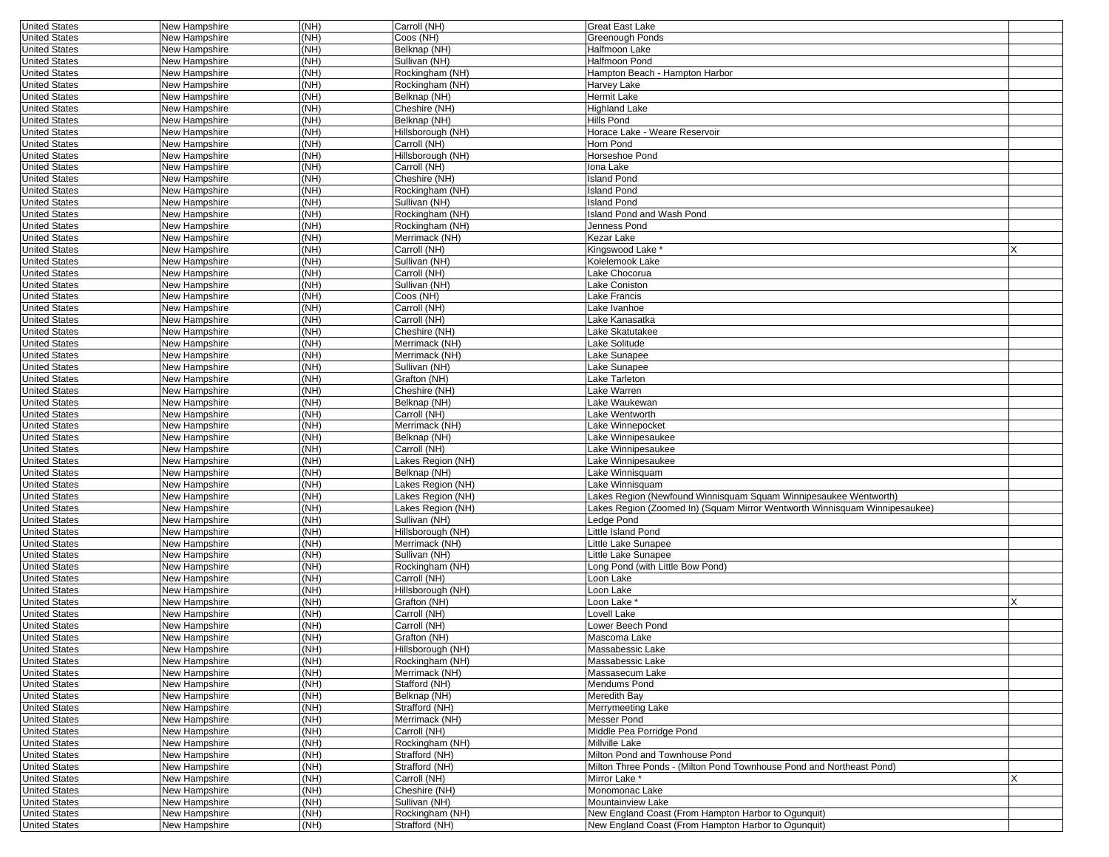| <b>United States</b> | New Hampshire        | (NH)                       | Carroll (NH)      | <b>Great East Lake</b>                                                     |   |
|----------------------|----------------------|----------------------------|-------------------|----------------------------------------------------------------------------|---|
| <b>United States</b> | New Hampshire        | (NH)                       | Coos (NH)         | <b>Greenough Ponds</b>                                                     |   |
| <b>United States</b> | New Hampshire        | (NH)                       | Belknap (NH)      | Halfmoon Lake                                                              |   |
| <b>United States</b> | New Hampshire        | (NH)                       | Sullivan (NH)     | Halfmoon Pond                                                              |   |
| <b>United States</b> | New Hampshire        | $(\overline{\mathsf{NH}})$ | Rockingham (NH)   | Hampton Beach - Hampton Harbor                                             |   |
| <b>United States</b> | New Hampshire        | (NH)                       | Rockingham (NH)   | Harvey Lake                                                                |   |
| <b>United States</b> | New Hampshire        | (NH)                       | Belknap (NH)      | <b>Hermit Lake</b>                                                         |   |
|                      |                      | (NH)                       |                   |                                                                            |   |
| <b>United States</b> | New Hampshire        |                            | Cheshire (NH)     | <b>Highland Lake</b>                                                       |   |
| <b>United States</b> | New Hampshire        | (NH)                       | Belknap (NH)      | Hills Pond                                                                 |   |
| <b>United States</b> | New Hampshire        | (NH)                       | Hillsborough (NH) | Horace Lake - Weare Reservoir                                              |   |
| <b>United States</b> | New Hampshire        | (NH)                       | Carroll (NH)      | Horn Pond                                                                  |   |
| <b>United States</b> | New Hampshire        | (NH)                       | Hillsborough (NH) | Horseshoe Pond                                                             |   |
| <b>United States</b> | New Hampshire        | (NH)                       | Carroll (NH)      | lona Lake                                                                  |   |
| <b>United States</b> | New Hampshire        | (NH)                       | Cheshire (NH)     | <b>Island Pond</b>                                                         |   |
| <b>United States</b> | New Hampshire        | $(\overline{\mathsf{NH}})$ | Rockingham (NH)   | <b>Island Pond</b>                                                         |   |
|                      |                      |                            |                   |                                                                            |   |
| <b>United States</b> | New Hampshire        | (NH)                       | Sullivan (NH)     | <b>Island Pond</b>                                                         |   |
| <b>United States</b> | New Hampshire        | (NH)                       | Rockingham (NH)   | Island Pond and Wash Pond                                                  |   |
| <b>United States</b> | New Hampshire        | (NH)                       | Rockingham (NH)   | Jenness Pond                                                               |   |
| <b>United States</b> | New Hampshire        | (NH)                       | Merrimack (NH)    | Kezar Lake                                                                 |   |
| <b>United States</b> | New Hampshire        | (NH)                       | Carroll (NH)      | Kingswood Lake                                                             |   |
| <b>United States</b> | New Hampshire        | (NH)                       | Sullivan (NH)     | Kolelemook Lake                                                            |   |
| <b>United States</b> | New Hampshire        | (NH)                       | Carroll (NH)      | Lake Chocorua                                                              |   |
|                      |                      |                            |                   |                                                                            |   |
| <b>United States</b> | New Hampshire        | (NH)                       | Sullivan (NH)     | Lake Coniston                                                              |   |
| <b>United States</b> | New Hampshire        | (NH)                       | Coos (NH)         | Lake Francis                                                               |   |
| <b>United States</b> | New Hampshire        | (NH)                       | Carroll (NH)      | Lake Ivanhoe                                                               |   |
| <b>United States</b> | New Hampshire        | (NH)                       | Carroll (NH)      | Lake Kanasatka                                                             |   |
| <b>United States</b> | New Hampshire        | (NH)                       | Cheshire (NH)     | Lake Skatutakee                                                            |   |
| <b>United States</b> | New Hampshire        | (NH)                       | Merrimack (NH)    | Lake Solitude                                                              |   |
| <b>United States</b> | New Hampshire        | (NH)                       | Merrimack (NH)    | Lake Sunapee                                                               |   |
| <b>United States</b> |                      | (NH)                       | Sullivan (NH)     |                                                                            |   |
|                      | New Hampshire        |                            |                   | Lake Sunapee                                                               |   |
| <b>United States</b> | New Hampshire        | (NH)                       | Grafton (NH)      | Lake Tarleton                                                              |   |
| <b>United States</b> | <b>New Hampshire</b> | (NH)                       | Cheshire (NH)     | Lake Warren                                                                |   |
| <b>United States</b> | New Hampshire        | (NH)                       | Belknap (NH)      | Lake Waukewan                                                              |   |
| <b>United States</b> | New Hampshire        | (NH)                       | Carroll (NH)      | Lake Wentworth                                                             |   |
| <b>United States</b> | New Hampshire        | (NH)                       | Merrimack (NH)    | Lake Winnepocket                                                           |   |
| <b>United States</b> | New Hampshire        | (NH)                       | Belknap (NH)      | Lake Winnipesaukee                                                         |   |
|                      |                      | (NH)                       |                   |                                                                            |   |
| <b>United States</b> | New Hampshire        |                            | Carroll (NH)      | Lake Winnipesaukee                                                         |   |
| <b>United States</b> | New Hampshire        | (NH)                       | Lakes Region (NH) | Lake Winnipesaukee                                                         |   |
| <b>United States</b> | New Hampshire        | (NH)                       | Belknap (NH)      | Lake Winnisquam                                                            |   |
| <b>United States</b> | New Hampshire        | (NH)                       | Lakes Region (NH) | Lake Winnisquam                                                            |   |
| <b>United States</b> | New Hampshire        | (NH)                       | Lakes Region (NH) | Lakes Region (Newfound Winnisquam Squam Winnipesaukee Wentworth)           |   |
| <b>United States</b> | New Hampshire        | (NH)                       | Lakes Region (NH) | Lakes Region (Zoomed In) (Squam Mirror Wentworth Winnisquam Winnipesaukee) |   |
| <b>United States</b> | New Hampshire        | (NH)                       | Sullivan (NH)     | Ledge Pond                                                                 |   |
|                      | New Hampshire        | (NH)                       | Hillsborough (NH) | Little Island Pond                                                         |   |
| <b>United States</b> |                      |                            |                   |                                                                            |   |
| <b>United States</b> | New Hampshire        | (NH)                       | Merrimack (NH)    | Little Lake Sunapee                                                        |   |
| <b>United States</b> | New Hampshire        | (NH)                       | Sullivan (NH)     | Little Lake Sunapee                                                        |   |
| <b>United States</b> | New Hampshire        | (NH)                       | Rockingham (NH)   | Long Pond (with Little Bow Pond)                                           |   |
| <b>United States</b> | New Hampshire        | (NH)                       | Carroll (NH)      | Loon Lake                                                                  |   |
| <b>United States</b> | New Hampshire        | (NH)                       | Hillsborough (NH) | Loon Lake                                                                  |   |
| <b>United States</b> | New Hampshire        | (NH)                       | Grafton (NH)      | Loon Lake *                                                                |   |
| <b>United States</b> | New Hampshire        | (NH)                       | Carroll (NH)      | Lovell Lake                                                                |   |
|                      |                      |                            |                   |                                                                            |   |
| <b>United States</b> | New Hampshire        | (NH)                       | Carroll (NH)      | Lower Beech Pond                                                           |   |
| <b>United States</b> | New Hampshire        | (NH)                       | Grafton (NH)      | Mascoma Lake                                                               |   |
| United States        | New Hampshire        | (NH)                       | Hillsborough (NH) | Massabessic Lake                                                           |   |
| <b>United States</b> | New Hampshire        | (NH)                       | Rockingham (NH)   | Massabessic Lake                                                           |   |
| <b>United States</b> | New Hampshire        | (NH)                       | Merrimack (NH)    | Massasecum Lake                                                            |   |
| <b>United States</b> | New Hampshire        | (NH)                       | Stafford (NH)     | Mendums Pond                                                               |   |
| <b>United States</b> | New Hampshire        | (NH)                       | Belknap (NH)      | Meredith Bay                                                               |   |
|                      |                      |                            |                   |                                                                            |   |
| <b>United States</b> | New Hampshire        | (NH)                       | Strafford (NH)    | Merrymeeting Lake                                                          |   |
| <b>United States</b> | New Hampshire        | (NH)                       | Merrimack (NH)    | Messer Pond                                                                |   |
| <b>United States</b> | New Hampshire        | (NH)                       | Carroll (NH)      | Middle Pea Porridge Pond                                                   |   |
| <b>United States</b> | New Hampshire        | (NH)                       | Rockingham (NH)   | Millville Lake                                                             |   |
| <b>United States</b> | New Hampshire        | (NH)                       | Strafford (NH)    | Milton Pond and Townhouse Pond                                             |   |
| <b>United States</b> | New Hampshire        | (NH)                       | Strafford (NH)    | Milton Three Ponds - (Milton Pond Townhouse Pond and Northeast Pond)       |   |
| <b>United States</b> | New Hampshire        | (NH)                       | Carroll (NH)      | Mirror Lake *                                                              | x |
|                      |                      |                            |                   |                                                                            |   |
| <b>United States</b> | New Hampshire        | (NH)                       | Cheshire (NH)     | Monomonac Lake                                                             |   |
| <b>United States</b> | New Hampshire        | (NH)                       | Sullivan (NH)     | Mountainview Lake                                                          |   |
| <b>United States</b> | New Hampshire        | (NH)                       | Rockingham (NH)   | New England Coast (From Hampton Harbor to Ogunquit)                        |   |
| <b>United States</b> | New Hampshire        | (NH)                       | Strafford (NH)    | New England Coast (From Hampton Harbor to Ogunquit)                        |   |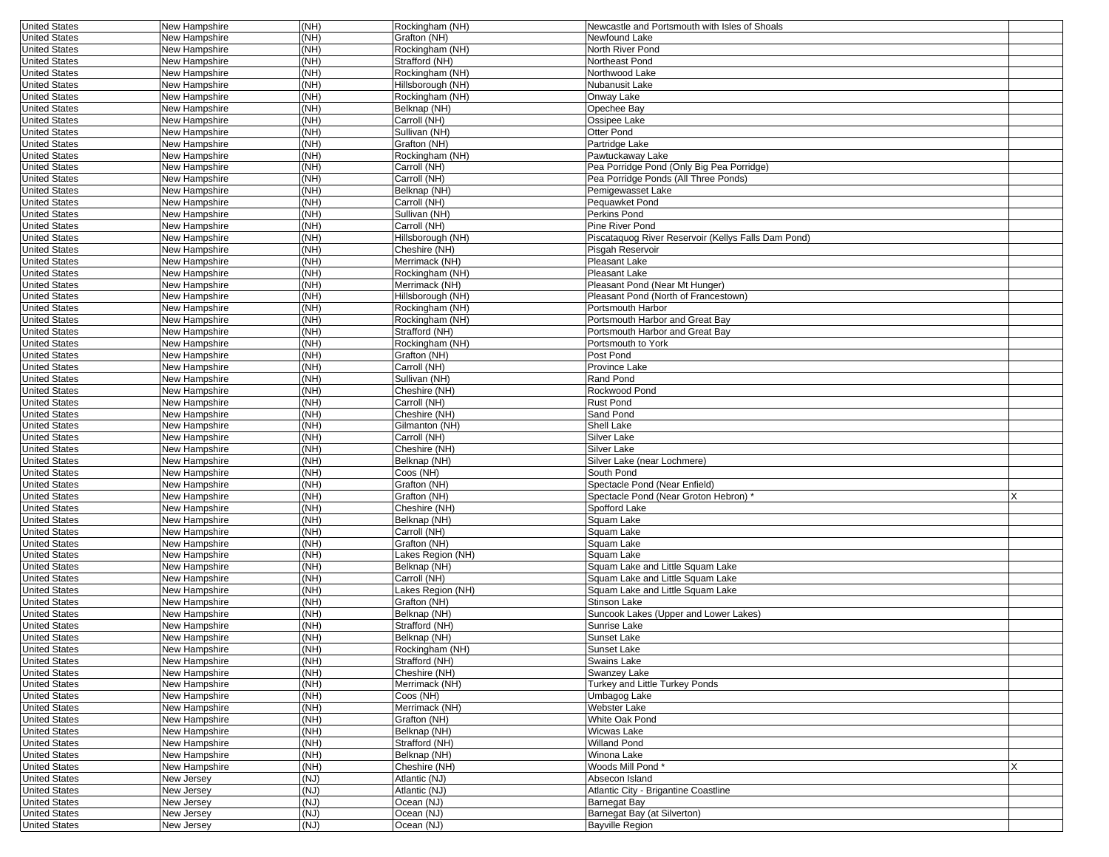| <b>United States</b> | New Hampshire                  | (NH) | Rockingham (NH)                   | Newcastle and Portsmouth with Isles of Shoals       |   |
|----------------------|--------------------------------|------|-----------------------------------|-----------------------------------------------------|---|
| <b>United States</b> | New Hampshire                  | (NH) | Grafton (NH)                      | Newfound Lake                                       |   |
| <b>United States</b> | New Hampshire                  | (NH) | Rockingham (NH)                   | North River Pond                                    |   |
| <b>United States</b> | New Hampshire                  | (NH) | Strafford (NH)                    | Northeast Pond                                      |   |
| <b>United States</b> | New Hampshire                  | (NH) | Rockingham (NH)                   | Northwood Lake                                      |   |
| <b>United States</b> | New Hampshire                  | (NH) | Hillsborough (NH)                 | Nubanusit Lake                                      |   |
| <b>United States</b> | New Hampshire                  | (NH) | Rockingham (NH)                   | Onway Lake                                          |   |
| <b>United States</b> | New Hampshire                  | (NH) | Belknap (NH)                      | Opechee Bay                                         |   |
| <b>United States</b> | New Hampshire                  | (NH) | Carroll (NH)                      | Ossipee Lake                                        |   |
| <b>United States</b> | New Hampshire                  | (NH) | Sullivan (NH)                     | Otter Pond                                          |   |
| <b>United States</b> | New Hampshire                  | (NH) | Grafton (NH)                      | Partridge Lake                                      |   |
| <b>United States</b> | New Hampshire                  | (NH) | Rockingham (NH)                   | Pawtuckaway Lake                                    |   |
| <b>United States</b> | New Hampshire                  | (NH) | Carroll (NH)                      | Pea Porridge Pond (Only Big Pea Porridge)           |   |
| <b>United States</b> | New Hampshire                  | (NH) | Carroll (NH)                      | Pea Porridge Ponds (All Three Ponds)                |   |
| <b>United States</b> |                                | (NH) | Belknap (NH)                      |                                                     |   |
| <b>United States</b> | New Hampshire<br>New Hampshire | (NH) | Carroll (NH)                      | Pemigewasset Lake<br>Pequawket Pond                 |   |
|                      |                                |      |                                   | Perkins Pond                                        |   |
| <b>United States</b> | New Hampshire                  | (NH) | Sullivan (NH)                     |                                                     |   |
| <b>United States</b> | New Hampshire                  | (NH) | Carroll (NH)                      | Pine River Pond                                     |   |
| <b>United States</b> | New Hampshire                  | (NH) | Hillsborough (NH)                 | Piscataquog River Reservoir (Kellys Falls Dam Pond) |   |
| <b>United States</b> | New Hampshire                  | (NH) | Cheshire (NH)                     | Pisgah Reservoir                                    |   |
| <b>United States</b> | New Hampshire                  | (NH) | Merrimack (NH)                    | Pleasant Lake                                       |   |
| <b>United States</b> | New Hampshire                  | (NH) | Rockingham (NH)                   | Pleasant Lake                                       |   |
| <b>United States</b> | New Hampshire                  | (NH) | Merrimack (NH)                    | Pleasant Pond (Near Mt Hunger)                      |   |
| <b>United States</b> | New Hampshire                  | NH)  | Hillsborough (NH)                 | Pleasant Pond (North of Francestown)                |   |
| <b>United States</b> | New Hampshire                  | (NH) | Rockingham (NH)                   | Portsmouth Harbor                                   |   |
| <b>United States</b> | New Hampshire                  | (NH) | Rockingham (NH)                   | Portsmouth Harbor and Great Bay                     |   |
| <b>United States</b> | New Hampshire                  | (NH) | Strafford (NH)                    | Portsmouth Harbor and Great Bay                     |   |
| <b>United States</b> | New Hampshire                  | (NH) | Rockingham (NH)                   | Portsmouth to York                                  |   |
| <b>United States</b> | New Hampshire                  | (NH) | Grafton (NH)                      | Post Pond                                           |   |
| <b>United States</b> | New Hampshire                  | (NH) | Carroll (NH)                      | Province Lake                                       |   |
| <b>United States</b> | New Hampshire                  | (NH) | Sullivan (NH)                     | Rand Pond                                           |   |
| <b>United States</b> | New Hampshire                  | (NH) | Cheshire (NH)                     | Rockwood Pond                                       |   |
| <b>United States</b> | New Hampshire                  | (NH) | Carroll (NH)                      | Rust Pond                                           |   |
| <b>United States</b> | New Hampshire                  | (NH) | Cheshire (NH)                     | Sand Pond                                           |   |
| <b>United States</b> | New Hampshire                  | (NH) | Gilmanton (NH)                    | <b>Shell Lake</b>                                   |   |
| <b>United States</b> | New Hampshire                  | (NH) | Carroll (NH)                      | Silver Lake                                         |   |
| <b>United States</b> | New Hampshire                  | (NH) | Cheshire (NH)                     | Silver Lake                                         |   |
| <b>United States</b> | New Hampshire                  | (NH) | Belknap (NH)                      | Silver Lake (near Lochmere)                         |   |
| <b>United States</b> | New Hampshire                  | (NH) | Coos (NH)                         | South Pond                                          |   |
| <b>United States</b> | New Hampshire                  | (NH) | Grafton (NH)                      | Spectacle Pond (Near Enfield)                       |   |
| <b>United States</b> | New Hampshire                  | (NH) | Grafton (NH)                      | Spectacle Pond (Near Groton Hebron) *               |   |
| <b>United States</b> | New Hampshire                  | (NH) | Cheshire (NH)                     | Spofford Lake                                       |   |
| <b>United States</b> | New Hampshire                  | (NH) | Belknap (NH)                      | Squam Lake                                          |   |
| <b>United States</b> | New Hampshire                  | (NH) | Carroll (NH)                      | Squam Lake                                          |   |
| <b>United States</b> | New Hampshire                  | (NH) | Grafton (NH)                      | Squam Lake                                          |   |
| <b>United States</b> | New Hampshire                  | (NH) | Lakes Region (NH)                 | Squam Lake                                          |   |
| <b>United States</b> | New Hampshire                  | (NH) | Belknap (NH)                      | Squam Lake and Little Squam Lake                    |   |
| <b>United States</b> | New Hampshire                  | (NH) | Carroll (NH)                      | Squam Lake and Little Squam Lake                    |   |
| <b>United States</b> | New Hampshire                  | (NH) | Lakes Region (NH)                 | Squam Lake and Little Squam Lake                    |   |
| <b>United States</b> | New Hampshire                  | (NH) | Grafton (NH)                      | Stinson Lake                                        |   |
| <b>United States</b> | New Hampshire                  | (NH) | Belknap (NH)                      | Suncook Lakes (Upper and Lower Lakes)               |   |
| <b>United States</b> | New Hampshire                  | (NH) | Strafford (NH)                    | Sunrise Lake                                        |   |
| <b>United States</b> | New Hampshire                  | (NH) | Belknap (NH)                      | Sunset Lake                                         |   |
| <b>United States</b> |                                | (NH) |                                   | Sunset Lake                                         |   |
| <b>United States</b> | New Hampshire<br>New Hampshire | (NH) | Rockingham (NH)<br>Strafford (NH) | Swains Lake                                         |   |
| <b>United States</b> |                                | (NH) | Cheshire (NH)                     | Swanzey Lake                                        |   |
|                      | New Hampshire                  |      |                                   |                                                     |   |
| <b>United States</b> | New Hampshire                  | (NH) | Merrimack (NH)                    | Turkey and Little Turkey Ponds                      |   |
| <b>United States</b> | New Hampshire                  | (NH) | Coos (NH)                         | Umbagog Lake                                        |   |
| <b>United States</b> | New Hampshire                  | (NH) | Merrimack (NH)                    | Webster Lake                                        |   |
| <b>United States</b> | New Hampshire                  | (NH) | Grafton (NH)                      | White Oak Pond                                      |   |
| <b>United States</b> | New Hampshire                  | (NH) | Belknap (NH)                      | Wicwas Lake                                         |   |
| <b>United States</b> | New Hampshire                  | (NH) | Strafford (NH)                    | <b>Willand Pond</b>                                 |   |
| <b>United States</b> | New Hampshire                  | (NH) | Belknap (NH)                      | Winona Lake                                         |   |
| <b>United States</b> | New Hampshire                  | (MH) | Cheshire (NH)                     | Woods Mill Pond*                                    | x |
| <b>United States</b> | New Jersey                     | (NJ) | Atlantic (NJ)                     | Absecon Island                                      |   |
| <b>United States</b> | New Jersey                     | (NJ) | Atlantic (NJ)                     | Atlantic City - Brigantine Coastline                |   |
| <b>United States</b> | New Jersey                     | (NJ) | Ocean (NJ)                        | Barnegat Bav                                        |   |
| <b>United States</b> | New Jersey                     | (U)  | Ocean (NJ)                        | Barnegat Bay (at Silverton)                         |   |
| <b>United States</b> | New Jersey                     | (U)  | Ocean (NJ)                        | Bayville Region                                     |   |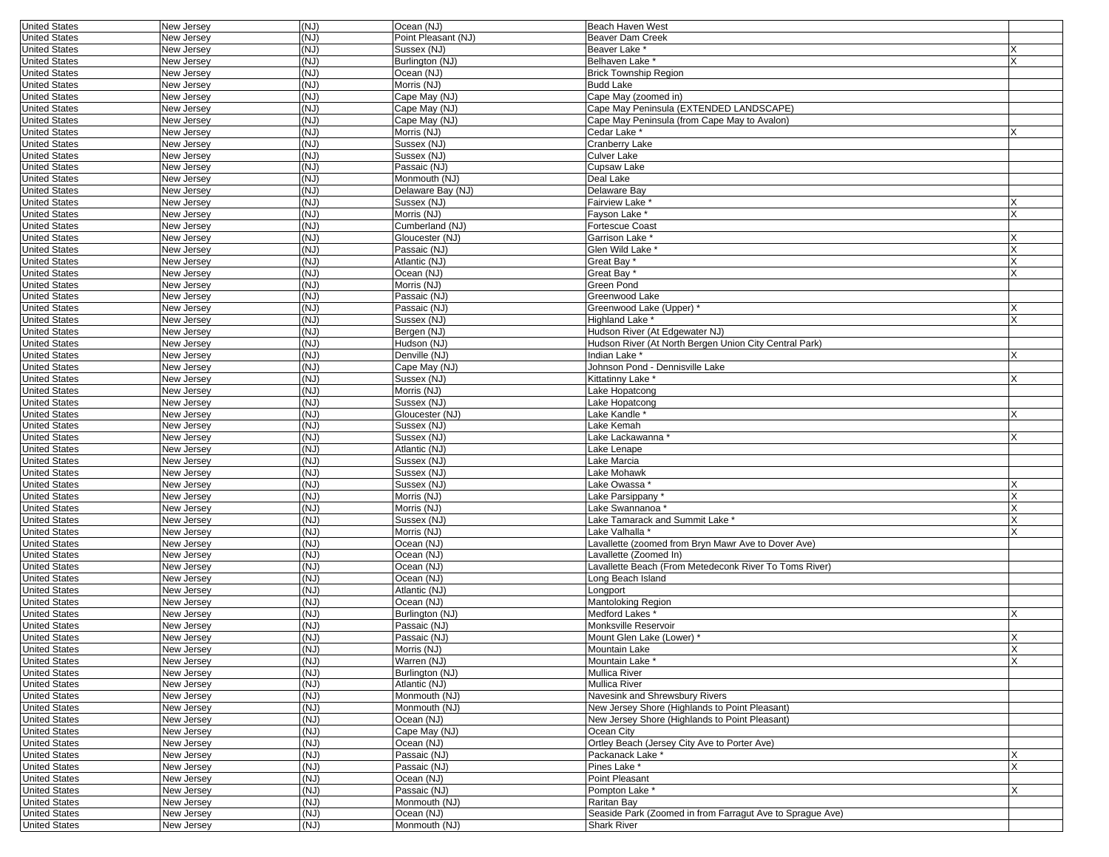| <b>United States</b> | New Jersey | (NJ)         | Ocean (NJ)          | <b>Beach Haven West</b>                                   |                                         |
|----------------------|------------|--------------|---------------------|-----------------------------------------------------------|-----------------------------------------|
| <b>United States</b> | New Jersey | (NJ)         | Point Pleasant (NJ) | <b>Beaver Dam Creek</b>                                   |                                         |
| <b>United States</b> | New Jersey | (NJ)         | Sussex (NJ)         | Beaver Lake *                                             |                                         |
| <b>United States</b> | New Jersey | (NJ)         | Burlington (NJ)     | Belhaven Lake*                                            |                                         |
| <b>United States</b> | New Jersey | (NJ)         | Ocean (NJ)          | <b>Brick Township Region</b>                              |                                         |
| <b>United States</b> | New Jersey | (NJ)         | Morris (NJ)         | <b>Budd Lake</b>                                          |                                         |
| <b>United States</b> | New Jersey | (NJ)         | Cape May (NJ)       | Cape May (zoomed in)                                      |                                         |
|                      |            | (NJ)         |                     | Cape May Peninsula (EXTENDED LANDSCAPE)                   |                                         |
| <b>United States</b> | New Jersey |              | Cape May (NJ)       |                                                           |                                         |
| <b>United States</b> | New Jersey | (NJ)         | Cape May (NJ)       | Cape May Peninsula (from Cape May to Avalon)              |                                         |
| <b>United States</b> | New Jersey | (NJ)         | Morris (NJ)         | Cedar Lake *                                              |                                         |
| <b>United States</b> | New Jersey | (NJ)         | Sussex (NJ)         | Cranberry Lake                                            |                                         |
| <b>United States</b> | New Jersey | (NJ)         | Sussex (NJ)         | <b>Culver Lake</b>                                        |                                         |
| <b>United States</b> | New Jersey | (NJ)         | Passaic (NJ)        | Cupsaw Lake                                               |                                         |
| <b>United States</b> | New Jersey | (NJ)         | Monmouth (NJ)       | Deal Lake                                                 |                                         |
| <b>United States</b> | New Jersey | (NJ)         | Delaware Bay (NJ)   | Delaware Bay                                              |                                         |
|                      |            |              |                     |                                                           |                                         |
| <b>United States</b> | New Jersey | (NJ)         | Sussex (NJ)         | Fairview Lake                                             |                                         |
| <b>United States</b> | New Jersey | (NJ)         | Morris (NJ)         | Fayson Lake *                                             | x                                       |
| <b>United States</b> | New Jersey | (NJ)         | Cumberland (NJ)     | Fortescue Coast                                           |                                         |
| <b>United States</b> | New Jersey | (NJ)         | Gloucester (NJ)     | Garrison Lake *                                           |                                         |
| <b>United States</b> | New Jersey | (NJ)         | Passaic (NJ)        | Glen Wild Lake *                                          |                                         |
| <b>United States</b> | New Jersey | (NJ)         | Atlantic (NJ)       | Great Bay'                                                | X                                       |
| <b>United States</b> | New Jersey | (NJ)         | Ocean (NJ)          | Great Bay                                                 |                                         |
| <b>United States</b> | New Jersey | (NJ)         | Morris (NJ)         | Green Pond                                                |                                         |
|                      |            |              |                     |                                                           |                                         |
| <b>United States</b> | New Jersey | (NJ)         | Passaic (NJ)        | Greenwood Lake                                            |                                         |
| <b>United States</b> | New Jersey | (NJ)         | Passaic (NJ)        | Greenwood Lake (Upper) *                                  |                                         |
| <b>United States</b> | New Jersey | (NJ)         | Sussex (NJ)         | Highland Lake *                                           | X                                       |
| <b>United States</b> | New Jersey | (NJ)         | Bergen (NJ)         | Hudson River (At Edgewater NJ)                            |                                         |
| <b>United States</b> | New Jersey | (NJ)         | Hudson (NJ)         | Hudson River (At North Bergen Union City Central Park)    |                                         |
| <b>United States</b> | New Jersey | (NJ)         | Denville (NJ)       | Indian Lake *                                             |                                         |
| <b>United States</b> | New Jersey | (NJ)         | Cape May (NJ)       | Johnson Pond - Dennisville Lake                           |                                         |
| <b>United States</b> | New Jersey | (NJ)         | Sussex (NJ)         | Kittatinny Lake                                           | X                                       |
|                      |            |              |                     |                                                           |                                         |
| <b>United States</b> | New Jersey | (NJ)         | Morris (NJ)         | Lake Hopatcong                                            |                                         |
| <b>United States</b> | New Jersey | (NJ)         | Sussex (NJ)         | Lake Hopatcong                                            |                                         |
| <b>United States</b> | New Jersey | (NJ)         | Gloucester (NJ)     | Lake Kandle *                                             | X                                       |
| <b>United States</b> | New Jersey | (NJ)         | Sussex (NJ)         | Lake Kemah                                                |                                         |
| <b>United States</b> | New Jersey | (NJ)         | Sussex (NJ)         | Lake Lackawanna *                                         | Х                                       |
| <b>United States</b> | New Jersey | (NJ)         | Atlantic (NJ)       | Lake Lenape                                               |                                         |
| <b>United States</b> | New Jersey | (NJ)         | Sussex (NJ)         | Lake Marcia                                               |                                         |
|                      |            | (NJ)         | Sussex (NJ)         | Lake Mohawk                                               |                                         |
| <b>United States</b> | New Jersey |              |                     |                                                           |                                         |
| <b>United States</b> | New Jersey | (NJ)         | Sussex (NJ)         | Lake Owassa *                                             |                                         |
| <b>United States</b> | New Jersey | (NJ)         | Morris (NJ)         | Lake Parsippany*                                          | X                                       |
| <b>United States</b> | New Jersey | (NJ)         | Morris (NJ)         | Lake Swannanoa '                                          | X                                       |
| <b>United States</b> | New Jersey | (NJ)         | Sussex (NJ)         | Lake Tamarack and Summit Lake *                           | Χ                                       |
| <b>United States</b> | New Jersey | (NJ)         | Morris (NJ)         | Lake Valhalla *                                           |                                         |
| <b>United States</b> | New Jersey | (NJ)         | Ocean (NJ)          | Lavallette (zoomed from Bryn Mawr Ave to Dover Ave)       |                                         |
| <b>United States</b> | New Jersey | (NJ)         | Ocean (NJ)          | Lavallette (Zoomed In)                                    |                                         |
| <b>United States</b> |            | (NJ)         | Ocean (NJ)          |                                                           |                                         |
|                      | New Jersey |              |                     | Lavallette Beach (From Metedeconk River To Toms River)    |                                         |
| <b>United States</b> | New Jersey | (NJ)         | Ocean (NJ)          | Long Beach Island                                         |                                         |
| <b>United States</b> | New Jersey | (NJ)         | Atlantic (NJ)       | Longport                                                  |                                         |
| <b>United States</b> | New Jersey | (NJ)         | Ocean (NJ)          | Mantoloking Region                                        |                                         |
| <b>United States</b> | New Jersey | (NJ)         | Burlington (NJ)     | Medford Lakes*                                            |                                         |
| <b>United States</b> | New Jersey | (NJ)         | Passaic (NJ)        | Monksville Reservoir                                      |                                         |
| <b>United States</b> | New Jersey | (NJ)         | Passaic (NJ)        | Mount Glen Lake (Lower) *                                 | X                                       |
|                      | New Jersey |              |                     |                                                           |                                         |
| United States        |            | (NJ)<br>(NJ) | Morris (NJ)         | Mountain Lake<br>Mountain Lake *                          | $\mathsf{X}$<br>$\overline{\mathsf{x}}$ |
| <b>United States</b> | New Jersey |              | Warren (NJ)         |                                                           |                                         |
| United States        | New Jersey | (NJ)         | Burlington (NJ)     | <b>Mullica River</b>                                      |                                         |
| <b>United States</b> | New Jersey | (NJ)         | Atlantic (NJ)       | Mullica River                                             |                                         |
| <b>United States</b> | New Jersey | (NJ)         | Monmouth (NJ)       | Navesink and Shrewsbury Rivers                            |                                         |
| <b>United States</b> | New Jersey | (NJ)         | Monmouth (NJ)       | New Jersey Shore (Highlands to Point Pleasant)            |                                         |
| <b>United States</b> | New Jersey | (NJ)         | Ocean (NJ)          | New Jersey Shore (Highlands to Point Pleasant)            |                                         |
| <b>United States</b> | New Jersey | (NJ)         | Cape May (NJ)       | Ocean City                                                |                                         |
| <b>United States</b> |            | (NJ)         | Ocean (NJ)          | Ortley Beach (Jersey City Ave to Porter Ave)              |                                         |
|                      | New Jersey |              |                     |                                                           |                                         |
| <b>United States</b> | New Jersey | (NJ)         | Passaic (NJ)        | Packanack Lake *                                          | X                                       |
| <b>United States</b> | New Jersey | (NJ)         | Passaic (NJ)        | Pines Lake *                                              | X                                       |
| <b>United States</b> | New Jersey | (NJ)         | Ocean (NJ)          | Point Pleasant                                            |                                         |
| <b>United States</b> | New Jersey | (NJ)         | Passaic (NJ)        | Pompton Lake *                                            | X                                       |
| <b>United States</b> | New Jersey | (NJ)         | Monmouth (NJ)       | Raritan Bav                                               |                                         |
| <b>United States</b> | New Jersey | (NJ)         | Ocean (NJ)          | Seaside Park (Zoomed in from Farragut Ave to Sprague Ave) |                                         |
|                      |            |              |                     |                                                           |                                         |
| <b>United States</b> | New Jersey | (NJ)         | Monmouth (NJ)       | <b>Shark River</b>                                        |                                         |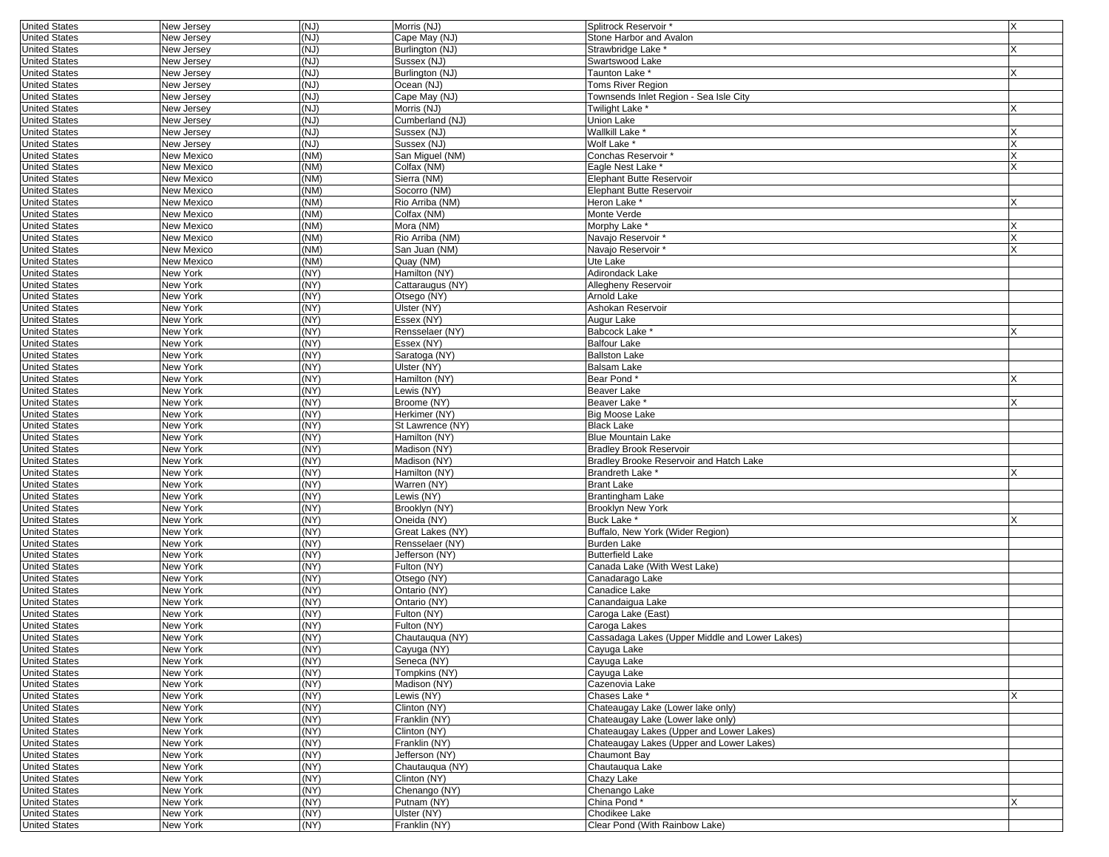| <b>United States</b> | New Jersey        | (NJ) | Morris (NJ)      | Splitrock Reservoir *                          | X |
|----------------------|-------------------|------|------------------|------------------------------------------------|---|
| <b>United States</b> | New Jersey        | (NJ) | Cape May (NJ)    | Stone Harbor and Avalon                        |   |
| <b>United States</b> | New Jersey        | (NJ) | Burlington (NJ)  | Strawbridge Lake *                             |   |
| <b>United States</b> | New Jersey        | (NJ) | Sussex (NJ)      | Swartswood Lake                                |   |
| <b>United States</b> | New Jersey        | (NJ) | Burlington (NJ)  | Taunton Lake *                                 |   |
| <b>United States</b> | New Jersey        | (NJ) | Ocean (NJ)       | Toms River Region                              |   |
| <b>United States</b> | New Jersey        | (NJ) | Cape May (NJ)    | Townsends Inlet Region - Sea Isle City         |   |
| <b>United States</b> | New Jersey        | (NJ) | Morris (NJ)      | Twilight Lake *                                |   |
| <b>United States</b> | New Jersey        | (NJ) | Cumberland (NJ)  | Union Lake                                     |   |
| <b>United States</b> | New Jersey        | (NJ) | Sussex (NJ)      | Wallkill Lake <sup>+</sup>                     |   |
| <b>United States</b> | New Jersey        | (NJ) | Sussex (NJ)      | Wolf Lake <sup>*</sup>                         | X |
|                      |                   |      |                  |                                                |   |
| <b>United States</b> | New Mexico        | (NM) | San Miguel (NM)  | Conchas Reservoir *                            | X |
| <b>United States</b> | New Mexico        | (NM) | Colfax (NM)      | Eagle Nest Lake *                              |   |
| <b>United States</b> | New Mexico        | (NM) | Sierra (NM)      | Elephant Butte Reservoir                       |   |
| <b>United States</b> | New Mexico        | (NM) | Socorro (NM)     | Elephant Butte Reservoir                       |   |
| <b>United States</b> | New Mexico        | (NM) | Rio Arriba (NM)  | Heron Lake '                                   | х |
| <b>United States</b> | New Mexico        | (NM) | Colfax (NM)      | Monte Verde                                    |   |
| <b>United States</b> | New Mexico        | (NM) | Mora (NM)        | Morphy Lake <sup>*</sup>                       |   |
| <b>United States</b> | New Mexico        | (NM) | Rio Arriba (NM)  | Navajo Reservoir *                             |   |
| <b>United States</b> | New Mexico        | (NM) | San Juan (NM)    | Navajo Reservoir*                              |   |
| <b>United States</b> | <b>New Mexico</b> | (NM) | Quay (NM)        | Ute Lake                                       |   |
| <b>United States</b> | New York          | (NY) | Hamilton (NY)    | Adirondack Lake                                |   |
| <b>United States</b> | New York          | (NY) | Cattaraugus (NY) | Allegheny Reservoir                            |   |
| <b>United States</b> | New York          | (NY) | Otsego (NY)      | Arnold Lake                                    |   |
| <b>United States</b> | New York          | (NY) | Ulster (NY)      | Ashokan Reservoir                              |   |
| <b>United States</b> | New York          | (NY) | Essex (NY)       | Augur Lake                                     |   |
| <b>United States</b> | New York          | (NY) | Rensselaer (NY)  | Babcock Lake                                   |   |
| <b>United States</b> | New York          | (NY) | Essex (NY)       | <b>Balfour Lake</b>                            |   |
| <b>United States</b> | New York          | (NY) | Saratoga (NY)    | <b>Ballston Lake</b>                           |   |
| <b>United States</b> | New York          | (NY) | Ulster (NY)      | Balsam Lake                                    |   |
| <b>United States</b> | New York          | (NY) | Hamilton (NY)    | Bear Pond*                                     | X |
| <b>United States</b> | New York          | (NY) | Lewis (NY)       | <b>Beaver Lake</b>                             |   |
| <b>United States</b> | New York          | (NY) | Broome (NY)      | Beaver Lake *                                  | X |
| <b>United States</b> | New York          | (NY) | Herkimer (NY)    | Big Moose Lake                                 |   |
| <b>United States</b> | New York          | (NY) | St Lawrence (NY) | <b>Black Lake</b>                              |   |
| <b>United States</b> | New York          | (NY) | Hamilton (NY)    | Blue Mountain Lake                             |   |
| <b>United States</b> | New York          | (NY) | Madison (NY)     | <b>Bradley Brook Reservoir</b>                 |   |
| <b>United States</b> | New York          | (NY) | Madison (NY)     | Bradley Brooke Reservoir and Hatch Lake        |   |
| <b>United States</b> | New York          | (NY) | Hamilton (NY)    | <b>Brandreth Lake *</b>                        | X |
| <b>United States</b> | New York          | (NY) | Warren (NY)      | Brant Lake                                     |   |
| <b>United States</b> | New York          | (NY) | Lewis (NY)       | Brantingham Lake                               |   |
| <b>United States</b> |                   | (NY) | Brooklyn (NY)    |                                                |   |
| <b>United States</b> | New York          | (NY) | Oneida (NY)      | Brooklyn New York<br>Buck Lake *               |   |
|                      | New York          |      |                  |                                                | X |
| <b>United States</b> | New York          | (NY) | Great Lakes (NY) | Buffalo, New York (Wider Region)               |   |
| <b>United States</b> | New York          | (NY) | Rensselaer (NY)  | Burden Lake                                    |   |
| <b>United States</b> | New York          | (NY) | Jefferson (NY)   | Butterfield Lake                               |   |
| <b>United States</b> | New York          | (NY) | Fulton (NY)      | Canada Lake (With West Lake)                   |   |
| <b>United States</b> | New York          | (NY) | Otsego (NY)      | Canadarago Lake                                |   |
| <b>United States</b> | New York          | (NY) | Ontario (NY)     | Canadice Lake                                  |   |
| <b>United States</b> | New York          | (NY) | Ontario (NY)     | Canandaigua Lake                               |   |
| <b>United States</b> | New York          | (NY) | Fulton (NY)      | Caroga Lake (East)                             |   |
| <b>United States</b> | New York          | (NY) | Fulton (NY)      | Caroga Lakes                                   |   |
| <b>United States</b> | New York          | (NY) | Chautauqua (NY)  | Cassadaga Lakes (Upper Middle and Lower Lakes) |   |
| United States        | New York          | (NY) | Cayuga (NY)      | Cayuga Lake                                    |   |
| <b>United States</b> | New York          | (NY) | Seneca (NY)      | Cayuga Lake                                    |   |
| <b>United States</b> | New York          | (NY) | Tompkins (NY)    | Cayuga Lake                                    |   |
| <b>United States</b> | New York          | (NY) | Madison (NY)     | Cazenovia Lake                                 |   |
| <b>United States</b> | New York          | (NY) | Lewis (NY)       | Chases Lake *                                  |   |
| <b>United States</b> | New York          | (NY) | Clinton (NY)     | Chateaugay Lake (Lower lake only)              |   |
| <b>United States</b> | New York          | (NY) | Franklin (NY)    | Chateaugay Lake (Lower lake only)              |   |
| <b>United States</b> | New York          | (NY) | Clinton (NY)     | Chateaugay Lakes (Upper and Lower Lakes)       |   |
| <b>United States</b> | New York          | (NY) | Franklin (NY)    | Chateaugay Lakes (Upper and Lower Lakes)       |   |
| <b>United States</b> | New York          | (NY) | Jefferson (NY)   | Chaumont Bav                                   |   |
| <b>United States</b> | New York          | (NY) | Chautauqua (NY)  | Chautauqua Lake                                |   |
| <b>United States</b> | New York          | (NY) | Clinton (NY)     | Chazy Lake                                     |   |
| <b>United States</b> | New York          | (NY) | Chenango (NY)    | Chenango Lake                                  |   |
| <b>United States</b> | New York          | (NY) | Putnam (NY)      | China Pond*                                    | X |
| <b>United States</b> | New York          | (NY) | Ulster (NY)      | Chodikee Lake                                  |   |
| <b>United States</b> | New York          | (NY) | Franklin (NY)    | Clear Pond (With Rainbow Lake)                 |   |
|                      |                   |      |                  |                                                |   |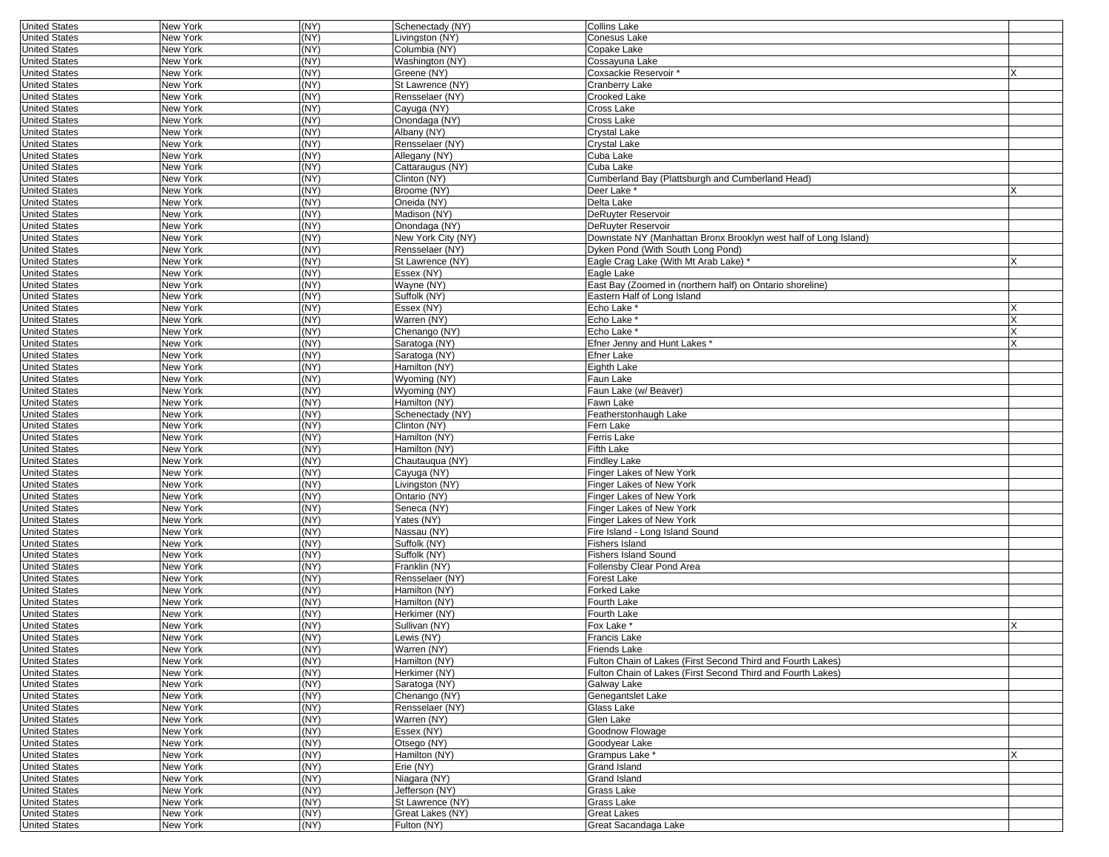| <b>United States</b>                         | <b>New York</b>      | (NY)         | Schenectady (NY)                     | <b>Collins Lake</b>                                              |  |
|----------------------------------------------|----------------------|--------------|--------------------------------------|------------------------------------------------------------------|--|
| <b>United States</b>                         | New York             | (NY)         | Livingston (NY)                      | Conesus Lake                                                     |  |
| <b>United States</b>                         | New York             | (NY)         | Columbia (NY)                        | Copake Lake                                                      |  |
| <b>United States</b>                         | New York             | (NY)         | Washington (NY)                      | Cossayuna Lake                                                   |  |
| <b>United States</b>                         | New York             | (NY)         | Greene (NY)                          | Coxsackie Reservoir *                                            |  |
| <b>United States</b>                         | New York             | (NY)         | St Lawrence (NY)                     | Cranberry Lake                                                   |  |
| <b>United States</b>                         | New York             | (NY)         | Rensselaer (NY)                      | Crooked Lake                                                     |  |
| <b>United States</b>                         | New York             | (NY)         | Cayuga (NY)                          | Cross Lake                                                       |  |
| <b>United States</b>                         | New York             | (NY)         | Onondaga (NY)                        | Cross Lake                                                       |  |
| <b>United States</b>                         | New York             | (NY)         | Albany (NY)                          | Crystal Lake                                                     |  |
| <b>United States</b>                         | <b>New York</b>      | (NY)         | Rensselaer (NY)                      | Crystal Lake                                                     |  |
| <b>United States</b>                         | New York             | (NY)         | Allegany (NY)                        | Cuba Lake                                                        |  |
| <b>United States</b>                         | New York             | (NY)         | Cattaraugus (NY)                     | Cuba Lake                                                        |  |
| <b>United States</b>                         | New York             | (NY)         | Clinton (NY)                         | Cumberland Bay (Plattsburgh and Cumberland Head)                 |  |
| <b>United States</b>                         | New York             | (NY)         | Broome (NY)                          | Deer Lake *                                                      |  |
| <b>United States</b>                         | New York             | (NY)         | Oneida (NY)                          | Delta Lake                                                       |  |
| <b>United States</b>                         | New York             | (NY)         | Madison (NY)                         | DeRuyter Reservoir                                               |  |
| <b>United States</b>                         | New York             | (NY)         | Onondaga (NY)                        | DeRuyter Reservoir                                               |  |
| <b>United States</b>                         | New York             | (NY)         | New York City (NY)                   | Downstate NY (Manhattan Bronx Brooklyn west half of Long Island) |  |
| <b>United States</b>                         | New York             | (NY)         | Rensselaer (NY)                      | Dyken Pond (With South Long Pond)                                |  |
| <b>United States</b>                         | New York             | (NY)         | St Lawrence (NY)                     | Eagle Crag Lake (With Mt Arab Lake) *                            |  |
| <b>United States</b>                         | New York             | (NY)         | Essex (NY)                           | Eagle Lake                                                       |  |
| <b>United States</b>                         | New York             | (NY)         | Wayne (NY)                           | East Bay (Zoomed in (northern half) on Ontario shoreline)        |  |
| <b>United States</b>                         | New York             | (NY)         | Suffolk (NY)                         | Eastern Half of Long Island                                      |  |
| <b>United States</b>                         | New York             | (NY)         | Essex (NY)                           | Echo Lake *                                                      |  |
| <b>United States</b>                         | New York             | (NY)         | Warren (NY)                          | Echo Lake *                                                      |  |
| <b>United States</b>                         | New York             | (NY)         | Chenango (NY)                        | Echo Lake <sup>*</sup>                                           |  |
| <b>United States</b>                         | New York             | (NY)         | Saratoga (NY)                        | Efner Jenny and Hunt Lakes *                                     |  |
| <b>United States</b>                         | New York             | (NY)         | Saratoga (NY)                        | Efner Lake                                                       |  |
| <b>United States</b>                         | New York             | (NY)         | Hamilton (NY)                        | Eighth Lake                                                      |  |
| <b>United States</b>                         | New York             | (NY)         | Wyoming (NY)                         | Faun Lake                                                        |  |
| <b>United States</b>                         | New York             | (NY)         | Wyoming (NY)                         | Faun Lake (w/ Beaver)                                            |  |
| <b>United States</b>                         | New York             | (NY)         | Hamilton (NY)                        | Fawn Lake                                                        |  |
| <b>United States</b>                         | New York             | (NY)         | Schenectady (NY)                     | Featherstonhaugh Lake                                            |  |
| <b>United States</b>                         | New York             | (NY)         | Clinton (NY)                         | Fern Lake                                                        |  |
| <b>United States</b>                         | New York             | (NY)         | Hamilton (NY)                        | Ferris Lake                                                      |  |
| <b>United States</b>                         | New York             | (NY)         | Hamilton (NY)                        | Fifth Lake                                                       |  |
| <b>United States</b>                         | New York             | (NY)         | Chautauqua (NY)                      | Findley Lake                                                     |  |
| <b>United States</b>                         | New York             | (NY)         | Cayuga (NY)                          | Finger Lakes of New York                                         |  |
| <b>United States</b>                         | New York             | (NY)         | Livingston (NY)                      | Finger Lakes of New York                                         |  |
| <b>United States</b>                         | New York             | (NY)         | Ontario (NY)                         | Finger Lakes of New York                                         |  |
| <b>United States</b>                         | New York             | (NY)         | Seneca (NY)                          | Finger Lakes of New York                                         |  |
| <b>United States</b>                         | New York             | (NY)         | Yates (NY)                           | Finger Lakes of New York                                         |  |
| <b>United States</b>                         | New York             | (NY)         | Nassau (NY)                          | Fire Island - Long Island Sound                                  |  |
| <b>United States</b>                         | New York             | (NY)         | Suffolk (NY)                         | Fishers Island                                                   |  |
| <b>United States</b>                         | New York             | (NY)         | Suffolk (NY)                         | <b>Fishers Island Sound</b>                                      |  |
| <b>United States</b>                         | New York             | (NY)         | Franklin (NY)                        | Follensby Clear Pond Area                                        |  |
| <b>United States</b>                         | New York             | (NY)         | Rensselaer (NY)                      | Forest Lake                                                      |  |
| <b>United States</b>                         | New York             | (NY)         | Hamilton (NY)                        | Forked Lake                                                      |  |
| <b>United States</b>                         | New York             | (NY)         | Hamilton (NY)                        | Fourth Lake                                                      |  |
| <b>United States</b>                         | New York             | (NY)         | Herkimer (NY)                        | Fourth Lake                                                      |  |
| <b>United States</b>                         | New York             | (NY)         | Sullivan (NY)                        | Fox Lake *                                                       |  |
| <b>United States</b>                         | New York             | (NY)         | Lewis (NY)                           | Francis Lake                                                     |  |
| United States                                | New York             | (NY)         | Warren (NY)                          | Friends Lake                                                     |  |
| <b>United States</b>                         | New York             | (NY)         | Hamilton (NY)                        | Fulton Chain of Lakes (First Second Third and Fourth Lakes)      |  |
| <b>United States</b>                         | New York             | (NY)         | Herkimer (NY)                        | Fulton Chain of Lakes (First Second Third and Fourth Lakes)      |  |
| <b>United States</b>                         | New York             | (NY)         | Saratoga (NY)                        | Galway Lake                                                      |  |
| <b>United States</b>                         | New York             | (NY)         | Chenango (NY)                        | Genegantslet Lake                                                |  |
| <b>United States</b><br><b>United States</b> | New York             | (NY)<br>(NY) | Rensselaer (NY)                      | Glass Lake<br>Glen Lake                                          |  |
| <b>United States</b>                         | New York<br>New York | (NY)         | Warren (NY)<br>Essex (NY)            | Goodnow Flowage                                                  |  |
| <b>United States</b>                         | New York             | (NY)         | Otsego (NY)                          | Goodyear Lake                                                    |  |
| <b>United States</b>                         | New York             | (NY)         | Hamilton (NY)                        | Grampus Lake *                                                   |  |
| <b>United States</b>                         | New York             | (NY)         | Erie (NY)                            | Grand Island                                                     |  |
| <b>United States</b>                         | New York             | (NY)         | Niagara (NY)                         | Grand Island                                                     |  |
|                                              |                      |              |                                      |                                                                  |  |
|                                              |                      |              |                                      |                                                                  |  |
| <b>United States</b>                         | New York             | (NY)         | Jefferson (NY)                       | Grass Lake                                                       |  |
| <b>United States</b><br><b>United States</b> | New York<br>New York | (NY)<br>(NY) | St Lawrence (NY)<br>Great Lakes (NY) | Grass Lake<br>Great Lakes                                        |  |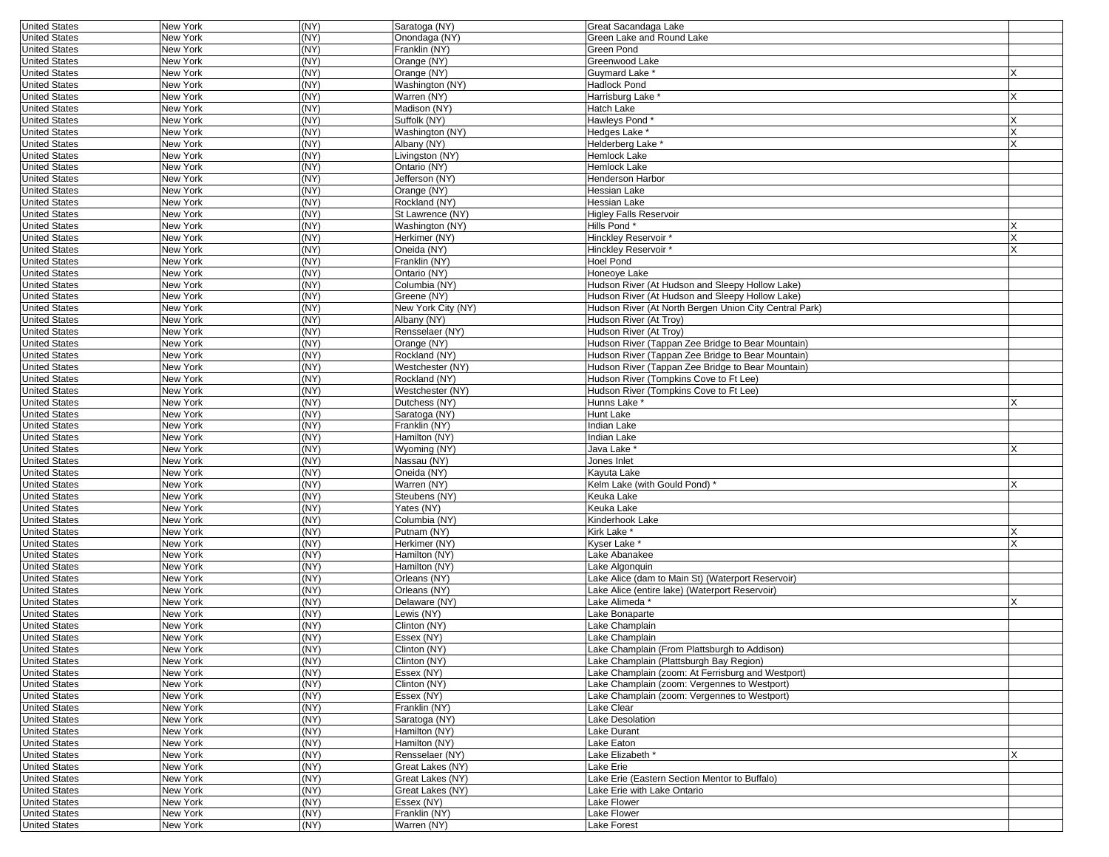| <b>United States</b> | New York        | (NY) | Saratoga (NY)      | Great Sacandaga Lake                                   |   |
|----------------------|-----------------|------|--------------------|--------------------------------------------------------|---|
| <b>United States</b> | New York        | (NY) | Onondaga (NY)      | Green Lake and Round Lake                              |   |
| <b>United States</b> | New York        | (NY) | Franklin (NY)      | Green Pond                                             |   |
| <b>United States</b> | New York        | (NY) | Orange (NY)        | Greenwood Lake                                         |   |
| <b>United States</b> | New York        | (NY) | Orange (NY)        | Guymard Lake*                                          |   |
|                      |                 |      |                    |                                                        |   |
| <b>United States</b> | New York        | (NY) | Washington (NY)    | Hadlock Pond                                           |   |
| <b>United States</b> | New York        | (NY) | Warren (NY)        | Harrisburg Lake <sup>*</sup>                           |   |
| <b>United States</b> | New York        | (NY) | Madison (NY)       | Hatch Lake                                             |   |
| <b>United States</b> | New York        | (NY) | Suffolk (NY)       | Hawleys Pond*                                          |   |
| <b>United States</b> | New York        | (NY) | Washington (NY)    | Hedges Lake                                            |   |
| <b>United States</b> | New York        | (NY) | Albany (NY)        | Helderberg Lake <sup>*</sup>                           |   |
| <b>United States</b> | New York        | (NY) | Livingston (NY)    | Hemlock Lake                                           |   |
| <b>United States</b> | New York        | (NY) | Ontario (NY)       | Hemlock Lake                                           |   |
| <b>United States</b> | New York        | (NY) | Jefferson (NY)     | Henderson Harbor                                       |   |
| <b>United States</b> | New York        | (NY) | Orange (NY)        | Hessian Lake                                           |   |
| <b>United States</b> |                 | (NY) | Rockland (NY)      | Hessian Lake                                           |   |
|                      | New York        |      |                    |                                                        |   |
| <b>United States</b> | New York        | (NY) | St Lawrence (NY)   | <b>Higley Falls Reservoir</b>                          |   |
| <b>United States</b> | New York        | (NY) | Washington (NY)    | Hills Pond*                                            |   |
| <b>United States</b> | New York        | (NY) | Herkimer (NY)      | Hinckley Reservoir*                                    |   |
| <b>United States</b> | New York        | (NY) | Oneida (NY)        | Hinckley Reservoir*                                    |   |
| <b>United States</b> | New York        | (NY) | Franklin (NY)      | <b>Hoel Pond</b>                                       |   |
| <b>United States</b> | New York        | (NY) | Ontario (NY)       | Honeoye Lake                                           |   |
| <b>United States</b> | New York        | (NY) | Columbia (NY)      | Hudson River (At Hudson and Sleepy Hollow Lake)        |   |
| <b>United States</b> | New York        | (NY) | Greene (NY)        | Hudson River (At Hudson and Sleepy Hollow Lake)        |   |
| <b>United States</b> | New York        | (NY) | New York City (NY) | Hudson River (At North Bergen Union City Central Park) |   |
| <b>United States</b> | New York        | (NY) | Albany (NY)        | Hudson River (At Troy)                                 |   |
|                      |                 |      |                    |                                                        |   |
| <b>United States</b> | New York        | (NY) | Rensselaer (NY)    | Hudson River (At Troy)                                 |   |
| <b>United States</b> | New York        | (NY) | Orange (NY)        | Hudson River (Tappan Zee Bridge to Bear Mountain)      |   |
| <b>United States</b> | New York        | (NY) | Rockland (NY)      | Hudson River (Tappan Zee Bridge to Bear Mountain)      |   |
| <b>United States</b> | New York        | (NY) | Westchester (NY)   | Hudson River (Tappan Zee Bridge to Bear Mountain)      |   |
| <b>United States</b> | New York        | (NY) | Rockland (NY)      | Hudson River (Tompkins Cove to Ft Lee)                 |   |
| <b>United States</b> | New York        | (NY) | Westchester (NY)   | Hudson River (Tompkins Cove to Ft Lee)                 |   |
| <b>United States</b> | New York        | (NY) | Dutchess (NY)      | Hunns Lake *                                           |   |
| <b>United States</b> | New York        | (NY) | Saratoga (NY)      | Hunt Lake                                              |   |
| <b>United States</b> | <b>New York</b> | (NY) | Franklin (NY)      | <b>Indian Lake</b>                                     |   |
| <b>United States</b> | New York        | (NY) | Hamilton (NY)      | Indian Lake                                            |   |
|                      |                 |      |                    |                                                        |   |
| <b>United States</b> | New York        | (NY) | Wyoming (NY)       | Java Lake *                                            |   |
| <b>United States</b> | New York        | (NY) | Nassau (NY)        | Jones Inlet                                            |   |
| <b>United States</b> | New York        | (NY) | Oneida (NY)        | Kayuta Lake                                            |   |
| <b>United States</b> | New York        | (NY) | Warren (NY)        | Kelm Lake (with Gould Pond)                            |   |
| <b>United States</b> | New York        | (NY) | Steubens (NY)      | Keuka Lake                                             |   |
| <b>United States</b> | New York        | (NY) | Yates (NY)         | Keuka Lake                                             |   |
| <b>United States</b> | New York        | (NY) | Columbia (NY)      | Kinderhook Lake                                        |   |
| <b>United States</b> | New York        | (NY) | Putnam (NY)        | Kirk Lake *                                            |   |
| <b>United States</b> | New York        | (NY) | Herkimer (NY)      | Kyser Lake <sup>*</sup>                                | X |
| <b>United States</b> | New York        | (NY) | Hamilton (NY)      | Lake Abanakee                                          |   |
|                      |                 | (NY) | Hamilton (NY)      | Lake Algonguin                                         |   |
| <b>United States</b> | New York        |      |                    |                                                        |   |
| <b>United States</b> | New York        | (NY) | Orleans (NY)       | Lake Alice (dam to Main St) (Waterport Reservoir)      |   |
| <b>United States</b> | New York        | (NY) | Orleans (NY)       | Lake Alice (entire lake) (Waterport Reservoir)         |   |
| <b>United States</b> | New York        | (NY) | Delaware (NY)      | Lake Alimeda*                                          |   |
| <b>United States</b> | New York        | (NY) | Lewis (NY)         | Lake Bonaparte                                         |   |
| <b>United States</b> | New York        | (NY) | Clinton (NY)       | Lake Champlain                                         |   |
| <b>United States</b> | New York        | (NY) | Essex (NY)         | Lake Champlain                                         |   |
| United States        | New York        | (NY) | Clinton (NY)       | Lake Champlain (From Plattsburgh to Addison)           |   |
| <b>United States</b> | New York        | (NY) | Clinton (NY)       | Lake Champlain (Plattsburgh Bay Region)                |   |
| <b>United States</b> | New York        | (NY) | Essex (NY)         | Lake Champlain (zoom: At Ferrisburg and Westport)      |   |
| <b>United States</b> | New York        | (NY) | Clinton (NY)       | Lake Champlain (zoom: Vergennes to Westport)           |   |
|                      |                 |      |                    |                                                        |   |
| <b>United States</b> | New York        | (NY) | Essex (NY)         | Lake Champlain (zoom: Vergennes to Westport)           |   |
| <b>United States</b> | New York        | (NY) | Franklin (NY)      | Lake Clear                                             |   |
| <b>United States</b> | New York        | (NY) | Saratoga (NY)      | Lake Desolation                                        |   |
| <b>United States</b> | New York        | (NY) | Hamilton (NY)      | Lake Durant                                            |   |
| <b>United States</b> | New York        | (NY) | Hamilton (NY)      | Lake Eaton                                             |   |
| <b>United States</b> | New York        | (NY) | Rensselaer (NY)    | Lake Elizabeth *                                       | X |
| <b>United States</b> | New York        | (NY) | Great Lakes (NY)   | Lake Erie                                              |   |
| <b>United States</b> | New York        | (NY) | Great Lakes (NY)   | Lake Erie (Eastern Section Mentor to Buffalo)          |   |
| <b>United States</b> | New York        | (NY) | Great Lakes (NY)   | Lake Erie with Lake Ontario                            |   |
| <b>United States</b> | New York        | (NY) | Essex (NY)         | Lake Flower                                            |   |
| <b>United States</b> | New York        | (NY) | Franklin (NY)      | Lake Flower                                            |   |
|                      |                 |      |                    |                                                        |   |
| <b>United States</b> | New York        | (NY) | Warren (NY)        | Lake Forest                                            |   |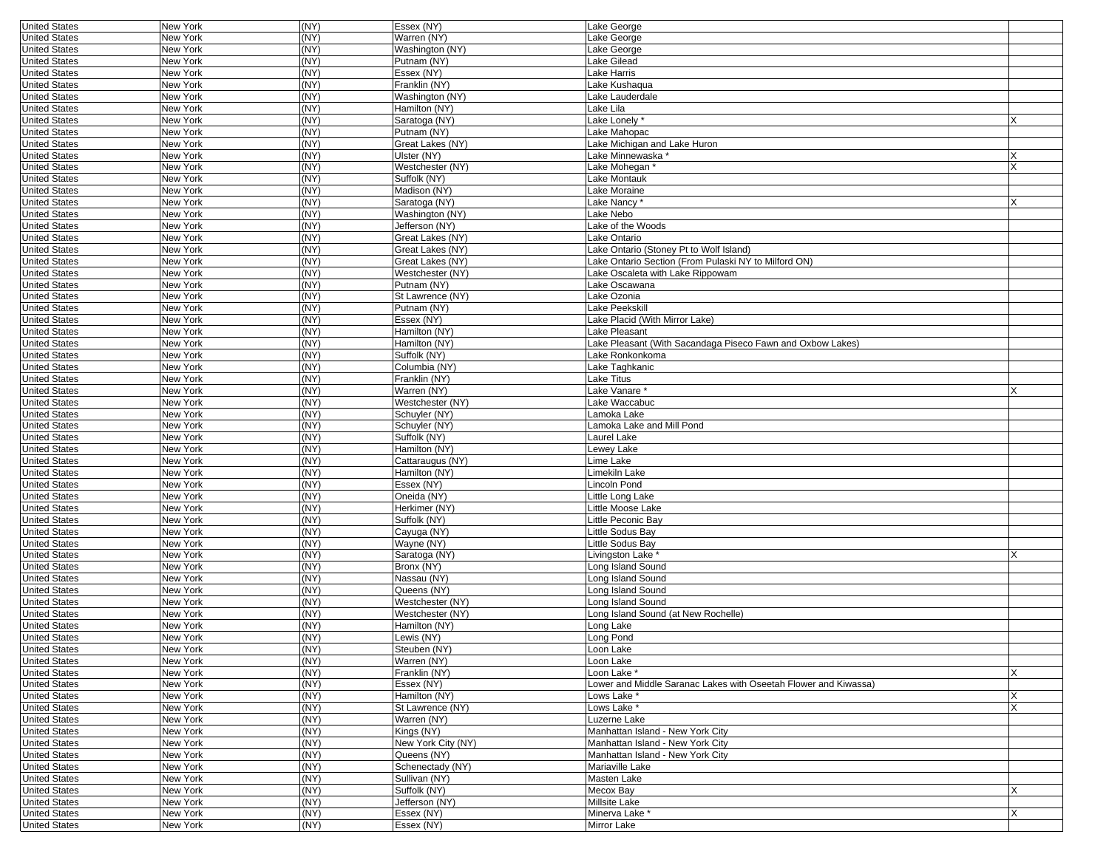| <b>United States</b> | <b>New York</b> | (NY) | Essex (NY)         | Lake George                                                     |   |
|----------------------|-----------------|------|--------------------|-----------------------------------------------------------------|---|
| <b>United States</b> | New York        | (NY) | Warren (NY)        | Lake George                                                     |   |
| <b>United States</b> | New York        | (NY) | Washington (NY)    | Lake George                                                     |   |
| <b>United States</b> | New York        | (NY) | Putnam (NY)        | Lake Gilead                                                     |   |
| <b>United States</b> | New York        | (NY) | Essex (NY)         | Lake Harris                                                     |   |
| <b>United States</b> | New York        | (NY) | Franklin (NY)      | Lake Kushaqua                                                   |   |
| <b>United States</b> | New York        | (NY) | Washington (NY)    | Lake Lauderdale                                                 |   |
| <b>United States</b> | New York        | (NY) | Hamilton (NY)      | Lake Lila                                                       |   |
| <b>United States</b> | New York        | (NY) | Saratoga (NY)      | Lake Lonely*                                                    |   |
| <b>United States</b> | New York        | (NY) | Putnam (NY)        | Lake Mahopac                                                    |   |
| <b>United States</b> | <b>New York</b> | (NY) | Great Lakes (NY)   | Lake Michigan and Lake Huron                                    |   |
|                      |                 | (NY) |                    |                                                                 |   |
| <b>United States</b> | New York        |      | Ulster (NY)        | Lake Minnewaska *                                               | x |
| <b>United States</b> | New York        | (NY) | Westchester (NY)   | Lake Mohegan*                                                   | X |
| <b>United States</b> | New York        | (NY) | Suffolk (NY)       | Lake Montauk                                                    |   |
| <b>United States</b> | New York        | (NY) | Madison (NY)       | Lake Moraine                                                    |   |
| <b>United States</b> | New York        | (NY) | Saratoga (NY)      | Lake Nancy*                                                     | X |
| <b>United States</b> | New York        | (NY) | Washington (NY)    | Lake Nebo                                                       |   |
| <b>United States</b> | New York        | (NY) | Jefferson (NY)     | Lake of the Woods                                               |   |
| <b>United States</b> | New York        | (NY) | Great Lakes (NY)   | Lake Ontario                                                    |   |
| <b>United States</b> | New York        | (NY) | Great Lakes (NY)   | Lake Ontario (Stoney Pt to Wolf Island)                         |   |
| <b>United States</b> | New York        | (NY) | Great Lakes (NY)   | Lake Ontario Section (From Pulaski NY to Milford ON)            |   |
| <b>United States</b> | New York        | (NY) | Westchester (NY)   | Lake Oscaleta with Lake Rippowam                                |   |
| <b>United States</b> | New York        | (NY) | Putnam (NY)        | Lake Oscawana                                                   |   |
| <b>United States</b> | New York        | (NY) | St Lawrence (NY)   | Lake Ozonia                                                     |   |
| <b>United States</b> | New York        | (NY) | Putnam (NY)        | <b>Lake Peekskill</b>                                           |   |
| <b>United States</b> | New York        | (NY) | Essex (NY)         | Lake Placid (With Mirror Lake)                                  |   |
| <b>United States</b> | New York        | (NY) | Hamilton (NY)      | Lake Pleasant                                                   |   |
| <b>United States</b> | New York        | (NY) | Hamilton (NY)      | Lake Pleasant (With Sacandaga Piseco Fawn and Oxbow Lakes)      |   |
| <b>United States</b> | New York        | (NY) | Suffolk (NY)       | Lake Ronkonkoma                                                 |   |
|                      |                 | (NY) |                    |                                                                 |   |
| <b>United States</b> | New York        |      | Columbia (NY)      | Lake Taghkanic<br>Lake Titus                                    |   |
| <b>United States</b> | <b>New York</b> | (NY) | Franklin (NY)      |                                                                 |   |
| <b>United States</b> | New York        | (NY) | Warren (NY)        | Lake Vanare                                                     | x |
| <b>United States</b> | New York        | (NY) | Westchester (NY)   | Lake Waccabuc                                                   |   |
| <b>United States</b> | New York        | (NY) | Schuyler (NY)      | Lamoka Lake                                                     |   |
| <b>United States</b> | New York        | (NY) | Schuyler (NY)      | amoka Lake and Mill Pond                                        |   |
| <b>United States</b> | New York        | (NY) | Suffolk (NY)       | Laurel Lake                                                     |   |
| <b>United States</b> | New York        | (NY) | Hamilton (NY)      | Lewey Lake                                                      |   |
| <b>United States</b> | New York        | (NY) | Cattaraugus (NY)   | Lime Lake                                                       |   |
| <b>United States</b> | <b>New York</b> | (NY) | Hamilton (NY)      | Limekiln Lake                                                   |   |
| <b>United States</b> | New York        | (NY) | Essex (NY)         | Lincoln Pond                                                    |   |
| <b>United States</b> | New York        | (NY) | Oneida (NY)        | Little Long Lake                                                |   |
| <b>United States</b> | <b>New York</b> | (NY) | Herkimer (NY)      | Little Moose Lake                                               |   |
| <b>United States</b> | New York        | (NY) | Suffolk (NY)       | Little Peconic Bay                                              |   |
| <b>United States</b> | <b>New York</b> | (NY) | Cayuga (NY)        | Little Sodus Bay                                                |   |
| <b>United States</b> | New York        | (NY) | Wayne (NY)         | Little Sodus Bay                                                |   |
| <b>United States</b> | New York        | (NY) | Saratoga (NY)      | Livingston Lake *                                               | X |
| <b>United States</b> | New York        | (NY) | Bronx (NY)         | Long Island Sound                                               |   |
| <b>United States</b> | New York        | (NY) | Nassau (NY)        | Long Island Sound                                               |   |
| <b>United States</b> | New York        | (NY) | Queens (NY)        | Long Island Sound                                               |   |
| <b>United States</b> | New York        | (NY) | Westchester (NY)   | ong Island Sound                                                |   |
| <b>United States</b> | New York        | (NY) | Westchester (NY)   | ong Island Sound (at New Rochelle)                              |   |
| <b>United States</b> | New York        | (NY) | Hamilton (NY)      |                                                                 |   |
| <b>United States</b> | New York        | (NY) | Lewis (NY)         | _ong Lake<br>ong Pond                                           |   |
|                      |                 |      |                    |                                                                 |   |
| United States        | New York        | (NY) | Steuben (NY)       | Loon Lake                                                       |   |
| <b>United States</b> | New York        | (NY) | Warren (NY)        | Loon Lake                                                       |   |
| <b>United States</b> | New York        | (NY) | Franklin (NY)      | Loon Lake *                                                     | X |
| <b>United States</b> | New York        | (NY) | Essex (NY)         | Lower and Middle Saranac Lakes with Oseetah Flower and Kiwassa) |   |
| <b>United States</b> | New York        | (NY) | Hamilton (NY)      | Lows Lake *                                                     | X |
| <b>United States</b> | New York        | (NY) | St Lawrence (NY)   | Lows Lake *                                                     | X |
| <b>United States</b> | New York        | (NY) | Warren (NY)        | Luzerne Lake                                                    |   |
| <b>United States</b> | New York        | (NY) | Kings (NY)         | Manhattan Island - New York City                                |   |
| <b>United States</b> | New York        | (NY) | New York City (NY) | Manhattan Island - New York City                                |   |
| <b>United States</b> | New York        | (NY) | Queens (NY)        | Manhattan Island - New York City                                |   |
| <b>United States</b> | New York        | (NY) | Schenectady (NY)   | Mariaville Lake                                                 |   |
| <b>United States</b> | New York        | (NY) | Sullivan (NY)      | Masten Lake                                                     |   |
| <b>United States</b> | New York        | (NY) | Suffolk (NY)       | Mecox Bay                                                       | X |
| <b>United States</b> | New York        | (NY) | Jefferson (NY)     | Millsite Lake                                                   |   |
| <b>United States</b> | New York        | (NY) | Essex (NY)         | Minerva Lake *                                                  | X |
| <b>United States</b> |                 | (NY) |                    | Mirror Lake                                                     |   |
|                      | New York        |      | Essex (NY)         |                                                                 |   |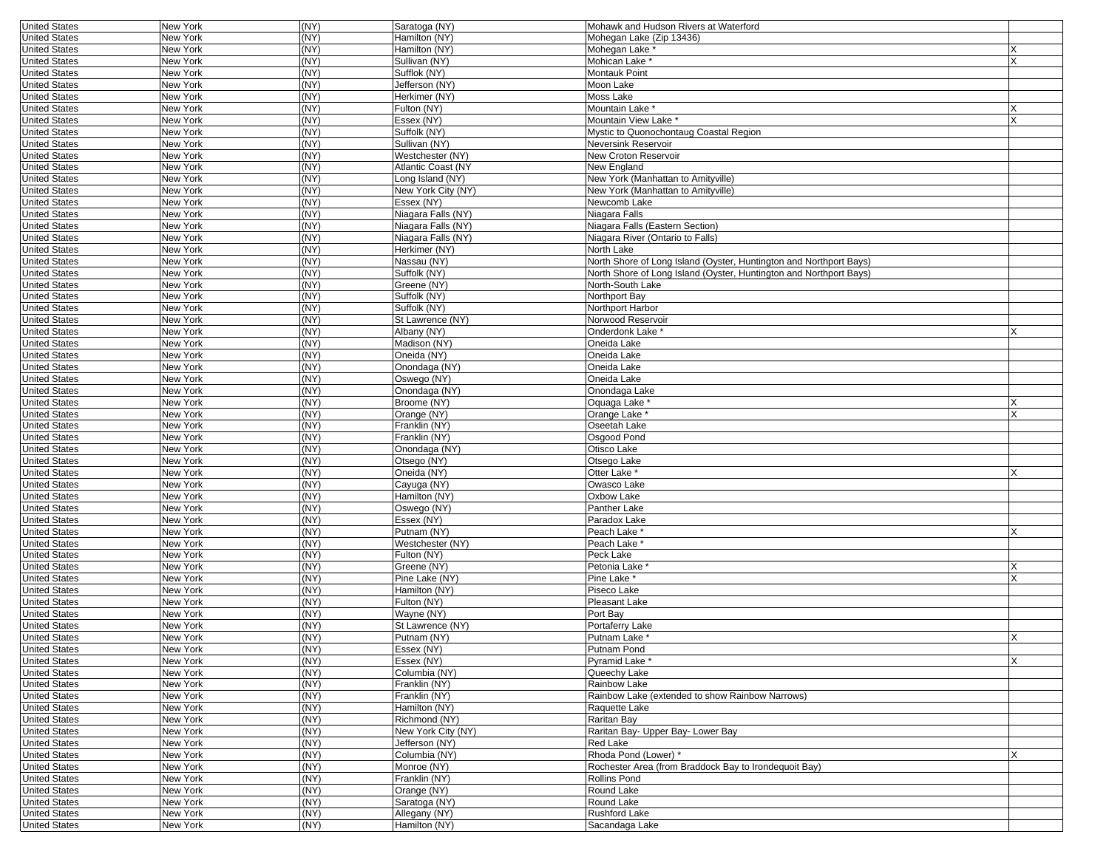| <b>United States</b>                         | New York             | (NY)         | Saratoga (NY)                                 | Mohawk and Hudson Rivers at Waterford                              |        |
|----------------------------------------------|----------------------|--------------|-----------------------------------------------|--------------------------------------------------------------------|--------|
| <b>United States</b>                         | New York             | (NY)         | Hamilton (NY)                                 | Mohegan Lake (Zip 13436)                                           |        |
| <b>United States</b>                         | New York             | (NY)         | Hamilton (NY)                                 | Mohegan Lake *                                                     |        |
| <b>United States</b>                         | New York             | (NY)         | Sullivan (NY)                                 | Mohican Lake <sup>*</sup>                                          | X      |
| <b>United States</b>                         | New York             | (NY)         | Sufflok (NY)                                  | Montauk Point                                                      |        |
| <b>United States</b>                         | New York             | (NY)         | Jefferson (NY)                                | Moon Lake                                                          |        |
| <b>United States</b>                         | New York             | (NY)         | Herkimer (NY)                                 | Moss Lake                                                          |        |
| <b>United States</b>                         | New York             | (NY)         | Fulton (NY)                                   | Mountain Lake *                                                    |        |
| <b>United States</b>                         | New York             | (NY)         | Essex (NY)                                    | Mountain View Lake *                                               |        |
| <b>United States</b><br><b>United States</b> | New York<br>New York | (NY)<br>(NY) | Suffolk (NY)<br>Sullivan (NY)                 | Mystic to Quonochontaug Coastal Region<br>Neversink Reservoir      |        |
|                                              |                      | (NY)         |                                               |                                                                    |        |
| <b>United States</b><br><b>United States</b> | New York<br>New York | (NY)         | Westchester (NY)<br><b>Atlantic Coast (NY</b> | New Croton Reservoir<br>New England                                |        |
| <b>United States</b>                         | New York             | (NY)         | Long Island (NY)                              | New York (Manhattan to Amityville)                                 |        |
| <b>United States</b>                         | New York             | (NY)         | New York City (NY)                            | New York (Manhattan to Amityville)                                 |        |
| <b>United States</b>                         | New York             | (NY)         | Essex (NY)                                    | Newcomb Lake                                                       |        |
| <b>United States</b>                         | New York             | (NY)         | Niagara Falls (NY)                            | Niagara Falls                                                      |        |
| <b>United States</b>                         | New York             | (NY)         | Niagara Falls (NY)                            | Niagara Falls (Eastern Section)                                    |        |
| <b>United States</b>                         | New York             | (NY)         | Niagara Falls (NY)                            | Niagara River (Ontario to Falls)                                   |        |
| <b>United States</b>                         | New York             | (NY)         | Herkimer (NY)                                 | North Lake                                                         |        |
| <b>United States</b>                         | New York             | (NY)         | Nassau (NY)                                   | North Shore of Long Island (Oyster, Huntington and Northport Bays) |        |
| <b>United States</b>                         | New York             | (NY)         | Suffolk (NY)                                  | North Shore of Long Island (Oyster, Huntington and Northport Bays) |        |
| <b>United States</b>                         | New York             | (NY)         | Greene (NY)                                   | North-South Lake                                                   |        |
| <b>United States</b>                         | New York             | (NY)         | Suffolk (NY)                                  | Northport Bay                                                      |        |
| <b>United States</b>                         | New York             | (NY)         | Suffolk (NY)                                  | Northport Harbor                                                   |        |
| <b>United States</b>                         | New York             | (NY)         | St Lawrence (NY)                              | Norwood Reservoir                                                  |        |
| <b>United States</b>                         | New York             | (NY)         | Albany (NY)                                   | Onderdonk Lake *                                                   |        |
| <b>United States</b>                         | New York             | (NY)         | Madison (NY)                                  | Oneida Lake                                                        |        |
| <b>United States</b>                         | New York             | (NY)         | Oneida (NY)                                   | Oneida Lake                                                        |        |
| <b>United States</b>                         | New York             | (NY)         | Onondaga (NY)                                 | Oneida Lake                                                        |        |
| <b>United States</b>                         | New York             | (NY)         | Oswego (NY)                                   | Oneida Lake                                                        |        |
| <b>United States</b>                         | New York             | (NY)         | Onondaga (NY)                                 | Onondaga Lake                                                      |        |
| <b>United States</b>                         | New York             | (NY)         | Broome (NY)                                   | Oquaga Lake *                                                      | X      |
| <b>United States</b>                         | New York             | (NY)         | Orange (NY)                                   | Orange Lake '                                                      |        |
| <b>United States</b>                         | New York             | (NY)         | Franklin (NY)                                 | Oseetah Lake                                                       |        |
| <b>United States</b>                         | New York             | (NY)         | Franklin (NY)                                 | Osgood Pond                                                        |        |
| <b>United States</b>                         | New York             | (NY)         | Onondaga (NY)                                 | Otisco Lake                                                        |        |
| <b>United States</b>                         | New York             | (NY)         | Otsego (NY)                                   | Otsego Lake                                                        |        |
| <b>United States</b>                         | New York             | (NY)         | Oneida (NY)                                   | Otter Lake *                                                       |        |
| <b>United States</b>                         | New York             | (NY)         | Cayuga (NY)                                   | Owasco Lake                                                        |        |
| <b>United States</b>                         | New York             | (NY)         | Hamilton (NY)                                 | Oxbow Lake                                                         |        |
| <b>United States</b>                         | New York             | (NY)         | Oswego (NY)                                   | Panther Lake                                                       |        |
| <b>United States</b>                         | New York             | (NY)         | Essex (NY)                                    | Paradox Lake                                                       |        |
| <b>United States</b>                         | New York             | (NY)         | Putnam (NY)                                   | Peach Lake *                                                       |        |
| <b>United States</b>                         | New York             | (NY)         | Westchester (NY)                              | Peach Lake *                                                       |        |
| <b>United States</b>                         | New York             | (NY)<br>(NY) | Fulton (NY)                                   | Peck Lake<br>Petonia Lake <sup>*</sup>                             |        |
| <b>United States</b><br><b>United States</b> | New York<br>New York | (NY)         | Greene (NY)<br>Pine Lake (NY)                 | Pine Lake *                                                        | X<br>X |
|                                              |                      | (NY)         |                                               |                                                                    |        |
| <b>United States</b><br><b>United States</b> | New York<br>New York | (NY)         | Hamilton (NY)<br>Fulton (NY)                  | Piseco Lake<br>Pleasant Lake                                       |        |
| <b>United States</b>                         | New York             | (NY)         | Wayne (NY)                                    | Port Bay                                                           |        |
| <b>United States</b>                         | New York             | (NY)         | St Lawrence (NY)                              | Portaferry Lake                                                    |        |
| <b>United States</b>                         | New York             | (NY)         | Putnam (NY)                                   | Putnam Lake *                                                      | X      |
| United States                                | New York             | (NY)         | ESSex (NY)                                    | Putnam Pond                                                        |        |
| <b>United States</b>                         | New York             | (NY)         | Essex (NY)                                    | Pyramid Lake *                                                     | X      |
| <b>United States</b>                         | New York             | (NY)         | Columbia (NY)                                 | Queechy Lake                                                       |        |
| <b>United States</b>                         | New York             | (NY)         | Franklin (NY)                                 | Rainbow Lake                                                       |        |
| <b>United States</b>                         | New York             | (NY)         | Franklin (NY)                                 | Rainbow Lake (extended to show Rainbow Narrows)                    |        |
| <b>United States</b>                         | New York             | (NY)         | Hamilton (NY)                                 | Raquette Lake                                                      |        |
| <b>United States</b>                         | New York             | (NY)         | Richmond (NY)                                 | Raritan Bay                                                        |        |
| <b>United States</b>                         | New York             | (NY)         | New York City (NY)                            | Raritan Bay- Upper Bay- Lower Bay                                  |        |
| <b>United States</b>                         | New York             | (NY)         | Jefferson (NY)                                | Red Lake                                                           |        |
| <b>United States</b>                         | New York             | (NY)         | Columbia (NY)                                 | Rhoda Pond (Lower) *                                               | X      |
| <b>United States</b>                         | New York             | (NY)         | Monroe (NY)                                   | Rochester Area (from Braddock Bay to Irondequoit Bay)              |        |
| <b>United States</b>                         | New York             | (NY)         | Franklin (NY)                                 | Rollins Pond                                                       |        |
| <b>United States</b>                         | New York             | (NY)         | Orange (NY)                                   | Round Lake                                                         |        |
| <b>United States</b>                         | New York             | (NY)         | Saratoga (NY)                                 | Round Lake                                                         |        |
| <b>United States</b>                         | New York             | (NY)         | Allegany (NY)                                 | Rushford Lake                                                      |        |
| <b>United States</b>                         | New York             | (NY)         | Hamilton (NY)                                 | Sacandaga Lake                                                     |        |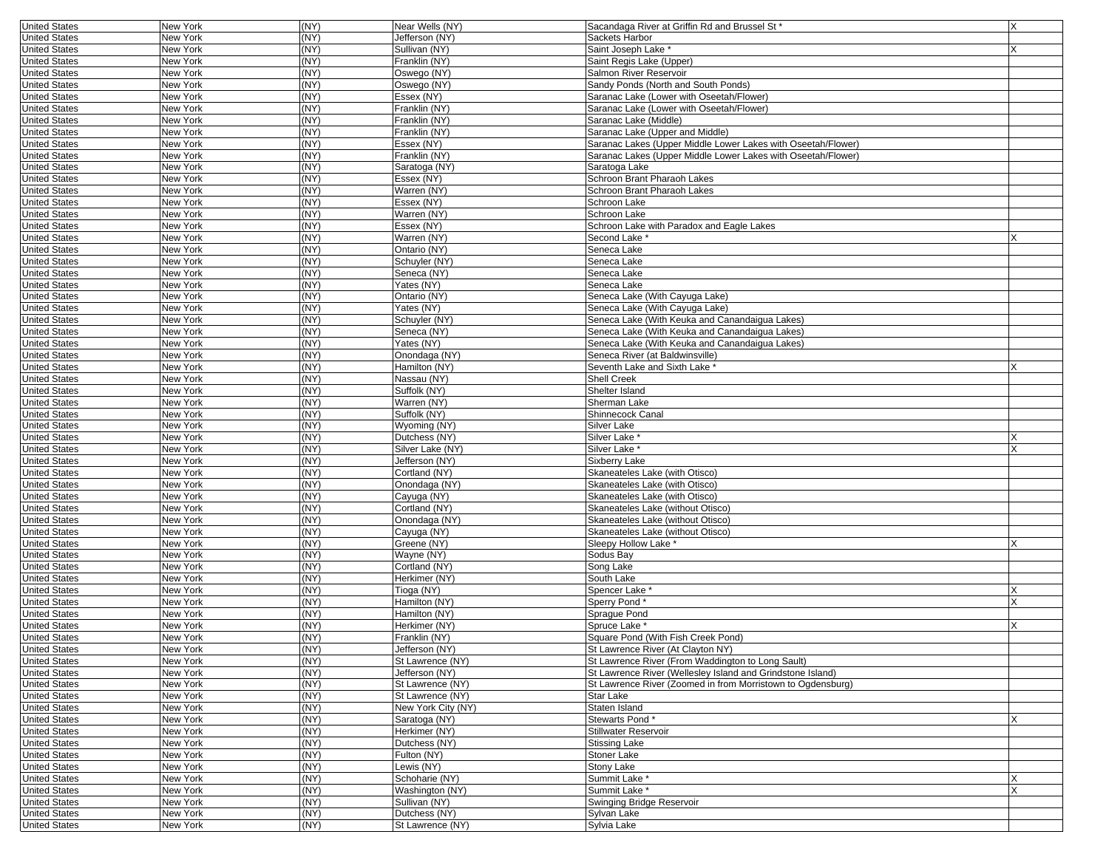| <b>United States</b>                         | New York | (NY) | Near Wells (NY)                | Sacandaga River at Griffin Rd and Brussel St *                   | X |
|----------------------------------------------|----------|------|--------------------------------|------------------------------------------------------------------|---|
| <b>United States</b>                         | New York | (NY) | Jefferson (NY)                 | Sackets Harbor                                                   |   |
| <b>United States</b>                         | New York | (NY) | Sullivan (NY)                  | Saint Joseph Lake *                                              |   |
| <b>United States</b>                         | New York | (NY) | Franklin (NY)                  | Saint Regis Lake (Upper)                                         |   |
| <b>United States</b>                         | New York | (NY) | Oswego (NY)                    | Salmon River Reservoir                                           |   |
| <b>United States</b>                         | New York | (NY) | Oswego (NY)                    | Sandy Ponds (North and South Ponds)                              |   |
| <b>United States</b>                         | New York | (NY) | Essex (NY)                     | Saranac Lake (Lower with Oseetah/Flower)                         |   |
| <b>United States</b>                         | New York | (NY) | Franklin (NY)                  | Saranac Lake (Lower with Oseetah/Flower)                         |   |
| <b>United States</b>                         | New York | (NY) | Franklin (NY)                  | Saranac Lake (Middle)                                            |   |
| <b>United States</b>                         | New York | (NY) | Franklin (NY)                  | Saranac Lake (Upper and Middle)                                  |   |
| <b>United States</b>                         | New York | (NY) | Essex (NY)                     | Saranac Lakes (Upper Middle Lower Lakes with Oseetah/Flower)     |   |
| <b>United States</b>                         | New York | (NY) | Franklin (NY)                  | Saranac Lakes (Upper Middle Lower Lakes with Oseetah/Flower)     |   |
| <b>United States</b>                         | New York | (NY) | Saratoga (NY)                  | Saratoga Lake                                                    |   |
| <b>United States</b>                         | New York | (NY) | Essex (NY)                     | Schroon Brant Pharaoh Lakes                                      |   |
| <b>United States</b>                         | New York | (NY) | Warren (NY)                    | Schroon Brant Pharaoh Lakes                                      |   |
| <b>United States</b>                         | New York | (NY) | Essex (NY)                     | Schroon Lake                                                     |   |
| <b>United States</b>                         | New York | (NY) | Warren (NY)                    | Schroon Lake                                                     |   |
| <b>United States</b>                         | New York | (NY) | Essex (NY)                     | Schroon Lake with Paradox and Eagle Lakes                        |   |
| <b>United States</b>                         | New York | (NY) | Warren (NY)                    | Second Lake                                                      |   |
| <b>United States</b>                         | New York | (NY) | Ontario (NY)                   | Seneca Lake                                                      |   |
| <b>United States</b>                         | New York | (NY) | Schuyler (NY)                  | Seneca Lake                                                      |   |
| <b>United States</b>                         | New York | (NY) | Seneca (NY)                    | Seneca Lake                                                      |   |
| <b>United States</b>                         | New York | (NY) | Yates (NY)                     | Seneca Lake                                                      |   |
| <b>United States</b>                         | New York | (NY) | Ontario (NY)                   | Seneca Lake (With Cayuga Lake)                                   |   |
| <b>United States</b>                         | New York | (NY) | Yates (NY)                     | Seneca Lake (With Cayuga Lake)                                   |   |
| <b>United States</b>                         | New York | (NY) | Schuyler (NY)                  | Seneca Lake (With Keuka and Canandaigua Lakes)                   |   |
| <b>United States</b>                         | New York | (NY) | Seneca (NY)                    | Seneca Lake (With Keuka and Canandaigua Lakes)                   |   |
| <b>United States</b>                         | New York | (NY) | Yates (NY)                     | Seneca Lake (With Keuka and Canandaigua Lakes)                   |   |
| <b>United States</b>                         | New York | (NY) | Onondaga (NY)                  | Seneca River (at Baldwinsville)                                  |   |
| <b>United States</b>                         | New York | (NY) | Hamilton (NY)                  | Seventh Lake and Sixth Lake '                                    |   |
| <b>United States</b>                         | New York | (NY) | Nassau (NY)                    | <b>Shell Creek</b>                                               |   |
| <b>United States</b>                         | New York | (NY) | Suffolk (NY)                   | Shelter Island                                                   |   |
| <b>United States</b>                         | New York | (NY) | Warren (NY)                    | Sherman Lake                                                     |   |
| <b>United States</b>                         | New York | (NY) | Suffolk (NY)                   | Shinnecock Canal                                                 |   |
| <b>United States</b>                         | New York | (NY) | Wyoming (NY)                   | <b>Silver Lake</b>                                               |   |
| <b>United States</b>                         | New York | (NY) | Dutchess (NY)                  | Silver Lake *                                                    |   |
| <b>United States</b>                         | New York | (NY) | Silver Lake (NY)               | Silver Lake *                                                    |   |
| <b>United States</b>                         | New York | (NY) | Jefferson (NY)                 | Sixberry Lake                                                    |   |
|                                              | New York | (NY) |                                |                                                                  |   |
| <b>United States</b><br><b>United States</b> | New York | (NY) | Cortland (NY)<br>Onondaga (NY) | Skaneateles Lake (with Otisco)<br>Skaneateles Lake (with Otisco) |   |
| <b>United States</b>                         | New York | (NY) | Cayuga (NY)                    | Skaneateles Lake (with Otisco)                                   |   |
| <b>United States</b>                         | New York | (NY) | Cortland (NY)                  |                                                                  |   |
|                                              |          | (NY) |                                | Skaneateles Lake (without Otisco)                                |   |
| <b>United States</b>                         | New York | (NY) | Onondaga (NY)                  | Skaneateles Lake (without Otisco)                                |   |
| <b>United States</b>                         | New York | (NY) | Cayuga (NY)                    | Skaneateles Lake (without Otisco)                                |   |
| <b>United States</b>                         | New York |      | Greene (NY)                    | Sleepy Hollow Lake                                               |   |
| <b>United States</b>                         | New York | (NY) | Wayne (NY)                     | Sodus Bay                                                        |   |
| <b>United States</b>                         | New York | (NY) | Cortland (NY)                  | Song Lake                                                        |   |
| <b>United States</b>                         | New York | (NY) | Herkimer (NY)                  | South Lake                                                       |   |
| <b>United States</b>                         | New York | (NY) | Tioga (NY)                     | Spencer Lake <sup>*</sup>                                        |   |
| <b>United States</b>                         | New York | (NY) | Hamilton (NY)                  | Sperry Pond*                                                     |   |
| <b>United States</b>                         | New York | (NY) | Hamilton (NY)                  | Sprague Pond                                                     |   |
| <b>United States</b>                         | New York | (NY) | Herkimer (NY)                  | Spruce Lake *                                                    |   |
| <b>United States</b>                         | New York | (NY) | Franklin (NY)                  | Square Pond (With Fish Creek Pond)                               |   |
| United States                                | New York | (NY) | Jefferson (NY)                 | St Lawrence River (At Clayton NY)                                |   |
| <b>United States</b>                         | New York | (NY) | St Lawrence (NY)               | St Lawrence River (From Waddington to Long Sault)                |   |
| <b>United States</b>                         | New York | (NY) | Jefferson (NY)                 | St Lawrence River (Wellesley Island and Grindstone Island)       |   |
| <b>United States</b>                         | New York | (NY) | St Lawrence (NY)               | St Lawrence River (Zoomed in from Morristown to Ogdensburg)      |   |
| <b>United States</b>                         | New York | (NY) | St Lawrence (NY)               | Star Lake                                                        |   |
| <b>United States</b>                         | New York | (NY) | New York City (NY)             | Staten Island                                                    |   |
| <b>United States</b>                         | New York | (NY) | Saratoga (NY)                  | Stewarts Pond*                                                   |   |
| <b>United States</b>                         | New York | (NY) | Herkimer (NY)                  | Stillwater Reservoir                                             |   |
| <b>United States</b>                         | New York | (NY) | Dutchess (NY)                  | <b>Stissing Lake</b>                                             |   |
| <b>United States</b>                         | New York | (NY) | Fulton (NY)                    | Stoner Lake                                                      |   |
| <b>United States</b>                         | New York | (NY) | Lewis (NY)                     | Stony Lake                                                       |   |
| <b>United States</b>                         | New York | (NY) | Schoharie (NY)                 | Summit Lake *                                                    |   |
| <b>United States</b>                         | New York | (NY) | Washington (NY)                | Summit Lake *                                                    |   |
| <b>United States</b>                         | New York | (NY) | Sullivan (NY)                  | Swinging Bridge Reservoir                                        |   |
| <b>United States</b>                         | New York | (NY) | Dutchess (NY)                  | Sylvan Lake                                                      |   |
| <b>United States</b>                         | New York | (NY) | St Lawrence (NY)               | Sylvia Lake                                                      |   |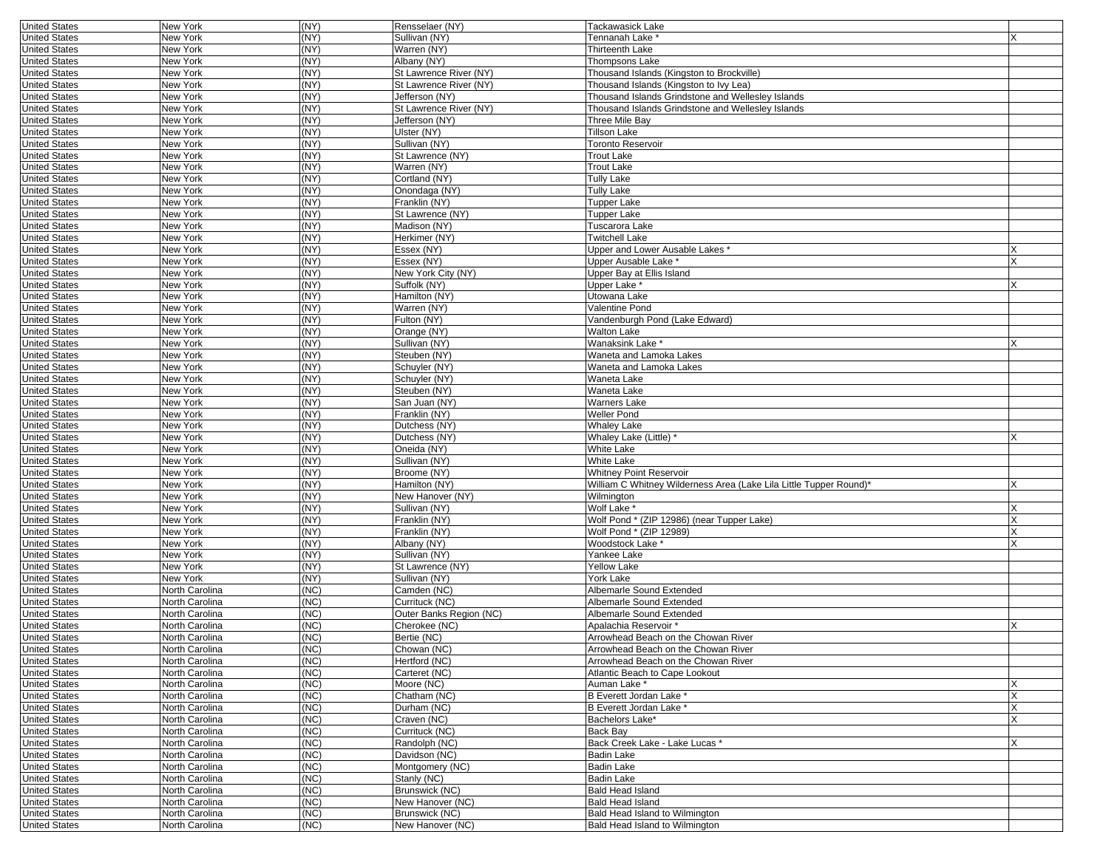| <b>United States</b> | <b>New York</b> | (NY) | Rensselaer (NY)         | Tackawasick Lake                                                   |   |
|----------------------|-----------------|------|-------------------------|--------------------------------------------------------------------|---|
| <b>United States</b> | New York        | (NY) | Sullivan (NY)           | Tennanah Lake *                                                    | X |
| <b>United States</b> | New York        | (NY) | Warren (NY)             | Thirteenth Lake                                                    |   |
| <b>United States</b> | New York        | (NY) | Albany (NY)             | <b>Thompsons Lake</b>                                              |   |
| <b>United States</b> | New York        | (NY) | St Lawrence River (NY)  | Thousand Islands (Kingston to Brockville)                          |   |
| <b>United States</b> | New York        | (NY) | St Lawrence River (NY)  | Thousand Islands (Kingston to Ivy Lea)                             |   |
| <b>United States</b> | New York        | (NY) | Jefferson (NY)          | Thousand Islands Grindstone and Wellesley Islands                  |   |
| <b>United States</b> | New York        | (NY) | St Lawrence River (NY)  | Thousand Islands Grindstone and Wellesley Islands                  |   |
| <b>United States</b> | New York        | (NY) | Jefferson (NY)          | Three Mile Bay                                                     |   |
| <b>United States</b> | New York        | (NY) | Ulster (NY)             | Tillson Lake                                                       |   |
| <b>United States</b> | New York        | (NY) | Sullivan (NY)           | Toronto Reservoir                                                  |   |
| <b>United States</b> | New York        | (NY) | St Lawrence (NY)        | <b>Trout Lake</b>                                                  |   |
| <b>United States</b> | New York        | (NY) | Warren (NY)             | Trout Lake                                                         |   |
| <b>United States</b> | New York        | (NY) | Cortland (NY)           | <b>Tully Lake</b>                                                  |   |
| <b>United States</b> | New York        | (NY) | Onondaga (NY)           | Tully Lake                                                         |   |
| <b>United States</b> | New York        | (NY) | Franklin (NY)           | Tupper Lake                                                        |   |
| <b>United States</b> | New York        | (NY) | St Lawrence (NY)        | Tupper Lake                                                        |   |
| <b>United States</b> | New York        | (NY) | Madison (NY)            | Tuscarora Lake                                                     |   |
| <b>United States</b> | New York        | (NY) | Herkimer (NY)           | <b>Twitchell Lake</b>                                              |   |
| <b>United States</b> | New York        | (NY) | Essex (NY)              | Upper and Lower Ausable Lakes *                                    |   |
| <b>United States</b> | New York        | (NY) | Essex (NY)              | Upper Ausable Lake *                                               | X |
| <b>United States</b> | New York        | (NY) | New York City (NY)      | Upper Bay at Ellis Island                                          |   |
| <b>United States</b> | New York        | (NY) | Suffolk (NY)            | Upper Lake *                                                       | X |
| <b>United States</b> | New York        | (NY) | Hamilton (NY)           | Utowana Lake                                                       |   |
| <b>United States</b> | New York        | (NY) | Warren (NY)             | Valentine Pond                                                     |   |
| <b>United States</b> | New York        | (NY) | Fulton (NY)             | Vandenburgh Pond (Lake Edward)                                     |   |
| <b>United States</b> | New York        | (NY) | Orange (NY)             | <b>Walton Lake</b>                                                 |   |
| <b>United States</b> | New York        | (NY) | Sullivan (NY)           | Wanaksink Lake *                                                   | X |
| <b>United States</b> | New York        | (NY) | Steuben (NY)            | Waneta and Lamoka Lakes                                            |   |
| <b>United States</b> | New York        | (NY) | Schuyler (NY)           | Waneta and Lamoka Lakes                                            |   |
| <b>United States</b> | New York        | (NY) | Schuyler (NY)           | Waneta Lake                                                        |   |
| <b>United States</b> | New York        | (NY) | Steuben (NY)            | Waneta Lake                                                        |   |
| <b>United States</b> | New York        | (NY) | San Juan (NY)           | Warners Lake                                                       |   |
| <b>United States</b> | New York        | (NY) | Franklin (NY)           | Weller Pond                                                        |   |
| <b>United States</b> | New York        | (NY) | Dutchess (NY)           | Whaley Lake                                                        |   |
| <b>United States</b> | New York        | (NY) | Dutchess (NY)           | Whaley Lake (Little) *                                             |   |
| <b>United States</b> | New York        | (NY) | Oneida (NY)             | White Lake                                                         |   |
| <b>United States</b> | New York        | (NY) | Sullivan (NY)           | White Lake                                                         |   |
| <b>United States</b> | New York        | (NY) | Broome (NY)             | Whitney Point Reservoir                                            |   |
| <b>United States</b> | New York        | (NY) | Hamilton (NY)           | William C Whitney Wilderness Area (Lake Lila Little Tupper Round)* |   |
| <b>United States</b> | New York        | (NY) | New Hanover (NY)        | Wilmington                                                         |   |
| <b>United States</b> | New York        | (NY) | Sullivan (NY)           | Wolf Lake *                                                        |   |
| <b>United States</b> | New York        | (NY) | Franklin (NY)           | Wolf Pond * (ZIP 12986) (near Tupper Lake)                         | X |
| <b>United States</b> | New York        | (NY) | Franklin (NY)           | Wolf Pond * (ZIP 12989)                                            | X |
| <b>United States</b> | New York        | (NY) | Albany (NY)             | Woodstock Lake '                                                   |   |
| <b>United States</b> | New York        | (NY) | Sullivan (NY)           | Yankee Lake                                                        |   |
| <b>United States</b> | New York        | (NY) | St Lawrence (NY)        | <b>Yellow Lake</b>                                                 |   |
| <b>United States</b> | New York        | (NY) | Sullivan (NY)           | York Lake                                                          |   |
| <b>United States</b> | North Carolina  | (NC) | Camden (NC)             | Albemarle Sound Extended                                           |   |
| <b>United States</b> | North Carolina  | (NC) | Currituck (NC)          | Albemarle Sound Extended                                           |   |
| <b>United States</b> | North Carolina  | (NC) | Outer Banks Region (NC) | Albemarle Sound Extended                                           |   |
| <b>United States</b> | North Carolina  | (NC) | Cherokee (NC)           | Apalachia Reservoir *                                              | x |
| <b>United States</b> | North Carolina  | (NC) | Bertie (NC)             | Arrowhead Beach on the Chowan River                                |   |
| <b>United States</b> | North Carolina  | (NC) | Chowan (NC)             | Arrowhead Beach on the Chowan River                                |   |
| <b>United States</b> | North Carolina  | (NC) | Hertford (NC)           | Arrowhead Beach on the Chowan River                                |   |
| <b>United States</b> | North Carolina  | (NC) | Carteret (NC)           | Atlantic Beach to Cape Lookout                                     |   |
| <b>United States</b> | North Carolina  | (NC) | Moore (NC)              | Auman Lake <sup>*</sup>                                            | X |
| <b>United States</b> | North Carolina  | (NC) | Chatham (NC)            | B Everett Jordan Lake *                                            | X |
| <b>United States</b> | North Carolina  | (NC) | Durham (NC)             | B Everett Jordan Lake *                                            | X |
| <b>United States</b> | North Carolina  | (NC) | Craven (NC)             | Bachelors Lake*                                                    |   |
| <b>United States</b> | North Carolina  | (NC) | Currituck (NC)          | Back Bay                                                           |   |
| <b>United States</b> | North Carolina  | (NC) | Randolph (NC)           | Back Creek Lake - Lake Lucas *                                     | X |
| <b>United States</b> | North Carolina  | (NC) | Davidson (NC)           | Badin Lake                                                         |   |
| <b>United States</b> | North Carolina  | (NC) | Montgomery (NC)         | Badin Lake                                                         |   |
| <b>United States</b> | North Carolina  | (NC) | Stanly (NC)             | Badin Lake                                                         |   |
| <b>United States</b> | North Carolina  | (NC) | Brunswick (NC)          | Bald Head Island                                                   |   |
| <b>United States</b> |                 |      |                         |                                                                    |   |
|                      | North Carolina  | (NC) | New Hanover (NC)        | <b>Bald Head Island</b>                                            |   |
| <b>United States</b> | North Carolina  | (NC) | Brunswick (NC)          | Bald Head Island to Wilmington                                     |   |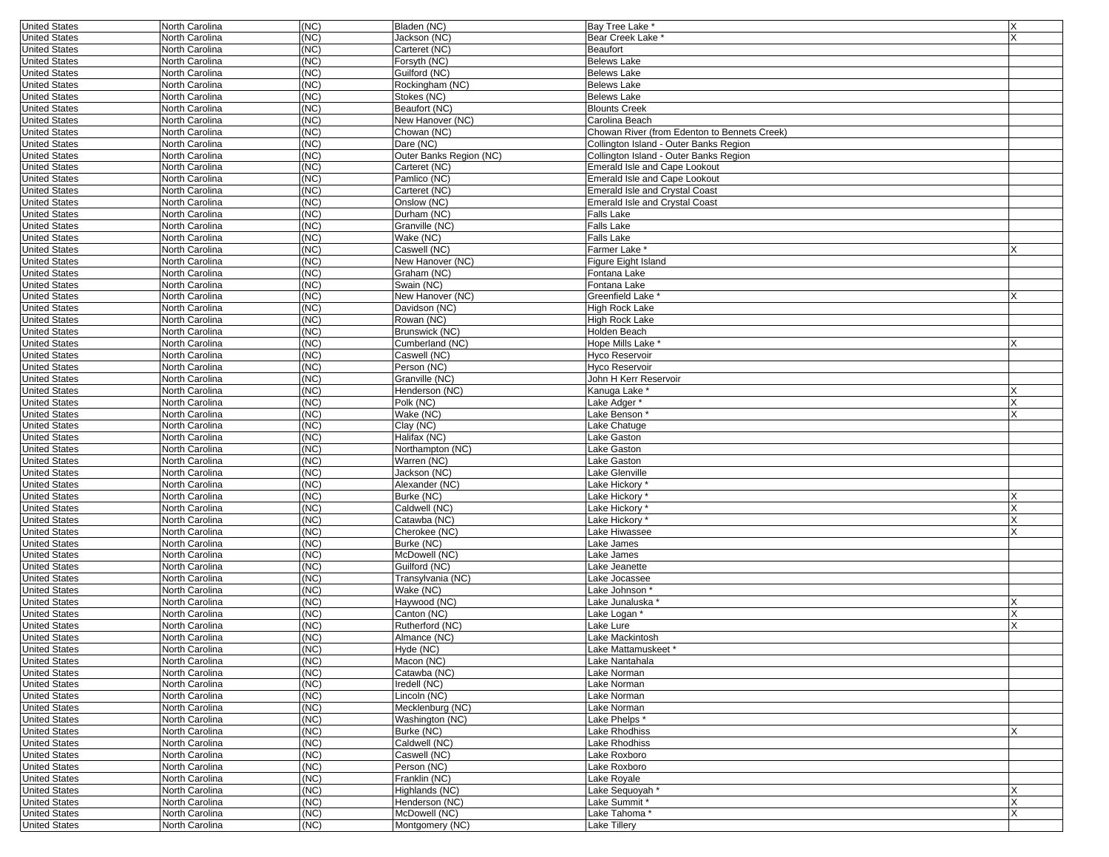| <b>United States</b><br>(NC)<br>Jackson (NC)<br>North Carolina<br>Bear Creek Lake<br><b>United States</b><br>(NC)<br>North Carolina<br>Carteret (NC)<br>Beaufort<br><b>United States</b><br>North Carolina<br>(NC)<br>Forsyth (NC)<br><b>Belews Lake</b><br>(NC)<br><b>United States</b><br>North Carolina<br>Guilford (NC)<br><b>Belews Lake</b><br>(NC)<br><b>United States</b><br>North Carolina<br>Rockingham (NC)<br><b>Belews Lake</b><br><b>United States</b><br>(NC)<br><b>Belews Lake</b><br>North Carolina<br>Stokes (NC)<br><b>United States</b><br>North Carolina<br>(NC)<br>Beaufort (NC)<br><b>Blounts Creek</b><br><b>United States</b><br>North Carolina<br>(NC)<br>New Hanover (NC)<br>Carolina Beach<br>(NC)<br><b>United States</b><br>Chowan (NC)<br>Chowan River (from Edenton to Bennets Creek)<br>North Carolina<br>(NC)<br><b>United States</b><br>North Carolina<br>Dare (NC)<br>Collington Island - Outer Banks Region<br><b>United States</b><br>(NC)<br>Collington Island - Outer Banks Region<br>North Carolina<br>Outer Banks Region (NC)<br><b>United States</b><br>(NC)<br>North Carolina<br>Carteret (NC)<br>Emerald Isle and Cape Lookout<br><b>United States</b><br>North Carolina<br>(NC)<br>Pamlico (NC)<br><b>Emerald Isle and Cape Lookout</b><br>(NC)<br><b>United States</b><br>North Carolina<br>Carteret (NC)<br><b>Emerald Isle and Crystal Coast</b><br>(NC)<br><b>United States</b><br>North Carolina<br>Onslow (NC)<br><b>Emerald Isle and Crystal Coast</b><br><b>United States</b><br>(NC)<br>Durham (NC)<br>North Carolina<br><b>Falls Lake</b><br>(NC)<br><b>Falls Lake</b><br><b>United States</b><br>North Carolina<br>Granville (NC)<br><b>United States</b><br>North Carolina<br>(NC)<br>Wake (NC)<br><b>Falls Lake</b><br><b>United States</b><br>(NC)<br>Caswell (NC)<br>North Carolina<br>Farmer Lake *<br>(NC)<br>New Hanover (NC)<br><b>United States</b><br>North Carolina<br>Figure Eight Island<br><b>United States</b><br>(NC)<br>North Carolina<br>Graham (NC)<br>Fontana Lake<br><b>United States</b><br>(NC)<br>North Carolina<br>Swain (NC)<br>Fontana Lake<br><b>United States</b><br>North Carolina<br>(NC)<br>New Hanover (NC)<br>Greenfield Lake <sup>*</sup><br>(NC)<br><b>United States</b><br>North Carolina<br>Davidson (NC)<br>High Rock Lake<br>(NC)<br><b>United States</b><br>North Carolina<br>Rowan (NC)<br><b>High Rock Lake</b><br><b>United States</b><br>(NC)<br>Brunswick (NC)<br>North Carolina<br>Holden Beach<br>(NC)<br><b>United States</b><br>North Carolina<br>Cumberland (NC)<br>Hope Mills Lake *<br><b>United States</b><br>North Carolina<br>(NC)<br>Caswell (NC)<br><b>Hyco Reservoir</b><br><b>United States</b><br>(NC)<br>Person (NC)<br><b>Hyco Reservoir</b><br>North Carolina<br>(NC)<br>Granville (NC)<br><b>United States</b><br>North Carolina<br>John H Kerr Reservoir<br><b>United States</b><br>(NC)<br>North Carolina<br>Henderson (NC)<br>Kanuga Lake<br>North Carolina<br>(NC)<br>Polk (NC)<br>Lake Adger*<br><b>United States</b><br><b>United States</b><br>North Carolina<br>(NC)<br>Wake (NC)<br>Lake Benson<br>(NC)<br><b>United States</b><br>North Carolina<br>Clay (NC)<br>Lake Chatuge<br>(NC)<br><b>United States</b><br>North Carolina<br>Halifax (NC)<br>Lake Gaston<br><b>United States</b><br>(NC)<br>Northampton (NC)<br>Lake Gaston<br>North Carolina<br>(NC)<br><b>United States</b><br>North Carolina<br>Warren (NC)<br>Lake Gaston<br>North Carolina<br>(NC)<br>Jackson (NC)<br><b>United States</b><br>Lake Glenville<br><b>United States</b><br>North Carolina<br>(NC)<br>Alexander (NC)<br>Lake Hickory<br>(NC)<br>Burke (NC)<br>Lake Hickory<br><b>United States</b><br>North Carolina<br><b>United States</b><br>(NC)<br>Caldwell (NC)<br>Lake Hickory<br>North Carolina<br>(NC)<br><b>United States</b><br>North Carolina<br>Catawba (NC)<br>Lake Hickory *<br><b>United States</b><br>North Carolina<br>(NC)<br>Cherokee (NC)<br>Lake Hiwassee<br><b>United States</b><br>(NC)<br>Burke (NC)<br>North Carolina<br>_ake James<br>(NC)<br><b>United States</b><br>North Carolina<br>McDowell (NC)<br>Lake James<br><b>United States</b><br>(NC)<br>Guilford (NC)<br>North Carolina<br>Lake Jeanette<br>(NC)<br><b>United States</b><br>North Carolina<br>Transylvania (NC)<br>Lake Jocassee<br>(NC)<br><b>United States</b><br>North Carolina<br>Wake (NC)<br>Lake Johnson *<br><b>United States</b><br>(NC)<br>Haywood (NC)<br>North Carolina<br>-ake Junaluska *<br>(NC)<br>Canton (NC)<br><b>United States</b><br>North Carolina<br>Lake Logan '<br><b>United States</b><br>(NC)<br>Rutherford (NC)<br>Lake Lure<br>North Carolina<br>(NC)<br><b>United States</b><br>North Carolina<br>Almance (NC)<br>Lake Mackintosh<br>North Carolina<br>(NC)<br>Hyde (NC)<br>Lake Mattamuskeet<br>(NC)<br>Macon (NC)<br><b>United States</b><br>North Carolina<br>Lake Nantahala<br>(NC)<br>Catawba (NC)<br>Lake Norman<br><b>United States</b><br>North Carolina<br><b>United States</b><br>(NC)<br>Iredell (NC)<br>Lake Norman<br>North Carolina<br>North Carolina<br>(NC)<br>Lincoln (NC)<br><b>United States</b><br>Lake Norman<br><b>United States</b><br>North Carolina<br>(NC)<br>Mecklenburg (NC)<br>Lake Norman<br><b>United States</b><br>North Carolina<br>(NC)<br>Washington (NC)<br>Lake Phelps *<br>(NC)<br><b>United States</b><br>North Carolina<br>Burke (NC)<br><b>Lake Rhodhiss</b><br><b>United States</b><br>North Carolina<br>(NC)<br>Caldwell (NC)<br><b>Lake Rhodhiss</b><br>(NC)<br><b>United States</b><br>North Carolina<br>Caswell (NC)<br>Lake Roxboro<br>North Carolina<br>(NC)<br>Person (NC)<br><b>United States</b><br>Lake Roxboro<br><b>United States</b><br>North Carolina<br>(NC)<br>Franklin (NC)<br>Lake Royale<br>(NC)<br>Highlands (NC)<br><b>United States</b><br>North Carolina<br>Lake Sequoyah *<br><b>United States</b><br>(NC)<br>North Carolina<br>Henderson (NC)<br>Lake Summit *<br>North Carolina<br>(NC)<br>McDowell (NC)<br>Lake Tahoma*<br><b>United States</b> | <b>United States</b> | North Carolina | (NC) | Bladen (NC)     | Bay Tree Lake * | X |
|---------------------------------------------------------------------------------------------------------------------------------------------------------------------------------------------------------------------------------------------------------------------------------------------------------------------------------------------------------------------------------------------------------------------------------------------------------------------------------------------------------------------------------------------------------------------------------------------------------------------------------------------------------------------------------------------------------------------------------------------------------------------------------------------------------------------------------------------------------------------------------------------------------------------------------------------------------------------------------------------------------------------------------------------------------------------------------------------------------------------------------------------------------------------------------------------------------------------------------------------------------------------------------------------------------------------------------------------------------------------------------------------------------------------------------------------------------------------------------------------------------------------------------------------------------------------------------------------------------------------------------------------------------------------------------------------------------------------------------------------------------------------------------------------------------------------------------------------------------------------------------------------------------------------------------------------------------------------------------------------------------------------------------------------------------------------------------------------------------------------------------------------------------------------------------------------------------------------------------------------------------------------------------------------------------------------------------------------------------------------------------------------------------------------------------------------------------------------------------------------------------------------------------------------------------------------------------------------------------------------------------------------------------------------------------------------------------------------------------------------------------------------------------------------------------------------------------------------------------------------------------------------------------------------------------------------------------------------------------------------------------------------------------------------------------------------------------------------------------------------------------------------------------------------------------------------------------------------------------------------------------------------------------------------------------------------------------------------------------------------------------------------------------------------------------------------------------------------------------------------------------------------------------------------------------------------------------------------------------------------------------------------------------------------------------------------------------------------------------------------------------------------------------------------------------------------------------------------------------------------------------------------------------------------------------------------------------------------------------------------------------------------------------------------------------------------------------------------------------------------------------------------------------------------------------------------------------------------------------------------------------------------------------------------------------------------------------------------------------------------------------------------------------------------------------------------------------------------------------------------------------------------------------------------------------------------------------------------------------------------------------------------------------------------------------------------------------------------------------------------------------------------------------------------------------------------------------------------------------------------------------------------------------------------------------------------------------------------------------------------------------------------------------------------------------------------------------------------------------------------------------------------------------------------------------------------------------------------------------------------------------------------------------------------------------------------------------------------------------------------------------------------------------------------------------------------------------------------------------------------------------------------------------------------------------------------------------------------------------------------------------------------------------------------------------------------------------------------------------------------------------------------------------------------------------------------------------------------------------------------------------------------------------------------------------------------------------------------------------------------------------------------------------------------------------|----------------------|----------------|------|-----------------|-----------------|---|
|                                                                                                                                                                                                                                                                                                                                                                                                                                                                                                                                                                                                                                                                                                                                                                                                                                                                                                                                                                                                                                                                                                                                                                                                                                                                                                                                                                                                                                                                                                                                                                                                                                                                                                                                                                                                                                                                                                                                                                                                                                                                                                                                                                                                                                                                                                                                                                                                                                                                                                                                                                                                                                                                                                                                                                                                                                                                                                                                                                                                                                                                                                                                                                                                                                                                                                                                                                                                                                                                                                                                                                                                                                                                                                                                                                                                                                                                                                                                                                                                                                                                                                                                                                                                                                                                                                                                                                                                                                                                                                                                                                                                                                                                                                                                                                                                                                                                                                                                                                                                                                                                                                                                                                                                                                                                                                                                                                                                                                                                                                                                                                                                                                                                                                                                                                                                                                                                                                                                                                                                                                                         |                      |                |      |                 |                 |   |
|                                                                                                                                                                                                                                                                                                                                                                                                                                                                                                                                                                                                                                                                                                                                                                                                                                                                                                                                                                                                                                                                                                                                                                                                                                                                                                                                                                                                                                                                                                                                                                                                                                                                                                                                                                                                                                                                                                                                                                                                                                                                                                                                                                                                                                                                                                                                                                                                                                                                                                                                                                                                                                                                                                                                                                                                                                                                                                                                                                                                                                                                                                                                                                                                                                                                                                                                                                                                                                                                                                                                                                                                                                                                                                                                                                                                                                                                                                                                                                                                                                                                                                                                                                                                                                                                                                                                                                                                                                                                                                                                                                                                                                                                                                                                                                                                                                                                                                                                                                                                                                                                                                                                                                                                                                                                                                                                                                                                                                                                                                                                                                                                                                                                                                                                                                                                                                                                                                                                                                                                                                                         |                      |                |      |                 |                 |   |
|                                                                                                                                                                                                                                                                                                                                                                                                                                                                                                                                                                                                                                                                                                                                                                                                                                                                                                                                                                                                                                                                                                                                                                                                                                                                                                                                                                                                                                                                                                                                                                                                                                                                                                                                                                                                                                                                                                                                                                                                                                                                                                                                                                                                                                                                                                                                                                                                                                                                                                                                                                                                                                                                                                                                                                                                                                                                                                                                                                                                                                                                                                                                                                                                                                                                                                                                                                                                                                                                                                                                                                                                                                                                                                                                                                                                                                                                                                                                                                                                                                                                                                                                                                                                                                                                                                                                                                                                                                                                                                                                                                                                                                                                                                                                                                                                                                                                                                                                                                                                                                                                                                                                                                                                                                                                                                                                                                                                                                                                                                                                                                                                                                                                                                                                                                                                                                                                                                                                                                                                                                                         |                      |                |      |                 |                 |   |
|                                                                                                                                                                                                                                                                                                                                                                                                                                                                                                                                                                                                                                                                                                                                                                                                                                                                                                                                                                                                                                                                                                                                                                                                                                                                                                                                                                                                                                                                                                                                                                                                                                                                                                                                                                                                                                                                                                                                                                                                                                                                                                                                                                                                                                                                                                                                                                                                                                                                                                                                                                                                                                                                                                                                                                                                                                                                                                                                                                                                                                                                                                                                                                                                                                                                                                                                                                                                                                                                                                                                                                                                                                                                                                                                                                                                                                                                                                                                                                                                                                                                                                                                                                                                                                                                                                                                                                                                                                                                                                                                                                                                                                                                                                                                                                                                                                                                                                                                                                                                                                                                                                                                                                                                                                                                                                                                                                                                                                                                                                                                                                                                                                                                                                                                                                                                                                                                                                                                                                                                                                                         |                      |                |      |                 |                 |   |
|                                                                                                                                                                                                                                                                                                                                                                                                                                                                                                                                                                                                                                                                                                                                                                                                                                                                                                                                                                                                                                                                                                                                                                                                                                                                                                                                                                                                                                                                                                                                                                                                                                                                                                                                                                                                                                                                                                                                                                                                                                                                                                                                                                                                                                                                                                                                                                                                                                                                                                                                                                                                                                                                                                                                                                                                                                                                                                                                                                                                                                                                                                                                                                                                                                                                                                                                                                                                                                                                                                                                                                                                                                                                                                                                                                                                                                                                                                                                                                                                                                                                                                                                                                                                                                                                                                                                                                                                                                                                                                                                                                                                                                                                                                                                                                                                                                                                                                                                                                                                                                                                                                                                                                                                                                                                                                                                                                                                                                                                                                                                                                                                                                                                                                                                                                                                                                                                                                                                                                                                                                                         |                      |                |      |                 |                 |   |
|                                                                                                                                                                                                                                                                                                                                                                                                                                                                                                                                                                                                                                                                                                                                                                                                                                                                                                                                                                                                                                                                                                                                                                                                                                                                                                                                                                                                                                                                                                                                                                                                                                                                                                                                                                                                                                                                                                                                                                                                                                                                                                                                                                                                                                                                                                                                                                                                                                                                                                                                                                                                                                                                                                                                                                                                                                                                                                                                                                                                                                                                                                                                                                                                                                                                                                                                                                                                                                                                                                                                                                                                                                                                                                                                                                                                                                                                                                                                                                                                                                                                                                                                                                                                                                                                                                                                                                                                                                                                                                                                                                                                                                                                                                                                                                                                                                                                                                                                                                                                                                                                                                                                                                                                                                                                                                                                                                                                                                                                                                                                                                                                                                                                                                                                                                                                                                                                                                                                                                                                                                                         |                      |                |      |                 |                 |   |
|                                                                                                                                                                                                                                                                                                                                                                                                                                                                                                                                                                                                                                                                                                                                                                                                                                                                                                                                                                                                                                                                                                                                                                                                                                                                                                                                                                                                                                                                                                                                                                                                                                                                                                                                                                                                                                                                                                                                                                                                                                                                                                                                                                                                                                                                                                                                                                                                                                                                                                                                                                                                                                                                                                                                                                                                                                                                                                                                                                                                                                                                                                                                                                                                                                                                                                                                                                                                                                                                                                                                                                                                                                                                                                                                                                                                                                                                                                                                                                                                                                                                                                                                                                                                                                                                                                                                                                                                                                                                                                                                                                                                                                                                                                                                                                                                                                                                                                                                                                                                                                                                                                                                                                                                                                                                                                                                                                                                                                                                                                                                                                                                                                                                                                                                                                                                                                                                                                                                                                                                                                                         |                      |                |      |                 |                 |   |
|                                                                                                                                                                                                                                                                                                                                                                                                                                                                                                                                                                                                                                                                                                                                                                                                                                                                                                                                                                                                                                                                                                                                                                                                                                                                                                                                                                                                                                                                                                                                                                                                                                                                                                                                                                                                                                                                                                                                                                                                                                                                                                                                                                                                                                                                                                                                                                                                                                                                                                                                                                                                                                                                                                                                                                                                                                                                                                                                                                                                                                                                                                                                                                                                                                                                                                                                                                                                                                                                                                                                                                                                                                                                                                                                                                                                                                                                                                                                                                                                                                                                                                                                                                                                                                                                                                                                                                                                                                                                                                                                                                                                                                                                                                                                                                                                                                                                                                                                                                                                                                                                                                                                                                                                                                                                                                                                                                                                                                                                                                                                                                                                                                                                                                                                                                                                                                                                                                                                                                                                                                                         |                      |                |      |                 |                 |   |
|                                                                                                                                                                                                                                                                                                                                                                                                                                                                                                                                                                                                                                                                                                                                                                                                                                                                                                                                                                                                                                                                                                                                                                                                                                                                                                                                                                                                                                                                                                                                                                                                                                                                                                                                                                                                                                                                                                                                                                                                                                                                                                                                                                                                                                                                                                                                                                                                                                                                                                                                                                                                                                                                                                                                                                                                                                                                                                                                                                                                                                                                                                                                                                                                                                                                                                                                                                                                                                                                                                                                                                                                                                                                                                                                                                                                                                                                                                                                                                                                                                                                                                                                                                                                                                                                                                                                                                                                                                                                                                                                                                                                                                                                                                                                                                                                                                                                                                                                                                                                                                                                                                                                                                                                                                                                                                                                                                                                                                                                                                                                                                                                                                                                                                                                                                                                                                                                                                                                                                                                                                                         |                      |                |      |                 |                 |   |
|                                                                                                                                                                                                                                                                                                                                                                                                                                                                                                                                                                                                                                                                                                                                                                                                                                                                                                                                                                                                                                                                                                                                                                                                                                                                                                                                                                                                                                                                                                                                                                                                                                                                                                                                                                                                                                                                                                                                                                                                                                                                                                                                                                                                                                                                                                                                                                                                                                                                                                                                                                                                                                                                                                                                                                                                                                                                                                                                                                                                                                                                                                                                                                                                                                                                                                                                                                                                                                                                                                                                                                                                                                                                                                                                                                                                                                                                                                                                                                                                                                                                                                                                                                                                                                                                                                                                                                                                                                                                                                                                                                                                                                                                                                                                                                                                                                                                                                                                                                                                                                                                                                                                                                                                                                                                                                                                                                                                                                                                                                                                                                                                                                                                                                                                                                                                                                                                                                                                                                                                                                                         |                      |                |      |                 |                 |   |
|                                                                                                                                                                                                                                                                                                                                                                                                                                                                                                                                                                                                                                                                                                                                                                                                                                                                                                                                                                                                                                                                                                                                                                                                                                                                                                                                                                                                                                                                                                                                                                                                                                                                                                                                                                                                                                                                                                                                                                                                                                                                                                                                                                                                                                                                                                                                                                                                                                                                                                                                                                                                                                                                                                                                                                                                                                                                                                                                                                                                                                                                                                                                                                                                                                                                                                                                                                                                                                                                                                                                                                                                                                                                                                                                                                                                                                                                                                                                                                                                                                                                                                                                                                                                                                                                                                                                                                                                                                                                                                                                                                                                                                                                                                                                                                                                                                                                                                                                                                                                                                                                                                                                                                                                                                                                                                                                                                                                                                                                                                                                                                                                                                                                                                                                                                                                                                                                                                                                                                                                                                                         |                      |                |      |                 |                 |   |
|                                                                                                                                                                                                                                                                                                                                                                                                                                                                                                                                                                                                                                                                                                                                                                                                                                                                                                                                                                                                                                                                                                                                                                                                                                                                                                                                                                                                                                                                                                                                                                                                                                                                                                                                                                                                                                                                                                                                                                                                                                                                                                                                                                                                                                                                                                                                                                                                                                                                                                                                                                                                                                                                                                                                                                                                                                                                                                                                                                                                                                                                                                                                                                                                                                                                                                                                                                                                                                                                                                                                                                                                                                                                                                                                                                                                                                                                                                                                                                                                                                                                                                                                                                                                                                                                                                                                                                                                                                                                                                                                                                                                                                                                                                                                                                                                                                                                                                                                                                                                                                                                                                                                                                                                                                                                                                                                                                                                                                                                                                                                                                                                                                                                                                                                                                                                                                                                                                                                                                                                                                                         |                      |                |      |                 |                 |   |
|                                                                                                                                                                                                                                                                                                                                                                                                                                                                                                                                                                                                                                                                                                                                                                                                                                                                                                                                                                                                                                                                                                                                                                                                                                                                                                                                                                                                                                                                                                                                                                                                                                                                                                                                                                                                                                                                                                                                                                                                                                                                                                                                                                                                                                                                                                                                                                                                                                                                                                                                                                                                                                                                                                                                                                                                                                                                                                                                                                                                                                                                                                                                                                                                                                                                                                                                                                                                                                                                                                                                                                                                                                                                                                                                                                                                                                                                                                                                                                                                                                                                                                                                                                                                                                                                                                                                                                                                                                                                                                                                                                                                                                                                                                                                                                                                                                                                                                                                                                                                                                                                                                                                                                                                                                                                                                                                                                                                                                                                                                                                                                                                                                                                                                                                                                                                                                                                                                                                                                                                                                                         |                      |                |      |                 |                 |   |
|                                                                                                                                                                                                                                                                                                                                                                                                                                                                                                                                                                                                                                                                                                                                                                                                                                                                                                                                                                                                                                                                                                                                                                                                                                                                                                                                                                                                                                                                                                                                                                                                                                                                                                                                                                                                                                                                                                                                                                                                                                                                                                                                                                                                                                                                                                                                                                                                                                                                                                                                                                                                                                                                                                                                                                                                                                                                                                                                                                                                                                                                                                                                                                                                                                                                                                                                                                                                                                                                                                                                                                                                                                                                                                                                                                                                                                                                                                                                                                                                                                                                                                                                                                                                                                                                                                                                                                                                                                                                                                                                                                                                                                                                                                                                                                                                                                                                                                                                                                                                                                                                                                                                                                                                                                                                                                                                                                                                                                                                                                                                                                                                                                                                                                                                                                                                                                                                                                                                                                                                                                                         |                      |                |      |                 |                 |   |
|                                                                                                                                                                                                                                                                                                                                                                                                                                                                                                                                                                                                                                                                                                                                                                                                                                                                                                                                                                                                                                                                                                                                                                                                                                                                                                                                                                                                                                                                                                                                                                                                                                                                                                                                                                                                                                                                                                                                                                                                                                                                                                                                                                                                                                                                                                                                                                                                                                                                                                                                                                                                                                                                                                                                                                                                                                                                                                                                                                                                                                                                                                                                                                                                                                                                                                                                                                                                                                                                                                                                                                                                                                                                                                                                                                                                                                                                                                                                                                                                                                                                                                                                                                                                                                                                                                                                                                                                                                                                                                                                                                                                                                                                                                                                                                                                                                                                                                                                                                                                                                                                                                                                                                                                                                                                                                                                                                                                                                                                                                                                                                                                                                                                                                                                                                                                                                                                                                                                                                                                                                                         |                      |                |      |                 |                 |   |
|                                                                                                                                                                                                                                                                                                                                                                                                                                                                                                                                                                                                                                                                                                                                                                                                                                                                                                                                                                                                                                                                                                                                                                                                                                                                                                                                                                                                                                                                                                                                                                                                                                                                                                                                                                                                                                                                                                                                                                                                                                                                                                                                                                                                                                                                                                                                                                                                                                                                                                                                                                                                                                                                                                                                                                                                                                                                                                                                                                                                                                                                                                                                                                                                                                                                                                                                                                                                                                                                                                                                                                                                                                                                                                                                                                                                                                                                                                                                                                                                                                                                                                                                                                                                                                                                                                                                                                                                                                                                                                                                                                                                                                                                                                                                                                                                                                                                                                                                                                                                                                                                                                                                                                                                                                                                                                                                                                                                                                                                                                                                                                                                                                                                                                                                                                                                                                                                                                                                                                                                                                                         |                      |                |      |                 |                 |   |
|                                                                                                                                                                                                                                                                                                                                                                                                                                                                                                                                                                                                                                                                                                                                                                                                                                                                                                                                                                                                                                                                                                                                                                                                                                                                                                                                                                                                                                                                                                                                                                                                                                                                                                                                                                                                                                                                                                                                                                                                                                                                                                                                                                                                                                                                                                                                                                                                                                                                                                                                                                                                                                                                                                                                                                                                                                                                                                                                                                                                                                                                                                                                                                                                                                                                                                                                                                                                                                                                                                                                                                                                                                                                                                                                                                                                                                                                                                                                                                                                                                                                                                                                                                                                                                                                                                                                                                                                                                                                                                                                                                                                                                                                                                                                                                                                                                                                                                                                                                                                                                                                                                                                                                                                                                                                                                                                                                                                                                                                                                                                                                                                                                                                                                                                                                                                                                                                                                                                                                                                                                                         |                      |                |      |                 |                 |   |
|                                                                                                                                                                                                                                                                                                                                                                                                                                                                                                                                                                                                                                                                                                                                                                                                                                                                                                                                                                                                                                                                                                                                                                                                                                                                                                                                                                                                                                                                                                                                                                                                                                                                                                                                                                                                                                                                                                                                                                                                                                                                                                                                                                                                                                                                                                                                                                                                                                                                                                                                                                                                                                                                                                                                                                                                                                                                                                                                                                                                                                                                                                                                                                                                                                                                                                                                                                                                                                                                                                                                                                                                                                                                                                                                                                                                                                                                                                                                                                                                                                                                                                                                                                                                                                                                                                                                                                                                                                                                                                                                                                                                                                                                                                                                                                                                                                                                                                                                                                                                                                                                                                                                                                                                                                                                                                                                                                                                                                                                                                                                                                                                                                                                                                                                                                                                                                                                                                                                                                                                                                                         |                      |                |      |                 |                 |   |
|                                                                                                                                                                                                                                                                                                                                                                                                                                                                                                                                                                                                                                                                                                                                                                                                                                                                                                                                                                                                                                                                                                                                                                                                                                                                                                                                                                                                                                                                                                                                                                                                                                                                                                                                                                                                                                                                                                                                                                                                                                                                                                                                                                                                                                                                                                                                                                                                                                                                                                                                                                                                                                                                                                                                                                                                                                                                                                                                                                                                                                                                                                                                                                                                                                                                                                                                                                                                                                                                                                                                                                                                                                                                                                                                                                                                                                                                                                                                                                                                                                                                                                                                                                                                                                                                                                                                                                                                                                                                                                                                                                                                                                                                                                                                                                                                                                                                                                                                                                                                                                                                                                                                                                                                                                                                                                                                                                                                                                                                                                                                                                                                                                                                                                                                                                                                                                                                                                                                                                                                                                                         |                      |                |      |                 |                 |   |
|                                                                                                                                                                                                                                                                                                                                                                                                                                                                                                                                                                                                                                                                                                                                                                                                                                                                                                                                                                                                                                                                                                                                                                                                                                                                                                                                                                                                                                                                                                                                                                                                                                                                                                                                                                                                                                                                                                                                                                                                                                                                                                                                                                                                                                                                                                                                                                                                                                                                                                                                                                                                                                                                                                                                                                                                                                                                                                                                                                                                                                                                                                                                                                                                                                                                                                                                                                                                                                                                                                                                                                                                                                                                                                                                                                                                                                                                                                                                                                                                                                                                                                                                                                                                                                                                                                                                                                                                                                                                                                                                                                                                                                                                                                                                                                                                                                                                                                                                                                                                                                                                                                                                                                                                                                                                                                                                                                                                                                                                                                                                                                                                                                                                                                                                                                                                                                                                                                                                                                                                                                                         |                      |                |      |                 |                 |   |
|                                                                                                                                                                                                                                                                                                                                                                                                                                                                                                                                                                                                                                                                                                                                                                                                                                                                                                                                                                                                                                                                                                                                                                                                                                                                                                                                                                                                                                                                                                                                                                                                                                                                                                                                                                                                                                                                                                                                                                                                                                                                                                                                                                                                                                                                                                                                                                                                                                                                                                                                                                                                                                                                                                                                                                                                                                                                                                                                                                                                                                                                                                                                                                                                                                                                                                                                                                                                                                                                                                                                                                                                                                                                                                                                                                                                                                                                                                                                                                                                                                                                                                                                                                                                                                                                                                                                                                                                                                                                                                                                                                                                                                                                                                                                                                                                                                                                                                                                                                                                                                                                                                                                                                                                                                                                                                                                                                                                                                                                                                                                                                                                                                                                                                                                                                                                                                                                                                                                                                                                                                                         |                      |                |      |                 |                 |   |
|                                                                                                                                                                                                                                                                                                                                                                                                                                                                                                                                                                                                                                                                                                                                                                                                                                                                                                                                                                                                                                                                                                                                                                                                                                                                                                                                                                                                                                                                                                                                                                                                                                                                                                                                                                                                                                                                                                                                                                                                                                                                                                                                                                                                                                                                                                                                                                                                                                                                                                                                                                                                                                                                                                                                                                                                                                                                                                                                                                                                                                                                                                                                                                                                                                                                                                                                                                                                                                                                                                                                                                                                                                                                                                                                                                                                                                                                                                                                                                                                                                                                                                                                                                                                                                                                                                                                                                                                                                                                                                                                                                                                                                                                                                                                                                                                                                                                                                                                                                                                                                                                                                                                                                                                                                                                                                                                                                                                                                                                                                                                                                                                                                                                                                                                                                                                                                                                                                                                                                                                                                                         |                      |                |      |                 |                 |   |
|                                                                                                                                                                                                                                                                                                                                                                                                                                                                                                                                                                                                                                                                                                                                                                                                                                                                                                                                                                                                                                                                                                                                                                                                                                                                                                                                                                                                                                                                                                                                                                                                                                                                                                                                                                                                                                                                                                                                                                                                                                                                                                                                                                                                                                                                                                                                                                                                                                                                                                                                                                                                                                                                                                                                                                                                                                                                                                                                                                                                                                                                                                                                                                                                                                                                                                                                                                                                                                                                                                                                                                                                                                                                                                                                                                                                                                                                                                                                                                                                                                                                                                                                                                                                                                                                                                                                                                                                                                                                                                                                                                                                                                                                                                                                                                                                                                                                                                                                                                                                                                                                                                                                                                                                                                                                                                                                                                                                                                                                                                                                                                                                                                                                                                                                                                                                                                                                                                                                                                                                                                                         |                      |                |      |                 |                 |   |
|                                                                                                                                                                                                                                                                                                                                                                                                                                                                                                                                                                                                                                                                                                                                                                                                                                                                                                                                                                                                                                                                                                                                                                                                                                                                                                                                                                                                                                                                                                                                                                                                                                                                                                                                                                                                                                                                                                                                                                                                                                                                                                                                                                                                                                                                                                                                                                                                                                                                                                                                                                                                                                                                                                                                                                                                                                                                                                                                                                                                                                                                                                                                                                                                                                                                                                                                                                                                                                                                                                                                                                                                                                                                                                                                                                                                                                                                                                                                                                                                                                                                                                                                                                                                                                                                                                                                                                                                                                                                                                                                                                                                                                                                                                                                                                                                                                                                                                                                                                                                                                                                                                                                                                                                                                                                                                                                                                                                                                                                                                                                                                                                                                                                                                                                                                                                                                                                                                                                                                                                                                                         |                      |                |      |                 |                 |   |
|                                                                                                                                                                                                                                                                                                                                                                                                                                                                                                                                                                                                                                                                                                                                                                                                                                                                                                                                                                                                                                                                                                                                                                                                                                                                                                                                                                                                                                                                                                                                                                                                                                                                                                                                                                                                                                                                                                                                                                                                                                                                                                                                                                                                                                                                                                                                                                                                                                                                                                                                                                                                                                                                                                                                                                                                                                                                                                                                                                                                                                                                                                                                                                                                                                                                                                                                                                                                                                                                                                                                                                                                                                                                                                                                                                                                                                                                                                                                                                                                                                                                                                                                                                                                                                                                                                                                                                                                                                                                                                                                                                                                                                                                                                                                                                                                                                                                                                                                                                                                                                                                                                                                                                                                                                                                                                                                                                                                                                                                                                                                                                                                                                                                                                                                                                                                                                                                                                                                                                                                                                                         |                      |                |      |                 |                 |   |
|                                                                                                                                                                                                                                                                                                                                                                                                                                                                                                                                                                                                                                                                                                                                                                                                                                                                                                                                                                                                                                                                                                                                                                                                                                                                                                                                                                                                                                                                                                                                                                                                                                                                                                                                                                                                                                                                                                                                                                                                                                                                                                                                                                                                                                                                                                                                                                                                                                                                                                                                                                                                                                                                                                                                                                                                                                                                                                                                                                                                                                                                                                                                                                                                                                                                                                                                                                                                                                                                                                                                                                                                                                                                                                                                                                                                                                                                                                                                                                                                                                                                                                                                                                                                                                                                                                                                                                                                                                                                                                                                                                                                                                                                                                                                                                                                                                                                                                                                                                                                                                                                                                                                                                                                                                                                                                                                                                                                                                                                                                                                                                                                                                                                                                                                                                                                                                                                                                                                                                                                                                                         |                      |                |      |                 |                 |   |
|                                                                                                                                                                                                                                                                                                                                                                                                                                                                                                                                                                                                                                                                                                                                                                                                                                                                                                                                                                                                                                                                                                                                                                                                                                                                                                                                                                                                                                                                                                                                                                                                                                                                                                                                                                                                                                                                                                                                                                                                                                                                                                                                                                                                                                                                                                                                                                                                                                                                                                                                                                                                                                                                                                                                                                                                                                                                                                                                                                                                                                                                                                                                                                                                                                                                                                                                                                                                                                                                                                                                                                                                                                                                                                                                                                                                                                                                                                                                                                                                                                                                                                                                                                                                                                                                                                                                                                                                                                                                                                                                                                                                                                                                                                                                                                                                                                                                                                                                                                                                                                                                                                                                                                                                                                                                                                                                                                                                                                                                                                                                                                                                                                                                                                                                                                                                                                                                                                                                                                                                                                                         |                      |                |      |                 |                 |   |
|                                                                                                                                                                                                                                                                                                                                                                                                                                                                                                                                                                                                                                                                                                                                                                                                                                                                                                                                                                                                                                                                                                                                                                                                                                                                                                                                                                                                                                                                                                                                                                                                                                                                                                                                                                                                                                                                                                                                                                                                                                                                                                                                                                                                                                                                                                                                                                                                                                                                                                                                                                                                                                                                                                                                                                                                                                                                                                                                                                                                                                                                                                                                                                                                                                                                                                                                                                                                                                                                                                                                                                                                                                                                                                                                                                                                                                                                                                                                                                                                                                                                                                                                                                                                                                                                                                                                                                                                                                                                                                                                                                                                                                                                                                                                                                                                                                                                                                                                                                                                                                                                                                                                                                                                                                                                                                                                                                                                                                                                                                                                                                                                                                                                                                                                                                                                                                                                                                                                                                                                                                                         |                      |                |      |                 |                 |   |
|                                                                                                                                                                                                                                                                                                                                                                                                                                                                                                                                                                                                                                                                                                                                                                                                                                                                                                                                                                                                                                                                                                                                                                                                                                                                                                                                                                                                                                                                                                                                                                                                                                                                                                                                                                                                                                                                                                                                                                                                                                                                                                                                                                                                                                                                                                                                                                                                                                                                                                                                                                                                                                                                                                                                                                                                                                                                                                                                                                                                                                                                                                                                                                                                                                                                                                                                                                                                                                                                                                                                                                                                                                                                                                                                                                                                                                                                                                                                                                                                                                                                                                                                                                                                                                                                                                                                                                                                                                                                                                                                                                                                                                                                                                                                                                                                                                                                                                                                                                                                                                                                                                                                                                                                                                                                                                                                                                                                                                                                                                                                                                                                                                                                                                                                                                                                                                                                                                                                                                                                                                                         |                      |                |      |                 |                 |   |
|                                                                                                                                                                                                                                                                                                                                                                                                                                                                                                                                                                                                                                                                                                                                                                                                                                                                                                                                                                                                                                                                                                                                                                                                                                                                                                                                                                                                                                                                                                                                                                                                                                                                                                                                                                                                                                                                                                                                                                                                                                                                                                                                                                                                                                                                                                                                                                                                                                                                                                                                                                                                                                                                                                                                                                                                                                                                                                                                                                                                                                                                                                                                                                                                                                                                                                                                                                                                                                                                                                                                                                                                                                                                                                                                                                                                                                                                                                                                                                                                                                                                                                                                                                                                                                                                                                                                                                                                                                                                                                                                                                                                                                                                                                                                                                                                                                                                                                                                                                                                                                                                                                                                                                                                                                                                                                                                                                                                                                                                                                                                                                                                                                                                                                                                                                                                                                                                                                                                                                                                                                                         |                      |                |      |                 |                 |   |
|                                                                                                                                                                                                                                                                                                                                                                                                                                                                                                                                                                                                                                                                                                                                                                                                                                                                                                                                                                                                                                                                                                                                                                                                                                                                                                                                                                                                                                                                                                                                                                                                                                                                                                                                                                                                                                                                                                                                                                                                                                                                                                                                                                                                                                                                                                                                                                                                                                                                                                                                                                                                                                                                                                                                                                                                                                                                                                                                                                                                                                                                                                                                                                                                                                                                                                                                                                                                                                                                                                                                                                                                                                                                                                                                                                                                                                                                                                                                                                                                                                                                                                                                                                                                                                                                                                                                                                                                                                                                                                                                                                                                                                                                                                                                                                                                                                                                                                                                                                                                                                                                                                                                                                                                                                                                                                                                                                                                                                                                                                                                                                                                                                                                                                                                                                                                                                                                                                                                                                                                                                                         |                      |                |      |                 |                 |   |
|                                                                                                                                                                                                                                                                                                                                                                                                                                                                                                                                                                                                                                                                                                                                                                                                                                                                                                                                                                                                                                                                                                                                                                                                                                                                                                                                                                                                                                                                                                                                                                                                                                                                                                                                                                                                                                                                                                                                                                                                                                                                                                                                                                                                                                                                                                                                                                                                                                                                                                                                                                                                                                                                                                                                                                                                                                                                                                                                                                                                                                                                                                                                                                                                                                                                                                                                                                                                                                                                                                                                                                                                                                                                                                                                                                                                                                                                                                                                                                                                                                                                                                                                                                                                                                                                                                                                                                                                                                                                                                                                                                                                                                                                                                                                                                                                                                                                                                                                                                                                                                                                                                                                                                                                                                                                                                                                                                                                                                                                                                                                                                                                                                                                                                                                                                                                                                                                                                                                                                                                                                                         |                      |                |      |                 |                 |   |
|                                                                                                                                                                                                                                                                                                                                                                                                                                                                                                                                                                                                                                                                                                                                                                                                                                                                                                                                                                                                                                                                                                                                                                                                                                                                                                                                                                                                                                                                                                                                                                                                                                                                                                                                                                                                                                                                                                                                                                                                                                                                                                                                                                                                                                                                                                                                                                                                                                                                                                                                                                                                                                                                                                                                                                                                                                                                                                                                                                                                                                                                                                                                                                                                                                                                                                                                                                                                                                                                                                                                                                                                                                                                                                                                                                                                                                                                                                                                                                                                                                                                                                                                                                                                                                                                                                                                                                                                                                                                                                                                                                                                                                                                                                                                                                                                                                                                                                                                                                                                                                                                                                                                                                                                                                                                                                                                                                                                                                                                                                                                                                                                                                                                                                                                                                                                                                                                                                                                                                                                                                                         |                      |                |      |                 |                 |   |
|                                                                                                                                                                                                                                                                                                                                                                                                                                                                                                                                                                                                                                                                                                                                                                                                                                                                                                                                                                                                                                                                                                                                                                                                                                                                                                                                                                                                                                                                                                                                                                                                                                                                                                                                                                                                                                                                                                                                                                                                                                                                                                                                                                                                                                                                                                                                                                                                                                                                                                                                                                                                                                                                                                                                                                                                                                                                                                                                                                                                                                                                                                                                                                                                                                                                                                                                                                                                                                                                                                                                                                                                                                                                                                                                                                                                                                                                                                                                                                                                                                                                                                                                                                                                                                                                                                                                                                                                                                                                                                                                                                                                                                                                                                                                                                                                                                                                                                                                                                                                                                                                                                                                                                                                                                                                                                                                                                                                                                                                                                                                                                                                                                                                                                                                                                                                                                                                                                                                                                                                                                                         |                      |                |      |                 |                 |   |
|                                                                                                                                                                                                                                                                                                                                                                                                                                                                                                                                                                                                                                                                                                                                                                                                                                                                                                                                                                                                                                                                                                                                                                                                                                                                                                                                                                                                                                                                                                                                                                                                                                                                                                                                                                                                                                                                                                                                                                                                                                                                                                                                                                                                                                                                                                                                                                                                                                                                                                                                                                                                                                                                                                                                                                                                                                                                                                                                                                                                                                                                                                                                                                                                                                                                                                                                                                                                                                                                                                                                                                                                                                                                                                                                                                                                                                                                                                                                                                                                                                                                                                                                                                                                                                                                                                                                                                                                                                                                                                                                                                                                                                                                                                                                                                                                                                                                                                                                                                                                                                                                                                                                                                                                                                                                                                                                                                                                                                                                                                                                                                                                                                                                                                                                                                                                                                                                                                                                                                                                                                                         |                      |                |      |                 |                 |   |
|                                                                                                                                                                                                                                                                                                                                                                                                                                                                                                                                                                                                                                                                                                                                                                                                                                                                                                                                                                                                                                                                                                                                                                                                                                                                                                                                                                                                                                                                                                                                                                                                                                                                                                                                                                                                                                                                                                                                                                                                                                                                                                                                                                                                                                                                                                                                                                                                                                                                                                                                                                                                                                                                                                                                                                                                                                                                                                                                                                                                                                                                                                                                                                                                                                                                                                                                                                                                                                                                                                                                                                                                                                                                                                                                                                                                                                                                                                                                                                                                                                                                                                                                                                                                                                                                                                                                                                                                                                                                                                                                                                                                                                                                                                                                                                                                                                                                                                                                                                                                                                                                                                                                                                                                                                                                                                                                                                                                                                                                                                                                                                                                                                                                                                                                                                                                                                                                                                                                                                                                                                                         |                      |                |      |                 |                 |   |
|                                                                                                                                                                                                                                                                                                                                                                                                                                                                                                                                                                                                                                                                                                                                                                                                                                                                                                                                                                                                                                                                                                                                                                                                                                                                                                                                                                                                                                                                                                                                                                                                                                                                                                                                                                                                                                                                                                                                                                                                                                                                                                                                                                                                                                                                                                                                                                                                                                                                                                                                                                                                                                                                                                                                                                                                                                                                                                                                                                                                                                                                                                                                                                                                                                                                                                                                                                                                                                                                                                                                                                                                                                                                                                                                                                                                                                                                                                                                                                                                                                                                                                                                                                                                                                                                                                                                                                                                                                                                                                                                                                                                                                                                                                                                                                                                                                                                                                                                                                                                                                                                                                                                                                                                                                                                                                                                                                                                                                                                                                                                                                                                                                                                                                                                                                                                                                                                                                                                                                                                                                                         |                      |                |      |                 |                 |   |
|                                                                                                                                                                                                                                                                                                                                                                                                                                                                                                                                                                                                                                                                                                                                                                                                                                                                                                                                                                                                                                                                                                                                                                                                                                                                                                                                                                                                                                                                                                                                                                                                                                                                                                                                                                                                                                                                                                                                                                                                                                                                                                                                                                                                                                                                                                                                                                                                                                                                                                                                                                                                                                                                                                                                                                                                                                                                                                                                                                                                                                                                                                                                                                                                                                                                                                                                                                                                                                                                                                                                                                                                                                                                                                                                                                                                                                                                                                                                                                                                                                                                                                                                                                                                                                                                                                                                                                                                                                                                                                                                                                                                                                                                                                                                                                                                                                                                                                                                                                                                                                                                                                                                                                                                                                                                                                                                                                                                                                                                                                                                                                                                                                                                                                                                                                                                                                                                                                                                                                                                                                                         |                      |                |      |                 |                 |   |
|                                                                                                                                                                                                                                                                                                                                                                                                                                                                                                                                                                                                                                                                                                                                                                                                                                                                                                                                                                                                                                                                                                                                                                                                                                                                                                                                                                                                                                                                                                                                                                                                                                                                                                                                                                                                                                                                                                                                                                                                                                                                                                                                                                                                                                                                                                                                                                                                                                                                                                                                                                                                                                                                                                                                                                                                                                                                                                                                                                                                                                                                                                                                                                                                                                                                                                                                                                                                                                                                                                                                                                                                                                                                                                                                                                                                                                                                                                                                                                                                                                                                                                                                                                                                                                                                                                                                                                                                                                                                                                                                                                                                                                                                                                                                                                                                                                                                                                                                                                                                                                                                                                                                                                                                                                                                                                                                                                                                                                                                                                                                                                                                                                                                                                                                                                                                                                                                                                                                                                                                                                                         |                      |                |      |                 |                 |   |
|                                                                                                                                                                                                                                                                                                                                                                                                                                                                                                                                                                                                                                                                                                                                                                                                                                                                                                                                                                                                                                                                                                                                                                                                                                                                                                                                                                                                                                                                                                                                                                                                                                                                                                                                                                                                                                                                                                                                                                                                                                                                                                                                                                                                                                                                                                                                                                                                                                                                                                                                                                                                                                                                                                                                                                                                                                                                                                                                                                                                                                                                                                                                                                                                                                                                                                                                                                                                                                                                                                                                                                                                                                                                                                                                                                                                                                                                                                                                                                                                                                                                                                                                                                                                                                                                                                                                                                                                                                                                                                                                                                                                                                                                                                                                                                                                                                                                                                                                                                                                                                                                                                                                                                                                                                                                                                                                                                                                                                                                                                                                                                                                                                                                                                                                                                                                                                                                                                                                                                                                                                                         |                      |                |      |                 |                 |   |
|                                                                                                                                                                                                                                                                                                                                                                                                                                                                                                                                                                                                                                                                                                                                                                                                                                                                                                                                                                                                                                                                                                                                                                                                                                                                                                                                                                                                                                                                                                                                                                                                                                                                                                                                                                                                                                                                                                                                                                                                                                                                                                                                                                                                                                                                                                                                                                                                                                                                                                                                                                                                                                                                                                                                                                                                                                                                                                                                                                                                                                                                                                                                                                                                                                                                                                                                                                                                                                                                                                                                                                                                                                                                                                                                                                                                                                                                                                                                                                                                                                                                                                                                                                                                                                                                                                                                                                                                                                                                                                                                                                                                                                                                                                                                                                                                                                                                                                                                                                                                                                                                                                                                                                                                                                                                                                                                                                                                                                                                                                                                                                                                                                                                                                                                                                                                                                                                                                                                                                                                                                                         |                      |                |      |                 |                 |   |
|                                                                                                                                                                                                                                                                                                                                                                                                                                                                                                                                                                                                                                                                                                                                                                                                                                                                                                                                                                                                                                                                                                                                                                                                                                                                                                                                                                                                                                                                                                                                                                                                                                                                                                                                                                                                                                                                                                                                                                                                                                                                                                                                                                                                                                                                                                                                                                                                                                                                                                                                                                                                                                                                                                                                                                                                                                                                                                                                                                                                                                                                                                                                                                                                                                                                                                                                                                                                                                                                                                                                                                                                                                                                                                                                                                                                                                                                                                                                                                                                                                                                                                                                                                                                                                                                                                                                                                                                                                                                                                                                                                                                                                                                                                                                                                                                                                                                                                                                                                                                                                                                                                                                                                                                                                                                                                                                                                                                                                                                                                                                                                                                                                                                                                                                                                                                                                                                                                                                                                                                                                                         |                      |                |      |                 |                 |   |
|                                                                                                                                                                                                                                                                                                                                                                                                                                                                                                                                                                                                                                                                                                                                                                                                                                                                                                                                                                                                                                                                                                                                                                                                                                                                                                                                                                                                                                                                                                                                                                                                                                                                                                                                                                                                                                                                                                                                                                                                                                                                                                                                                                                                                                                                                                                                                                                                                                                                                                                                                                                                                                                                                                                                                                                                                                                                                                                                                                                                                                                                                                                                                                                                                                                                                                                                                                                                                                                                                                                                                                                                                                                                                                                                                                                                                                                                                                                                                                                                                                                                                                                                                                                                                                                                                                                                                                                                                                                                                                                                                                                                                                                                                                                                                                                                                                                                                                                                                                                                                                                                                                                                                                                                                                                                                                                                                                                                                                                                                                                                                                                                                                                                                                                                                                                                                                                                                                                                                                                                                                                         |                      |                |      |                 |                 |   |
|                                                                                                                                                                                                                                                                                                                                                                                                                                                                                                                                                                                                                                                                                                                                                                                                                                                                                                                                                                                                                                                                                                                                                                                                                                                                                                                                                                                                                                                                                                                                                                                                                                                                                                                                                                                                                                                                                                                                                                                                                                                                                                                                                                                                                                                                                                                                                                                                                                                                                                                                                                                                                                                                                                                                                                                                                                                                                                                                                                                                                                                                                                                                                                                                                                                                                                                                                                                                                                                                                                                                                                                                                                                                                                                                                                                                                                                                                                                                                                                                                                                                                                                                                                                                                                                                                                                                                                                                                                                                                                                                                                                                                                                                                                                                                                                                                                                                                                                                                                                                                                                                                                                                                                                                                                                                                                                                                                                                                                                                                                                                                                                                                                                                                                                                                                                                                                                                                                                                                                                                                                                         |                      |                |      |                 |                 |   |
|                                                                                                                                                                                                                                                                                                                                                                                                                                                                                                                                                                                                                                                                                                                                                                                                                                                                                                                                                                                                                                                                                                                                                                                                                                                                                                                                                                                                                                                                                                                                                                                                                                                                                                                                                                                                                                                                                                                                                                                                                                                                                                                                                                                                                                                                                                                                                                                                                                                                                                                                                                                                                                                                                                                                                                                                                                                                                                                                                                                                                                                                                                                                                                                                                                                                                                                                                                                                                                                                                                                                                                                                                                                                                                                                                                                                                                                                                                                                                                                                                                                                                                                                                                                                                                                                                                                                                                                                                                                                                                                                                                                                                                                                                                                                                                                                                                                                                                                                                                                                                                                                                                                                                                                                                                                                                                                                                                                                                                                                                                                                                                                                                                                                                                                                                                                                                                                                                                                                                                                                                                                         |                      |                |      |                 |                 |   |
|                                                                                                                                                                                                                                                                                                                                                                                                                                                                                                                                                                                                                                                                                                                                                                                                                                                                                                                                                                                                                                                                                                                                                                                                                                                                                                                                                                                                                                                                                                                                                                                                                                                                                                                                                                                                                                                                                                                                                                                                                                                                                                                                                                                                                                                                                                                                                                                                                                                                                                                                                                                                                                                                                                                                                                                                                                                                                                                                                                                                                                                                                                                                                                                                                                                                                                                                                                                                                                                                                                                                                                                                                                                                                                                                                                                                                                                                                                                                                                                                                                                                                                                                                                                                                                                                                                                                                                                                                                                                                                                                                                                                                                                                                                                                                                                                                                                                                                                                                                                                                                                                                                                                                                                                                                                                                                                                                                                                                                                                                                                                                                                                                                                                                                                                                                                                                                                                                                                                                                                                                                                         |                      |                |      |                 |                 |   |
|                                                                                                                                                                                                                                                                                                                                                                                                                                                                                                                                                                                                                                                                                                                                                                                                                                                                                                                                                                                                                                                                                                                                                                                                                                                                                                                                                                                                                                                                                                                                                                                                                                                                                                                                                                                                                                                                                                                                                                                                                                                                                                                                                                                                                                                                                                                                                                                                                                                                                                                                                                                                                                                                                                                                                                                                                                                                                                                                                                                                                                                                                                                                                                                                                                                                                                                                                                                                                                                                                                                                                                                                                                                                                                                                                                                                                                                                                                                                                                                                                                                                                                                                                                                                                                                                                                                                                                                                                                                                                                                                                                                                                                                                                                                                                                                                                                                                                                                                                                                                                                                                                                                                                                                                                                                                                                                                                                                                                                                                                                                                                                                                                                                                                                                                                                                                                                                                                                                                                                                                                                                         |                      |                |      |                 |                 |   |
|                                                                                                                                                                                                                                                                                                                                                                                                                                                                                                                                                                                                                                                                                                                                                                                                                                                                                                                                                                                                                                                                                                                                                                                                                                                                                                                                                                                                                                                                                                                                                                                                                                                                                                                                                                                                                                                                                                                                                                                                                                                                                                                                                                                                                                                                                                                                                                                                                                                                                                                                                                                                                                                                                                                                                                                                                                                                                                                                                                                                                                                                                                                                                                                                                                                                                                                                                                                                                                                                                                                                                                                                                                                                                                                                                                                                                                                                                                                                                                                                                                                                                                                                                                                                                                                                                                                                                                                                                                                                                                                                                                                                                                                                                                                                                                                                                                                                                                                                                                                                                                                                                                                                                                                                                                                                                                                                                                                                                                                                                                                                                                                                                                                                                                                                                                                                                                                                                                                                                                                                                                                         |                      |                |      |                 |                 |   |
|                                                                                                                                                                                                                                                                                                                                                                                                                                                                                                                                                                                                                                                                                                                                                                                                                                                                                                                                                                                                                                                                                                                                                                                                                                                                                                                                                                                                                                                                                                                                                                                                                                                                                                                                                                                                                                                                                                                                                                                                                                                                                                                                                                                                                                                                                                                                                                                                                                                                                                                                                                                                                                                                                                                                                                                                                                                                                                                                                                                                                                                                                                                                                                                                                                                                                                                                                                                                                                                                                                                                                                                                                                                                                                                                                                                                                                                                                                                                                                                                                                                                                                                                                                                                                                                                                                                                                                                                                                                                                                                                                                                                                                                                                                                                                                                                                                                                                                                                                                                                                                                                                                                                                                                                                                                                                                                                                                                                                                                                                                                                                                                                                                                                                                                                                                                                                                                                                                                                                                                                                                                         |                      |                |      |                 |                 |   |
|                                                                                                                                                                                                                                                                                                                                                                                                                                                                                                                                                                                                                                                                                                                                                                                                                                                                                                                                                                                                                                                                                                                                                                                                                                                                                                                                                                                                                                                                                                                                                                                                                                                                                                                                                                                                                                                                                                                                                                                                                                                                                                                                                                                                                                                                                                                                                                                                                                                                                                                                                                                                                                                                                                                                                                                                                                                                                                                                                                                                                                                                                                                                                                                                                                                                                                                                                                                                                                                                                                                                                                                                                                                                                                                                                                                                                                                                                                                                                                                                                                                                                                                                                                                                                                                                                                                                                                                                                                                                                                                                                                                                                                                                                                                                                                                                                                                                                                                                                                                                                                                                                                                                                                                                                                                                                                                                                                                                                                                                                                                                                                                                                                                                                                                                                                                                                                                                                                                                                                                                                                                         |                      |                |      |                 |                 |   |
|                                                                                                                                                                                                                                                                                                                                                                                                                                                                                                                                                                                                                                                                                                                                                                                                                                                                                                                                                                                                                                                                                                                                                                                                                                                                                                                                                                                                                                                                                                                                                                                                                                                                                                                                                                                                                                                                                                                                                                                                                                                                                                                                                                                                                                                                                                                                                                                                                                                                                                                                                                                                                                                                                                                                                                                                                                                                                                                                                                                                                                                                                                                                                                                                                                                                                                                                                                                                                                                                                                                                                                                                                                                                                                                                                                                                                                                                                                                                                                                                                                                                                                                                                                                                                                                                                                                                                                                                                                                                                                                                                                                                                                                                                                                                                                                                                                                                                                                                                                                                                                                                                                                                                                                                                                                                                                                                                                                                                                                                                                                                                                                                                                                                                                                                                                                                                                                                                                                                                                                                                                                         |                      |                |      |                 |                 |   |
|                                                                                                                                                                                                                                                                                                                                                                                                                                                                                                                                                                                                                                                                                                                                                                                                                                                                                                                                                                                                                                                                                                                                                                                                                                                                                                                                                                                                                                                                                                                                                                                                                                                                                                                                                                                                                                                                                                                                                                                                                                                                                                                                                                                                                                                                                                                                                                                                                                                                                                                                                                                                                                                                                                                                                                                                                                                                                                                                                                                                                                                                                                                                                                                                                                                                                                                                                                                                                                                                                                                                                                                                                                                                                                                                                                                                                                                                                                                                                                                                                                                                                                                                                                                                                                                                                                                                                                                                                                                                                                                                                                                                                                                                                                                                                                                                                                                                                                                                                                                                                                                                                                                                                                                                                                                                                                                                                                                                                                                                                                                                                                                                                                                                                                                                                                                                                                                                                                                                                                                                                                                         | <b>United States</b> |                |      |                 |                 |   |
|                                                                                                                                                                                                                                                                                                                                                                                                                                                                                                                                                                                                                                                                                                                                                                                                                                                                                                                                                                                                                                                                                                                                                                                                                                                                                                                                                                                                                                                                                                                                                                                                                                                                                                                                                                                                                                                                                                                                                                                                                                                                                                                                                                                                                                                                                                                                                                                                                                                                                                                                                                                                                                                                                                                                                                                                                                                                                                                                                                                                                                                                                                                                                                                                                                                                                                                                                                                                                                                                                                                                                                                                                                                                                                                                                                                                                                                                                                                                                                                                                                                                                                                                                                                                                                                                                                                                                                                                                                                                                                                                                                                                                                                                                                                                                                                                                                                                                                                                                                                                                                                                                                                                                                                                                                                                                                                                                                                                                                                                                                                                                                                                                                                                                                                                                                                                                                                                                                                                                                                                                                                         |                      |                |      |                 |                 |   |
|                                                                                                                                                                                                                                                                                                                                                                                                                                                                                                                                                                                                                                                                                                                                                                                                                                                                                                                                                                                                                                                                                                                                                                                                                                                                                                                                                                                                                                                                                                                                                                                                                                                                                                                                                                                                                                                                                                                                                                                                                                                                                                                                                                                                                                                                                                                                                                                                                                                                                                                                                                                                                                                                                                                                                                                                                                                                                                                                                                                                                                                                                                                                                                                                                                                                                                                                                                                                                                                                                                                                                                                                                                                                                                                                                                                                                                                                                                                                                                                                                                                                                                                                                                                                                                                                                                                                                                                                                                                                                                                                                                                                                                                                                                                                                                                                                                                                                                                                                                                                                                                                                                                                                                                                                                                                                                                                                                                                                                                                                                                                                                                                                                                                                                                                                                                                                                                                                                                                                                                                                                                         |                      |                |      |                 |                 |   |
|                                                                                                                                                                                                                                                                                                                                                                                                                                                                                                                                                                                                                                                                                                                                                                                                                                                                                                                                                                                                                                                                                                                                                                                                                                                                                                                                                                                                                                                                                                                                                                                                                                                                                                                                                                                                                                                                                                                                                                                                                                                                                                                                                                                                                                                                                                                                                                                                                                                                                                                                                                                                                                                                                                                                                                                                                                                                                                                                                                                                                                                                                                                                                                                                                                                                                                                                                                                                                                                                                                                                                                                                                                                                                                                                                                                                                                                                                                                                                                                                                                                                                                                                                                                                                                                                                                                                                                                                                                                                                                                                                                                                                                                                                                                                                                                                                                                                                                                                                                                                                                                                                                                                                                                                                                                                                                                                                                                                                                                                                                                                                                                                                                                                                                                                                                                                                                                                                                                                                                                                                                                         |                      |                |      |                 |                 |   |
|                                                                                                                                                                                                                                                                                                                                                                                                                                                                                                                                                                                                                                                                                                                                                                                                                                                                                                                                                                                                                                                                                                                                                                                                                                                                                                                                                                                                                                                                                                                                                                                                                                                                                                                                                                                                                                                                                                                                                                                                                                                                                                                                                                                                                                                                                                                                                                                                                                                                                                                                                                                                                                                                                                                                                                                                                                                                                                                                                                                                                                                                                                                                                                                                                                                                                                                                                                                                                                                                                                                                                                                                                                                                                                                                                                                                                                                                                                                                                                                                                                                                                                                                                                                                                                                                                                                                                                                                                                                                                                                                                                                                                                                                                                                                                                                                                                                                                                                                                                                                                                                                                                                                                                                                                                                                                                                                                                                                                                                                                                                                                                                                                                                                                                                                                                                                                                                                                                                                                                                                                                                         |                      |                |      |                 |                 |   |
|                                                                                                                                                                                                                                                                                                                                                                                                                                                                                                                                                                                                                                                                                                                                                                                                                                                                                                                                                                                                                                                                                                                                                                                                                                                                                                                                                                                                                                                                                                                                                                                                                                                                                                                                                                                                                                                                                                                                                                                                                                                                                                                                                                                                                                                                                                                                                                                                                                                                                                                                                                                                                                                                                                                                                                                                                                                                                                                                                                                                                                                                                                                                                                                                                                                                                                                                                                                                                                                                                                                                                                                                                                                                                                                                                                                                                                                                                                                                                                                                                                                                                                                                                                                                                                                                                                                                                                                                                                                                                                                                                                                                                                                                                                                                                                                                                                                                                                                                                                                                                                                                                                                                                                                                                                                                                                                                                                                                                                                                                                                                                                                                                                                                                                                                                                                                                                                                                                                                                                                                                                                         |                      |                |      |                 |                 |   |
|                                                                                                                                                                                                                                                                                                                                                                                                                                                                                                                                                                                                                                                                                                                                                                                                                                                                                                                                                                                                                                                                                                                                                                                                                                                                                                                                                                                                                                                                                                                                                                                                                                                                                                                                                                                                                                                                                                                                                                                                                                                                                                                                                                                                                                                                                                                                                                                                                                                                                                                                                                                                                                                                                                                                                                                                                                                                                                                                                                                                                                                                                                                                                                                                                                                                                                                                                                                                                                                                                                                                                                                                                                                                                                                                                                                                                                                                                                                                                                                                                                                                                                                                                                                                                                                                                                                                                                                                                                                                                                                                                                                                                                                                                                                                                                                                                                                                                                                                                                                                                                                                                                                                                                                                                                                                                                                                                                                                                                                                                                                                                                                                                                                                                                                                                                                                                                                                                                                                                                                                                                                         |                      |                |      |                 |                 |   |
|                                                                                                                                                                                                                                                                                                                                                                                                                                                                                                                                                                                                                                                                                                                                                                                                                                                                                                                                                                                                                                                                                                                                                                                                                                                                                                                                                                                                                                                                                                                                                                                                                                                                                                                                                                                                                                                                                                                                                                                                                                                                                                                                                                                                                                                                                                                                                                                                                                                                                                                                                                                                                                                                                                                                                                                                                                                                                                                                                                                                                                                                                                                                                                                                                                                                                                                                                                                                                                                                                                                                                                                                                                                                                                                                                                                                                                                                                                                                                                                                                                                                                                                                                                                                                                                                                                                                                                                                                                                                                                                                                                                                                                                                                                                                                                                                                                                                                                                                                                                                                                                                                                                                                                                                                                                                                                                                                                                                                                                                                                                                                                                                                                                                                                                                                                                                                                                                                                                                                                                                                                                         |                      |                |      |                 |                 |   |
|                                                                                                                                                                                                                                                                                                                                                                                                                                                                                                                                                                                                                                                                                                                                                                                                                                                                                                                                                                                                                                                                                                                                                                                                                                                                                                                                                                                                                                                                                                                                                                                                                                                                                                                                                                                                                                                                                                                                                                                                                                                                                                                                                                                                                                                                                                                                                                                                                                                                                                                                                                                                                                                                                                                                                                                                                                                                                                                                                                                                                                                                                                                                                                                                                                                                                                                                                                                                                                                                                                                                                                                                                                                                                                                                                                                                                                                                                                                                                                                                                                                                                                                                                                                                                                                                                                                                                                                                                                                                                                                                                                                                                                                                                                                                                                                                                                                                                                                                                                                                                                                                                                                                                                                                                                                                                                                                                                                                                                                                                                                                                                                                                                                                                                                                                                                                                                                                                                                                                                                                                                                         |                      |                |      |                 |                 |   |
|                                                                                                                                                                                                                                                                                                                                                                                                                                                                                                                                                                                                                                                                                                                                                                                                                                                                                                                                                                                                                                                                                                                                                                                                                                                                                                                                                                                                                                                                                                                                                                                                                                                                                                                                                                                                                                                                                                                                                                                                                                                                                                                                                                                                                                                                                                                                                                                                                                                                                                                                                                                                                                                                                                                                                                                                                                                                                                                                                                                                                                                                                                                                                                                                                                                                                                                                                                                                                                                                                                                                                                                                                                                                                                                                                                                                                                                                                                                                                                                                                                                                                                                                                                                                                                                                                                                                                                                                                                                                                                                                                                                                                                                                                                                                                                                                                                                                                                                                                                                                                                                                                                                                                                                                                                                                                                                                                                                                                                                                                                                                                                                                                                                                                                                                                                                                                                                                                                                                                                                                                                                         |                      |                |      |                 |                 |   |
|                                                                                                                                                                                                                                                                                                                                                                                                                                                                                                                                                                                                                                                                                                                                                                                                                                                                                                                                                                                                                                                                                                                                                                                                                                                                                                                                                                                                                                                                                                                                                                                                                                                                                                                                                                                                                                                                                                                                                                                                                                                                                                                                                                                                                                                                                                                                                                                                                                                                                                                                                                                                                                                                                                                                                                                                                                                                                                                                                                                                                                                                                                                                                                                                                                                                                                                                                                                                                                                                                                                                                                                                                                                                                                                                                                                                                                                                                                                                                                                                                                                                                                                                                                                                                                                                                                                                                                                                                                                                                                                                                                                                                                                                                                                                                                                                                                                                                                                                                                                                                                                                                                                                                                                                                                                                                                                                                                                                                                                                                                                                                                                                                                                                                                                                                                                                                                                                                                                                                                                                                                                         |                      |                |      |                 |                 |   |
|                                                                                                                                                                                                                                                                                                                                                                                                                                                                                                                                                                                                                                                                                                                                                                                                                                                                                                                                                                                                                                                                                                                                                                                                                                                                                                                                                                                                                                                                                                                                                                                                                                                                                                                                                                                                                                                                                                                                                                                                                                                                                                                                                                                                                                                                                                                                                                                                                                                                                                                                                                                                                                                                                                                                                                                                                                                                                                                                                                                                                                                                                                                                                                                                                                                                                                                                                                                                                                                                                                                                                                                                                                                                                                                                                                                                                                                                                                                                                                                                                                                                                                                                                                                                                                                                                                                                                                                                                                                                                                                                                                                                                                                                                                                                                                                                                                                                                                                                                                                                                                                                                                                                                                                                                                                                                                                                                                                                                                                                                                                                                                                                                                                                                                                                                                                                                                                                                                                                                                                                                                                         |                      |                |      |                 |                 |   |
|                                                                                                                                                                                                                                                                                                                                                                                                                                                                                                                                                                                                                                                                                                                                                                                                                                                                                                                                                                                                                                                                                                                                                                                                                                                                                                                                                                                                                                                                                                                                                                                                                                                                                                                                                                                                                                                                                                                                                                                                                                                                                                                                                                                                                                                                                                                                                                                                                                                                                                                                                                                                                                                                                                                                                                                                                                                                                                                                                                                                                                                                                                                                                                                                                                                                                                                                                                                                                                                                                                                                                                                                                                                                                                                                                                                                                                                                                                                                                                                                                                                                                                                                                                                                                                                                                                                                                                                                                                                                                                                                                                                                                                                                                                                                                                                                                                                                                                                                                                                                                                                                                                                                                                                                                                                                                                                                                                                                                                                                                                                                                                                                                                                                                                                                                                                                                                                                                                                                                                                                                                                         |                      |                |      |                 |                 |   |
|                                                                                                                                                                                                                                                                                                                                                                                                                                                                                                                                                                                                                                                                                                                                                                                                                                                                                                                                                                                                                                                                                                                                                                                                                                                                                                                                                                                                                                                                                                                                                                                                                                                                                                                                                                                                                                                                                                                                                                                                                                                                                                                                                                                                                                                                                                                                                                                                                                                                                                                                                                                                                                                                                                                                                                                                                                                                                                                                                                                                                                                                                                                                                                                                                                                                                                                                                                                                                                                                                                                                                                                                                                                                                                                                                                                                                                                                                                                                                                                                                                                                                                                                                                                                                                                                                                                                                                                                                                                                                                                                                                                                                                                                                                                                                                                                                                                                                                                                                                                                                                                                                                                                                                                                                                                                                                                                                                                                                                                                                                                                                                                                                                                                                                                                                                                                                                                                                                                                                                                                                                                         |                      |                |      |                 |                 |   |
|                                                                                                                                                                                                                                                                                                                                                                                                                                                                                                                                                                                                                                                                                                                                                                                                                                                                                                                                                                                                                                                                                                                                                                                                                                                                                                                                                                                                                                                                                                                                                                                                                                                                                                                                                                                                                                                                                                                                                                                                                                                                                                                                                                                                                                                                                                                                                                                                                                                                                                                                                                                                                                                                                                                                                                                                                                                                                                                                                                                                                                                                                                                                                                                                                                                                                                                                                                                                                                                                                                                                                                                                                                                                                                                                                                                                                                                                                                                                                                                                                                                                                                                                                                                                                                                                                                                                                                                                                                                                                                                                                                                                                                                                                                                                                                                                                                                                                                                                                                                                                                                                                                                                                                                                                                                                                                                                                                                                                                                                                                                                                                                                                                                                                                                                                                                                                                                                                                                                                                                                                                                         | <b>United States</b> | North Carolina | (NC) | Montgomery (NC) | Lake Tillery    |   |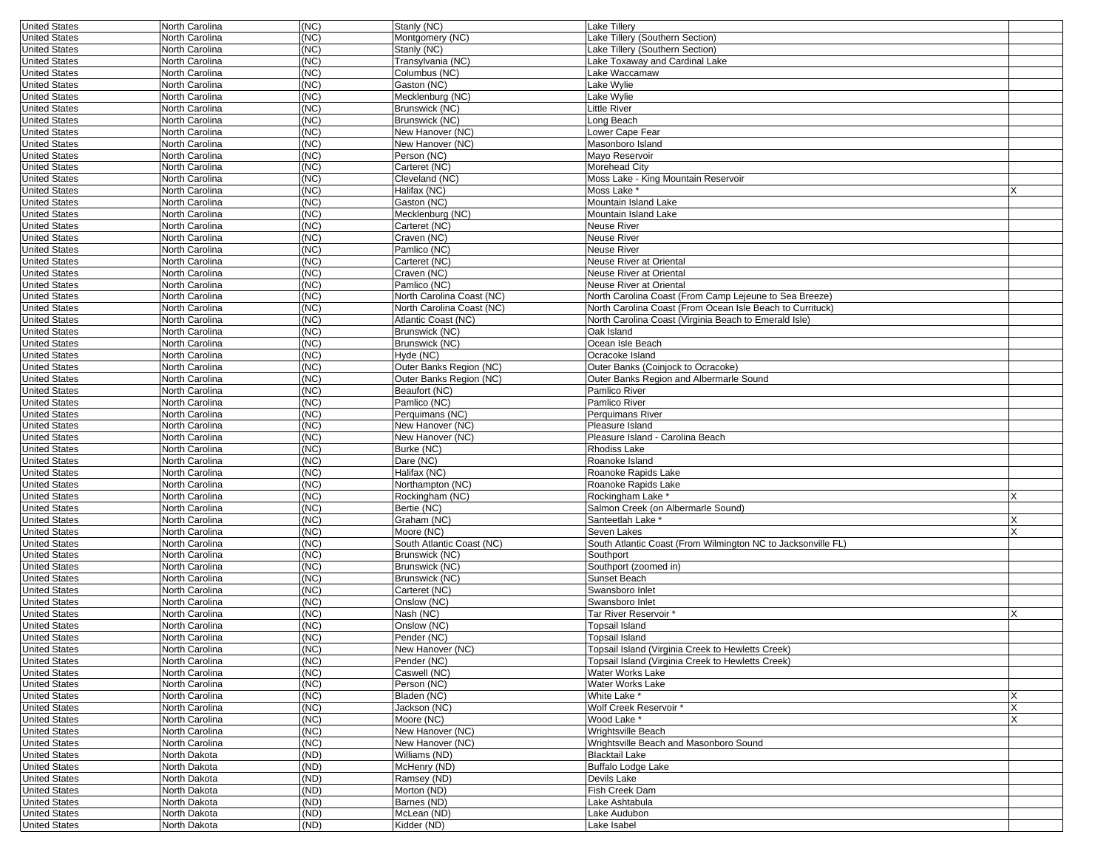| <b>United States</b> | North Carolina | (NC) | Stanly (NC)               | <b>Lake Tillery</b>                                          |     |
|----------------------|----------------|------|---------------------------|--------------------------------------------------------------|-----|
| <b>United States</b> | North Carolina | (NC) | Montgomery (NC)           | Lake Tillery (Southern Section)                              |     |
| <b>United States</b> | North Carolina | (NC) | Stanly (NC)               | Lake Tillery (Southern Section)                              |     |
| <b>United States</b> | North Carolina | (NC) | Transylvania (NC)         | Lake Toxaway and Cardinal Lake                               |     |
| <b>United States</b> | North Carolina | (NC) | Columbus (NC)             | Lake Waccamaw                                                |     |
|                      |                |      |                           |                                                              |     |
| <b>United States</b> | North Carolina | (NC) | Gaston (NC)               | Lake Wylie                                                   |     |
| <b>United States</b> | North Carolina | (NC) | Mecklenburg (NC)          | Lake Wylie                                                   |     |
| <b>United States</b> | North Carolina | (NC) | Brunswick (NC)            | Little River                                                 |     |
| <b>United States</b> | North Carolina | (NC) | Brunswick (NC)            | Long Beach                                                   |     |
| <b>United States</b> | North Carolina | (NC) | New Hanover (NC)          | Lower Cape Fear                                              |     |
|                      |                | (NC) |                           | Masonboro Island                                             |     |
| <b>United States</b> | North Carolina |      | New Hanover (NC)          |                                                              |     |
| <b>United States</b> | North Carolina | (NC) | Person (NC)               | Mayo Reservoir                                               |     |
| <b>United States</b> | North Carolina | (NC) | Carteret (NC)             | <b>Morehead City</b>                                         |     |
| <b>United States</b> | North Carolina | (NC) | Cleveland (NC)            | Moss Lake - King Mountain Reservoir                          |     |
| <b>United States</b> | North Carolina | (NC) | Halifax (NC)              | Moss Lake <sup>*</sup>                                       |     |
| <b>United States</b> | North Carolina | (NC) | Gaston (NC)               | Mountain Island Lake                                         |     |
|                      |                |      |                           |                                                              |     |
| <b>United States</b> | North Carolina | (NC) | Mecklenburg (NC)          | Mountain Island Lake                                         |     |
| <b>United States</b> | North Carolina | (NC) | Carteret (NC)             | <b>Neuse River</b>                                           |     |
| <b>United States</b> | North Carolina | (NC) | Craven (NC)               | <b>Neuse River</b>                                           |     |
| <b>United States</b> | North Carolina | (NC) | Pamlico (NC)              | Neuse River                                                  |     |
| <b>United States</b> | North Carolina | (NC) | Carteret (NC)             | Neuse River at Oriental                                      |     |
|                      |                |      |                           |                                                              |     |
| <b>United States</b> | North Carolina | (NC) | Craven (NC)               | Neuse River at Oriental                                      |     |
| <b>United States</b> | North Carolina | (NC) | Pamlico (NC)              | Neuse River at Oriental                                      |     |
| <b>United States</b> | North Carolina | (NC) | North Carolina Coast (NC) | North Carolina Coast (From Camp Lejeune to Sea Breeze)       |     |
| <b>United States</b> | North Carolina | (NC) | North Carolina Coast (NC) | North Carolina Coast (From Ocean Isle Beach to Currituck)    |     |
| <b>United States</b> | North Carolina | (NC) | Atlantic Coast (NC)       | North Carolina Coast (Virginia Beach to Emerald Isle)        |     |
|                      |                |      |                           |                                                              |     |
| <b>United States</b> | North Carolina | (NC) | Brunswick (NC)            | Oak Island                                                   |     |
| <b>United States</b> | North Carolina | (NC) | Brunswick (NC)            | Ocean Isle Beach                                             |     |
| <b>United States</b> | North Carolina | (NC) | Hyde (NC)                 | Ocracoke Island                                              |     |
| <b>United States</b> | North Carolina | (NC) | Outer Banks Region (NC)   | Outer Banks (Coinjock to Ocracoke)                           |     |
| <b>United States</b> | North Carolina | (NC) | Outer Banks Region (NC)   | Outer Banks Region and Albermarle Sound                      |     |
| <b>United States</b> | North Carolina | (NC) | Beaufort (NC)             | Pamlico River                                                |     |
|                      |                |      |                           |                                                              |     |
| <b>United States</b> | North Carolina | (NC) | Pamlico (NC)              | Pamlico River                                                |     |
| <b>United States</b> | North Carolina | (NC) | Perquimans (NC)           | Perquimans River                                             |     |
| <b>United States</b> | North Carolina | (NC) | New Hanover (NC)          | Pleasure Island                                              |     |
| <b>United States</b> | North Carolina | (NC) | New Hanover (NC)          | Pleasure Island - Carolina Beach                             |     |
| <b>United States</b> | North Carolina | (NC) | Burke (NC)                | <b>Rhodiss Lake</b>                                          |     |
|                      |                |      |                           |                                                              |     |
| <b>United States</b> | North Carolina | (NC) | Dare (NC)                 | Roanoke Island                                               |     |
| <b>United States</b> | North Carolina | (NC) | Halifax (NC)              | Roanoke Rapids Lake                                          |     |
| <b>United States</b> | North Carolina | (NC) | Northampton (NC)          | Roanoke Rapids Lake                                          |     |
| <b>United States</b> | North Carolina | (NC) | Rockingham (NC)           | Rockingham Lake *                                            | X   |
| <b>United States</b> | North Carolina | (NC) | Bertie (NC)               | Salmon Creek (on Albermarle Sound)                           |     |
|                      |                |      |                           |                                                              |     |
| <b>United States</b> | North Carolina | (NC) | Graham (NC)               | Santeetlah Lake *                                            | ΙX. |
| <b>United States</b> | North Carolina | (NC) | Moore (NC)                | Seven Lakes                                                  |     |
| <b>United States</b> | North Carolina | (NC) | South Atlantic Coast (NC) | South Atlantic Coast (From Wilmington NC to Jacksonville FL) |     |
| <b>United States</b> | North Carolina | (NC) | Brunswick (NC)            | Southport                                                    |     |
| <b>United States</b> | North Carolina | (NC) | Brunswick (NC)            | Southport (zoomed in)                                        |     |
| <b>United States</b> | North Carolina | (NC) | Brunswick (NC)            | Sunset Beach                                                 |     |
|                      |                |      |                           |                                                              |     |
| <b>United States</b> | North Carolina | (NC) | Carteret (NC)             | Swansboro Inlet                                              |     |
| <b>United States</b> | North Carolina | (NC) | Onslow (NC)               | Swansboro Inlet                                              |     |
| <b>United States</b> | North Carolina | (NC) | Nash (NC)                 | Tar River Reservoir *                                        |     |
| <b>United States</b> | North Carolina | (NC) | Onslow (NC)               | Topsail Island                                               |     |
| <b>United States</b> | North Carolina | (NC) | Pender (NC)               | <b>Topsail Island</b>                                        |     |
|                      |                |      |                           |                                                              |     |
| United States        | North Carolina | (NC) | New Hanover (NC)          | Topsail Island (Virginia Creek to Hewletts Creek)            |     |
| <b>United States</b> | North Carolina | (NC) | Pender (NC)               | Topsail Island (Virginia Creek to Hewletts Creek)            |     |
| <b>United States</b> | North Carolina | (NC) | Caswell (NC)              | <b>Water Works Lake</b>                                      |     |
| <b>United States</b> | North Carolina | (NC) | Person (NC)               | Water Works Lake                                             |     |
| <b>United States</b> | North Carolina | (NC) | Bladen (NC)               | White Lake *                                                 |     |
| <b>United States</b> | North Carolina | (NC) | Jackson (NC)              | Wolf Creek Reservoir *                                       | X   |
|                      |                |      |                           |                                                              |     |
| <b>United States</b> | North Carolina | (NC) | Moore (NC)                | Wood Lake *                                                  | X   |
| <b>United States</b> | North Carolina | (NC) | New Hanover (NC)          | Wrightsville Beach                                           |     |
| <b>United States</b> | North Carolina | (NC) | New Hanover (NC)          | Wrightsville Beach and Masonboro Sound                       |     |
| <b>United States</b> | North Dakota   | (ND) | Williams (ND)             | <b>Blacktail Lake</b>                                        |     |
| <b>United States</b> | North Dakota   | (ND) | McHenry (ND)              | Buffalo Lodge Lake                                           |     |
|                      | North Dakota   |      |                           | Devils Lake                                                  |     |
| <b>United States</b> |                | (ND) | Ramsey (ND)               |                                                              |     |
| <b>United States</b> | North Dakota   | (ND) | Morton (ND)               | Fish Creek Dam                                               |     |
| <b>United States</b> | North Dakota   | (ND) | Barnes (ND)               | Lake Ashtabula                                               |     |
| <b>United States</b> | North Dakota   | (ND) | McLean (ND)               | Lake Audubon                                                 |     |
| <b>United States</b> | North Dakota   | (ND) | Kidder (ND)               | Lake Isabel                                                  |     |
|                      |                |      |                           |                                                              |     |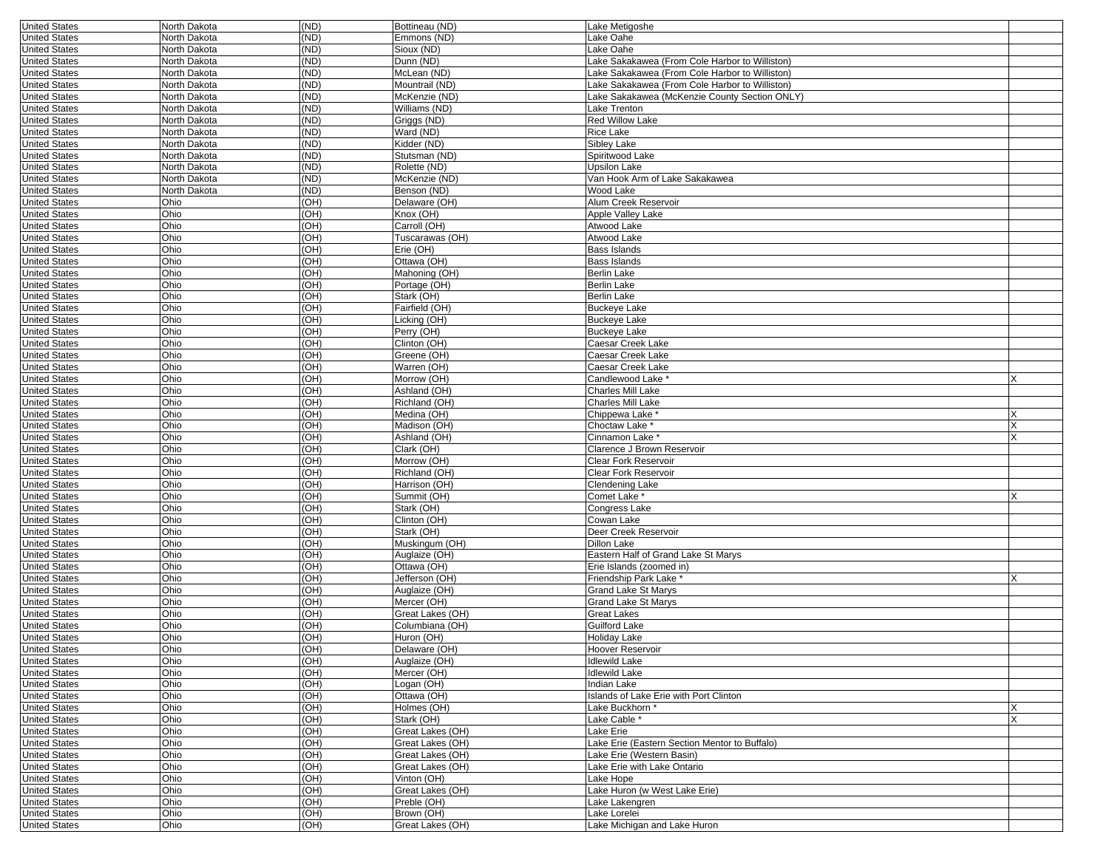| <b>United States</b>                         | North Dakota | (ND)         | Bottineau (ND)                       | Lake Metigoshe                                           |        |
|----------------------------------------------|--------------|--------------|--------------------------------------|----------------------------------------------------------|--------|
| <b>United States</b>                         | North Dakota | (ND)         | Emmons (ND)                          | Lake Oahe                                                |        |
| <b>United States</b>                         | North Dakota | (ND)         | Sioux (ND)                           | Lake Oahe                                                |        |
| <b>United States</b>                         | North Dakota | (ND)         | Dunn (ND)                            | Lake Sakakawea (From Cole Harbor to Williston)           |        |
| <b>United States</b>                         | North Dakota | (ND)         | McLean (ND)                          | Lake Sakakawea (From Cole Harbor to Williston)           |        |
| <b>United States</b>                         | North Dakota | (ND)         | Mountrail (ND)                       | Lake Sakakawea (From Cole Harbor to Williston)           |        |
| <b>United States</b>                         | North Dakota | (ND)         | McKenzie (ND)                        | Lake Sakakawea (McKenzie County Section ONLY)            |        |
| <b>United States</b>                         | North Dakota | (ND)         | Williams (ND)                        | Lake Trenton                                             |        |
| <b>United States</b>                         | North Dakota | (ND)         | Griggs (ND)                          | Red Willow Lake                                          |        |
| <b>United States</b>                         | North Dakota | (ND)         | Ward (ND)                            | Rice Lake                                                |        |
| <b>United States</b>                         | North Dakota | (ND)         | Kidder (ND)                          | Sibley Lake                                              |        |
| <b>United States</b>                         | North Dakota | (ND)         | Stutsman (ND)                        | Spiritwood Lake                                          |        |
| <b>United States</b>                         | North Dakota | (ND)         | Rolette (ND)                         | Upsilon Lake                                             |        |
| <b>United States</b>                         | North Dakota | (ND)         | McKenzie (ND)                        | Van Hook Arm of Lake Sakakawea                           |        |
| <b>United States</b>                         | North Dakota | (ND)         | Benson (ND)                          | Wood Lake                                                |        |
| <b>United States</b>                         | Ohio         | (OH)         | Delaware (OH)                        | Alum Creek Reservoir                                     |        |
| <b>United States</b>                         | Ohio         | (OH)         | Knox (OH)                            | Apple Valley Lake                                        |        |
| <b>United States</b>                         | Ohio         | (OH)         | Carroll (OH)                         | Atwood Lake                                              |        |
| <b>United States</b>                         | Ohio         | (OH)         | Tuscarawas (OH)                      | Atwood Lake                                              |        |
| <b>United States</b>                         | Ohio         | (OH)         | Erie (OH)                            | Bass Islands                                             |        |
| <b>United States</b>                         | Ohio         | (OH)         | Ottawa (OH)                          | Bass Islands                                             |        |
| <b>United States</b>                         | Ohio         | (OH)         | Mahoning (OH)                        | Berlin Lake                                              |        |
| <b>United States</b>                         | Ohio         | (OH)         | Portage (OH)                         | <b>Berlin Lake</b>                                       |        |
| <b>United States</b>                         | Ohio         | (OH)         | Stark (OH)                           | <b>Berlin Lake</b>                                       |        |
| <b>United States</b>                         | Ohio         | (OH)         | Fairfield (OH)                       | <b>Buckeye Lake</b>                                      |        |
| <b>United States</b>                         | Ohio         | (OH)         | Licking (OH)                         | <b>Buckeye Lake</b>                                      |        |
| <b>United States</b>                         | Ohio         | (OH)         | Perry (OH)                           | <b>Buckeye Lake</b>                                      |        |
| <b>United States</b>                         | Ohio         | (OH)         | Clinton (OH)                         | Caesar Creek Lake                                        |        |
| <b>United States</b>                         | Ohio         | (OH)         | Greene (OH)                          | Caesar Creek Lake                                        |        |
| <b>United States</b>                         | Ohio         | (OH)         | Warren (OH)                          | Caesar Creek Lake                                        |        |
| <b>United States</b>                         | Ohio         | (OH)         | Morrow (OH)                          | Candlewood Lake                                          | X      |
| <b>United States</b>                         | Ohio         | (OH)         | Ashland (OH)                         | <b>Charles Mill Lake</b>                                 |        |
| <b>United States</b>                         | Ohio         | (OH)         | Richland (OH)                        | <b>Charles Mill Lake</b>                                 |        |
| <b>United States</b>                         | Ohio         | (OH)         | Medina (OH)                          | Chippewa Lake *                                          | x      |
| <b>United States</b>                         | Ohio         | (OH)         | Madison (OH)                         | Choctaw Lake *                                           |        |
| <b>United States</b>                         | Ohio         | (OH)         | Ashland (OH)                         | Cinnamon Lake *                                          |        |
| <b>United States</b>                         | Ohio         | (OH)         | Clark (OH)                           | Clarence J Brown Reservoir                               |        |
| <b>United States</b>                         | Ohio         | (OH)         | Morrow (OH)                          | Clear Fork Reservoir                                     |        |
| <b>United States</b>                         | Ohio         | (OH)         | Richland (OH)                        | Clear Fork Reservoir                                     |        |
| <b>United States</b>                         | Ohio         | (OH)         | Harrison (OH)                        | Clendening Lake                                          |        |
| <b>United States</b>                         | Ohio         | (OH)         | Summit (OH)                          | Comet Lake *                                             |        |
| <b>United States</b>                         | Ohio         | (OH)         | Stark (OH)                           | Congress Lake                                            |        |
| <b>United States</b>                         | Ohio         | (OH)         | Clinton (OH)                         | Cowan Lake                                               |        |
| <b>United States</b>                         | Ohio         | (OH)         | Stark (OH)                           | Deer Creek Reservoir                                     |        |
| <b>United States</b>                         | Ohio         | (OH)         | Muskingum (OH)                       | Dillon Lake                                              |        |
| <b>United States</b>                         | Ohio         | (OH)         | Auglaize (OH)                        | Eastern Half of Grand Lake St Marys                      |        |
| <b>United States</b>                         | Ohio         | (OH)         | Ottawa (OH)                          | Erie Islands (zoomed in)                                 |        |
| <b>United States</b>                         | Ohio         | (OH)         | Jefferson (OH)                       | Friendship Park Lake *                                   | X      |
| <b>United States</b>                         | Ohio         | (OH)         | Auglaize (OH)                        | <b>Grand Lake St Marys</b>                               |        |
| <b>United States</b>                         | Ohio         | (OH)         | Mercer (OH)                          | <b>Grand Lake St Marys</b>                               |        |
| <b>United States</b>                         | Ohio         | (OH)         | Great Lakes (OH)                     | Great Lakes                                              |        |
| <b>United States</b>                         | Ohio         | (OH)         | Columbiana (OH)                      | Guilford Lake                                            |        |
| <b>United States</b>                         | Ohio         | (OH)         | Huron (OH)                           | Holiday Lake                                             |        |
| <b>United States</b>                         | Ohio         | (OH)         | Delaware (OH)                        | Hoover Reservoir                                         |        |
| <b>United States</b>                         | Ohio         | (OH)         | Auglaize (OH)                        | Idlewild Lake<br><b>Idlewild Lake</b>                    |        |
| <b>United States</b>                         | Ohio         | (OH)         | Mercer (OH)                          |                                                          |        |
| <b>United States</b><br><b>United States</b> | Ohio         | (OH)         | Logan (OH)                           | Indian Lake                                              |        |
|                                              | Ohio         | (OH)         | Ottawa (OH)                          | Islands of Lake Erie with Port Clinton                   |        |
| <b>United States</b>                         | Ohio         | (OH)         | Holmes (OH)                          | Lake Buckhorn *                                          | X<br>X |
| <b>United States</b><br><b>United States</b> | Ohio<br>Ohio | (OH)<br>(OH) | Stark (OH)<br>Great Lakes (OH)       | Lake Cable *<br>Lake Erie                                |        |
|                                              |              |              |                                      |                                                          |        |
| <b>United States</b>                         | Ohio<br>Ohio | (OH)         | Great Lakes (OH)<br>Great Lakes (OH) | Lake Erie (Eastern Section Mentor to Buffalo)            |        |
| <b>United States</b>                         |              | (OH)         |                                      | Lake Erie (Western Basin)<br>Lake Erie with Lake Ontario |        |
| <b>United States</b><br><b>United States</b> | Ohio<br>Ohio | (OH)         | Great Lakes (OH)                     |                                                          |        |
| <b>United States</b>                         | Ohio         | (OH)         | Vinton (OH)<br>Great Lakes (OH)      | Lake Hope<br>Lake Huron (w West Lake Erie)               |        |
|                                              | Ohio         | (OH)<br>(OH) | Preble (OH)                          | Lake Lakengren                                           |        |
| <b>United States</b><br><b>United States</b> | Ohio         | (OH)         | Brown (OH)                           | Lake Lorelei                                             |        |
|                                              |              | (OH)         | Great Lakes (OH)                     | Lake Michigan and Lake Huron                             |        |
| <b>United States</b>                         | Ohio         |              |                                      |                                                          |        |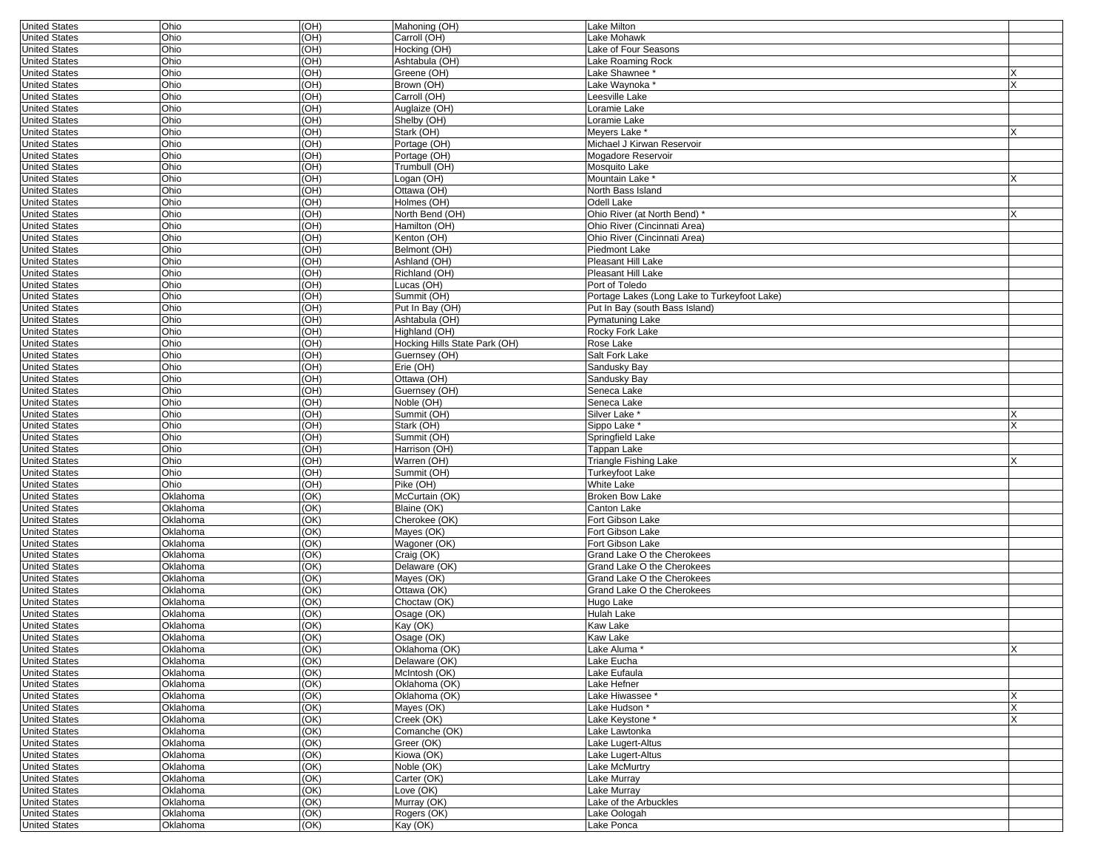| <b>United States</b> | Ohio     | (OH) | Mahoning (OH)                 | Lake Milton                                  |     |
|----------------------|----------|------|-------------------------------|----------------------------------------------|-----|
| <b>United States</b> | Ohio     | (OH) | Carroll (OH)                  | Lake Mohawk                                  |     |
| <b>United States</b> | Ohio     | (OH) | Hocking (OH)                  | Lake of Four Seasons                         |     |
| <b>United States</b> | Ohio     | (OH) | Ashtabula (OH)                | Lake Roaming Rock                            |     |
| <b>United States</b> | Ohio     | (HO  | Greene (OH)                   | Lake Shawnee *                               |     |
| <b>United States</b> | Ohio     | (HO  | Brown (OH)                    | Lake Waynoka <sup>*</sup>                    |     |
| <b>United States</b> | Ohio     | (HO  | Carroll (OH)                  | Leesville Lake                               |     |
| <b>United States</b> | Ohio     | (HO  | Auglaize (OH)                 | Loramie Lake                                 |     |
|                      |          |      | Shelby (OH)                   |                                              |     |
| <b>United States</b> | Ohio     | (HO  |                               | Loramie Lake                                 |     |
| <b>United States</b> | Ohio     | (HO  | Stark (OH)                    | Meyers Lake *                                |     |
| <b>United States</b> | Ohio     | (HO  | Portage (OH)                  | Michael J Kirwan Reservoir                   |     |
| <b>United States</b> | Ohio     | (HO  | Portage (OH)                  | Mogadore Reservoir                           |     |
| <b>United States</b> | Ohio     | (OH) | Trumbull (OH)                 | Mosquito Lake                                |     |
| <b>United States</b> | Ohio     | (OH) | Logan (OH)                    | Mountain Lake <sup>3</sup>                   |     |
| <b>United States</b> | Ohio     | (HO  | Ottawa (OH)                   | North Bass Island                            |     |
| <b>United States</b> | Ohio     | OH)  | Holmes (OH)                   | Odell Lake                                   |     |
| <b>United States</b> | Ohio     | (HO  | North Bend (OH)               | Ohio River (at North Bend)                   |     |
| <b>United States</b> | Ohio     | (HO  | Hamilton (OH)                 | Ohio River (Cincinnati Area)                 |     |
| <b>United States</b> | Ohio     | (HO  | Kenton (OH)                   | Ohio River (Cincinnati Area)                 |     |
| <b>United States</b> | Ohio     | (HO  | Belmont (OH)                  | Piedmont Lake                                |     |
| <b>United States</b> | Ohio     | (HO  | Ashland (OH)                  | <b>Pleasant Hill Lake</b>                    |     |
| <b>United States</b> | Ohio     | (OH) | Richland (OH)                 | Pleasant Hill Lake                           |     |
| <b>United States</b> | Ohio     | (OH) | Lucas (OH)                    | Port of Toledo                               |     |
| <b>United States</b> | Ohio     | (OH) | Summit (OH)                   | Portage Lakes (Long Lake to Turkeyfoot Lake) |     |
| <b>United States</b> | Ohio     | (OH) | Put In Bay (OH)               | Put In Bay (south Bass Island)               |     |
|                      | Ohio     | (OH) |                               |                                              |     |
| <b>United States</b> |          |      | Ashtabula (OH)                | Pymatuning Lake                              |     |
| <b>United States</b> | Ohio     | (OH) | Highland (OH)                 | Rocky Fork Lake                              |     |
| <b>United States</b> | Ohio     | (OH) | Hocking Hills State Park (OH) | Rose Lake                                    |     |
| <b>United States</b> | Ohio     | (OH) | Guernsey (OH)                 | Salt Fork Lake                               |     |
| <b>United States</b> | Ohio     | (OH) | Erie (OH)                     | Sandusky Bay                                 |     |
| <b>United States</b> | Ohio     | (OH) | Ottawa (OH)                   | Sandusky Bay                                 |     |
| <b>United States</b> | Ohio     | (OH) | Guernsey (OH)                 | Seneca Lake                                  |     |
| <b>United States</b> | Ohio     | (OH) | Noble (OH)                    | Seneca Lake                                  |     |
| <b>United States</b> | Ohio     | (OH) | Summit (OH)                   | Silver Lake *                                |     |
| <b>United States</b> | Ohio     | (OH) | Stark (OH)                    | Sippo Lake *                                 |     |
| <b>United States</b> | Ohio     | (OH) | Summit (OH)                   | Springfield Lake                             |     |
| <b>United States</b> | Ohio     | (OH) | Harrison (OH)                 | Tappan Lake                                  |     |
| <b>United States</b> | Ohio     | (OH) | Warren (OH)                   | Triangle Fishing Lake                        |     |
| <b>United States</b> | Ohio     | (OH) | Summit (OH)                   | <b>Turkeyfoot Lake</b>                       |     |
| <b>United States</b> | Ohio     | (OH) | Pike (OH)                     | <b>White Lake</b>                            |     |
| <b>United States</b> | Oklahoma | (OK) | McCurtain (OK)                | <b>Broken Bow Lake</b>                       |     |
| <b>United States</b> | Oklahoma | (OK) | Blaine (OK)                   | Canton Lake                                  |     |
|                      |          | (OK) | Cherokee (OK)                 | Fort Gibson Lake                             |     |
| <b>United States</b> | Oklahoma |      |                               |                                              |     |
| <b>United States</b> | Oklahoma | (OK) | Mayes (OK)                    | Fort Gibson Lake                             |     |
| <b>United States</b> | Oklahoma | (OK) | Wagoner (OK)                  | Fort Gibson Lake                             |     |
| <b>United States</b> | Oklahoma | (OK) | Craig (OK)                    | Grand Lake O the Cherokees                   |     |
| <b>United States</b> | Oklahoma | (OK) | Delaware (OK)                 | Grand Lake O the Cherokees                   |     |
| <b>United States</b> | Oklahoma | (OK) | Mayes (OK)                    | Grand Lake O the Cherokees                   |     |
| <b>United States</b> | Oklahoma | (OK) | Ottawa (OK)                   | Grand Lake O the Cherokees                   |     |
| <b>United States</b> | Oklahoma | (OK) | Choctaw (OK)                  | Hugo Lake                                    |     |
| <b>United States</b> | Oklahoma | (OK) | Osage (OK)                    | Hulah Lake                                   |     |
| <b>United States</b> | Oklahoma | (OK) | Kay (OK)                      | Kaw Lake                                     |     |
| <b>United States</b> | Oklahoma | (OK) | Osage (OK)                    | Kaw Lake                                     |     |
| United States        | Oklahoma | (OK) | Oklahoma (OK)                 | Lake Aluma                                   | IX. |
| <b>United States</b> | Oklahoma | (OK) | Delaware (OK)                 | Lake Eucha                                   |     |
| <b>United States</b> | Oklahoma | (OK) | McIntosh (OK)                 | Lake Eufaula                                 |     |
| <b>United States</b> | Oklahoma | (OK) | Oklahoma (OK)                 | Lake Hefner                                  |     |
| <b>United States</b> | Oklahoma | (OK) | Oklahoma (OK)                 | Lake Hiwassee*                               |     |
| <b>United States</b> | Oklahoma | (OK) | Mayes (OK)                    | Lake Hudson *                                | X   |
| <b>United States</b> | Oklahoma | (OK) | Creek (OK)                    | Lake Keystone*                               |     |
|                      | Oklahoma |      |                               | Lake Lawtonka                                |     |
| <b>United States</b> |          | (OK) | Comanche (OK)                 |                                              |     |
| <b>United States</b> | Oklahoma | (OK) | Greer (OK)                    | Lake Lugert-Altus                            |     |
| <b>United States</b> | Oklahoma | (OK) | Kiowa (OK)                    | Lake Lugert-Altus                            |     |
| <b>United States</b> | Oklahoma | (OK) | Noble (OK)                    | Lake McMurtry                                |     |
| <b>United States</b> | Oklahoma | (OK) | Carter (OK)                   | Lake Murray                                  |     |
| <b>United States</b> | Oklahoma | (OK) | Love (OK)                     | Lake Murray                                  |     |
| <b>United States</b> | Oklahoma | (OK) | Murray (OK)                   | Lake of the Arbuckles                        |     |
| <b>United States</b> | Oklahoma | (OK) | Rogers (OK)                   | Lake Oologah                                 |     |
| <b>United States</b> | Oklahoma | (OK) | Kay (OK)                      | Lake Ponca                                   |     |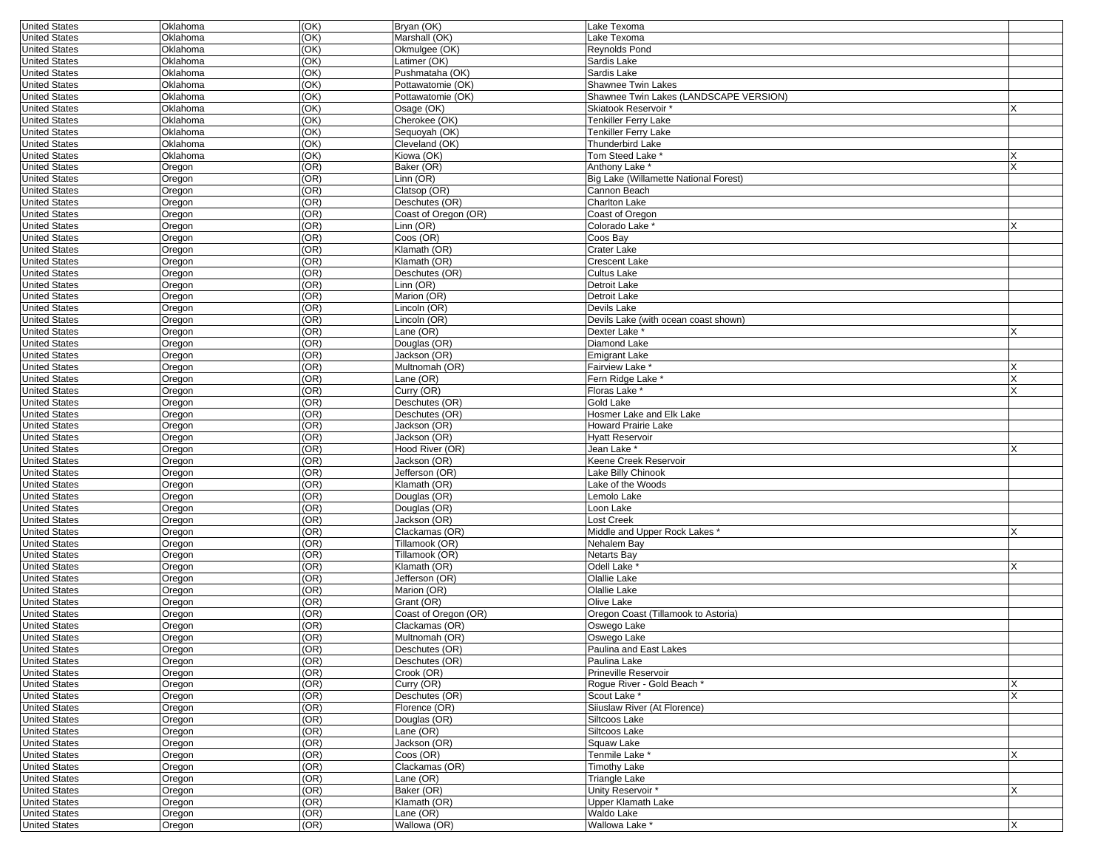| <b>United States</b>                  | Oklahoma | (OK)         | Bryan (OK)           | Lake Texoma                            |          |
|---------------------------------------|----------|--------------|----------------------|----------------------------------------|----------|
| <b>United States</b>                  | Oklahoma | (OK)         | Marshall (OK)        | Lake Texoma                            |          |
| <b>United States</b>                  | Oklahoma | (OK)         | Okmulgee (OK)        | Reynolds Pond                          |          |
| <b>United States</b>                  | Oklahoma | (OK)         | Latimer (OK)         | Sardis Lake                            |          |
| <b>United States</b>                  | Oklahoma | (OK)         | Pushmataha (OK)      | Sardis Lake                            |          |
| <b>United States</b>                  | Oklahoma | (OK)         | Pottawatomie (OK)    | Shawnee Twin Lakes                     |          |
|                                       |          |              |                      | Shawnee Twin Lakes (LANDSCAPE VERSION) |          |
| <b>United States</b>                  | Oklahoma | (OK)         | Pottawatomie (OK)    |                                        |          |
| <b>United States</b>                  | Oklahoma | (OK)         | Osage (OK)           | Skiatook Reservoir *                   |          |
| <b>United States</b>                  | Oklahoma | (OK)         | Cherokee (OK)        | <b>Tenkiller Ferry Lake</b>            |          |
| <b>United States</b>                  | Oklahoma | (OK)         | Sequoyah (OK)        | Tenkiller Ferry Lake                   |          |
| <b>United States</b>                  | Oklahoma | (OK)         | Cleveland (OK)       | Thunderbird Lake                       |          |
| <b>United States</b>                  | Oklahoma | (OK)         | Kiowa (OK)           | Tom Steed Lake                         |          |
| <b>United States</b>                  | Oregon   | (OR)         | Baker (OR)           | Anthony Lake <sup>*</sup>              | X        |
| <b>United States</b>                  |          | (OR)         | Linn (OR)            | Big Lake (Willamette National Forest)  |          |
|                                       | Oregon   |              |                      |                                        |          |
| <b>United States</b>                  | Oregon   | (OR)         | Clatsop (OR)         | Cannon Beach                           |          |
| <b>United States</b>                  | Oregon   | (OR)         | Deschutes (OR)       | <b>Charlton Lake</b>                   |          |
| <b>United States</b>                  | Oregon   | (OR)         | Coast of Oregon (OR) | Coast of Oregon                        |          |
| <b>United States</b>                  | Oregon   | (OR)         | Linn (OR)            | Colorado Lake *                        | x        |
| <b>United States</b>                  | Oregon   | (OR)         | Coos (OR)            | Coos Bay                               |          |
| <b>United States</b>                  | Oregon   | (OR)         | Klamath (OR)         | Crater Lake                            |          |
| <b>United States</b>                  | Oregon   | (OR)         | Klamath (OR)         | Crescent Lake                          |          |
| <b>United States</b>                  | Oregon   | (OR)         | Deschutes (OR)       | Cultus Lake                            |          |
| <b>United States</b>                  | Oregon   | (OR)         | Linn (OR)            | Detroit Lake                           |          |
| <b>United States</b>                  | Oregon   | (OR)         | Marion (OR)          | Detroit Lake                           |          |
|                                       |          |              | Lincoln (OR)         |                                        |          |
| <b>United States</b>                  | Oregon   | (OR)         |                      | Devils Lake                            |          |
| <b>United States</b>                  | Oregon   | (OR)         | Lincoln (OR)         | Devils Lake (with ocean coast shown)   |          |
| <b>United States</b>                  | Oregon   | (OR)         | Lane (OR)            | Dexter Lake *                          |          |
| <b>United States</b>                  | Oregon   | (OR)         | Douglas (OR)         | Diamond Lake                           |          |
| <b>United States</b>                  | Oregon   | (OR)         | Jackson (OR)         | Emigrant Lake                          |          |
| <b>United States</b>                  | Oregon   | (OR)         | Multnomah (OR)       | Fairview Lake <sup>*</sup>             |          |
| <b>United States</b>                  | Oregon   | (OR)         | Lane (OR)            | Fern Ridge Lake '                      | X        |
| <b>United States</b>                  | Oregon   | (OR)         | Curry (OR)           | Floras Lake *                          | X        |
| <b>United States</b>                  | Oregon   | (OR)         | Deschutes (OR)       | Gold Lake                              |          |
| <b>United States</b>                  | Oregon   | (OR)         | Deschutes (OR)       | Hosmer Lake and Elk Lake               |          |
|                                       |          | (OR)         |                      |                                        |          |
| <b>United States</b>                  | Oregon   |              | Jackson (OR)         | <b>Howard Prairie Lake</b>             |          |
| <b>United States</b>                  | Oregon   | (OR)         | Jackson (OR)         | <b>Hyatt Reservoir</b>                 |          |
| <b>United States</b>                  | Oregon   | (OR)         | Hood River (OR)      | Jean Lake *                            |          |
| <b>United States</b>                  | Oregon   | (OR)         | Jackson (OR)         | Keene Creek Reservoir                  |          |
| <b>United States</b>                  | Oregon   | (OR)         | Jefferson (OR)       | Lake Billy Chinook                     |          |
| <b>United States</b>                  | Oregon   | (OR)         | Klamath (OR)         | Lake of the Woods                      |          |
| <b>United States</b>                  | Oregon   | (OR)         | Douglas (OR)         | Lemolo Lake                            |          |
| <b>United States</b>                  | Oregon   | (OR)         | Douglas (OR)         | _oon Lake                              |          |
| <b>United States</b>                  | Oregon   | (OR)         | Jackson (OR)         | ost Creek                              |          |
| <b>United States</b>                  | Oregon   | (OR)         | Clackamas (OR)       | Middle and Upper Rock Lakes *          | X        |
| <b>United States</b>                  |          | (OR)         | Tillamook (OR)       |                                        |          |
|                                       | Oregon   |              |                      | Nehalem Bay                            |          |
| <b>United States</b>                  | Oregon   | (OR)         | Tillamook (OR)       | Netarts Bay                            |          |
| <b>United States</b>                  | Oregon   | (OR)         | Klamath (OR)         | Odell Lake <sup>*</sup>                | X        |
| <b>United States</b>                  | Oregon   | (OR)         | Jefferson (OR)       | Olallie Lake                           |          |
| <b>United States</b>                  | Oregon   | (OR)         | Marion (OR)          | Olallie Lake                           |          |
| <b>United States</b>                  | Oregon   | (OR)         | Grant (OR)           | Olive Lake                             |          |
| <b>United States</b>                  | Oregon   | (OR)         | Coast of Oregon (OR) | Oregon Coast (Tillamook to Astoria)    |          |
| <b>United States</b>                  | Oregon   | (OR)         | Clackamas (OR)       | Oswego Lake                            |          |
| <b>United States</b>                  | Oregon   | (OR)         | Multnomah (OR)       | Oswego Lake                            |          |
|                                       | Oregon   |              | Deschutes (OR)       | Paulina and East Lakes                 |          |
| United States<br><b>United States</b> | Oregon   | (OR)<br>(OR) | Deschutes (OR)       | Paulina Lake                           |          |
|                                       |          |              |                      |                                        |          |
| <b>United States</b>                  | Oregon   | (OR)         | Crook (OR)           | Prineville Reservoir                   |          |
| <b>United States</b>                  | Oregon   | (OR)         | Curry (OR)           | Rogue River - Gold Beach *             | X        |
| <b>United States</b>                  | Oregon   | (OR)         | Deschutes (OR)       | Scout Lake *                           | <b>X</b> |
| <b>United States</b>                  | Oregon   | (OR)         | Florence (OR)        | Siiuslaw River (At Florence)           |          |
| <b>United States</b>                  | Oregon   | (OR)         | Douglas (OR)         | Siltcoos Lake                          |          |
| <b>United States</b>                  | Oregon   | (OR)         | Lane (OR)            | Siltcoos Lake                          |          |
| <b>United States</b>                  | Oregon   | (OR)         | Jackson (OR)         | Squaw Lake                             |          |
| <b>United States</b>                  | Oregon   | (OR)         | $C$ oos $(OR)$       | Tenmile Lake *                         | X        |
| <b>United States</b>                  | Oregon   | (OR)         | Clackamas (OR)       | <b>Timothy Lake</b>                    |          |
| <b>United States</b>                  | Oregon   | (OR)         | Lane (OR)            | Triangle Lake                          |          |
|                                       |          | (OR)         |                      |                                        | X        |
| <b>United States</b>                  | Oregon   |              | Baker (OR)           | Unity Reservoir *                      |          |
| <b>United States</b>                  | Oregon   | (OR)         | Klamath (OR)         | Upper Klamath Lake                     |          |
| <b>United States</b>                  | Oregon   | (OR)         | Lane (OR)            | Waldo Lake                             |          |
| <b>United States</b>                  | Oregon   | (OR)         | Wallowa (OR)         | Wallowa Lake*                          | X        |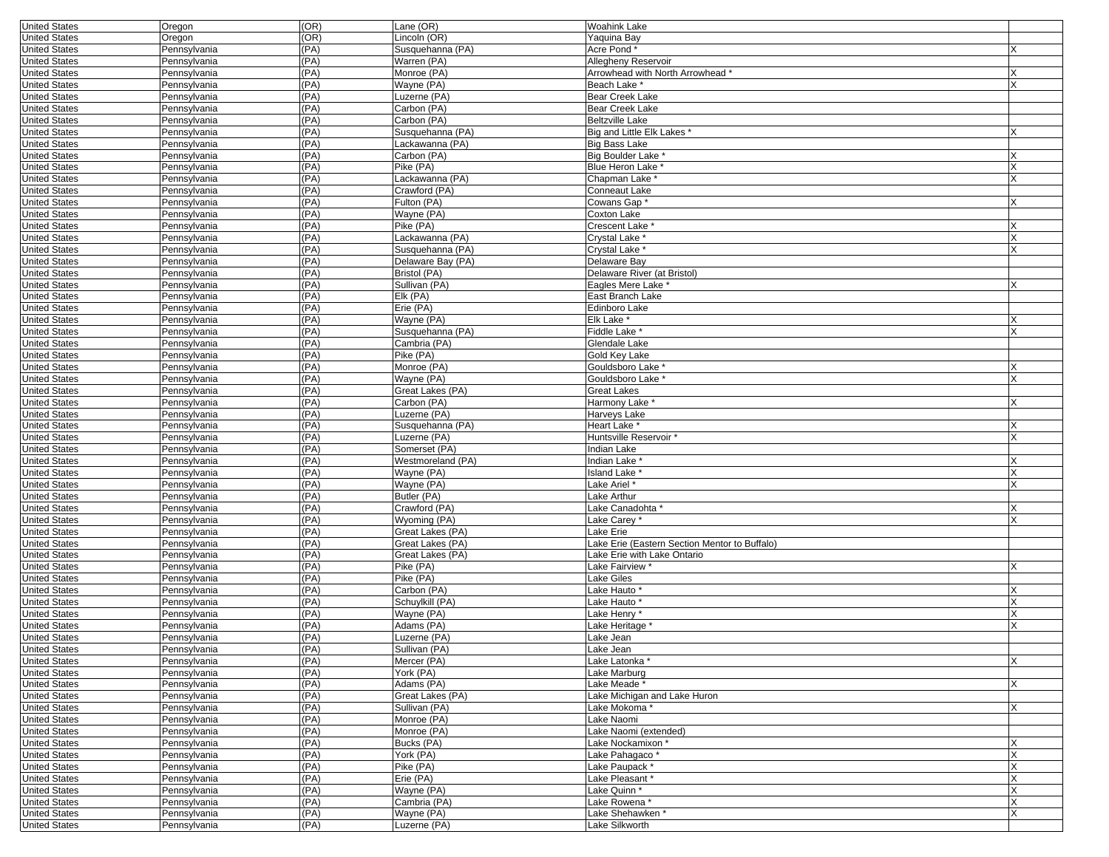| <b>United States</b>                         | Oregon                       | (OR)         | Lane (OR)                      | <b>Woahink Lake</b>                           |  |
|----------------------------------------------|------------------------------|--------------|--------------------------------|-----------------------------------------------|--|
| <b>United States</b>                         | Oregon                       | (OR)         | Lincoln (OR)                   | Yaquina Bay                                   |  |
| <b>United States</b>                         | Pennsylvania                 | (PA)         | Susquehanna (PA)               | Acre Pond                                     |  |
| <b>United States</b>                         | Pennsylvania                 | (PA)         | Warren (PA)                    | Allegheny Reservoir                           |  |
| <b>United States</b>                         | Pennsylvania                 | (PA)         | Monroe (PA)                    | Arrowhead with North Arrowhead *              |  |
| <b>United States</b>                         | Pennsylvania                 | (PA)         | Wayne (PA)                     | <b>Beach Lake</b>                             |  |
| <b>United States</b>                         | Pennsylvania                 | (PA)         | Luzerne (PA)                   | <b>Bear Creek Lake</b>                        |  |
| <b>United States</b>                         | Pennsylvania                 | (PA)         | Carbon (PA)                    | <b>Bear Creek Lake</b>                        |  |
| <b>United States</b>                         | Pennsylvania                 | (PA)         | Carbon (PA)                    | <b>Beltzville Lake</b>                        |  |
| <b>United States</b>                         | Pennsylvania                 | (PA)         | Susquehanna (PA)               | Big and Little Elk Lakes *                    |  |
| <b>United States</b>                         | Pennsylvania                 | (PA)<br>(PA) | Lackawanna (PA)<br>Carbon (PA) | <b>Big Bass Lake</b><br>Big Boulder Lake      |  |
| <b>United States</b><br><b>United States</b> | Pennsylvania<br>Pennsylvania | (PA)         | Pike (PA)                      | Blue Heron Lake '                             |  |
| <b>United States</b>                         | Pennsylvania                 | (PA)         | Lackawanna (PA)                | Chapman Lake *                                |  |
| <b>United States</b>                         | Pennsylvania                 | (PA)         | Crawford (PA)                  | Conneaut Lake                                 |  |
| <b>United States</b>                         | Pennsylvania                 | (PA)         | Fulton (PA)                    | Cowans Gap                                    |  |
| <b>United States</b>                         | Pennsylvania                 | (PA)         | Wayne (PA)                     | Coxton Lake                                   |  |
| <b>United States</b>                         | Pennsylvania                 | (PA)         | Pike (PA)                      | Crescent Lake <sup>*</sup>                    |  |
| <b>United States</b>                         | Pennsylvania                 | (PA)         | Lackawanna (PA)                | Crystal Lake *                                |  |
| <b>United States</b>                         | Pennsylvania                 | (PA)         | Susquehanna (PA)               | Crystal Lake *                                |  |
| <b>United States</b>                         | Pennsylvania                 | (PA)         | Delaware Bay (PA)              | Delaware Bay                                  |  |
| <b>United States</b>                         | Pennsylvania                 | (PA)         | Bristol (PA)                   | Delaware River (at Bristol)                   |  |
| <b>United States</b>                         | Pennsylvania                 | (PA)         | Sullivan (PA)                  | Eagles Mere Lake '                            |  |
| <b>United States</b>                         | Pennsylvania                 | (PA)         | Elk (PA)                       | East Branch Lake                              |  |
| <b>United States</b>                         | Pennsylvania                 | (PA)         | Erie (PA)                      | Edinboro Lake                                 |  |
| <b>United States</b>                         | Pennsylvania                 | (PA)         | Wayne (PA)                     | Elk Lake                                      |  |
| <b>United States</b>                         | Pennsylvania                 | (PA)         | Susquehanna (PA)               | Fiddle Lake <sup>*</sup>                      |  |
| <b>United States</b>                         | Pennsylvania                 | (PA)         | Cambria (PA)                   | Glendale Lake                                 |  |
| <b>United States</b>                         | Pennsylvania                 | (PA)         | Pike (PA)                      | Gold Key Lake                                 |  |
| <b>United States</b>                         | Pennsylvania                 | (PA)         | Monroe (PA)                    | Gouldsboro Lake '                             |  |
| <b>United States</b>                         | Pennsylvania                 | (PA)         | Wayne (PA)                     | Gouldsboro Lake '                             |  |
| <b>United States</b>                         | Pennsylvania                 | (PA)         | Great Lakes (PA)               | <b>Great Lakes</b>                            |  |
| <b>United States</b>                         | Pennsylvania                 | (PA)         | Carbon (PA)                    | Harmony Lake *                                |  |
| <b>United States</b>                         | Pennsylvania                 | (PA)         | Luzerne (PA)                   | Harveys Lake                                  |  |
| <b>United States</b>                         | Pennsylvania                 | (PA)         | Susquehanna (PA)               | Heart Lake *                                  |  |
| <b>United States</b><br><b>United States</b> | Pennsylvania                 | (PA)<br>(PA) | Luzerne (PA)<br>Somerset (PA)  | Huntsville Reservoir *<br><b>Indian Lake</b>  |  |
| <b>United States</b>                         | Pennsylvania<br>Pennsylvania | (PA)         | Westmoreland (PA)              | Indian Lake *                                 |  |
| <b>United States</b>                         | Pennsylvania                 | (PA)         | Wayne (PA)                     | Island Lake <sup>*</sup>                      |  |
| <b>United States</b>                         | Pennsylvania                 | (PA)         | Wayne (PA)                     | Lake Ariel *                                  |  |
| <b>United States</b>                         | Pennsylvania                 | (PA)         | Butler (PA)                    | Lake Arthur                                   |  |
| <b>United States</b>                         | Pennsylvania                 | (PA)         | Crawford (PA)                  | Lake Canadohta *                              |  |
| <b>United States</b>                         | Pennsylvania                 | (PA)         | Wyoming (PA)                   | Lake Carey *                                  |  |
| <b>United States</b>                         | Pennsylvania                 | (PA)         | Great Lakes (PA)               | Lake Erie                                     |  |
| <b>United States</b>                         | Pennsylvania                 | (PA)         | Great Lakes (PA)               | Lake Erie (Eastern Section Mentor to Buffalo) |  |
| <b>United States</b>                         | Pennsylvania                 | (PA)         | Great Lakes (PA)               | Lake Erie with Lake Ontario                   |  |
| <b>United States</b>                         | Pennsylvania                 | (PA)         | Pike (PA)                      | Lake Fairview <sup>*</sup>                    |  |
| <b>United States</b>                         | Pennsylvania                 | (PA)         | Pike (PA)                      | Lake Giles                                    |  |
| <b>United States</b>                         | Pennsylvania                 | (PA)         | Carbon (PA)                    | Lake Hauto <sup>*</sup>                       |  |
| <b>United States</b>                         | Pennsylvania                 | (PA)         | Schuylkill (PA)                | Lake Hauto *                                  |  |
| <b>United States</b>                         | Pennsylvania                 | (PA)         | Wayne (PA)                     | Lake Henry                                    |  |
| <b>United States</b>                         | Pennsylvania                 | (PA)         | Adams (PA)                     | Lake Heritage                                 |  |
| <b>United States</b>                         | Pennsylvania                 | (PA)         | Luzerne (PA)                   | Lake Jean                                     |  |
| <b>United States</b>                         | Pennsylvania                 | (PA)         | Sullivan (PA)                  | Lake Jean                                     |  |
| <b>United States</b>                         | Pennsylvania                 | (PA)         | Mercer (PA)                    | Lake Latonka *                                |  |
| <b>United States</b>                         | Pennsylvania                 | (PA)         | York (PA)                      | Lake Marburg                                  |  |
| <b>United States</b>                         | Pennsylvania                 | (PA)         | Adams (PA)                     | Lake Meade*                                   |  |
| <b>United States</b>                         | Pennsylvania                 | (PA)         | Great Lakes (PA)               | Lake Michigan and Lake Huron                  |  |
| <b>United States</b>                         | Pennsylvania                 | (PA)<br>(PA) | Sullivan (PA)                  | Lake Mokoma*                                  |  |
| <b>United States</b><br><b>United States</b> | Pennsylvania<br>Pennsylvania | (PA)         | Monroe (PA)<br>Monroe (PA)     | Lake Naomi<br>Lake Naomi (extended)           |  |
| <b>United States</b>                         | Pennsylvania                 | (PA)         | Bucks (PA)                     | Lake Nockamixon *                             |  |
| <b>United States</b>                         | Pennsylvania                 | (PA)         | York (PA)                      | Lake Pahagaco*                                |  |
| <b>United States</b>                         | Pennsylvania                 | (PA)         | Pike (PA)                      | Lake Paupack *                                |  |
| <b>United States</b>                         | Pennsylvania                 | (PA)         | Erie (PA)                      | Lake Pleasant *                               |  |
| <b>United States</b>                         | Pennsylvania                 | (PA)         | Wayne (PA)                     | Lake Quinn *                                  |  |
| <b>United States</b>                         | Pennsylvania                 | (PA)         | Cambria (PA)                   | Lake Rowena*                                  |  |
| <b>United States</b>                         | Pennsylvania                 | (PA)         | Wayne (PA)                     | Lake Shehawken*                               |  |
| <b>United States</b>                         | Pennsylvania                 | (PA)         | Luzerne (PA)                   | Lake Silkworth                                |  |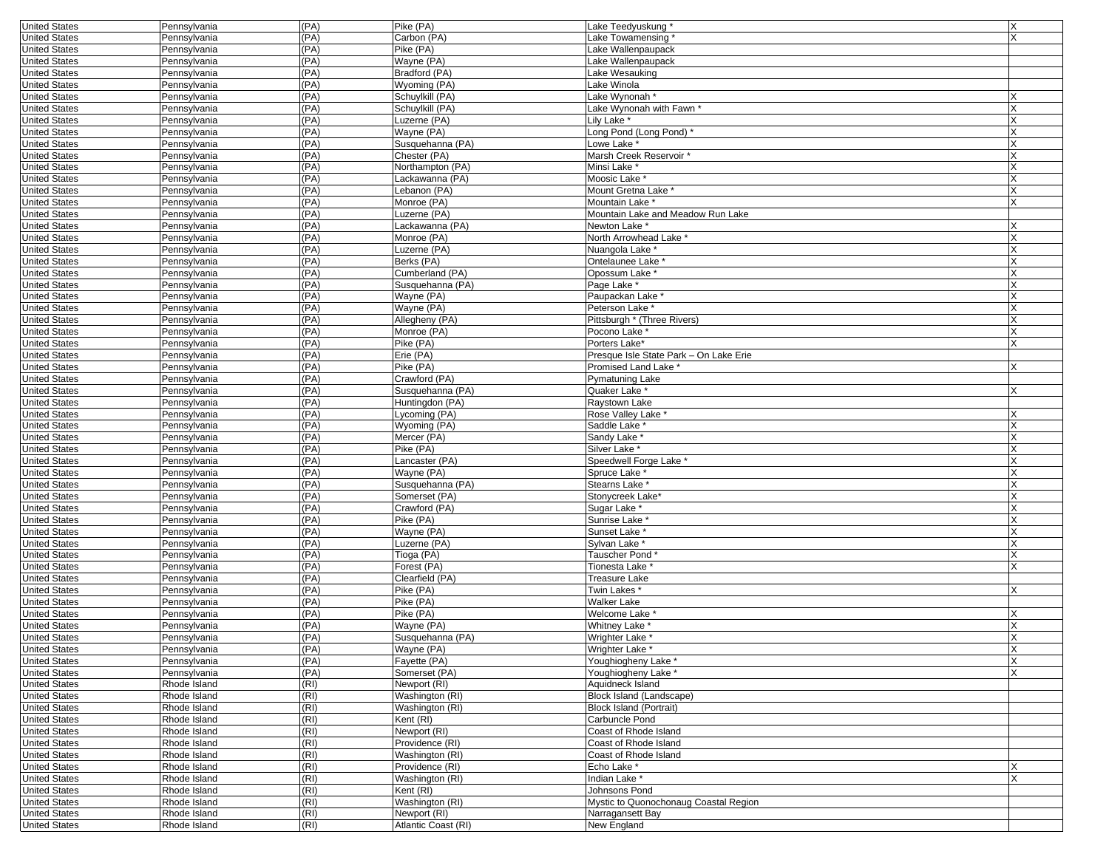| <b>United States</b> | Pennsylvania | (PA) | Pike (PA)           | Lake Teedyuskung                       | X |
|----------------------|--------------|------|---------------------|----------------------------------------|---|
| <b>United States</b> | Pennsylvania | (PA) | Carbon (PA)         | Lake Towamensing                       |   |
| <b>United States</b> | Pennsylvania | (PA) | Pike (PA)           | Lake Wallenpaupack                     |   |
| <b>United States</b> | Pennsylvania | (PA) | Wayne (PA)          | Lake Wallenpaupack                     |   |
| <b>United States</b> | Pennsylvania | (PA) | Bradford (PA)       | Lake Wesauking                         |   |
| <b>United States</b> | Pennsylvania | (PA) | Wyoming (PA)        | Lake Winola                            |   |
| <b>United States</b> | Pennsylvania | (PA) | Schuylkill (PA)     | Lake Wynonah <sup>*</sup>              |   |
| <b>United States</b> | Pennsylvania | (PA) | Schuylkill (PA)     | Lake Wynonah with Fawn *               |   |
| <b>United States</b> | Pennsylvania | (PA) | Luzerne (PA)        | Lily Lake *                            |   |
| <b>United States</b> |              | (PA) |                     |                                        |   |
|                      | Pennsylvania |      | Wayne (PA)          | Long Pond (Long Pond) *                |   |
| <b>United States</b> | Pennsylvania | (PA) | Susquehanna (PA)    | Lowe Lake *                            |   |
| <b>United States</b> | Pennsylvania | (PA) | Chester (PA)        | Marsh Creek Reservoir '                |   |
| <b>United States</b> | Pennsylvania | (PA) | Northampton (PA)    | Minsi Lake *                           |   |
| <b>United States</b> | Pennsylvania | (PA) | Lackawanna (PA)     | Moosic Lake *                          |   |
| <b>United States</b> | Pennsylvania | (PA) | Lebanon (PA)        | Mount Gretna Lake *                    |   |
| <b>United States</b> | Pennsylvania | (PA) | Monroe (PA)         | Mountain Lake *                        |   |
| <b>United States</b> | Pennsylvania | (PA) | Luzerne (PA)        | Mountain Lake and Meadow Run Lake      |   |
| <b>United States</b> | Pennsylvania | (PA) | Lackawanna (PA)     | Newton Lake *                          |   |
| <b>United States</b> | Pennsylvania | (PA) | Monroe (PA)         | North Arrowhead Lake *                 |   |
| <b>United States</b> | Pennsylvania | (PA) | Luzerne (PA)        | Nuangola Lake <sup>*</sup>             |   |
| <b>United States</b> | Pennsylvania | (PA) | Berks (PA)          | Ontelaunee Lake                        |   |
| <b>United States</b> | Pennsylvania | (PA) | Cumberland (PA)     | Opossum Lake *                         |   |
| <b>United States</b> | Pennsylvania | (PA) | Susquehanna (PA)    | Page Lake *                            |   |
| <b>United States</b> | Pennsylvania | (PA) | Wayne (PA)          | Paupackan Lake *                       |   |
| <b>United States</b> | Pennsylvania | (PA) | Wayne (PA)          | Peterson Lake*                         |   |
| <b>United States</b> | Pennsylvania | (PA) | Allegheny (PA)      | Pittsburgh * (Three Rivers)            |   |
| <b>United States</b> | Pennsylvania | (PA) | Monroe (PA)         | Pocono Lake *                          |   |
| <b>United States</b> | Pennsylvania | (PA) | Pike (PA)           | Porters Lake*                          |   |
| <b>United States</b> | Pennsylvania | (PA) | Erie (PA)           | Presque Isle State Park - On Lake Erie |   |
| <b>United States</b> |              | (PA) | Pike (PA)           | Promised Land Lake *                   |   |
|                      | Pennsylvania |      | Crawford (PA)       |                                        |   |
| <b>United States</b> | Pennsylvania | (PA) |                     | Pymatuning Lake                        |   |
| <b>United States</b> | Pennsylvania | (PA) | Susquehanna (PA)    | Quaker Lake *                          |   |
| <b>United States</b> | Pennsylvania | (PA) | Huntingdon (PA)     | Raystown Lake                          |   |
| <b>United States</b> | Pennsylvania | (PA) | Lycoming (PA)       | Rose Valley Lake *                     |   |
| <b>United States</b> | Pennsylvania | (PA) | Wyoming (PA)        | Saddle Lake <sup>*</sup>               |   |
| <b>United States</b> | Pennsylvania | (PA) | Mercer (PA)         | Sandy Lake <sup>*</sup>                |   |
| <b>United States</b> | Pennsylvania | (PA) | Pike (PA)           | Silver Lake *                          |   |
| <b>United States</b> | Pennsylvania | (PA) | Lancaster (PA)      | Speedwell Forge Lake *                 |   |
| <b>United States</b> | Pennsylvania | (PA) | Wayne (PA)          | Spruce Lake *                          |   |
| <b>United States</b> | Pennsylvania | (PA) | Susquehanna (PA)    | Stearns Lake <sup>*</sup>              |   |
| <b>United States</b> | Pennsylvania | (PA) | Somerset (PA)       | Stonycreek Lake*                       |   |
| <b>United States</b> | Pennsylvania | (PA) | Crawford (PA)       | Sugar Lake *                           |   |
| <b>United States</b> | Pennsylvania | (PA) | Pike (PA)           | Sunrise Lake <sup>®</sup>              |   |
| <b>United States</b> | Pennsylvania | (PA) | Wayne (PA)          | Sunset Lake <sup>*</sup>               |   |
| <b>United States</b> | Pennsylvania | (PA) | Luzerne (PA)        | Sylvan Lake *                          |   |
| <b>United States</b> | Pennsylvania | (PA) | Tioga (PA)          | Tauscher Pond*                         |   |
| <b>United States</b> | Pennsylvania | (PA) | Forest (PA)         | Tionesta Lake <sup>*</sup>             |   |
| <b>United States</b> | Pennsylvania | (PA) | Clearfield (PA)     | Treasure Lake                          |   |
| <b>United States</b> | Pennsylvania | (PA) | Pike (PA)           | Twin Lakes*                            |   |
| <b>United States</b> | Pennsylvania | (PA) | Pike (PA)           | Walker Lake                            |   |
| <b>United States</b> | Pennsylvania | (PA) | Pike (PA)           | Welcome Lake                           |   |
|                      |              |      |                     |                                        |   |
| <b>United States</b> | Pennsylvania | (PA) | Wayne (PA)          | Whitney Lake                           |   |
| <b>United States</b> | Pennsylvania | (PA) | Susquehanna (PA)    | Wrighter Lake *                        |   |
| United States        | Pennsylvania | (PA) | Wayne (PA)          | Wrighter Lake                          |   |
| <b>United States</b> | Pennsylvania | (PA) | Fayette (PA)        | Youghiogheny Lake *                    |   |
| <b>United States</b> | Pennsylvania | (PA) | Somerset (PA)       | Youghiogheny Lake *                    |   |
| <b>United States</b> | Rhode Island | (RI) | Newport (RI)        | Aquidneck Island                       |   |
| <b>United States</b> | Rhode Island | (RI) | Washington (RI)     | Block Island (Landscape)               |   |
| <b>United States</b> | Rhode Island | (RI) | Washington (RI)     | <b>Block Island (Portrait)</b>         |   |
| <b>United States</b> | Rhode Island | (RI) | Kent (RI)           | Carbuncle Pond                         |   |
| <b>United States</b> | Rhode Island | (RI) | Newport (RI)        | Coast of Rhode Island                  |   |
| <b>United States</b> | Rhode Island | (RI) | Providence (RI)     | Coast of Rhode Island                  |   |
| <b>United States</b> | Rhode Island | (RI) | Washington (RI)     | Coast of Rhode Island                  |   |
| <b>United States</b> | Rhode Island | (RI) | Providence (RI)     | Echo Lake*                             |   |
| <b>United States</b> | Rhode Island | (RI) | Washington (RI)     | Indian Lake *                          |   |
| <b>United States</b> | Rhode Island | (RI) | Kent (RI)           | Johnsons Pond                          |   |
| <b>United States</b> | Rhode Island | (RI) | Washington (RI)     | Mystic to Quonochonaug Coastal Region  |   |
| <b>United States</b> | Rhode Island | (RI) | Newport (RI)        | Narragansett Bay                       |   |
|                      |              |      |                     |                                        |   |
| <b>United States</b> | Rhode Island | (RI) | Atlantic Coast (RI) | New England                            |   |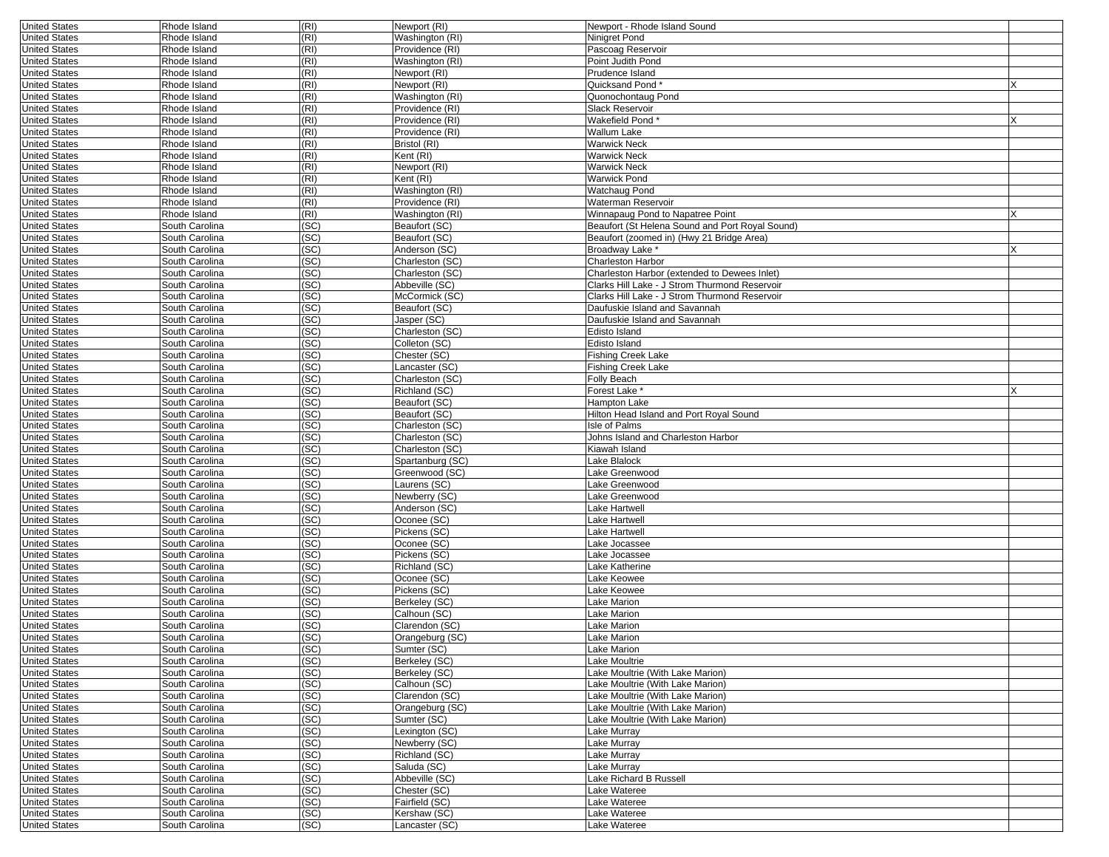| <b>United States</b>                         | Rhode Island                     | (RI)         | Newport (RI)                   | Newport - Rhode Island Sound                    |  |
|----------------------------------------------|----------------------------------|--------------|--------------------------------|-------------------------------------------------|--|
| <b>United States</b>                         | Rhode Island                     | (RI)         | Washington (RI)                | Ninigret Pond                                   |  |
| <b>United States</b>                         | Rhode Island                     | (RI)         | Providence (RI)                | Pascoag Reservoir                               |  |
| <b>United States</b>                         | Rhode Island                     | (RI)         | Washington (RI)                | Point Judith Pond                               |  |
| <b>United States</b>                         | Rhode Island                     | (RI)         | Newport (RI)                   | Prudence Island                                 |  |
| <b>United States</b>                         | Rhode Island                     | (RI)         | Newport (RI)                   | Quicksand Pond                                  |  |
| <b>United States</b>                         | Rhode Island                     | (RI)         | Washington (RI)                | Quonochontaug Pond                              |  |
| <b>United States</b>                         | Rhode Island                     | (RI)         | Providence (RI)                | Slack Reservoir                                 |  |
| <b>United States</b>                         | Rhode Island                     | (RI)         | Providence (RI)                | Wakefield Pond *                                |  |
| <b>United States</b>                         | Rhode Island                     | (RI)         | Providence (RI)                | Wallum Lake                                     |  |
| <b>United States</b>                         | Rhode Island                     | (RI)         | Bristol (RI)                   | Warwick Neck                                    |  |
| <b>United States</b>                         | Rhode Island                     | (RI)         | Kent (RI)                      | <b>Warwick Neck</b>                             |  |
| <b>United States</b>                         | Rhode Island                     | (RI)         | Newport (RI)                   | Warwick Neck                                    |  |
| <b>United States</b>                         | Rhode Island                     | (RI)         | Kent (RI)                      | Warwick Pond                                    |  |
| <b>United States</b>                         | Rhode Island                     | (RI)         | Washington (RI)                | Watchaug Pond                                   |  |
| <b>United States</b>                         | Rhode Island                     | (RI)         | Providence (RI)                | Waterman Reservoir                              |  |
| <b>United States</b>                         | Rhode Island                     | (RI)         | Washington (RI)                | Winnapaug Pond to Napatree Point                |  |
| <b>United States</b>                         | South Carolina                   | (SC)         | Beaufort (SC)                  | Beaufort (St Helena Sound and Port Royal Sound) |  |
| <b>United States</b>                         | South Carolina                   | (SC)         | Beaufort (SC)                  | Beaufort (zoomed in) (Hwy 21 Bridge Area)       |  |
| <b>United States</b>                         | South Carolina                   | (SC)         | Anderson (SC)                  | Broadway Lake *                                 |  |
| <b>United States</b>                         | South Carolina                   | (SC)         | Charleston (SC)                | Charleston Harbor                               |  |
| <b>United States</b>                         | South Carolina                   | (SC)         | Charleston (SC)                | Charleston Harbor (extended to Dewees Inlet)    |  |
| <b>United States</b>                         | South Carolina                   | (SC)         | Abbeville (SC)                 | Clarks Hill Lake - J Strom Thurmond Reservoir   |  |
| <b>United States</b>                         | South Carolina                   | (SC)         | McCormick (SC)                 | Clarks Hill Lake - J Strom Thurmond Reservoir   |  |
| <b>United States</b>                         | South Carolina                   | (SC)         | Beaufort (SC)                  | Daufuskie Island and Savannah                   |  |
| <b>United States</b>                         | South Carolina                   | (SC)         | Jasper (SC)                    | Daufuskie Island and Savannah                   |  |
| <b>United States</b>                         | South Carolina                   | (SC)         | Charleston (SC)                | Edisto Island                                   |  |
| <b>United States</b>                         | South Carolina                   | (SC)         | Colleton (SC)                  | Edisto Island                                   |  |
| <b>United States</b>                         | South Carolina                   | (SC)         | Chester (SC)                   | <b>Fishing Creek Lake</b>                       |  |
| <b>United States</b>                         | South Carolina                   | (SC)         | _ancaster (SC)                 | Fishing Creek Lake                              |  |
| <b>United States</b>                         | South Carolina                   | (SC)         | Charleston (SC)                | Folly Beach                                     |  |
| <b>United States</b>                         | South Carolina                   | (SC)         | Richland (SC)                  | Forest Lake *                                   |  |
| <b>United States</b>                         | South Carolina                   | (SC)         | Beaufort (SC)                  | Hampton Lake                                    |  |
| <b>United States</b>                         | South Carolina                   | (SC)         | Beaufort (SC)                  | Hilton Head Island and Port Royal Sound         |  |
| <b>United States</b>                         | South Carolina                   | (SC)         | Charleston (SC)                | Isle of Palms                                   |  |
| <b>United States</b>                         | South Carolina                   | (SC)         | Charleston (SC)                | Johns Island and Charleston Harbor              |  |
| <b>United States</b>                         | South Carolina                   | (SC)         | Charleston (SC)                | Kiawah Island                                   |  |
| <b>United States</b>                         | South Carolina                   | (SC)         | Spartanburg (SC)               | Lake Blalock                                    |  |
| <b>United States</b><br><b>United States</b> | South Carolina<br>South Carolina | (SC)<br>(SC) | Greenwood (SC)<br>Laurens (SC) | Lake Greenwood<br>Lake Greenwood                |  |
| <b>United States</b>                         | South Carolina                   | (SC)         | Newberry (SC)                  | Lake Greenwood                                  |  |
| <b>United States</b>                         | South Carolina                   | (SC)         | Anderson (SC)                  | Lake Hartwell                                   |  |
| <b>United States</b>                         | South Carolina                   | (SC)         | Oconee (SC)                    | Lake Hartwell                                   |  |
| <b>United States</b>                         | South Carolina                   | (SC)         | Pickens (SC)                   | Lake Hartwell                                   |  |
| <b>United States</b>                         | South Carolina                   | (SC)         | Oconee (SC)                    | Lake Jocassee                                   |  |
| <b>United States</b>                         | South Carolina                   | (SC)         | Pickens (SC)                   | Lake Jocassee                                   |  |
| <b>United States</b>                         | South Carolina                   | (SC)         | Richland (SC)                  | Lake Katherine                                  |  |
| <b>United States</b>                         | South Carolina                   | (SC)         | Oconee (SC)                    | Lake Keowee                                     |  |
| <b>United States</b>                         | South Carolina                   | (SC)         | Pickens (SC)                   | Lake Keowee                                     |  |
| <b>United States</b>                         | South Carolina                   | (SC)         | Berkeley (SC)                  | Lake Marion                                     |  |
| <b>United States</b>                         | South Carolina                   | (SC)         | Calhoun (SC)                   | Lake Marion                                     |  |
| <b>United States</b>                         | South Carolina                   | (SC)         | Clarendon (SC)                 | Lake Marion                                     |  |
| <b>United States</b>                         | South Carolina                   | (SC)         | Orangeburg (SC)                | Lake Marion                                     |  |
| <b>United States</b>                         | South Carolina                   | (SC)         | Sumter (SC)                    | Lake Marion                                     |  |
| <b>United States</b>                         | South Carolina                   | (SC)         | Berkeley (SC)                  | Lake Moultrie                                   |  |
| <b>United States</b>                         | South Carolina                   | (SC)         | Berkeley (SC)                  | Lake Moultrie (With Lake Marion)                |  |
| <b>United States</b>                         | South Carolina                   | (SC)         | Calhoun (SC)                   | Lake Moultrie (With Lake Marion)                |  |
| <b>United States</b>                         | South Carolina                   | (SC)         | Clarendon (SC)                 | Lake Moultrie (With Lake Marion)                |  |
| <b>United States</b>                         | South Carolina                   | (SC)         | Orangeburg (SC)                | Lake Moultrie (With Lake Marion)                |  |
| <b>United States</b>                         | South Carolina                   | (SC)         | Sumter (SC)                    | Lake Moultrie (With Lake Marion)                |  |
| <b>United States</b>                         | South Carolina                   | (SC)         | Lexington (SC)                 | Lake Murray                                     |  |
| <b>United States</b>                         | South Carolina                   | (SC)         | Newberry (SC)                  | Lake Murray                                     |  |
| <b>United States</b>                         | South Carolina                   | (SC)         | Richland (SC)                  | Lake Murray                                     |  |
| <b>United States</b>                         | South Carolina                   | (SC)         | Saluda (SC)                    | Lake Murray                                     |  |
| <b>United States</b>                         | South Carolina                   | (SC)         | Abbeville (SC)                 | Lake Richard B Russell                          |  |
| <b>United States</b>                         | South Carolina                   | (SC)         | Chester (SC)                   | Lake Wateree                                    |  |
| <b>United States</b>                         | South Carolina                   | (SC)         | Fairfield (SC)                 | Lake Wateree                                    |  |
| <b>United States</b>                         | South Carolina                   | (SC)         | Kershaw (SC)                   | Lake Wateree                                    |  |
| <b>United States</b>                         | South Carolina                   | (SC)         | Lancaster (SC)                 | Lake Wateree                                    |  |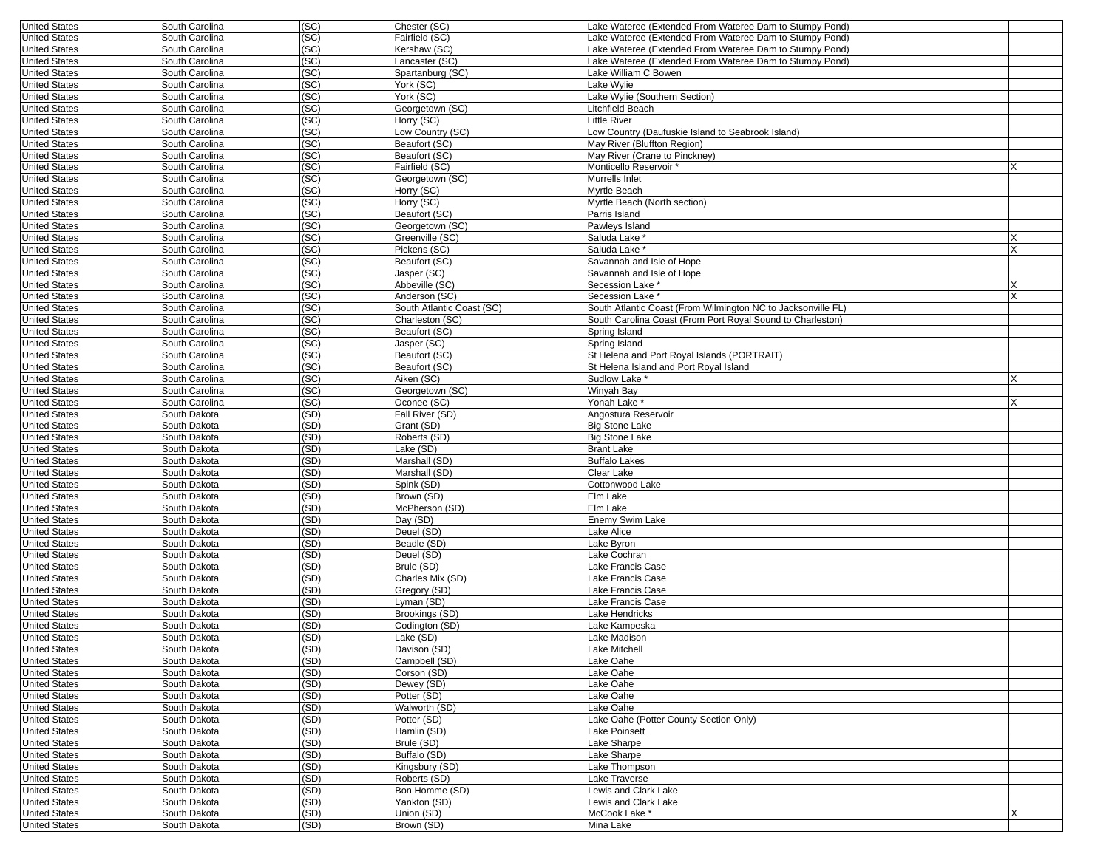| <b>United States</b> | South Carolina | (SC) | Chester (SC)              | Lake Wateree (Extended From Wateree Dam to Stumpy Pond)      |   |
|----------------------|----------------|------|---------------------------|--------------------------------------------------------------|---|
| <b>United States</b> | South Carolina | (SC) | Fairfield (SC)            | Lake Wateree (Extended From Wateree Dam to Stumpy Pond)      |   |
| <b>United States</b> | South Carolina | (SC) | Kershaw (SC)              | Lake Wateree (Extended From Wateree Dam to Stumpy Pond)      |   |
| <b>United States</b> | South Carolina | (SC) | ancaster (SC)             | Lake Wateree (Extended From Wateree Dam to Stumpy Pond)      |   |
| <b>United States</b> | South Carolina | (SC) | Spartanburg (SC)          | Lake William C Bowen                                         |   |
| <b>United States</b> | South Carolina | (SC) | York (SC)                 | Lake Wylie                                                   |   |
| <b>United States</b> | South Carolina | (SC) | York (SC)                 | Lake Wylie (Southern Section)                                |   |
| <b>United States</b> | South Carolina | (SC) | Georgetown (SC)           | Litchfield Beach                                             |   |
| <b>United States</b> | South Carolina | (SC) | Horry (SC)                | Little River                                                 |   |
| <b>United States</b> | South Carolina | (SC) | Low Country (SC)          | Low Country (Daufuskie Island to Seabrook Island)            |   |
| <b>United States</b> | South Carolina | (SC) | Beaufort (SC)             | May River (Bluffton Region)                                  |   |
| <b>United States</b> | South Carolina | (SC) | Beaufort (SC)             | May River (Crane to Pinckney)                                |   |
| <b>United States</b> | South Carolina | (SC) | Fairfield (SC)            | Monticello Reservoir *                                       |   |
| <b>United States</b> | South Carolina | (SC) | Georgetown (SC)           | Murrells Inlet                                               |   |
| <b>United States</b> | South Carolina | (SC) | Horry (SC)                | Myrtle Beach                                                 |   |
| <b>United States</b> | South Carolina | (SC) | Horry (SC)                | Myrtle Beach (North section)                                 |   |
| <b>United States</b> | South Carolina | (SC) | Beaufort (SC)             | Parris Island                                                |   |
| <b>United States</b> | South Carolina | (SC) | Georgetown (SC)           | Pawleys Island                                               |   |
|                      |                |      |                           | Saluda Lake <sup>*</sup>                                     |   |
| <b>United States</b> | South Carolina | (SC) | Greenville (SC)           |                                                              |   |
| <b>United States</b> | South Carolina | (SC) | Pickens (SC)              | Saluda Lake *                                                |   |
| <b>United States</b> | South Carolina | (SC) | Beaufort (SC)             | Savannah and Isle of Hope                                    |   |
| <b>United States</b> | South Carolina | (SC) | Jasper (SC)               | Savannah and Isle of Hope                                    |   |
| <b>United States</b> | South Carolina | (SC) | Abbeville (SC)            | Secession Lake *                                             |   |
| <b>United States</b> | South Carolina | (SC) | Anderson (SC)             | Secession Lake *                                             | X |
| <b>United States</b> | South Carolina | (SC) | South Atlantic Coast (SC) | South Atlantic Coast (From Wilmington NC to Jacksonville FL) |   |
| <b>United States</b> | South Carolina | (SC) | Charleston (SC)           | South Carolina Coast (From Port Royal Sound to Charleston)   |   |
| <b>United States</b> | South Carolina | (SC) | Beaufort (SC)             | Spring Island                                                |   |
| <b>United States</b> | South Carolina | (SC) | Jasper (SC)               | Spring Island                                                |   |
| <b>United States</b> | South Carolina | (SC) | Beaufort (SC)             | St Helena and Port Royal Islands (PORTRAIT)                  |   |
| <b>United States</b> | South Carolina | (SC) | Beaufort (SC)             | St Helena Island and Port Royal Island                       |   |
| <b>United States</b> | South Carolina | (SC) | Aiken (SC)                | Sudlow Lake *                                                |   |
| <b>United States</b> | South Carolina | (SC) | Georgetown (SC)           | Winyah Bay                                                   |   |
| <b>United States</b> | South Carolina | (SC) | Oconee (SC)               | Yonah Lake *                                                 |   |
| <b>United States</b> | South Dakota   | (SD) | Fall River (SD)           | Angostura Reservoir                                          |   |
| <b>United States</b> | South Dakota   | (SD) | Grant (SD)                | <b>Big Stone Lake</b>                                        |   |
| <b>United States</b> | South Dakota   | (SD) | Roberts (SD)              | <b>Big Stone Lake</b>                                        |   |
| <b>United States</b> | South Dakota   | (SD) | Lake (SD)                 | <b>Brant Lake</b>                                            |   |
| <b>United States</b> | South Dakota   | (SD) | Marshall (SD)             | <b>Buffalo Lakes</b>                                         |   |
| <b>United States</b> | South Dakota   | (SD) | Marshall (SD)             | Clear Lake                                                   |   |
| <b>United States</b> | South Dakota   | (SD) | Spink (SD)                | Cottonwood Lake                                              |   |
| <b>United States</b> | South Dakota   | (SD) | Brown (SD)                | Elm Lake                                                     |   |
| <b>United States</b> | South Dakota   | (SD) | McPherson (SD)            | Elm Lake                                                     |   |
| <b>United States</b> | South Dakota   | (SD) | Day (SD)                  | <b>Enemy Swim Lake</b>                                       |   |
| <b>United States</b> | South Dakota   | (SD) | Deuel (SD)                | Lake Alice                                                   |   |
| <b>United States</b> | South Dakota   | (SD) | Beadle (SD)               | Lake Byron                                                   |   |
| <b>United States</b> | South Dakota   | (SD) | Deuel (SD)                | Lake Cochran                                                 |   |
| <b>United States</b> | South Dakota   | (SD) | Brule (SD)                | Lake Francis Case                                            |   |
| <b>United States</b> | South Dakota   | (SD) | Charles Mix (SD)          | Lake Francis Case                                            |   |
| <b>United States</b> | South Dakota   | (SD) | Gregory (SD)              | Lake Francis Case                                            |   |
| <b>United States</b> | South Dakota   | (SD) | Lyman (SD)                | Lake Francis Case                                            |   |
| <b>United States</b> | South Dakota   | (SD) | Brookings (SD)            | Lake Hendricks                                               |   |
| <b>United States</b> | South Dakota   | (SD) | Codington (SD)            | Lake Kampeska                                                |   |
| <b>United States</b> | South Dakota   | (SD) | Lake (SD)                 | Lake Madison                                                 |   |
| <b>United States</b> | South Dakota   | (SD) | Davison (SD)              | Lake Mitchell                                                |   |
| <b>United States</b> | South Dakota   | (SD) | Campbell (SD)             | Lake Oahe                                                    |   |
| <b>United States</b> | South Dakota   | (SD) | Corson (SD)               | Lake Oahe                                                    |   |
| <b>United States</b> | South Dakota   | (SD) | Dewey (SD)                | Lake Oahe                                                    |   |
| <b>United States</b> | South Dakota   | (SD) | Potter (SD)               | Lake Oahe                                                    |   |
| <b>United States</b> | South Dakota   | (SD) | Walworth (SD)             | Lake Oahe                                                    |   |
| <b>United States</b> | South Dakota   | (SD) | Potter (SD)               | Lake Oahe (Potter County Section Only)                       |   |
| <b>United States</b> | South Dakota   | (SD) | Hamlin (SD)               | Lake Poinsett                                                |   |
| <b>United States</b> | South Dakota   | (SD) | Brule (SD)                | Lake Sharpe                                                  |   |
| <b>United States</b> | South Dakota   | (SD) | Buffalo (SD)              | Lake Sharpe                                                  |   |
| <b>United States</b> | South Dakota   | (SD) | Kingsbury (SD)            | Lake Thompson                                                |   |
| <b>United States</b> | South Dakota   | (SD) | Roberts (SD)              | Lake Traverse                                                |   |
| <b>United States</b> | South Dakota   | (SD) | Bon Homme (SD)            | Lewis and Clark Lake                                         |   |
| <b>United States</b> | South Dakota   | (SD) | Yankton (SD)              | Lewis and Clark Lake                                         |   |
| <b>United States</b> | South Dakota   | (SD) | Union (SD)                | McCook Lake *                                                | х |
| <b>United States</b> | South Dakota   | (SD) | Brown (SD)                | Mina Lake                                                    |   |
|                      |                |      |                           |                                                              |   |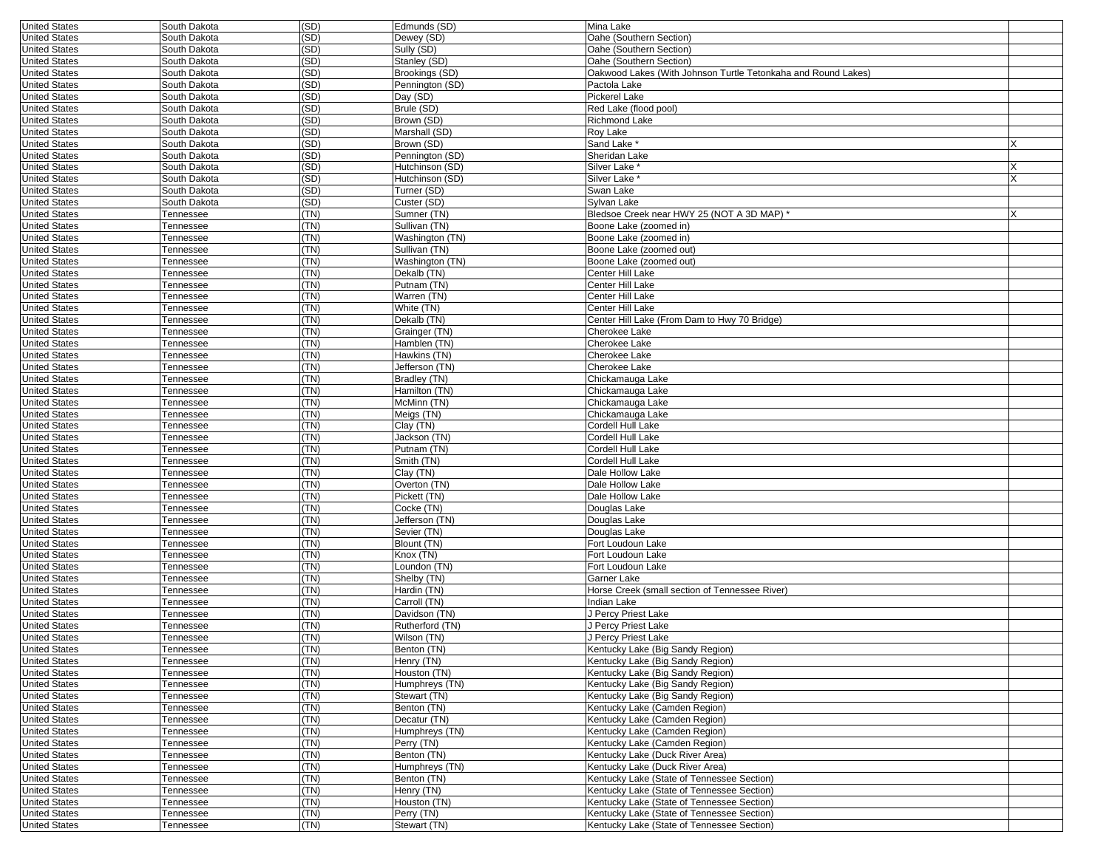| <b>United States</b> | South Dakota           | (SD) | Edmunds (SD)    | Mina Lake                                                     |          |
|----------------------|------------------------|------|-----------------|---------------------------------------------------------------|----------|
| <b>United States</b> | South Dakota           | (SD) | Dewey (SD)      | Oahe (Southern Section)                                       |          |
| <b>United States</b> | South Dakota           | (SD) | Sully (SD)      | Oahe (Southern Section)                                       |          |
| <b>United States</b> | South Dakota           | (SD) | Stanley (SD)    | Oahe (Southern Section)                                       |          |
| <b>United States</b> | South Dakota           | (SD) | Brookings (SD)  | Oakwood Lakes (With Johnson Turtle Tetonkaha and Round Lakes) |          |
| <b>United States</b> | South Dakota           | (SD) | Pennington (SD) | Pactola Lake                                                  |          |
| <b>United States</b> | South Dakota           | (SD) | Day (SD)        | Pickerel Lake                                                 |          |
| <b>United States</b> | South Dakota           | (SD) | Brule (SD)      | Red Lake (flood pool)                                         |          |
| <b>United States</b> | South Dakota           | (SD) | Brown (SD)      | Richmond Lake                                                 |          |
| <b>United States</b> | South Dakota           | (SD) | Marshall (SD)   | Roy Lake                                                      |          |
| <b>United States</b> | South Dakota           | (SD) | Brown (SD)      | Sand Lake <sup>®</sup>                                        |          |
| <b>United States</b> | South Dakota           | (SD) | Pennington (SD) | Sheridan Lake                                                 |          |
| <b>United States</b> | South Dakota           | (SD) | Hutchinson (SD) | Silver Lake *                                                 |          |
| <b>United States</b> | South Dakota           | (SD) | Hutchinson (SD) | Silver Lake '                                                 |          |
| <b>United States</b> | South Dakota           | (SD) | Turner (SD)     | Swan Lake                                                     |          |
| <b>United States</b> | South Dakota           | (SD) | Custer (SD)     | Sylvan Lake                                                   |          |
| <b>United States</b> | Tennessee              | (TN) | Sumner (TN)     | Bledsoe Creek near HWY 25 (NOT A 3D MAP) *                    | <b>X</b> |
| <b>United States</b> | Tennessee              | (TN) | Sullivan (TN)   | Boone Lake (zoomed in)                                        |          |
| <b>United States</b> | <b>Fennessee</b>       | (TN) | Washington (TN) | Boone Lake (zoomed in)                                        |          |
| <b>United States</b> | Tennessee              | (TN) | Sullivan (TN)   | Boone Lake (zoomed out)                                       |          |
| <b>United States</b> | Tennessee              | (TN) | Washington (TN) | Boone Lake (zoomed out)                                       |          |
| <b>United States</b> |                        | (TN) | Dekalb (TN)     | Center Hill Lake                                              |          |
|                      | Tennessee              | (TN) |                 |                                                               |          |
| <b>United States</b> | Tennessee              |      | Putnam (TN)     | Center Hill Lake                                              |          |
| <b>United States</b> | <b>Fennessee</b>       | (TN) | Warren (TN)     | Center Hill Lake                                              |          |
| <b>United States</b> | Tennessee              | (TN) | White (TN)      | Center Hill Lake                                              |          |
| <b>United States</b> | Tennessee              | (TN) | Dekalb (TN)     | Center Hill Lake (From Dam to Hwy 70 Bridge)                  |          |
| <b>United States</b> | Tennessee              | (TN) | Grainger (TN)   | <b>Cherokee Lake</b>                                          |          |
| <b>United States</b> | Tennessee              | (TN) | Hamblen (TN)    | Cherokee Lake                                                 |          |
| <b>United States</b> | Tennessee              | (TN) | Hawkins (TN)    | Cherokee Lake                                                 |          |
| <b>United States</b> | Tennessee              | (TN) | Jefferson (TN)  | Cherokee Lake                                                 |          |
| <b>United States</b> | Tennessee              | (TN) | Bradley (TN)    | Chickamauga Lake                                              |          |
| <b>United States</b> | Tennessee              | (TN) | Hamilton (TN)   | Chickamauga Lake                                              |          |
| <b>United States</b> | Tennessee              | (TN) | McMinn (TN)     | Chickamauga Lake                                              |          |
| <b>United States</b> | <b>Fennessee</b>       | (TN) | Meigs (TN)      | Chickamauga Lake                                              |          |
| <b>United States</b> | Tennessee              | (TN) | Clay (TN)       | Cordell Hull Lake                                             |          |
| <b>United States</b> | Tennessee              | (TN) | Jackson (TN)    | Cordell Hull Lake                                             |          |
| <b>United States</b> | Tennessee              | (TN) | Putnam (TN)     | Cordell Hull Lake                                             |          |
| <b>United States</b> | Tennessee              | (TN) | Smith (TN)      | Cordell Hull Lake                                             |          |
| <b>United States</b> | Tennessee              | (TN) | Clay (TN)       | Dale Hollow Lake                                              |          |
| <b>United States</b> | Tennessee              | (TN) | Overton (TN)    | Dale Hollow Lake                                              |          |
| <b>United States</b> | Tennessee              | (TN) | Pickett (TN)    | Dale Hollow Lake                                              |          |
| <b>United States</b> | Tennessee              | (TN) | Cocke (TN)      | Douglas Lake                                                  |          |
| <b>United States</b> | Tennessee              | (TN) | Jefferson (TN)  | Douglas Lake                                                  |          |
| <b>United States</b> | <b>Fennessee</b>       | (TN) | Sevier (TN)     | Douglas Lake                                                  |          |
| <b>United States</b> | Tennessee              | (TN) | Blount (TN)     | Fort Loudoun Lake                                             |          |
| <b>United States</b> | Tennessee              | (TN) | Knox (TN)       | Fort Loudoun Lake                                             |          |
| <b>United States</b> | Tennessee              | (TN) | Loundon (TN)    | Fort Loudoun Lake                                             |          |
| <b>United States</b> | Tennessee              | (TN) | Shelby (TN)     | Garner Lake                                                   |          |
| <b>United States</b> | <b>Fennessee</b>       | (TN) | Hardin (TN)     | Horse Creek (small section of Tennessee River)                |          |
| <b>United States</b> | Tennessee              | (TN) | Carroll (TN)    | ndian Lake                                                    |          |
| <b>United States</b> | Tennessee              | (TN) | Davidson (TN)   | J Percy Priest Lake                                           |          |
| <b>United States</b> | Tennessee              | (TN) | Rutherford (TN) | J Percy Priest Lake                                           |          |
| <b>United States</b> | Tennessee              | (TN) | Wilson (TN)     | J Percy Priest Lake                                           |          |
| United States        | I ennessee             | (IN) | Benton (IN)     | Kentucky Lake (Big Sandy Region)                              |          |
| <b>United States</b> | Tennessee              | (TN) | Henry (TN)      | Kentucky Lake (Big Sandy Region)                              |          |
| <b>United States</b> | Tennessee              | (TN) | Houston (TN)    | Kentucky Lake (Big Sandy Region)                              |          |
| <b>United States</b> | Tennessee              | (TN) | Humphreys (TN)  | Kentucky Lake (Big Sandy Region)                              |          |
| <b>United States</b> | Tennessee              | (TN) | Stewart (TN)    | Kentucky Lake (Big Sandy Region)                              |          |
| <b>United States</b> | Tennessee              | (TN) | Benton (TN)     | Kentucky Lake (Camden Region)                                 |          |
| <b>United States</b> |                        | (TN) | Decatur (TN)    | Kentucky Lake (Camden Region)                                 |          |
| <b>United States</b> | Tennessee<br>Tennessee | (TN) | Humphreys (TN)  |                                                               |          |
|                      |                        |      |                 | Kentucky Lake (Camden Region)                                 |          |
| <b>United States</b> | Tennessee              | (TN) | Perry (TN)      | Kentucky Lake (Camden Region)                                 |          |
| <b>United States</b> | Tennessee              | (TN) | Benton (TN)     | Kentucky Lake (Duck River Area)                               |          |
| <b>United States</b> | Tennessee              | (TN) | Humphreys (TN)  | Kentucky Lake (Duck River Area)                               |          |
| <b>United States</b> | Tennessee              | (TN) | Benton (TN)     | Kentucky Lake (State of Tennessee Section)                    |          |
| <b>United States</b> | Tennessee              | (TN) | Henry (TN)      | Kentucky Lake (State of Tennessee Section)                    |          |
| <b>United States</b> | Tennessee              | (TN) | Houston (TN)    | Kentucky Lake (State of Tennessee Section)                    |          |
| <b>United States</b> | Tennessee              | (TN) | Perry (TN)      | Kentucky Lake (State of Tennessee Section)                    |          |
| <b>United States</b> | Tennessee              | (TN) | Stewart (TN)    | Kentucky Lake (State of Tennessee Section)                    |          |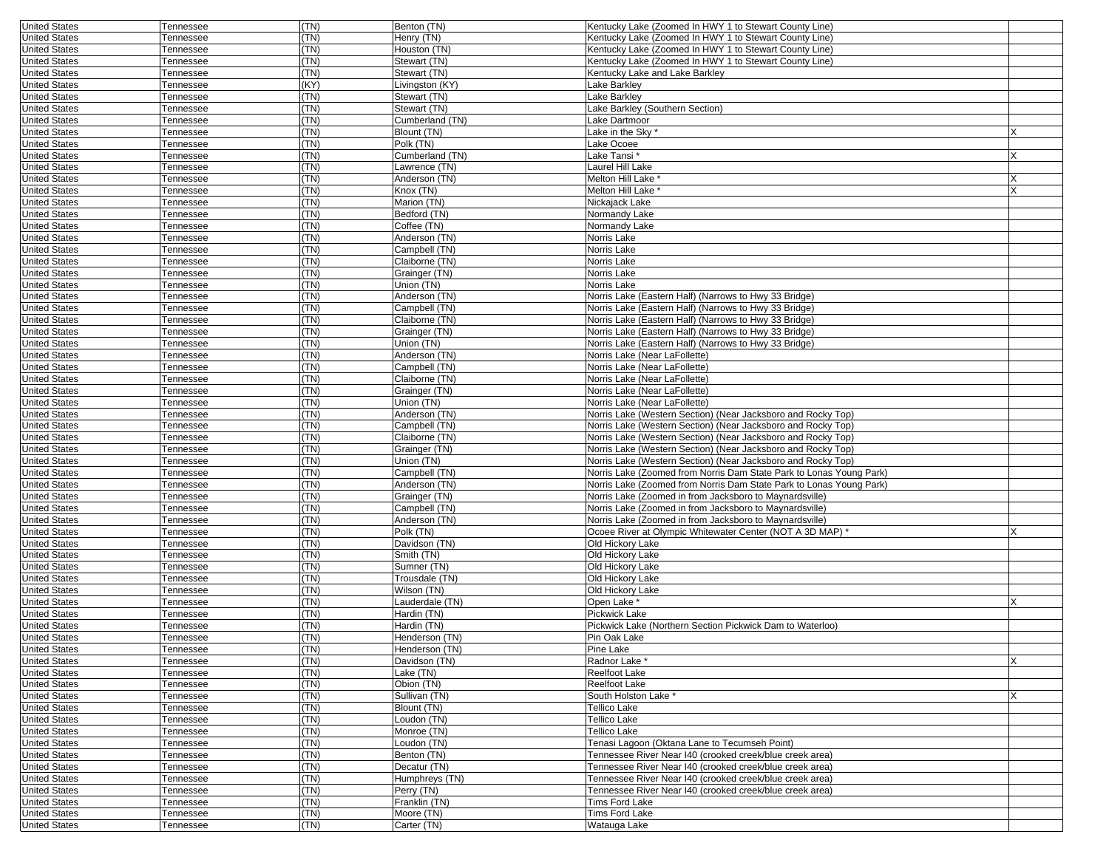| <b>United States</b> | Tennessee        | (TN)         | Benton (TN)     | Kentucky Lake (Zoomed In HWY 1 to Stewart County Line)                                                               |    |
|----------------------|------------------|--------------|-----------------|----------------------------------------------------------------------------------------------------------------------|----|
| <b>United States</b> | Tennessee        | (TN)         | Henry (TN)      | Kentucky Lake (Zoomed In HWY 1 to Stewart County Line)                                                               |    |
| <b>United States</b> | Tennessee        | (TN)         | Houston (TN)    | Kentucky Lake (Zoomed In HWY 1 to Stewart County Line)                                                               |    |
| <b>United States</b> | Tennessee        | (TN)         | Stewart (TN)    | Kentucky Lake (Zoomed In HWY 1 to Stewart County Line)                                                               |    |
| <b>United States</b> | Tennessee        | (TN)         | Stewart (TN)    | Kentucky Lake and Lake Barkley                                                                                       |    |
| <b>United States</b> | Tennessee        | (KY)         | Livingston (KY) | Lake Barkley                                                                                                         |    |
| <b>United States</b> | Tennessee        | (TN)         | Stewart (TN)    | Lake Barkley                                                                                                         |    |
| <b>United States</b> | Tennessee        | (TN)         | Stewart (TN)    | Lake Barkley (Southern Section)                                                                                      |    |
| <b>United States</b> | Tennessee        | (TN)         | Cumberland (TN) | Lake Dartmoor                                                                                                        |    |
| <b>United States</b> | Tennessee        | (TN)         | Blount (TN)     | Lake in the Sky *                                                                                                    | ΙX |
| <b>United States</b> | Tennessee        | (TN)         | Polk (TN)       | Lake Ocoee                                                                                                           |    |
| <b>United States</b> | Tennessee        | (TN)         | Cumberland (TN) | Lake Tansi *                                                                                                         | ΙX |
| <b>United States</b> | Tennessee        | (TN)         | Lawrence (TN)   | Laurel Hill Lake                                                                                                     |    |
| <b>United States</b> | Tennessee        | (TN)         | Anderson (TN)   | Melton Hill Lake                                                                                                     |    |
| <b>United States</b> | Tennessee        | (TN)         | Knox (TN)       | Melton Hill Lake <sup>®</sup>                                                                                        | X  |
| <b>United States</b> | Tennessee        | (TN)         | Marion (TN)     | Nickajack Lake                                                                                                       |    |
| <b>United States</b> |                  | (TN)         |                 | Normandy Lake                                                                                                        |    |
| <b>United States</b> | Tennessee        | (TN)         | Bedford (TN)    |                                                                                                                      |    |
|                      | Tennessee        |              | Coffee (TN)     | Normandy Lake                                                                                                        |    |
| <b>United States</b> | Tennessee        | (TN)         | Anderson (TN)   | Norris Lake                                                                                                          |    |
| <b>United States</b> | Tennessee        | (TN)<br>(TN) | Campbell (TN)   | Norris Lake                                                                                                          |    |
| <b>United States</b> | Tennessee        |              | Claiborne (TN)  | Norris Lake                                                                                                          |    |
| <b>United States</b> | Tennessee        | (TN)         | Grainger (TN)   | Norris Lake                                                                                                          |    |
| <b>United States</b> | Tennessee        | (TN)         | Union (TN)      | Norris Lake                                                                                                          |    |
| <b>United States</b> | <b>Fennessee</b> | (TN)         | Anderson (TN)   | Norris Lake (Eastern Half) (Narrows to Hwy 33 Bridge)                                                                |    |
| <b>United States</b> | Tennessee        | (TN)         | Campbell (TN)   | Norris Lake (Eastern Half) (Narrows to Hwy 33 Bridge)                                                                |    |
| <b>United States</b> | Tennessee        | (TN)         | Claiborne (TN)  | Norris Lake (Eastern Half) (Narrows to Hwy 33 Bridge)                                                                |    |
| <b>United States</b> | Tennessee        | (TN)         | Grainger (TN)   | Norris Lake (Eastern Half) (Narrows to Hwy 33 Bridge)                                                                |    |
| <b>United States</b> | Tennessee        | (TN)         | Union (TN)      | Norris Lake (Eastern Half) (Narrows to Hwy 33 Bridge)                                                                |    |
| <b>United States</b> | Tennessee        | (TN)         | Anderson (TN)   | Norris Lake (Near LaFollette)                                                                                        |    |
| <b>United States</b> | Tennessee        | (TN)         | Campbell (TN)   | Norris Lake (Near LaFollette)                                                                                        |    |
| <b>United States</b> | Tennessee        | (TN)         | Claiborne (TN)  | Norris Lake (Near LaFollette)                                                                                        |    |
| <b>United States</b> | Tennessee        | (TN)         | Grainger (TN)   | Norris Lake (Near LaFollette)                                                                                        |    |
| <b>United States</b> | Tennessee        | (TN)         | Union (TN)      | Norris Lake (Near LaFollette)                                                                                        |    |
| <b>United States</b> | Tennessee        | (TN)         | Anderson (TN)   | Norris Lake (Western Section) (Near Jacksboro and Rocky Top)                                                         |    |
| <b>United States</b> | Tennessee        | (TN)         | Campbell (TN)   | Norris Lake (Western Section) (Near Jacksboro and Rocky Top)                                                         |    |
| <b>United States</b> | Tennessee        | (TN)         | Claiborne (TN)  | Norris Lake (Western Section) (Near Jacksboro and Rocky Top)                                                         |    |
| <b>United States</b> | Tennessee        | (TN)         | Grainger (TN)   | Norris Lake (Western Section) (Near Jacksboro and Rocky Top)                                                         |    |
| <b>United States</b> | Tennessee        | (TN)         | Union (TN)      | Norris Lake (Western Section) (Near Jacksboro and Rocky Top)                                                         |    |
| <b>United States</b> | Tennessee        | (TN)         | Campbell (TN)   | Norris Lake (Zoomed from Norris Dam State Park to Lonas Young Park)                                                  |    |
| <b>United States</b> | Tennessee        | (TN)         | Anderson (TN)   | Norris Lake (Zoomed from Norris Dam State Park to Lonas Young Park)                                                  |    |
| <b>United States</b> | Tennessee        | (TN)         | Grainger (TN)   | Norris Lake (Zoomed in from Jacksboro to Maynardsville)                                                              |    |
| <b>United States</b> | Tennessee        | (TN)         | Campbell (TN)   | Norris Lake (Zoomed in from Jacksboro to Maynardsville)                                                              |    |
| <b>United States</b> | Tennessee        | (TN)         | Anderson (TN)   | Norris Lake (Zoomed in from Jacksboro to Maynardsville)                                                              |    |
| <b>United States</b> | Tennessee        | (TN)         | Polk (TN)       | Ocoee River at Olympic Whitewater Center (NOT A 3D MAP) *                                                            |    |
| <b>United States</b> | Tennessee        | (TN)         | Davidson (TN)   | Old Hickory Lake                                                                                                     |    |
| <b>United States</b> | Tennessee        | (TN)         | Smith (TN)      | Old Hickory Lake                                                                                                     |    |
| <b>United States</b> | Tennessee        | (TN)         | Sumner (TN)     | Old Hickory Lake                                                                                                     |    |
| <b>United States</b> | Tennessee        | (TN)         | Trousdale (TN)  | Old Hickory Lake                                                                                                     |    |
| <b>United States</b> | Tennessee        | (TN)         | Wilson (TN)     | Old Hickory Lake                                                                                                     |    |
| <b>United States</b> | Tennessee        | (TN)         | Lauderdale (TN) | Open Lake *                                                                                                          |    |
| <b>United States</b> | Tennessee        | (TN)         | Hardin (TN)     | Pickwick Lake                                                                                                        |    |
| <b>United States</b> | Tennessee        | (TN)         | Hardin (TN)     | Pickwick Lake (Northern Section Pickwick Dam to Waterloo)                                                            |    |
| <b>United States</b> | Tennessee        | (TN)         | Henderson (TN)  | Pin Oak Lake                                                                                                         |    |
| <b>United States</b> | <b>Tennessee</b> | I (IN)       | Henderson (TN)  | Pine Lake                                                                                                            |    |
| <b>United States</b> | Tennessee        | (TN)         | Davidson (TN)   | Radnor Lake *                                                                                                        | X  |
| <b>United States</b> | Tennessee        | (TN)         | Lake (TN)       | Reelfoot Lake                                                                                                        |    |
| <b>United States</b> | Tennessee        | (TN)         | Obion (TN)      | Reelfoot Lake                                                                                                        |    |
| <b>United States</b> | Tennessee        | (TN)         | Sullivan (TN)   | South Holston Lake *                                                                                                 |    |
| <b>United States</b> | Tennessee        | (TN)         | Blount (TN)     | Tellico Lake                                                                                                         |    |
| <b>United States</b> | Tennessee        | (TN)         | Loudon (TN)     | Tellico Lake                                                                                                         |    |
| <b>United States</b> | Tennessee        | (TN)         | Monroe (TN)     | Tellico Lake                                                                                                         |    |
|                      |                  | (TN)         | Loudon (TN)     | Tenasi Lagoon (Oktana Lane to Tecumseh Point)                                                                        |    |
| <b>United States</b> | Tennessee        |              |                 | Tennessee River Near I40 (crooked creek/blue creek area)                                                             |    |
| <b>United States</b> | Tennessee        | (TN)         | Benton (TN)     |                                                                                                                      |    |
| <b>United States</b> | Tennessee        | (TN)         | Decatur (TN)    | Tennessee River Near I40 (crooked creek/blue creek area)                                                             |    |
| <b>United States</b> | Tennessee        | (TN)         | Humphreys (TN)  | Tennessee River Near I40 (crooked creek/blue creek area)<br>Tennessee River Near I40 (crooked creek/blue creek area) |    |
| <b>United States</b> | Tennessee        | (TN)         | Perry (TN)      |                                                                                                                      |    |
| <b>United States</b> | Tennessee        | (TN)         | Franklin (TN)   | Tims Ford Lake                                                                                                       |    |
| <b>United States</b> | Tennessee        | (TN)         | Moore (TN)      | Tims Ford Lake                                                                                                       |    |
| <b>United States</b> | Tennessee        | (TN)         | Carter (TN)     | Watauga Lake                                                                                                         |    |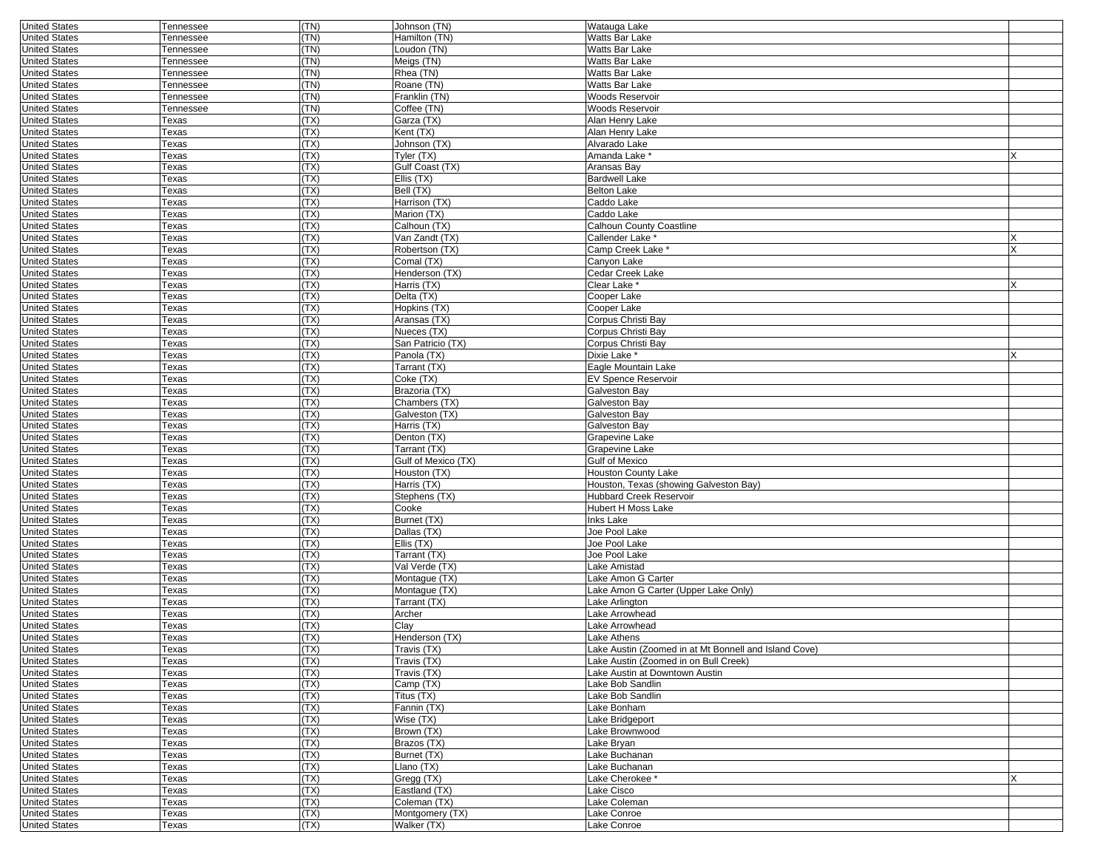| <b>United States</b> | Tennessee    | (TN) | Johnson (TN)                | Watauga Lake                                          |   |
|----------------------|--------------|------|-----------------------------|-------------------------------------------------------|---|
| <b>United States</b> | Tennessee    | (TN) | Hamilton (TN)               | Watts Bar Lake                                        |   |
| <b>United States</b> | Tennessee    | (TN) | Loudon (TN)                 | Watts Bar Lake                                        |   |
| <b>United States</b> | Tennessee    | (TN) | Meigs (TN)                  | Watts Bar Lake                                        |   |
| <b>United States</b> | Tennessee    | (TN) | Rhea (TN)                   | Watts Bar Lake                                        |   |
| <b>United States</b> | Tennessee    | (TN) | Roane (TN)                  | Watts Bar Lake                                        |   |
| <b>United States</b> | Tennessee    | (TN) | Franklin (TN)               | Woods Reservoir                                       |   |
| <b>United States</b> | Tennessee    | (TN) | Coffee (TN)                 | Woods Reservoir                                       |   |
| <b>United States</b> | Texas        | (TX) | Garza (TX)                  | Alan Henry Lake                                       |   |
| <b>United States</b> | Texas        | (TX) | Kent (TX)                   | Alan Henry Lake                                       |   |
| <b>United States</b> | Texas        | (TX) | Johnson (TX)                | Alvarado Lake                                         |   |
|                      |              |      |                             |                                                       |   |
| <b>United States</b> | Texas        | (TX) | Tyler (TX)                  | Amanda Lake                                           |   |
| <b>United States</b> | Texas        | (TX) | Gulf Coast (TX)             | Aransas Bay                                           |   |
| <b>United States</b> | Texas        | (TX) | Ellis (TX)                  | <b>Bardwell Lake</b>                                  |   |
| <b>United States</b> | Texas        | (TX) | Bell (TX)                   | <b>Belton Lake</b>                                    |   |
| <b>United States</b> | Texas        | (TX) | Harrison (TX)               | Caddo Lake                                            |   |
| <b>United States</b> | Texas        | (TX) | Marion (TX)                 | Caddo Lake                                            |   |
| <b>United States</b> | Texas        | (TX) | Calhoun (TX)                | Calhoun County Coastline                              |   |
| <b>United States</b> | Texas        | (TX) | Van Zandt (TX)              | Callender Lake <sup>*</sup>                           |   |
| <b>United States</b> | Texas        | (TX) | Robertson (TX)              | Camp Creek Lake *                                     |   |
| <b>United States</b> | Texas        | (TX) | Comal (TX)                  | Canyon Lake                                           |   |
| <b>United States</b> | Texas        | (TX) | Henderson (TX)              | Cedar Creek Lake                                      |   |
| <b>United States</b> | Texas        | (TX) | Harris (TX)                 | Clear Lake *                                          |   |
| <b>United States</b> | Texas        | (TX) | Delta (TX)                  | Cooper Lake                                           |   |
| <b>United States</b> | Texas        | (TX) | Hopkins (TX)                | Cooper Lake                                           |   |
| <b>United States</b> | Texas        | (TX) | Aransas (TX)                | Corpus Christi Bav                                    |   |
| <b>United States</b> | Texas        | (TX) | Nueces (TX)                 | Corpus Christi Bay                                    |   |
| <b>United States</b> | Texas        | (TX) | San Patricio (TX)           | Corpus Christi Bay                                    |   |
| <b>United States</b> | Texas        | (TX) |                             | Dixie Lake *                                          | X |
| <b>United States</b> |              | (TX) | Panola (TX)<br>Tarrant (TX) |                                                       |   |
|                      | Texas        |      |                             | Eagle Mountain Lake                                   |   |
| <b>United States</b> | Texas        | (TX) | Coke (TX)                   | <b>EV Spence Reservoir</b>                            |   |
| <b>United States</b> | Texas        | (TX) | Brazoria (TX)               | Galveston Bay                                         |   |
| <b>United States</b> | Texas        | (TX) | Chambers (TX)               | Galveston Bay                                         |   |
| <b>United States</b> | Texas        | (TX) | Galveston (TX)              | Galveston Bay                                         |   |
| <b>United States</b> | Texas        | (TX) | Harris (TX)                 | Galveston Bay                                         |   |
| <b>United States</b> | Texas        | (TX) | Denton (TX)                 | Grapevine Lake                                        |   |
| <b>United States</b> | Texas        | (TX) | Tarrant (TX)                | Grapevine Lake                                        |   |
| <b>United States</b> | Texas        | (TX) | Gulf of Mexico (TX)         | <b>Gulf of Mexico</b>                                 |   |
| <b>United States</b> | Texas        | (TX) | Houston (TX)                | Houston County Lake                                   |   |
| <b>United States</b> | Texas        | (TX) | Harris (TX)                 | Houston, Texas (showing Galveston Bay)                |   |
| <b>United States</b> | Texas        | (TX) | Stephens (TX)               | <b>Hubbard Creek Reservoir</b>                        |   |
| <b>United States</b> | Texas        | (TX) | Cooke                       | Hubert H Moss Lake                                    |   |
| <b>United States</b> | Texas        | (TX) | Burnet (TX)                 | Inks Lake                                             |   |
| <b>United States</b> | Texas        | (TX) | Dallas (TX)                 | Joe Pool Lake                                         |   |
| <b>United States</b> | Texas        | (TX) | Ellis (TX)                  | Joe Pool Lake                                         |   |
| <b>United States</b> | Texas        | (TX) | Tarrant (TX)                | Joe Pool Lake                                         |   |
| <b>United States</b> | Texas        | (TX) | Val Verde (TX)              | Lake Amistad                                          |   |
| <b>United States</b> | Texas        | (TX) | Montague (TX)               | Lake Amon G Carter                                    |   |
| <b>United States</b> | Texas        | (TX) | Montague (TX)               | Lake Amon G Carter (Upper Lake Only)                  |   |
| <b>United States</b> | Texas        | (TX) | Tarrant (TX)                | Lake Arlington                                        |   |
| <b>United States</b> | Texas        | (TX) | Archer                      | Lake Arrowhead                                        |   |
| <b>United States</b> | Texas        | (TX) | Clay                        | Lake Arrowhead                                        |   |
|                      |              | (TX) |                             | Lake Athens                                           |   |
| <b>United States</b> | Texas        |      | Henderson (TX)              |                                                       |   |
| United States        | lexas        | (1X) | Travis (TX)                 | Lake Austin (Zoomed in at Mt Bonnell and Island Cove) |   |
| <b>United States</b> | <b>Texas</b> | (TX) | Travis (TX)                 | Lake Austin (Zoomed in on Bull Creek)                 |   |
| <b>United States</b> | Texas        | (TX) | Travis (TX)                 | Lake Austin at Downtown Austin                        |   |
| <b>United States</b> | Texas        | (TX) | Camp (TX)                   | Lake Bob Sandlin                                      |   |
| <b>United States</b> | Texas        | (TX) | Titus (TX)                  | Lake Bob Sandlin                                      |   |
| <b>United States</b> | Texas        | (TX) | Fannin (TX)                 | Lake Bonham                                           |   |
| <b>United States</b> | Texas        | (TX) | Wise (TX)                   | Lake Bridgeport                                       |   |
| <b>United States</b> | Texas        | (TX) | Brown (TX)                  | Lake Brownwood                                        |   |
| <b>United States</b> | Texas        | (TX) | Brazos (TX)                 | Lake Brvan                                            |   |
| <b>United States</b> | Texas        | (TX) | Burnet (TX)                 | Lake Buchanan                                         |   |
| <b>United States</b> | Texas        | (TX) | Llano (TX)                  | Lake Buchanan                                         |   |
| <b>United States</b> | Texas        | (TX) | Gregg (TX)                  | Lake Cherokee *                                       |   |
| <b>United States</b> | Texas        | (TX) | Eastland (TX)               | Lake Cisco                                            |   |
| <b>United States</b> | Texas        | (TX) | Coleman (TX)                | Lake Coleman                                          |   |
| <b>United States</b> | Texas        | (TX) | Montgomery (TX)             | Lake Conroe                                           |   |
| <b>United States</b> | Texas        | (TX) | Walker (TX)                 | Lake Conroe                                           |   |
|                      |              |      |                             |                                                       |   |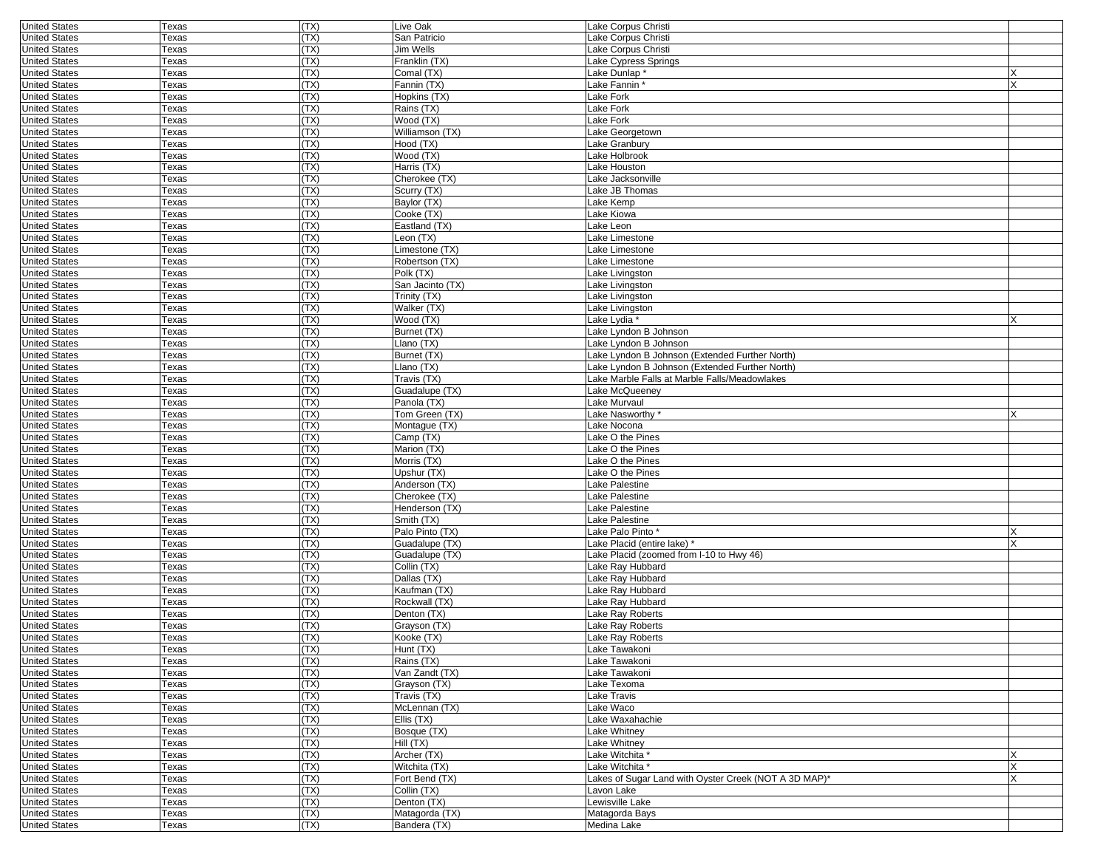| <b>United States</b>                         | Texas | (TX)         | Live Oak                      | Lake Corpus Christi                                                 |        |
|----------------------------------------------|-------|--------------|-------------------------------|---------------------------------------------------------------------|--------|
| <b>United States</b>                         | Texas | (TX)         | San Patricio                  | Lake Corpus Christi                                                 |        |
| <b>United States</b>                         | Texas | (TX)         | Jim Wells                     | Lake Corpus Christi                                                 |        |
| <b>United States</b>                         | Texas | (TX)         | Franklin (TX)                 | Lake Cypress Springs                                                |        |
| <b>United States</b>                         | Texas | (TX)         | Comal (TX)                    | Lake Dunlap *                                                       |        |
| <b>United States</b>                         | Texas | (TX)         | Fannin (TX)                   | Lake Fannin *                                                       |        |
| <b>United States</b>                         | Texas | (TX)         | Hopkins (TX)                  | Lake Fork                                                           |        |
| <b>United States</b>                         | Texas | (TX)         | Rains (TX)                    | Lake Fork                                                           |        |
| <b>United States</b>                         | Texas | (TX)         | Wood (TX)                     | Lake Fork                                                           |        |
| <b>United States</b>                         | Texas | (TX)         | Williamson (TX)               | Lake Georgetown                                                     |        |
| <b>United States</b>                         | Texas | (TX)         | Hood (TX)                     | Lake Granbury                                                       |        |
| <b>United States</b>                         | Texas | (TX)         | Wood (TX)                     | Lake Holbrook                                                       |        |
| <b>United States</b>                         | Texas | (TX)         | Harris (TX)                   | Lake Houston                                                        |        |
| <b>United States</b>                         | Texas | (TX)         | Cherokee (TX)                 | Lake Jacksonville                                                   |        |
| <b>United States</b>                         | Texas | (TX)         | Scurry (TX)                   | Lake JB Thomas                                                      |        |
| <b>United States</b>                         | Texas | (TX)         | Baylor (TX)                   | Lake Kemp                                                           |        |
| <b>United States</b>                         | Texas | (TX)         | Cooke (TX)                    | Lake Kiowa                                                          |        |
| <b>United States</b>                         | Texas | (TX)         | Eastland (TX)                 | Lake Leon                                                           |        |
| <b>United States</b>                         | Texas | (TX)         | Leon (TX)                     | Lake Limestone                                                      |        |
| <b>United States</b>                         | Texas | (TX)         | Limestone (TX)                | Lake Limestone                                                      |        |
| <b>United States</b>                         | Texas | (TX)         | Robertson (TX)                | Lake Limestone                                                      |        |
| <b>United States</b>                         | Texas | (TX)         | Polk (TX)                     | Lake Livingston                                                     |        |
| <b>United States</b>                         | Texas | (TX)         | San Jacinto (TX)              | Lake Livingston                                                     |        |
| <b>United States</b>                         | Texas | (TX)         | Trinity (TX)                  | Lake Livingston                                                     |        |
| <b>United States</b>                         | Texas | (TX)         | Walker (TX)                   | Lake Livingston                                                     |        |
| <b>United States</b>                         | Texas | (TX)         | Wood (TX)                     | Lake Lydia *                                                        |        |
| <b>United States</b>                         | Texas | (TX)         | Burnet (TX)                   | Lake Lyndon B Johnson                                               |        |
| <b>United States</b>                         | Texas | (TX)         | Llano (TX)                    | Lake Lyndon B Johnson                                               |        |
| <b>United States</b>                         | Texas | (TX)         | Burnet (TX)                   | Lake Lyndon B Johnson (Extended Further North)                      |        |
| <b>United States</b>                         | Texas | (TX)         | Llano (TX)                    | Lake Lyndon B Johnson (Extended Further North)                      |        |
| <b>United States</b>                         | Texas | (TX)         | Travis (TX)                   | Lake Marble Falls at Marble Falls/Meadowlakes                       |        |
| <b>United States</b>                         | Texas | (TX)         | Guadalupe (TX)                | Lake McQueeney                                                      |        |
| <b>United States</b>                         | Texas | (TX)         | Panola (TX)                   | Lake Murvaul                                                        |        |
| <b>United States</b>                         | Texas | (TX)         | Tom Green (TX)                | Lake Nasworthy*                                                     | x      |
| <b>United States</b>                         | Texas | (TX)         | Montague (TX)                 | Lake Nocona                                                         |        |
| <b>United States</b>                         | Texas | (TX)         | Camp (TX)                     | Lake O the Pines                                                    |        |
| <b>United States</b>                         | Texas | (TX)         | Marion (TX)                   | Lake O the Pines                                                    |        |
| <b>United States</b>                         | Texas | (TX)         | Morris (TX)                   | Lake O the Pines                                                    |        |
| <b>United States</b>                         | Texas | (TX)         | Upshur (TX)                   | Lake O the Pines                                                    |        |
| <b>United States</b>                         | Texas | (TX)         | Anderson (TX)                 | Lake Palestine                                                      |        |
| <b>United States</b>                         | Texas | (TX)         | Cherokee (TX)                 | Lake Palestine                                                      |        |
| <b>United States</b>                         | Texas | (TX)         | Henderson (TX)                | Lake Palestine                                                      |        |
| <b>United States</b>                         | Texas | (TX)         | Smith (TX)                    | Lake Palestine                                                      |        |
| <b>United States</b>                         | Texas | (TX)         | Palo Pinto (TX)               | Lake Palo Pinto*                                                    |        |
| <b>United States</b>                         | Texas | (TX)         | Guadalupe (TX)                | Lake Placid (entire lake) *                                         |        |
| <b>United States</b>                         | Texas | (TX)         | Guadalupe (TX)                | Lake Placid (zoomed from I-10 to Hwy 46)                            |        |
| <b>United States</b>                         | Texas | (TX)         | Collin (TX)                   | Lake Ray Hubbard                                                    |        |
| <b>United States</b>                         | Texas | (TX)         | Dallas (TX)                   | Lake Ray Hubbard                                                    |        |
| <b>United States</b>                         | Texas | (TX)         | Kaufman (TX)                  | Lake Ray Hubbard                                                    |        |
| <b>United States</b>                         | Texas | (TX)         | Rockwall (TX)                 | Lake Ray Hubbard                                                    |        |
| <b>United States</b>                         | Texas | (TX)         | Denton (TX)                   | Lake Ray Roberts                                                    |        |
| <b>United States</b>                         | Texas | (TX)         | Grayson (TX)                  | Lake Ray Roberts                                                    |        |
| <b>United States</b>                         | Texas | (TX)         | Kooke (TX)                    | Lake Ray Roberts                                                    |        |
| <b>United States</b>                         | Texas | (TX)         | Hunt $(TX)$                   | Lake Tawakoni                                                       |        |
| <b>United States</b>                         | Texas | (TX)         | Rains (TX)                    | Lake Tawakoni                                                       |        |
| <b>United States</b>                         | Texas | (TX)         | Van Zandt (TX)                | Lake Tawakoni                                                       |        |
| <b>United States</b>                         | Texas | (TX)         | Grayson (TX)                  | Lake Texoma                                                         |        |
| <b>United States</b>                         | Texas | (TX)         | Travis (TX)                   | Lake Travis                                                         |        |
| <b>United States</b>                         | Texas | (TX)         | McLennan (TX)                 | Lake Waco                                                           |        |
| <b>United States</b><br><b>United States</b> | Texas | (TX)<br>(TX) | Ellis (TX)<br>Bosque (TX)     | Lake Waxahachie<br>Lake Whitney                                     |        |
|                                              | Texas |              |                               |                                                                     |        |
| <b>United States</b>                         | Texas | (TX)         | Hill(TX)<br>Archer (TX)       | Lake Whitney                                                        |        |
| <b>United States</b><br><b>United States</b> | Texas | (TX)         |                               | Lake Witchita *                                                     | х<br>X |
| <b>United States</b>                         | Texas | (TX)<br>(TX) | Witchita (TX)                 | Lake Witchita *                                                     |        |
| <b>United States</b>                         | Texas | (TX)         | Fort Bend (TX)<br>Collin (TX) | Lakes of Sugar Land with Oyster Creek (NOT A 3D MAP)*<br>Lavon Lake |        |
|                                              | Texas | (TX)         | Denton (TX)                   | Lewisville Lake                                                     |        |
| <b>United States</b><br><b>United States</b> | Texas | (TX)         | Matagorda (TX)                |                                                                     |        |
| <b>United States</b>                         | Texas | (TX)         | Bandera (TX)                  | Matagorda Bays                                                      |        |
|                                              | Texas |              |                               | Medina Lake                                                         |        |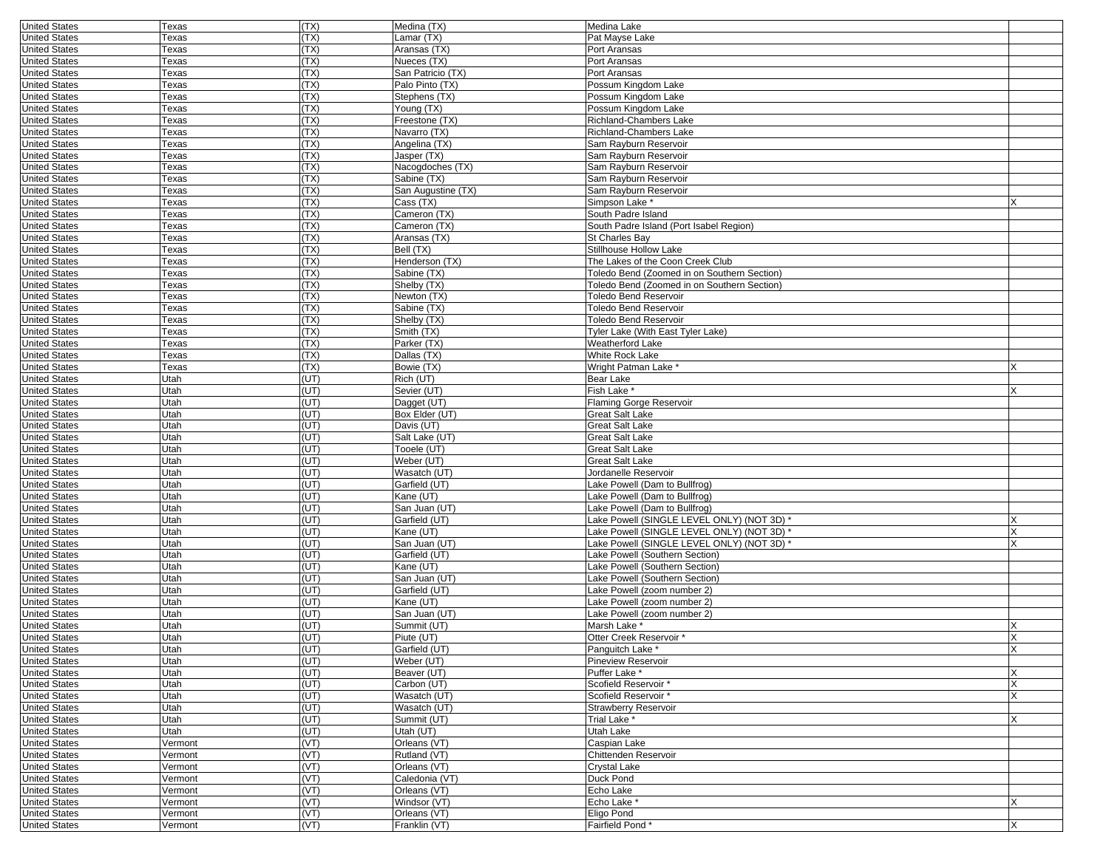| <b>United States</b> | Texas   | (TX) | Medina (TX)        | Medina Lake                                 |    |
|----------------------|---------|------|--------------------|---------------------------------------------|----|
| <b>United States</b> | Texas   | (TX) | Lamar (TX)         | Pat Mayse Lake                              |    |
| <b>United States</b> | Texas   | (TX) | Aransas (TX)       | Port Aransas                                |    |
| <b>United States</b> | Texas   | (TX) | Nueces (TX)        | Port Aransas                                |    |
| <b>United States</b> | Texas   | (TX) | San Patricio (TX)  | Port Aransas                                |    |
| <b>United States</b> | Texas   | (TX) | Palo Pinto (TX)    | Possum Kingdom Lake                         |    |
| <b>United States</b> | Texas   | (TX) | Stephens (TX)      | Possum Kingdom Lake                         |    |
| <b>United States</b> | Texas   | (TX) | Young (TX)         | Possum Kingdom Lake                         |    |
|                      |         |      |                    |                                             |    |
| <b>United States</b> | Texas   | (TX) | Freestone (TX)     | Richland-Chambers Lake                      |    |
| <b>United States</b> | Texas   | (TX) | Navarro (TX)       | Richland-Chambers Lake                      |    |
| <b>United States</b> | Texas   | (TX) | Angelina (TX)      | Sam Rayburn Reservoir                       |    |
| <b>United States</b> | Texas   | (TX) | Jasper (TX)        | Sam Rayburn Reservoir                       |    |
| <b>United States</b> | Texas   | (TX) | Nacogdoches (TX)   | Sam Rayburn Reservoir                       |    |
| <b>United States</b> | Texas   | (TX) | Sabine (TX)        | Sam Rayburn Reservoir                       |    |
| <b>United States</b> | Texas   | (TX) | San Augustine (TX) | Sam Rayburn Reservoir                       |    |
| <b>United States</b> | Texas   | (TX) | Cass (TX)          | Simpson Lake *                              |    |
| <b>United States</b> | Texas   | (TX) | Cameron (TX)       | South Padre Island                          |    |
| <b>United States</b> | Texas   | (TX) | Cameron (TX)       | South Padre Island (Port Isabel Region)     |    |
|                      |         |      |                    |                                             |    |
| <b>United States</b> | Texas   | (TX) | Aransas (TX)       | St Charles Bay                              |    |
| <b>United States</b> | Texas   | (TX) | Bell (TX)          | Stillhouse Hollow Lake                      |    |
| <b>United States</b> | Texas   | (TX) | Henderson (TX)     | The Lakes of the Coon Creek Club            |    |
| <b>United States</b> | Texas   | (TX) | Sabine (TX)        | Toledo Bend (Zoomed in on Southern Section) |    |
| <b>United States</b> | Texas   | (TX) | Shelby (TX)        | Toledo Bend (Zoomed in on Southern Section) |    |
| <b>United States</b> | Texas   | (TX) | Newton (TX)        | <b>Toledo Bend Reservoir</b>                |    |
| <b>United States</b> | Texas   | (TX) | Sabine (TX)        | Toledo Bend Reservoir                       |    |
| <b>United States</b> | Texas   | (TX) | Shelby (TX)        | Toledo Bend Reservoir                       |    |
| <b>United States</b> | Texas   | (TX) | Smith (TX)         | Tyler Lake (With East Tyler Lake)           |    |
|                      |         | (TX) | Parker (TX)        | Weatherford Lake                            |    |
| <b>United States</b> | Texas   |      |                    |                                             |    |
| <b>United States</b> | Texas   | (TX) | Dallas (TX)        | White Rock Lake                             |    |
| <b>United States</b> | Texas   | (TX) | Bowie (TX)         | Wright Patman Lake *                        |    |
| <b>United States</b> | Utah    | (UT) | Rich (UT)          | Bear Lake                                   |    |
| <b>United States</b> | Utah    | (UT) | Sevier (UT)        | Fish Lake                                   | x  |
| <b>United States</b> | Utah    | (UT) | Dagget (UT)        | Flaming Gorge Reservoir                     |    |
| <b>United States</b> | Utah    | (UT) | Box Elder (UT)     | Great Salt Lake                             |    |
| <b>United States</b> | Utah    | (UT) | Davis (UT)         | Great Salt Lake                             |    |
| <b>United States</b> | Utah    | (UT) | Salt Lake (UT)     | Great Salt Lake                             |    |
| <b>United States</b> | Utah    | (UT) | Tooele (UT)        | Great Salt Lake                             |    |
|                      |         | (UT) |                    | Great Salt Lake                             |    |
| <b>United States</b> | Utah    |      | Weber (UT)         |                                             |    |
| <b>United States</b> | Utah    | (UT) | Wasatch (UT)       | Jordanelle Reservoir                        |    |
| <b>United States</b> | Utah    | (UT) | Garfield (UT)      | Lake Powell (Dam to Bullfrog)               |    |
| <b>United States</b> | Utah    | (UT) | Kane (UT)          | Lake Powell (Dam to Bullfrog)               |    |
| <b>United States</b> | Utah    | (UT) | San Juan (UT)      | Lake Powell (Dam to Bullfrog)               |    |
| <b>United States</b> | Utah    | (UT) | Garfield (UT)      | Lake Powell (SINGLE LEVEL ONLY) (NOT 3D) *  |    |
| <b>United States</b> | Utah    | (UT) | Kane (UT)          | Lake Powell (SINGLE LEVEL ONLY) (NOT 3D) *  | X  |
| <b>United States</b> | Utah    | (UT) | San Juan (UT)      | -ake Powell (SINGLE LEVEL ONLY) (NOT 3D)    |    |
| <b>United States</b> | Utah    | (UT) | Garfield (UT)      | Lake Powell (Southern Section)              |    |
| <b>United States</b> | Utah    | (UT) | Kane (UT)          | Lake Powell (Southern Section)              |    |
|                      |         | (UT) |                    | Lake Powell (Southern Section)              |    |
| <b>United States</b> | Utah    |      | San Juan (UT)      |                                             |    |
| <b>United States</b> | Utah    | (UT) | Garfield (UT)      | Lake Powell (zoom number 2)                 |    |
| <b>United States</b> | Utah    | (UT) | Kane (UT)          | Lake Powell (zoom number 2)                 |    |
| <b>United States</b> | Utah    | (UT) | San Juan (UT)      | Lake Powell (zoom number 2)                 |    |
| <b>United States</b> | Utah    | (UT) | Summit (UT)        | Marsh Lake *                                |    |
| <b>United States</b> | Utah    | (UT) | Piute (UT)         | Otter Creek Reservoir *                     | X  |
| United States        | Utah    | (UI) | Garfield (UT)      | Panguitch Lake                              | X. |
| <b>United States</b> | Utah    | (UT) | Weber (UT)         | Pineview Reservoir                          |    |
| <b>United States</b> | Utah    | (UT) | Beaver (UT)        | Puffer Lake *                               | X  |
| <b>United States</b> | Utah    | (UT) | Carbon (UT)        | Scofield Reservoir*                         | X  |
|                      |         |      |                    |                                             |    |
| <b>United States</b> | Utah    | (UT) | Wasatch (UT)       | Scofield Reservoir*                         | X  |
| <b>United States</b> | Utah    | (UT) | Wasatch (UT)       | <b>Strawberry Reservoir</b>                 |    |
| <b>United States</b> | Utah    | (UT) | Summit (UT)        | Trial Lake *                                | X  |
| <b>United States</b> | Utah    | (UT) | Utah (UT)          | Utah Lake                                   |    |
| <b>United States</b> | Vermont | (VT) | Orleans (VT)       | Caspian Lake                                |    |
| <b>United States</b> | Vermont | (VT) | Rutland (VT)       | Chittenden Reservoir                        |    |
| <b>United States</b> | Vermont | (VT) | Orleans (VT)       | Crystal Lake                                |    |
| <b>United States</b> | Vermont | (VT) | Caledonia (VT)     | Duck Pond                                   |    |
| <b>United States</b> | Vermont | (VT) | Orleans (VT)       | Echo Lake                                   |    |
| <b>United States</b> | Vermont | (VT) | Windsor (VT)       | Echo Lake *                                 | X  |
| <b>United States</b> |         |      |                    |                                             |    |
|                      | Vermont | (VT) | Orleans (VT)       | Eligo Pond                                  |    |
| <b>United States</b> | Vermont | (VT) | Franklin (VT)      | Fairfield Pond*                             | X  |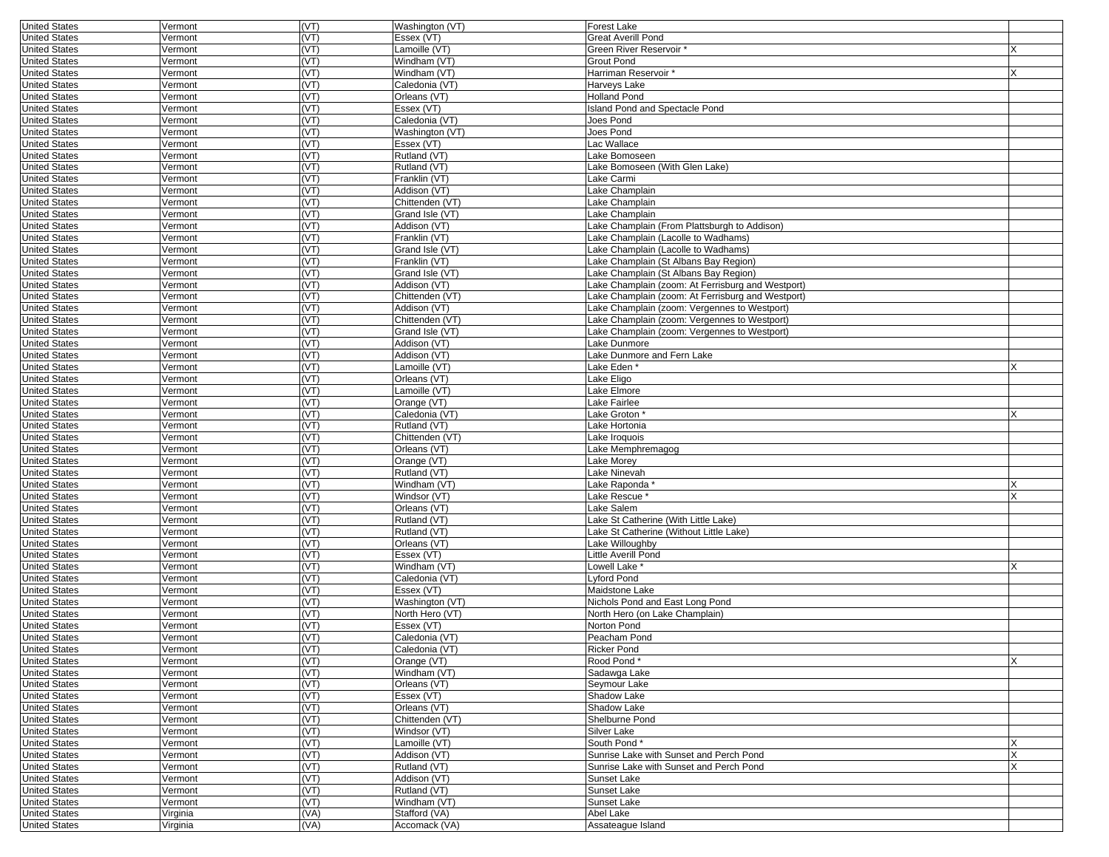| <b>United States</b>                         | Vermont            | (VT)         | Washington (VT)               | Forest Lake                                       |   |
|----------------------------------------------|--------------------|--------------|-------------------------------|---------------------------------------------------|---|
| <b>United States</b>                         | Vermont            | (VT)         | Essex (VT)                    | Great Averill Pond                                |   |
| <b>United States</b>                         | Vermont            | (VT)         | $L$ amoille (VT)              | Green River Reservoir *                           |   |
| <b>United States</b>                         | Vermont            | (VT)         | Windham (VT)                  | Grout Pond                                        |   |
| <b>United States</b>                         | Vermont            | (VT)         | Windham (VT)                  | Harriman Reservoir *                              |   |
| <b>United States</b>                         | Vermont            | (VT)         | Caledonia (VT)                | Harveys Lake                                      |   |
| <b>United States</b>                         | Vermont            | (VT)         | Orleans (VT)                  | <b>Holland Pond</b>                               |   |
| <b>United States</b>                         | Vermont            | (VT)         | Essex (VT)                    | Island Pond and Spectacle Pond                    |   |
| <b>United States</b>                         | Vermont            | (VT)         | Caledonia (VT)                | Joes Pond                                         |   |
| <b>United States</b>                         | Vermont            | (VT)         | Washington (VT)               | Joes Pond                                         |   |
| <b>United States</b>                         | Vermont            | (VT)         | Essex (VT)                    | Lac Wallace                                       |   |
| <b>United States</b>                         | Vermont            | (VT)         | Rutland (VT)                  | Lake Bomoseen                                     |   |
| <b>United States</b>                         | Vermont            | (VT)         | Rutland (VT)                  | Lake Bomoseen (With Glen Lake)                    |   |
| <b>United States</b>                         | Vermont            | (VT)         | Franklin (VT)                 | Lake Carmi                                        |   |
| <b>United States</b>                         | Vermont            | (VT)         | Addison (VT)                  | Lake Champlain                                    |   |
| <b>United States</b>                         | Vermont            | (VT)         | Chittenden (VT)               | Lake Champlain                                    |   |
| <b>United States</b>                         | Vermont            | (VT)         | Grand Isle (VT)               | Lake Champlain                                    |   |
| <b>United States</b>                         | Vermont            | (VT)         | Addison (VT)                  | Lake Champlain (From Plattsburgh to Addison)      |   |
| <b>United States</b>                         | Vermont            | (VT)         | Franklin (VT)                 | Lake Champlain (Lacolle to Wadhams)               |   |
| <b>United States</b>                         | Vermont            | (VT)         | Grand Isle (VT)               | Lake Champlain (Lacolle to Wadhams)               |   |
| <b>United States</b>                         | Vermont            | (VT)         | Franklin (VT)                 | Lake Champlain (St Albans Bay Region)             |   |
| <b>United States</b>                         | Vermont            | (VT)         | Grand Isle (VT)               | Lake Champlain (St Albans Bay Region)             |   |
| <b>United States</b>                         | Vermont            | (VT)         | Addison (VT)                  | Lake Champlain (zoom: At Ferrisburg and Westport) |   |
| <b>United States</b>                         | Vermont            | (VT)         | Chittenden (VT)               | Lake Champlain (zoom: At Ferrisburg and Westport) |   |
| <b>United States</b>                         | Vermont            | (VT)         | Addison (VT)                  | Lake Champlain (zoom: Vergennes to Westport)      |   |
| <b>United States</b>                         | Vermont            | (VT)         | Chittenden (VT)               | Lake Champlain (zoom: Vergennes to Westport)      |   |
| <b>United States</b>                         | Vermont            | (VT)         | Grand Isle (VT)               | Lake Champlain (zoom: Vergennes to Westport)      |   |
| <b>United States</b>                         | Vermont            | (VT)         | Addison (VT)                  | Lake Dunmore                                      |   |
| <b>United States</b>                         | Vermont            | (VT)         | Addison (VT)                  | Lake Dunmore and Fern Lake                        |   |
| <b>United States</b>                         | Vermont            | (VT)         | Lamoille (VT)                 | Lake Eden*                                        |   |
| <b>United States</b>                         | Vermont            | (VT)         | Orleans (VT)                  | Lake Eligo                                        |   |
| <b>United States</b>                         | Vermont            | (VT)         | Lamoille (VT)                 | Lake Elmore                                       |   |
| <b>United States</b>                         | Vermont            | (VT)         | Orange (VT)                   | Lake Fairlee                                      |   |
| <b>United States</b>                         | Vermont            | (VT)         | Caledonia (VT)                | Lake Groton *                                     |   |
| <b>United States</b>                         | Vermont            | (VT)         | Rutland (VT)                  | Lake Hortonia                                     |   |
| <b>United States</b>                         | Vermont            | (VT)         | Chittenden (VT)               | Lake Iroquois                                     |   |
| <b>United States</b>                         | Vermont            | (VT)         | Orleans (VT)                  | Lake Memphremagog                                 |   |
| <b>United States</b>                         | Vermont            | (VT)         | Orange (VT)                   | Lake Morey                                        |   |
| <b>United States</b>                         | Vermont            | (VT)         | Rutland (VT)                  | Lake Ninevah                                      |   |
| <b>United States</b>                         | Vermont            | (VT)         | Windham (VT)                  | Lake Raponda                                      |   |
| <b>United States</b>                         | Vermont            | (VT)         | Windsor (VT)                  | Lake Rescue '                                     | X |
| <b>United States</b>                         | Vermont            | (VT)         | Orleans (VT)                  | Lake Salem                                        |   |
| <b>United States</b>                         | Vermont            | (VT)         | Rutland (VT)                  | Lake St Catherine (With Little Lake)              |   |
| <b>United States</b>                         | Vermont            | (VT)         | Rutland (VT)                  | Lake St Catherine (Without Little Lake)           |   |
| <b>United States</b>                         | Vermont            | (VT)         | Orleans (VT)                  | Lake Willoughby                                   |   |
| <b>United States</b>                         | Vermont            | (VT)         | Essex (VT)                    | Little Averill Pond                               |   |
| <b>United States</b>                         | Vermont            | (VT)         | Windham (VT)                  | Lowell Lake <sup>*</sup>                          |   |
| <b>United States</b>                         | Vermont            | (VT)         | Caledonia (VT)                | Lyford Pond                                       |   |
| <b>United States</b>                         | Vermont            | (VT)<br>(VT) | Essex (VT)<br>Washington (VT) | Maidstone Lake                                    |   |
| <b>United States</b>                         | Vermont            |              |                               | Nichols Pond and East Long Pond                   |   |
| <b>United States</b>                         | Vermont            | (VT)         | North Hero (VT)               | North Hero (on Lake Champlain)<br>Norton Pond     |   |
| <b>United States</b>                         | Vermont            | (VT)         | Essex (VT)<br>Caledonia (VT)  |                                                   |   |
| <b>United States</b>                         | Vermont            | (VT)         |                               | Peacham Pond                                      |   |
| United States                                | vermont            | (VT)<br>(VT) | Caledonia (VT)                | Ricker Pond                                       | X |
| <b>United States</b><br><b>United States</b> | Vermont<br>Vermont | (VT)         | Orange (VT)<br>Windham (VT)   | Rood Pond*<br>Sadawga Lake                        |   |
| <b>United States</b>                         |                    | (VT)         | Orleans (VT)                  |                                                   |   |
| <b>United States</b>                         | Vermont<br>Vermont | (VT)         |                               | Seymour Lake                                      |   |
| <b>United States</b>                         | Vermont            | (VT)         | Essex (VT)<br>Orleans (VT)    | Shadow Lake<br>Shadow Lake                        |   |
| <b>United States</b>                         | Vermont            | (VT)         | Chittenden (VT)               | Shelburne Pond                                    |   |
| <b>United States</b>                         | Vermont            | (VT)         | Windsor (VT)                  | Silver Lake                                       |   |
| <b>United States</b>                         | Vermont            | (VT)         | Lamoille (VT)                 | South Pond*                                       | X |
| <b>United States</b>                         | Vermont            | (VT)         | Addison (VT)                  | Sunrise Lake with Sunset and Perch Pond           | X |
| <b>United States</b>                         | Vermont            | (VT)         | Rutland (VT)                  | Sunrise Lake with Sunset and Perch Pond           | X |
| <b>United States</b>                         | Vermont            | (VT)         | Addison (VT)                  | Sunset Lake                                       |   |
| <b>United States</b>                         | Vermont            | (VT)         | Rutland (VT)                  | Sunset Lake                                       |   |
| <b>United States</b>                         | Vermont            | (VT)         | Windham (VT)                  | Sunset Lake                                       |   |
| <b>United States</b>                         | Virginia           | (VA)         | Stafford (VA)                 | Abel Lake                                         |   |
| <b>United States</b>                         | Virginia           | (VA)         | Accomack (VA)                 | Assateague Island                                 |   |
|                                              |                    |              |                               |                                                   |   |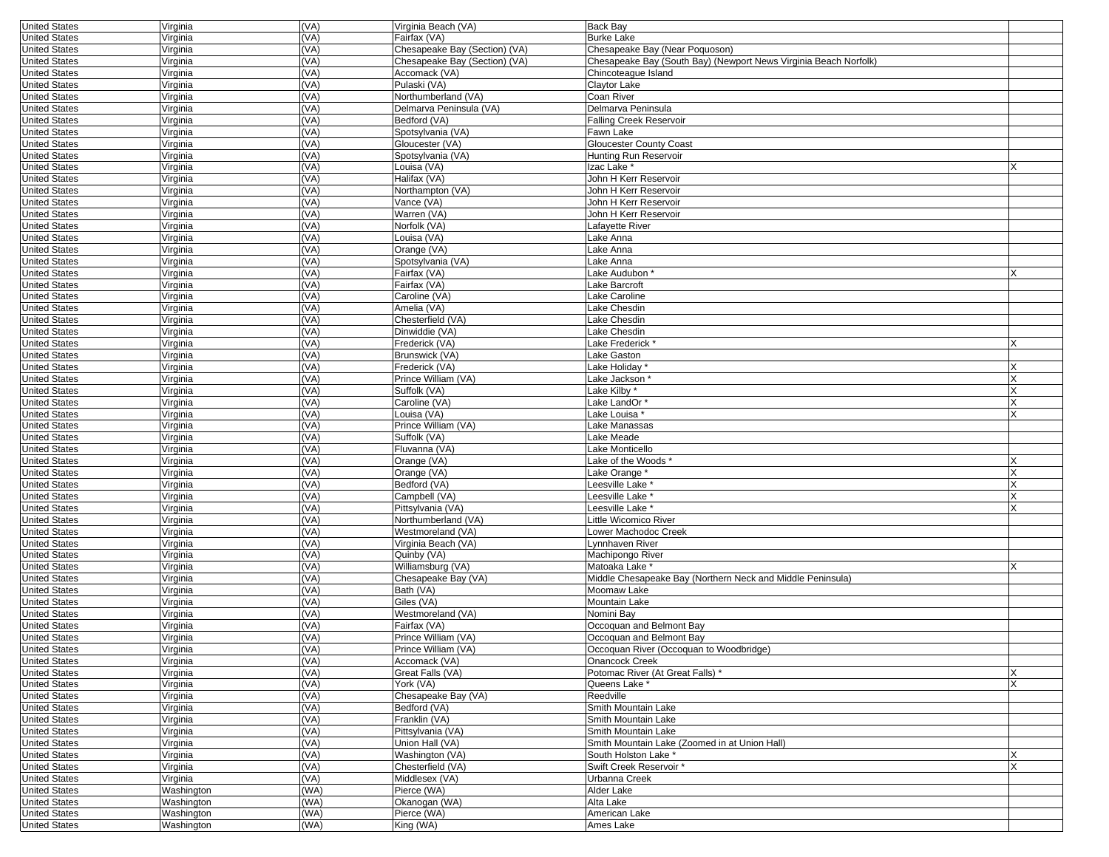| <b>United States</b> | Virginia   | (VA) | Virginia Beach (VA)           | Back Bay                                                         |   |
|----------------------|------------|------|-------------------------------|------------------------------------------------------------------|---|
| <b>United States</b> | Virginia   | (VA) | Fairfax (VA)                  | <b>Burke Lake</b>                                                |   |
| <b>United States</b> | Virginia   | (VA) | Chesapeake Bay (Section) (VA) | Chesapeake Bay (Near Poquoson)                                   |   |
| <b>United States</b> | Virginia   | (VA) | Chesapeake Bay (Section) (VA) | Chesapeake Bay (South Bay) (Newport News Virginia Beach Norfolk) |   |
| <b>United States</b> | Virginia   | (VA) | Accomack (VA)                 | Chincoteague Island                                              |   |
| <b>United States</b> | Virginia   | (VA) | Pulaski (VA)                  | Claytor Lake                                                     |   |
| <b>United States</b> | Virginia   | (VA) | Northumberland (VA)           | Coan River                                                       |   |
| <b>United States</b> | Virginia   | (VA) | Delmarva Peninsula (VA)       | Delmarva Peninsula                                               |   |
| <b>United States</b> | Virginia   | (VA) | Bedford (VA)                  | <b>Falling Creek Reservoir</b>                                   |   |
| <b>United States</b> | Virginia   | (VA) | Spotsylvania (VA)             | Fawn Lake                                                        |   |
| <b>United States</b> | Virginia   | (VA) | Gloucester (VA)               | <b>Gloucester County Coast</b>                                   |   |
| <b>United States</b> | Virginia   | (VA) | Spotsylvania (VA)             | Hunting Run Reservoir                                            |   |
| <b>United States</b> | Virginia   | (VA) | Louisa (VA)                   | Izac Lake *                                                      |   |
| <b>United States</b> | Virginia   | (VA) | Halifax (VA)                  | John H Kerr Reservoir                                            |   |
| <b>United States</b> | Virginia   | (VA) | Northampton (VA)              | John H Kerr Reservoir                                            |   |
| <b>United States</b> | Virginia   | (VA) | Vance (VA)                    | John H Kerr Reservoir                                            |   |
| <b>United States</b> | Virginia   | (VA) | Warren (VA)                   | John H Kerr Reservoir                                            |   |
| <b>United States</b> | Virginia   | (VA) | Norfolk (VA)                  | Lafayette River                                                  |   |
| <b>United States</b> | Virginia   | (VA) | _ouisa (VA)                   | Lake Anna                                                        |   |
| <b>United States</b> | Virginia   | (VA) | Orange (VA)                   | Lake Anna                                                        |   |
| <b>United States</b> | Virginia   | (VA) | Spotsylvania (VA)             | Lake Anna                                                        |   |
| <b>United States</b> | Virginia   | (VA) | Fairfax (VA)                  | Lake Audubon*                                                    |   |
| <b>United States</b> | Virginia   | (VA) | Fairfax (VA)                  | Lake Barcroft                                                    |   |
| <b>United States</b> | Virginia   | (VA) | Caroline (VA)                 | Lake Caroline                                                    |   |
| <b>United States</b> | Virginia   | (VA) | Amelia (VA)                   | Lake Chesdin                                                     |   |
| <b>United States</b> | Virginia   | (VA) | Chesterfield (VA)             | Lake Chesdin                                                     |   |
| <b>United States</b> | Virginia   | (VA) | Dinwiddie (VA)                | Lake Chesdin                                                     |   |
| <b>United States</b> | Virginia   | (VA) | Frederick (VA)                | Lake Frederick *                                                 |   |
| <b>United States</b> | Virginia   | (VA) | Brunswick (VA)                | Lake Gaston                                                      |   |
| <b>United States</b> | Virginia   | (VA) | Frederick (VA)                | Lake Holidav <sup>®</sup>                                        |   |
| <b>United States</b> | Virginia   | (VA) | Prince William (VA)           | Lake Jackson <sup>:</sup>                                        |   |
| <b>United States</b> | Virginia   | (VA) | Suffolk (VA)                  | Lake Kilby*                                                      |   |
| <b>United States</b> | Virginia   | (VA) | Caroline (VA)                 | Lake LandOr *                                                    |   |
| <b>United States</b> | Virginia   | (VA) | Louisa (VA)                   | Lake Louisa *                                                    |   |
| <b>United States</b> | Virginia   | (VA) | Prince William (VA)           | Lake Manassas                                                    |   |
| <b>United States</b> | Virginia   | (VA) | Suffolk (VA)                  | Lake Meade                                                       |   |
| <b>United States</b> | Virginia   | (VA) | Fluvanna (VA)                 | Lake Monticello                                                  |   |
| <b>United States</b> | Virginia   | (VA) | Orange (VA)                   | Lake of the Woods *                                              |   |
| <b>United States</b> | Virginia   | (VA) | Orange (VA)                   | Lake Orange                                                      |   |
| <b>United States</b> | Virginia   | (VA) | Bedford (VA)                  | -eesville Lake *                                                 |   |
| <b>United States</b> | Virginia   | (VA) | Campbell (VA)                 | eesville Lake                                                    |   |
| <b>United States</b> | Virginia   | (VA) | Pittsylvania (VA)             | Leesville Lake <sup>®</sup>                                      |   |
| <b>United States</b> | Virginia   | (VA) | Northumberland (VA)           | Little Wicomico River                                            |   |
| <b>United States</b> | Virginia   | (VA) | Westmoreland (VA)             | Lower Machodoc Creek                                             |   |
| <b>United States</b> | Virginia   | (VA) | Virginia Beach (VA)           | _ynnhaven River                                                  |   |
| <b>United States</b> | Virginia   | (VA) | Quinby (VA)                   | Machipongo River                                                 |   |
| <b>United States</b> | Virginia   | (VA) | Williamsburg (VA)             | Matoaka Lake *                                                   |   |
| <b>United States</b> | Virginia   | (VA) | Chesapeake Bay (VA)           | Middle Chesapeake Bay (Northern Neck and Middle Peninsula)       |   |
| <b>United States</b> | Virginia   | (VA) | Bath (VA)                     | Moomaw Lake                                                      |   |
| <b>United States</b> | Virginia   | (VA) | Giles (VA)                    | Mountain Lake                                                    |   |
| <b>United States</b> | Virginia   | (VA) | Westmoreland (VA)             | Nomini Bay                                                       |   |
| <b>United States</b> | Virginia   | (VA) | Fairfax (VA)                  | Occoquan and Belmont Bay                                         |   |
| <b>United States</b> | Virginia   | (VA) | Prince William (VA)           | Occoquan and Belmont Bay                                         |   |
| <b>United States</b> | Virginia   | (VA) | Prince William (VA)           | Occoquan River (Occoquan to Woodbridge)                          |   |
| <b>United States</b> | Virginia   | (VA) | Accomack (VA)                 | Onancock Creek                                                   |   |
| <b>United States</b> | Virginia   | (VA) | Great Falls (VA)              | Potomac River (At Great Falls) *                                 | X |
| <b>United States</b> | Virginia   | (VA) | York (VA)                     | Queens Lake *                                                    |   |
| <b>United States</b> | Virginia   | (VA) | Chesapeake Bay (VA)           | Reedville                                                        |   |
| <b>United States</b> | Virginia   | (VA) | Bedford (VA)                  | Smith Mountain Lake                                              |   |
| <b>United States</b> | Virginia   | (VA) | Franklin (VA)                 | Smith Mountain Lake                                              |   |
| <b>United States</b> | Virginia   | (VA) | Pittsylvania (VA)             | Smith Mountain Lake                                              |   |
| <b>United States</b> | Virginia   | (VA) | Union Hall (VA)               | Smith Mountain Lake (Zoomed in at Union Hall)                    |   |
| <b>United States</b> | Virginia   | (VA) | Washington (VA)               | South Holston Lake *                                             |   |
| <b>United States</b> | Virginia   | (VA) | Chesterfield (VA)             | Swift Creek Reservoir *                                          | X |
| <b>United States</b> | Virginia   | (VA) | Middlesex (VA)                | Urbanna Creek                                                    |   |
| <b>United States</b> | Washington | (WA) | Pierce (WA)                   | Alder Lake                                                       |   |
| <b>United States</b> | Washington | (WA) | Okanogan (WA)                 | Alta Lake                                                        |   |
| <b>United States</b> | Washington | (WA) | Pierce (WA)                   | American Lake                                                    |   |
| <b>United States</b> | Washington | (WA) | King (WA)                     | Ames Lake                                                        |   |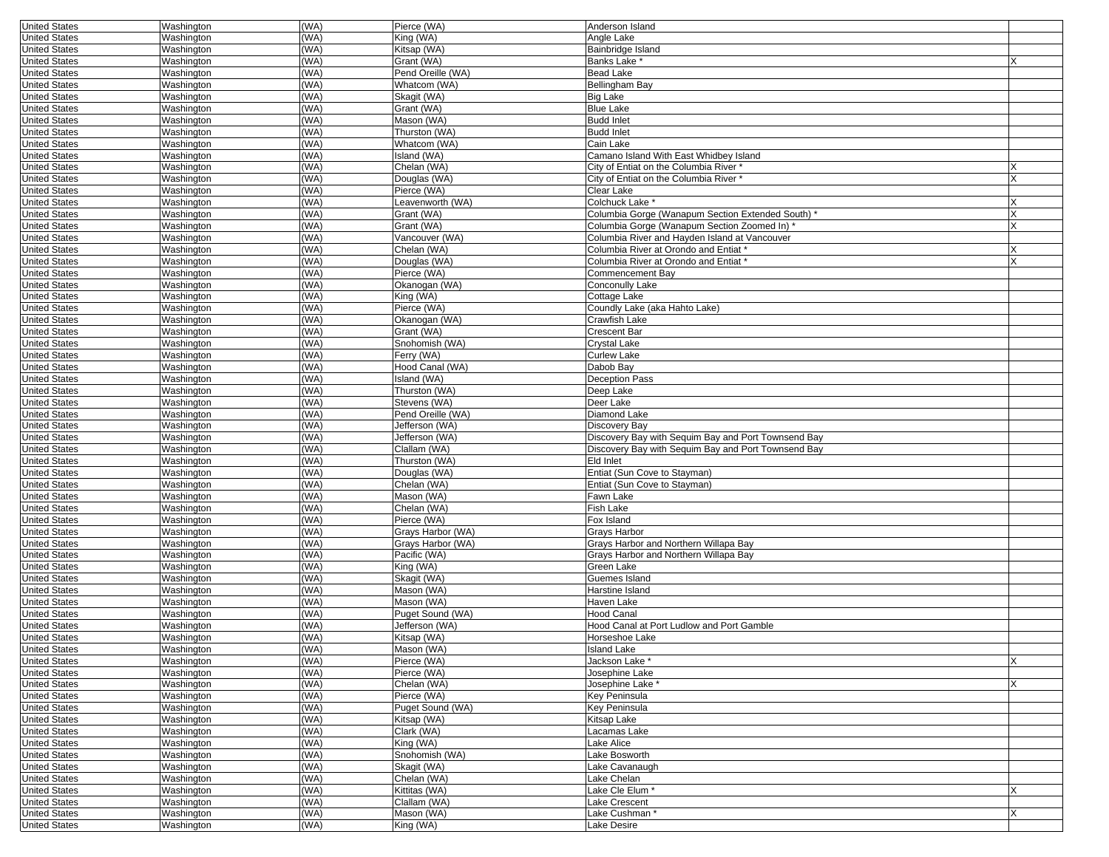| <b>United States</b> | Washington | (WA) | Pierce (WA)       | Anderson Island                                     |   |
|----------------------|------------|------|-------------------|-----------------------------------------------------|---|
| <b>United States</b> | Washington | (WA) | King (WA)         | Angle Lake                                          |   |
| <b>United States</b> | Washington | (WA) | Kitsap (WA)       | <b>Bainbridge Island</b>                            |   |
|                      |            |      | Grant (WA)        |                                                     |   |
| <b>United States</b> | Washington | (WA) |                   | Banks Lake *                                        |   |
| <b>United States</b> | Washington | (WA) | Pend Oreille (WA) | <b>Bead Lake</b>                                    |   |
| <b>United States</b> | Washington | (WA) | Whatcom (WA)      | <b>Bellingham Bay</b>                               |   |
| <b>United States</b> | Washington | WA)  | Skagit (WA)       | <b>Big Lake</b>                                     |   |
| <b>United States</b> | Washington | (WA) | Grant (WA)        | <b>Blue Lake</b>                                    |   |
| <b>United States</b> | Washington | (WA) | Mason (WA)        | <b>Budd Inlet</b>                                   |   |
| <b>United States</b> | Washington | WA)  | Thurston (WA)     | <b>Budd Inlet</b>                                   |   |
| <b>United States</b> | Washington | (WA) | Whatcom (WA)      | Cain Lake                                           |   |
| <b>United States</b> | Washington | (WA) | Island (WA)       | Camano Island With East Whidbey Island              |   |
|                      |            |      |                   |                                                     |   |
| <b>United States</b> | Washington | (WA) | Chelan (WA)       | City of Entiat on the Columbia River *              |   |
| <b>United States</b> | Washington | (WA) | Douglas (WA)      | City of Entiat on the Columbia River *              |   |
| <b>United States</b> | Washington | WA)  | Pierce (WA)       | Clear Lake                                          |   |
| <b>United States</b> | Washington | (WA) | Leavenworth (WA)  | Colchuck Lake *                                     |   |
| <b>United States</b> | Washington | WA)  | Grant (WA)        | Columbia Gorge (Wanapum Section Extended South)     |   |
| <b>United States</b> | Washington | (WA) | Grant (WA)        | Columbia Gorge (Wanapum Section Zoomed In) *        |   |
| <b>United States</b> | Washington | (WA) | Vancouver (WA)    | Columbia River and Hayden Island at Vancouver       |   |
| <b>United States</b> | Washington | (WA) | Chelan (WA)       | Columbia River at Orondo and Entiat                 |   |
| <b>United States</b> | Washington | (WA) | Douglas (WA)      | Columbia River at Orondo and Entiat                 |   |
|                      |            |      |                   |                                                     |   |
| <b>United States</b> | Washington | (WA) | Pierce (WA)       | Commencement Bay                                    |   |
| <b>United States</b> | Washington | (WA) | Okanogan (WA)     | Conconully Lake                                     |   |
| <b>United States</b> | Washington | (WA) | King (WA)         | Cottage Lake                                        |   |
| <b>United States</b> | Washington | WA)  | Pierce (WA)       | Coundly Lake (aka Hahto Lake)                       |   |
| <b>United States</b> | Washington | (WA) | Okanogan (WA)     | <b>Crawfish Lake</b>                                |   |
| <b>United States</b> | Washington | (WA) | Grant (WA)        | <b>Crescent Bar</b>                                 |   |
| <b>United States</b> | Washington | (WA) | Snohomish (WA)    | <b>Crystal Lake</b>                                 |   |
| <b>United States</b> | Washington | (WA) | Ferry (WA)        | <b>Curlew Lake</b>                                  |   |
| <b>United States</b> | Washington | (WA) | Hood Canal (WA)   | Dabob Bay                                           |   |
|                      |            |      |                   |                                                     |   |
| <b>United States</b> | Washington | (WA) | Island (WA)       | <b>Deception Pass</b>                               |   |
| <b>United States</b> | Washington | (WA) | Thurston (WA)     | Deep Lake                                           |   |
| <b>United States</b> | Washington | (WA) | Stevens (WA)      | Deer Lake                                           |   |
| <b>United States</b> | Washington | (WA) | Pend Oreille (WA) | Diamond Lake                                        |   |
| <b>United States</b> | Washington | WA)  | Jefferson (WA)    | <b>Discovery Bay</b>                                |   |
| <b>United States</b> | Washington | (WA) | Jefferson (WA)    | Discovery Bay with Sequim Bay and Port Townsend Bay |   |
| <b>United States</b> | Washington | (WA) | Clallam (WA)      | Discovery Bay with Sequim Bay and Port Townsend Bay |   |
| <b>United States</b> | Washington | (WA) | Thurston (WA)     | <b>Eld Inlet</b>                                    |   |
|                      |            |      |                   |                                                     |   |
| <b>United States</b> | Washington | (WA) | Douglas (WA)      | Entiat (Sun Cove to Stayman)                        |   |
| <b>United States</b> | Washington | (WA) | Chelan (WA)       | Entiat (Sun Cove to Stayman)                        |   |
| <b>United States</b> | Washington | (WA) | Mason (WA)        | Fawn Lake                                           |   |
| <b>United States</b> | Washington | WA)  | Chelan (WA)       | <b>Fish Lake</b>                                    |   |
| <b>United States</b> | Washington | WA)  | Pierce (WA)       | Fox Island                                          |   |
| <b>United States</b> | Washington | (WA) | Grays Harbor (WA) | Grays Harbor                                        |   |
| <b>United States</b> | Washington | (WA) | Grays Harbor (WA) | Grays Harbor and Northern Willapa Bay               |   |
| <b>United States</b> | Washington | (WA) | Pacific (WA)      | Grays Harbor and Northern Willapa Bay               |   |
| <b>United States</b> | Washington | (WA) | King (WA)         | Green Lake                                          |   |
|                      |            |      |                   |                                                     |   |
| <b>United States</b> | Washington | (WA) | Skagit (WA)       | Guemes Island                                       |   |
| <b>United States</b> | Washington | (WA) | Mason (WA)        | Harstine Island                                     |   |
| <b>United States</b> | Washington | WA)  | Mason (WA)        | Haven Lake                                          |   |
| <b>United States</b> | Washington | (WA) | Puget Sound (WA)  | <b>Hood Canal</b>                                   |   |
| <b>United States</b> | Washington | WA)  | Jefferson (WA)    | Hood Canal at Port Ludlow and Port Gamble           |   |
| <b>United States</b> | Washington | (WA) | Kitsap (WA)       | Horseshoe Lake                                      |   |
| United States        | Washington | (WA) | Mason (WA)        | Island Lake                                         |   |
| <b>United States</b> | Washington | (WA) | Pierce (WA)       | Jackson Lake *                                      |   |
| <b>United States</b> | Washington | (WA) | Pierce (WA)       | Josephine Lake                                      |   |
|                      |            |      |                   |                                                     |   |
| <b>United States</b> | Washington | (WA) | Chelan (WA)       | Josephine Lake *                                    |   |
| <b>United States</b> | Washington | (WA) | Pierce (WA)       | <b>Key Peninsula</b>                                |   |
| <b>United States</b> | Washington | (WA) | Puget Sound (WA)  | <b>Key Peninsula</b>                                |   |
| <b>United States</b> | Washington | (WA) | Kitsap (WA)       | Kitsap Lake                                         |   |
| <b>United States</b> | Washington | (WA) | Clark (WA)        | Lacamas Lake                                        |   |
| <b>United States</b> | Washington | (WA) | King (WA)         | Lake Alice                                          |   |
| <b>United States</b> | Washington | (WA) | Snohomish (WA)    | Lake Bosworth                                       |   |
| <b>United States</b> | Washington | (WA) | Skagit (WA)       | Lake Cavanaugh                                      |   |
|                      |            |      |                   |                                                     |   |
| <b>United States</b> | Washington | (WA) | Chelan (WA)       | Lake Chelan                                         |   |
| <b>United States</b> | Washington | (WA) | Kittitas (WA)     | Lake Cle Elum*                                      | X |
| <b>United States</b> | Washington | (WA) | Clallam (WA)      | <b>Lake Crescent</b>                                |   |
| <b>United States</b> | Washington | (WA) | Mason (WA)        | Lake Cushman*                                       |   |
| <b>United States</b> | Washington | (WA) | King (WA)         | Lake Desire                                         |   |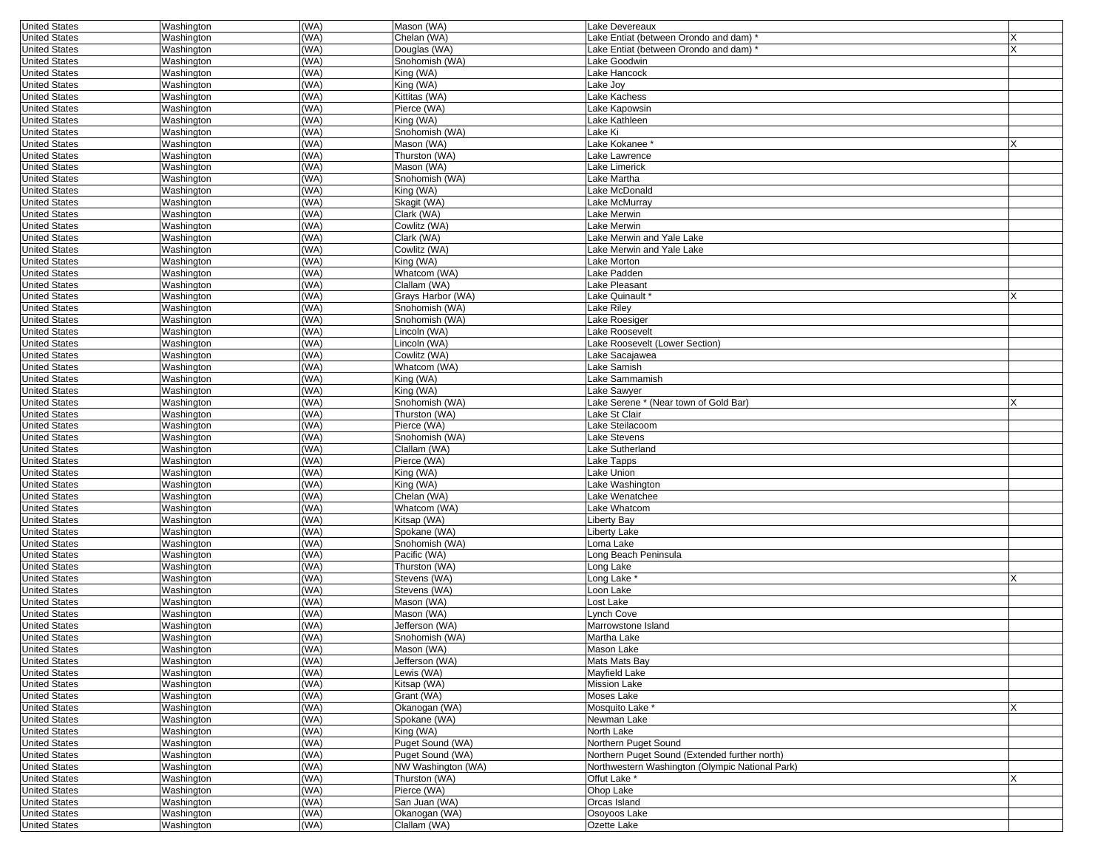| <b>United States</b> | Washington | (WA) | Mason (WA)         | Lake Devereaux                                  |   |
|----------------------|------------|------|--------------------|-------------------------------------------------|---|
| <b>United States</b> | Washington | (WA) | Chelan (WA)        | Lake Entiat (between Orondo and dam)            |   |
| <b>United States</b> | Washington | (WA) | Douglas (WA)       | Lake Entiat (between Orondo and dam)            | X |
| <b>United States</b> | Washington | (WA) | Snohomish (WA)     | Lake Goodwin                                    |   |
| <b>United States</b> | Washington | (WA) | King (WA)          | Lake Hancock                                    |   |
| <b>United States</b> | Washington | (WA) | King (WA)          | Lake Joy                                        |   |
|                      |            |      |                    |                                                 |   |
| <b>United States</b> | Washington | (WA) | Kittitas (WA)      | Lake Kachess                                    |   |
| <b>United States</b> | Washington | (WA) | Pierce (WA)        | Lake Kapowsin                                   |   |
| <b>United States</b> | Washington | (WA) | King (WA)          | Lake Kathleen                                   |   |
| <b>United States</b> | Washington | (WA) | Snohomish (WA)     | Lake Ki                                         |   |
| <b>United States</b> | Washington | (WA) | Mason (WA)         | Lake Kokanee *                                  | X |
| <b>United States</b> | Washington | (WA) | Thurston (WA)      | Lake Lawrence                                   |   |
| <b>United States</b> | Washington | (WA) | Mason (WA)         | Lake Limerick                                   |   |
|                      |            |      |                    |                                                 |   |
| <b>United States</b> | Washington | (WA) | Snohomish (WA)     | Lake Martha                                     |   |
| <b>United States</b> | Washington | (WA) | King (WA)          | ake McDonald                                    |   |
| <b>United States</b> | Washington | (WA) | Skagit (WA)        | Lake McMurray                                   |   |
| <b>United States</b> | Washington | (WA) | Clark (WA)         | Lake Merwin                                     |   |
| <b>United States</b> | Washington | (WA) | Cowlitz (WA)       | Lake Merwin                                     |   |
| <b>United States</b> | Washington | (WA) | Clark (WA)         | Lake Merwin and Yale Lake                       |   |
| <b>United States</b> | Washington | (WA) | Cowlitz (WA)       | Lake Merwin and Yale Lake                       |   |
|                      |            |      |                    |                                                 |   |
| <b>United States</b> | Washington | (WA) | King (WA)          | Lake Morton                                     |   |
| <b>United States</b> | Washington | (WA) | Whatcom (WA)       | Lake Padden                                     |   |
| <b>United States</b> | Washington | (WA) | Clallam (WA)       | Lake Pleasant                                   |   |
| <b>United States</b> | Washington | (WA) | Grays Harbor (WA)  | -ake Quinault                                   |   |
| <b>United States</b> | Washington | (WA) | Snohomish (WA)     | Lake Riley                                      |   |
| <b>United States</b> | Washington | (WA) | Snohomish (WA)     | Lake Roesiger                                   |   |
| <b>United States</b> | Washington | (WA) | Lincoln (WA)       | Lake Roosevelt                                  |   |
| <b>United States</b> | Washington | (WA) | Lincoln (WA)       | Lake Roosevelt (Lower Section)                  |   |
|                      |            |      |                    |                                                 |   |
| <b>United States</b> | Washington | (WA) | Cowlitz (WA)       | Lake Sacajawea                                  |   |
| <b>United States</b> | Washington | (WA) | Whatcom (WA)       | Lake Samish                                     |   |
| <b>United States</b> | Washington | (WA) | King (WA)          | Lake Sammamish                                  |   |
| <b>United States</b> | Washington | (WA) | King (WA)          | Lake Sawyer                                     |   |
| <b>United States</b> | Washington | (WA) | Snohomish (WA)     | Lake Serene * (Near town of Gold Bar)           |   |
| <b>United States</b> | Washington | (WA) | Thurston (WA)      | Lake St Clair                                   |   |
| <b>United States</b> | Washington | (WA) | Pierce (WA)        | Lake Steilacoom                                 |   |
| <b>United States</b> | Washington | (WA) | Snohomish (WA)     | Lake Stevens                                    |   |
| <b>United States</b> | Washington | (WA) | Clallam (WA)       | Lake Sutherland                                 |   |
|                      |            |      |                    |                                                 |   |
| <b>United States</b> | Washington | (WA) | Pierce (WA)        | Lake Tapps                                      |   |
| <b>United States</b> | Washington | (WA) | King (WA)          | Lake Union                                      |   |
| <b>United States</b> | Washington | (WA) | King (WA)          | Lake Washington                                 |   |
| <b>United States</b> | Washington | (WA) | Chelan (WA)        | Lake Wenatchee                                  |   |
| <b>United States</b> | Washington | (WA) | Whatcom (WA)       | Lake Whatcom                                    |   |
| <b>United States</b> | Washington | (WA) | Kitsap (WA)        | Liberty Bay                                     |   |
| <b>United States</b> | Washington | (WA) | Spokane (WA)       | Liberty Lake                                    |   |
| <b>United States</b> | Washington | (WA) | Snohomish (WA)     | oma Lake                                        |   |
| <b>United States</b> | Washington | (WA) | Pacific (WA)       | Long Beach Peninsula                            |   |
|                      |            |      |                    |                                                 |   |
| <b>United States</b> | Washington | (WA) | Thurston (WA)      | Long Lake                                       |   |
| <b>United States</b> | Washington | (WA) | Stevens (WA)       | Long Lake *                                     |   |
| <b>United States</b> | Washington | (WA) | Stevens (WA)       | Loon Lake                                       |   |
| <b>United States</b> | Washington | (WA) | Mason (WA)         | ost Lake                                        |   |
| <b>United States</b> | Washington | (WA) | Mason (WA)         | Lynch Cove                                      |   |
| <b>United States</b> | Washington | (WA) | Jefferson (WA)     | Marrowstone Island                              |   |
| <b>United States</b> | Washington | (WA) | Snohomish (WA)     | Martha Lake                                     |   |
| United States        | Washington | (WA) | Mason (WA)         | Mason Lake                                      |   |
| <b>United States</b> | Washington | (WA) | Jefferson (WA)     | Mats Mats Bay                                   |   |
| <b>United States</b> | Washington | (WA) | Lewis (WA)         | Mayfield Lake                                   |   |
|                      |            |      |                    |                                                 |   |
| <b>United States</b> | Washington | (WA) | Kitsap (WA)        | <b>Mission Lake</b>                             |   |
| <b>United States</b> | Washington | (WA) | Grant (WA)         | Moses Lake                                      |   |
| <b>United States</b> | Washington | (WA) | Okanogan (WA)      | Mosquito Lake *                                 | X |
| <b>United States</b> | Washington | (WA) | Spokane (WA)       | Newman Lake                                     |   |
| <b>United States</b> | Washington | (WA) | King (WA)          | North Lake                                      |   |
| <b>United States</b> | Washington | (WA) | Puget Sound (WA)   | Northern Puget Sound                            |   |
| <b>United States</b> | Washington | (WA) | Puget Sound (WA)   | Northern Puget Sound (Extended further north)   |   |
| <b>United States</b> | Washington | (WA) | NW Washington (WA) | Northwestern Washington (Olympic National Park) |   |
| <b>United States</b> | Washington | (WA) | Thurston (WA)      | Offut Lake *                                    |   |
| <b>United States</b> | Washington | (WA) | Pierce (WA)        | Ohop Lake                                       |   |
|                      |            |      |                    |                                                 |   |
| <b>United States</b> | Washington | (WA) | San Juan (WA)      | Orcas Island                                    |   |
| <b>United States</b> | Washington | (WA) | Okanogan (WA)      | Osoyoos Lake                                    |   |
| <b>United States</b> | Washington | (WA) | Clallam (WA)       | Ozette Lake                                     |   |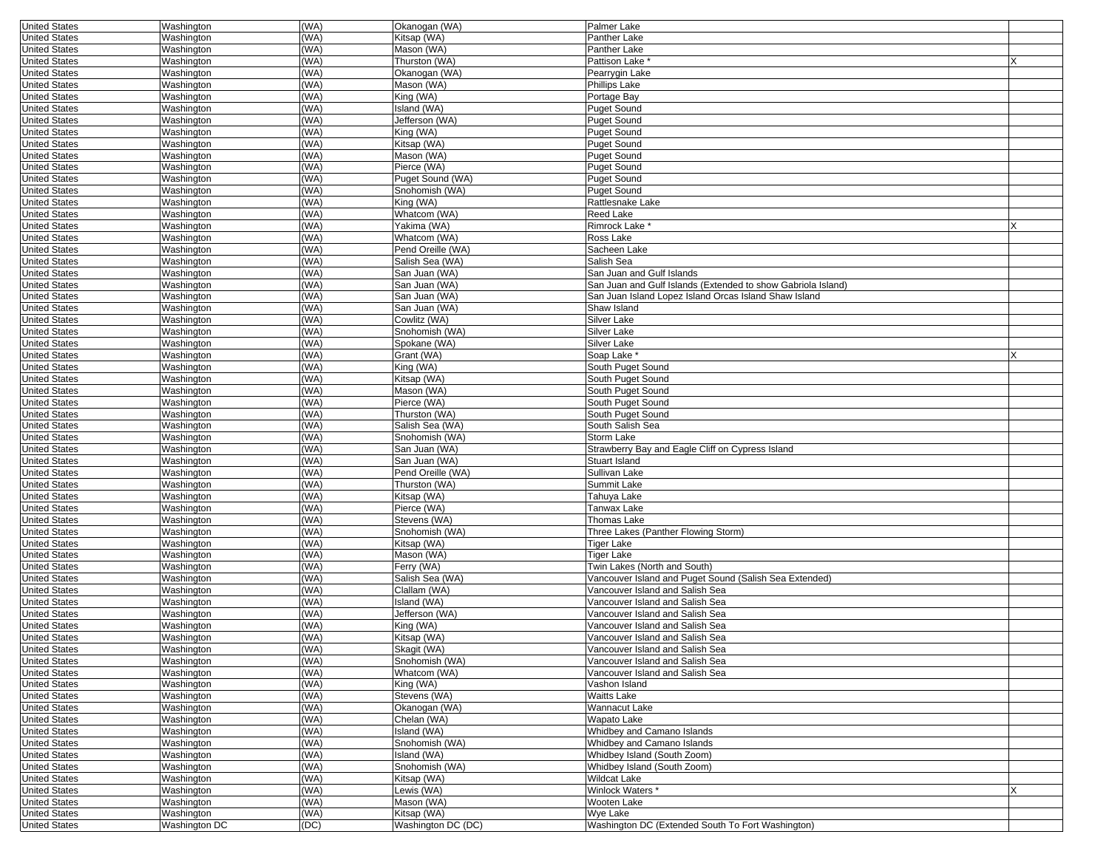| <b>United States</b> | Washington    | (WA) | Okanogan (WA)      | <b>Palmer Lake</b>                                           |  |
|----------------------|---------------|------|--------------------|--------------------------------------------------------------|--|
| <b>United States</b> | Washington    | WA)  | Kitsap (WA)        | Panther Lake                                                 |  |
| <b>United States</b> | Washington    | WA)  | Mason (WA)         | Panther Lake                                                 |  |
| <b>United States</b> | Washington    | WA)  | Thurston (WA)      | Pattison Lake <sup>®</sup>                                   |  |
|                      |               | WA)  |                    |                                                              |  |
| <b>United States</b> | Washington    |      | Okanogan (WA)      | Pearrygin Lake                                               |  |
| <b>United States</b> | Washington    | WA)  | Mason (WA)         | Phillips Lake                                                |  |
| <b>United States</b> | Washington    | WA)  | King (WA)          | Portage Bay                                                  |  |
| <b>United States</b> | Washington    | WA)  | Island (WA)        | <b>Puget Sound</b>                                           |  |
| <b>United States</b> | Washington    | WA)  | Jefferson (WA)     | <b>Puget Sound</b>                                           |  |
| <b>United States</b> | Washington    | WA)  | King (WA)          | <b>Puget Sound</b>                                           |  |
| <b>United States</b> | Washington    | (WA) | Kitsap (WA)        | <b>Puget Sound</b>                                           |  |
| <b>United States</b> | Washington    | WA)  | Mason (WA)         | <b>Puget Sound</b>                                           |  |
| <b>United States</b> | Washington    | WA)  | Pierce (WA)        | <b>Puget Sound</b>                                           |  |
| <b>United States</b> | Washington    | WA)  | Puget Sound (WA)   | <b>Puget Sound</b>                                           |  |
|                      | Washington    | WA)  |                    |                                                              |  |
| <b>United States</b> |               |      | Snohomish (WA)     | <b>Puget Sound</b>                                           |  |
| <b>United States</b> | Washington    | WA)  | King (WA)          | Rattlesnake Lake                                             |  |
| <b>United States</b> | Washington    | WA)  | Whatcom (WA)       | <b>Reed Lake</b>                                             |  |
| <b>United States</b> | Washington    | WA)  | Yakima (WA)        | Rimrock Lake *                                               |  |
| <b>United States</b> | Washington    | WA)  | Whatcom (WA)       | Ross Lake                                                    |  |
| <b>United States</b> | Washington    | WA)  | Pend Oreille (WA)  | Sacheen Lake                                                 |  |
| <b>United States</b> | Washington    | (WA) | Salish Sea (WA)    | Salish Sea                                                   |  |
| <b>United States</b> | Washington    | WA)  | San Juan (WA)      | San Juan and Gulf Islands                                    |  |
| <b>United States</b> | Washington    | WA)  | San Juan (WA)      | San Juan and Gulf Islands (Extended to show Gabriola Island) |  |
| <b>United States</b> | Washington    | WA)  | San Juan (WA)      | San Juan Island Lopez Island Orcas Island Shaw Island        |  |
| <b>United States</b> | Washington    | WA)  | San Juan (WA)      | Shaw Island                                                  |  |
|                      |               | WA)  | Cowlitz (WA)       | Silver Lake                                                  |  |
| <b>United States</b> | Washington    |      |                    |                                                              |  |
| <b>United States</b> | Washington    | WA)  | Snohomish (WA)     | Silver Lake                                                  |  |
| <b>United States</b> | Washington    | WA)  | Spokane (WA)       | Silver Lake                                                  |  |
| <b>United States</b> | Washington    | WA)  | Grant (WA)         | Soap Lake *                                                  |  |
| <b>United States</b> | Washington    | WA)  | King (WA)          | South Puget Sound                                            |  |
| <b>United States</b> | Washington    | WA)  | Kitsap (WA)        | South Puget Sound                                            |  |
| <b>United States</b> | Washington    | WA)  | Mason (WA)         | South Puget Sound                                            |  |
| <b>United States</b> | Washington    | WA)  | Pierce (WA)        | South Puget Sound                                            |  |
| <b>United States</b> | Washington    | WA)  | Thurston (WA)      | South Puget Sound                                            |  |
| <b>United States</b> | Washington    | WA)  | Salish Sea (WA)    | South Salish Sea                                             |  |
|                      |               | (WA) |                    |                                                              |  |
| <b>United States</b> | Washington    |      | Snohomish (WA)     | Storm Lake                                                   |  |
| <b>United States</b> | Washington    | WA)  | San Juan (WA)      | Strawberry Bay and Eagle Cliff on Cypress Island             |  |
| <b>United States</b> | Washington    | (WA) | San Juan (WA)      | Stuart Island                                                |  |
| <b>United States</b> | Washington    | WA)  | Pend Oreille (WA)  | Sullivan Lake                                                |  |
| <b>United States</b> | Washington    | WA)  | Thurston (WA)      | Summit Lake                                                  |  |
| <b>United States</b> | Washington    | WA)  | Kitsap (WA)        | Tahuya Lake                                                  |  |
| <b>United States</b> | Washington    | WA)  | Pierce (WA)        | Tanwax Lake                                                  |  |
| <b>United States</b> | Washington    | WA)  | Stevens (WA)       | Thomas Lake                                                  |  |
| <b>United States</b> | Washington    | WA)  | Snohomish (WA)     | Three Lakes (Panther Flowing Storm)                          |  |
| <b>United States</b> | Washington    | WA)  | Kitsap (WA)        | Tiger Lake                                                   |  |
|                      |               | (WA) |                    |                                                              |  |
| <b>United States</b> | Washington    |      | Mason (WA)         | Tiger Lake                                                   |  |
| <b>United States</b> | Washington    | WA)  | Ferry (WA)         | Twin Lakes (North and South)                                 |  |
| <b>United States</b> | Washington    | (WA) | Salish Sea (WA)    | Vancouver Island and Puget Sound (Salish Sea Extended)       |  |
| <b>United States</b> | Washington    | WA)  | Clallam (WA)       | Vancouver Island and Salish Sea                              |  |
| <b>United States</b> | Washington    | WA)  | Island (WA)        | Vancouver Island and Salish Sea                              |  |
| <b>United States</b> | Washington    | WA)  | Jefferson (WA)     | Vancouver Island and Salish Sea                              |  |
| <b>United States</b> | Washington    | WA)  | King (WA)          | Vancouver Island and Salish Sea                              |  |
| <b>United States</b> | Washington    | WA)  | Kitsap (WA)        | Vancouver Island and Salish Sea                              |  |
| United States        | Washington    | (WA) | Skagit (WA)        | Vancouver Island and Salish Sea                              |  |
| <b>United States</b> | Washington    | (WA) | Snohomish (WA)     | Vancouver Island and Salish Sea                              |  |
| <b>United States</b> | Washington    | (WA) | Whatcom (WA)       | Vancouver Island and Salish Sea                              |  |
|                      |               |      |                    |                                                              |  |
| <b>United States</b> | Washington    | (WA) | King (WA)          | Vashon Island                                                |  |
| <b>United States</b> | Washington    | (WA) | Stevens (WA)       | Waitts Lake                                                  |  |
| <b>United States</b> | Washington    | (WA) | Okanogan (WA)      | Wannacut Lake                                                |  |
| <b>United States</b> | Washington    | (WA) | Chelan (WA)        | Wapato Lake                                                  |  |
| <b>United States</b> | Washington    | (WA) | Island (WA)        | Whidbey and Camano Islands                                   |  |
| <b>United States</b> | Washington    | (WA) | Snohomish (WA)     | Whidbey and Camano Islands                                   |  |
| <b>United States</b> | Washington    | (WA) | Island (WA)        | Whidbey Island (South Zoom)                                  |  |
| <b>United States</b> | Washington    | (WA) | Snohomish (WA)     | Whidbey Island (South Zoom)                                  |  |
| <b>United States</b> | Washington    | (WA) | Kitsap (WA)        | <b>Wildcat Lake</b>                                          |  |
| <b>United States</b> | Washington    | (WA) | Lewis (WA)         | Winlock Waters *                                             |  |
| <b>United States</b> | Washington    | (WA) | Mason (WA)         | Wooten Lake                                                  |  |
| <b>United States</b> | Washington    | (WA) | Kitsap (WA)        | Wye Lake                                                     |  |
|                      |               |      |                    |                                                              |  |
| <b>United States</b> | Washington DC | (DC) | Washington DC (DC) | Washington DC (Extended South To Fort Washington)            |  |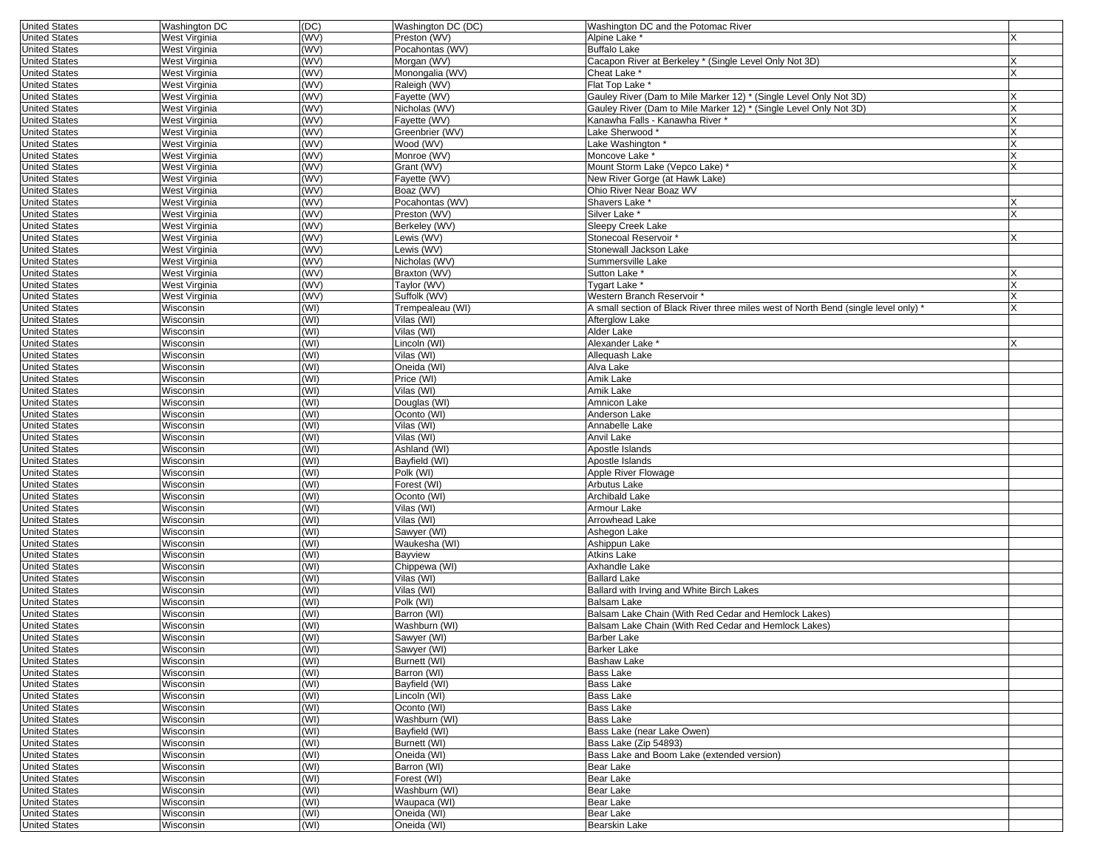| <b>United States</b> | Washington DC | (DC) | Washington DC (DC) | Washington DC and the Potomac River                                                 |          |
|----------------------|---------------|------|--------------------|-------------------------------------------------------------------------------------|----------|
| <b>United States</b> | West Virginia | (WV) | Preston (WV)       | Alpine Lake *                                                                       |          |
| <b>United States</b> | West Virginia | (WV) | Pocahontas (WV)    | <b>Buffalo Lake</b>                                                                 |          |
| <b>United States</b> | West Virginia | (WV) | Morgan (WV)        | Cacapon River at Berkeley * (Single Level Only Not 3D)                              |          |
| <b>United States</b> | West Virginia | (WV) | Monongalia (WV)    | Cheat Lake *                                                                        | X        |
| <b>United States</b> | West Virginia | (WW) | Raleigh (WV)       | Flat Top Lake *                                                                     |          |
| <b>United States</b> | West Virginia | (WV) | Fayette (WV)       | Gauley River (Dam to Mile Marker 12) * (Single Level Only Not 3D)                   |          |
| <b>United States</b> | West Virginia | (WV) | Nicholas (WV)      | Gauley River (Dam to Mile Marker 12) * (Single Level Only Not 3D)                   |          |
| <b>United States</b> | West Virginia | (WV) | Fayette (WV)       | Kanawha Falls - Kanawha River *                                                     |          |
| <b>United States</b> | West Virginia | (WV) | Greenbrier (WV)    | Lake Sherwood*                                                                      | X        |
| <b>United States</b> | West Virginia | (WV) | Wood (WV)          | Lake Washington *                                                                   |          |
| <b>United States</b> | West Virginia | (WV) | Monroe (WV)        | Moncove Lake *                                                                      |          |
| <b>United States</b> | West Virginia | (WV) | Grant (WV)         | Mount Storm Lake (Vepco Lake)                                                       |          |
| <b>United States</b> | West Virginia | (WV) | Fayette (WV)       | New River Gorge (at Hawk Lake)                                                      |          |
| <b>United States</b> | West Virginia | (WV) | Boaz (WV)          | Ohio River Near Boaz WV                                                             |          |
| <b>United States</b> | West Virginia | (WV) | Pocahontas (WV)    | Shavers Lake *                                                                      |          |
|                      |               | (WV) | Preston (WV)       | Silver Lake*                                                                        |          |
| <b>United States</b> | West Virginia | (WV) |                    |                                                                                     |          |
| <b>United States</b> | West Virginia | (WV) | Berkeley (WV)      | Sleepy Creek Lake                                                                   |          |
| <b>United States</b> | West Virginia |      | Lewis (WV)         | Stonecoal Reservoir *                                                               | X        |
| <b>United States</b> | West Virginia | (WV) | Lewis (WV)         | Stonewall Jackson Lake                                                              |          |
| <b>United States</b> | West Virginia | (WV) | Nicholas (WV)      | Summersville Lake                                                                   |          |
| <b>United States</b> | West Virginia | (WV) | Braxton (WV)       | Sutton Lake *                                                                       |          |
| <b>United States</b> | West Virginia | (WV) | Taylor (WV)        | Tygart Lake *                                                                       |          |
| <b>United States</b> | West Virginia | (WV) | Suffolk (WV)       | Western Branch Reservoir *                                                          |          |
| <b>United States</b> | Wisconsin     | (WI) | Trempealeau (WI)   | A small section of Black River three miles west of North Bend (single level only) * | $\times$ |
| <b>United States</b> | Wisconsin     | (WI) | Vilas (WI)         | Afterglow Lake                                                                      |          |
| <b>United States</b> | Wisconsin     | (WI) | Vilas (WI)         | Alder Lake                                                                          |          |
| <b>United States</b> | Wisconsin     | (WI) | Lincoln (WI)       | Alexander Lake *                                                                    |          |
| <b>United States</b> | Wisconsin     | (WI) | Vilas (WI)         | Allequash Lake                                                                      |          |
| <b>United States</b> | Wisconsin     | (WI) | Oneida (WI)        | Alva Lake                                                                           |          |
| <b>United States</b> | Wisconsin     | (WI) | Price (WI)         | Amik Lake                                                                           |          |
| <b>United States</b> | Wisconsin     | (WI) | Vilas (WI)         | Amik Lake                                                                           |          |
| <b>United States</b> | Wisconsin     | (WI) | Douglas (WI)       | Amnicon Lake                                                                        |          |
| <b>United States</b> | Wisconsin     | (WI) | Oconto (WI)        | Anderson Lake                                                                       |          |
| <b>United States</b> | Wisconsin     | (WI) | Vilas (WI)         | Annabelle Lake                                                                      |          |
| <b>United States</b> | Wisconsin     | (WI) | Vilas (WI)         | Anvil Lake                                                                          |          |
| <b>United States</b> | Wisconsin     | (WI) | Ashland (WI)       | Apostle Islands                                                                     |          |
| <b>United States</b> | Wisconsin     | (WI) | Bayfield (WI)      | Apostle Islands                                                                     |          |
| <b>United States</b> | Wisconsin     | (WI) | Polk (WI)          | Apple River Flowage                                                                 |          |
| <b>United States</b> | Wisconsin     | (WI) | Forest (WI)        | Arbutus Lake                                                                        |          |
| <b>United States</b> | Wisconsin     | (WI) | Oconto (WI)        | <b>Archibald Lake</b>                                                               |          |
| <b>United States</b> | Wisconsin     | (WI) | Vilas (WI)         | Armour Lake                                                                         |          |
| <b>United States</b> | Wisconsin     | (WI) | Vilas (WI)         | Arrowhead Lake                                                                      |          |
| <b>United States</b> | Wisconsin     | (WI) | Sawyer (WI)        | Ashegon Lake                                                                        |          |
| <b>United States</b> | Wisconsin     | (WI) | Waukesha (WI)      | Ashippun Lake                                                                       |          |
| <b>United States</b> | Wisconsin     | (WI) | Bayview            | Atkins Lake                                                                         |          |
| <b>United States</b> | Wisconsin     | (WI) | Chippewa (WI)      | Axhandle Lake                                                                       |          |
| <b>United States</b> | Wisconsin     | (WI) | Vilas (WI)         | <b>Ballard Lake</b>                                                                 |          |
| <b>United States</b> | Wisconsin     | (WI) | Vilas (WI)         | Ballard with Irving and White Birch Lakes                                           |          |
| <b>United States</b> | Wisconsin     | (WI) | Polk (WI)          | Balsam Lake                                                                         |          |
| <b>United States</b> | Wisconsin     | (WI) | Barron (WI)        | Balsam Lake Chain (With Red Cedar and Hemlock Lakes)                                |          |
| <b>United States</b> | Wisconsin     | (WI) | Washburn (WI)      | Balsam Lake Chain (With Red Cedar and Hemlock Lakes)                                |          |
| <b>United States</b> | Wisconsin     | (WI) | Sawyer (WI)        | <b>Barber Lake</b>                                                                  |          |
| <b>United States</b> | Wisconsin     | (WI) | Sawyer (WI)        | <b>Barker Lake</b>                                                                  |          |
| <b>United States</b> | Wisconsin     | (WI) | Burnett (WI)       | <b>Bashaw Lake</b>                                                                  |          |
| <b>United States</b> | Wisconsin     | (WI) | Barron (WI)        | Bass Lake                                                                           |          |
| <b>United States</b> | Wisconsin     | (WI) | Bayfield (WI)      | Bass Lake                                                                           |          |
| <b>United States</b> | Wisconsin     | (WI) | Lincoln (WI)       | Bass Lake                                                                           |          |
| <b>United States</b> | Wisconsin     | (WI) | Oconto (WI)        | Bass Lake                                                                           |          |
| <b>United States</b> | Wisconsin     | (WI) | Washburn (WI)      | Bass Lake                                                                           |          |
| <b>United States</b> | Wisconsin     | (WI) | Bayfield (WI)      | Bass Lake (near Lake Owen)                                                          |          |
| <b>United States</b> | Wisconsin     | (WI) | Burnett (WI)       | Bass Lake (Zip 54893)                                                               |          |
| <b>United States</b> | Wisconsin     | (WI) | Oneida (WI)        | Bass Lake and Boom Lake (extended version)                                          |          |
| <b>United States</b> | Wisconsin     | (WI) | Barron (WI)        | Bear Lake                                                                           |          |
| <b>United States</b> | Wisconsin     | (WI) | Forest (WI)        | Bear Lake                                                                           |          |
| <b>United States</b> | Wisconsin     | (WI) | Washburn (WI)      | Bear Lake                                                                           |          |
| <b>United States</b> | Wisconsin     | (WI) | Waupaca (WI)       | Bear Lake                                                                           |          |
| <b>United States</b> | Wisconsin     | (WI) | Oneida (WI)        | Bear Lake                                                                           |          |
| <b>United States</b> |               | (WI) | Oneida (WI)        | Bearskin Lake                                                                       |          |
|                      | Wisconsin     |      |                    |                                                                                     |          |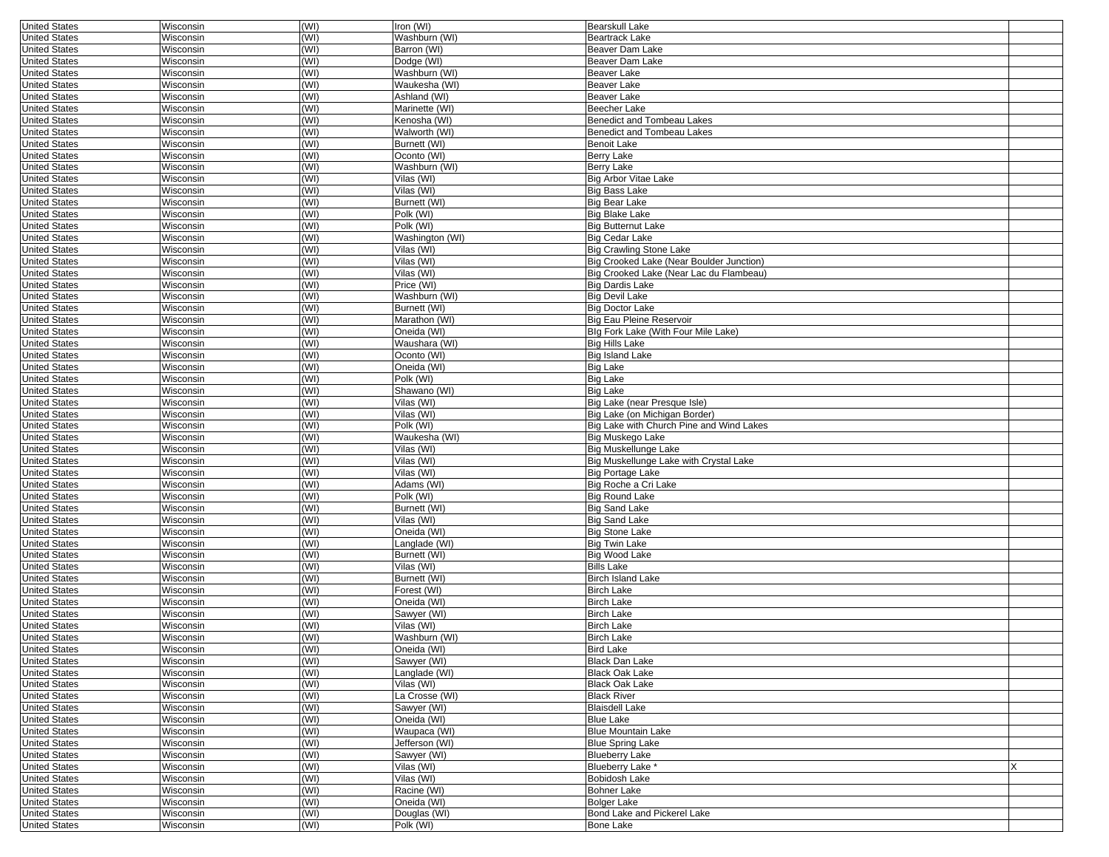| <b>United States</b> | Wisconsin        | (WI) | Iron (WI)       | <b>Bearskull Lake</b>                    |   |
|----------------------|------------------|------|-----------------|------------------------------------------|---|
| <b>United States</b> | Wisconsin        | (WI) | Washburn (WI)   | <b>Beartrack Lake</b>                    |   |
| <b>United States</b> | Wisconsin        | (WI) | Barron (WI)     | Beaver Dam Lake                          |   |
| <b>United States</b> | Wisconsin        | (WI) | Dodge (WI)      | Beaver Dam Lake                          |   |
| <b>United States</b> | Wisconsin        | (WI) | Washburn (WI)   | Beaver Lake                              |   |
| <b>United States</b> | Wisconsin        | (WI) | Waukesha (WI)   | Beaver Lake                              |   |
| <b>United States</b> | Wisconsin        | (WI) | Ashland (WI)    | Beaver Lake                              |   |
| <b>United States</b> | Wisconsin        | (WI) | Marinette (WI)  | <b>Beecher Lake</b>                      |   |
| <b>United States</b> | Wisconsin        | (WI) | Kenosha (WI)    | Benedict and Tombeau Lakes               |   |
| <b>United States</b> | Wisconsin        | (WI) | Walworth (WI)   | Benedict and Tombeau Lakes               |   |
| <b>United States</b> | Wisconsin        | (WI) | Burnett (WI)    | <b>Benoit Lake</b>                       |   |
| <b>United States</b> | Wisconsin        | (WI) | Oconto (WI)     | <b>Berry Lake</b>                        |   |
| <b>United States</b> | Wisconsin        | (WI) | Washburn (WI)   | <b>Berry Lake</b>                        |   |
| <b>United States</b> | Wisconsin        | (WI) | Vilas (WI)      | <b>Big Arbor Vitae Lake</b>              |   |
| <b>United States</b> | Wisconsin        | (WI) | Vilas (WI)      | Big Bass Lake                            |   |
| <b>United States</b> | Wisconsin        | (WI) | Burnett (WI)    | Big Bear Lake                            |   |
| <b>United States</b> | Wisconsin        | (WI) | Polk (WI)       | <b>Big Blake Lake</b>                    |   |
| <b>United States</b> | Wisconsin        | (WI) | Polk (WI)       | <b>Big Butternut Lake</b>                |   |
| <b>United States</b> | Wisconsin        | (WI) | Washington (WI) | <b>Big Cedar Lake</b>                    |   |
| <b>United States</b> | Wisconsin        | (WI) | Vilas (WI)      | <b>Big Crawling Stone Lake</b>           |   |
| <b>United States</b> | Wisconsin        | (WI) | Vilas (WI)      | Big Crooked Lake (Near Boulder Junction) |   |
| <b>United States</b> | Wisconsin        | (WI) | Vilas (WI)      | Big Crooked Lake (Near Lac du Flambeau)  |   |
| <b>United States</b> | Wisconsin        | (WI) | Price (WI)      | <b>Big Dardis Lake</b>                   |   |
| <b>United States</b> | Wisconsin        | (WI) | Washburn (WI)   | <b>Big Devil Lake</b>                    |   |
| <b>United States</b> | Wisconsin        | (WI) | Burnett (WI)    | <b>Big Doctor Lake</b>                   |   |
| <b>United States</b> | Wisconsin        | (WI) | Marathon (WI)   | Big Eau Pleine Reservoir                 |   |
| <b>United States</b> | Wisconsin        | (WI) | Oneida (WI)     | Blg Fork Lake (With Four Mile Lake)      |   |
| <b>United States</b> | Wisconsin        | (WI) | Waushara (WI)   | <b>Big Hills Lake</b>                    |   |
| <b>United States</b> | Wisconsin        | (WI) | Oconto (WI)     | <b>Big Island Lake</b>                   |   |
| <b>United States</b> | Wisconsin        | (WI) | Oneida (WI)     | Big Lake                                 |   |
| <b>United States</b> | Wisconsin        | (WI) | Polk (WI)       | <b>Big Lake</b>                          |   |
| <b>United States</b> | Wisconsin        | (WI) | Shawano (WI)    | <b>Big Lake</b>                          |   |
| <b>United States</b> | Wisconsin        | (WI) | Vilas (WI)      | Big Lake (near Presque Isle)             |   |
| <b>United States</b> | Wisconsin        | (WI) | Vilas (WI)      | Big Lake (on Michigan Border)            |   |
| <b>United States</b> | Wisconsin        | (WI) | Polk (WI)       | Big Lake with Church Pine and Wind Lakes |   |
| <b>United States</b> | Wisconsin        | (WI) | Waukesha (WI)   | Big Muskego Lake                         |   |
| <b>United States</b> | Wisconsin        | (WI) | Vilas (WI)      | <b>Big Muskellunge Lake</b>              |   |
| <b>United States</b> | Wisconsin        | (WI) | Vilas (WI)      | Big Muskellunge Lake with Crystal Lake   |   |
| <b>United States</b> | Wisconsin        | (WI) | Vilas (WI)      | <b>Big Portage Lake</b>                  |   |
| <b>United States</b> | Wisconsin        | (WI) | Adams (WI)      | Big Roche a Cri Lake                     |   |
| <b>United States</b> | Wisconsin        | (WI) | Polk (WI)       | <b>Big Round Lake</b>                    |   |
| <b>United States</b> | Wisconsin        | (WI) | Burnett (WI)    | <b>Big Sand Lake</b>                     |   |
| <b>United States</b> | Wisconsin        | (WI) | Vilas (WI)      | <b>Big Sand Lake</b>                     |   |
| <b>United States</b> | Wisconsin        | (WI) | Oneida (WI)     | <b>Big Stone Lake</b>                    |   |
| <b>United States</b> | Wisconsin        | (WI) | Langlade (WI)   | <b>Big Twin Lake</b>                     |   |
| <b>United States</b> | Wisconsin        | (WI) | Burnett (WI)    | Big Wood Lake                            |   |
| <b>United States</b> | Wisconsin        | (WI) | Vilas (WI)      | <b>Bills Lake</b>                        |   |
| <b>United States</b> | Wisconsin        | (WI) | Burnett (WI)    | <b>Birch Island Lake</b>                 |   |
| <b>United States</b> | Wisconsin        | (WI) | Forest (WI)     | <b>Birch Lake</b>                        |   |
| <b>United States</b> | Wisconsin        | (WI) | Oneida (WI)     | <b>Birch Lake</b>                        |   |
| <b>United States</b> | Wisconsin        | (WI) | Sawyer (WI)     | Birch Lake                               |   |
| <b>United States</b> | Wisconsin        | (WI) | Vilas (WI)      | <b>Birch Lake</b>                        |   |
| <b>United States</b> | Wisconsin        | (WI) | Washburn (WI)   | <b>Birch Lake</b>                        |   |
| <b>United States</b> | Wisconsin        | (WI) | Oneida (WI)     | Bird Lake                                |   |
| <b>United States</b> | Wisconsin        | (WI) | Sawyer (WI)     | Black Dan Lake                           |   |
| <b>United States</b> | Wisconsin        | (WI) | Langlade (WI)   | <b>Black Oak Lake</b>                    |   |
| <b>United States</b> | <b>Wisconsin</b> | (WI) | Vilas (WI)      | <b>Black Oak Lake</b>                    |   |
| <b>United States</b> | Wisconsin        | (WI) | La Crosse (WI)  | <b>Black River</b>                       |   |
| <b>United States</b> | Wisconsin        | (WI) | Sawyer (WI)     | <b>Blaisdell Lake</b>                    |   |
| <b>United States</b> | Wisconsin        | (WI) | Oneida (WI)     | <b>Blue Lake</b>                         |   |
| <b>United States</b> | Wisconsin        | (WI) | Waupaca (WI)    | <b>Blue Mountain Lake</b>                |   |
| <b>United States</b> | Wisconsin        | (WI) | Jefferson (WI)  | <b>Blue Spring Lake</b>                  |   |
| <b>United States</b> | Wisconsin        | (WI) | Sawyer (WI)     | <b>Blueberry Lake</b>                    |   |
| <b>United States</b> | Wisconsin        | (WI) | Vilas (WI)      | Blueberry Lake *                         | x |
| <b>United States</b> | Wisconsin        | (WI) | Vilas (WI)      | Bobidosh Lake                            |   |
| <b>United States</b> | Wisconsin        | (WI) | Racine (WI)     | Bohner Lake                              |   |
| <b>United States</b> | Wisconsin        | (WI) | Oneida (WI)     | <b>Bolger Lake</b>                       |   |
| <b>United States</b> | Wisconsin        | (WI) | Douglas (WI)    | Bond Lake and Pickerel Lake              |   |
| <b>United States</b> | Wisconsin        | (WI) | Polk (WI)       | Bone Lake                                |   |
|                      |                  |      |                 |                                          |   |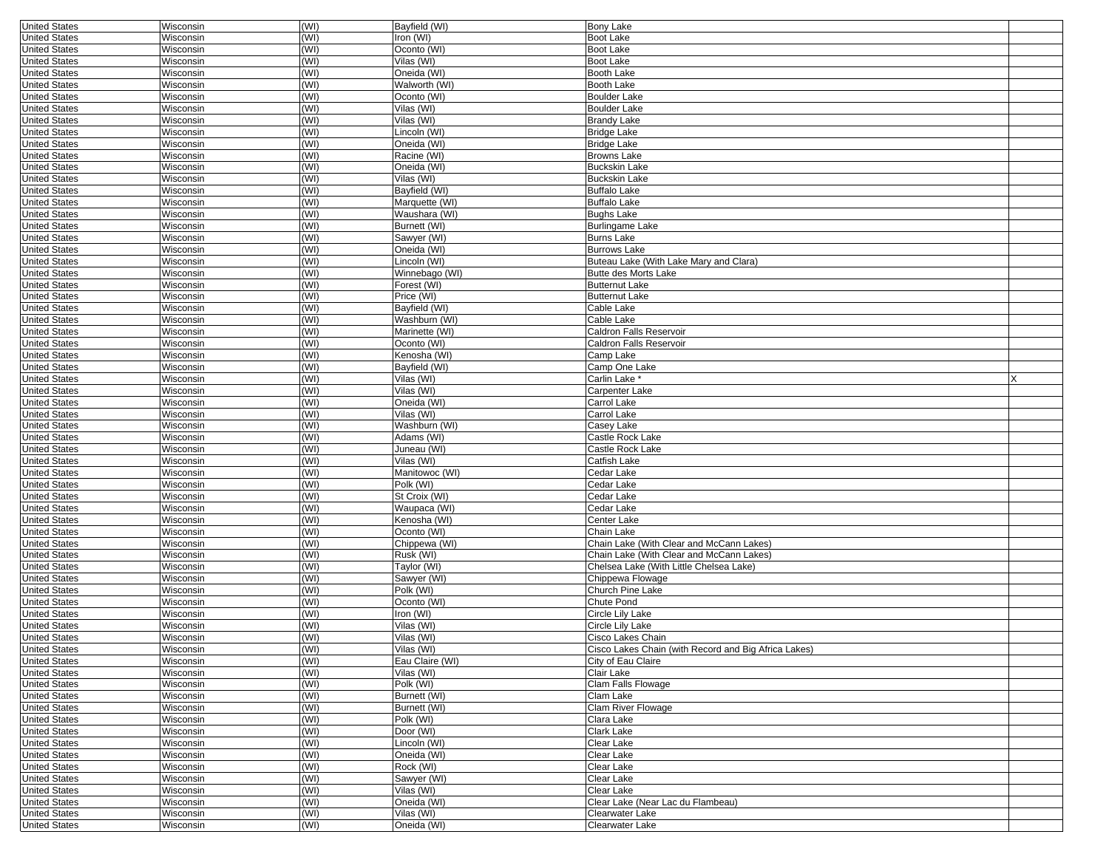| <b>United States</b> | Wisconsin        | (WI) | Bayfield (WI)   | <b>Bony Lake</b>                                     |   |
|----------------------|------------------|------|-----------------|------------------------------------------------------|---|
| <b>United States</b> | Wisconsin        | (WI) | Iron (WI)       | Boot Lake                                            |   |
| <b>United States</b> | Wisconsin        | (WI) | Oconto (WI)     | Boot Lake                                            |   |
| <b>United States</b> | Wisconsin        | (WI) | Vilas (WI)      | <b>Boot Lake</b>                                     |   |
| <b>United States</b> | Wisconsin        | (WI) | Oneida (WI)     | <b>Booth Lake</b>                                    |   |
| <b>United States</b> | Wisconsin        | (WI) | Walworth (WI)   | <b>Booth Lake</b>                                    |   |
| <b>United States</b> | Wisconsin        | (WI) | Oconto (WI)     | <b>Boulder Lake</b>                                  |   |
| <b>United States</b> | Wisconsin        | (WI) | Vilas (WI)      | <b>Boulder Lake</b>                                  |   |
|                      | Wisconsin        |      |                 |                                                      |   |
| <b>United States</b> |                  | (WI) | Vilas (WI)      | <b>Brandy Lake</b>                                   |   |
| <b>United States</b> | Wisconsin        | (WI) | Lincoln (WI)    | <b>Bridge Lake</b>                                   |   |
| <b>United States</b> | Wisconsin        | (WI) | Oneida (WI)     | <b>Bridge Lake</b>                                   |   |
| <b>United States</b> | Wisconsin        | (WI) | Racine (WI)     | <b>Browns Lake</b>                                   |   |
| <b>United States</b> | Wisconsin        | (WI) | Oneida (WI)     | <b>Buckskin Lake</b>                                 |   |
| <b>United States</b> | Wisconsin        | (WI) | Vilas (WI)      | <b>Buckskin Lake</b>                                 |   |
| <b>United States</b> | Wisconsin        | (WI) | Bayfield (WI)   | <b>Buffalo Lake</b>                                  |   |
| <b>United States</b> | Wisconsin        | (WI) | Marquette (WI)  | <b>Buffalo Lake</b>                                  |   |
| <b>United States</b> | Wisconsin        | (WI) | Waushara (WI)   | <b>Bughs Lake</b>                                    |   |
| <b>United States</b> | Wisconsin        | (WI) | Burnett (WI)    | <b>Burlingame Lake</b>                               |   |
|                      |                  |      |                 |                                                      |   |
| <b>United States</b> | Wisconsin        | (WI) | Sawyer (WI)     | <b>Burns Lake</b>                                    |   |
| <b>United States</b> | Wisconsin        | (WI) | Oneida (WI)     | <b>Burrows Lake</b>                                  |   |
| <b>United States</b> | Wisconsin        | (WI) | Lincoln (WI)    | Buteau Lake (With Lake Mary and Clara)               |   |
| <b>United States</b> | Wisconsin        | (WI) | Winnebago (WI)  | <b>Butte des Morts Lake</b>                          |   |
| <b>United States</b> | Wisconsin        | (WI) | Forest (WI)     | <b>Butternut Lake</b>                                |   |
| <b>United States</b> | Wisconsin        | (WI) | Price (WI)      | <b>Butternut Lake</b>                                |   |
| <b>United States</b> | Wisconsin        | (WI) | Bayfield (WI)   | Cable Lake                                           |   |
| <b>United States</b> | Wisconsin        | (WI) | Washburn (WI)   | Cable Lake                                           |   |
| <b>United States</b> | Wisconsin        | (WI) | Marinette (WI)  | Caldron Falls Reservoir                              |   |
| <b>United States</b> | Wisconsin        | (WI) | Oconto (WI)     | Caldron Falls Reservoir                              |   |
|                      |                  |      |                 |                                                      |   |
| <b>United States</b> | Wisconsin        | (WI) | Kenosha (WI)    | Camp Lake                                            |   |
| <b>United States</b> | Wisconsin        | (WI) | Bayfield (WI)   | Camp One Lake                                        |   |
| <b>United States</b> | Wisconsin        | (WI) | Vilas (WI)      | <sup>*</sup> Carlin Lake                             | X |
| <b>United States</b> | Wisconsin        | (WI) | Vilas (WI)      | Carpenter Lake                                       |   |
| <b>United States</b> | Wisconsin        | (WI) | Oneida (WI)     | Carrol Lake                                          |   |
| <b>United States</b> | Wisconsin        | (WI) | Vilas (WI)      | Carrol Lake                                          |   |
| <b>United States</b> | Wisconsin        | (WI) | Washburn (WI)   | Casey Lake                                           |   |
| <b>United States</b> | Wisconsin        | (WI) | Adams (WI)      | Castle Rock Lake                                     |   |
| <b>United States</b> | Wisconsin        | (WI) | Juneau (WI)     | Castle Rock Lake                                     |   |
| <b>United States</b> | Wisconsin        | (WI) | Vilas (WI)      | Catfish Lake                                         |   |
|                      |                  |      |                 |                                                      |   |
| <b>United States</b> | Wisconsin        | (WI) | Manitowoc (WI)  | Cedar Lake                                           |   |
| <b>United States</b> | Wisconsin        | (WI) | Polk (WI)       | Cedar Lake                                           |   |
| <b>United States</b> | Wisconsin        | (WI) | St Croix (WI)   | Cedar Lake                                           |   |
| <b>United States</b> | Wisconsin        | (WI) | Waupaca (WI)    | Cedar Lake                                           |   |
| <b>United States</b> | Wisconsin        | (WI) | Kenosha (WI)    | Center Lake                                          |   |
| <b>United States</b> | Wisconsin        | (WI) | Oconto (WI)     | Chain Lake                                           |   |
| <b>United States</b> | Wisconsin        | (WI) | Chippewa (WI)   | Chain Lake (With Clear and McCann Lakes)             |   |
| <b>United States</b> | Wisconsin        | (WI) | Rusk (WI)       | Chain Lake (With Clear and McCann Lakes)             |   |
| <b>United States</b> | Wisconsin        | (WI) | Taylor (WI)     | Chelsea Lake (With Little Chelsea Lake)              |   |
|                      |                  | (WI) |                 |                                                      |   |
| <b>United States</b> | Wisconsin        |      | Sawyer (WI)     | Chippewa Flowage                                     |   |
| <b>United States</b> | Wisconsin        | (WI) | Polk (WI)       | Church Pine Lake                                     |   |
| <b>United States</b> | Wisconsin        | (WI) | Oconto (WI)     | Chute Pond                                           |   |
| <b>United States</b> | Wisconsin        | (WI) | Iron (WI)       | Circle Lily Lake                                     |   |
| <b>United States</b> | Wisconsin        | (WI) | Vilas (WI)      | Circle Lily Lake                                     |   |
| <b>United States</b> | Wisconsin        | (WI) | Vilas (WI)      | Cisco Lakes Chain                                    |   |
| United States        | Wisconsin        | (WI) | Vilas (WI)      | Cisco Lakes Chain (with Record and Big Africa Lakes) |   |
| <b>United States</b> | Wisconsin        | (WI) | Eau Claire (WI) | City of Eau Claire                                   |   |
| <b>United States</b> | <b>Wisconsin</b> | (WI) | Vilas (WI)      | Clair Lake                                           |   |
| <b>United States</b> | Wisconsin        | (WI) | Polk (WI)       | Clam Falls Flowage                                   |   |
| <b>United States</b> | Wisconsin        | (WI) | Burnett (WI)    | Clam Lake                                            |   |
|                      |                  |      |                 |                                                      |   |
| <b>United States</b> | Wisconsin        | (WI) | Burnett (WI)    | Clam River Flowage                                   |   |
| <b>United States</b> | Wisconsin        | (WI) | Polk (WI)       | Clara Lake                                           |   |
| <b>United States</b> | Wisconsin        | (WI) | Door (WI)       | Clark Lake                                           |   |
| <b>United States</b> | Wisconsin        | (WI) | Lincoln (WI)    | Clear Lake                                           |   |
| <b>United States</b> | Wisconsin        | (WI) | Oneida (WI)     | Clear Lake                                           |   |
| <b>United States</b> | Wisconsin        | (WI) | Rock (WI)       | Clear Lake                                           |   |
| <b>United States</b> | Wisconsin        | (WI) | Sawyer (WI)     | Clear Lake                                           |   |
| <b>United States</b> | <b>Wisconsin</b> | (WI) | Vilas (WI)      | Clear Lake                                           |   |
| <b>United States</b> | Wisconsin        | (WI) | Oneida (WI)     | Clear Lake (Near Lac du Flambeau)                    |   |
| <b>United States</b> | Wisconsin        | (WI) | Vilas (WI)      | Clearwater Lake                                      |   |
|                      |                  |      |                 |                                                      |   |
| <b>United States</b> | Wisconsin        | (WI) | Oneida (WI)     | Clearwater Lake                                      |   |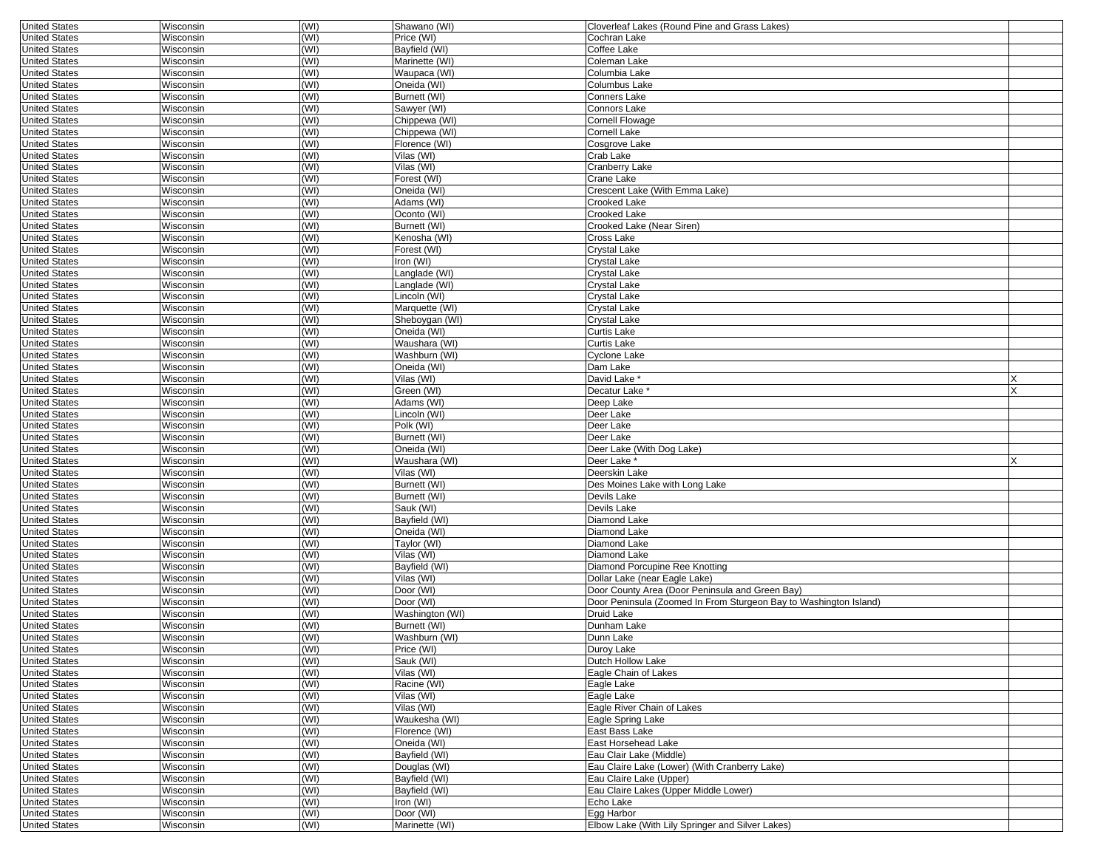| <b>United States</b> | Wisconsin | (WI) | Shawano (WI)    | Cloverleaf Lakes (Round Pine and Grass Lakes)                     |  |
|----------------------|-----------|------|-----------------|-------------------------------------------------------------------|--|
| <b>United States</b> | Wisconsin | (WI) | Price (WI)      | Cochran Lake                                                      |  |
| <b>United States</b> | Wisconsin | (WI) | Bayfield (WI)   | Coffee Lake                                                       |  |
| <b>United States</b> | Wisconsin | (WI) | Marinette (WI)  | Coleman Lake                                                      |  |
| <b>United States</b> | Wisconsin | (WI) | Waupaca (WI)    | Columbia Lake                                                     |  |
| <b>United States</b> | Wisconsin | (WI) | Oneida (WI)     | Columbus Lake                                                     |  |
| <b>United States</b> | Wisconsin | (WI) | Burnett (WI)    | Conners Lake                                                      |  |
| <b>United States</b> | Wisconsin | (WI) | Sawyer (WI)     | Connors Lake                                                      |  |
| <b>United States</b> | Wisconsin | (WI) | Chippewa (WI)   | Cornell Flowage                                                   |  |
| <b>United States</b> | Wisconsin | (WI) | Chippewa (WI)   | Cornell Lake                                                      |  |
| <b>United States</b> | Wisconsin | (WI) | Florence (WI)   | Cosgrove Lake                                                     |  |
| <b>United States</b> | Wisconsin | (WI) | Vilas (WI)      | Crab Lake                                                         |  |
| <b>United States</b> | Wisconsin | (WI) | Vilas (WI)      | Cranberry Lake                                                    |  |
| <b>United States</b> | Wisconsin | (WI) | Forest (WI)     | Crane Lake                                                        |  |
| <b>United States</b> | Wisconsin | (WI) | Oneida (WI)     | Crescent Lake (With Emma Lake)                                    |  |
| <b>United States</b> | Wisconsin | (WI) | Adams (WI)      | Crooked Lake                                                      |  |
| <b>United States</b> | Wisconsin | (WI) | Oconto (WI)     | <b>Crooked Lake</b>                                               |  |
| <b>United States</b> | Wisconsin | (WI) | Burnett (WI)    | Crooked Lake (Near Siren)                                         |  |
| <b>United States</b> | Wisconsin | (WI) | Kenosha (WI)    | Cross Lake                                                        |  |
| <b>United States</b> | Wisconsin | (WI) | Forest (WI)     | Crystal Lake                                                      |  |
| <b>United States</b> | Wisconsin | (WI) | Iron (WI)       | Crystal Lake                                                      |  |
| <b>United States</b> | Wisconsin | (WI) | Langlade (WI)   | Crystal Lake                                                      |  |
| <b>United States</b> | Wisconsin | (WI) | Langlade (WI)   | <b>Crystal Lake</b>                                               |  |
| <b>United States</b> | Wisconsin | (WI) | Lincoln (WI)    | Crystal Lake                                                      |  |
| <b>United States</b> | Wisconsin | (WI) | Marquette (WI)  | Crystal Lake                                                      |  |
| <b>United States</b> | Wisconsin | (WI) | Sheboygan (WI)  | Crystal Lake                                                      |  |
| <b>United States</b> | Wisconsin | (WI) | Oneida (WI)     | Curtis Lake                                                       |  |
| <b>United States</b> | Wisconsin | (WI) | Waushara (WI)   | Curtis Lake                                                       |  |
| <b>United States</b> | Wisconsin | (WI) | Washburn (WI)   | Cyclone Lake                                                      |  |
| <b>United States</b> | Wisconsin | (WI) | Oneida (WI)     | Dam Lake                                                          |  |
| <b>United States</b> | Wisconsin | (WI) | Vilas (WI)      | David Lake                                                        |  |
|                      |           |      |                 |                                                                   |  |
| <b>United States</b> | Wisconsin | (WI) | Green (WI)      | Decatur Lake <sup>®</sup>                                         |  |
| <b>United States</b> | Wisconsin | (WI) | Adams (WI)      | Deep Lake                                                         |  |
| <b>United States</b> | Wisconsin | (WI) | Lincoln (WI)    | Deer Lake                                                         |  |
| <b>United States</b> | Wisconsin | (WI) | Polk (WI)       | Deer Lake                                                         |  |
| <b>United States</b> | Wisconsin | (WI) | Burnett (WI)    | Deer Lake                                                         |  |
| <b>United States</b> | Wisconsin | (WI) | Oneida (WI)     | Deer Lake (With Dog Lake)                                         |  |
| <b>United States</b> | Wisconsin | (WI) | Waushara (WI)   | Deer Lake '                                                       |  |
| <b>United States</b> | Wisconsin | (WI) | Vilas (WI)      | Deerskin Lake                                                     |  |
| <b>United States</b> | Wisconsin | (WI) | Burnett (WI)    | Des Moines Lake with Long Lake                                    |  |
| <b>United States</b> | Wisconsin | (WI) | Burnett (WI)    | Devils Lake                                                       |  |
| <b>United States</b> | Wisconsin | (WI) | Sauk (WI)       | Devils Lake                                                       |  |
| <b>United States</b> | Wisconsin | (WI) | Bayfield (WI)   | Diamond Lake                                                      |  |
| <b>United States</b> | Wisconsin | (WI) | Oneida (WI)     | Diamond Lake                                                      |  |
| <b>United States</b> | Wisconsin | (WI) | Taylor (WI)     | Diamond Lake                                                      |  |
| <b>United States</b> | Wisconsin | (WI) | Vilas (WI)      | Diamond Lake                                                      |  |
| <b>United States</b> | Wisconsin | (WI) | Bayfield (WI)   | Diamond Porcupine Ree Knotting                                    |  |
| <b>United States</b> | Wisconsin | (WI) | Vilas (WI)      | Dollar Lake (near Eagle Lake)                                     |  |
| <b>United States</b> | Wisconsin | (WI) | Door (WI)       | Door County Area (Door Peninsula and Green Bay)                   |  |
| <b>United States</b> | Wisconsin | (WI) | Door (WI)       | Door Peninsula (Zoomed In From Sturgeon Bay to Washington Island) |  |
| <b>United States</b> | Wisconsin | (WI) | Washington (WI) | Druid Lake                                                        |  |
| <b>United States</b> | Wisconsin | (WI) | Burnett (WI)    | Dunham Lake                                                       |  |
| <b>United States</b> | Wisconsin | (WI) | Washburn (WI)   | Dunn Lake                                                         |  |
| United States        | Wisconsin | (WI) | Price (WI)      | Duroy Lake                                                        |  |
| <b>United States</b> | Wisconsin | (WI) | Sauk (WI)       | Dutch Hollow Lake                                                 |  |
| <b>United States</b> | Wisconsin | (WI) | Vilas (WI)      | Eagle Chain of Lakes                                              |  |
| <b>United States</b> | Wisconsin | (WI) | Racine (WI)     | Eagle Lake                                                        |  |
| <b>United States</b> | Wisconsin | (WI) | Vilas (WI)      | Eagle Lake                                                        |  |
| <b>United States</b> | Wisconsin | (WI) | Vilas (WI)      | Eagle River Chain of Lakes                                        |  |
| <b>United States</b> | Wisconsin | (WI) | Waukesha (WI)   | Eagle Spring Lake                                                 |  |
| <b>United States</b> | Wisconsin | (WI) | Florence (WI)   | East Bass Lake                                                    |  |
| <b>United States</b> | Wisconsin | (WI) | Oneida (WI)     | East Horsehead Lake                                               |  |
| <b>United States</b> | Wisconsin | (WI) | Bayfield (WI)   | Eau Clair Lake (Middle)                                           |  |
| <b>United States</b> | Wisconsin | (WI) | Douglas (WI)    | Eau Claire Lake (Lower) (With Cranberry Lake)                     |  |
| <b>United States</b> | Wisconsin | (WI) | Bayfield (WI)   | Eau Claire Lake (Upper)                                           |  |
| <b>United States</b> | Wisconsin | (WI) | Bayfield (WI)   | Eau Claire Lakes (Upper Middle Lower)                             |  |
| <b>United States</b> | Wisconsin | (WI) | Iron (WI)       | Echo Lake                                                         |  |
| <b>United States</b> | Wisconsin | (WI) | Door (WI)       | Egg Harbor                                                        |  |
| <b>United States</b> | Wisconsin | (WI) | Marinette (WI)  | Elbow Lake (With Lily Springer and Silver Lakes)                  |  |
|                      |           |      |                 |                                                                   |  |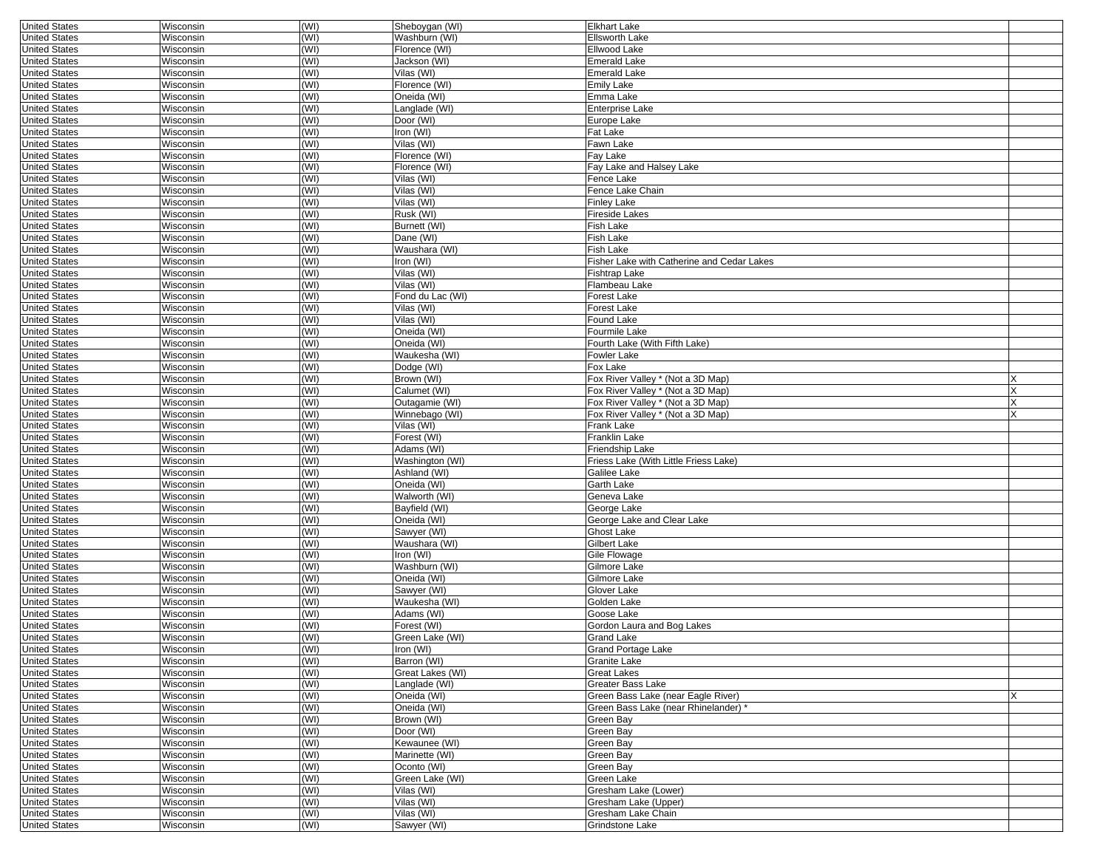| <b>United States</b> | Wisconsin        | (WI) | Sheboygan (WI)   | <b>Elkhart Lake</b>                        |   |
|----------------------|------------------|------|------------------|--------------------------------------------|---|
| <b>United States</b> | Wisconsin        | (WI) | Washburn (WI)    | <b>Ellsworth Lake</b>                      |   |
| <b>United States</b> | Wisconsin        | (WI) | Florence (WI)    | Ellwood Lake                               |   |
| <b>United States</b> | Wisconsin        | (WI) | Jackson (WI)     | Emerald Lake                               |   |
| <b>United States</b> | Wisconsin        | (WI) | Vilas (WI)       | <b>Emerald Lake</b>                        |   |
| <b>United States</b> | Wisconsin        | (WI) | Florence (WI)    | Emily Lake                                 |   |
| <b>United States</b> | Wisconsin        | (WI) | Oneida (WI)      | Emma Lake                                  |   |
| <b>United States</b> | Wisconsin        | (WI) | Langlade (WI)    | Enterprise Lake                            |   |
|                      | Wisconsin        |      |                  |                                            |   |
| <b>United States</b> |                  | (WI) | Door (WI)        | Europe Lake                                |   |
| <b>United States</b> | Wisconsin        | (WI) | Iron (WI)        | Fat Lake                                   |   |
| <b>United States</b> | Wisconsin        | (WI) | Vilas (WI)       | Fawn Lake                                  |   |
| <b>United States</b> | Wisconsin        | (WI) | Florence (WI)    | Fay Lake                                   |   |
| <b>United States</b> | Wisconsin        | (WI) | Florence (WI)    | Fay Lake and Halsey Lake                   |   |
| <b>United States</b> | Wisconsin        | (WI) | Vilas (WI)       | Fence Lake                                 |   |
| <b>United States</b> | Wisconsin        | (WI) | Vilas (WI)       | Fence Lake Chain                           |   |
| <b>United States</b> | Wisconsin        | (WI) | Vilas (WI)       | Finley Lake                                |   |
| <b>United States</b> | Wisconsin        | (WI) | Rusk (WI)        | Fireside Lakes                             |   |
| <b>United States</b> | Wisconsin        | (WI) | Burnett (WI)     | Fish Lake                                  |   |
| <b>United States</b> | Wisconsin        | (WI) | Dane (WI)        | Fish Lake                                  |   |
| <b>United States</b> | Wisconsin        | (WI) | Waushara (WI)    | Fish Lake                                  |   |
| <b>United States</b> | Wisconsin        | (WI) | Iron (WI)        | Fisher Lake with Catherine and Cedar Lakes |   |
|                      |                  |      |                  |                                            |   |
| <b>United States</b> | Wisconsin        | (WI) | Vilas (WI)       | Fishtrap Lake                              |   |
| <b>United States</b> | Wisconsin        | (WI) | Vilas (WI)       | Flambeau Lake                              |   |
| <b>United States</b> | Wisconsin        | (WI) | Fond du Lac (WI) | Forest Lake                                |   |
| <b>United States</b> | Wisconsin        | (WI) | Vilas (WI)       | Forest Lake                                |   |
| <b>United States</b> | Wisconsin        | (WI) | Vilas (WI)       | Found Lake                                 |   |
| <b>United States</b> | Wisconsin        | (WI) | Oneida (WI)      | Fourmile Lake                              |   |
| <b>United States</b> | Wisconsin        | (WI) | Oneida (WI)      | Fourth Lake (With Fifth Lake)              |   |
| <b>United States</b> | Wisconsin        | (WI) | Waukesha (WI)    | Fowler Lake                                |   |
| <b>United States</b> | Wisconsin        | (WI) | Dodge (WI)       | Fox Lake                                   |   |
| <b>United States</b> | Wisconsin        | (WI) | Brown (WI)       | Fox River Valley * (Not a 3D Map)          | X |
| <b>United States</b> | Wisconsin        | (WI) | Calumet (WI)     | Fox River Valley * (Not a 3D Map)          |   |
|                      |                  | (WI) |                  |                                            |   |
| <b>United States</b> | Wisconsin        |      | Outagamie (WI)   | Fox River Valley * (Not a 3D Map)          |   |
| <b>United States</b> | Wisconsin        | (WI) | Winnebago (WI)   | Fox River Valley * (Not a 3D Map)          |   |
| <b>United States</b> | Wisconsin        | (WI) | Vilas (WI)       | Frank Lake                                 |   |
| <b>United States</b> | Wisconsin        | (WI) | Forest (WI)      | Franklin Lake                              |   |
| <b>United States</b> | Wisconsin        | (WI) | Adams (WI)       | Friendship Lake                            |   |
| <b>United States</b> | Wisconsin        | (WI) | Washington (WI)  | Friess Lake (With Little Friess Lake)      |   |
| <b>United States</b> | Wisconsin        | (WI) | Ashland (WI)     | Galilee Lake                               |   |
| <b>United States</b> | Wisconsin        | (WI) | Oneida (WI)      | Garth Lake                                 |   |
| <b>United States</b> | Wisconsin        | (WI) | Walworth (WI)    | Geneva Lake                                |   |
| <b>United States</b> | Wisconsin        | (WI) | Bayfield (WI)    | George Lake                                |   |
| <b>United States</b> | Wisconsin        | (WI) | Oneida (WI)      | George Lake and Clear Lake                 |   |
| <b>United States</b> | Wisconsin        | (WI) | Sawyer (WI)      | Ghost Lake                                 |   |
| <b>United States</b> | Wisconsin        | (WI) | Waushara (WI)    | Gilbert Lake                               |   |
|                      | Wisconsin        | (WI) | Iron (WI)        |                                            |   |
| <b>United States</b> |                  |      |                  | Gile Flowage                               |   |
| <b>United States</b> | Wisconsin        | (WI) | Washburn (WI)    | Gilmore Lake                               |   |
| <b>United States</b> | Wisconsin        | (WI) | Oneida (WI)      | Gilmore Lake                               |   |
| <b>United States</b> | Wisconsin        | (WI) | Sawyer (WI)      | Glover Lake                                |   |
| <b>United States</b> | Wisconsin        | (WI) | Waukesha (WI)    | Golden Lake                                |   |
| <b>United States</b> | Wisconsin        | (WI) | Adams (WI)       | Goose Lake                                 |   |
| <b>United States</b> | Wisconsin        | (WI) | Forest (WI)      | Gordon Laura and Bog Lakes                 |   |
| <b>United States</b> | Wisconsin        | (WI) | Green Lake (WI)  | Grand Lake                                 |   |
| United States        | Wisconsin        | (WI) | Iron (WI)        | Grand Portage Lake                         |   |
| <b>United States</b> | Wisconsin        | (WI) | Barron (WI)      | Granite Lake                               |   |
| <b>United States</b> | <b>Wisconsin</b> | (WI) | Great Lakes (WI) | Great Lakes                                |   |
| <b>United States</b> | Wisconsin        | (WI) | Langlade (WI)    | Greater Bass Lake                          |   |
|                      |                  |      | Oneida (WI)      | Green Bass Lake (near Eagle River)         |   |
| <b>United States</b> | Wisconsin        | (WI) |                  |                                            | X |
| <b>United States</b> | Wisconsin        | (WI) | Oneida (WI)      | Green Bass Lake (near Rhinelander) *       |   |
| <b>United States</b> | Wisconsin        | (WI) | Brown (WI)       | Green Bay                                  |   |
| <b>United States</b> | Wisconsin        | (WI) | Door (WI)        | Green Bay                                  |   |
| <b>United States</b> | Wisconsin        | (WI) | Kewaunee (WI)    | Green Bay                                  |   |
| <b>United States</b> | Wisconsin        | (WI) | Marinette (WI)   | Green Bay                                  |   |
| <b>United States</b> | Wisconsin        | (WI) | Oconto (WI)      | Green Bay                                  |   |
| <b>United States</b> | Wisconsin        | (WI) | Green Lake (WI)  | Green Lake                                 |   |
| <b>United States</b> | <b>Wisconsin</b> | (WI) | Vilas (WI)       | Gresham Lake (Lower)                       |   |
| <b>United States</b> | Wisconsin        | (WI) | Vilas (WI)       | Gresham Lake (Upper)                       |   |
| <b>United States</b> | Wisconsin        | (WI) | Vilas (WI)       | Gresham Lake Chain                         |   |
| <b>United States</b> | Wisconsin        | (WI) |                  | Grindstone Lake                            |   |
|                      |                  |      | Sawyer (WI)      |                                            |   |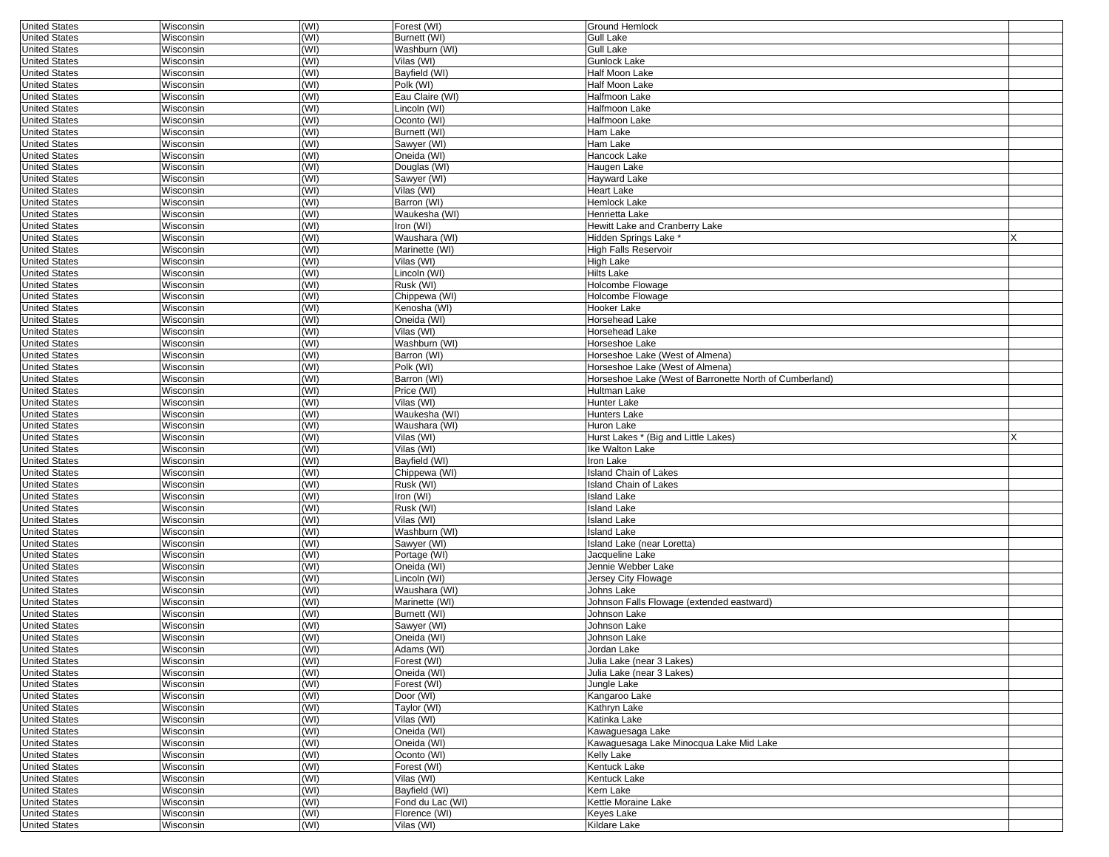| <b>United States</b> | Wisconsin | (WI) | Forest (WI)      | <b>Ground Hemlock</b>                                   |  |
|----------------------|-----------|------|------------------|---------------------------------------------------------|--|
| <b>United States</b> | Wisconsin | (WI) | Burnett (WI)     | Gull Lake                                               |  |
| <b>United States</b> | Wisconsin | (WI) | Washburn (WI)    | <b>Gull Lake</b>                                        |  |
| <b>United States</b> | Wisconsin | (WI) | Vilas (WI)       | <b>Gunlock Lake</b>                                     |  |
| <b>United States</b> | Wisconsin | (WI) | Bayfield (WI)    | Half Moon Lake                                          |  |
| <b>United States</b> | Wisconsin | (WI) | Polk (WI)        | Half Moon Lake                                          |  |
| <b>United States</b> | Wisconsin | (WI) | Eau Claire (WI)  | Halfmoon Lake                                           |  |
| <b>United States</b> | Wisconsin | (WI) | Lincoln (WI)     | Halfmoon Lake                                           |  |
| <b>United States</b> | Wisconsin | (WI) | Oconto (WI)      | Halfmoon Lake                                           |  |
| <b>United States</b> | Wisconsin | (WI) | Burnett (WI)     | Ham Lake                                                |  |
| <b>United States</b> | Wisconsin | (WI) | Sawyer (WI)      | Ham Lake                                                |  |
| <b>United States</b> | Wisconsin | (WI) | Oneida (WI)      | Hancock Lake                                            |  |
| <b>United States</b> | Wisconsin | (WI) | Douglas (WI)     | Haugen Lake                                             |  |
| <b>United States</b> | Wisconsin | (WI) | Sawyer (WI)      | <b>Hayward Lake</b>                                     |  |
| <b>United States</b> | Wisconsin | (WI) | Vilas (WI)       | Heart Lake                                              |  |
| <b>United States</b> | Wisconsin | (WI) | Barron (WI)      | Hemlock Lake                                            |  |
| <b>United States</b> | Wisconsin | (WI) | Waukesha (WI)    | Henrietta Lake                                          |  |
| <b>United States</b> | Wisconsin | (WI) | Iron (WI)        | Hewitt Lake and Cranberry Lake                          |  |
| <b>United States</b> | Wisconsin | (WI) | Waushara (WI)    | Hidden Springs Lake *                                   |  |
| <b>United States</b> | Wisconsin | (WI) | Marinette (WI)   | <b>High Falls Reservoir</b>                             |  |
| <b>United States</b> | Wisconsin | (WI) | Vilas (WI)       | High Lake                                               |  |
| <b>United States</b> | Wisconsin | (WI) | Lincoln (WI)     | Hilts Lake                                              |  |
| <b>United States</b> | Wisconsin | (WI) | Rusk (WI)        | Holcombe Flowage                                        |  |
| <b>United States</b> | Wisconsin | (WI) | Chippewa (WI)    | Holcombe Flowage                                        |  |
| <b>United States</b> | Wisconsin | (WI) | Kenosha (WI)     | Hooker Lake                                             |  |
| <b>United States</b> | Wisconsin | (WI) | Oneida (WI)      | Horsehead Lake                                          |  |
| <b>United States</b> | Wisconsin | (WI) | Vilas (WI)       | Horsehead Lake                                          |  |
| <b>United States</b> | Wisconsin | (WI) | Washburn (WI)    | Horseshoe Lake                                          |  |
| <b>United States</b> | Wisconsin | (WI) | Barron (WI)      | Horseshoe Lake (West of Almena)                         |  |
| <b>United States</b> | Wisconsin | (WI) | Polk (WI)        | Horseshoe Lake (West of Almena)                         |  |
| <b>United States</b> | Wisconsin | (WI) | Barron (WI)      | Horseshoe Lake (West of Barronette North of Cumberland) |  |
| <b>United States</b> | Wisconsin | (WI) | Price (WI)       | Hultman Lake                                            |  |
| <b>United States</b> | Wisconsin | (WI) | Vilas (WI)       | Hunter Lake                                             |  |
| <b>United States</b> | Wisconsin | (WI) | Waukesha (WI)    | Hunters Lake                                            |  |
| <b>United States</b> | Wisconsin | (WI) | Waushara (WI)    | Huron Lake                                              |  |
| <b>United States</b> | Wisconsin | (WI) | Vilas (WI)       | Hurst Lakes * (Big and Little Lakes)                    |  |
| <b>United States</b> | Wisconsin | (WI) | Vilas (WI)       | Ike Walton Lake                                         |  |
| <b>United States</b> | Wisconsin | (WI) | Bayfield (WI)    | Iron Lake                                               |  |
| <b>United States</b> | Wisconsin | (WI) | Chippewa (WI)    | <b>Island Chain of Lakes</b>                            |  |
| <b>United States</b> | Wisconsin | (WI) | Rusk (WI)        | <b>Island Chain of Lakes</b>                            |  |
| <b>United States</b> | Wisconsin | (WI) | Iron (WI)        | Island Lake                                             |  |
| <b>United States</b> | Wisconsin | (WI) | Rusk (WI)        | <b>Island Lake</b>                                      |  |
| <b>United States</b> | Wisconsin | (WI) | Vilas (WI)       | <b>Island Lake</b>                                      |  |
| <b>United States</b> | Wisconsin | (WI) | Washburn (WI)    | <b>Island Lake</b>                                      |  |
| <b>United States</b> | Wisconsin | (WI) | Sawyer (WI)      | Island Lake (near Loretta)                              |  |
| <b>United States</b> | Wisconsin | (WI) | Portage (WI)     | Jacqueline Lake                                         |  |
| <b>United States</b> | Wisconsin | (WI) | Oneida (WI)      | Jennie Webber Lake                                      |  |
| <b>United States</b> | Wisconsin | (WI) | Lincoln (WI)     | Jersey City Flowage                                     |  |
| <b>United States</b> | Wisconsin | (WI) | Waushara (WI)    | Johns Lake                                              |  |
| <b>United States</b> | Wisconsin | (WI) | Marinette (WI)   | Johnson Falls Flowage (extended eastward)               |  |
| <b>United States</b> | Wisconsin | (WI) | Burnett (WI)     | Johnson Lake                                            |  |
| <b>United States</b> | Wisconsin | (WI) | Sawver (WI)      | Johnson Lake                                            |  |
| <b>United States</b> | Wisconsin | (WI) | Oneida (WI)      | Johnson Lake                                            |  |
| <b>United States</b> | Wisconsin | (W ) | Adams (WI)       | Jordan Lake                                             |  |
| <b>United States</b> | Wisconsin | (WI) | Forest (WI)      | Julia Lake (near 3 Lakes)                               |  |
| <b>United States</b> | Wisconsin | (WI) | Oneida (WI)      | Julia Lake (near 3 Lakes)                               |  |
| <b>United States</b> | Wisconsin | (WI) | Forest (WI)      | Jungle Lake                                             |  |
| <b>United States</b> | Wisconsin | (WI) | Door (WI)        | Kangaroo Lake                                           |  |
| <b>United States</b> | Wisconsin | (WI) | Taylor (WI)      | Kathryn Lake                                            |  |
| <b>United States</b> | Wisconsin | (WI) | Vilas (WI)       | Katinka Lake                                            |  |
| <b>United States</b> | Wisconsin | (WI) | Oneida (WI)      | Kawaguesaga Lake                                        |  |
| <b>United States</b> | Wisconsin | (WI) | Oneida (WI)      | Kawaguesaga Lake Minocqua Lake Mid Lake                 |  |
| <b>United States</b> | Wisconsin | (WI) | Oconto (WI)      | Kelly Lake                                              |  |
| <b>United States</b> | Wisconsin | (WI) | Forest (WI)      | Kentuck Lake                                            |  |
| <b>United States</b> | Wisconsin | (WI) | Vilas (WI)       | Kentuck Lake                                            |  |
| <b>United States</b> | Wisconsin | (WI) | Bayfield (WI)    | Kern Lake                                               |  |
| <b>United States</b> | Wisconsin | (WI) | Fond du Lac (WI) | Kettle Moraine Lake                                     |  |
| <b>United States</b> | Wisconsin | (WI) | Florence (WI)    | Keyes Lake                                              |  |
| <b>United States</b> | Wisconsin | (WI) | Vilas (WI)       | Kildare Lake                                            |  |
|                      |           |      |                  |                                                         |  |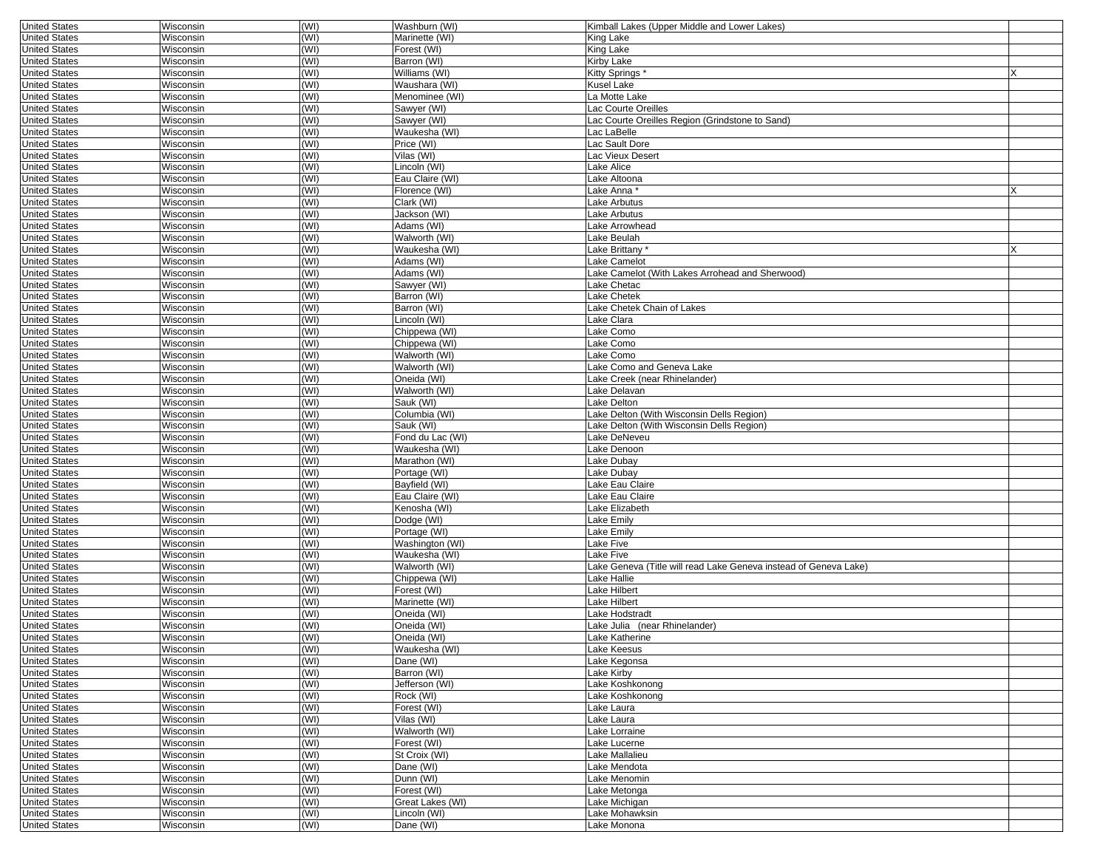| <b>United States</b> | Wisconsin        | (WI) | Washburn (WI)    | Kimball Lakes (Upper Middle and Lower Lakes)                     |  |
|----------------------|------------------|------|------------------|------------------------------------------------------------------|--|
| <b>United States</b> | Wisconsin        | (WI) | Marinette (WI)   | King Lake                                                        |  |
| <b>United States</b> | Wisconsin        | (WI) | Forest (WI)      | King Lake                                                        |  |
| <b>United States</b> | Wisconsin        | (WI) | Barron (WI)      | Kirby Lake                                                       |  |
| <b>United States</b> | Wisconsin        | (WI) | Williams (WI)    | Kitty Springs*                                                   |  |
| <b>United States</b> | Wisconsin        | (WI) | Waushara (WI)    | Kusel Lake                                                       |  |
| <b>United States</b> | Wisconsin        | (WI) | Menominee (WI)   | La Motte Lake                                                    |  |
| <b>United States</b> | Wisconsin        | (WI) | Sawyer (WI)      | Lac Courte Oreilles                                              |  |
| <b>United States</b> | Wisconsin        | (WI) | Sawyer (WI)      | Lac Courte Oreilles Region (Grindstone to Sand)                  |  |
| <b>United States</b> | Wisconsin        | (WI) | Waukesha (WI)    | Lac LaBelle                                                      |  |
| <b>United States</b> | Wisconsin        | (WI) | Price (WI)       | Lac Sault Dore                                                   |  |
| <b>United States</b> | Wisconsin        | (WI) | Vilas (WI)       | Lac Vieux Desert                                                 |  |
| <b>United States</b> | Wisconsin        | (WI) | Lincoln (WI)     | Lake Alice                                                       |  |
| <b>United States</b> | Wisconsin        | (WI) | Eau Claire (WI)  | Lake Altoona                                                     |  |
| <b>United States</b> | Wisconsin        | (WI) | Florence (WI)    | Lake Anna *                                                      |  |
| <b>United States</b> | Wisconsin        | (WI) | Clark (WI)       | Lake Arbutus                                                     |  |
| <b>United States</b> | Wisconsin        | (WI) | Jackson (WI)     | Lake Arbutus                                                     |  |
| <b>United States</b> | Wisconsin        | (WI) | Adams (WI)       | Lake Arrowhead                                                   |  |
| <b>United States</b> | Wisconsin        | (WI) | Walworth (WI)    | Lake Beulah                                                      |  |
| <b>United States</b> | Wisconsin        | (WI) | Waukesha (WI)    | Lake Brittany                                                    |  |
| <b>United States</b> | Wisconsin        | (WI) | Adams (WI)       | Lake Camelot                                                     |  |
| <b>United States</b> | Wisconsin        | (WI) | Adams (WI)       | Lake Camelot (With Lakes Arrohead and Sherwood)                  |  |
| <b>United States</b> | Wisconsin        | (WI) | Sawyer (WI)      | Lake Chetac                                                      |  |
| <b>United States</b> | Wisconsin        | (WI) | Barron (WI)      | Lake Chetek                                                      |  |
| <b>United States</b> | Wisconsin        | (WI) | Barron (WI)      | Lake Chetek Chain of Lakes                                       |  |
| <b>United States</b> | Wisconsin        | (WI) | Lincoln (WI)     | Lake Clara                                                       |  |
| <b>United States</b> | Wisconsin        | (WI) | Chippewa (WI)    | Lake Como                                                        |  |
| <b>United States</b> | Wisconsin        | (WI) | Chippewa (WI)    | Lake Como                                                        |  |
| <b>United States</b> | Wisconsin        | (WI) | Walworth (WI)    | Lake Como                                                        |  |
| <b>United States</b> | Wisconsin        | (WI) | Walworth (WI)    | Lake Como and Geneva Lake                                        |  |
| <b>United States</b> | Wisconsin        | (WI) | Oneida (WI)      | Lake Creek (near Rhinelander)                                    |  |
| <b>United States</b> | Wisconsin        | (WI) | Walworth (WI)    | Lake Delavan                                                     |  |
| <b>United States</b> | Wisconsin        | (WI) | Sauk (WI)        | Lake Delton                                                      |  |
| <b>United States</b> | Wisconsin        | (WI) | Columbia (WI)    | Lake Delton (With Wisconsin Dells Region)                        |  |
| <b>United States</b> | Wisconsin        | (WI) | Sauk (WI)        | Lake Delton (With Wisconsin Dells Region)                        |  |
| <b>United States</b> | Wisconsin        | (WI) | Fond du Lac (WI) | Lake DeNeveu                                                     |  |
| <b>United States</b> | Wisconsin        | (WI) | Waukesha (WI)    | Lake Denoon                                                      |  |
| <b>United States</b> | Wisconsin        | (WI) | Marathon (WI)    | Lake Dubay                                                       |  |
| <b>United States</b> | Wisconsin        | (WI) | Portage (WI)     | Lake Dubay                                                       |  |
| <b>United States</b> | Wisconsin        | (WI) | Bayfield (WI)    | Lake Eau Claire                                                  |  |
| <b>United States</b> | Wisconsin        | (WI) | Eau Claire (WI)  | Lake Eau Claire                                                  |  |
| <b>United States</b> | Wisconsin        | (WI) | Kenosha (WI)     | Lake Elizabeth                                                   |  |
| <b>United States</b> | Wisconsin        | (WI) | Dodge (WI)       | Lake Emily                                                       |  |
| <b>United States</b> | Wisconsin        | (WI) | Portage (WI)     | Lake Emily                                                       |  |
| <b>United States</b> | Wisconsin        | (WI) | Washington (WI)  | Lake Five                                                        |  |
| <b>United States</b> | Wisconsin        | (WI) | Waukesha (WI)    | Lake Five                                                        |  |
| <b>United States</b> | Wisconsin        | (WI) | Walworth (WI)    | Lake Geneva (Title will read Lake Geneva instead of Geneva Lake) |  |
| <b>United States</b> | Wisconsin        | (WI) | Chippewa (WI)    | Lake Hallie                                                      |  |
| <b>United States</b> | Wisconsin        | (WI) | Forest (WI)      | Lake Hilbert                                                     |  |
| <b>United States</b> | Wisconsin        | (WI) | Marinette (WI)   | Lake Hilbert                                                     |  |
| <b>United States</b> | Wisconsin        | (WI) | Oneida (WI)      | Lake Hodstradt                                                   |  |
| <b>United States</b> | Wisconsin        | (WI) | Oneida (WI)      | Lake Julia (near Rhinelander)                                    |  |
| <b>United States</b> | Wisconsin        | (WI) | Oneida (WI)      | Lake Katherine                                                   |  |
| United States        | <b>WISCONSIN</b> | (WI) | Waukesha (WI)    | Lake Keesus                                                      |  |
| <b>United States</b> | Wisconsin        | (WI) | Dane (WI)        | Lake Kegonsa                                                     |  |
| <b>United States</b> | Wisconsin        | (WI) | Barron (WI)      | Lake Kirby                                                       |  |
| <b>United States</b> | Wisconsin        | (WI) | Jefferson (WI)   | Lake Koshkonong                                                  |  |
| <b>United States</b> | Wisconsin        | (WI) | Rock (WI)        | Lake Koshkonong                                                  |  |
| <b>United States</b> | Wisconsin        | (WI) | Forest (WI)      | Lake Laura                                                       |  |
| <b>United States</b> | Wisconsin        | (WI) | Vilas (WI)       | Lake Laura                                                       |  |
| <b>United States</b> | Wisconsin        | (WI) | Walworth (WI)    | Lake Lorraine                                                    |  |
| <b>United States</b> | Wisconsin        | (WI) | Forest (WI)      | Lake Lucerne                                                     |  |
| <b>United States</b> | Wisconsin        | (WI) | St Croix (WI)    | Lake Mallalieu                                                   |  |
| <b>United States</b> | Wisconsin        | (WI) | Dane (WI)        | Lake Mendota                                                     |  |
| <b>United States</b> | Wisconsin        | (WI) | Dunn (WI)        | Lake Menomin                                                     |  |
| <b>United States</b> | Wisconsin        | (WI) | Forest (WI)      | Lake Metonga                                                     |  |
| <b>United States</b> | Wisconsin        | (WI) | Great Lakes (WI) | Lake Michigan                                                    |  |
| <b>United States</b> | Wisconsin        | (WI) | Lincoln (WI)     | Lake Mohawksin                                                   |  |
| <b>United States</b> | Wisconsin        | (WI) | Dane (WI)        | Lake Monona                                                      |  |
|                      |                  |      |                  |                                                                  |  |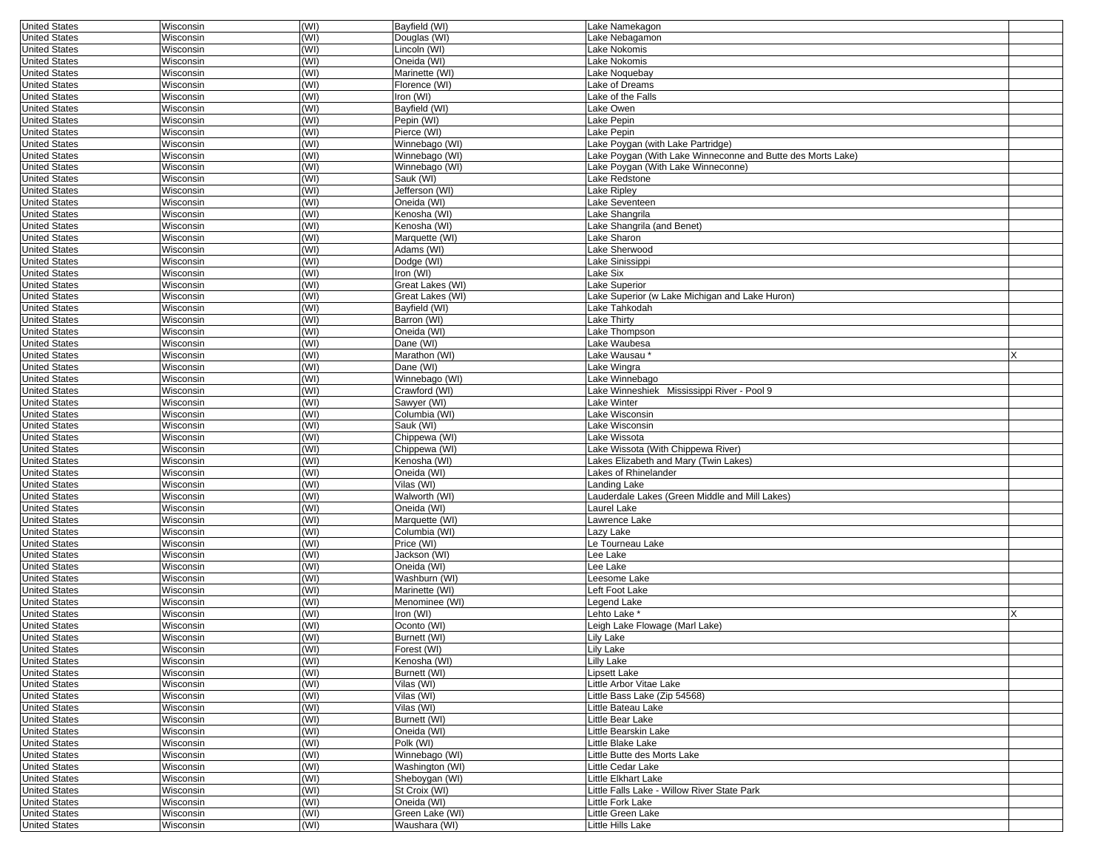| <b>United States</b> | Wisconsin | (WI) | Bayfield (WI)    | Lake Namekagon                                              |   |
|----------------------|-----------|------|------------------|-------------------------------------------------------------|---|
| <b>United States</b> | Wisconsin | (WI) | Douglas (WI)     | Lake Nebagamon                                              |   |
| <b>United States</b> | Wisconsin | (WI) | Lincoln (WI)     | Lake Nokomis                                                |   |
| <b>United States</b> | Wisconsin | (WI) | Oneida (WI)      | Lake Nokomis                                                |   |
| <b>United States</b> | Wisconsin | (WI) | Marinette (WI)   | Lake Noquebay                                               |   |
| <b>United States</b> | Wisconsin | (WI) | Florence (WI)    | Lake of Dreams                                              |   |
| <b>United States</b> | Wisconsin | (WI) | Iron (WI)        | Lake of the Falls                                           |   |
| <b>United States</b> | Wisconsin | (WI) | Bayfield (WI)    | Lake Owen                                                   |   |
| <b>United States</b> |           | (WI) | Pepin (WI)       |                                                             |   |
|                      | Wisconsin |      |                  | Lake Pepin                                                  |   |
| <b>United States</b> | Wisconsin | (WI) | Pierce (WI)      | Lake Pepin                                                  |   |
| <b>United States</b> | Wisconsin | (WI) | Winnebago (WI)   | Lake Poygan (with Lake Partridge)                           |   |
| <b>United States</b> | Wisconsin | (WI) | Winnebago (WI)   | Lake Poygan (With Lake Winneconne and Butte des Morts Lake) |   |
| <b>United States</b> | Wisconsin | (WI) | Winnebago (WI)   | Lake Poygan (With Lake Winneconne)                          |   |
| <b>United States</b> | Wisconsin | (WI) | Sauk (WI)        | Lake Redstone                                               |   |
| <b>United States</b> | Wisconsin | (WI) | Jefferson (WI)   | <b>Lake Ripley</b>                                          |   |
| <b>United States</b> | Wisconsin | (WI) | Oneida (WI)      | Lake Seventeen                                              |   |
| <b>United States</b> | Wisconsin | (WI) | Kenosha (WI)     | Lake Shangrila                                              |   |
| <b>United States</b> | Wisconsin | (WI) | Kenosha (WI)     | Lake Shangrila (and Benet)                                  |   |
| <b>United States</b> | Wisconsin | (WI) | Marquette (WI)   | Lake Sharon                                                 |   |
| <b>United States</b> | Wisconsin | (WI) | Adams (WI)       | Lake Sherwood                                               |   |
| <b>United States</b> | Wisconsin | (WI) | Dodge (WI)       | Lake Sinissippi                                             |   |
|                      |           | (WI) | Iron (WI)        |                                                             |   |
| <b>United States</b> | Wisconsin |      |                  | Lake Six                                                    |   |
| <b>United States</b> | Wisconsin | (WI) | Great Lakes (WI) | Lake Superior                                               |   |
| <b>United States</b> | Wisconsin | (WI) | Great Lakes (WI) | Lake Superior (w Lake Michigan and Lake Huron)              |   |
| <b>United States</b> | Wisconsin | (WI) | Bayfield (WI)    | Lake Tahkodah                                               |   |
| <b>United States</b> | Wisconsin | (WI) | Barron (WI)      | Lake Thirty                                                 |   |
| <b>United States</b> | Wisconsin | (WI) | Oneida (WI)      | Lake Thompson                                               |   |
| <b>United States</b> | Wisconsin | (WI) | Dane (WI)        | Lake Waubesa                                                |   |
| <b>United States</b> | Wisconsin | (WI) | Marathon (WI)    | Lake Wausau *                                               |   |
| <b>United States</b> | Wisconsin | (WI) | Dane (WI)        | Lake Wingra                                                 |   |
| <b>United States</b> | Wisconsin | (WI) | Winnebago (WI)   | Lake Winnebago                                              |   |
| <b>United States</b> | Wisconsin | (WI) | Crawford (WI)    | Lake Winneshiek Mississippi River - Pool 9                  |   |
| <b>United States</b> | Wisconsin | (WI) | Sawyer (WI)      | Lake Winter                                                 |   |
|                      |           | (WI) | Columbia (WI)    | Lake Wisconsin                                              |   |
| <b>United States</b> | Wisconsin |      |                  |                                                             |   |
| <b>United States</b> | Wisconsin | (WI) | Sauk (WI)        | Lake Wisconsin                                              |   |
| <b>United States</b> | Wisconsin | (WI) | Chippewa (WI)    | Lake Wissota                                                |   |
| <b>United States</b> | Wisconsin | (WI) | Chippewa (WI)    | Lake Wissota (With Chippewa River)                          |   |
| <b>United States</b> | Wisconsin | (WI) | Kenosha (WI)     | Lakes Elizabeth and Mary (Twin Lakes)                       |   |
| <b>United States</b> | Wisconsin | (WI) | Oneida (WI)      | Lakes of Rhinelander                                        |   |
| <b>United States</b> | Wisconsin | (WI) | Vilas (WI)       | anding Lake                                                 |   |
| <b>United States</b> | Wisconsin | (WI) | Walworth (WI)    | auderdale Lakes (Green Middle and Mill Lakes)               |   |
| <b>United States</b> | Wisconsin | (WI) | Oneida (WI)      | aurel Lake                                                  |   |
| <b>United States</b> | Wisconsin | (WI) | Marquette (WI)   | Lawrence Lake                                               |   |
| <b>United States</b> | Wisconsin | (WI) | Columbia (WI)    | Lazy Lake                                                   |   |
| <b>United States</b> | Wisconsin | (WI) | Price (WI)       | Le Tourneau Lake                                            |   |
| <b>United States</b> | Wisconsin | (WI) | Jackson (WI)     | Lee Lake                                                    |   |
| <b>United States</b> | Wisconsin | (WI) | Oneida (WI)      | Lee Lake                                                    |   |
| <b>United States</b> |           | (WI) | Washburn (WI)    | Leesome Lake                                                |   |
|                      | Wisconsin |      |                  |                                                             |   |
| <b>United States</b> | Wisconsin | (WI) | Marinette (WI)   | Left Foot Lake                                              |   |
| <b>United States</b> | Wisconsin | (WI) | Menominee (WI)   | Legend Lake                                                 |   |
| <b>United States</b> | Wisconsin | (WI) | Iron (WI)        | Lehto Lake <sup>*</sup>                                     | X |
| <b>United States</b> | Wisconsin | (WI) | Oconto (WI)      | eigh Lake Flowage (Marl Lake)                               |   |
| <b>United States</b> | Wisconsin | (WI) | Burnett (WI)     | Lily Lake                                                   |   |
| United States        | Wisconsin | (WI) | Forest (WI)      | Lily Lake                                                   |   |
| <b>United States</b> | Wisconsin | (WI) | Kenosha (WI)     | Lilly Lake                                                  |   |
| <b>United States</b> | Wisconsin | (WI) | Burnett (WI)     | Lipsett Lake                                                |   |
| <b>United States</b> | Wisconsin | (WI) | Vilas (WI)       | Little Arbor Vitae Lake                                     |   |
| <b>United States</b> | Wisconsin | (WI) | Vilas (WI)       | Little Bass Lake (Zip 54568)                                |   |
| <b>United States</b> | Wisconsin | (WI) | Vilas (WI)       | Little Bateau Lake                                          |   |
| <b>United States</b> | Wisconsin | (WI) | Burnett (WI)     | Little Bear Lake                                            |   |
| <b>United States</b> | Wisconsin | (WI) | Oneida (WI)      | Little Bearskin Lake                                        |   |
|                      |           |      |                  |                                                             |   |
| <b>United States</b> | Wisconsin | (WI) | Polk (WI)        | Little Blake Lake                                           |   |
| <b>United States</b> | Wisconsin | (WI) | Winnebago (WI)   | Little Butte des Morts Lake                                 |   |
| <b>United States</b> | Wisconsin | (WI) | Washington (WI)  | Little Cedar Lake                                           |   |
| <b>United States</b> | Wisconsin | (WI) | Sheboygan (WI)   | Little Elkhart Lake                                         |   |
| <b>United States</b> | Wisconsin | (WI) | St Croix (WI)    | Little Falls Lake - Willow River State Park                 |   |
| <b>United States</b> | Wisconsin | (WI) | Oneida (WI)      | Little Fork Lake                                            |   |
| <b>United States</b> | Wisconsin | (WI) | Green Lake (WI)  | Little Green Lake                                           |   |
| <b>United States</b> | Wisconsin | (WI) | Waushara (WI)    | Little Hills Lake                                           |   |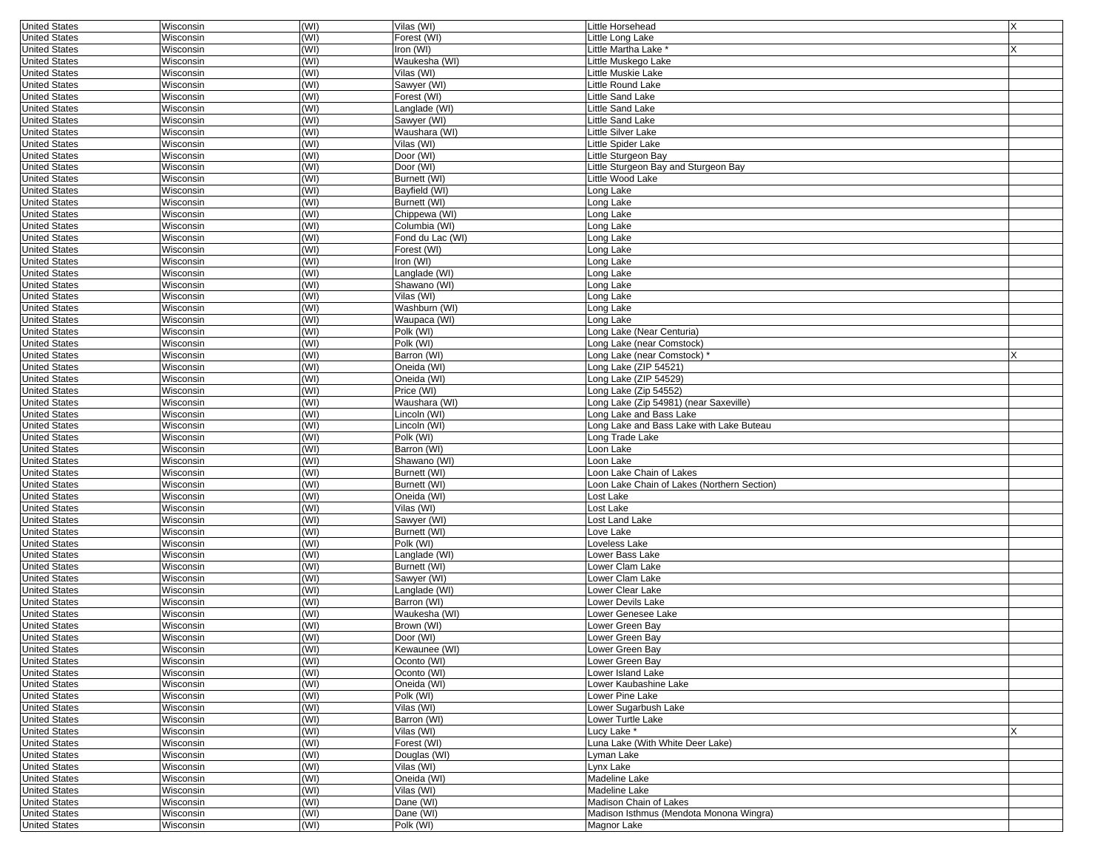| <b>United States</b> | Wisconsin | (WI) | Vilas (WI)       | Little Horsehead                            | X |
|----------------------|-----------|------|------------------|---------------------------------------------|---|
| <b>United States</b> | Wisconsin | (WI) | Forest (WI)      | Little Long Lake                            |   |
| <b>United States</b> | Wisconsin | (WI) | Iron (WI)        | Little Martha Lake *                        |   |
| <b>United States</b> | Wisconsin | (WI) | Waukesha (WI)    | Little Muskego Lake                         |   |
| <b>United States</b> | Wisconsin | (WI) | Vilas (WI)       | Little Muskie Lake                          |   |
| <b>United States</b> | Wisconsin | (WI) | Sawyer (WI)      | Little Round Lake                           |   |
| <b>United States</b> | Wisconsin | (WI) | Forest (WI)      | Little Sand Lake                            |   |
| <b>United States</b> | Wisconsin | (WI) | Langlade (WI)    | Little Sand Lake                            |   |
| <b>United States</b> | Wisconsin | (WI) | Sawyer (WI)      | Little Sand Lake                            |   |
| <b>United States</b> | Wisconsin | (WI) | Waushara (WI)    | Little Silver Lake                          |   |
| <b>United States</b> | Wisconsin | (WI) | Vilas (WI)       | Little Spider Lake                          |   |
| <b>United States</b> | Wisconsin | (WI) | Door (WI)        | Little Sturgeon Bay                         |   |
|                      |           |      |                  |                                             |   |
| <b>United States</b> | Wisconsin | (WI) | Door (WI)        | Little Sturgeon Bay and Sturgeon Bay        |   |
| <b>United States</b> | Wisconsin | (WI) | Burnett (WI)     | Little Wood Lake                            |   |
| <b>United States</b> | Wisconsin | (WI) | Bayfield (WI)    | ong Lake                                    |   |
| <b>United States</b> | Wisconsin | (WI) | Burnett (WI)     | Long Lake                                   |   |
| <b>United States</b> | Wisconsin | (WI) | Chippewa (WI)    | Long Lake                                   |   |
| <b>United States</b> | Wisconsin | (WI) | Columbia (WI)    | Long Lake                                   |   |
| <b>United States</b> | Wisconsin | (WI) | Fond du Lac (WI) | Long Lake                                   |   |
| <b>United States</b> | Wisconsin | (WI) | Forest (WI)      | ong Lake                                    |   |
| <b>United States</b> | Wisconsin | (WI) | Iron (WI)        | ong Lake                                    |   |
| <b>United States</b> | Wisconsin | (WI) | Langlade (WI)    | ong Lake                                    |   |
| <b>United States</b> | Wisconsin | (WI) | Shawano (WI)     | ong Lake                                    |   |
| <b>United States</b> | Wisconsin | (WI) | Vilas (WI)       | Long Lake                                   |   |
| <b>United States</b> | Wisconsin | (WI) | Washburn (WI)    | ong Lake                                    |   |
| <b>United States</b> | Wisconsin | (WI) | Waupaca (WI)     | Long Lake                                   |   |
| <b>United States</b> | Wisconsin | (WI) | Polk (WI)        | Long Lake (Near Centuria)                   |   |
| <b>United States</b> | Wisconsin | (WI) | Polk (WI)        | Long Lake (near Comstock)                   |   |
| <b>United States</b> | Wisconsin | (WI) | Barron (WI)      | Long Lake (near Comstock) *                 |   |
| <b>United States</b> | Wisconsin | (WI) | Oneida (WI)      | Long Lake (ZIP 54521)                       |   |
| <b>United States</b> | Wisconsin | (WI) | Oneida (WI)      | Long Lake (ZIP 54529)                       |   |
| <b>United States</b> | Wisconsin | (WI) | Price (WI)       | Long Lake (Zip 54552)                       |   |
| <b>United States</b> | Wisconsin | (WI) | Waushara (WI)    | Long Lake (Zip 54981) (near Saxeville)      |   |
| <b>United States</b> | Wisconsin | (WI) | Lincoln (WI)     | Long Lake and Bass Lake                     |   |
| <b>United States</b> | Wisconsin | (WI) | Lincoln (WI)     | ong Lake and Bass Lake with Lake Buteau     |   |
| <b>United States</b> | Wisconsin | (WI) | Polk (WI)        | ong Trade Lake                              |   |
| <b>United States</b> | Wisconsin | (WI) | Barron (WI)      | Loon Lake                                   |   |
| <b>United States</b> | Wisconsin | (WI) | Shawano (WI)     | oon Lake                                    |   |
| <b>United States</b> | Wisconsin | (WI) | Burnett (WI)     | oon Lake Chain of Lakes                     |   |
| <b>United States</b> | Wisconsin | (WI) | Burnett (WI)     | .oon Lake Chain of Lakes (Northern Section) |   |
| <b>United States</b> | Wisconsin | (WI) | Oneida (WI)      | ost Lake                                    |   |
| <b>United States</b> | Wisconsin | (WI) | Vilas (WI)       | Lost Lake                                   |   |
| <b>United States</b> |           | (WI) | Sawyer (WI)      |                                             |   |
|                      | Wisconsin |      |                  | Lost Land Lake                              |   |
| <b>United States</b> | Wisconsin | (WI) | Burnett (WI)     | Love Lake                                   |   |
| <b>United States</b> | Wisconsin | (WI) | Polk (WI)        | Loveless Lake                               |   |
| <b>United States</b> | Wisconsin | (WI) | Langlade (WI)    | ower Bass Lake                              |   |
| <b>United States</b> | Wisconsin | (WI) | Burnett (WI)     | Lower Clam Lake                             |   |
| <b>United States</b> | Wisconsin | (WI) | Sawyer (WI)      | ower Clam Lake                              |   |
| <b>United States</b> | Wisconsin | (WI) | Langlade (WI)    | Lower Clear Lake                            |   |
| <b>United States</b> | Wisconsin | (WI) | Barron (WI)      | ower Devils Lake                            |   |
| <b>United States</b> | Wisconsin | (WI) | Waukesha (WI)    | ower Genesee Lake                           |   |
| <b>United States</b> | Wisconsin | (WI) | Brown (WI)       | Lower Green Bav                             |   |
| <b>United States</b> | Wisconsin | (WI) | Door (WI)        | Lower Green Bay                             |   |
| <b>United States</b> | Wisconsin | (W ) | Kewaunee (WI)    | Lower Green Bay                             |   |
| <b>United States</b> | Wisconsin | (WI) | Oconto (WI)      | Lower Green Bay                             |   |
| <b>United States</b> | Wisconsin | (WI) | Oconto (WI)      | Lower Island Lake                           |   |
| <b>United States</b> | Wisconsin | (WI) | Oneida (WI)      | Lower Kaubashine Lake                       |   |
| <b>United States</b> | Wisconsin | (WI) | Polk (WI)        | Lower Pine Lake                             |   |
| <b>United States</b> | Wisconsin | (WI) | Vilas (WI)       | Lower Sugarbush Lake                        |   |
| <b>United States</b> | Wisconsin | (WI) | Barron (WI)      | Lower Turtle Lake                           |   |
| <b>United States</b> | Wisconsin | (WI) | Vilas (WI)       | Lucy Lake *                                 | X |
| <b>United States</b> | Wisconsin | (WI) | Forest (WI)      | Luna Lake (With White Deer Lake)            |   |
| <b>United States</b> | Wisconsin | (WI) | Douglas (WI)     | Lyman Lake                                  |   |
| <b>United States</b> | Wisconsin | (WI) | Vilas (WI)       | Lynx Lake                                   |   |
| <b>United States</b> | Wisconsin | (WI) | Oneida (WI)      | Madeline Lake                               |   |
| <b>United States</b> | Wisconsin | (WI) | Vilas (WI)       | Madeline Lake                               |   |
| <b>United States</b> | Wisconsin | (WI) | Dane (WI)        | Madison Chain of Lakes                      |   |
| <b>United States</b> | Wisconsin | (WI) | Dane (WI)        | Madison Isthmus (Mendota Monona Wingra)     |   |
| <b>United States</b> | Wisconsin | (WI) | Polk (WI)        | Magnor Lake                                 |   |
|                      |           |      |                  |                                             |   |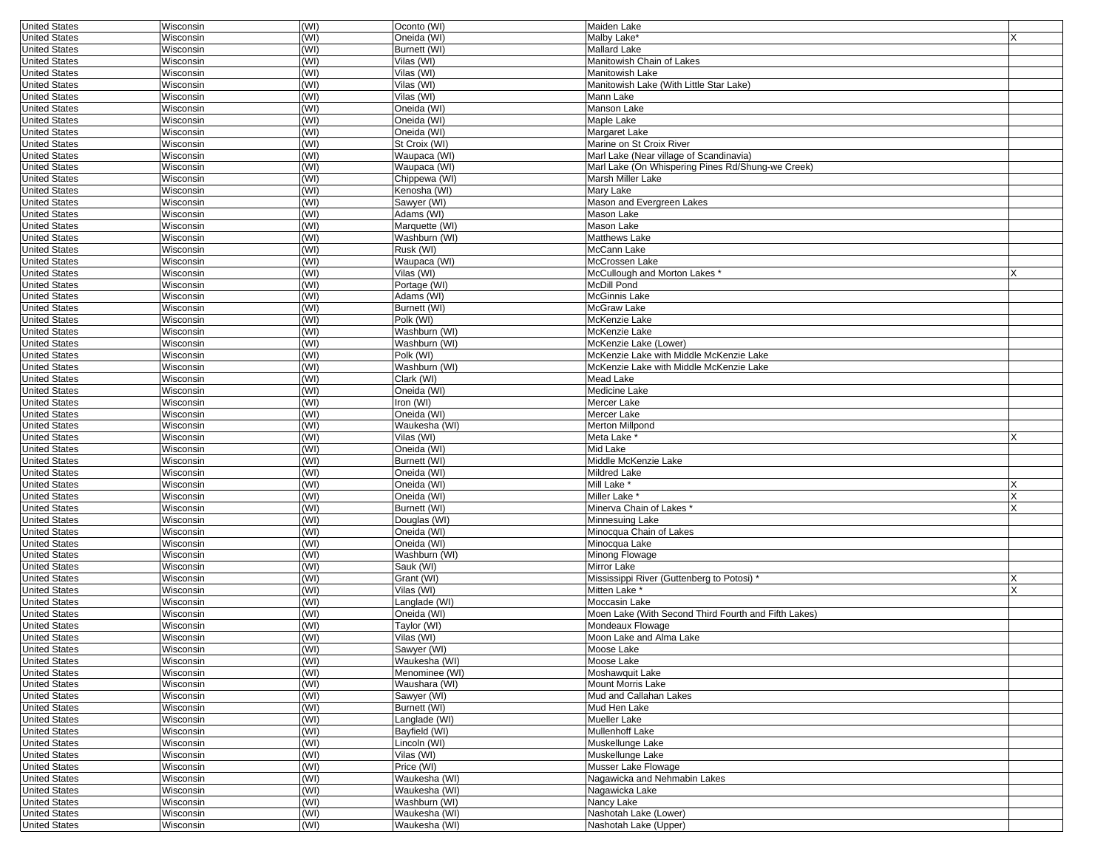| <b>United States</b> | Wisconsin        | (WI) | Oconto (WI)    | Maiden Lake                                          |   |
|----------------------|------------------|------|----------------|------------------------------------------------------|---|
| <b>United States</b> | Wisconsin        | (WI) | Oneida (WI)    | Malby Lake*                                          |   |
| <b>United States</b> | Wisconsin        | (WI) | Burnett (WI)   | Mallard Lake                                         |   |
| <b>United States</b> | Wisconsin        | (WI) | Vilas (WI)     | Manitowish Chain of Lakes                            |   |
| <b>United States</b> | Wisconsin        | (WI) | Vilas (WI)     | Manitowish Lake                                      |   |
|                      |                  |      |                |                                                      |   |
| <b>United States</b> | Wisconsin        | (WI) | Vilas (WI)     | Manitowish Lake (With Little Star Lake)              |   |
| <b>United States</b> | Wisconsin        | (WI) | Vilas (WI)     | Mann Lake                                            |   |
| <b>United States</b> | Wisconsin        | (WI) | Oneida (WI)    | Manson Lake                                          |   |
| <b>United States</b> | Wisconsin        | (WI) | Oneida (WI)    | Maple Lake                                           |   |
| <b>United States</b> | Wisconsin        | (WI) | Oneida (WI)    | Margaret Lake                                        |   |
| <b>United States</b> | Wisconsin        | (WI) | St Croix (WI)  | Marine on St Croix River                             |   |
|                      |                  |      |                |                                                      |   |
| <b>United States</b> | Wisconsin        | (WI) | Waupaca (WI)   | Marl Lake (Near village of Scandinavia)              |   |
| <b>United States</b> | Wisconsin        | (WI) | Waupaca (WI)   | Marl Lake (On Whispering Pines Rd/Shung-we Creek)    |   |
| <b>United States</b> | Wisconsin        | (WI) | Chippewa (WI)  | Marsh Miller Lake                                    |   |
| <b>United States</b> | Wisconsin        | (WI) | Kenosha (WI)   | Mary Lake                                            |   |
| <b>United States</b> | Wisconsin        | (WI) | Sawyer (WI)    | Mason and Evergreen Lakes                            |   |
| <b>United States</b> | Wisconsin        | (WI) | Adams (WI)     | Mason Lake                                           |   |
|                      |                  |      |                |                                                      |   |
| <b>United States</b> | Wisconsin        | (WI) | Marquette (WI) | Mason Lake                                           |   |
| <b>United States</b> | Wisconsin        | (WI) | Washburn (WI)  | Matthews Lake                                        |   |
| <b>United States</b> | Wisconsin        | (WI) | Rusk (WI)      | McCann Lake                                          |   |
| <b>United States</b> | Wisconsin        | (WI) | Waupaca (WI)   | McCrossen Lake                                       |   |
| <b>United States</b> | Wisconsin        | (WI) | Vilas (WI)     | McCullough and Morton Lakes                          |   |
| <b>United States</b> |                  | (WI) | Portage (WI)   | McDill Pond                                          |   |
|                      | Wisconsin        |      |                |                                                      |   |
| <b>United States</b> | Wisconsin        | (WI) | Adams (WI)     | McGinnis Lake                                        |   |
| <b>United States</b> | Wisconsin        | (WI) | Burnett (WI)   | McGraw Lake                                          |   |
| <b>United States</b> | Wisconsin        | (WI) | Polk (WI)      | McKenzie Lake                                        |   |
| <b>United States</b> | Wisconsin        | (WI) | Washburn (WI)  | McKenzie Lake                                        |   |
| <b>United States</b> | Wisconsin        | (WI) | Washburn (WI)  | McKenzie Lake (Lower)                                |   |
|                      |                  |      |                | McKenzie Lake with Middle McKenzie Lake              |   |
| <b>United States</b> | Wisconsin        | (WI) | Polk (WI)      |                                                      |   |
| <b>United States</b> | Wisconsin        | (WI) | Washburn (WI)  | McKenzie Lake with Middle McKenzie Lake              |   |
| <b>United States</b> | Wisconsin        | (WI) | Clark (WI)     | Mead Lake                                            |   |
| <b>United States</b> | Wisconsin        | (WI) | Oneida (WI)    | Medicine Lake                                        |   |
| <b>United States</b> | Wisconsin        | (WI) | Iron (WI)      | Mercer Lake                                          |   |
| <b>United States</b> | Wisconsin        | (WI) | Oneida (WI)    | Mercer Lake                                          |   |
|                      |                  |      |                |                                                      |   |
| <b>United States</b> | Wisconsin        | (WI) | Waukesha (WI)  | Merton Millpond                                      |   |
| <b>United States</b> | Wisconsin        | (WI) | Vilas (WI)     | Meta Lake <sup>*</sup>                               | X |
| <b>United States</b> | Wisconsin        | (WI) | Oneida (WI)    | Mid Lake                                             |   |
| <b>United States</b> | Wisconsin        | (WI) | Burnett (WI)   | Middle McKenzie Lake                                 |   |
| <b>United States</b> | Wisconsin        | (WI) | Oneida (WI)    | Mildred Lake                                         |   |
| <b>United States</b> | Wisconsin        | (WI) | Oneida (WI)    | Mill Lake *                                          |   |
|                      |                  |      |                |                                                      |   |
| <b>United States</b> | Wisconsin        | (WI) | Oneida (WI)    | Miller Lake *                                        | X |
| <b>United States</b> | Wisconsin        | (WI) | Burnett (WI)   | Minerva Chain of Lakes *                             | x |
| <b>United States</b> | Wisconsin        | (WI) | Douglas (WI)   | Minnesuing Lake                                      |   |
| <b>United States</b> | Wisconsin        | (WI) | Oneida (WI)    | Minocqua Chain of Lakes                              |   |
| <b>United States</b> | Wisconsin        | (WI) | Oneida (WI)    | Minocqua Lake                                        |   |
| <b>United States</b> | Wisconsin        | (WI) | Washburn (WI)  | Minong Flowage                                       |   |
|                      |                  |      |                |                                                      |   |
| <b>United States</b> | Wisconsin        | (WI) | Sauk (WI)      | Mirror Lake                                          |   |
| <b>United States</b> | Wisconsin        | (WI) | Grant (WI)     | Mississippi River (Guttenberg to Potosi) *           | Х |
| <b>United States</b> | Wisconsin        | (WI) | Vilas (WI)     | Mitten Lake <sup>*</sup>                             | X |
| <b>United States</b> | Wisconsin        | (WI) | Langlade (WI)  | Moccasin Lake                                        |   |
| <b>United States</b> | Wisconsin        | (WI) | Oneida (WI)    | Moen Lake (With Second Third Fourth and Fifth Lakes) |   |
| <b>United States</b> | Wisconsin        | (WI) | Taylor (WI)    | Mondeaux Flowage                                     |   |
|                      |                  |      |                |                                                      |   |
| <b>United States</b> | Wisconsin        | (WI) | Vilas (WI)     | Moon Lake and Alma Lake                              |   |
| United States        | Wisconsin        | (WI) | Sawyer (WI)    | Moose Lake                                           |   |
| <b>United States</b> | Wisconsin        | (WI) | Waukesha (WI)  | Moose Lake                                           |   |
| <b>United States</b> | Wisconsin        | (WI) | Menominee (WI) | Moshawquit Lake                                      |   |
| <b>United States</b> | Wisconsin        | (WI) | Waushara (WI)  | <b>Mount Morris Lake</b>                             |   |
| <b>United States</b> | Wisconsin        | (WI) | Sawyer (WI)    | Mud and Callahan Lakes                               |   |
|                      |                  |      |                |                                                      |   |
| <b>United States</b> | Wisconsin        | (WI) | Burnett (WI)   | Mud Hen Lake                                         |   |
| <b>United States</b> | Wisconsin        | (WI) | Langlade (WI)  | Mueller Lake                                         |   |
| <b>United States</b> | Wisconsin        | (WI) | Bayfield (WI)  | Mullenhoff Lake                                      |   |
| <b>United States</b> | Wisconsin        | (WI) | Lincoln (WI)   | Muskellunge Lake                                     |   |
| <b>United States</b> | Wisconsin        | (WI) | Vilas (WI)     | Muskellunge Lake                                     |   |
| <b>United States</b> | Wisconsin        | (WI) | Price (WI)     | Musser Lake Flowage                                  |   |
|                      |                  |      |                |                                                      |   |
| <b>United States</b> | Wisconsin        | (WI) | Waukesha (WI)  | Nagawicka and Nehmabin Lakes                         |   |
| <b>United States</b> | <b>Wisconsin</b> | (WI) | Waukesha (WI)  | Nagawicka Lake                                       |   |
| <b>United States</b> | Wisconsin        | (WI) | Washburn (WI)  | Nancy Lake                                           |   |
| <b>United States</b> | Wisconsin        | (WI) | Waukesha (WI)  | Nashotah Lake (Lower)                                |   |
| <b>United States</b> | Wisconsin        | (WI) | Waukesha (WI)  | Nashotah Lake (Upper)                                |   |
|                      |                  |      |                |                                                      |   |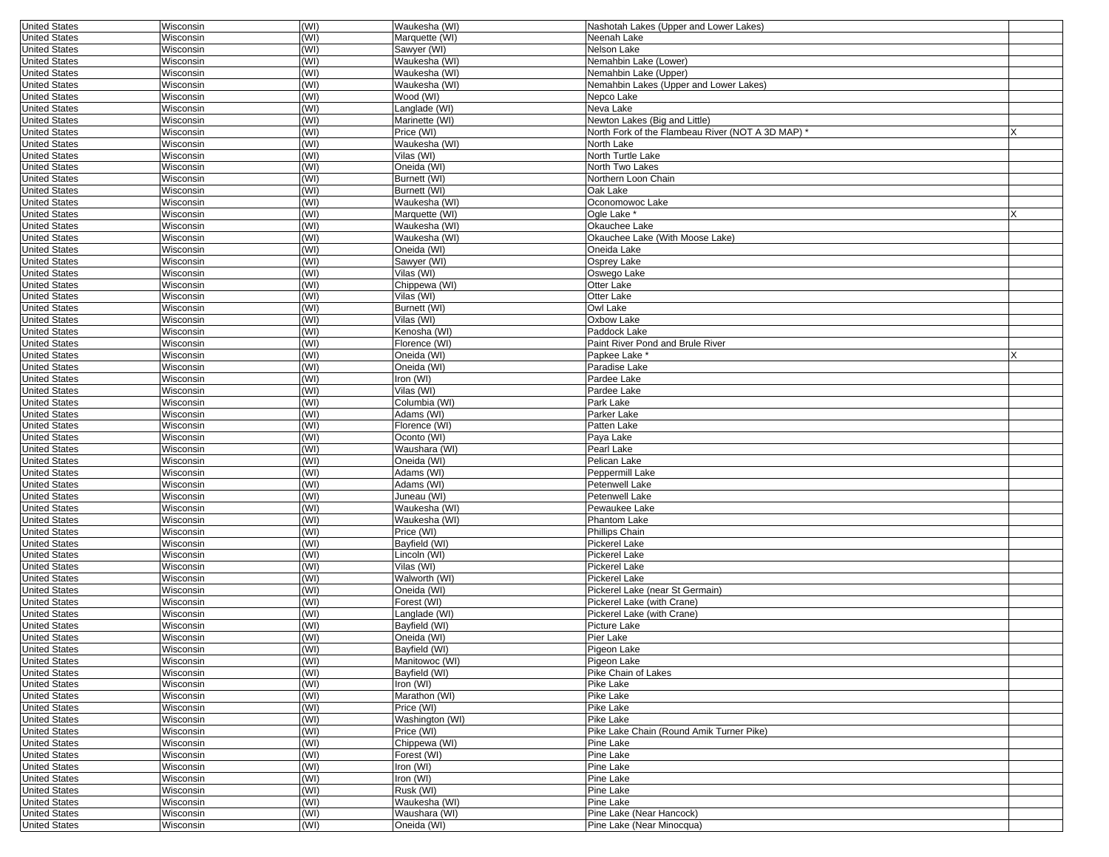| <b>United States</b>                         | Wisconsin              | (WI)         | Waukesha (WI)                | Nashotah Lakes (Upper and Lower Lakes)          |          |
|----------------------------------------------|------------------------|--------------|------------------------------|-------------------------------------------------|----------|
| <b>United States</b>                         | Wisconsin              | (WI)         | Marquette (WI)               | Neenah Lake                                     |          |
| <b>United States</b>                         | Wisconsin              | (WI)         | Sawyer (WI)                  | Nelson Lake                                     |          |
| <b>United States</b>                         | Wisconsin              | (WI)         | Waukesha (WI)                | Nemahbin Lake (Lower)                           |          |
| <b>United States</b>                         | Wisconsin              | (WI)         | Waukesha (WI)                | Nemahbin Lake (Upper)                           |          |
| <b>United States</b>                         | Wisconsin              | (WI)         | Waukesha (WI)                | Nemahbin Lakes (Upper and Lower Lakes)          |          |
| <b>United States</b>                         | Wisconsin              | (WI)         | Wood (WI)                    | Nepco Lake                                      |          |
| <b>United States</b>                         | Wisconsin              | (WI)         | Langlade (WI)                | Neva Lake                                       |          |
| <b>United States</b>                         | Wisconsin              | (WI)         | Marinette (WI)               | Newton Lakes (Big and Little)                   |          |
| <b>United States</b>                         | Wisconsin              | (WI)         | Price (WI)                   | North Fork of the Flambeau River (NOT A 3D MAP) |          |
| <b>United States</b>                         | Wisconsin              | (WI)         | Waukesha (WI)                | North Lake                                      |          |
| <b>United States</b>                         | Wisconsin              | (WI)         | Vilas (WI)                   | North Turtle Lake                               |          |
| <b>United States</b>                         | Wisconsin              | (WI)         | Oneida (WI)                  | North Two Lakes                                 |          |
| <b>United States</b>                         | Wisconsin              | (WI)         | Burnett (WI)                 | Northern Loon Chain                             |          |
| <b>United States</b>                         | Wisconsin              | (WI)         | Burnett (WI)                 | Oak Lake                                        |          |
| <b>United States</b>                         | Wisconsin              | (WI)         | Waukesha (WI)                | Oconomowoc Lake                                 |          |
| <b>United States</b>                         | Wisconsin              | (WI)         | Marquette (WI)               | Oale Lake *                                     | <b>X</b> |
| <b>United States</b>                         | Wisconsin              | (WI)         | Waukesha (WI)                | Okauchee Lake                                   |          |
| <b>United States</b>                         | Wisconsin              | (WI)         | Waukesha (WI)                | Okauchee Lake (With Moose Lake)                 |          |
| <b>United States</b>                         | Wisconsin              | (WI)         | Oneida (WI)                  | Oneida Lake                                     |          |
| <b>United States</b>                         | Wisconsin              | (WI)         | Sawyer (WI)                  | Osprey Lake                                     |          |
| <b>United States</b>                         | Wisconsin              | (WI)         | Vilas (WI)                   | Oswego Lake                                     |          |
| <b>United States</b>                         | Wisconsin              | (WI)         | Chippewa (WI)                | Otter Lake                                      |          |
| <b>United States</b>                         | Wisconsin              | (WI)         | Vilas (WI)                   | Otter Lake                                      |          |
| <b>United States</b>                         | Wisconsin              | (WI)         | Burnett (WI)                 | Owl Lake                                        |          |
| <b>United States</b>                         | Wisconsin              | (WI)         | Vilas (WI)                   | Oxbow Lake                                      |          |
| <b>United States</b>                         | Wisconsin              | (WI)         | Kenosha (WI)                 | Paddock Lake                                    |          |
| <b>United States</b>                         | Wisconsin              | (WI)         | Florence (WI)                | Paint River Pond and Brule River                |          |
| <b>United States</b>                         | Wisconsin              | (WI)         | Oneida (WI)                  | Papkee Lake                                     |          |
| <b>United States</b>                         | Wisconsin              | (WI)         | Oneida (WI)                  | Paradise Lake                                   |          |
| <b>United States</b>                         | Wisconsin              | (WI)         | Iron (WI)                    | Pardee Lake                                     |          |
| <b>United States</b>                         | Wisconsin              | (WI)         | Vilas (WI)                   | Pardee Lake                                     |          |
| <b>United States</b>                         | Wisconsin              | (WI)         | Columbia (WI)                | Park Lake                                       |          |
| <b>United States</b>                         | Wisconsin              | (WI)         | Adams (WI)                   | Parker Lake                                     |          |
| <b>United States</b>                         | Wisconsin              | (WI)         | Florence (WI)                | Patten Lake                                     |          |
| <b>United States</b>                         | Wisconsin              | (WI)         | Oconto (WI)                  | Paya Lake                                       |          |
| <b>United States</b>                         | Wisconsin              | (WI)         | Waushara (WI)                | Pearl Lake                                      |          |
| <b>United States</b>                         | Wisconsin              | (WI)         | Oneida (WI)                  | Pelican Lake                                    |          |
| <b>United States</b>                         | Wisconsin              | (WI)         | Adams (WI)                   | Peppermill Lake                                 |          |
| <b>United States</b>                         | Wisconsin              | (WI)         | Adams (WI)                   | Petenwell Lake                                  |          |
| <b>United States</b>                         | Wisconsin              | (WI)         | Juneau (WI)                  | Petenwell Lake                                  |          |
| <b>United States</b>                         | Wisconsin              | (WI)         | Waukesha (WI)                | Pewaukee Lake                                   |          |
| <b>United States</b>                         | Wisconsin              | (WI)         | Waukesha (WI)                | Phantom Lake                                    |          |
| <b>United States</b>                         | Wisconsin              | (WI)         | Price (WI)                   | Phillips Chain                                  |          |
| <b>United States</b>                         | Wisconsin              | (WI)         | Bayfield (WI)                | Pickerel Lake                                   |          |
| <b>United States</b>                         | Wisconsin              | (WI)         | Lincoln (WI)                 | Pickerel Lake                                   |          |
| <b>United States</b>                         | Wisconsin              | (WI)         | Vilas (WI)                   | Pickerel Lake                                   |          |
| <b>United States</b>                         | Wisconsin              | (WI)         | Walworth (WI)                | <b>Pickerel Lake</b>                            |          |
| <b>United States</b>                         | Wisconsin              | (WI)         | Oneida (WI)                  | Pickerel Lake (near St Germain)                 |          |
| <b>United States</b>                         | Wisconsin              | (WI)         | Forest (WI)                  | Pickerel Lake (with Crane)                      |          |
| <b>United States</b>                         | Wisconsin              | (WI)         | Langlade (WI)                | Pickerel Lake (with Crane)                      |          |
| <b>United States</b>                         | Wisconsin              | (WI)         | Bayfield (WI)                | Picture Lake                                    |          |
| <b>United States</b>                         | Wisconsin              | (WI)         | Oneida (WI)                  | Pier Lake                                       |          |
| United States                                | <b>WISCONSIN</b>       | (WI)         | Bayfield (WI)                | Pigeon Lake                                     |          |
| <b>United States</b>                         | Wisconsin              | (WI)         | Manitowoc (WI)               | Pigeon Lake                                     |          |
| <b>United States</b>                         | Wisconsin              | (WI)         | Bayfield (WI)                | Pike Chain of Lakes                             |          |
| <b>United States</b>                         | Wisconsin              | (WI)         | Iron (WI)                    | Pike Lake                                       |          |
| <b>United States</b>                         | Wisconsin              | (WI)         | Marathon (WI)                | Pike Lake                                       |          |
| <b>United States</b>                         | Wisconsin              | (WI)         | Price (WI)                   | Pike Lake<br>Pike Lake                          |          |
| <b>United States</b>                         | Wisconsin              | (WI)<br>(WI) | Washington (WI)              | Pike Lake Chain (Round Amik Turner Pike)        |          |
| <b>United States</b>                         | Wisconsin              |              | Price (WI)                   |                                                 |          |
| <b>United States</b><br><b>United States</b> | Wisconsin              | (WI)         | Chippewa (WI)<br>Forest (WI) | Pine Lake                                       |          |
|                                              | Wisconsin              | (WI)         |                              | Pine Lake<br>Pine Lake                          |          |
| <b>United States</b><br><b>United States</b> | Wisconsin<br>Wisconsin | (WI)         | Iron (WI)<br>Iron (WI)       | Pine Lake                                       |          |
| <b>United States</b>                         | Wisconsin              | (WI)<br>(WI) | Rusk (WI)                    | Pine Lake                                       |          |
| <b>United States</b>                         | Wisconsin              | (WI)         | Waukesha (WI)                | Pine Lake                                       |          |
| <b>United States</b>                         | Wisconsin              | (WI)         | Waushara (WI)                | Pine Lake (Near Hancock)                        |          |
|                                              |                        | (WI)         |                              |                                                 |          |
| <b>United States</b>                         | Wisconsin              |              | Oneida (WI)                  | Pine Lake (Near Minocqua)                       |          |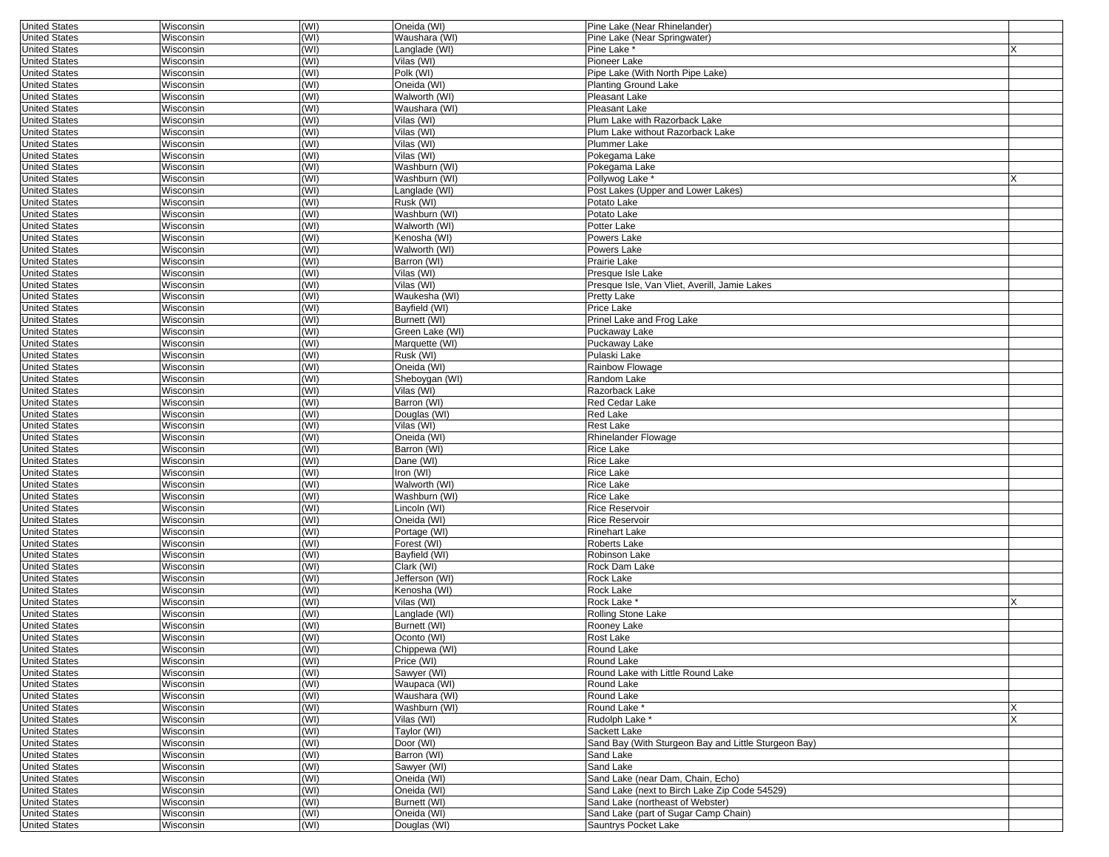| <b>United States</b> | Wisconsin        | (WI) | Oneida (WI)     | Pine Lake (Near Rhinelander)                         |   |
|----------------------|------------------|------|-----------------|------------------------------------------------------|---|
| <b>United States</b> | Wisconsin        | (WI) | Waushara (WI)   | Pine Lake (Near Springwater)                         |   |
| <b>United States</b> | Wisconsin        | (WI) | Langlade (WI)   | Pine Lake *                                          |   |
| <b>United States</b> | Wisconsin        | (WI) | Vilas (WI)      | Pioneer Lake                                         |   |
| <b>United States</b> | Wisconsin        | (WI) | Polk (WI)       | Pipe Lake (With North Pipe Lake)                     |   |
| <b>United States</b> | Wisconsin        | (WI) | Oneida (WI)     | <b>Planting Ground Lake</b>                          |   |
| <b>United States</b> | Wisconsin        | (WI) | Walworth (WI)   | Pleasant Lake                                        |   |
|                      |                  | (WI) |                 | Pleasant Lake                                        |   |
| <b>United States</b> | Wisconsin        |      | Waushara (WI)   |                                                      |   |
| <b>United States</b> | Wisconsin        | (WI) | Vilas (WI)      | Plum Lake with Razorback Lake                        |   |
| <b>United States</b> | Wisconsin        | (WI) | Vilas (WI)      | Plum Lake without Razorback Lake                     |   |
| <b>United States</b> | Wisconsin        | (WI) | Vilas (WI)      | Plummer Lake                                         |   |
| <b>United States</b> | Wisconsin        | (WI) | Vilas (WI)      | Pokegama Lake                                        |   |
| <b>United States</b> | Wisconsin        | (WI) | Washburn (WI)   | Pokegama Lake                                        |   |
| <b>United States</b> | Wisconsin        | (WI) | Washburn (WI)   | Pollywog Lake*                                       | x |
| <b>United States</b> | Wisconsin        | (WI) | Langlade (WI)   | Post Lakes (Upper and Lower Lakes)                   |   |
| <b>United States</b> | Wisconsin        | (WI) | Rusk (WI)       | Potato Lake                                          |   |
| <b>United States</b> | Wisconsin        | (WI) | Washburn (WI)   | Potato Lake                                          |   |
| <b>United States</b> | Wisconsin        | (WI) | Walworth (WI)   | Potter Lake                                          |   |
|                      |                  |      | Kenosha (WI)    | Powers Lake                                          |   |
| <b>United States</b> | Wisconsin        | (WI) |                 |                                                      |   |
| <b>United States</b> | Wisconsin        | (WI) | Walworth (WI)   | Powers Lake                                          |   |
| <b>United States</b> | Wisconsin        | (WI) | Barron (WI)     | Prairie Lake                                         |   |
| <b>United States</b> | Wisconsin        | (WI) | Vilas (WI)      | Presque Isle Lake                                    |   |
| <b>United States</b> | Wisconsin        | (WI) | Vilas (WI)      | Presque Isle, Van Vliet, Averill, Jamie Lakes        |   |
| <b>United States</b> | Wisconsin        | (WI) | Waukesha (WI)   | Pretty Lake                                          |   |
| <b>United States</b> | Wisconsin        | (WI) | Bayfield (WI)   | Price Lake                                           |   |
| <b>United States</b> | Wisconsin        | (WI) | Burnett (WI)    | Prinel Lake and Frog Lake                            |   |
| <b>United States</b> | Wisconsin        | (WI) | Green Lake (WI) | Puckaway Lake                                        |   |
| <b>United States</b> | Wisconsin        | (WI) | Marquette (WI)  | Puckaway Lake                                        |   |
| <b>United States</b> | Wisconsin        | (WI) | Rusk (WI)       | Pulaski Lake                                         |   |
| <b>United States</b> |                  | (WI) |                 |                                                      |   |
|                      | Wisconsin        |      | Oneida (WI)     | Rainbow Flowage                                      |   |
| <b>United States</b> | Wisconsin        | (WI) | Sheboygan (WI)  | Random Lake                                          |   |
| <b>United States</b> | Wisconsin        | (WI) | Vilas (WI)      | Razorback Lake                                       |   |
| <b>United States</b> | Wisconsin        | (WI) | Barron (WI)     | Red Cedar Lake                                       |   |
| <b>United States</b> | Wisconsin        | (WI) | Douglas (WI)    | Red Lake                                             |   |
| <b>United States</b> | Wisconsin        | (WI) | Vilas (WI)      | Rest Lake                                            |   |
| <b>United States</b> | Wisconsin        | (WI) | Oneida (WI)     | Rhinelander Flowage                                  |   |
| <b>United States</b> | Wisconsin        | (WI) | Barron (WI)     | Rice Lake                                            |   |
| <b>United States</b> | Wisconsin        | (WI) | Dane (WI)       | Rice Lake                                            |   |
| <b>United States</b> | Wisconsin        | (WI) | Iron (WI)       | Rice Lake                                            |   |
| <b>United States</b> | Wisconsin        | (WI) | Walworth (WI)   | Rice Lake                                            |   |
|                      | Wisconsin        | (WI) | Washburn (WI)   | Rice Lake                                            |   |
| <b>United States</b> |                  |      |                 |                                                      |   |
| <b>United States</b> | Wisconsin        | (WI) | Lincoln (WI)    | Rice Reservoir                                       |   |
| <b>United States</b> | Wisconsin        | (WI) | Oneida (WI)     | Rice Reservoir                                       |   |
| <b>United States</b> | Wisconsin        | (WI) | Portage (WI)    | Rinehart Lake                                        |   |
| <b>United States</b> | Wisconsin        | (WI) | Forest (WI)     | Roberts Lake                                         |   |
| <b>United States</b> | Wisconsin        | (WI) | Bayfield (WI)   | Robinson Lake                                        |   |
| <b>United States</b> | Wisconsin        | (WI) | Clark (WI)      | Rock Dam Lake                                        |   |
| <b>United States</b> | Wisconsin        | (WI) | Jefferson (WI)  | Rock Lake                                            |   |
| <b>United States</b> | Wisconsin        | (WI) | Kenosha (WI)    | Rock Lake                                            |   |
| <b>United States</b> | Wisconsin        | (WI) | Vilas (WI)      | Rock Lake *                                          |   |
| <b>United States</b> | Wisconsin        | (WI) | Langlade (WI)   | Rolling Stone Lake                                   |   |
|                      |                  |      |                 |                                                      |   |
| <b>United States</b> | Wisconsin        | (WI) | Burnett (WI)    | Rooney Lake                                          |   |
| <b>United States</b> | Wisconsin        | (WI) | Oconto (WI)     | Rost Lake                                            |   |
| United States        | Wisconsin        | (WI) | Chippewa (WI)   | Round Lake                                           |   |
| <b>United States</b> | Wisconsin        | (WI) | Price (WI)      | Round Lake                                           |   |
| <b>United States</b> | <b>Wisconsin</b> | (WI) | Sawyer (WI)     | Round Lake with Little Round Lake                    |   |
| <b>United States</b> | Wisconsin        | (WI) | Waupaca (WI)    | Round Lake                                           |   |
| <b>United States</b> | Wisconsin        | (WI) | Waushara (WI)   | Round Lake                                           |   |
| <b>United States</b> | Wisconsin        | (WI) | Washburn (WI)   | Round Lake *                                         | X |
| <b>United States</b> | Wisconsin        | (WI) | Vilas (WI)      | Rudolph Lake *                                       | X |
| <b>United States</b> | <b>Wisconsin</b> | (WI) | Taylor (WI)     | Sackett Lake                                         |   |
| <b>United States</b> | Wisconsin        | (WI) | Door (WI)       | Sand Bay (With Sturgeon Bay and Little Sturgeon Bay) |   |
| <b>United States</b> |                  |      |                 |                                                      |   |
|                      | Wisconsin        | (WI) | Barron (WI)     | Sand Lake                                            |   |
| <b>United States</b> | Wisconsin        | (WI) | Sawyer (WI)     | Sand Lake                                            |   |
| <b>United States</b> | Wisconsin        | (WI) | Oneida (WI)     | Sand Lake (near Dam, Chain, Echo)                    |   |
| <b>United States</b> | <b>Wisconsin</b> | (WI) | Oneida (WI)     | Sand Lake (next to Birch Lake Zip Code 54529)        |   |
| <b>United States</b> | Wisconsin        | (WI) | Burnett (WI)    | Sand Lake (northeast of Webster)                     |   |
| <b>United States</b> | Wisconsin        | (WI) | Oneida (WI)     | Sand Lake (part of Sugar Camp Chain)                 |   |
| <b>United States</b> | Wisconsin        | (WI) | Douglas (WI)    | Sauntrys Pocket Lake                                 |   |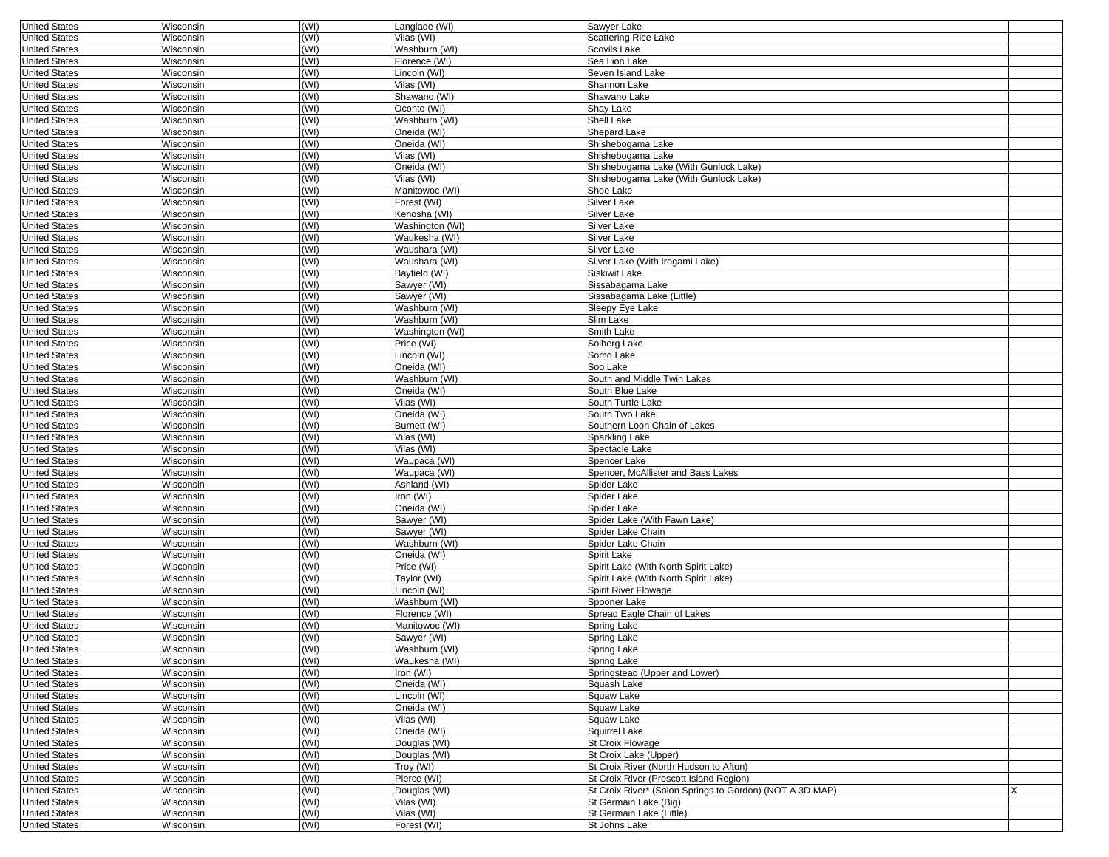| <b>United States</b> | Wisconsin | (WI) | Langlade (WI)   | Sawver Lake                                              |   |
|----------------------|-----------|------|-----------------|----------------------------------------------------------|---|
| <b>United States</b> | Wisconsin | (WI) | Vilas (WI)      | Scattering Rice Lake                                     |   |
| <b>United States</b> | Wisconsin | (WI) | Washburn (WI)   | Scovils Lake                                             |   |
| <b>United States</b> | Wisconsin | (WI) | Florence (WI)   | Sea Lion Lake                                            |   |
| <b>United States</b> | Wisconsin | (WI) | Lincoln (WI)    | Seven Island Lake                                        |   |
| <b>United States</b> | Wisconsin | (WI) | Vilas (WI)      | Shannon Lake                                             |   |
| <b>United States</b> | Wisconsin | (WI) | Shawano (WI)    | Shawano Lake                                             |   |
| <b>United States</b> | Wisconsin | (WI) | Oconto (WI)     | Shay Lake                                                |   |
|                      | Wisconsin |      |                 |                                                          |   |
| <b>United States</b> |           | (WI) | Washburn (WI)   | Shell Lake                                               |   |
| <b>United States</b> | Wisconsin | (WI) | Oneida (WI)     | Shepard Lake                                             |   |
| <b>United States</b> | Wisconsin | (WI) | Oneida (WI)     | Shishebogama Lake                                        |   |
| <b>United States</b> | Wisconsin | (WI) | Vilas (WI)      | Shishebogama Lake                                        |   |
| <b>United States</b> | Wisconsin | (WI) | Oneida (WI)     | Shishebogama Lake (With Gunlock Lake)                    |   |
| <b>United States</b> | Wisconsin | (WI) | Vilas (WI)      | Shishebogama Lake (With Gunlock Lake)                    |   |
| <b>United States</b> | Wisconsin | (WI) | Manitowoc (WI)  | Shoe Lake                                                |   |
| <b>United States</b> | Wisconsin | (WI) | Forest (WI)     | Silver Lake                                              |   |
| <b>United States</b> | Wisconsin | (WI) | Kenosha (WI)    | Silver Lake                                              |   |
| <b>United States</b> | Wisconsin | (WI) | Washington (WI) | Silver Lake                                              |   |
| <b>United States</b> | Wisconsin | (WI) | Waukesha (WI)   | Silver Lake                                              |   |
| <b>United States</b> | Wisconsin | (WI) | Waushara (WI)   | Silver Lake                                              |   |
| <b>United States</b> | Wisconsin | (WI) | Waushara (WI)   | Silver Lake (With Irogami Lake)                          |   |
|                      |           |      |                 |                                                          |   |
| <b>United States</b> | Wisconsin | (WI) | Bayfield (WI)   | Siskiwit Lake                                            |   |
| <b>United States</b> | Wisconsin | (WI) | Sawyer (WI)     | Sissabagama Lake                                         |   |
| <b>United States</b> | Wisconsin | (WI) | Sawyer (WI)     | Sissabagama Lake (Little)                                |   |
| <b>United States</b> | Wisconsin | (WI) | Washburn (WI)   | Sleepy Eye Lake                                          |   |
| <b>United States</b> | Wisconsin | (WI) | Washburn (WI)   | Slim Lake                                                |   |
| <b>United States</b> | Wisconsin | (WI) | Washington (WI) | Smith Lake                                               |   |
| <b>United States</b> | Wisconsin | (WI) | Price (WI)      | Solberg Lake                                             |   |
| <b>United States</b> | Wisconsin | (WI) | Lincoln (WI)    | Somo Lake                                                |   |
| <b>United States</b> | Wisconsin | (WI) | Oneida (WI)     | Soo Lake                                                 |   |
| <b>United States</b> | Wisconsin | (WI) | Washburn (WI)   | South and Middle Twin Lakes                              |   |
| <b>United States</b> | Wisconsin | (WI) | Oneida (WI)     | South Blue Lake                                          |   |
| <b>United States</b> | Wisconsin | (WI) | Vilas (WI)      | South Turtle Lake                                        |   |
|                      |           |      |                 |                                                          |   |
| <b>United States</b> | Wisconsin | (WI) | Oneida (WI)     | South Two Lake                                           |   |
| <b>United States</b> | Wisconsin | (WI) | Burnett (WI)    | Southern Loon Chain of Lakes                             |   |
| <b>United States</b> | Wisconsin | (WI) | Vilas (WI)      | Sparkling Lake                                           |   |
| <b>United States</b> | Wisconsin | (WI) | Vilas (WI)      | Spectacle Lake                                           |   |
| <b>United States</b> | Wisconsin | (WI) | Waupaca (WI)    | Spencer Lake                                             |   |
| <b>United States</b> | Wisconsin | (WI) | Waupaca (WI)    | Spencer, McAllister and Bass Lakes                       |   |
| <b>United States</b> | Wisconsin | (WI) | Ashland (WI)    | Spider Lake                                              |   |
| <b>United States</b> | Wisconsin | (WI) | Iron (WI)       | Spider Lake                                              |   |
| <b>United States</b> | Wisconsin | (WI) | Oneida (WI)     | Spider Lake                                              |   |
| <b>United States</b> | Wisconsin | (WI) | Sawyer (WI)     | Spider Lake (With Fawn Lake)                             |   |
| <b>United States</b> | Wisconsin | (WI) | Sawyer (WI)     | Spider Lake Chain                                        |   |
| <b>United States</b> | Wisconsin | (WI) | Washburn (WI)   | Spider Lake Chain                                        |   |
| <b>United States</b> | Wisconsin | (WI) | Oneida (WI)     | Spirit Lake                                              |   |
| <b>United States</b> | Wisconsin | (WI) | Price (WI)      | Spirit Lake (With North Spirit Lake)                     |   |
|                      |           |      |                 |                                                          |   |
| <b>United States</b> | Wisconsin | (WI) | Taylor (WI)     | Spirit Lake (With North Spirit Lake)                     |   |
| <b>United States</b> | Wisconsin | (WI) | Lincoln (WI)    | Spirit River Flowage                                     |   |
| <b>United States</b> | Wisconsin | (WI) | Washburn (WI)   | Spooner Lake                                             |   |
| <b>United States</b> | Wisconsin | (WI) | Florence (WI)   | Spread Eagle Chain of Lakes                              |   |
| <b>United States</b> | Wisconsin | (WI) | Manitowoc (WI)  | Spring Lake                                              |   |
| <b>United States</b> | Wisconsin | (WI) | Sawyer (WI)     | Spring Lake                                              |   |
| United States        | Wisconsin | (WI) | Washburn (WI)   | Spring Lake                                              |   |
| <b>United States</b> | Wisconsin | (WI) | Waukesha (WI)   | Spring Lake                                              |   |
| <b>United States</b> | Wisconsin | (WI) | Iron (WI)       | Springstead (Upper and Lower)                            |   |
| <b>United States</b> | Wisconsin | (WI) | Oneida (WI)     | Squash Lake                                              |   |
| <b>United States</b> | Wisconsin | (WI) | $Lincoln$ (WI)  | Squaw Lake                                               |   |
| <b>United States</b> | Wisconsin | (WI) | Oneida (WI)     | Squaw Lake                                               |   |
| <b>United States</b> | Wisconsin | (WI) | Vilas (WI)      | Squaw Lake                                               |   |
| <b>United States</b> | Wisconsin | (WI) | Oneida (WI)     | Squirrel Lake                                            |   |
|                      |           |      |                 |                                                          |   |
| <b>United States</b> | Wisconsin | (WI) | Douglas (WI)    | St Croix Flowage                                         |   |
| <b>United States</b> | Wisconsin | (WI) | Douglas (WI)    | St Croix Lake (Upper)                                    |   |
| <b>United States</b> | Wisconsin | (WI) | Troy (WI)       | St Croix River (North Hudson to Afton)                   |   |
| <b>United States</b> | Wisconsin | (WI) | Pierce (WI)     | St Croix River (Prescott Island Region)                  |   |
| <b>United States</b> | Wisconsin | (WI) | Douglas (WI)    | St Croix River* (Solon Springs to Gordon) (NOT A 3D MAP) | X |
| <b>United States</b> | Wisconsin | (WI) | Vilas (WI)      | St Germain Lake (Big)                                    |   |
| <b>United States</b> | Wisconsin | (WI) | Vilas (WI)      | St Germain Lake (Little)                                 |   |
| <b>United States</b> | Wisconsin | (WI) | Forest (WI)     | St Johns Lake                                            |   |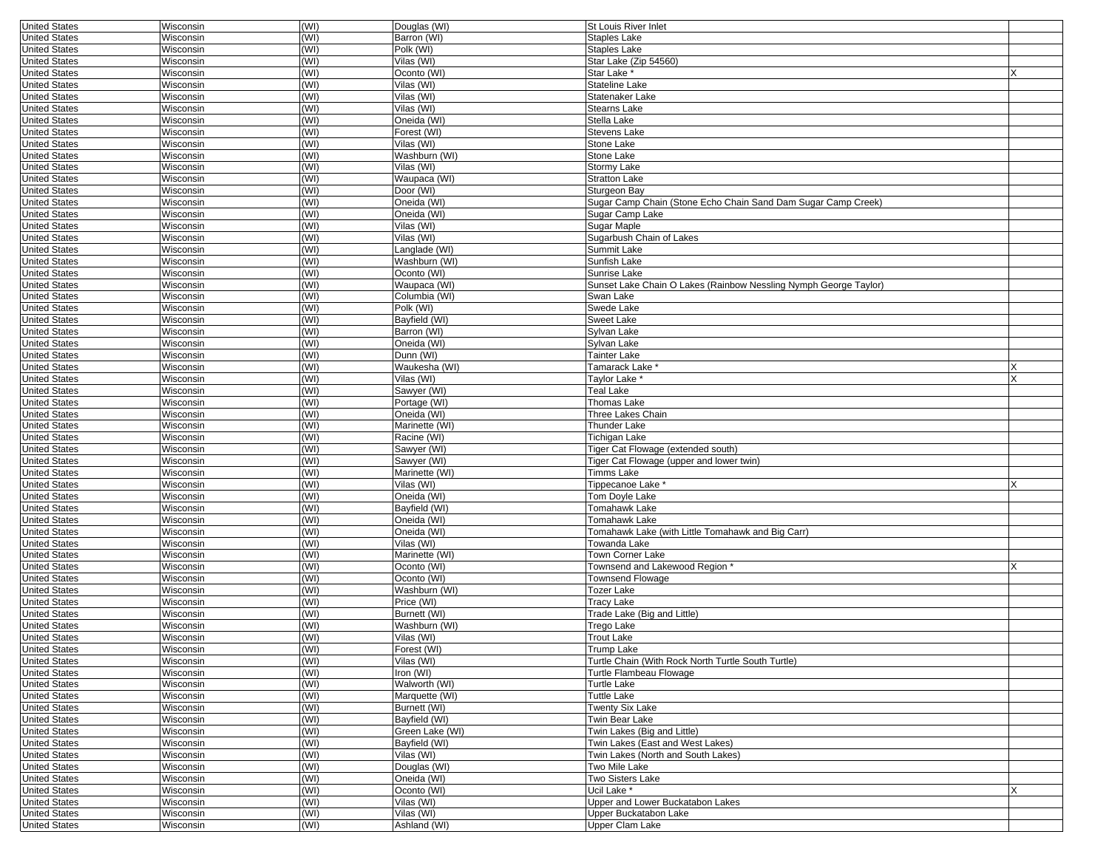| <b>United States</b> | Wisconsin        | (WI)         | Douglas (WI)    | <b>St Louis River Inlet</b>                                      |   |
|----------------------|------------------|--------------|-----------------|------------------------------------------------------------------|---|
| <b>United States</b> | Wisconsin        | (WI)         | Barron (WI)     | Staples Lake                                                     |   |
| <b>United States</b> | Wisconsin        | (WI)         | Polk (WI)       | Staples Lake                                                     |   |
| <b>United States</b> | Wisconsin        | (WI)         | Vilas (WI)      | Star Lake (Zip 54560)                                            |   |
| <b>United States</b> | Wisconsin        | (WI)         | Oconto (WI)     | Star Lake *                                                      |   |
| <b>United States</b> | Wisconsin        | (WI)         | Vilas (WI)      | Stateline Lake                                                   |   |
| <b>United States</b> | Wisconsin        | (WI)         | Vilas (WI)      | Statenaker Lake                                                  |   |
|                      | Wisconsin        | (WI)         | Vilas (WI)      | Stearns Lake                                                     |   |
| <b>United States</b> |                  |              |                 |                                                                  |   |
| <b>United States</b> | Wisconsin        | (WI)         | Oneida (WI)     | Stella Lake                                                      |   |
| <b>United States</b> | Wisconsin        | (WI)         | Forest (WI)     | Stevens Lake                                                     |   |
| <b>United States</b> | Wisconsin        | (WI)         | Vilas (WI)      | Stone Lake                                                       |   |
| <b>United States</b> | Wisconsin        | (WI)         | Washburn (WI)   | Stone Lake                                                       |   |
| <b>United States</b> | Wisconsin        | (WI)         | Vilas (WI)      | Stormy Lake                                                      |   |
| <b>United States</b> | Wisconsin        | (WI)         | Waupaca (WI)    | <b>Stratton Lake</b>                                             |   |
| <b>United States</b> | Wisconsin        | (WI)         | Door (WI)       | Sturgeon Bay                                                     |   |
| <b>United States</b> | Wisconsin        | (WI)         | Oneida (WI)     | Sugar Camp Chain (Stone Echo Chain Sand Dam Sugar Camp Creek)    |   |
| <b>United States</b> | Wisconsin        | (WI)         | Oneida (WI)     | Sugar Camp Lake                                                  |   |
|                      |                  | (WI)         |                 |                                                                  |   |
| <b>United States</b> | Wisconsin        |              | Vilas (WI)      | Sugar Maple                                                      |   |
| <b>United States</b> | Wisconsin        | (WI)         | Vilas (WI)      | Sugarbush Chain of Lakes                                         |   |
| <b>United States</b> | Wisconsin        | (WI)         | Langlade (WI)   | Summit Lake                                                      |   |
| <b>United States</b> | Wisconsin        | (WI)         | Washburn (WI)   | Sunfish Lake                                                     |   |
| <b>United States</b> | Wisconsin        | (WI)         | Oconto (WI)     | Sunrise Lake                                                     |   |
| <b>United States</b> | Wisconsin        | (WI)         | Waupaca (WI)    | Sunset Lake Chain O Lakes (Rainbow Nessling Nymph George Taylor) |   |
| <b>United States</b> | Wisconsin        | (WI)         | Columbia (WI)   | Swan Lake                                                        |   |
| <b>United States</b> | Wisconsin        | (WI)         | Polk (WI)       | Swede Lake                                                       |   |
| <b>United States</b> | Wisconsin        | (WI)         | Bayfield (WI)   | Sweet Lake                                                       |   |
|                      |                  |              |                 |                                                                  |   |
| <b>United States</b> | Wisconsin        | (WI)         | Barron (WI)     | Sylvan Lake                                                      |   |
| <b>United States</b> | Wisconsin        | (WI)         | Oneida (WI)     | Sylvan Lake                                                      |   |
| <b>United States</b> | Wisconsin        | (WI)         | Dunn (WI)       | Tainter Lake                                                     |   |
| <b>United States</b> | Wisconsin        | (WI)         | Waukesha (WI)   | Tamarack Lake *                                                  |   |
| <b>United States</b> | Wisconsin        | (WI)         | Vilas (WI)      | Taylor Lake                                                      | X |
| <b>United States</b> | Wisconsin        | (WI)         | Sawyer (WI)     | Teal Lake                                                        |   |
| <b>United States</b> | Wisconsin        | (WI)         | Portage (WI)    | Thomas Lake                                                      |   |
| <b>United States</b> | Wisconsin        | (WI)         | Oneida (WI)     | Three Lakes Chain                                                |   |
| <b>United States</b> | Wisconsin        | (WI)         | Marinette (WI)  | Thunder Lake                                                     |   |
|                      |                  | (WI)         |                 |                                                                  |   |
| <b>United States</b> | Wisconsin        |              | Racine (WI)     | Tichigan Lake                                                    |   |
| <b>United States</b> | Wisconsin        | (WI)         | Sawyer (WI)     | Tiger Cat Flowage (extended south)                               |   |
| <b>United States</b> | Wisconsin        | (WI)         | Sawyer (WI)     | Tiger Cat Flowage (upper and lower twin)                         |   |
| <b>United States</b> | Wisconsin        | (WI)         | Marinette (WI)  | Timms Lake                                                       |   |
| <b>United States</b> | Wisconsin        | (WI)         | Vilas (WI)      | Tippecanoe Lake *                                                |   |
| <b>United States</b> | Wisconsin        | (WI)         | Oneida (WI)     | <b>Tom Doyle Lake</b>                                            |   |
| <b>United States</b> | Wisconsin        | (WI)         | Bayfield (WI)   | Tomahawk Lake                                                    |   |
| <b>United States</b> | Wisconsin        | (WI)         | Oneida (WI)     | Tomahawk Lake                                                    |   |
| <b>United States</b> | Wisconsin        | (WI)         | Oneida (WI)     | Tomahawk Lake (with Little Tomahawk and Big Carr)                |   |
| <b>United States</b> | Wisconsin        | (WI)         | Vilas (WI)      | Towanda Lake                                                     |   |
|                      |                  |              |                 |                                                                  |   |
| <b>United States</b> | Wisconsin        | (WI)         | Marinette (WI)  | Town Corner Lake                                                 |   |
| <b>United States</b> | Wisconsin        | (WI)         | Oconto (WI)     | Townsend and Lakewood Region                                     |   |
| <b>United States</b> | Wisconsin        | (WI)         | Oconto (WI)     | <b>Townsend Flowage</b>                                          |   |
| <b>United States</b> | Wisconsin        | (WI)         | Washburn (WI)   | Tozer Lake                                                       |   |
| <b>United States</b> | Wisconsin        | (WI)         | Price (WI)      | Tracy Lake                                                       |   |
| <b>United States</b> | Wisconsin        | (WI)         | Burnett (WI)    | Trade Lake (Big and Little)                                      |   |
| <b>United States</b> | Wisconsin        | (WI)         | Washburn (WI)   | Trego Lake                                                       |   |
| <b>United States</b> | Wisconsin        | (WI)         | Vilas (WI)      | Trout Lake                                                       |   |
|                      |                  |              |                 |                                                                  |   |
| United States        | Wisconsin        | (WI)<br>(WI) | Forest (WI)     | I rump Lake                                                      |   |
| <b>United States</b> | Wisconsin        |              | Vilas (WI)      | Turtle Chain (With Rock North Turtle South Turtle)               |   |
| <b>United States</b> | Wisconsin        | (WI)         | Iron (WI)       | Turtle Flambeau Flowage                                          |   |
| <b>United States</b> | Wisconsin        | (WI)         | Walworth (WI)   | Turtle Lake                                                      |   |
| <b>United States</b> | Wisconsin        | (WI)         | Marquette (WI)  | Tuttle Lake                                                      |   |
| <b>United States</b> | Wisconsin        | (WI)         | Burnett (WI)    | Twenty Six Lake                                                  |   |
| <b>United States</b> | Wisconsin        | (WI)         | Bayfield (WI)   | Twin Bear Lake                                                   |   |
| <b>United States</b> | Wisconsin        | (WI)         | Green Lake (WI) | Twin Lakes (Big and Little)                                      |   |
| <b>United States</b> | Wisconsin        | (WI)         | Bayfield (WI)   | Twin Lakes (East and West Lakes)                                 |   |
| <b>United States</b> | Wisconsin        | (WI)         | Vilas (WI)      | Twin Lakes (North and South Lakes)                               |   |
| <b>United States</b> |                  |              | Douglas (WI)    |                                                                  |   |
|                      | Wisconsin        | (WI)         |                 | Two Mile Lake                                                    |   |
| <b>United States</b> | Wisconsin        | (WI)         | Oneida (WI)     | Two Sisters Lake                                                 |   |
| <b>United States</b> | <b>Wisconsin</b> | (WI)         | Oconto (WI)     | Ucil Lake <sup>*</sup>                                           | X |
| <b>United States</b> | Wisconsin        | (WI)         | Vilas (WI)      | Upper and Lower Buckatabon Lakes                                 |   |
| <b>United States</b> | Wisconsin        | (WI)         | Vilas (WI)      | Upper Buckatabon Lake                                            |   |
| <b>United States</b> | Wisconsin        | (WI)         | Ashland (WI)    | Upper Clam Lake                                                  |   |
|                      |                  |              |                 |                                                                  |   |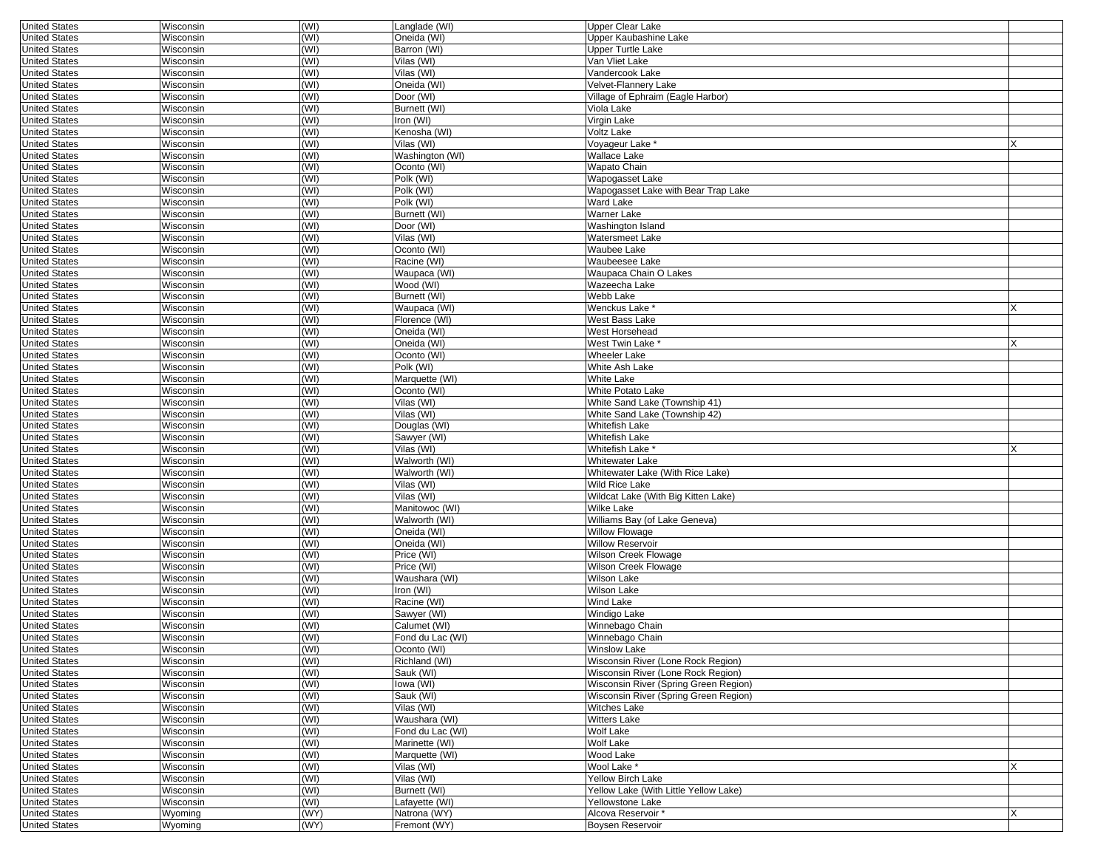| <b>United States</b> | Wisconsin        | (WI) | Langlade (WI)    | <b>Upper Clear Lake</b>               |   |
|----------------------|------------------|------|------------------|---------------------------------------|---|
| <b>United States</b> | Wisconsin        | (WI) | Oneida (WI)      | Upper Kaubashine Lake                 |   |
| <b>United States</b> | Wisconsin        | (WI) | Barron (WI)      | Upper Turtle Lake                     |   |
| <b>United States</b> | Wisconsin        | (WI) | Vilas (WI)       | Van Vliet Lake                        |   |
| <b>United States</b> | Wisconsin        | (WI) | Vilas (WI)       | Vandercook Lake                       |   |
| <b>United States</b> | Wisconsin        | (WI) | Oneida (WI)      | Velvet-Flannery Lake                  |   |
| <b>United States</b> | Wisconsin        | (WI) | Door (WI)        | Village of Ephraim (Eagle Harbor)     |   |
| <b>United States</b> | Wisconsin        | (WI) | Burnett (WI)     | Viola Lake                            |   |
|                      | Wisconsin        |      |                  |                                       |   |
| <b>United States</b> |                  | (WI) | Iron (WI)        | Virgin Lake                           |   |
| <b>United States</b> | Wisconsin        | (WI) | Kenosha (WI)     | Voltz Lake                            |   |
| <b>United States</b> | Wisconsin        | (WI) | Vilas (WI)       | Voyageur Lake*                        | X |
| <b>United States</b> | Wisconsin        | (WI) | Washington (WI)  | Wallace Lake                          |   |
| <b>United States</b> | Wisconsin        | (WI) | Oconto (WI)      | Wapato Chain                          |   |
| <b>United States</b> | Wisconsin        | (WI) | Polk (WI)        | Wapogasset Lake                       |   |
| <b>United States</b> | Wisconsin        | (WI) | Polk (WI)        | Wapogasset Lake with Bear Trap Lake   |   |
| <b>United States</b> | Wisconsin        | (WI) | Polk (WI)        | Ward Lake                             |   |
| <b>United States</b> | Wisconsin        | (WI) | Burnett (WI)     | Warner Lake                           |   |
| <b>United States</b> | Wisconsin        | (WI) | Door (WI)        | Washington Island                     |   |
| <b>United States</b> | Wisconsin        | (WI) | Vilas (WI)       | Watersmeet Lake                       |   |
| <b>United States</b> | Wisconsin        | (WI) | Oconto (WI)      | Waubee Lake                           |   |
| <b>United States</b> | Wisconsin        | (WI) | Racine (WI)      | Waubeesee Lake                        |   |
|                      |                  |      |                  |                                       |   |
| <b>United States</b> | Wisconsin        | (WI) | Waupaca (WI)     | Waupaca Chain O Lakes                 |   |
| <b>United States</b> | Wisconsin        | (WI) | Wood (WI)        | Wazeecha Lake                         |   |
| <b>United States</b> | Wisconsin        | (WI) | Burnett (WI)     | Webb Lake                             |   |
| <b>United States</b> | Wisconsin        | (WI) | Waupaca (WI)     | Wenckus Lake *                        |   |
| <b>United States</b> | Wisconsin        | (WI) | Florence (WI)    | West Bass Lake                        |   |
| <b>United States</b> | Wisconsin        | (WI) | Oneida (WI)      | West Horsehead                        |   |
| <b>United States</b> | Wisconsin        | (WI) | Oneida (WI)      | West Twin Lake *                      | X |
| <b>United States</b> | Wisconsin        | (WI) | Oconto (WI)      | Wheeler Lake                          |   |
| <b>United States</b> | Wisconsin        | (WI) | Polk (WI)        | White Ash Lake                        |   |
| <b>United States</b> | Wisconsin        | (WI) | Marquette (WI)   | White Lake                            |   |
| <b>United States</b> | Wisconsin        | (WI) | Oconto (WI)      | White Potato Lake                     |   |
| <b>United States</b> | Wisconsin        | (WI) | Vilas (WI)       | White Sand Lake (Township 41)         |   |
|                      |                  |      | Vilas (WI)       | White Sand Lake (Township 42)         |   |
| <b>United States</b> | Wisconsin        | (WI) |                  |                                       |   |
| <b>United States</b> | Wisconsin        | (WI) | Douglas (WI)     | Whitefish Lake                        |   |
| <b>United States</b> | Wisconsin        | (WI) | Sawyer (WI)      | Whitefish Lake                        |   |
| <b>United States</b> | Wisconsin        | (WI) | Vilas (WI)       | Whitefish Lake <sup>®</sup>           |   |
| <b>United States</b> | Wisconsin        | (WI) | Walworth (WI)    | Whitewater Lake                       |   |
| <b>United States</b> | Wisconsin        | (WI) | Walworth (WI)    | Whitewater Lake (With Rice Lake)      |   |
| <b>United States</b> | Wisconsin        | (WI) | Vilas (WI)       | Wild Rice Lake                        |   |
| <b>United States</b> | Wisconsin        | (WI) | Vilas (WI)       | Wildcat Lake (With Big Kitten Lake)   |   |
| <b>United States</b> | Wisconsin        | (WI) | Manitowoc (WI)   | Wilke Lake                            |   |
| <b>United States</b> | Wisconsin        | (WI) | Walworth (WI)    | Williams Bay (of Lake Geneva)         |   |
| <b>United States</b> | Wisconsin        | (WI) | Oneida (WI)      | <b>Willow Flowage</b>                 |   |
| <b>United States</b> | Wisconsin        | (WI) | Oneida (WI)      | Willow Reservoir                      |   |
| <b>United States</b> | Wisconsin        | (WI) | Price (WI)       | Wilson Creek Flowage                  |   |
| <b>United States</b> | Wisconsin        | (WI) | Price (WI)       | Wilson Creek Flowage                  |   |
|                      |                  |      |                  | Wilson Lake                           |   |
| <b>United States</b> | Wisconsin        | (WI) | Waushara (WI)    |                                       |   |
| <b>United States</b> | Wisconsin        | (WI) | Iron (WI)        | Wilson Lake                           |   |
| <b>United States</b> | Wisconsin        | (WI) | Racine (WI)      | Wind Lake                             |   |
| <b>United States</b> | Wisconsin        | (WI) | Sawver (WI)      | Windigo Lake                          |   |
| <b>United States</b> | Wisconsin        | (WI) | Calumet (WI)     | Winnebago Chain                       |   |
| <b>United States</b> | Wisconsin        | (WI) | Fond du Lac (WI) | Winnebago Chain                       |   |
| United States        | Wisconsin        | (WI) | Oconto (WI)      | Winslow Lake                          |   |
| <b>United States</b> | Wisconsin        | (WI) | Richland (WI)    | Wisconsin River (Lone Rock Region)    |   |
| <b>United States</b> | <b>Wisconsin</b> | (WI) | Sauk (WI)        | Wisconsin River (Lone Rock Region)    |   |
| <b>United States</b> | Wisconsin        | (WI) | lowa (WI)        | Wisconsin River (Spring Green Region) |   |
| <b>United States</b> | Wisconsin        | (WI) | Sauk (WI)        | Wisconsin River (Spring Green Region) |   |
| <b>United States</b> | Wisconsin        | (WI) | Vilas (WI)       | Witches Lake                          |   |
| <b>United States</b> | Wisconsin        | (WI) | Waushara (WI)    | Witters Lake                          |   |
| <b>United States</b> | Wisconsin        | (WI) | Fond du Lac (WI) | Wolf Lake                             |   |
|                      |                  |      |                  |                                       |   |
| <b>United States</b> | Wisconsin        | (WI) | Marinette (WI)   | Wolf Lake                             |   |
| <b>United States</b> | Wisconsin        | (WI) | Marquette (WI)   | Wood Lake                             |   |
| <b>United States</b> | Wisconsin        | (WI) | Vilas (WI)       | Wool Lake *                           | X |
| <b>United States</b> | Wisconsin        | (WI) | Vilas (WI)       | Yellow Birch Lake                     |   |
| <b>United States</b> | <b>Wisconsin</b> | (WI) | Burnett (WI)     | Yellow Lake (With Little Yellow Lake) |   |
| <b>United States</b> | Wisconsin        | (WI) | Lafayette (WI)   | Yellowstone Lake                      |   |
| <b>United States</b> | Wyoming          | (WY) | Natrona (WY)     | Alcova Reservoir *                    | X |
| <b>United States</b> | Wyoming          | (WY) | Fremont (WY)     | <b>Boysen Reservoir</b>               |   |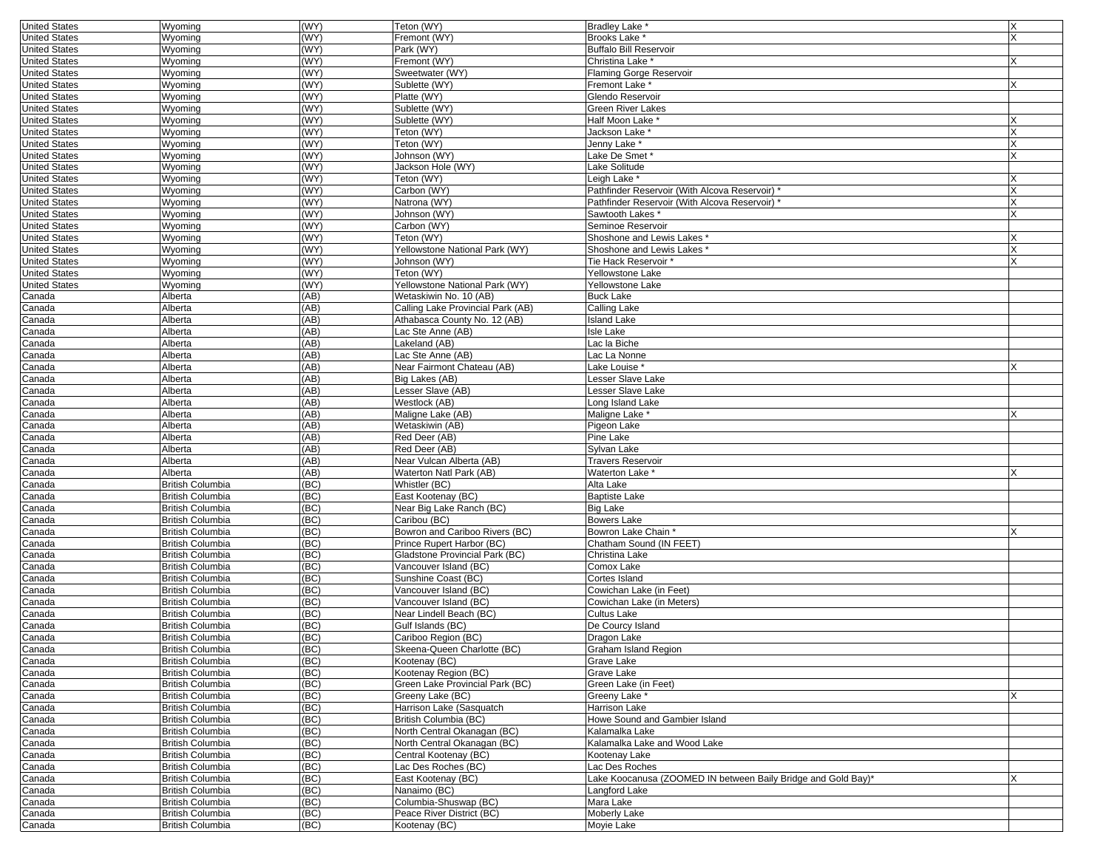| <b>United States</b> | Wyoming                 | (WY) | Teton (WY)                        | <b>Bradley Lake</b>                                           | ΙX |
|----------------------|-------------------------|------|-----------------------------------|---------------------------------------------------------------|----|
| <b>United States</b> | Wyoming                 | (WY) | Fremont (WY)                      | <b>Brooks Lake *</b>                                          |    |
| <b>United States</b> | Wyoming                 | (WY) | Park (WY)                         | <b>Buffalo Bill Reservoir</b>                                 |    |
| <b>United States</b> | Wyoming                 | (WY) | Fremont (WY)                      | Christina Lake *                                              |    |
|                      |                         | WY)  | Sweetwater (WY)                   |                                                               |    |
| <b>United States</b> | Wyoming                 |      |                                   | <b>Flaming Gorge Reservoir</b>                                |    |
| <b>United States</b> | Wyoming                 | (WY) | Sublette (WY)                     | Fremont Lake *                                                |    |
| <b>United States</b> | Wyoming                 | WY)  | Platte (WY)                       | Glendo Reservoir                                              |    |
| <b>United States</b> | Wyoming                 | WY)  | Sublette (WY)                     | Green River Lakes                                             |    |
| <b>United States</b> | Wyoming                 | (WY) | Sublette (WY)                     | Half Moon Lake *                                              |    |
| <b>United States</b> | Wyoming                 | WY)  | Teton (WY)                        | Jackson Lake *                                                |    |
| <b>United States</b> | Wyoming                 | (WY) | Teton (WY)                        | Jenny Lake <sup>*</sup>                                       |    |
| <b>United States</b> | Wyoming                 | WY)  | Johnson (WY)                      | Lake De Smet <sup>*</sup>                                     |    |
| <b>United States</b> | Wyoming                 | (WY) | Jackson Hole (WY)                 | Lake Solitude                                                 |    |
| <b>United States</b> | Wyoming                 | (WY) | Teton (WY)                        | Leigh Lake <sup>*</sup>                                       |    |
|                      |                         | WY)  |                                   |                                                               |    |
| <b>United States</b> | Wyoming                 |      | Carbon (WY)                       | Pathfinder Reservoir (With Alcova Reservoir) *                |    |
| <b>United States</b> | Wyoming                 | WY)  | Natrona (WY)                      | Pathfinder Reservoir (With Alcova Reservoir) *                |    |
| <b>United States</b> | Wyoming                 | WY)  | Johnson (WY)                      | Sawtooth Lakes *                                              |    |
| <b>United States</b> | Wyoming                 | (WY) | Carbon (WY)                       | Seminoe Reservoir                                             |    |
| <b>United States</b> | Wyoming                 | (WY) | Teton (WY)                        | Shoshone and Lewis Lakes *                                    |    |
| <b>United States</b> | Wyoming                 | (WY) | Yellowstone National Park (WY)    | Shoshone and Lewis Lakes '                                    |    |
| <b>United States</b> | Wyoming                 | (WY) | Johnson (WY)                      | Tie Hack Reservoir *                                          |    |
| <b>United States</b> | Wyoming                 | (WY) | Teton (WY)                        | Yellowstone Lake                                              |    |
| <b>United States</b> | Wyoming                 | (WY) | Yellowstone National Park (WY)    | Yellowstone Lake                                              |    |
| Canada               | Alberta                 | (AB) | Wetaskiwin No. 10 (AB)            | <b>Buck Lake</b>                                              |    |
|                      |                         |      |                                   |                                                               |    |
| Canada               | Alberta                 | (AB) | Calling Lake Provincial Park (AB) | Calling Lake                                                  |    |
| Canada               | Alberta                 | (AB) | Athabasca County No. 12 (AB)      | <b>Island Lake</b>                                            |    |
| Canada               | Alberta                 | (AB) | Lac Ste Anne (AB)                 | <b>Isle Lake</b>                                              |    |
| Canada               | Alberta                 | (AB) | Lakeland (AB)                     | Lac la Biche                                                  |    |
| Canada               | Alberta                 | (AB) | Lac Ste Anne (AB)                 | Lac La Nonne                                                  |    |
| Canada               | Alberta                 | (AB) | Near Fairmont Chateau (AB)        | Lake Louise *                                                 |    |
| Canada               | Alberta                 | (AB) | Big Lakes (AB)                    | Lesser Slave Lake                                             |    |
| Canada               | Alberta                 | (AB) | Lesser Slave (AB)                 | Lesser Slave Lake                                             |    |
| Canada               | Alberta                 | (AB) | Westlock (AB)                     | Long Island Lake                                              |    |
| Canada               | Alberta                 | (AB) | Maligne Lake (AB)                 | Maligne Lake <sup>®</sup>                                     |    |
|                      |                         |      |                                   |                                                               |    |
| Canada               | Alberta                 | (AB) | Wetaskiwin (AB)                   | Pigeon Lake                                                   |    |
| Canada               | Alberta                 | (AB) | Red Deer (AB)                     | Pine Lake                                                     |    |
| Canada               | Alberta                 | (AB) | Red Deer (AB)                     | Sylvan Lake                                                   |    |
| Canada               | Alberta                 | (AB) | Near Vulcan Alberta (AB)          | <b>Travers Reservoir</b>                                      |    |
| Canada               | Alberta                 | (AB) | Waterton Natl Park (AB)           | Waterton Lake *                                               |    |
| Canada               | <b>British Columbia</b> | (BC) | Whistler (BC)                     | Alta Lake                                                     |    |
| Canada               | <b>British Columbia</b> | (BC) | East Kootenay (BC)                | <b>Baptiste Lake</b>                                          |    |
| Canada               | <b>British Columbia</b> | (BC) | Near Big Lake Ranch (BC)          | <b>Big Lake</b>                                               |    |
| Canada               | <b>British Columbia</b> | (BC) | Caribou (BC)                      | Bowers Lake                                                   |    |
| Canada               | <b>British Columbia</b> | (BC) | Bowron and Cariboo Rivers (BC)    | Bowron Lake Chain *                                           |    |
| Canada               | <b>British Columbia</b> | (BC) | Prince Rupert Harbor (BC)         | Chatham Sound (IN FEET)                                       |    |
|                      |                         | (BC) |                                   | Christina Lake                                                |    |
| Canada               | <b>British Columbia</b> |      | Gladstone Provincial Park (BC)    |                                                               |    |
| Canada               | <b>British Columbia</b> | (BC) | Vancouver Island (BC)             | Comox Lake                                                    |    |
| Canada               | <b>British Columbia</b> | (BC) | Sunshine Coast (BC)               | Cortes Island                                                 |    |
| Canada               | <b>British Columbia</b> | (BC) | Vancouver Island (BC)             | Cowichan Lake (in Feet)                                       |    |
| Canada               | <b>British Columbia</b> | (BC) | Vancouver Island (BC)             | Cowichan Lake (in Meters)                                     |    |
| Canada               | <b>British Columbia</b> | (BC) | Near Lindell Beach (BC)           | Cultus Lake                                                   |    |
| Canada               | <b>British Columbia</b> | (BC) | Gulf Islands (BC)                 | De Courcy Island                                              |    |
| Canada               | <b>British Columbia</b> | (BC) | Cariboo Region (BC)               | Dragon Lake                                                   |    |
| Canada               | <b>British Columbia</b> | (BC) | Skeena-Queen Charlotte (BC)       | Graham Island Region                                          |    |
| Canada               | <b>British Columbia</b> | (BC) | Kootenay (BC)                     | Grave Lake                                                    |    |
| Canada               | <b>British Columbia</b> | (BC) | Kootenay Region (BC)              | Grave Lake                                                    |    |
|                      |                         |      |                                   |                                                               |    |
| Canada               | <b>British Columbia</b> | (BC) | Green Lake Provincial Park (BC)   | Green Lake (in Feet)                                          |    |
| Canada               | <b>British Columbia</b> | (BC) | Greeny Lake (BC)                  | Greeny Lake *                                                 |    |
| Canada               | <b>British Columbia</b> | (BC) | Harrison Lake (Sasquatch          | <b>Harrison Lake</b>                                          |    |
| Canada               | <b>British Columbia</b> | (BC) | British Columbia (BC)             | Howe Sound and Gambier Island                                 |    |
| Canada               | <b>British Columbia</b> | (BC) | North Central Okanagan (BC)       | Kalamalka Lake                                                |    |
| Canada               | <b>British Columbia</b> | (BC) | North Central Okanagan (BC)       | Kalamalka Lake and Wood Lake                                  |    |
| Canada               | <b>British Columbia</b> | (BC) | Central Kootenay (BC)             | Kootenay Lake                                                 |    |
| Canada               | <b>British Columbia</b> | (BC) | Lac Des Roches (BC)               | Lac Des Roches                                                |    |
| Canada               | <b>British Columbia</b> | (BC) | East Kootenay (BC)                | Lake Koocanusa (ZOOMED IN between Baily Bridge and Gold Bay)* |    |
| Canada               | <b>British Columbia</b> | (BC) | Nanaimo (BC)                      | Langford Lake                                                 |    |
| Canada               |                         | (BC) | Columbia-Shuswap (BC)             |                                                               |    |
|                      | <b>British Columbia</b> |      |                                   | Mara Lake                                                     |    |
| Canada               | <b>British Columbia</b> | (BC) | Peace River District (BC)         | Moberly Lake                                                  |    |
| Canada               | <b>British Columbia</b> | (BC) | Kootenay (BC)                     | Movie Lake                                                    |    |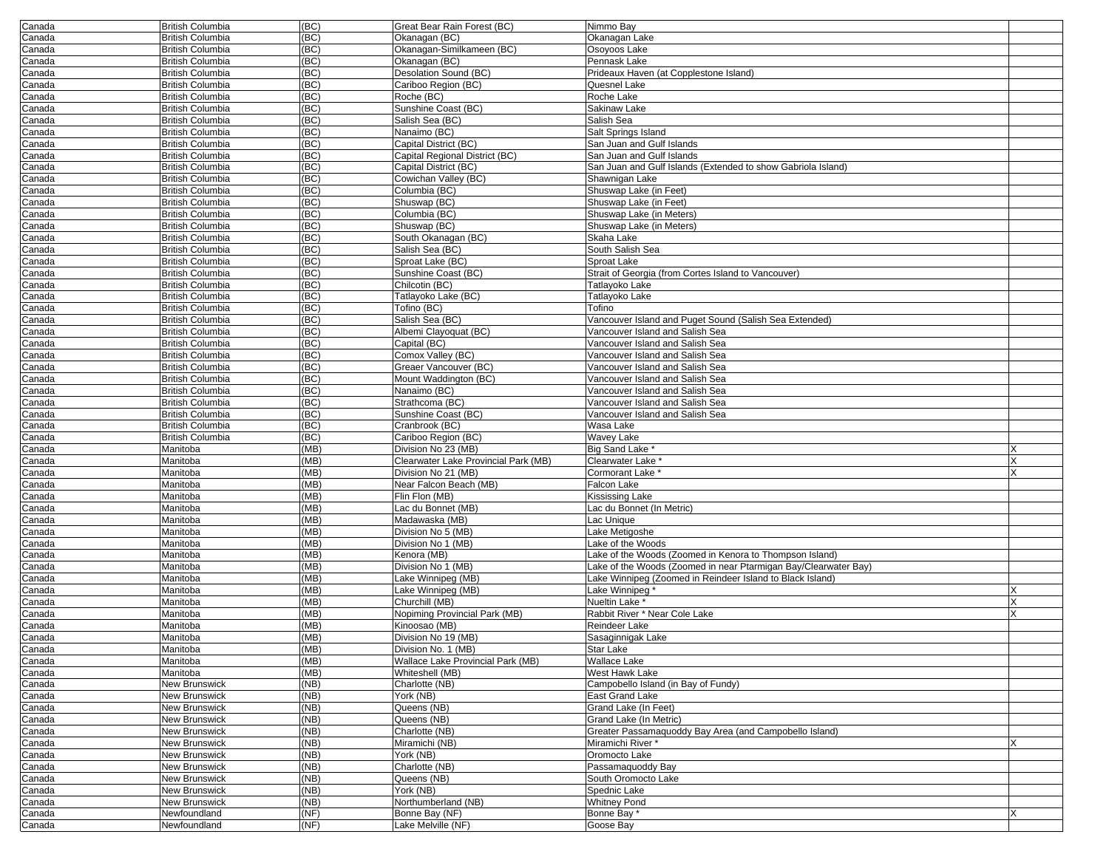| Canada           | <b>British Columbia</b>                     | (BC)         | Great Bear Rain Forest (BC)              | Nimmo Bay                                                       |   |
|------------------|---------------------------------------------|--------------|------------------------------------------|-----------------------------------------------------------------|---|
| Canada           | British Columbia                            | (BC)         | Okanagan (BC)                            | Okanagan Lake                                                   |   |
| Canada           | <b>British Columbia</b>                     | (BC)         | Okanagan-Similkameen (BC)                | Osoyoos Lake                                                    |   |
| Canada           | British Columbia                            | (BC)         | Okanagan (BC)                            | Pennask Lake                                                    |   |
| Canada           | <b>British Columbia</b>                     | (BC)         | Desolation Sound (BC)                    | Prideaux Haven (at Copplestone Island)                          |   |
| Canada           | <b>British Columbia</b>                     | (BC)         | Cariboo Region (BC)                      | Quesnel Lake                                                    |   |
| Canada           | <b>British Columbia</b>                     | (BC)         | Roche (BC)                               | Roche Lake                                                      |   |
| Canada           | <b>British Columbia</b>                     | (BC)         | Sunshine Coast (BC)                      | Sakinaw Lake                                                    |   |
| Canada           | British Columbia<br><b>British Columbia</b> | (BC)         | Salish Sea (BC)                          | Salish Sea                                                      |   |
| Canada           | <b>British Columbia</b>                     | (BC)<br>(BC) | Nanaimo (BC)<br>Capital District (BC)    | Salt Springs Island<br>San Juan and Gulf Islands                |   |
| Canada<br>Canada | British Columbia                            | (BC)         | Capital Regional District (BC)           | San Juan and Gulf Islands                                       |   |
|                  | <b>British Columbia</b>                     | (BC)         | Capital District (BC)                    | San Juan and Gulf Islands (Extended to show Gabriola Island)    |   |
| Canada<br>Canada | British Columbia                            | (BC)         | Cowichan Valley (BC)                     | Shawnigan Lake                                                  |   |
| Canada           | <b>British Columbia</b>                     | (BC)         | Columbia (BC)                            | Shuswap Lake (in Feet)                                          |   |
| Canada           | <b>British Columbia</b>                     | (BC)         | Shuswap (BC)                             | Shuswap Lake (in Feet)                                          |   |
| Canada           | British Columbia                            | (BC)         | Columbia (BC)                            | Shuswap Lake (in Meters)                                        |   |
| Canada           | <b>British Columbia</b>                     | (BC)         | Shuswap (BC)                             | Shuswap Lake (in Meters)                                        |   |
| Canada           | British Columbia                            | (BC)         | South Okanagan (BC)                      | Skaha Lake                                                      |   |
| Canada           | <b>British Columbia</b>                     | (BC)         | Salish Sea (BC)                          | South Salish Sea                                                |   |
| Canada           | <b>British Columbia</b>                     | (BC)         | Sproat Lake (BC)                         | Sproat Lake                                                     |   |
| Canada           | <b>British Columbia</b>                     | (BC)         | Sunshine Coast (BC)                      | Strait of Georgia (from Cortes Island to Vancouver)             |   |
| Canada           | <b>British Columbia</b>                     | (BC)         | Chilcotin (BC)                           | Tatlayoko Lake                                                  |   |
| Canada           | British Columbia                            | (BC)         | Tatlayoko Lake (BC)                      | Tatlayoko Lake                                                  |   |
| Canada           | <b>British Columbia</b>                     | (BC)         | Tofino (BC)                              | Tofino                                                          |   |
| Canada           | <b>British Columbia</b>                     | (BC)         | Salish Sea (BC)                          | Vancouver Island and Puget Sound (Salish Sea Extended)          |   |
| Canada           | British Columbia                            | (BC)         | Albemi Clayoquat (BC)                    | Vancouver Island and Salish Sea                                 |   |
| Canada           | <b>British Columbia</b>                     | (BC)         | Capital (BC)                             | Vancouver Island and Salish Sea                                 |   |
| Canada           | British Columbia                            | (BC)         | Comox Valley (BC)                        | Vancouver Island and Salish Sea                                 |   |
| Canada           | <b>British Columbia</b>                     | (BC)         | Greaer Vancouver (BC)                    | Vancouver Island and Salish Sea                                 |   |
| Canada           | <b>British Columbia</b>                     | (BC)         | Mount Waddington (BC)                    | Vancouver Island and Salish Sea                                 |   |
| Canada           | British Columbia                            | (BC)         | Nanaimo (BC)                             | Vancouver Island and Salish Sea                                 |   |
| Canada           | <b>British Columbia</b>                     | (BC)         | Strathcoma (BC)                          | Vancouver Island and Salish Sea                                 |   |
| Canada           | British Columbia                            | (BC)         | Sunshine Coast (BC)                      | Vancouver Island and Salish Sea                                 |   |
| Canada           | <b>British Columbia</b>                     | (BC)         | Cranbrook (BC)                           | Wasa Lake                                                       |   |
| Canada           | <b>British Columbia</b>                     | (BC)         | Cariboo Region (BC)                      | <b>Wavey Lake</b>                                               |   |
| Canada           | Manitoba                                    | (MB)         | Division No 23 (MB)                      | Big Sand Lake *                                                 |   |
| Canada           | Manitoba                                    | (MB)         | Clearwater Lake Provincial Park (MB)     | Clearwater Lake *                                               |   |
| Canada           | Manitoba                                    | (MB)         | Division No 21 (MB)                      | Cormorant Lake <sup>*</sup>                                     |   |
| Canada           | Manitoba                                    | (MB)         | Near Falcon Beach (MB)                   | Falcon Lake                                                     |   |
| Canada           | Manitoba                                    | (MB)         | Flin Flon (MB)                           | Kississing Lake                                                 |   |
| Canada           | Manitoba                                    | (MB)         | ac du Bonnet (MB)                        | Lac du Bonnet (In Metric)                                       |   |
| Canada           | Manitoba                                    | (MB)         | Madawaska (MB)                           | Lac Unique                                                      |   |
| Canada           | Manitoba                                    | (MB)         | Division No 5 (MB)                       | Lake Metigoshe                                                  |   |
| Canada           | Manitoba                                    | (MB)         | Division No 1 (MB)                       | ake of the Woods                                                |   |
| Canada           | Manitoba                                    | (MB)         | Kenora (MB)<br>Division No 1 (MB)        | Lake of the Woods (Zoomed in Kenora to Thompson Island)         |   |
| Canada           | Manitoba                                    | (MB)<br>(MB) |                                          | Lake of the Woods (Zoomed in near Ptarmigan Bay/Clearwater Bay) |   |
| Canada           | Manitoba                                    |              | Lake Winnipeg (MB)<br>Lake Winnipeg (MB) | Lake Winnipeg (Zoomed in Reindeer Island to Black Island)       |   |
| Canada<br>Canada | Manitoba<br>Manitoba                        | (MB)<br>(MB) | Churchill (MB)                           | Lake Winnipeg<br>Nueltin Lake *                                 |   |
| Canada           | Manitoba                                    | (MB)         | Nopiming Provincial Park (MB)            | Rabbit River * Near Cole Lake                                   |   |
| Canada           | Manitoba                                    | (MB)         | Kinoosao (MB)                            | Reindeer Lake                                                   |   |
| Canada           | Manitoba                                    | (MB)         | Division No 19 (MB)                      | Sasaginnigak Lake                                               |   |
| Canada           | Manitoba                                    | (MB)         | Division No. 1 (MB)                      | Star Lake                                                       |   |
| Canada           | Manitoba                                    | (MB)         | Wallace Lake Provincial Park (MB)        | <b>Wallace Lake</b>                                             |   |
| Canada           | Manitoba                                    | (MB)         | Whiteshell (MB)                          | <b>West Hawk Lake</b>                                           |   |
| Canada           | New Brunswick                               | (NB)         | Charlotte (NB)                           | Campobello Island (in Bay of Fundy)                             |   |
| Canada           | New Brunswick                               | (NB)         | York (NB)                                | East Grand Lake                                                 |   |
| Canada           | New Brunswick                               | (NB)         | Queens (NB)                              | Grand Lake (In Feet)                                            |   |
| Canada           | <b>New Brunswick</b>                        | (NB)         | Queens (NB)                              | Grand Lake (In Metric)                                          |   |
| Canada           | New Brunswick                               | (NB)         | Charlotte (NB)                           | Greater Passamaquoddy Bay Area (and Campobello Island)          |   |
| Canada           | New Brunswick                               | (NB)         | Miramichi (NB)                           | Miramichi River*                                                |   |
| Canada           | New Brunswick                               | (NB)         | York (NB)                                | Oromocto Lake                                                   |   |
| Canada           | New Brunswick                               | (NB)         | Charlotte (NB)                           | Passamaquoddy Bay                                               |   |
| Canada           | New Brunswick                               | (NB)         | Queens (NB)                              | South Oromocto Lake                                             |   |
| Canada           | New Brunswick                               | (NB)         | York (NB)                                | Spednic Lake                                                    |   |
| Canada           | New Brunswick                               | (NB)         | Northumberland (NB)                      | <b>Whitney Pond</b>                                             |   |
| Canada           | Newfoundland                                | (NF)         | Bonne Bay (NF)                           | Bonne Bay *                                                     | Χ |
|                  | Newfoundland                                | (NF)         | Lake Melville (NF)                       | Goose Bay                                                       |   |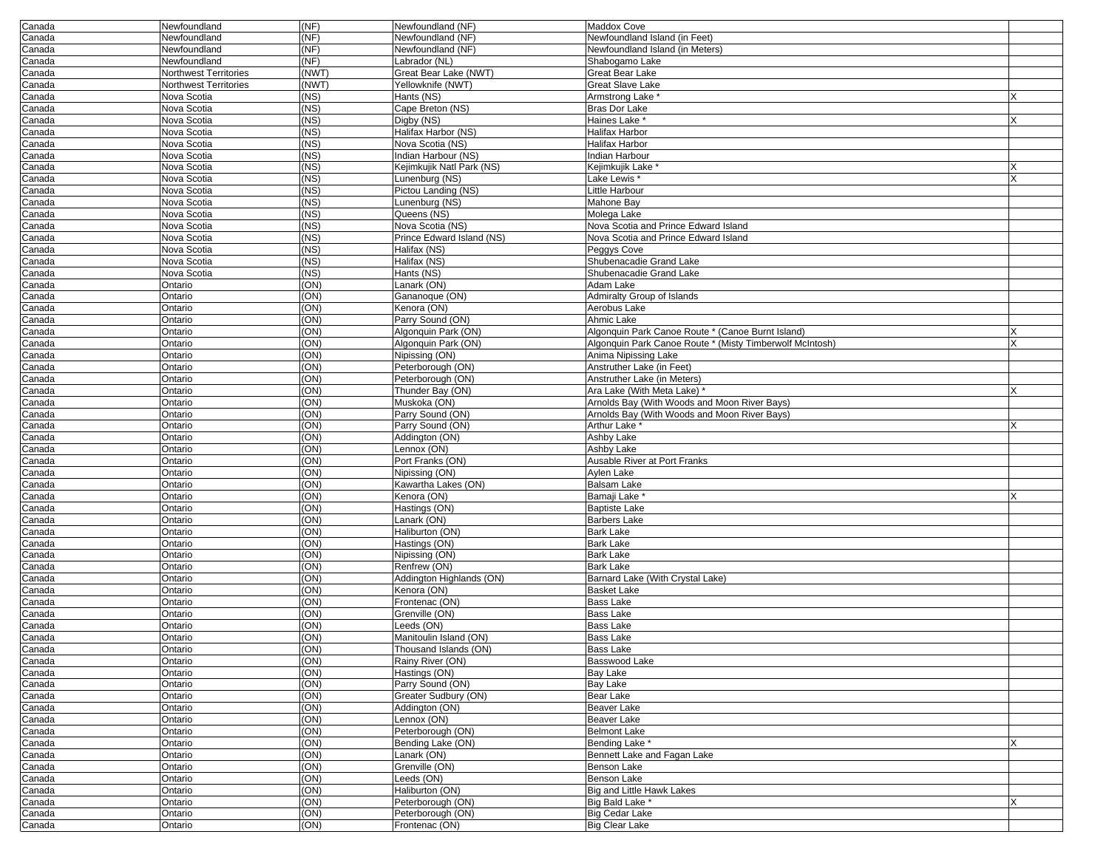| Canada           | Newfoundland                 | (NF)         | Newfoundland (NF)                   | <b>Maddox Cove</b>                                                               |  |
|------------------|------------------------------|--------------|-------------------------------------|----------------------------------------------------------------------------------|--|
| Canada           | Newfoundland                 | (NF)         | Newfoundland (NF)                   | Newfoundland Island (in Feet)                                                    |  |
| Canada           | Newfoundland                 | (NF)         | Newfoundland (NF)                   | Newfoundland Island (in Meters)                                                  |  |
| Canada           | Newfoundland                 | (NF)         | Labrador (NL)                       | Shabogamo Lake                                                                   |  |
| Canada           | Northwest Territories        | (NWT)        | Great Bear Lake (NWT)               | Great Bear Lake                                                                  |  |
| Canada           | <b>Northwest Territories</b> | (NWT)        | Yellowknife (NWT)                   | <b>Great Slave Lake</b>                                                          |  |
| Canada           | Nova Scotia                  | (NS)         | Hants (NS)                          | Armstrong Lake *                                                                 |  |
| Canada           | Nova Scotia                  | (NS)         | Cape Breton (NS)                    | <b>Bras Dor Lake</b>                                                             |  |
| Canada           | Nova Scotia                  | (NS)         | Digby (NS)                          | Haines Lake *                                                                    |  |
| Canada           | Nova Scotia                  | (NS)         | Halifax Harbor (NS)                 | Halifax Harbor                                                                   |  |
| Canada           | Nova Scotia                  | (NS)         | Nova Scotia (NS)                    | Halifax Harbor                                                                   |  |
| Canada           | Nova Scotia                  | (NS)         | Indian Harbour (NS)                 | Indian Harbour                                                                   |  |
| Canada           | Nova Scotia                  | (NS)         | Kejimkujik Natl Park (NS)           | Kejimkujik Lake <sup>*</sup>                                                     |  |
| Canada           | Nova Scotia                  | (NS)         | Lunenburg (NS)                      | Lake Lewis *                                                                     |  |
| Canada           | Nova Scotia                  | (NS)         | Pictou Landing (NS)                 | Little Harbour                                                                   |  |
| Canada           | Nova Scotia                  | (NS)         | Lunenburg (NS)                      | Mahone Bay                                                                       |  |
| Canada           | Nova Scotia                  | (NS)         | Queens (NS)                         | Molega Lake                                                                      |  |
| Canada           | Nova Scotia                  | (NS)         | Nova Scotia (NS)                    | Nova Scotia and Prince Edward Island                                             |  |
| Canada           | Nova Scotia                  | (NS)         | Prince Edward Island (NS)           | Nova Scotia and Prince Edward Island                                             |  |
| Canada           | Nova Scotia                  | (NS)         | Halifax (NS)                        | Peggys Cove                                                                      |  |
| Canada           | Nova Scotia                  | (NS)         | Halifax (NS)                        | Shubenacadie Grand Lake                                                          |  |
| Canada           | Nova Scotia                  | (NS)         | Hants (NS)                          | Shubenacadie Grand Lake                                                          |  |
| Canada           | Ontario                      | (ON)         | Lanark (ON)                         | Adam Lake                                                                        |  |
| Canada           | Ontario                      | (ON)         | Gananoque (ON)                      | <b>Admiralty Group of Islands</b>                                                |  |
| Canada           | Ontario                      | (ON)         | Kenora (ON)                         | Aerobus Lake                                                                     |  |
| Canada           | Ontario                      | (ON)         | Parry Sound (ON)                    | Ahmic Lake                                                                       |  |
| Canada           | Ontario                      | (ON)<br>(ON) | Algonquin Park (ON)                 | Algonquin Park Canoe Route * (Canoe Burnt Island)                                |  |
| Canada           | Ontario<br>Ontario           | (ON)         | Algonquin Park (ON)                 | Algonquin Park Canoe Route * (Misty Timberwolf McIntosh)<br>Anima Nipissing Lake |  |
| Canada<br>Canada | Ontario                      | (ON)         | Nipissing (ON)<br>Peterborough (ON) | Anstruther Lake (in Feet)                                                        |  |
| Canada           | Ontario                      | (ON)         | Peterborough (ON)                   | Anstruther Lake (in Meters)                                                      |  |
| Canada           | Ontario                      | (ON)         | Thunder Bay (ON)                    | Ara Lake (With Meta Lake)                                                        |  |
| Canada           | Ontario                      | (ON)         | Muskoka (ON)                        | Arnolds Bay (With Woods and Moon River Bays)                                     |  |
| Canada           | Ontario                      | (ON)         | Parry Sound (ON)                    | Arnolds Bay (With Woods and Moon River Bays)                                     |  |
| Canada           | Ontario                      | (ON)         | Parry Sound (ON)                    | Arthur Lake <sup>*</sup>                                                         |  |
| Canada           | Ontario                      | (ON)         | Addington (ON)                      | Ashby Lake                                                                       |  |
| Canada           | Ontario                      | (ON)         | _ennox (ON)                         | Ashby Lake                                                                       |  |
| Canada           | Ontario                      | (ON)         | Port Franks (ON)                    | Ausable River at Port Franks                                                     |  |
| Canada           | Ontario                      | (ON)         | Nipissing (ON)                      | <b>Aylen Lake</b>                                                                |  |
| Canada           | Ontario                      | (ON)         | Kawartha Lakes (ON)                 | <b>Balsam Lake</b>                                                               |  |
| Canada           | Ontario                      | (ON)         | Kenora (ON)                         | Bamaji Lake <sup>*</sup>                                                         |  |
| Canada           | Ontario                      | (ON)         | Hastings (ON)                       | <b>Baptiste Lake</b>                                                             |  |
| Canada           | Ontario                      | (ON)         | Lanark (ON)                         | <b>Barbers Lake</b>                                                              |  |
| Canada           | Ontario                      | (ON)         | Haliburton (ON)                     | <b>Bark Lake</b>                                                                 |  |
| Canada           | Ontario                      | (ON)         | Hastings (ON)                       | <b>Bark Lake</b>                                                                 |  |
| Canada           | Ontario                      | (ON)         | Nipissing (ON)                      | <b>Bark Lake</b>                                                                 |  |
| Canada           | Ontario                      | (ON)         | Renfrew (ON)                        | <b>Bark Lake</b>                                                                 |  |
| Canada           | Ontario                      | (ON)         | Addington Highlands (ON)            | Barnard Lake (With Crystal Lake)                                                 |  |
| Canada           | Ontario                      | (ON)         | Kenora (ON)                         | <b>Basket Lake</b>                                                               |  |
| Canada           | Ontario                      | (ON)         | Frontenac (ON)                      | <b>Bass Lake</b>                                                                 |  |
| Canada           | Ontario                      | (ON)         | Grenville (ON)                      | <b>Bass Lake</b>                                                                 |  |
| Canada           | Ontario                      | (ON)         | Leeds (ON)                          | Bass Lake                                                                        |  |
| Canada           | Ontario                      | (ON)         | Manitoulin Island (ON)              | <b>Bass Lake</b>                                                                 |  |
| Canada           | Ontario                      | (ON)         | Thousand Islands (ON)               | Bass Lake                                                                        |  |
| Canada           | Ontario                      | (ON)         | Rainy River (ON)                    | Basswood Lake                                                                    |  |
| Canada           | Ontario                      | (ON)         | Hastings (ON)                       | <b>Bay Lake</b>                                                                  |  |
| Canada           | Ontario                      | (ON)         | Parry Sound (ON)                    | <b>Bay Lake</b>                                                                  |  |
| Canada           | Ontario                      | (ON)         | Greater Sudbury (ON)                | Bear Lake                                                                        |  |
| Canada           | Ontario                      | (ON)         | Addington (ON)                      | <b>Beaver Lake</b>                                                               |  |
| Canada           | Ontario                      | (ON)         | Lennox (ON)                         | Beaver Lake                                                                      |  |
| Canada           | Ontario                      | (ON)         | Peterborough (ON)                   | <b>Belmont Lake</b>                                                              |  |
| Canada           | Ontario                      | (ON)         | Bending Lake (ON)                   | Bending Lake *                                                                   |  |
| Canada           | Ontario                      | (ON)         | Lanark (ON)                         | Bennett Lake and Fagan Lake                                                      |  |
| Canada           | Ontario                      | (ON)         | Grenville (ON)                      | Benson Lake                                                                      |  |
| Canada           | Ontario                      | (ON)         | Leeds (ON)                          | <b>Benson Lake</b>                                                               |  |
| Canada           | Ontario                      | (ON)         | Haliburton (ON)                     | Big and Little Hawk Lakes                                                        |  |
| Canada           | Ontario                      | (ON)         | Peterborough (ON)                   | Big Bald Lake *                                                                  |  |
| Canada           | Ontario                      | (ON)         | Peterborough (ON)                   | <b>Big Cedar Lake</b>                                                            |  |
| Canada           | Ontario                      | (ON)         | Frontenac (ON)                      | <b>Big Clear Lake</b>                                                            |  |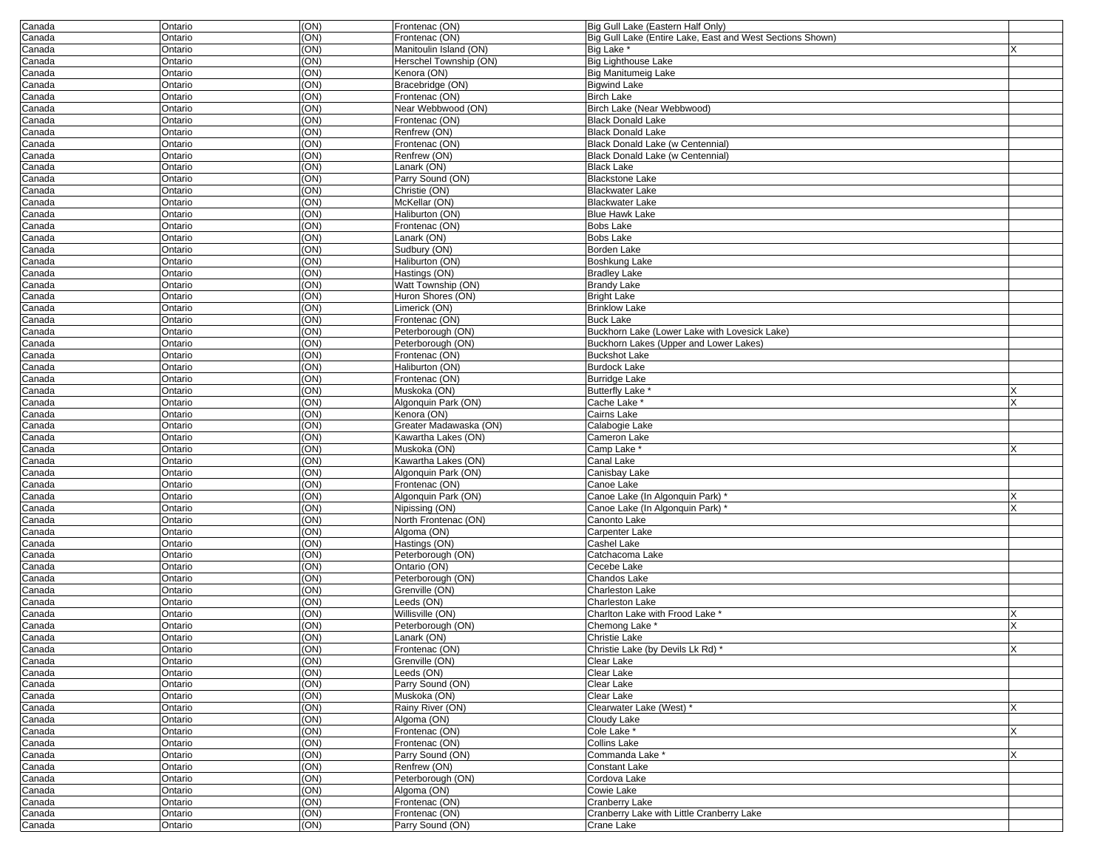| Canada | Ontario | (ON) | Frontenac (ON)         | Big Gull Lake (Eastern Half Only)                         |   |
|--------|---------|------|------------------------|-----------------------------------------------------------|---|
| Canada | Ontario | (ON) | Frontenac (ON)         | Big Gull Lake (Entire Lake, East and West Sections Shown) |   |
| Canada | Ontario | (ON) | Manitoulin Island (ON) | Big Lake *                                                |   |
| Canada | Ontario | (ON) | Herschel Township (ON) | <b>Big Lighthouse Lake</b>                                |   |
| Canada | Ontario | (ON) | Kenora (ON)            | <b>Big Manitumeig Lake</b>                                |   |
| Canada | Ontario | (ON) | Bracebridge (ON)       | <b>Bigwind Lake</b>                                       |   |
| Canada | Ontario | (ON) | Frontenac (ON)         | <b>Birch Lake</b>                                         |   |
|        | Ontario | (ON) | Near Webbwood (ON)     | Birch Lake (Near Webbwood)                                |   |
| Canada |         |      | Frontenac (ON)         |                                                           |   |
| Canada | Ontario | (ON) |                        | <b>Black Donald Lake</b>                                  |   |
| Canada | Ontario | (ON) | Renfrew (ON)           | <b>Black Donald Lake</b>                                  |   |
| Canada | Ontario | (ON) | Frontenac (ON)         | Black Donald Lake (w Centennial)                          |   |
| Canada | Ontario | (ON) | Renfrew (ON)           | Black Donald Lake (w Centennial)                          |   |
| Canada | Ontario | (ON) | Lanark (ON)            | <b>Black Lake</b>                                         |   |
| Canada | Ontario | (ON) | Parry Sound (ON)       | <b>Blackstone Lake</b>                                    |   |
| Canada | Ontario | (ON) | Christie (ON)          | <b>Blackwater Lake</b>                                    |   |
| Canada | Ontario | (ON) | McKellar (ON)          | <b>Blackwater Lake</b>                                    |   |
| Canada | Ontario | (ON) | Haliburton (ON)        | <b>Blue Hawk Lake</b>                                     |   |
|        |         |      |                        |                                                           |   |
| Canada | Ontario | (ON) | Frontenac (ON)         | <b>Bobs Lake</b>                                          |   |
| Canada | Ontario | (ON) | Lanark (ON)            | <b>Bobs Lake</b>                                          |   |
| Canada | Ontario | (ON) | Sudbury (ON)           | Borden Lake                                               |   |
| Canada | Ontario | (ON) | Haliburton (ON)        | Boshkung Lake                                             |   |
| Canada | Ontario | (ON) | Hastings (ON)          | <b>Bradley Lake</b>                                       |   |
| Canada | Ontario | (ON) | Watt Township (ON)     | <b>Brandy Lake</b>                                        |   |
| Canada | Ontario | (ON) | Huron Shores (ON)      | <b>Bright Lake</b>                                        |   |
| Canada | Ontario | (ON) | Limerick (ON)          | <b>Brinklow Lake</b>                                      |   |
| Canada | Ontario | (ON) | Frontenac (ON)         | <b>Buck Lake</b>                                          |   |
|        |         |      |                        |                                                           |   |
| Canada | Ontario | (ON) | Peterborough (ON)      | Buckhorn Lake (Lower Lake with Lovesick Lake)             |   |
| Canada | Ontario | (ON) | Peterborough (ON)      | Buckhorn Lakes (Upper and Lower Lakes)                    |   |
| Canada | Ontario | (ON) | Frontenac (ON)         | <b>Buckshot Lake</b>                                      |   |
| Canada | Ontario | (ON) | Haliburton (ON)        | <b>Burdock Lake</b>                                       |   |
| Canada | Ontario | (ON) | Frontenac (ON)         | <b>Burridge Lake</b>                                      |   |
| Canada | Ontario | (ON) | Muskoka (ON)           | <b>Butterfly Lake</b>                                     |   |
| Canada | Ontario | (ON) | Algonquin Park (ON)    | Cache Lake *                                              |   |
| Canada | Ontario | (ON) | Kenora (ON)            | Cairns Lake                                               |   |
|        | Ontario | (ON) | Greater Madawaska (ON) |                                                           |   |
| Canada |         |      |                        | Calabogie Lake                                            |   |
| Canada | Ontario | (ON) | Kawartha Lakes (ON)    | Cameron Lake                                              |   |
| Canada | Ontario | (ON) | Muskoka (ON)           | Camp Lake *                                               |   |
| Canada | Ontario | (ON) | Kawartha Lakes (ON)    | Canal Lake                                                |   |
| Canada | Ontario | (ON) | Algonquin Park (ON)    | Canisbay Lake                                             |   |
| Canada | Ontario | (ON) | Frontenac (ON)         | Canoe Lake                                                |   |
| Canada | Ontario | (ON) | Algonquin Park (ON)    | Canoe Lake (In Algonquin Park) *                          | X |
| Canada | Ontario | (ON) | Nipissing (ON)         | Canoe Lake (In Algonquin Park)                            | X |
| Canada | Ontario | (ON) | North Frontenac (ON)   | Canonto Lake                                              |   |
|        |         |      |                        |                                                           |   |
| Canada | Ontario | (ON) | Algoma (ON)            | Carpenter Lake                                            |   |
| Canada | Ontario | (ON) | Hastings (ON)          | Cashel Lake                                               |   |
| Canada | Ontario | (ON) | Peterborough (ON)      | Catchacoma Lake                                           |   |
| Canada | Ontario | (ON) | Ontario (ON)           | Cecebe Lake                                               |   |
| Canada | Ontario | (ON) | Peterborough (ON)      | Chandos Lake                                              |   |
| Canada | Ontario | (ON) | Grenville (ON)         | Charleston Lake                                           |   |
| Canada | Ontario | (ON) | Leeds (ON)             | <b>Charleston Lake</b>                                    |   |
| Canada | Ontario | (ON) | Willisville (ON)       | Charlton Lake with Frood Lake *                           |   |
| Canada | Ontario | (ON) | Peterborough (ON)      | Chemong Lake *                                            |   |
|        |         |      |                        |                                                           |   |
| Canada | Ontario | (ON) | Lanark (ON)            | Christie Lake                                             |   |
| Canada | Ontario | (ON) | Frontenac (ON)         | Christie Lake (by Devils Lk Rd)                           | X |
| Canada | Ontario | (ON) | Grenville (ON)         | Clear Lake                                                |   |
| Canada | Ontario | (ON) | Leeds (ON)             | Clear Lake                                                |   |
| Canada | Ontario | (ON) | Parry Sound (ON)       | Clear Lake                                                |   |
| Canada | Ontario | (ON) | Muskoka (ON)           | Clear Lake                                                |   |
| Canada | Ontario | (ON) | Rainy River (ON)       | Clearwater Lake (West) *                                  | X |
| Canada | Ontario | (ON) | Algoma (ON)            | Cloudy Lake                                               |   |
| Canada | Ontario | (ON) | Frontenac (ON)         | Cole Lake *                                               | X |
|        |         |      |                        |                                                           |   |
| Canada | Ontario | (ON) | Frontenac (ON)         | Collins Lake                                              |   |
| Canada | Ontario | (ON) | Parry Sound (ON)       | Commanda Lake *                                           | X |
| Canada | Ontario | (ON) | Renfrew (ON)           | Constant Lake                                             |   |
| Canada | Ontario | (ON) | Peterborough (ON)      | Cordova Lake                                              |   |
| Canada | Ontario | (ON) | Algoma (ON)            | Cowie Lake                                                |   |
| Canada | Ontario | (ON) | Frontenac (ON)         | Cranberry Lake                                            |   |
| Canada | Ontario | (ON) | Frontenac (ON)         | Cranberry Lake with Little Cranberry Lake                 |   |
| Canada | Ontario | (ON) | Parry Sound (ON)       | Crane Lake                                                |   |
|        |         |      |                        |                                                           |   |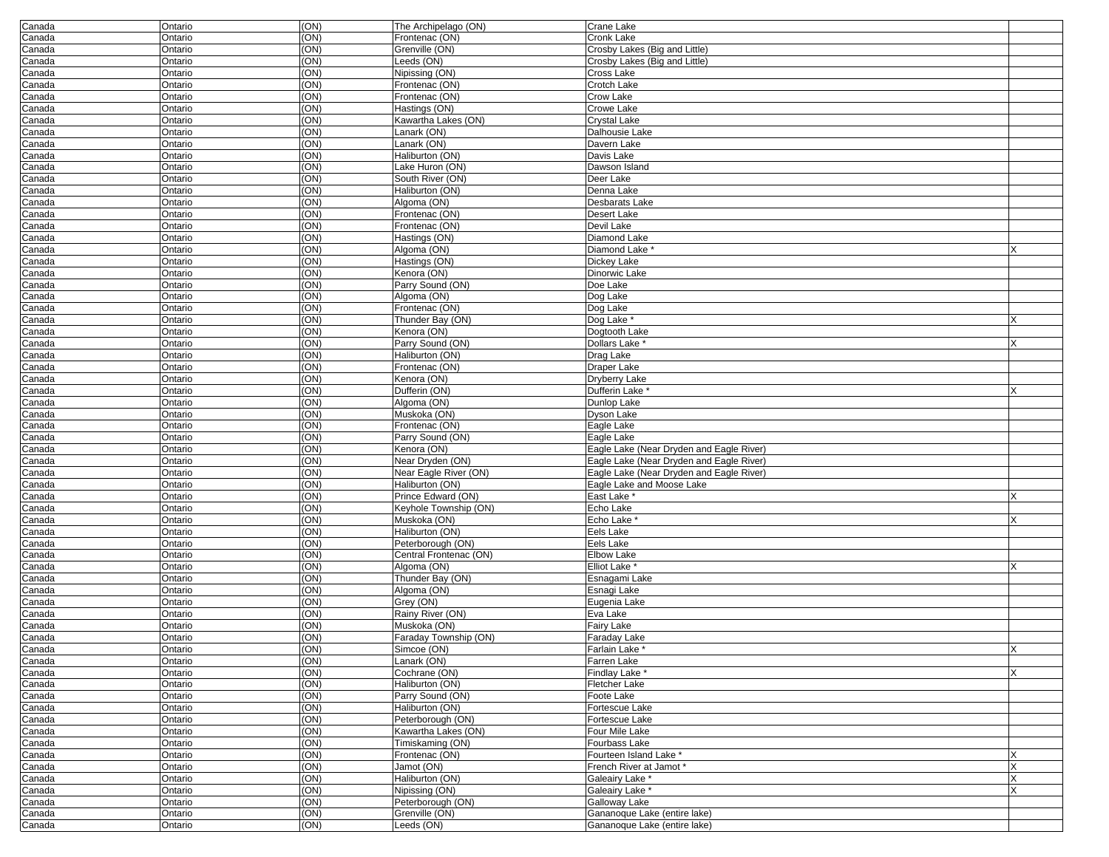| Canada | Ontario            | (ON) | The Archipelago (ON)   | <b>Crane Lake</b>                        |    |
|--------|--------------------|------|------------------------|------------------------------------------|----|
| Canada | Ontario            | (ON) | Frontenac (ON)         | <b>Cronk Lake</b>                        |    |
| Canada | Ontario            | (ON) | Grenville (ON)         | Crosby Lakes (Big and Little)            |    |
| Canada | Ontario            | (ON) | Leeds (ON)             | Crosby Lakes (Big and Little)            |    |
| Canada | Ontario            | (ON) | Nipissing (ON)         | Cross Lake                               |    |
| Canada | Ontario            | (ON) | Frontenac (ON)         | Crotch Lake                              |    |
| Canada | Ontario            | (ON) | Frontenac (ON)         | Crow Lake                                |    |
| Canada | Ontario            | (ON) | Hastings (ON)          | Crowe Lake                               |    |
| Canada | Ontario            | (ON) | Kawartha Lakes (ON)    | <b>Crystal Lake</b>                      |    |
| Canada | Ontario            | (ON) | Lanark (ON)            | Dalhousie Lake                           |    |
| Canada | Ontario            | (ON) | Lanark (ON)            | Davern Lake                              |    |
| Canada | Ontario            | (ON) | Haliburton (ON)        | Davis Lake                               |    |
| Canada | Ontario            | (ON) | Lake Huron (ON)        | Dawson Island                            |    |
| Canada | Ontario            | (ON) | South River (ON)       | Deer Lake                                |    |
| Canada | Ontario            | (ON) | Haliburton (ON)        | Denna Lake                               |    |
| Canada | Ontario            | (ON) | Algoma (ON)            | Desbarats Lake                           |    |
| Canada | Ontario            | (ON) | Frontenac (ON)         | Desert Lake                              |    |
| Canada | Ontario            | (ON) | Frontenac (ON)         | Devil Lake                               |    |
| Canada | Ontario            | (ON) | Hastings (ON)          | Diamond Lake                             |    |
|        |                    | (ON) | Algoma (ON)            | Diamond Lake *                           |    |
| Canada | Ontario<br>Ontario | (ON) | Hastings (ON)          |                                          |    |
| Canada |                    |      |                        | Dickey Lake                              |    |
| Canada | Ontario            | (ON) | Kenora (ON)            | Dinorwic Lake                            |    |
| Canada | Ontario            | (ON) | Parry Sound (ON)       | Doe Lake                                 |    |
| Canada | Ontario            | (ON) | Algoma (ON)            | Dog Lake                                 |    |
| Canada | Ontario            | (ON) | Frontenac (ON)         | Dog Lake                                 |    |
| Canada | Ontario            | (ON) | Thunder Bay (ON)       | Dog Lake                                 |    |
| Canada | Ontario            | (ON) | Kenora (ON)            | Dogtooth Lake                            |    |
| Canada | Ontario            | (ON) | Parry Sound (ON)       | Dollars Lake <sup>*</sup>                |    |
| Canada | Ontario            | (ON) | Haliburton (ON)        | Drag Lake                                |    |
| Canada | Ontario            | (ON) | Frontenac (ON)         | Draper Lake                              |    |
| Canada | Ontario            | (ON) | Kenora (ON)            | <b>Dryberry Lake</b>                     |    |
| Canada | Ontario            | (ON) | Dufferin (ON)          | Dufferin Lake                            |    |
| Canada | Ontario            | (ON) | Algoma (ON)            | Dunlop Lake                              |    |
| Canada | Ontario            | (ON) | Muskoka (ON)           | Dyson Lake                               |    |
| Canada | Ontario            | (ON) | Frontenac (ON)         | Eagle Lake                               |    |
| Canada | Ontario            | (ON) | Parry Sound (ON)       | Eagle Lake                               |    |
| Canada | Ontario            | (ON) | Kenora (ON)            | Eagle Lake (Near Dryden and Eagle River) |    |
| Canada | Ontario            | (ON) | Near Dryden (ON)       | Eagle Lake (Near Dryden and Eagle River) |    |
| Canada | Ontario            | (ON) | Near Eagle River (ON)  | Eagle Lake (Near Dryden and Eagle River) |    |
| Canada | Ontario            | (ON) | Haliburton (ON)        | Eagle Lake and Moose Lake                |    |
| Canada | Ontario            | (ON) | Prince Edward (ON)     | East Lake                                |    |
| Canada | Ontario            | (ON) | Keyhole Township (ON)  | Echo Lake                                |    |
| Canada | Ontario            | (ON) | Muskoka (ON)           | Echo Lake <sup>'</sup>                   |    |
| Canada | Ontario            | (ON) | Haliburton (ON)        | Eels Lake                                |    |
| Canada | Ontario            | (ON) | Peterborough (ON)      | Eels Lake                                |    |
| Canada | Ontario            | (ON) | Central Frontenac (ON) | <b>Elbow Lake</b>                        |    |
| Canada | Ontario            | (ON) | Algoma (ON)            | Elliot Lake <sup>®</sup>                 |    |
| Canada | Ontario            | (ON) | Thunder Bay (ON)       | Esnagami Lake                            |    |
| Canada | Ontario            | (ON) | Algoma (ON)            | Esnagi Lake                              |    |
| Canada | Ontario            | (ON) | Grey (ON)              | Eugenia Lake                             |    |
| Canada | Ontario            | (ON) | Rainy River (ON)       | Eva Lake                                 |    |
| Canada | Ontario            | (ON) | Muskoka (ON)           | Fairy Lake                               |    |
| Canada | Ontario            | (ON) | Faraday Township (ON)  | Faraday Lake                             |    |
| Canada | Ontario            | (ON) | Simcoe (ON)            | <b>Farlain Lake</b>                      | ΙX |
| Canada | Ontario            | (ON) | Lanark (ON)            | Farren Lake                              |    |
| Canada | Ontario            | (ON) | Cochrane (ON)          | Findlay Lake *                           | X  |
| Canada | Ontario            | (ON) | Haliburton (ON)        | Fletcher Lake                            |    |
| Canada | Ontario            | (ON) | Parry Sound (ON)       | Foote Lake                               |    |
| Canada | Ontario            | (ON) | Haliburton (ON)        | Fortescue Lake                           |    |
| Canada | Ontario            | (ON) | Peterborough (ON)      | Fortescue Lake                           |    |
| Canada | Ontario            | (ON) | Kawartha Lakes (ON)    | Four Mile Lake                           |    |
| Canada | Ontario            | (ON) | Timiskaming (ON)       | Fourbass Lake                            |    |
| Canada | Ontario            | (ON) | Frontenac (ON)         | Fourteen Island Lake *                   |    |
| Canada | Ontario            | (ON) | Jamot (ON)             | French River at Jamot *                  |    |
| Canada | Ontario            | (ON) | Haliburton (ON)        | Galeairy Lake *                          |    |
| Canada | Ontario            | (ON) | Nipissing (ON)         | Galeairy Lake *                          |    |
| Canada | Ontario            | (ON) | Peterborough (ON)      | Galloway Lake                            |    |
| Canada | Ontario            | (ON) | Grenville (ON)         | Gananoque Lake (entire lake)             |    |
| Canada | Ontario            | (ON) | Leeds (ON)             | Gananoque Lake (entire lake)             |    |
|        |                    |      |                        |                                          |    |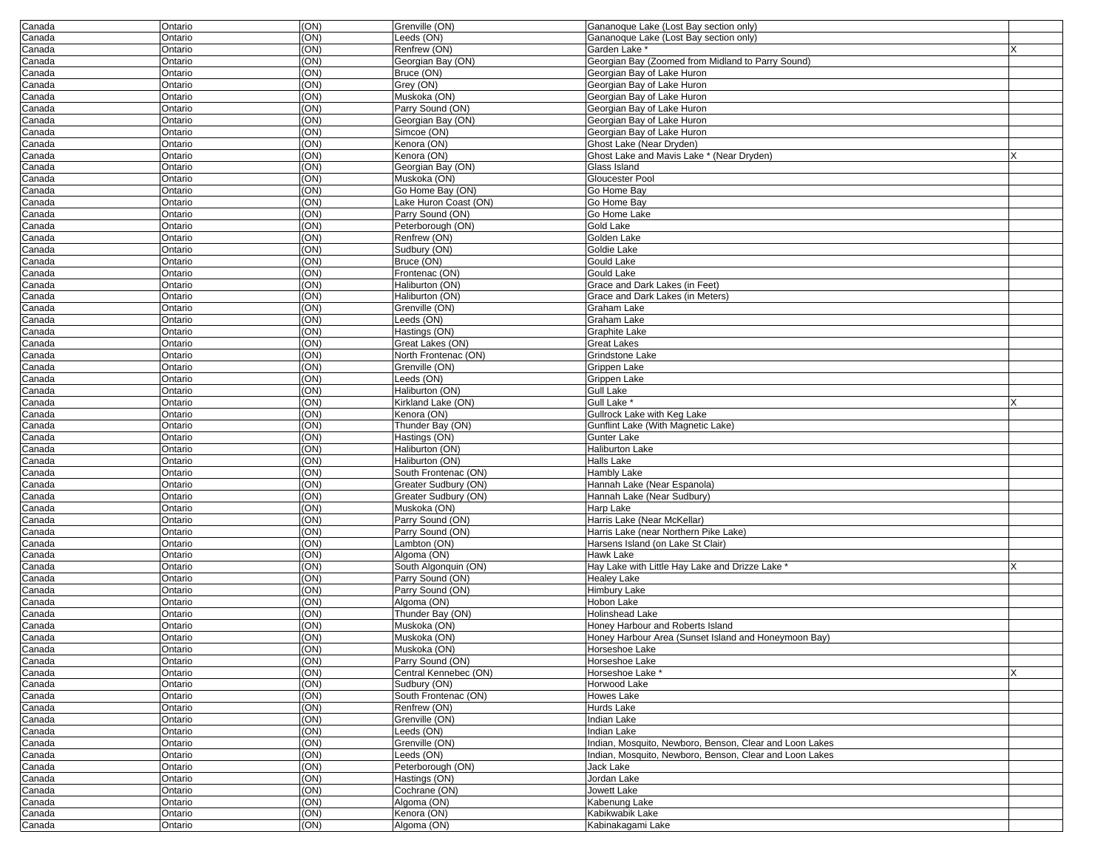| Canada | Ontario | (ON) | Grenville (ON)        | Gananoque Lake (Lost Bay section only)                  |   |
|--------|---------|------|-----------------------|---------------------------------------------------------|---|
| Canada | Ontario | (ON) | Leeds (ON)            | Gananoque Lake (Lost Bay section only)                  |   |
| Canada | Ontario | (ON) | Renfrew (ON)          | Garden Lake *                                           |   |
| Canada | Ontario | (ON) | Georgian Bay (ON)     | Georgian Bay (Zoomed from Midland to Parry Sound)       |   |
| Canada | Ontario | (ON  | Bruce (ON)            | Georgian Bay of Lake Huron                              |   |
| Canada | Ontario | (ON) | Grey (ON)             | Georgian Bay of Lake Huron                              |   |
| Canada | Ontario | (ON) | Muskoka (ON)          | Georgian Bay of Lake Huron                              |   |
| Canada | Ontario | (ON) | Parry Sound (ON)      | Georgian Bay of Lake Huron                              |   |
| Canada | Ontario | (ON) | Georgian Bay (ON)     | Georgian Bay of Lake Huron                              |   |
| Canada | Ontario | (ON  | Simcoe (ON)           | Georgian Bay of Lake Huron                              |   |
| Canada | Ontario | (ON) | Kenora (ON)           | Ghost Lake (Near Dryden)                                |   |
| Canada | Ontario | (ON) | Kenora (ON)           | Ghost Lake and Mavis Lake * (Near Dryden)               |   |
| Canada | Ontario | (ON) | Georgian Bay (ON)     | Glass Island                                            |   |
| Canada | Ontario | 'ON) | Muskoka (ON)          | Gloucester Pool                                         |   |
| Canada | Ontario | (ON  | Go Home Bay (ON)      | Go Home Bay                                             |   |
| Canada | Ontario | (ON) | Lake Huron Coast (ON) | Go Home Bay                                             |   |
| Canada | Ontario | (ON) | Parry Sound (ON)      | Go Home Lake                                            |   |
| Canada | Ontario | (ON) | Peterborough (ON)     | Gold Lake                                               |   |
| Canada | Ontario | (ON) | Renfrew (ON)          | Golden Lake                                             |   |
| Canada | Ontario | (ON  | Sudbury (ON)          | Goldie Lake                                             |   |
| Canada | Ontario | (ON) | Bruce (ON)            | Gould Lake                                              |   |
| Canada | Ontario | (ON) | Frontenac (ON)        | Gould Lake                                              |   |
| Canada | Ontario | (ON) | Haliburton (ON)       | Grace and Dark Lakes (in Feet)                          |   |
| Canada | Ontario | (ON) | Haliburton (ON)       | Grace and Dark Lakes (in Meters)                        |   |
| Canada | Ontario | (ON  | Grenville (ON)        | Graham Lake                                             |   |
| Canada | Ontario | (ON) | Leeds (ON)            | Graham Lake                                             |   |
| Canada | Ontario | (ON) | Hastings (ON)         | Graphite Lake                                           |   |
| Canada | Ontario | (ON) | Great Lakes (ON)      | Great Lakes                                             |   |
| Canada | Ontario | 'ON) | North Frontenac (ON)  | Grindstone Lake                                         |   |
| Canada | Ontario | (ON  | Grenville (ON)        | Grippen Lake                                            |   |
| Canada | Ontario | (ON) | Leeds (ON)            | Grippen Lake                                            |   |
| Canada | Ontario | (ON) | Haliburton (ON)       | Gull Lake                                               |   |
| Canada | Ontario | (ON) | Kirkland Lake (ON)    | Gull Lake *                                             |   |
| Canada | Ontario | (ON) | Kenora (ON)           | Gullrock Lake with Keg Lake                             |   |
| Canada | Ontario | (ON  | Thunder Bay (ON)      | Gunflint Lake (With Magnetic Lake)                      |   |
| Canada | Ontario | (ON) | Hastings (ON)         | Gunter Lake                                             |   |
| Canada | Ontario | (ON) | Haliburton (ON)       | Haliburton Lake                                         |   |
| Canada | Ontario | (ON) | Haliburton (ON)       | Halls Lake                                              |   |
| Canada | Ontario | (ON) | South Frontenac (ON)  | Hambly Lake                                             |   |
| Canada | Ontario | (ON  | Greater Sudbury (ON)  | Hannah Lake (Near Espanola)                             |   |
| Canada | Ontario | (ON) | Greater Sudbury (ON)  | Hannah Lake (Near Sudbury)                              |   |
| Canada | Ontario | (ON) | Muskoka (ON)          | Harp Lake                                               |   |
| Canada | Ontario | (ON) | Parry Sound (ON)      | Harris Lake (Near McKellar)                             |   |
| Canada | Ontario | (ON) | Parry Sound (ON)      | Harris Lake (near Northern Pike Lake)                   |   |
| Canada | Ontario | (ON  | _ambton (ON)          | Harsens Island (on Lake St Clair)                       |   |
| Canada | Ontario | (ON) | Algoma (ON)           | Hawk Lake                                               |   |
| Canada | Ontario | (ON) | South Algonquin (ON)  | Hay Lake with Little Hay Lake and Drizze Lake           |   |
| Canada | Ontario | (ON) | Parry Sound (ON)      | Healey Lake                                             |   |
| Canada | Ontario | (ON) | Parry Sound (ON)      | Himbury Lake                                            |   |
| Canada | Ontario | (ON  | Algoma (ON)           | Hobon Lake                                              |   |
| Canada | Ontario | (ON) | Thunder Bay (ON)      | Holinshead Lake                                         |   |
| Canada | Ontario | (ON) | Muskoka (ON)          | Honey Harbour and Roberts Island                        |   |
| Canada | Ontario | (ON) | Muskoka (ON)          | Honey Harbour Area (Sunset Island and Honeymoon Bay)    |   |
| Canada | Ontario | (UN) | Muskoka (ON)          | Horseshoe Lake                                          |   |
| Canada | Ontario | (ON) | Parry Sound (ON)      | Horseshoe Lake                                          |   |
| Canada | Ontario | (ON) | Central Kennebec (ON) | Horseshoe Lake                                          | X |
| Canada | Ontario | (ON) | Sudbury (ON)          | Horwood Lake                                            |   |
| Canada | Ontario | (ON) | South Frontenac (ON)  | Howes Lake                                              |   |
| Canada | Ontario | (ON) | Renfrew (ON)          | Hurds Lake                                              |   |
| Canada | Ontario | (ON) | Grenville (ON)        | Indian Lake                                             |   |
| Canada | Ontario | (ON) | Leeds (ON)            | Indian Lake                                             |   |
| Canada | Ontario | (ON) | Grenville (ON)        | Indian, Mosquito, Newboro, Benson, Clear and Loon Lakes |   |
| Canada | Ontario | (ON) | Leeds (ON)            | Indian, Mosquito, Newboro, Benson, Clear and Loon Lakes |   |
| Canada | Ontario | (ON) | Peterborough (ON)     | Jack Lake                                               |   |
| Canada | Ontario | (ON) | Hastings (ON)         | Jordan Lake                                             |   |
| Canada | Ontario | (ON) | Cochrane (ON)         | Jowett Lake                                             |   |
| Canada | Ontario | (ON) | Algoma (ON)           | Kabenung Lake                                           |   |
| Canada | Ontario | (ON) | Kenora (ON)           | Kabikwabik Lake                                         |   |
| Canada | Ontario | (ON) | Algoma (ON)           | Kabinakagami Lake                                       |   |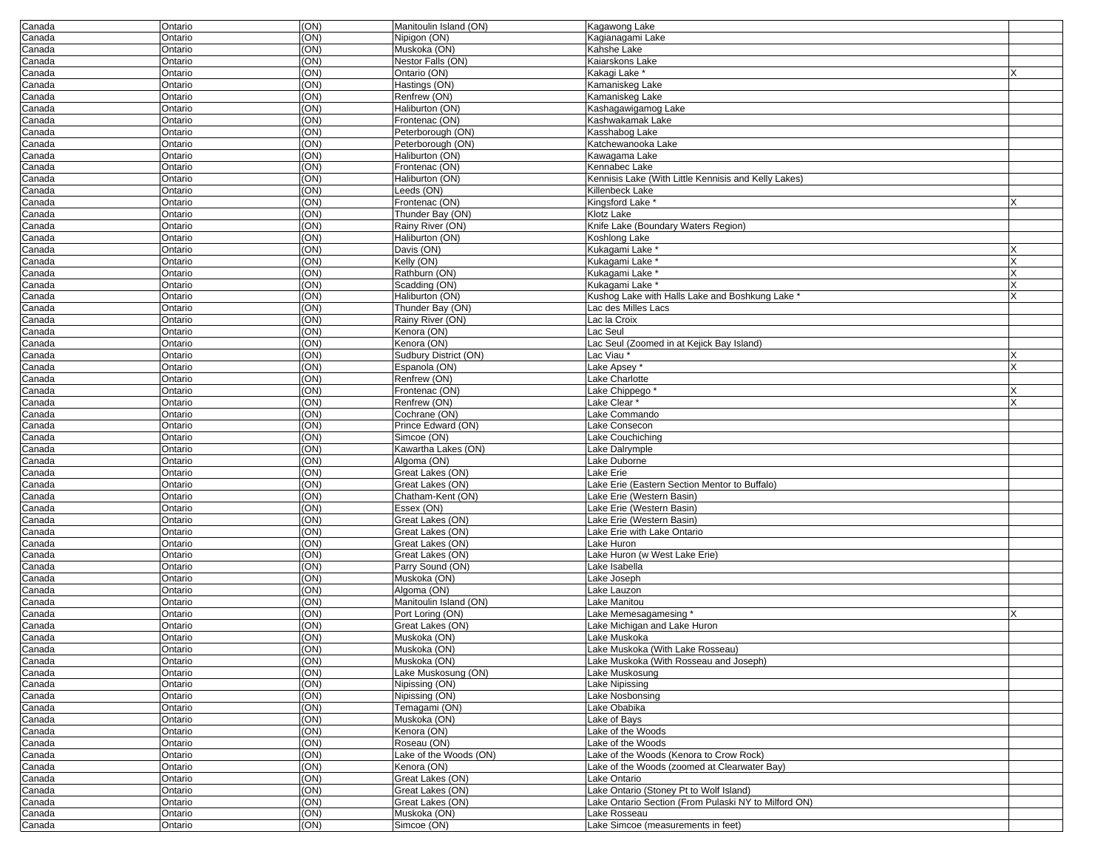| Canada           | Ontario            | (ON)              | Manitoulin Island (ON)        | Kagawong Lake                                           |  |
|------------------|--------------------|-------------------|-------------------------------|---------------------------------------------------------|--|
| Canada           | Ontario            | (ON)              | Nipigon (ON)                  | Kagianagami Lake                                        |  |
| Canada           | Ontario            | (ON)              | Muskoka (ON)                  | Kahshe Lake                                             |  |
| Canada           | Ontario            | (ON)              | Nestor Falls (ON)             | Kaiarskons Lake                                         |  |
| Canada           | Ontario            | $\overline{(ON)}$ | Ontario (ON)                  | Kakagi Lake*                                            |  |
| Canada           | Ontario            | (ON)              | Hastings (ON)                 | Kamaniskeg Lake                                         |  |
| Canada           | Ontario            | (ON)              | Renfrew (ON)                  | Kamaniskeg Lake                                         |  |
| Canada           | Ontario            | (ON)              | Haliburton (ON)               | Kashagawigamog Lake                                     |  |
| Canada           | Ontario            | (ON)              | Frontenac (ON)                | Kashwakamak Lake                                        |  |
| Canada           | Ontario            | (ON)              | Peterborough (ON)             | Kasshabog Lake                                          |  |
| Canada           | Ontario            | (ON)              | Peterborough (ON)             | Katchewanooka Lake                                      |  |
| Canada           | Ontario            | (ON)              | Haliburton (ON)               | Kawagama Lake                                           |  |
| Canada           | Ontario            | (ON)              | Frontenac (ON)                | Kennabec Lake                                           |  |
| Canada           | Ontario            | (ON)              | Haliburton (ON)               | Kennisis Lake (With Little Kennisis and Kelly Lakes)    |  |
| Canada           | Ontario            | $\overline{(ON)}$ | Leeds (ON)                    | Killenbeck Lake                                         |  |
| Canada           | Ontario            | (ON)              | Frontenac (ON)                | Kingsford Lake <sup>*</sup>                             |  |
| Canada           | Ontario            | (ON)              | Thunder Bay (ON)              | Klotz Lake                                              |  |
| Canada           | Ontario            | (ON)              | Rainy River (ON)              | Knife Lake (Boundary Waters Region)                     |  |
| Canada           | Ontario            | (ON)              | Haliburton (ON)               | Koshlong Lake                                           |  |
| Canada           | Ontario            | (ON)              | Davis (ON)                    | Kukagami Lake*                                          |  |
| Canada           | Ontario            | (ON)              | Kelly (ON)                    | Kukagami Lake                                           |  |
| Canada           | Ontario            | (ON)              | Rathburn (ON)                 | Kukagami Lake <sup>*</sup>                              |  |
| Canada           | Ontario            | (ON)              | Scadding (ON)                 | Kukagami Lake*                                          |  |
| Canada           | Ontario            | (ON)              | Haliburton (ON)               | Kushog Lake with Halls Lake and Boshkung Lake *         |  |
| Canada           | Ontario            | $\overline{(ON)}$ | Thunder Bay (ON)              | ac des Milles Lacs                                      |  |
| Canada           | Ontario            | (ON)              | Rainy River (ON)              | Lac la Croix                                            |  |
| Canada           | Ontario            | (ON)              | Kenora (ON)<br>Kenora (ON)    | Lac Seul                                                |  |
| Canada           | Ontario            | (ON)<br>(ON)      | Sudbury District (ON)         | Lac Seul (Zoomed in at Kejick Bay Island)<br>Lac Viau * |  |
| Canada<br>Canada | Ontario<br>Ontario | (ON)              | Espanola (ON)                 | Lake Apsey*                                             |  |
| Canada           | Ontario            | (ON)              | Renfrew (ON)                  | Lake Charlotte                                          |  |
| Canada           | Ontario            | (ON)              | Frontenac (ON)                | Lake Chippego <sup>*</sup>                              |  |
| Canada           | Ontario            | (ON)              | Renfrew (ON)                  | Lake Clear*                                             |  |
| Canada           | Ontario            | (ON)              | Cochrane (ON)                 | ake Commando                                            |  |
| Canada           | Ontario            | (ON)              | Prince Edward (ON)            | ake Consecon                                            |  |
| Canada           | Ontario            | (ON)              | Simcoe (ON)                   | Lake Couchiching                                        |  |
| Canada           | Ontario            | (ON)              | Kawartha Lakes (ON)           | Lake Dalrymple                                          |  |
| Canada           | Ontario            | (ON)              | Algoma (ON)                   | Lake Duborne                                            |  |
| Canada           | Ontario            | (ON)              | Great Lakes (ON)              | Lake Erie                                               |  |
| Canada           | Ontario            | (ON)              | Great Lakes (ON)              | Lake Erie (Eastern Section Mentor to Buffalo)           |  |
| Canada           | Ontario            | (ON)              | Chatham-Kent (ON)             | Lake Erie (Western Basin)                               |  |
| Canada           | Ontario            | (ON)              | Essex (ON)                    | Lake Erie (Western Basin)                               |  |
| Canada           | Ontario            | (ON)              | Great Lakes (ON)              | Lake Erie (Western Basin)                               |  |
| Canada           | Ontario            | (ON)              | Great Lakes (ON)              | ake Erie with Lake Ontario                              |  |
| Canada           | Ontario            | (ON)              | Great Lakes (ON)              | ake Huron                                               |  |
| Canada           | Ontario            | (ON)              | Great Lakes (ON)              | Lake Huron (w West Lake Erie)                           |  |
| Canada           | Ontario            | (ON)              | Parry Sound (ON)              | Lake Isabella                                           |  |
| Canada           | Ontario            | (ON)              | Muskoka (ON)                  | Lake Joseph                                             |  |
| Canada           | Ontario            | (ON)              | Algoma (ON)                   | Lake Lauzon                                             |  |
| Canada           | Ontario            | (ON)              | Manitoulin Island (ON)        | ake Manitou                                             |  |
| Canada           | Ontario            | (ON)              | Port Loring (ON)              | Lake Memesagamesing                                     |  |
| Canada           | Ontario            | (ON)              | Great Lakes (ON)              | ake Michigan and Lake Huron                             |  |
| Canada           | Ontario            | (ON)              | Muskoka (ON)                  | Lake Muskoka                                            |  |
| Canada           | Ontario            | (ON)              | Muskoka (ON)                  | Lake Muskoka (With Lake Rosseau)                        |  |
| Canada           | Ontario            | (ON)              | Muskoka (ON)                  | Lake Muskoka (With Rosseau and Joseph)                  |  |
| Canada           | Ontario            | (ON)              | Lake Muskosung (ON)           | Lake Muskosung                                          |  |
| Canada           | Ontario            | (ON)              | Nipissing (ON)                | Lake Nipissing                                          |  |
| Canada           | Ontario            | (ON)              | Nipissing (ON)                | Lake Nosbonsing                                         |  |
| Canada<br>Canada | Ontario<br>Ontario | (ON)<br>(ON)      | Temagami (ON)<br>Muskoka (ON) | Lake Obabika<br>Lake of Bays                            |  |
| Canada           | Ontario            | (ON)              | Kenora (ON)                   | Lake of the Woods                                       |  |
| Canada           | Ontario            | (ON)              | Roseau (ON)                   | Lake of the Woods                                       |  |
| Canada           | Ontario            | (ON)              | Lake of the Woods (ON)        | Lake of the Woods (Kenora to Crow Rock)                 |  |
| Canada           | Ontario            | (ON)              | Kenora (ON)                   | Lake of the Woods (zoomed at Clearwater Bay)            |  |
| Canada           | Ontario            | (ON)              | Great Lakes (ON)              | Lake Ontario                                            |  |
| Canada           | Ontario            | (ON)              | Great Lakes (ON)              | Lake Ontario (Stoney Pt to Wolf Island)                 |  |
| Canada           | Ontario            | (ON)              | Great Lakes (ON)              | Lake Ontario Section (From Pulaski NY to Milford ON)    |  |
| Canada           | Ontario            | (ON)              | Muskoka (ON)                  | Lake Rosseau                                            |  |
| Canada           | Ontario            | (ON)              | Simcoe (ON)                   | Lake Simcoe (measurements in feet)                      |  |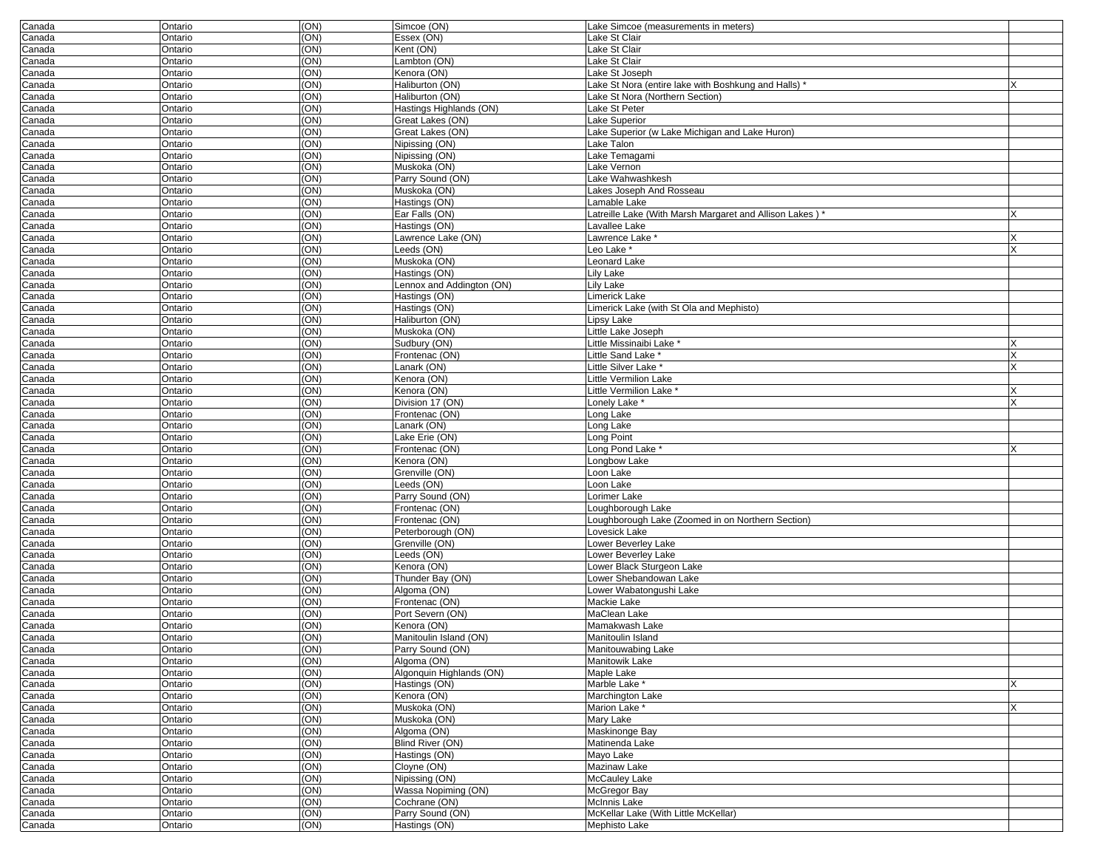| Canada | Ontario | (ON) | Simcoe (ON)               | Lake Simcoe (measurements in meters)                   |   |
|--------|---------|------|---------------------------|--------------------------------------------------------|---|
| Canada | Ontario | (ON) | Essex (ON)                | Lake St Clair                                          |   |
| Canada | Ontario | (ON) | Kent (ON)                 | Lake St Clair                                          |   |
| Canada | Ontario | (ON) | Lambton (ON)              | Lake St Clair                                          |   |
| Canada | Ontario | (ON) | Kenora (ON)               | Lake St Joseph                                         |   |
| Canada | Ontario | (ON) | Haliburton (ON)           | Lake St Nora (entire lake with Boshkung and Halls)     |   |
| Canada | Ontario | (ON) | Haliburton (ON)           | Lake St Nora (Northern Section)                        |   |
|        |         | (ON) | Hastings Highlands (ON)   | Lake St Peter                                          |   |
| Canada | Ontario |      |                           |                                                        |   |
| Canada | Ontario | (ON) | Great Lakes (ON)          | Lake Superior                                          |   |
| Canada | Ontario | (ON) | Great Lakes (ON)          | Lake Superior (w Lake Michigan and Lake Huron)         |   |
| Canada | Ontario | (ON) | Nipissing (ON)            | Lake Talon                                             |   |
| Canada | Ontario | (ON) | Nipissing (ON)            | Lake Temagami                                          |   |
| Canada | Ontario | (ON) | Muskoka (ON)              | Lake Vernon                                            |   |
| Canada | Ontario | (ON) | Parry Sound (ON)          | Lake Wahwashkesh                                       |   |
|        | Ontario | (ON) | Muskoka (ON)              | Lakes Joseph And Rosseau                               |   |
| Canada |         |      |                           |                                                        |   |
| Canada | Ontario | (ON) | Hastings (ON)             | Lamable Lake                                           |   |
| Canada | Ontario | (ON) | Ear Falls (ON)            | Latreille Lake (With Marsh Margaret and Allison Lakes) |   |
| Canada | Ontario | (ON) | Hastings (ON)             | Lavallee Lake                                          |   |
| Canada | Ontario | (ON) | Lawrence Lake (ON)        | Lawrence Lake *                                        |   |
| Canada | Ontario | (ON) | Leeds (ON)                | Leo Lake *                                             |   |
| Canada | Ontario | (ON) | Muskoka (ON)              | Leonard Lake                                           |   |
| Canada | Ontario | (ON) | Hastings (ON)             | Lily Lake                                              |   |
|        |         | (ON) |                           | Lily Lake                                              |   |
| Canada | Ontario |      | Lennox and Addington (ON) |                                                        |   |
| Canada | Ontario | (ON) | Hastings (ON)             | Limerick Lake                                          |   |
| Canada | Ontario | (ON) | Hastings (ON)             | Limerick Lake (with St Ola and Mephisto)               |   |
| Canada | Ontario | (ON) | Haliburton (ON)           | Lipsy Lake                                             |   |
| Canada | Ontario | (ON) | Muskoka (ON)              | Little Lake Joseph                                     |   |
| Canada | Ontario | (ON) | Sudbury (ON)              | Little Missinaibi Lake *                               |   |
| Canada | Ontario | (ON) | Frontenac (ON)            | Little Sand Lake <sup>*</sup>                          | X |
| Canada | Ontario | (ON) | Lanark (ON)               | Little Silver Lake *                                   |   |
|        | Ontario | (ON) | Kenora (ON)               | Little Vermilion Lake                                  |   |
| Canada |         |      |                           |                                                        |   |
| Canada | Ontario | (ON) | Kenora (ON)               | Little Vermilion Lake                                  |   |
| Canada | Ontario | (ON) | Division 17 (ON)          | Lonely Lake *                                          | x |
| Canada | Ontario | (ON) | Frontenac (ON)            | Long Lake                                              |   |
| Canada | Ontario | (ON) | Lanark (ON)               | Long Lake                                              |   |
| Canada | Ontario | (ON) | Lake Erie (ON)            | Long Point                                             |   |
| Canada | Ontario | (ON) | Frontenac (ON)            | Long Pond Lake                                         |   |
|        |         | (ON) | Kenora (ON)               | Longbow Lake                                           |   |
| Canada | Ontario |      |                           |                                                        |   |
| Canada | Ontario | (ON) | Grenville (ON)            | Loon Lake                                              |   |
| Canada | Ontario | (ON) | Leeds (ON)                | Loon Lake                                              |   |
| Canada | Ontario | (ON) | Parry Sound (ON)          | Lorimer Lake                                           |   |
| Canada | Ontario | (ON) | Frontenac (ON)            | Loughborough Lake                                      |   |
| Canada | Ontario | (ON) | Frontenac (ON)            | Loughborough Lake (Zoomed in on Northern Section)      |   |
| Canada | Ontario | (ON) | Peterborough (ON)         | Lovesick Lake                                          |   |
|        | Ontario | (ON) | Grenville (ON)            | Lower Beverley Lake                                    |   |
| Canada |         |      |                           |                                                        |   |
| Canada | Ontario | (ON) | Leeds (ON)                | Lower Beverley Lake                                    |   |
| Canada | Ontario | (ON) | Kenora (ON)               | Lower Black Sturgeon Lake                              |   |
| Canada | Ontario | (ON) | Thunder Bay (ON)          | Lower Shebandowan Lake                                 |   |
| Canada | Ontario | (ON) | Algoma (ON)               | Lower Wabatongushi Lake                                |   |
| Canada | Ontario | (ON) | Frontenac (ON)            | Mackie Lake                                            |   |
| Canada | Ontario | (ON) | Port Severn (ON)          | MaClean Lake                                           |   |
| Canada | Ontario | (ON) | Kenora (ON)               | Mamakwash Lake                                         |   |
|        | Ontario | (ON) | Manitoulin Island (ON)    | Manitoulin Island                                      |   |
| Canada |         |      |                           |                                                        |   |
| Canada | Ontario | (ON) | Parry Sound (ON)          | Manitouwabing Lake                                     |   |
| Canada | Ontario | (ON) | Algoma (ON)               | Manitowik Lake                                         |   |
| Canada | Ontario | (ON) | Algonquin Highlands (ON)  | Maple Lake                                             |   |
| Canada | Ontario | (ON) | Hastings (ON)             | Marble Lake *                                          | x |
| Canada | Ontario | (ON) | Kenora (ON)               | Marchington Lake                                       |   |
| Canada | Ontario | (ON) | Muskoka (ON)              | Marion Lake *                                          | X |
| Canada | Ontario | (ON) | Muskoka (ON)              | Mary Lake                                              |   |
| Canada | Ontario | (ON) | Algoma (ON)               | Maskinonge Bay                                         |   |
|        |         |      |                           |                                                        |   |
| Canada | Ontario | (ON) | Blind River (ON)          | Matinenda Lake                                         |   |
| Canada | Ontario | (ON) | Hastings (ON)             | Mayo Lake                                              |   |
| Canada | Ontario | (ON) | Cloyne (ON)               | Mazinaw Lake                                           |   |
| Canada | Ontario | (ON) | Nipissing (ON)            | McCauley Lake                                          |   |
| Canada | Ontario | (ON) | Wassa Nopiming (ON)       | McGregor Bay                                           |   |
| Canada | Ontario | (ON) | Cochrane (ON)             | McInnis Lake                                           |   |
|        |         | (ON) | Parry Sound (ON)          | McKellar Lake (With Little McKellar)                   |   |
| Canada | Ontario |      |                           |                                                        |   |
| Canada | Ontario | (ON) | Hastings (ON)             | Mephisto Lake                                          |   |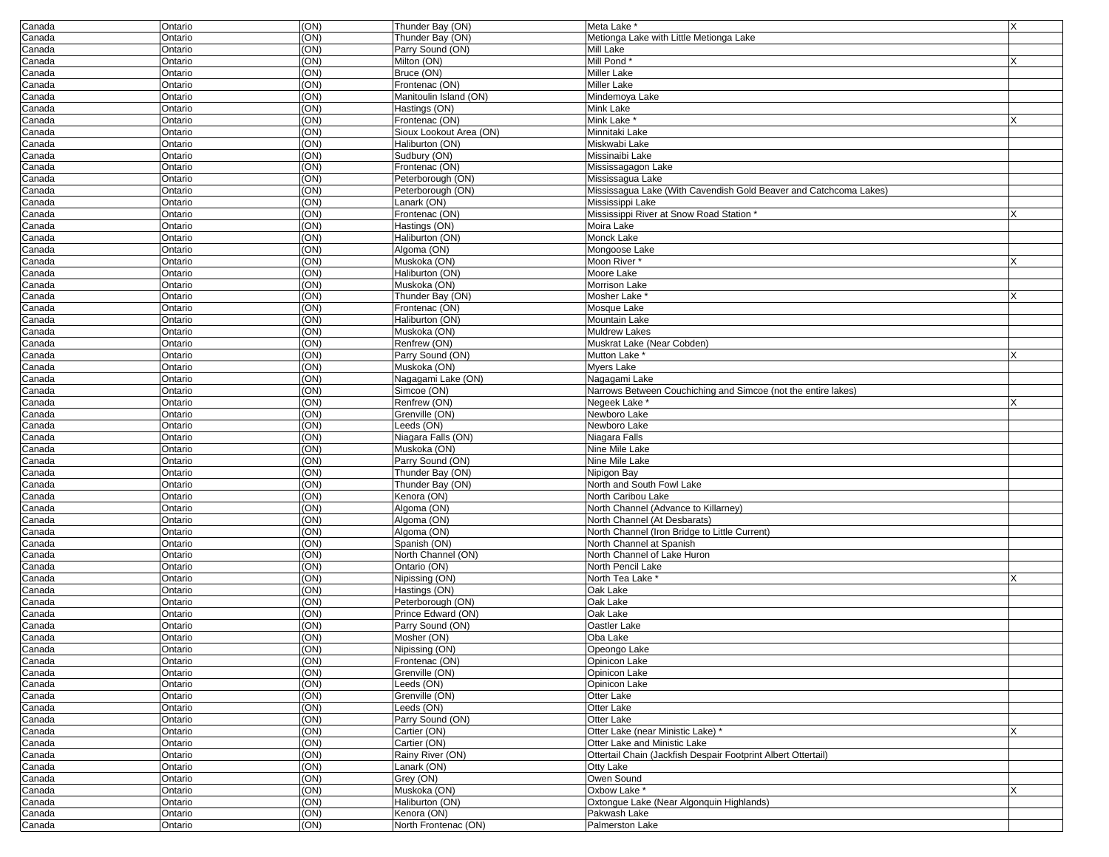| Canada           | Ontario            | (ON)         | Thunder Bay (ON)                          | Meta Lake *                                                       | X |
|------------------|--------------------|--------------|-------------------------------------------|-------------------------------------------------------------------|---|
| Canada           | Ontario            | (ON)         | Thunder Bay (ON)                          | Metionga Lake with Little Metionga Lake                           |   |
| Canada           | Ontario            | (ON)         | Parry Sound (ON)                          | Mill Lake                                                         |   |
| Canada           | Ontario            | (ON)         | Milton (ON)                               | Mill Pond*                                                        |   |
| Canada           | Ontario            | (ON)         | Bruce (ON)                                | <b>Miller Lake</b>                                                |   |
| Canada           | Ontario            | (ON)         | Frontenac (ON)                            | <b>Miller Lake</b>                                                |   |
| Canada           | Ontario            | (ON)<br>(ON) | Manitoulin Island (ON)<br>Hastings (ON)   | Mindemoya Lake<br>Mink Lake                                       |   |
| Canada           | Ontario<br>Ontario | (ON)         |                                           | Mink Lake *                                                       |   |
| Canada<br>Canada | Ontario            | (ON)         | Frontenac (ON)<br>Sioux Lookout Area (ON) | Minnitaki Lake                                                    |   |
| Canada           | Ontario            | (ON)         | Haliburton (ON)                           | Miskwabi Lake                                                     |   |
| Canada           | Ontario            | (ON)         | Sudbury (ON)                              | Missinaibi Lake                                                   |   |
| Canada           | Ontario            | (ON)         | Frontenac (ON)                            | Mississagagon Lake                                                |   |
| Canada           | Ontario            | (ON)         | Peterborough (ON)                         | Mississagua Lake                                                  |   |
| Canada           | Ontario            | (ON)         | Peterborough (ON)                         | Mississaqua Lake (With Cavendish Gold Beaver and Catchcoma Lakes) |   |
| Canada           | Ontario            | (ON)         | Lanark (ON)                               | Mississippi Lake                                                  |   |
| Canada           | Ontario            | (ON)         | Frontenac (ON)                            | Mississippi River at Snow Road Station *                          |   |
| Canada           | Ontario            | (ON)         | Hastings (ON)                             | Moira Lake                                                        |   |
| Canada           | Ontario            | (ON)         | Haliburton (ON)                           | Monck Lake                                                        |   |
| Canada           | Ontario            | (ON)         | Algoma (ON)                               | Mongoose Lake                                                     |   |
| Canada           | Ontario            | (ON)         | Muskoka (ON)                              | Moon River                                                        |   |
| Canada           | Ontario            | (ON)         | Haliburton (ON)                           | Moore Lake                                                        |   |
| Canada           | Ontario            | (ON)         | Muskoka (ON)                              | Morrison Lake                                                     |   |
| Canada           | Ontario            | (ON)         | Thunder Bay (ON)                          | Mosher Lake *                                                     |   |
| Canada           | Ontario            | (ON)         | Frontenac (ON)                            | Mosque Lake                                                       |   |
| Canada           | Ontario            | (ON)         | Haliburton (ON)                           | <b>Mountain Lake</b>                                              |   |
| Canada           | Ontario            | (ON)         | Muskoka (ON)                              | <b>Muldrew Lakes</b>                                              |   |
| Canada           | Ontario            | (ON)         | Renfrew (ON)                              | Muskrat Lake (Near Cobden)                                        |   |
| Canada           | Ontario            | (ON)         | Parry Sound (ON)                          | Mutton Lake                                                       |   |
| Canada           | Ontario            | (ON)         | Muskoka (ON)                              | <b>Mvers Lake</b>                                                 |   |
| Canada           | Ontario            | (ON)         | Nagagami Lake (ON)                        | Nagagami Lake                                                     |   |
| Canada           | Ontario            | (ON)         | Simcoe (ON)                               | Narrows Between Couchiching and Simcoe (not the entire lakes)     |   |
| Canada           | Ontario            | (ON)<br>(ON) | Renfrew (ON)<br>Grenville (ON)            | Negeek Lake *<br>Newboro Lake                                     |   |
| Canada<br>Canada | Ontario<br>Ontario | (ON)         | Leeds (ON)                                | Newboro Lake                                                      |   |
| Canada           | Ontario            | (ON)         | Niagara Falls (ON)                        | Niagara Falls                                                     |   |
| Canada           | Ontario            | (ON)         | Muskoka (ON)                              | Nine Mile Lake                                                    |   |
| Canada           | Ontario            | (ON)         | Parry Sound (ON)                          | Nine Mile Lake                                                    |   |
| Canada           | Ontario            | (ON)         | Thunder Bay (ON)                          | Nipigon Bay                                                       |   |
| Canada           | Ontario            | (ON)         | Thunder Bay (ON)                          | North and South Fowl Lake                                         |   |
| Canada           | Ontario            | (ON)         | Kenora (ON)                               | North Caribou Lake                                                |   |
| Canada           | Ontario            | (ON)         | Algoma (ON)                               | North Channel (Advance to Killarney)                              |   |
| Canada           | Ontario            | (ON)         | Algoma (ON)                               | North Channel (At Desbarats)                                      |   |
| Canada           | Ontario            | (ON)         | Algoma (ON)                               | North Channel (Iron Bridge to Little Current)                     |   |
| Canada           | Ontario            | (ON)         | Spanish (ON)                              | North Channel at Spanish                                          |   |
| Canada           | Ontario            | (ON)         | North Channel (ON)                        | North Channel of Lake Huron                                       |   |
| Canada           | Ontario            | (ON)         | Ontario (ON)                              | North Pencil Lake                                                 |   |
| Canada           | Ontario            | (ON)         | Nipissing (ON)                            | North Tea Lake *                                                  |   |
| Canada           | Ontario            | (ON)         | Hastings (ON)                             | Oak Lake                                                          |   |
| Canada           | Ontario            | (ON)         | Peterborough (ON)                         | Oak Lake                                                          |   |
| Canada           | Ontario            | (ON)         | Prince Edward (ON)                        | Oak Lake                                                          |   |
| Canada           | Ontario            | (ON)         | Parry Sound (ON)                          | Oastler Lake                                                      |   |
| Canada           | Ontario            | (ON)         | Mosher (ON)                               | Oba Lake                                                          |   |
| Canada           | Ontario            | (UN)         | Nipissing (ON)                            | Opeongo Lake                                                      |   |
| Canada           | Ontario            | (ON)<br>(ON) | Frontenac (ON)                            | Opinicon Lake                                                     |   |
| Canada<br>Canada | Ontario            | (ON)         | Grenville (ON)<br>Leeds (ON)              | Opinicon Lake<br>Opinicon Lake                                    |   |
| Canada           | Ontario<br>Ontario | (ON)         | Grenville (ON)                            | Otter Lake                                                        |   |
| Canada           | Ontario            | (ON)         | Leeds (ON)                                | Otter Lake                                                        |   |
| Canada           | Ontario            | (ON)         | Parry Sound (ON)                          | Otter Lake                                                        |   |
| Canada           | Ontario            | (ON)         | Cartier (ON)                              | Otter Lake (near Ministic Lake) *                                 | x |
| Canada           | Ontario            | (ON)         | Cartier (ON)                              | Otter Lake and Ministic Lake                                      |   |
| Canada           | Ontario            | (ON)         | Rainy River (ON)                          | Ottertail Chain (Jackfish Despair Footprint Albert Ottertail)     |   |
| Canada           | Ontario            | (ON)         | Lanark (ON)                               | Otty Lake                                                         |   |
| Canada           | Ontario            | (ON)         | Grey (ON)                                 | Owen Sound                                                        |   |
| Canada           | Ontario            | (ON)         | Muskoka (ON)                              | Oxbow Lake *                                                      | Χ |
| Canada           | Ontario            | (ON)         | Haliburton (ON)                           | Oxtongue Lake (Near Algonquin Highlands)                          |   |
| Canada           | Ontario            | (ON)         | Kenora (ON)                               | Pakwash Lake                                                      |   |
| Canada           | Ontario            | (ON)         | North Frontenac (ON)                      | Palmerston Lake                                                   |   |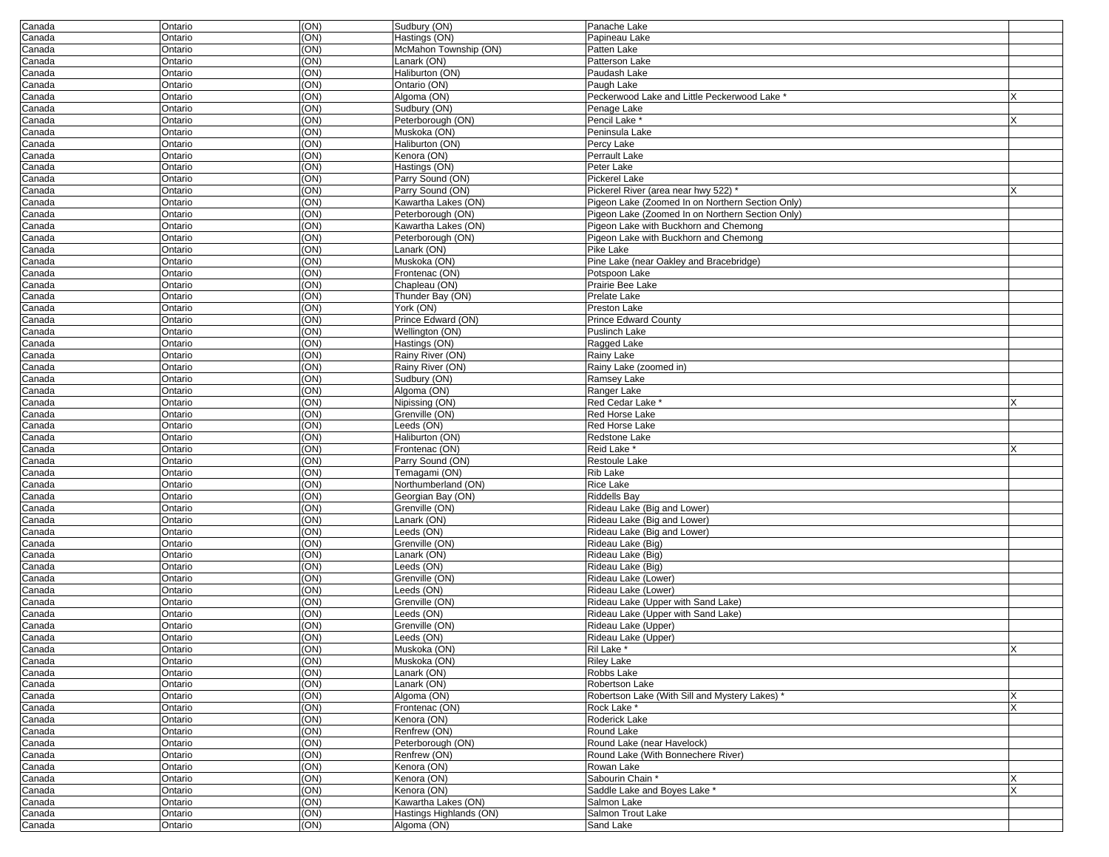| Canada           | Ontario            | (ON)              | Sudbury (ON)                             | Panache Lake                                                                                         |   |
|------------------|--------------------|-------------------|------------------------------------------|------------------------------------------------------------------------------------------------------|---|
| Canada           | Ontario            | (ON)              | Hastings (ON)                            | Papineau Lake                                                                                        |   |
| Canada           | Ontario            | (ON)              | McMahon Township (ON)                    | Patten Lake                                                                                          |   |
| Canada           | Ontario            | (ON)              | Lanark (ON)                              | Patterson Lake                                                                                       |   |
| Canada           | Ontario            | (ON)              | Haliburton (ON)                          | Paudash Lake                                                                                         |   |
| Canada           | Ontario            | (ON)              | Ontario (ON)                             | Paugh Lake                                                                                           |   |
| Canada           | Ontario            | (ON)              | Algoma (ON)                              | Peckerwood Lake and Little Peckerwood Lake                                                           |   |
| Canada           | Ontario            | (ON)              | Sudbury (ON)                             | Penage Lake                                                                                          |   |
| Canada           | Ontario            | (ON)              | Peterborough (ON)                        | Pencil Lake *                                                                                        |   |
| Canada           | Ontario            | (ON)              | Muskoka (ON)                             | Peninsula Lake                                                                                       |   |
| Canada           | Ontario            | (ON)              | Haliburton (ON)                          | Percy Lake                                                                                           |   |
| Canada           | Ontario            | (ON)              | Kenora (ON)                              | Perrault Lake                                                                                        |   |
| Canada           | Ontario            | (ON)              | Hastings (ON)                            | Peter Lake                                                                                           |   |
| Canada           | Ontario            | (ON)              | Parry Sound (ON)                         | <b>Pickerel Lake</b>                                                                                 |   |
| Canada           | Ontario            | (ON)              | Parry Sound (ON)                         | Pickerel River (area near hwy 522) *                                                                 |   |
| Canada           | Ontario            | (ON)<br>(ON)      | Kawartha Lakes (ON)                      | Pigeon Lake (Zoomed In on Northern Section Only)<br>Pigeon Lake (Zoomed In on Northern Section Only) |   |
| Canada<br>Canada | Ontario<br>Ontario | (ON)              | Peterborough (ON)<br>Kawartha Lakes (ON) | Pigeon Lake with Buckhorn and Chemong                                                                |   |
| Canada           | Ontario            | (ON)              | Peterborough (ON)                        | Pigeon Lake with Buckhorn and Chemong                                                                |   |
| Canada           | Ontario            | (ON)              | Lanark (ON)                              | Pike Lake                                                                                            |   |
| Canada           | Ontario            | (ON)              | Muskoka (ON)                             | Pine Lake (near Oakley and Bracebridge)                                                              |   |
| Canada           | Ontario            | (ON)              | Frontenac (ON)                           | Potspoon Lake                                                                                        |   |
| Canada           | Ontario            | (ON)              | Chapleau (ON)                            | Prairie Bee Lake                                                                                     |   |
| Canada           | Ontario            | (ON)              | Thunder Bay (ON)                         | Prelate Lake                                                                                         |   |
| Canada           | Ontario            | (ON)              | York (ON)                                | Preston Lake                                                                                         |   |
| Canada           | Ontario            | (ON)              | Prince Edward (ON)                       | <b>Prince Edward County</b>                                                                          |   |
| Canada           | Ontario            | (ON)              | Wellington (ON)                          | <b>Puslinch Lake</b>                                                                                 |   |
| Canada           | Ontario            | (ON)              | Hastings (ON)                            | Ragged Lake                                                                                          |   |
| Canada           | Ontario            | (ON)              | Rainy River (ON)                         | Rainy Lake                                                                                           |   |
| Canada           | Ontario            | (ON)              | Rainy River (ON)                         | Rainy Lake (zoomed in)                                                                               |   |
| Canada           | Ontario            | (ON)              | Sudbury (ON)                             | <b>Ramsey Lake</b>                                                                                   |   |
| Canada           | Ontario            | (ON)              | Algoma (ON)                              | Ranger Lake                                                                                          |   |
| Canada           | Ontario            | (ON)              | Nipissing (ON)                           | Red Cedar Lake *                                                                                     |   |
| Canada           | Ontario            | (ON)              | Grenville (ON)                           | Red Horse Lake                                                                                       |   |
| Canada           | Ontario            | (ON)              | Leeds (ON)                               | Red Horse Lake                                                                                       |   |
| Canada           | Ontario            | (ON)              | Haliburton (ON)                          | Redstone Lake                                                                                        |   |
| Canada           | Ontario            | (ON)              | Frontenac (ON)                           | Reid Lake *                                                                                          |   |
| Canada           | Ontario            | $\overline{(ON)}$ | Parry Sound (ON)                         | <b>Restoule Lake</b>                                                                                 |   |
| Canada           | Ontario            | (ON)              | Temagami (ON)                            | <b>Rib Lake</b>                                                                                      |   |
| Canada           | Ontario            | (ON)              | Northumberland (ON)                      | <b>Rice Lake</b>                                                                                     |   |
| Canada           | Ontario            | (ON)              | Georgian Bay (ON)                        | <b>Riddells Bay</b>                                                                                  |   |
| Canada           | Ontario            | (ON)              | Grenville (ON)                           | Rideau Lake (Big and Lower)                                                                          |   |
| Canada           | Ontario            | (ON)              | Lanark (ON)                              | Rideau Lake (Big and Lower)                                                                          |   |
| Canada           | Ontario            | (ON)              | Leeds (ON)                               | Rideau Lake (Big and Lower)                                                                          |   |
| Canada           | Ontario            | (ON)              | Grenville (ON)                           | Rideau Lake (Big)                                                                                    |   |
| Canada           | Ontario            | (ON)              | Lanark (ON)                              | Rideau Lake (Big)                                                                                    |   |
| Canada           | Ontario            | (ON)              | Leeds (ON)                               | Rideau Lake (Big)                                                                                    |   |
| Canada           | Ontario            | (ON)              | Grenville (ON)                           | Rideau Lake (Lower)                                                                                  |   |
| Canada           | Ontario            | (ON)              | Leeds (ON)                               | Rideau Lake (Lower)                                                                                  |   |
| Canada           | Ontario            | (ON)              | Grenville (ON)                           | Rideau Lake (Upper with Sand Lake)                                                                   |   |
| Canada           | Ontario            | (ON)              | Leeds (ON)                               | Rideau Lake (Upper with Sand Lake)                                                                   |   |
| Canada           | Ontario            | (ON)              | Grenville (ON)                           | Rideau Lake (Upper)                                                                                  |   |
| Canada           | Ontario            | (ON)              | Leeds (ON)                               | Rideau Lake (Upper)                                                                                  |   |
| Canada           | Ontario            | (ON)              | Muskoka (ON)                             | Ril Lake *                                                                                           | X |
| Canada           | Ontario            | (ON)              | Muskoka (ON)                             | <b>Riley Lake</b>                                                                                    |   |
| Canada           | Ontario            | (ON)              | Lanark (ON)                              | Robbs Lake                                                                                           |   |
| Canada           | Ontario            | (ON)              | Lanark (ON)                              | Robertson Lake                                                                                       |   |
| Canada           | Ontario            | (ON)              | Algoma (ON)                              | Robertson Lake (With Sill and Mystery Lakes) *                                                       | х |
| Canada           | Ontario            | (ON)              | Frontenac (ON)                           | Rock Lake *                                                                                          | X |
| Canada           | Ontario            | (ON)              | Kenora (ON)                              | Roderick Lake                                                                                        |   |
| Canada           | Ontario            | (ON)              | Renfrew (ON)                             | Round Lake                                                                                           |   |
| Canada           | Ontario            | (ON)              | Peterborough (ON)                        | Round Lake (near Havelock)                                                                           |   |
| Canada           | Ontario            | (ON)              | Renfrew (ON)                             | Round Lake (With Bonnechere River)                                                                   |   |
| Canada           | Ontario            | (ON)              | Kenora (ON)                              | Rowan Lake                                                                                           |   |
| Canada           | Ontario            | (ON)              | Kenora (ON)                              | Sabourin Chain *                                                                                     |   |
| Canada           | Ontario            | (ON)              | Kenora (ON)                              | Saddle Lake and Boyes Lake *                                                                         | X |
| Canada           | Ontario            | (ON)              | Kawartha Lakes (ON)                      | Salmon Lake                                                                                          |   |
| Canada           | Ontario            | (ON)              | Hastings Highlands (ON)                  | Salmon Trout Lake                                                                                    |   |
| Canada           | Ontario            | (ON)              | Algoma (ON)                              | Sand Lake                                                                                            |   |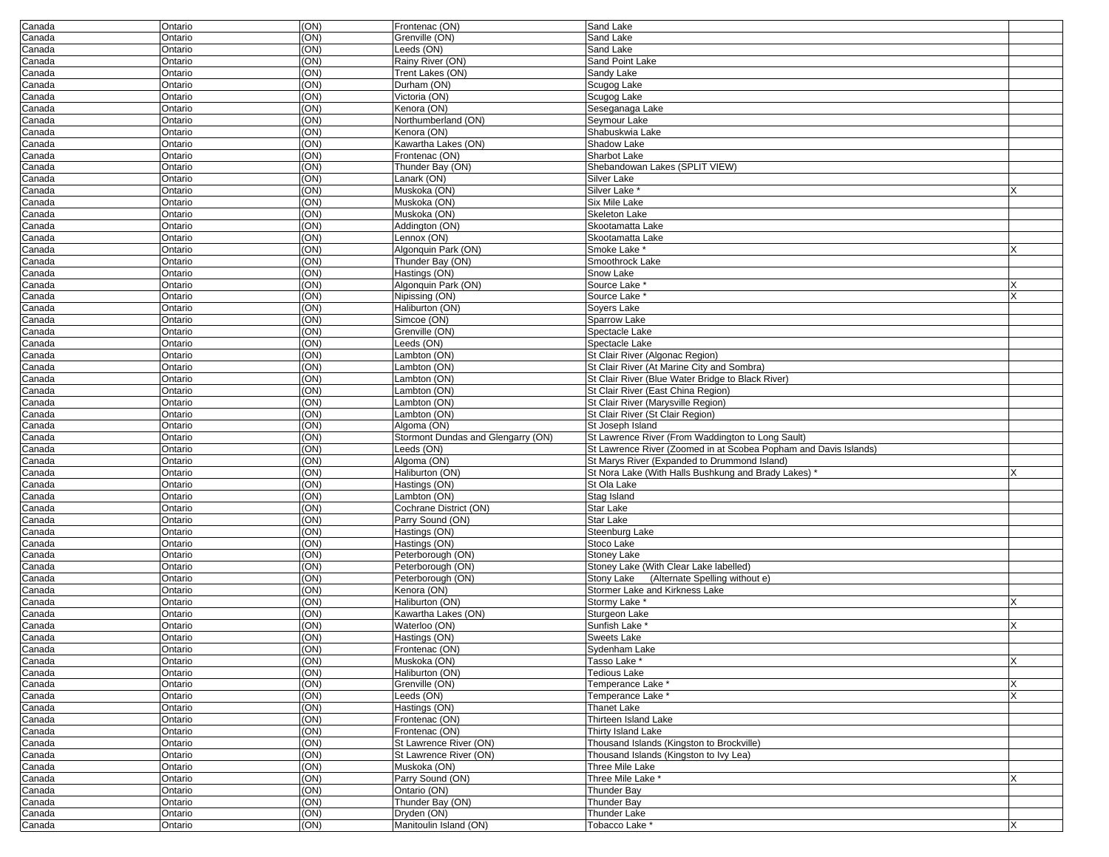| Canada           | Ontario            | (ON)         | Frontenac (ON)                        | Sand Lake                                                        |  |
|------------------|--------------------|--------------|---------------------------------------|------------------------------------------------------------------|--|
| Canada           | Ontario            | (ON)         | Grenville (ON)                        | Sand Lake                                                        |  |
| Canada           | Ontario            | (ON)         | Leeds (ON)                            | Sand Lake                                                        |  |
| Canada           | Ontario            | (ON)         | Rainy River (ON)                      | Sand Point Lake                                                  |  |
| Canada           | Ontario            | (ON)         | Trent Lakes (ON)                      | Sandy Lake                                                       |  |
| Canada           | Ontario            | (ON)         | Durham (ON)                           | Scugog Lake                                                      |  |
| Canada           | Ontario            | (ON)         | Victoria (ON)                         | Scugog Lake                                                      |  |
| Canada           | Ontario            | (ON)         | Kenora (ON)                           | Seseganaga Lake                                                  |  |
| Canada           | Ontario            | (ON)         | Northumberland (ON)                   | Seymour Lake                                                     |  |
| Canada           | Ontario            | (ON)         | Kenora (ON)                           | Shabuskwia Lake                                                  |  |
| Canada           | Ontario            | (ON)         | Kawartha Lakes (ON)                   | Shadow Lake                                                      |  |
| Canada           | Ontario            | (ON)         | Frontenac (ON)                        | Sharbot Lake                                                     |  |
|                  |                    | (ON)         | Thunder Bay (ON)                      | Shebandowan Lakes (SPLIT VIEW)                                   |  |
| Canada           | Ontario            |              | Lanark (ON)                           |                                                                  |  |
| Canada           | Ontario            | (ON)         |                                       | <b>Silver Lake</b>                                               |  |
| Canada           | Ontario            | (ON)         | Muskoka (ON)                          | Silver Lake <sup>*</sup>                                         |  |
| Canada           | Ontario            | (ON)         | Muskoka (ON)                          | <b>Six Mile Lake</b>                                             |  |
| Canada           | Ontario            | (ON)         | Muskoka (ON)                          | <b>Skeleton Lake</b>                                             |  |
| Canada           | Ontario            | (ON)         | Addington (ON)                        | Skootamatta Lake                                                 |  |
| Canada           | Ontario            | (ON)         | Lennox (ON)                           | Skootamatta Lake                                                 |  |
| Canada           | Ontario            | (ON)         | Algonquin Park (ON)                   | Smoke Lake *                                                     |  |
| Canada           | Ontario            | (ON)         | Thunder Bay (ON)                      | Smoothrock Lake                                                  |  |
| Canada           | Ontario            | (ON)         | Hastings (ON)                         | Snow Lake                                                        |  |
| Canada           | Ontario            | (ON)         | Algonquin Park (ON)                   | Source Lake *                                                    |  |
| Canada           | Ontario            | (ON)         | Nipissing (ON)                        | Source Lake *                                                    |  |
| Canada           | Ontario            | (ON)         | Haliburton (ON)                       | Soyers Lake                                                      |  |
| Canada           | Ontario            | (ON)         | Simcoe (ON)                           | <b>Sparrow Lake</b>                                              |  |
| Canada           | Ontario            | (ON)         | Grenville (ON)                        | Spectacle Lake                                                   |  |
| Canada           | Ontario            | (ON)         | Leeds (ON)                            | Spectacle Lake                                                   |  |
| Canada           | Ontario            | (ON)         | Lambton (ON)                          | St Clair River (Algonac Region)                                  |  |
| Canada           | Ontario            | (ON)         | Lambton (ON)                          | St Clair River (At Marine City and Sombra)                       |  |
| Canada           | Ontario            | (ON)         | Lambton (ON)                          | St Clair River (Blue Water Bridge to Black River)                |  |
| Canada           | Ontario            | (ON)         | Lambton (ON)                          | St Clair River (East China Region)                               |  |
| Canada           | Ontario            | (ON)         | Lambton (ON)                          | St Clair River (Marysville Region)                               |  |
| Canada           | Ontario            | (ON)         | Lambton (ON)                          | St Clair River (St Clair Region)                                 |  |
| Canada           | Ontario            | (ON)         | Algoma (ON)                           | St Joseph Island                                                 |  |
| Canada           | Ontario            | (ON)         | Stormont Dundas and Glengarry (ON)    | St Lawrence River (From Waddington to Long Sault)                |  |
| Canada           | Ontario            | (ON)         | Leeds (ON)                            | St Lawrence River (Zoomed in at Scobea Popham and Davis Islands) |  |
| Canada           | Ontario            | (ON)         | Algoma (ON)                           | St Marys River (Expanded to Drummond Island)                     |  |
|                  | Ontario            | (ON)         | Haliburton (ON)                       | St Nora Lake (With Halls Bushkung and Brady Lakes)               |  |
| Canada           |                    | (ON)         |                                       | St Ola Lake                                                      |  |
| Canada           |                    |              | Hastings (ON)                         |                                                                  |  |
|                  | Ontario            |              |                                       |                                                                  |  |
| Canada           | Ontario            | (ON)         | Lambton (ON)                          | Stag Island                                                      |  |
| Canada           | Ontario            | (ON)         | Cochrane District (ON)                | <b>Star Lake</b>                                                 |  |
| Canada           | Ontario            | (ON)         | Parry Sound (ON)                      | <b>Star Lake</b>                                                 |  |
| Canada           | Ontario            | (ON)         | Hastings (ON)                         | Steenburg Lake                                                   |  |
| Canada           | Ontario            | (ON)         | Hastings (ON)                         | Stoco Lake                                                       |  |
| Canada           | Ontario            | (ON)         | Peterborough (ON)                     | <b>Stoney Lake</b>                                               |  |
| Canada           | Ontario            | (ON)         | Peterborough (ON)                     | Stoney Lake (With Clear Lake labelled)                           |  |
| Canada           | Ontario            | (ON)         | Peterborough (ON)                     | (Alternate Spelling without e)<br><b>Stony Lake</b>              |  |
| Canada           | Ontario            | (ON)         | Kenora (ON)                           | Stormer Lake and Kirkness Lake                                   |  |
| Canada           | Ontario            | (ON)         | Haliburton (ON)                       | Stormy Lake *                                                    |  |
| Canada           | Ontario            | (ON)         | Kawartha Lakes (ON)                   | Sturgeon Lake                                                    |  |
| Canada           | Ontario            | (ON)         | Waterloo (ON)                         | Sunfish Lake                                                     |  |
| Canada           | Ontario            | (ON)         | Hastings (ON)                         | <b>Sweets Lake</b>                                               |  |
| Canada           | Ontario            | (ON)         | Frontenac (ON)                        | Sydenham Lake                                                    |  |
| Canada           | Ontario            | (ON)         | Muskoka (ON)                          | Tasso Lake *                                                     |  |
| Canada           | Ontario            | (ON)         | Haliburton (ON)                       | <b>Tedious Lake</b>                                              |  |
|                  |                    |              |                                       |                                                                  |  |
| Canada           | Ontario            | (ON)         | Grenville (ON)                        | Temperance Lake *                                                |  |
| Canada           | Ontario            | (ON)         | Leeds (ON)                            | Temperance Lake *                                                |  |
| Canada           | Ontario            | (ON)         | Hastings (ON)                         | <b>Thanet Lake</b>                                               |  |
| Canada           | Ontario            | (ON)         | Frontenac (ON)                        | Thirteen Island Lake                                             |  |
| Canada           | Ontario            | (ON)         | Frontenac (ON)                        | Thirty Island Lake                                               |  |
| Canada           | Ontario            | (ON)         | St Lawrence River (ON)                | Thousand Islands (Kingston to Brockville)                        |  |
| Canada           | Ontario            | (ON)         | St Lawrence River (ON)                | Thousand Islands (Kingston to Ivy Lea)                           |  |
| Canada           | Ontario            | (ON)         | Muskoka (ON)                          | Three Mile Lake                                                  |  |
| Canada           | Ontario            | (ON)         | Parry Sound (ON)                      | Three Mile Lake *                                                |  |
| Canada           | Ontario            | (ON)         | Ontario (ON)                          | <b>Thunder Bay</b>                                               |  |
| Canada           | Ontario            | (ON)         | Thunder Bay (ON)                      | <b>Thunder Bay</b>                                               |  |
| Canada<br>Canada | Ontario<br>Ontario | (ON)<br>(ON) | Dryden (ON)<br>Manitoulin Island (ON) | Thunder Lake<br>Tobacco Lake *                                   |  |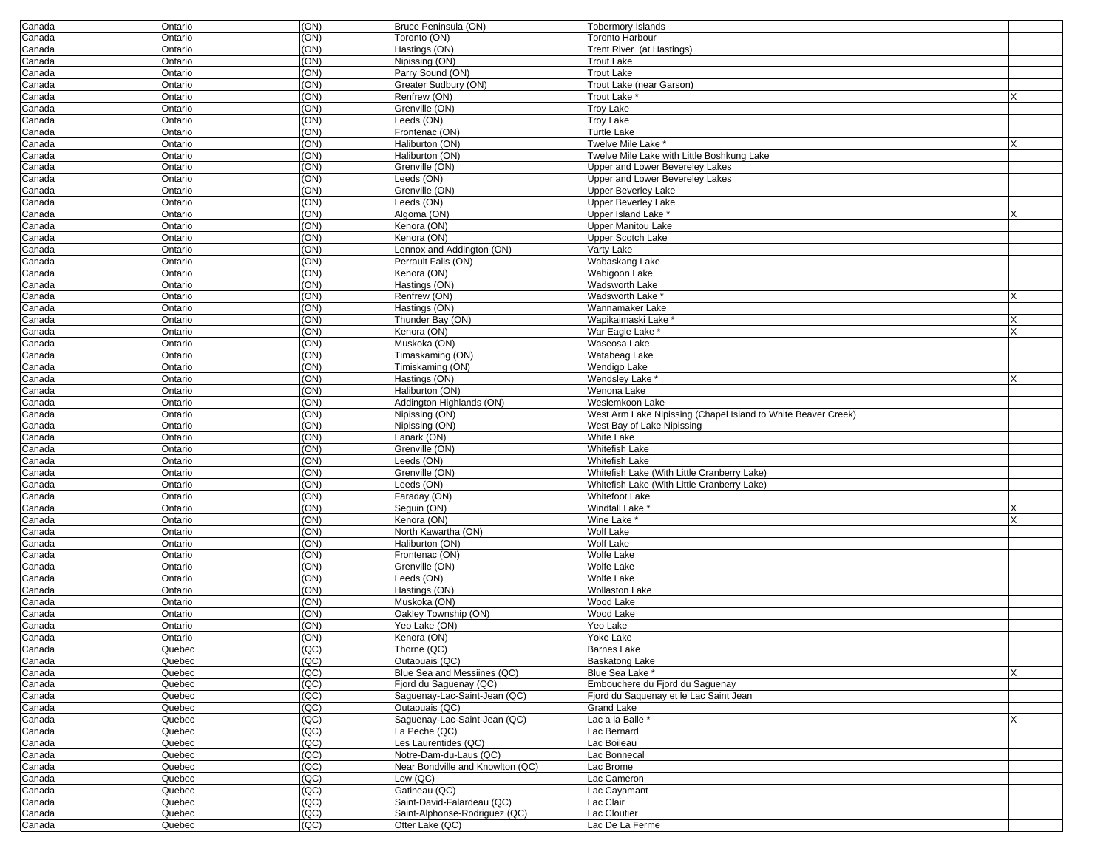| Canada           | Ontario          | (ON)                                 | Bruce Peninsula (ON)                             | <b>Tobermory Islands</b>                                      |   |
|------------------|------------------|--------------------------------------|--------------------------------------------------|---------------------------------------------------------------|---|
| Canada           | Ontario          | (ON)                                 | Toronto (ON)                                     | Toronto Harbour                                               |   |
| Canada           | Ontario          | (ON)                                 | Hastings (ON)                                    | Trent River (at Hastings)                                     |   |
| Canada           | Ontario          | (ON)                                 | Nipissing (ON)                                   | Trout Lake                                                    |   |
| Canada           | Ontario          | (ON)                                 | Parry Sound (ON)                                 | Trout Lake                                                    |   |
| Canada           | Ontario          | (ON)                                 | Greater Sudbury (ON)                             | Trout Lake (near Garson)                                      |   |
| Canada           | Ontario          | (ON)                                 | Renfrew (ON)                                     | Trout Lake <sup>*</sup>                                       |   |
| Canada           | Ontario          | (ON)                                 | Grenville (ON)                                   | Troy Lake                                                     |   |
| Canada           | Ontario          | (ON)                                 | Leeds (ON)                                       | Troy Lake                                                     |   |
| Canada           | Ontario          | (ON)                                 | Frontenac (ON)                                   | Turtle Lake                                                   |   |
| Canada           | Ontario          | (ON)                                 | Haliburton (ON)                                  | Twelve Mile Lake *                                            | X |
| Canada           | Ontario          | (ON)                                 | Haliburton (ON)                                  | Twelve Mile Lake with Little Boshkung Lake                    |   |
| Canada           | Ontario          | (ON)                                 | Grenville (ON)                                   | Upper and Lower Bevereley Lakes                               |   |
| Canada           | Ontario          | (ON)                                 | Leeds (ON)                                       | Upper and Lower Bevereley Lakes                               |   |
| Canada           | Ontario          | (ON)                                 | Grenville (ON)                                   | <b>Upper Beverley Lake</b>                                    |   |
| Canada           | Ontario          | (ON)                                 | Leeds (ON)                                       | <b>Upper Beverley Lake</b>                                    |   |
| Canada           | Ontario          | (ON)                                 | Algoma (ON)                                      | Upper Island Lake *                                           |   |
| Canada           | Ontario          | (ON)                                 | Kenora (ON)                                      | <b>Upper Manitou Lake</b>                                     |   |
| Canada           | Ontario          | (ON)                                 | Kenora (ON)                                      | <b>Upper Scotch Lake</b>                                      |   |
| Canada           | Ontario          | (ON)                                 | Lennox and Addington (ON)                        | Varty Lake                                                    |   |
| Canada           | Ontario          | (ON)                                 | Perrault Falls (ON)                              | Wabaskang Lake                                                |   |
| Canada           | Ontario          | (ON)                                 | Kenora (ON)                                      | Wabigoon Lake                                                 |   |
| Canada           | Ontario          | (ON)                                 | Hastings (ON)                                    | Wadsworth Lake                                                |   |
| Canada           | Ontario          | (ON)                                 | Renfrew (ON)                                     | Wadsworth Lake *                                              |   |
| Canada           | Ontario          | (ON)                                 | Hastings (ON)                                    | Wannamaker Lake                                               |   |
| Canada           | Ontario          | (ON)                                 | Thunder Bay (ON)                                 | Wapikaimaski Lake                                             | x |
| Canada           | Ontario          | (ON)                                 | Kenora (ON)                                      | War Eagle Lake *                                              |   |
| Canada           | Ontario          | (ON)                                 | Muskoka (ON)                                     | Waseosa Lake                                                  |   |
| Canada           | Ontario          | (ON)                                 | Timaskaming (ON)                                 | Watabeag Lake                                                 |   |
| Canada           | Ontario          | (ON)                                 | Timiskaming (ON)                                 | Wendigo Lake                                                  |   |
| Canada           | Ontario          | (ON)                                 | Hastings (ON)                                    | Wendsley Lake                                                 |   |
| Canada           | Ontario          | (ON)                                 | Haliburton (ON)                                  | Wenona Lake                                                   |   |
| Canada           | Ontario          | (ON)                                 | Addington Highlands (ON)                         | Weslemkoon Lake                                               |   |
| Canada           | Ontario          | (ON)                                 | Nipissing (ON)                                   | West Arm Lake Nipissing (Chapel Island to White Beaver Creek) |   |
| Canada           | Ontario          | (ON)                                 | Nipissing (ON)                                   | West Bay of Lake Nipissing                                    |   |
| Canada           | Ontario          | (ON)                                 | Lanark (ON)                                      | <b>White Lake</b>                                             |   |
| Canada           | Ontario          | (ON)                                 | Grenville (ON)                                   | <b>Whitefish Lake</b>                                         |   |
| Canada           | Ontario          | (ON)                                 | Leeds (ON)                                       | <b>Whitefish Lake</b>                                         |   |
| Canada           | Ontario          | (ON)                                 | Grenville (ON)                                   | Whitefish Lake (With Little Cranberry Lake)                   |   |
| Canada           | Ontario          | (ON)                                 | Leeds (ON)                                       | Whitefish Lake (With Little Cranberry Lake)                   |   |
| Canada           | Ontario          | (ON)                                 | Faraday (ON)                                     | <b>Whitefoot Lake</b>                                         |   |
| Canada           | Ontario          | (ON)                                 | Seguin (ON)                                      | Windfall Lake                                                 |   |
| Canada           | Ontario          | (ON)                                 | Kenora (ON)                                      | Wine Lake *                                                   |   |
| Canada           | Ontario          | (ON)                                 | North Kawartha (ON)                              | <b>Wolf Lake</b>                                              |   |
| Canada           | Ontario          | (ON)                                 | Haliburton (ON)                                  | <b>Wolf Lake</b>                                              |   |
| Canada           | Ontario          | (ON)                                 | Frontenac (ON)                                   | <b>Wolfe Lake</b>                                             |   |
| Canada           | Ontario          | (ON)                                 | Grenville (ON)                                   | <b>Wolfe Lake</b>                                             |   |
| Canada           | Ontario          | (ON)                                 | Leeds (ON)                                       | <b>Wolfe Lake</b>                                             |   |
| Canada           | Ontario          | (ON)                                 | Hastings (ON)                                    | <b>Wollaston Lake</b>                                         |   |
| Canada           | Ontario          | (ON)                                 | Muskoka (ON)                                     | Wood Lake                                                     |   |
| Canada           | Ontario          | (ON)                                 | Oakley Township (ON)                             | <b>Wood Lake</b>                                              |   |
| Canada           | Ontario          | (ON)                                 | $\overline{Y}$ eo Lake (ON)                      | Yeo Lake                                                      |   |
| Canada           | Ontario          | (ON)                                 | Kenora (ON)                                      | Yoke Lake                                                     |   |
|                  |                  |                                      |                                                  |                                                               |   |
| Canada<br>Canada | Quebec<br>Quebec | (QC)<br>$\overline{(\overline{QC})}$ | Thorne (QC)<br>Outaouais (QC)                    | Barnes Lake<br>Baskatong Lake                                 |   |
| Canada           | Quebec           | (QC)                                 | Blue Sea and Messiines (QC)                      | Blue Sea Lake *                                               | X |
|                  |                  | (QC)                                 | Fjord du Saguenay (QC)                           | Embouchere du Fjord du Saquenay                               |   |
| Canada           | Quebec           | (QC)                                 | Saguenay-Lac-Saint-Jean (QC)                     | Fjord du Saquenay et le Lac Saint Jean                        |   |
| Canada           | Quebec           | (QC)                                 | Outaouais (QC)                                   | <b>Grand Lake</b>                                             |   |
| Canada           | Quebec           |                                      |                                                  |                                                               |   |
| Canada           | Quebec           | (QC)<br>(QC)                         | Saguenay-Lac-Saint-Jean (QC)<br>La Peche (QC)    | Lac a la Balle *                                              |   |
| Canada<br>Canada |                  |                                      |                                                  | Lac Bernard                                                   |   |
|                  | Quebec           |                                      |                                                  |                                                               |   |
|                  | Quebec           | (QC)                                 | Les Laurentides (QC)                             | Lac Boileau                                                   |   |
| Canada           | Quebec           | (QC)                                 | Notre-Dam-du-Laus (QC)                           | Lac Bonnecal                                                  |   |
| Canada           | Quebec           | (QC)                                 | Near Bondville and Knowlton (QC)                 | Lac Brome                                                     |   |
| Canada           | Quebec           | (QC)                                 | Low (QC)                                         | Lac Cameron                                                   |   |
| Canada           | Quebec           | (QC)                                 | Gatineau (QC)                                    | Lac Cayamant                                                  |   |
| Canada           | Quebec           | (QC)                                 | Saint-David-Falardeau (QC)                       | Lac Clair                                                     |   |
| Canada<br>Canada | Quebec<br>Quebec | (QC)<br>(QC)                         | Saint-Alphonse-Rodriguez (QC)<br>Otter Lake (QC) | Lac Cloutier<br>Lac De La Ferme                               |   |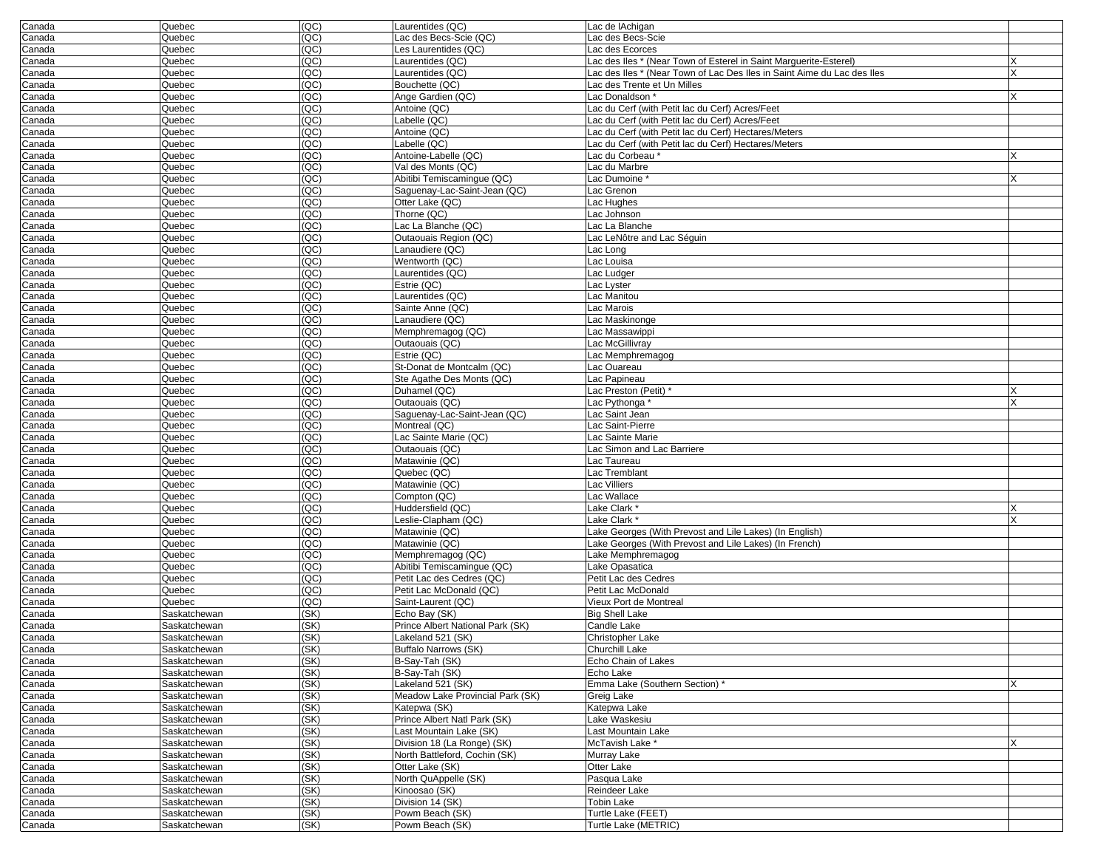| Canada | Quebec       | (QC) | Laurentides (QC)                 | Lac de lAchigan                                                         |   |
|--------|--------------|------|----------------------------------|-------------------------------------------------------------------------|---|
| Canada | Quebec       | (QC) | Lac des Becs-Scie (QC)           | Lac des Becs-Scie                                                       |   |
| Canada | Quebec       | (QC) | Les Laurentides (QC)             | Lac des Ecorces                                                         |   |
| Canada | Quebec       | (QC) | Laurentides (QC)                 | Lac des Iles * (Near Town of Esterel in Saint Marguerite-Esterel)       |   |
| Canada | Quebec       | (QC) | Laurentides (QC)                 | Lac des Iles * (Near Town of Lac Des Iles in Saint Aime du Lac des Iles |   |
| Canada | Quebec       | (QC) | Bouchette (QC)                   | Lac des Trente et Un Milles                                             |   |
| Canada | Quebec       | (QC) | Ange Gardien (QC)                | Lac Donaldson *                                                         |   |
| Canada | Quebec       | (QC) | Antoine (QC)                     | Lac du Cerf (with Petit lac du Cerf) Acres/Feet                         |   |
| Canada | Quebec       | (QC) | Labelle (QC)                     | Lac du Cerf (with Petit lac du Cerf) Acres/Feet                         |   |
| Canada | Quebec       | QC   | Antoine (QC)                     | Lac du Cerf (with Petit lac du Cerf) Hectares/Meters                    |   |
| Canada | Quebec       | (QC) | Labelle (QC)                     | Lac du Cerf (with Petit lac du Cerf) Hectares/Meters                    |   |
| Canada | Quebec       | (QC) | Antoine-Labelle (QC)             | Lac du Corbeau *                                                        |   |
| Canada | Quebec       | (QC) | Val des Monts (QC)               | Lac du Marbre                                                           |   |
| Canada | Quebec       | (QC) | Abitibi Temiscamingue (QC)       | Lac Dumoine                                                             |   |
| Canada | Quebec       | (QC) | Saguenay-Lac-Saint-Jean (QC)     | Lac Grenon                                                              |   |
| Canada | Quebec       | (QC) | Otter Lake (QC)                  | Lac Hughes                                                              |   |
| Canada | Quebec       | (QC) | Thorne (QC)                      | Lac Johnson                                                             |   |
| Canada | Quebec       | (QC) | Lac La Blanche (QC)              | Lac La Blanche                                                          |   |
| Canada | Quebec       | (QC) | Outaouais Region (QC)            | Lac LeNôtre and Lac Séguin                                              |   |
| Canada | Quebec       | (QC) | Lanaudiere (QC)                  | Lac Long                                                                |   |
| Canada | Quebec       | (QC) | Wentworth (QC)                   | Lac Louisa                                                              |   |
| Canada | Quebec       | (QC) | Laurentides (QC)                 | Lac Ludger                                                              |   |
| Canada | Quebec       | (QC) | Estrie (QC)                      | Lac Lyster                                                              |   |
| Canada | Quebec       | (QC) | Laurentides (QC)                 | Lac Manitou                                                             |   |
| Canada | Quebec       | QC   | Sainte Anne (QC)                 | Lac Marois                                                              |   |
| Canada | Quebec       | (QC) | Lanaudiere (QC)                  | Lac Maskinonge                                                          |   |
| Canada | Quebec       | (QC) | Memphremagog (QC)                | Lac Massawippi                                                          |   |
| Canada | Quebec       | (QC) | Outaouais (QC)                   | Lac McGillivray                                                         |   |
| Canada | Quebec       | (QC) | Estrie (QC)                      | Lac Memphremagog                                                        |   |
| Canada | Quebec       | (QC) | St-Donat de Montcalm (QC)        | Lac Ouareau                                                             |   |
| Canada | Quebec       | (QC) | Ste Agathe Des Monts (QC)        | Lac Papineau                                                            |   |
| Canada | Quebec       | (QC) | Duhamel (QC)                     | Lac Preston (Petit) *                                                   |   |
| Canada | Quebec       | (QC) | Outaouais (QC)                   | Lac Pythonga '                                                          |   |
| Canada | Quebec       | (QC) | Saguenay-Lac-Saint-Jean (QC)     | Lac Saint Jean                                                          |   |
| Canada | Quebec       | (QC) | Montreal (QC)                    | Lac Saint-Pierre                                                        |   |
| Canada | Quebec       | (QC) | Lac Sainte Marie (QC)            | Lac Sainte Marie                                                        |   |
| Canada | Quebec       | (QC) | Outaouais (QC)                   | Lac Simon and Lac Barriere                                              |   |
| Canada | Quebec       | (QC) | Matawinie (QC)                   | Lac Taureau                                                             |   |
| Canada | Quebec       | (QC) | Quebec (QC)                      | Lac Tremblant                                                           |   |
| Canada | Quebec       | QC   | Matawinie (QC)                   | Lac Villiers                                                            |   |
| Canada | Quebec       | (QC) | Compton (QC)                     | Lac Wallace                                                             |   |
| Canada | Quebec       | (QC) | Huddersfield (QC)                | Lake Clark *                                                            |   |
| Canada | Quebec       | (QC) | Leslie-Clapham (QC)              | Lake Clark *                                                            | X |
| Canada | Quebec       | (QC) | Matawinie (QC)                   | Lake Georges (With Prevost and Lile Lakes) (In English)                 |   |
| Canada | Quebec       | (QC) | Matawinie (QC)                   | Lake Georges (With Prevost and Lile Lakes) (In French)                  |   |
| Canada | Quebec       | (QC) | Memphremagog (QC)                | Lake Memphremagog                                                       |   |
| Canada | Quebec       | (QC) | Abitibi Temiscaminque (QC)       | Lake Opasatica                                                          |   |
| Canada | Quebec       | (QC) | Petit Lac des Cedres (QC)        | Petit Lac des Cedres                                                    |   |
| Canada | Quebec       | (QC) | Petit Lac McDonald (QC)          | Petit Lac McDonald                                                      |   |
| Canada | Quebec       | (QC) | Saint-Laurent (QC)               | Vieux Port de Montreal                                                  |   |
| Canada | Saskatchewan | (SK) | Echo Bay (SK)                    | <b>Big Shell Lake</b>                                                   |   |
| Canada | Saskatchewan | (SK) | Prince Albert National Park (SK) | Candle Lake                                                             |   |
| Canada | Saskatchewan | (SK) | Lakeland 521 (SK)                | Christopher Lake                                                        |   |
| Canada | Saskatchewan | (SK) | Buffalo Narrows (SK)             | Churchill Lake                                                          |   |
| Canada | Saskatchewan | (SK) | B-Say-Tah (SK)                   | Echo Chain of Lakes                                                     |   |
| Canada | Saskatchewan | (SK) | B-Say-Tah (SK)                   | Echo Lake                                                               |   |
| Canada | Saskatchewan | (SK) | Lakeland 521 (SK)                | Emma Lake (Southern Section) *                                          | x |
| Canada | Saskatchewan | (SK) | Meadow Lake Provincial Park (SK) | Greig Lake                                                              |   |
| Canada | Saskatchewan | (SK) | Katepwa (SK)                     | Katepwa Lake                                                            |   |
| Canada | Saskatchewan | (SK) | Prince Albert Natl Park (SK)     | Lake Waskesiu                                                           |   |
| Canada | Saskatchewan | (SK) | Last Mountain Lake (SK)          | Last Mountain Lake                                                      |   |
| Canada | Saskatchewan | (SK) | Division 18 (La Ronge) (SK)      | McTavish Lake *                                                         | X |
| Canada | Saskatchewan | (SK) | North Battleford, Cochin (SK)    | Murray Lake                                                             |   |
| Canada | Saskatchewan | (SK) | Otter Lake (SK)                  | Otter Lake                                                              |   |
| Canada | Saskatchewan | (SK) | North QuAppelle (SK)             | Pasqua Lake                                                             |   |
| Canada | Saskatchewan | (SK) | Kinoosao (SK)                    | Reindeer Lake                                                           |   |
| Canada | Saskatchewan | (SK) | Division 14 (SK)                 | Tobin Lake                                                              |   |
| Canada | Saskatchewan | (SK) | Powm Beach (SK)                  | Turtle Lake (FEET)                                                      |   |
| Canada | Saskatchewan | (SK) | Powm Beach (SK)                  | Turtle Lake (METRIC)                                                    |   |
|        |              |      |                                  |                                                                         |   |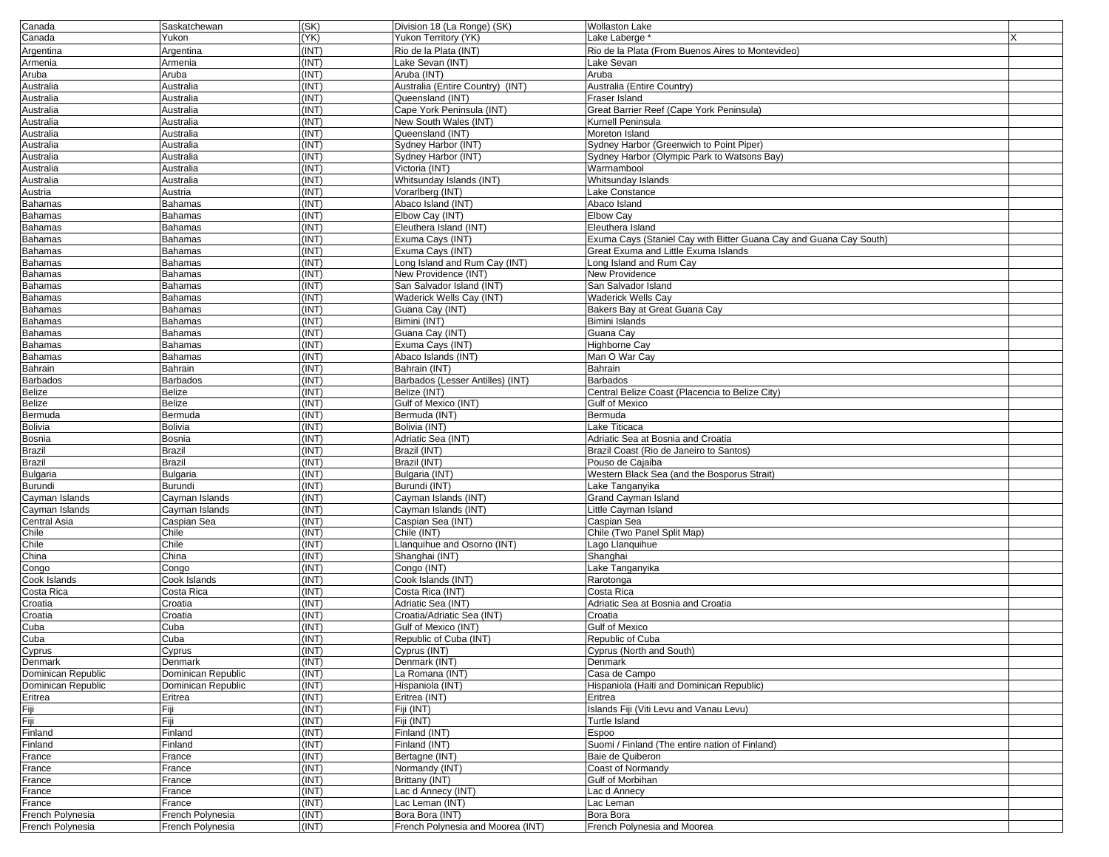| Canada             | Saskatchewan       | (SK)  | Division 18 (La Ronge) (SK)       | <b>Wollaston Lake</b>                                              |  |
|--------------------|--------------------|-------|-----------------------------------|--------------------------------------------------------------------|--|
| Canada             | Yukon              | (YK)  | Yukon Territory (YK)              | Lake Laberge *                                                     |  |
| Argentina          | Argentina          | (INT) | Rio de la Plata (INT)             | Rio de la Plata (From Buenos Aires to Montevideo)                  |  |
| Armenia            | Armenia            | (INT) | Lake Sevan (INT)                  | Lake Sevan                                                         |  |
| Aruba              | Aruba              | (INT) | Aruba (INT)                       | Aruba                                                              |  |
| Australia          | Australia          | (INT) | Australia (Entire Country) (INT)  | Australia (Entire Country)                                         |  |
| Australia          | Australia          | (INT) | Queensland (INT)                  | Fraser Island                                                      |  |
| Australia          | Australia          | (INT) | Cape York Peninsula (INT)         | Great Barrier Reef (Cape York Peninsula)                           |  |
|                    | Australia          | (INT) | New South Wales (INT)             | Kurnell Peninsula                                                  |  |
| Australia          |                    |       |                                   |                                                                    |  |
| Australia          | Australia          | (INT) | Queensland (INT)                  | Moreton Island                                                     |  |
| Australia          | Australia          | (INT) | Sydney Harbor (INT)               | Sydney Harbor (Greenwich to Point Piper)                           |  |
| Australia          | Australia          | (INT) | Sydney Harbor (INT)               | Sydney Harbor (Olympic Park to Watsons Bay)                        |  |
| Australia          | Australia          | (INT) | Victoria (INT)                    | Warrnambool                                                        |  |
| Australia          | Australia          | (INT) | Whitsunday Islands (INT)          | Whitsunday Islands                                                 |  |
| Austria            | Austria            | (INT) | Vorarlberg (INT)                  | Lake Constance                                                     |  |
| <b>Bahamas</b>     | Bahamas            | (INT) | Abaco Island (INT)                | Abaco Island                                                       |  |
| Bahamas            | <b>Bahamas</b>     | (INT) | Elbow Cay (INT)                   | <b>Elbow Cay</b>                                                   |  |
| Bahamas            | <b>Bahamas</b>     | (INT) | Eleuthera Island (INT)            | Eleuthera Island                                                   |  |
| Bahamas            | Bahamas            | (INT) | Exuma Cays (INT)                  | Exuma Cays (Staniel Cay with Bitter Guana Cay and Guana Cay South) |  |
| Bahamas            | <b>Bahamas</b>     | (INT) | Exuma Cays (INT)                  | Great Exuma and Little Exuma Islands                               |  |
| <b>Bahamas</b>     | Bahamas            | (INT) | Long Island and Rum Cay (INT)     | Long Island and Rum Cay                                            |  |
| <b>Bahamas</b>     | <b>Bahamas</b>     | (INT) | New Providence (INT)              | New Providence                                                     |  |
| <b>Bahamas</b>     | <b>Bahamas</b>     | (INT) | San Salvador Island (INT)         | San Salvador Island                                                |  |
|                    |                    | (INT) | Waderick Wells Cay (INT)          |                                                                    |  |
| Bahamas            | <b>Bahamas</b>     |       |                                   | Waderick Wells Cay                                                 |  |
| <b>Bahamas</b>     | Bahamas            | (INT) | Guana Cay (INT)                   | Bakers Bay at Great Guana Cay                                      |  |
| <b>Bahamas</b>     | Bahamas            | (INT) | Bimini (INT)                      | <b>Bimini Islands</b>                                              |  |
| <b>Bahamas</b>     | <b>Bahamas</b>     | (INT) | Guana Cay (INT)                   | Guana Cav                                                          |  |
| <b>Bahamas</b>     | <b>Bahamas</b>     | (INT) | Exuma Cays (INT)                  | <b>Highborne Cay</b>                                               |  |
| <b>Bahamas</b>     | <b>Bahamas</b>     | (INT) | Abaco Islands (INT)               | Man O War Cay                                                      |  |
| Bahrain            | Bahrain            | (INT) | Bahrain (INT)                     | Bahrain                                                            |  |
| <b>Barbados</b>    | <b>Barbados</b>    | (INT) | Barbados (Lesser Antilles) (INT)  | <b>Barbados</b>                                                    |  |
| Belize             | <b>Belize</b>      | (INT) | Belize (INT)                      | Central Belize Coast (Placencia to Belize City)                    |  |
| Belize             | <b>Belize</b>      | (INT) | Gulf of Mexico (INT)              | <b>Gulf of Mexico</b>                                              |  |
| Bermuda            | Bermuda            | (INT) | Bermuda (INT)                     | Bermuda                                                            |  |
| <b>Bolivia</b>     | <b>Bolivia</b>     | (INT) | Bolivia (INT)                     | Lake Titicaca                                                      |  |
| Bosnia             | Bosnia             | (INT) | Adriatic Sea (INT)                | Adriatic Sea at Bosnia and Croatia                                 |  |
| Brazil             | <b>Brazil</b>      | (INT) | Brazil (INT)                      | Brazil Coast (Rio de Janeiro to Santos)                            |  |
| Brazil             | <b>Brazil</b>      | (INT) | Brazil (INT)                      | Pouso de Cajaiba                                                   |  |
| Bulgaria           | Bulgaria           | (INT) | Bulgaria (INT)                    | Western Black Sea (and the Bosporus Strait)                        |  |
| Burundi            | Burundi            | (INT) | Burundi (INT)                     | Lake Tanganyika                                                    |  |
|                    |                    |       |                                   |                                                                    |  |
| Cayman Islands     | Cayman Islands     | (INT) | Cayman Islands (INT)              | Grand Cayman Island                                                |  |
| Cayman Islands     | Cayman Islands     | (INT) | Cayman Islands (INT)              | Little Cayman Island                                               |  |
| Central Asia       | Caspian Sea        | (INT) | Caspian Sea (INT)                 | Caspian Sea                                                        |  |
| Chile              | Chile              | (INT) | Chile (INT)                       | Chile (Two Panel Split Map)                                        |  |
| Chile              | Chile              | (INT) | Llanquihue and Osorno (INT)       | Lago Llanquihue                                                    |  |
| China              | China              | (INT) | Shanghai (INT)                    | Shanghai                                                           |  |
| Congo              | Congo              | (INT) | Congo (INT)                       | Lake Tanganyika                                                    |  |
| Cook Islands       | Cook Islands       | (INT) | Cook Islands (INT)                | Rarotonga                                                          |  |
| Costa Rica         | Costa Rica         | (INT) | Costa Rica (INT)                  | Costa Rica                                                         |  |
| Croatia            | Croatia            | (INT) | Adriatic Sea (INT)                | Adriatic Sea at Bosnia and Croatia                                 |  |
| Croatia            | Croatia            | (INT) | Croatia/Adriatic Sea (INT)        | Croatia                                                            |  |
| Cuba               | Cuba               | (INT) | Gulf of Mexico (INT)              | <b>Gulf of Mexico</b>                                              |  |
| Cuba               | Cuba               | (INT) | Republic of Cuba (INT)            | Republic of Cuba                                                   |  |
| Cyprus             | Cyprus             | (INT) | Cyprus (INT)                      | Cyprus (North and South)                                           |  |
| Denmark            | Denmark            | (INT) | Denmark (INT)                     | Denmark                                                            |  |
| Dominican Republic | Dominican Republic | (INT) | La Romana (INT)                   | Casa de Campo                                                      |  |
| Dominican Republic | Dominican Republic | (INT) | Hispaniola (INT)                  | Hispaniola (Haiti and Dominican Republic)                          |  |
|                    |                    | (INT) | Eritrea (INT)                     | Eritrea                                                            |  |
| Eritrea            | Eritrea            |       |                                   |                                                                    |  |
| Fiji               | Fiji               | (INT) | Fiji (INT)                        | Islands Fiji (Viti Levu and Vanau Levu)                            |  |
| Fiji               | Fiji               | (INT) | Fiji (INT)                        | Turtle Island                                                      |  |
| Finland            | Finland            | (INT) | Finland (INT)                     | Espoo                                                              |  |
| Finland            | Finland            | (INT) | Finland (INT)                     | Suomi / Finland (The entire nation of Finland)                     |  |
| France             | France             | (INT) | Bertagne (INT)                    | Baie de Quiberon                                                   |  |
| France             | France             | (INT) | Normandy (INT)                    | Coast of Normandy                                                  |  |
| France             | France             | (INT) | Brittany (INT)                    | Gulf of Morbihan                                                   |  |
| France             | France             | (INT) | Lac d Annecy (INT)                | Lac d Annecy                                                       |  |
| France             | France             | (INT) | Lac Leman (INT)                   | Lac Leman                                                          |  |
| French Polynesia   | French Polynesia   | (INT) | Bora Bora (INT)                   | Bora Bora                                                          |  |
| French Polynesia   | French Polynesia   | (INT) | French Polynesia and Moorea (INT) | French Polynesia and Moorea                                        |  |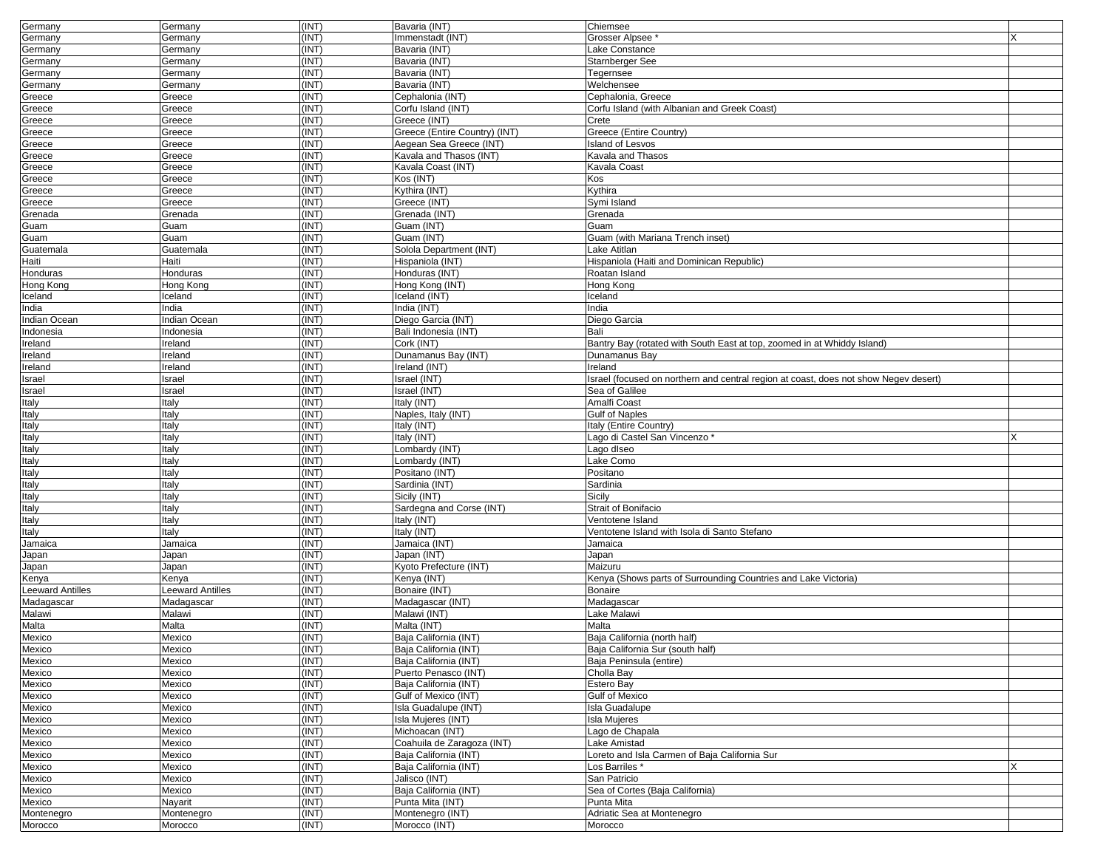| Germany         | Germany               | (INT) | Bavaria (INT)                        | Chiemsee                                                                             |  |
|-----------------|-----------------------|-------|--------------------------------------|--------------------------------------------------------------------------------------|--|
| Germany         | Germany               | (INT) | Immenstadt (INT)                     | Grosser Alpsee                                                                       |  |
| Germany         | Germany               | (INT) | Bavaria (INT)                        | Lake Constance                                                                       |  |
| Germany         | Germany               | (INT) | Bavaria (INT)                        | Starnberger See                                                                      |  |
| Germany         | Germany               | (INT) | Bavaria (INT)                        | Tegernsee                                                                            |  |
| Germany         | Germany               | (INT) | Bavaria (INT)                        | Welchensee                                                                           |  |
| Greece          | Greece                | (INT) | Cephalonia (INT)                     | Cephalonia, Greece                                                                   |  |
| Greece          | Greece                | (INT) | Corfu Island (INT)                   | Corfu Island (with Albanian and Greek Coast)                                         |  |
| Greece          | Greece                | (INT) | Greece (INT)                         | Crete                                                                                |  |
| Greece          | Greece                | (INT) | Greece (Entire Country) (INT)        | Greece (Entire Country)                                                              |  |
| Greece          | Greece                | (INT) | Aegean Sea Greece (INT)              | <b>Island of Lesvos</b>                                                              |  |
| Greece          | Greece                | (INT) | Kavala and Thasos (INT)              | Kavala and Thasos                                                                    |  |
| Greece          | Greece                | (INT) | Kavala Coast (INT)                   | Kavala Coast                                                                         |  |
| Greece          | Greece                | (INT) | Kos (INT)                            | Kos                                                                                  |  |
| Greece          | Greece                | (INT) | Kythira (INT)                        | Kythira                                                                              |  |
| Greece          | Greece                | (INT) | Greece (INT)                         | Symi Island                                                                          |  |
| Grenada         | Grenada               | (INT) | Grenada (INT)                        | Grenada                                                                              |  |
| Guam            | Guam                  | (INT) | Guam (INT)                           | Guam                                                                                 |  |
| Guam            | Guam                  | (INT) | Guam (INT)                           | Guam (with Mariana Trench inset)                                                     |  |
| Guatemala       | Guatemala             | (INT) | Solola Department (INT)              | Lake Atitlan                                                                         |  |
| Haiti           | Haiti                 | (INT) | Hispaniola (INT)                     | Hispaniola (Haiti and Dominican Republic)                                            |  |
| Honduras        | Honduras              | (INT) | Honduras (INT)                       | Roatan Island                                                                        |  |
| Hong Kong       | Hong Kong             | (INT) | Hong Kong (INT)                      | Hong Kong                                                                            |  |
| Iceland         | Iceland               | (INT) | Iceland (INT)                        | Iceland                                                                              |  |
| India           | India                 | (INT) | India (INT)                          | India                                                                                |  |
| Indian Ocean    | Indian Ocean          | (INT) | Diego Garcia (INT)                   | Diego Garcia                                                                         |  |
| Indonesia       | Indonesia             | (INT) | Bali Indonesia (INT)                 | Bali                                                                                 |  |
|                 | Ireland               | (INT) | Cork (INT)                           | Bantry Bay (rotated with South East at top, zoomed in at Whiddy Island)              |  |
| reland          |                       | (INT) |                                      | Dunamanus Bay                                                                        |  |
| Ireland         | Ireland               | (INT) | Dunamanus Bay (INT)<br>Ireland (INT) | Ireland                                                                              |  |
| Ireland         | Ireland               |       |                                      |                                                                                      |  |
| Israel          | Israel                | (INT) | Israel (INT)                         | Israel (focused on northern and central region at coast, does not show Negev desert) |  |
| Israel          | Israel                | (INT) | Israel (INT)                         | Sea of Galilee                                                                       |  |
| Italy           | Italy                 | (INT) | Italy (INT)                          | Amalfi Coast                                                                         |  |
| Italy           | Italy                 | (INT) | Naples, Italy (INT)                  | <b>Gulf of Naples</b>                                                                |  |
| Italy           | Italy                 | (INT) | Italy (INT)                          | Italy (Entire Country)                                                               |  |
| Italy           | Italy                 | (INT) | Italy (INT)                          | Lago di Castel San Vincenzo *                                                        |  |
| Italy           | Italy                 | (INT) | Lombardy (INT)                       | Lago diseo                                                                           |  |
| Italy           | Italy                 | (INT) | Lombardy (INT)                       | Lake Como                                                                            |  |
| Italy           | Italy                 | (INT) | Positano (INT)                       | Positano                                                                             |  |
| Italy           | Italy                 | (INT) | Sardinia (INT)                       | Sardinia                                                                             |  |
| Italy           | Italy                 | (INT) | Sicily (INT)                         | Sicily                                                                               |  |
| Italy           | Italy                 | (INT) | Sardegna and Corse (INT)             | Strait of Bonifacio                                                                  |  |
| Italy           | Italy                 | (INT) | Italy (INT)                          | Ventotene Island                                                                     |  |
| Italy           | Italy                 | (INT) | Italy (INT)                          | Ventotene Island with Isola di Santo Stefano                                         |  |
| Jamaica         | Jamaica               | (INT) | Jamaica (INT)                        | Jamaica                                                                              |  |
| Japan           | Japan                 | (INT) | Japan (INT)                          | Japan                                                                                |  |
| Japan           | Japan                 | (INT) | Kyoto Prefecture (INT)               | Maizuru                                                                              |  |
| Kenya           | Kenya                 | (INT) | Kenya (INT)                          | Kenya (Shows parts of Surrounding Countries and Lake Victoria)                       |  |
| eeward Antilles | Leeward Antilles      | (INT) | Bonaire (INT)                        | <b>Bonaire</b>                                                                       |  |
| Madagascar      | Madagascar            | (INT) | Madagascar (INT)                     | Madagascar                                                                           |  |
| Malawi          | Malawi                | (INT) | Malawi (INT)                         | Lake Malawi                                                                          |  |
| Malta           | Malta                 | (INT) | Malta (INT)                          | Malta                                                                                |  |
| Mexico          | Mexico                | (INT) | Baja California (INT)                | Baja California (north half)                                                         |  |
| Mexico          | Mexico                | (INT) | <b>Baja California (INT)</b>         | Baja California Sur (south half)                                                     |  |
| Mexico          | Mexico                | (INT) | Baja California (INT)                | Baja Peninsula (entire)                                                              |  |
| Mexico          | Mexico                | (INT) | Puerto Penasco (INT)                 | Cholla Bay                                                                           |  |
| Mexico          | Mexico                | (INT) | Baja California (INT)                | Estero Bay                                                                           |  |
| Mexico          | Mexico                | (INT) | Gulf of Mexico (INT)                 | <b>Gulf of Mexico</b>                                                                |  |
| Mexico          | Mexico                | (INT) | Isla Guadalupe (INT)                 | Isla Guadalupe                                                                       |  |
| Mexico          | Mexico                | (INT) | Isla Mujeres (INT)                   | <b>Isla Mujeres</b>                                                                  |  |
| Mexico          | Mexico                | (INT) | Michoacan (INT)                      | Lago de Chapala                                                                      |  |
| Mexico          | Mexico                | (INT) | Coahuila de Zaragoza (INT)           | Lake Amistad                                                                         |  |
| Mexico          | Mexico                | (INT) | Baja California (INT)                | Loreto and Isla Carmen of Baja California Sur                                        |  |
| Mexico          | Mexico                | (INT) | Baja California (INT)                | Los Barriles *                                                                       |  |
| <b>Mexico</b>   | Mexico                | (INT) | Jalisco (INT)                        | San Patricio                                                                         |  |
| Mexico          | Mexico                | (INT) | Baja California (INT)                | Sea of Cortes (Baja California)                                                      |  |
| Mexico          |                       | (INT) | Punta Mita (INT)                     | Punta Mita                                                                           |  |
| Montenegro      | Nayarit<br>Montenegro | (INT) | Montenegro (INT)                     | Adriatic Sea at Montenegro                                                           |  |
|                 |                       | (INT) | Morocco (INT)                        | Morocco                                                                              |  |
| Morocco         | Morocco               |       |                                      |                                                                                      |  |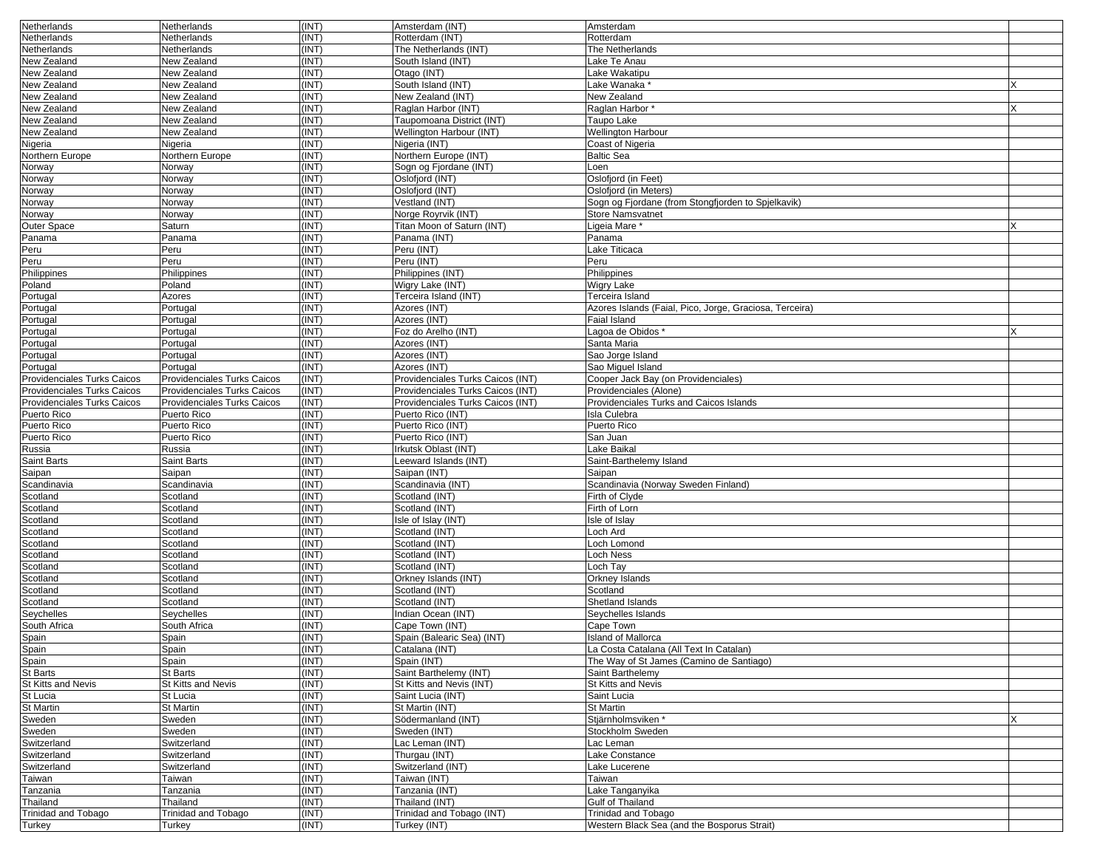| <b>Netherlands</b>                 | Netherlands                 | (INT) | Amsterdam (INT)                   | Amsterdam                                               |  |
|------------------------------------|-----------------------------|-------|-----------------------------------|---------------------------------------------------------|--|
| Netherlands                        | Netherlands                 | (INT) | Rotterdam (INT)                   | Rotterdam                                               |  |
| Netherlands                        | Netherlands                 | (INT) | The Netherlands (INT)             | The Netherlands                                         |  |
| New Zealand                        | New Zealand                 | (INT) | South Island (INT)                | Lake Te Anau                                            |  |
| New Zealand                        | New Zealand                 | (INT) | Otago (INT)                       | Lake Wakatipu                                           |  |
| New Zealand                        | New Zealand                 | (INT) | South Island (INT)                | Lake Wanaka                                             |  |
| <b>New Zealand</b>                 | New Zealand                 | (INT) | New Zealand (INT)                 | <b>New Zealand</b>                                      |  |
| New Zealand                        | New Zealand                 | (INT) | Raglan Harbor (INT)               | Raglan Harbor*                                          |  |
| New Zealand                        | New Zealand                 | (INT) | Taupomoana District (INT)         | Taupo Lake                                              |  |
| New Zealand                        | New Zealand                 | (INT) | Wellington Harbour (INT)          | <b>Wellington Harbour</b>                               |  |
| Nigeria                            | Nigeria                     | (INT) | Nigeria (INT)                     | <b>Coast of Nigeria</b>                                 |  |
| Northern Europe                    | Northern Europe             | (INT) | Northern Europe (INT)             | <b>Baltic Sea</b>                                       |  |
| Norway                             | Norway                      | (INT) | Sogn og Fjordane (INT)            | Loen                                                    |  |
| Norway                             | Norway                      | (INT) | Oslofjord (INT)                   | Oslofjord (in Feet)                                     |  |
| Norway                             | Norway                      | (INT) | Oslofjord (INT)                   | Oslofjord (in Meters)                                   |  |
| Norway                             | Norway                      | (INT) | Vestland (INT)                    | Sogn og Fjordane (from Stongfjorden to Spjelkavik)      |  |
| Norway                             | Norway                      | (INT) | Norge Royrvik (INT)               | <b>Store Namsvatnet</b>                                 |  |
| Outer Space                        | Saturn                      | (INT) | Titan Moon of Saturn (INT)        | Ligeia Mare *                                           |  |
| Panama                             | Panama                      | (INT) | Panama (INT)                      | Panama                                                  |  |
| Peru                               | Peru                        | (INT) | Peru (INT)                        | Lake Titicaca                                           |  |
| Peru                               | Peru                        | (INT) | Peru (INT)                        | Peru                                                    |  |
| Philippines                        | Philippines                 | (INT) | Philippines (INT)                 | Philippines                                             |  |
| Poland                             | Poland                      | (INT) | Wigry Lake (INT)                  | <b>Wigry Lake</b>                                       |  |
| Portugal                           | Azores                      | (INT) | Terceira Island (INT)             | Terceira Island                                         |  |
| Portugal                           | Portugal                    | (INT) | Azores (INT)                      | Azores Islands (Faial, Pico, Jorge, Graciosa, Terceira) |  |
| Portugal                           | Portugal                    | (INT) | Azores (INT)                      | <b>Faial Island</b>                                     |  |
| Portugal                           | Portugal                    | (INT) | Foz do Arelho (INT)               | Lagoa de Obidos '                                       |  |
| Portugal                           | Portugal                    | (INT) | Azores (INT)                      | Santa Maria                                             |  |
| Portugal                           | Portugal                    | (INT) | Azores (INT)                      | Sao Jorge Island                                        |  |
| Portugal                           | Portugal                    | (INT) | Azores (INT)                      | Sao Miguel Island                                       |  |
| <b>Providenciales Turks Caicos</b> | Providenciales Turks Caicos | (INT) | Providenciales Turks Caicos (INT) | Cooper Jack Bay (on Providenciales)                     |  |
| Providenciales Turks Caicos        | Providenciales Turks Caicos | (INT) | Providenciales Turks Caicos (INT) | Providenciales (Alone)                                  |  |
| Providenciales Turks Caicos        | Providenciales Turks Caicos | (INT) | Providenciales Turks Caicos (INT) | Providenciales Turks and Caicos Islands                 |  |
| Puerto Rico                        | Puerto Rico                 | (INT) | Puerto Rico (INT)                 | Isla Culebra                                            |  |
| Puerto Rico                        | Puerto Rico                 | (INT) | Puerto Rico (INT)                 | Puerto Rico                                             |  |
| Puerto Rico                        | Puerto Rico                 | (INT) | Puerto Rico (INT)                 | San Juan                                                |  |
| Russia                             | Russia                      | (INT) | <b>Irkutsk Oblast (INT</b>        | Lake Baikal                                             |  |
| <b>Saint Barts</b>                 | Saint Barts                 | (INT) | eeward Islands (INT)              | Saint-Barthelemy Island                                 |  |
| Saipan                             | Saipan                      | (INT) | Saipan (INT)                      | Saipan                                                  |  |
| Scandinavia                        | Scandinavia                 | (INT) | Scandinavia (INT)                 | Scandinavia (Norway Sweden Finland)                     |  |
| Scotland                           | Scotland                    | (INT) | Scotland (INT)                    | Firth of Clyde                                          |  |
| Scotland                           | Scotland                    | (INT) | Scotland (INT)                    | Firth of Lorn                                           |  |
| Scotland                           | Scotland                    | (INT) | Isle of Islay (INT)               | Isle of Islay                                           |  |
| Scotland                           | Scotland                    | (INT) | Scotland (INT)                    | Loch Ard                                                |  |
| Scotland                           | Scotland                    | (INT) | Scotland (INT)                    | Loch Lomond                                             |  |
| Scotland                           | Scotland                    | (INT) | Scotland (INT)                    | <b>Loch Ness</b>                                        |  |
| Scotland                           | Scotland                    | (INT) | Scotland (INT)                    | Loch Tay                                                |  |
| Scotland                           | Scotland                    | (INT) | Orkney Islands (INT)              | Orkney Islands                                          |  |
| Scotland                           | Scotland                    | (INT) | Scotland (INT)                    | Scotland                                                |  |
| Scotland                           | Scotland                    | (INT) | Scotland (INT)                    | Shetland Islands                                        |  |
| Seychelles                         | Seychelles                  | (INT) | Indian Ocean (INT)                | Seychelles Islands                                      |  |
| South Africa                       | South Africa                | (INT) | Cape Town (INT)                   | Cape Town                                               |  |
| Spain                              | Spain                       | (INT) | Spain (Balearic Sea) (INT)        | <b>Island of Mallorca</b>                               |  |
| Spain                              | Spain                       | (INI) | Catalana (INT)                    | La Costa Catalana (All Text In Catalan)                 |  |
| Spain                              | Spain                       | (INT) | Spain (INT)                       | The Way of St James (Camino de Santiago)                |  |
| St Barts                           | <b>St Barts</b>             | (INT) | Saint Barthelemy (INT)            | Saint Barthelemy                                        |  |
| St Kitts and Nevis                 | St Kitts and Nevis          | (INT) | St Kitts and Nevis (INT)          | St Kitts and Nevis                                      |  |
| St Lucia                           | St Lucia                    | (INT) | Saint Lucia (INT)                 | Saint Lucia                                             |  |
| St Martin                          | St Martin                   | (INT) | St Martin (INT)                   | <b>St Martin</b>                                        |  |
| Sweden                             | Sweden                      | (INT) | Södermanland (INT)                | Stjärnholmsviken *                                      |  |
| Sweden                             | Sweden                      | (INT) | Sweden (INT)                      | Stockholm Sweden                                        |  |
| Switzerland                        | Switzerland                 | (INT) | Lac Leman (INT)                   | Lac Leman                                               |  |
| Switzerland                        | Switzerland                 | (INT) | Thurgau (INT)                     | Lake Constance                                          |  |
| Switzerland                        | Switzerland                 | (INT) | Switzerland (INT)                 | Lake Lucerene                                           |  |
| Taiwan                             | Taiwan                      | (INT) | Taiwan (INT)                      | Taiwan                                                  |  |
| Tanzania                           | Tanzania                    | (INT) | Tanzania (INT)                    | Lake Tanganyika                                         |  |
| Thailand                           | Thailand                    | (INT) | Thailand (INT)                    | Gulf of Thailand                                        |  |
| <b>Trinidad and Tobago</b>         | Trinidad and Tobago         | (INT) | Trinidad and Tobago (INT)         | <b>Trinidad and Tobago</b>                              |  |
| Turkey                             | Turkey                      | (INT) | Turkey (INT)                      | Western Black Sea (and the Bosporus Strait)             |  |